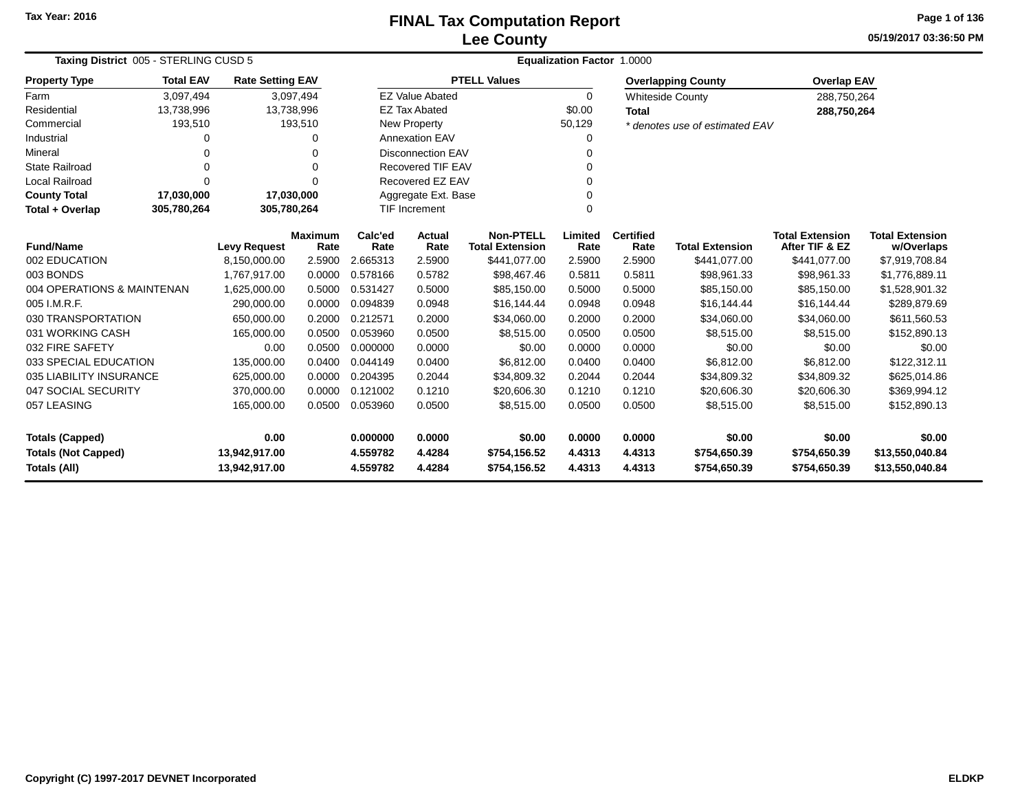# **Lee CountyFINAL Tax Computation Report**

**05/19/2017 03:36:50 PM Page 1 of 136**

| Taxing District 005 - STERLING CUSD 5 |                            |                         |                        |                 | <b>Equalization Factor</b><br>1.0000 |                                            |                 |                          |                                |                                          |                                      |  |  |
|---------------------------------------|----------------------------|-------------------------|------------------------|-----------------|--------------------------------------|--------------------------------------------|-----------------|--------------------------|--------------------------------|------------------------------------------|--------------------------------------|--|--|
| <b>Property Type</b>                  | <b>Total EAV</b>           | <b>Rate Setting EAV</b> |                        |                 |                                      | <b>PTELL Values</b>                        |                 |                          | <b>Overlapping County</b>      | <b>Overlap EAV</b>                       |                                      |  |  |
| Farm                                  | 3,097,494                  |                         | 3,097,494              |                 | <b>EZ Value Abated</b>               |                                            | 0               |                          | <b>Whiteside County</b>        | 288,750,264                              |                                      |  |  |
| Residential                           | 13,738,996                 | 13,738,996              |                        |                 | <b>EZ Tax Abated</b>                 |                                            | \$0.00          | <b>Total</b>             |                                | 288,750,264                              |                                      |  |  |
| Commercial                            | 193,510                    |                         | 193,510                |                 | <b>New Property</b>                  |                                            | 50,129          |                          | * denotes use of estimated EAV |                                          |                                      |  |  |
| Industrial                            | 0                          |                         | 0                      |                 | <b>Annexation EAV</b>                |                                            | 0               |                          |                                |                                          |                                      |  |  |
| Mineral                               | 0                          |                         | 0                      |                 | <b>Disconnection EAV</b>             |                                            | 0               |                          |                                |                                          |                                      |  |  |
| <b>State Railroad</b>                 | 0                          |                         | $\Omega$               |                 | <b>Recovered TIF EAV</b>             |                                            | $\Omega$        |                          |                                |                                          |                                      |  |  |
| <b>Local Railroad</b>                 | $\Omega$                   |                         | O                      |                 | Recovered EZ EAV                     |                                            | $\Omega$        |                          |                                |                                          |                                      |  |  |
| <b>County Total</b>                   | 17,030,000                 | 17,030,000              |                        |                 | Aggregate Ext. Base                  |                                            | 0               |                          |                                |                                          |                                      |  |  |
| Total + Overlap                       | 305,780,264<br>305,780,264 |                         |                        |                 | <b>TIF Increment</b>                 |                                            | 0               |                          |                                |                                          |                                      |  |  |
| <b>Fund/Name</b>                      |                            | <b>Levy Request</b>     | <b>Maximum</b><br>Rate | Calc'ed<br>Rate | Actual<br>Rate                       | <b>Non-PTELL</b><br><b>Total Extension</b> | Limited<br>Rate | <b>Certified</b><br>Rate | <b>Total Extension</b>         | <b>Total Extension</b><br>After TIF & EZ | <b>Total Extension</b><br>w/Overlaps |  |  |
| 002 EDUCATION                         |                            | 8,150,000.00            | 2.5900                 | 2.665313        | 2.5900                               | \$441,077.00                               | 2.5900          | 2.5900                   | \$441,077.00                   | \$441,077.00                             | \$7,919,708.84                       |  |  |
| 003 BONDS                             |                            | 1,767,917.00            | 0.0000                 | 0.578166        | 0.5782                               | \$98,467.46                                | 0.5811          | 0.5811                   | \$98,961.33                    | \$98,961.33                              | \$1,776,889.11                       |  |  |
| 004 OPERATIONS & MAINTENAN            |                            | 1,625,000.00            | 0.5000                 | 0.531427        | 0.5000                               | \$85,150.00                                | 0.5000          | 0.5000                   | \$85,150.00                    | \$85,150.00                              | \$1,528,901.32                       |  |  |
| 005 I.M.R.F.                          |                            | 290,000.00              | 0.0000                 | 0.094839        | 0.0948                               | \$16,144.44                                | 0.0948          | 0.0948                   | \$16,144.44                    | \$16,144.44                              | \$289,879.69                         |  |  |
| 030 TRANSPORTATION                    |                            | 650,000.00              | 0.2000                 | 0.212571        | 0.2000                               | \$34,060.00                                | 0.2000          | 0.2000                   | \$34,060.00                    | \$34,060.00                              | \$611,560.53                         |  |  |
| 031 WORKING CASH                      |                            | 165,000.00              | 0.0500                 | 0.053960        | 0.0500                               | \$8,515.00                                 | 0.0500          | 0.0500                   | \$8,515.00                     | \$8,515.00                               | \$152,890.13                         |  |  |
| 032 FIRE SAFETY                       |                            | 0.00                    | 0.0500                 | 0.000000        | 0.0000                               | \$0.00                                     | 0.0000          | 0.0000                   | \$0.00                         | \$0.00                                   | \$0.00                               |  |  |
| 033 SPECIAL EDUCATION                 |                            | 135,000.00              | 0.0400                 | 0.044149        | 0.0400                               | \$6,812.00                                 | 0.0400          | 0.0400                   | \$6,812.00                     | \$6,812.00                               | \$122,312.11                         |  |  |
| 035 LIABILITY INSURANCE               |                            | 625,000.00              | 0.0000                 | 0.204395        | 0.2044                               | \$34,809.32                                | 0.2044          | 0.2044                   | \$34,809.32                    | \$34,809.32                              | \$625,014.86                         |  |  |
| 047 SOCIAL SECURITY                   |                            | 370,000.00              | 0.0000                 | 0.121002        | 0.1210                               | \$20,606.30                                | 0.1210          | 0.1210                   | \$20,606.30                    | \$20,606.30                              | \$369,994.12                         |  |  |
| 057 LEASING                           |                            | 165,000.00              | 0.0500                 | 0.053960        | 0.0500                               | \$8,515.00                                 | 0.0500          | 0.0500                   | \$8,515.00                     | \$8,515.00                               | \$152,890.13                         |  |  |
| <b>Totals (Capped)</b>                |                            | 0.00                    |                        | 0.000000        | 0.0000                               | \$0.00                                     | 0.0000          | 0.0000                   | \$0.00                         | \$0.00                                   | \$0.00                               |  |  |
| <b>Totals (Not Capped)</b>            |                            | 13,942,917.00           |                        | 4.559782        | 4.4284                               | \$754,156.52                               | 4.4313          | 4.4313                   | \$754,650.39                   | \$754,650.39                             | \$13,550,040.84                      |  |  |
| <b>Totals (All)</b>                   |                            | 13,942,917.00           |                        | 4.559782        | 4.4284                               | \$754,156.52                               | 4.4313          | 4.4313                   | \$754,650.39                   | \$754,650.39                             | \$13,550,040.84                      |  |  |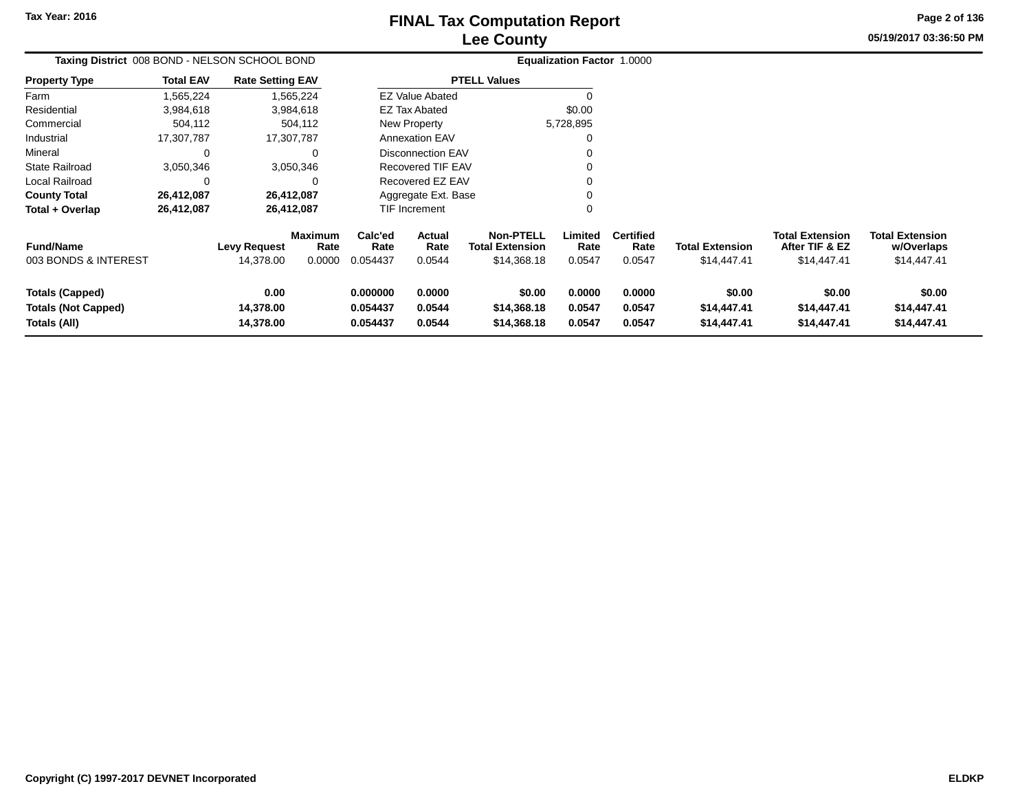# **Lee CountyFINAL Tax Computation Report**

**05/19/2017 03:36:50 PM Page 2 of 136**

| Taxing District 008 BOND - NELSON SCHOOL BOND                        |                  |                                  |                           |                                  |                                 |                                                           | <b>Equalization Factor 1.0000</b> |                                    |                                       |                                                         |                                                     |
|----------------------------------------------------------------------|------------------|----------------------------------|---------------------------|----------------------------------|---------------------------------|-----------------------------------------------------------|-----------------------------------|------------------------------------|---------------------------------------|---------------------------------------------------------|-----------------------------------------------------|
| <b>Property Type</b>                                                 | <b>Total EAV</b> | <b>Rate Setting EAV</b>          |                           |                                  |                                 | <b>PTELL Values</b>                                       |                                   |                                    |                                       |                                                         |                                                     |
| Farm                                                                 | 1,565,224        |                                  | 1,565,224                 |                                  | <b>EZ Value Abated</b>          |                                                           |                                   |                                    |                                       |                                                         |                                                     |
| Residential                                                          | 3,984,618        |                                  | 3,984,618                 |                                  | <b>EZ Tax Abated</b>            |                                                           | \$0.00                            |                                    |                                       |                                                         |                                                     |
| Commercial                                                           | 504,112          |                                  | 504,112                   |                                  | New Property                    |                                                           | 5,728,895                         |                                    |                                       |                                                         |                                                     |
| Industrial                                                           | 17,307,787       |                                  | 17,307,787                |                                  | <b>Annexation EAV</b>           |                                                           |                                   |                                    |                                       |                                                         |                                                     |
| Mineral                                                              | 0                |                                  | $\Omega$                  |                                  | Disconnection EAV               |                                                           |                                   |                                    |                                       |                                                         |                                                     |
| <b>State Railroad</b>                                                | 3,050,346        |                                  | 3,050,346                 |                                  | Recovered TIF EAV               |                                                           |                                   |                                    |                                       |                                                         |                                                     |
| Local Railroad                                                       | 0                |                                  |                           |                                  | Recovered EZ EAV                |                                                           |                                   |                                    |                                       |                                                         |                                                     |
| <b>County Total</b>                                                  | 26,412,087       |                                  | 26,412,087                |                                  | Aggregate Ext. Base             |                                                           |                                   |                                    |                                       |                                                         |                                                     |
| Total + Overlap                                                      | 26,412,087       |                                  | 26,412,087                |                                  | TIF Increment                   |                                                           |                                   |                                    |                                       |                                                         |                                                     |
| <b>Fund/Name</b><br>003 BONDS & INTEREST                             |                  | <b>Levy Request</b><br>14,378.00 | Maximum<br>Rate<br>0.0000 | Calc'ed<br>Rate<br>0.054437      | <b>Actual</b><br>Rate<br>0.0544 | <b>Non-PTELL</b><br><b>Total Extension</b><br>\$14,368.18 | Limited<br>Rate<br>0.0547         | <b>Certified</b><br>Rate<br>0.0547 | <b>Total Extension</b><br>\$14,447.41 | <b>Total Extension</b><br>After TIF & EZ<br>\$14,447.41 | <b>Total Extension</b><br>w/Overlaps<br>\$14,447.41 |
| <b>Totals (Capped)</b><br><b>Totals (Not Capped)</b><br>Totals (All) |                  | 0.00<br>14,378.00<br>14,378.00   |                           | 0.000000<br>0.054437<br>0.054437 | 0.0000<br>0.0544<br>0.0544      | \$0.00<br>\$14,368.18<br>\$14,368.18                      | 0.0000<br>0.0547<br>0.0547        | 0.0000<br>0.0547<br>0.0547         | \$0.00<br>\$14,447.41<br>\$14,447.41  | \$0.00<br>\$14,447.41<br>\$14,447.41                    | \$0.00<br>\$14,447.41<br>\$14,447.41                |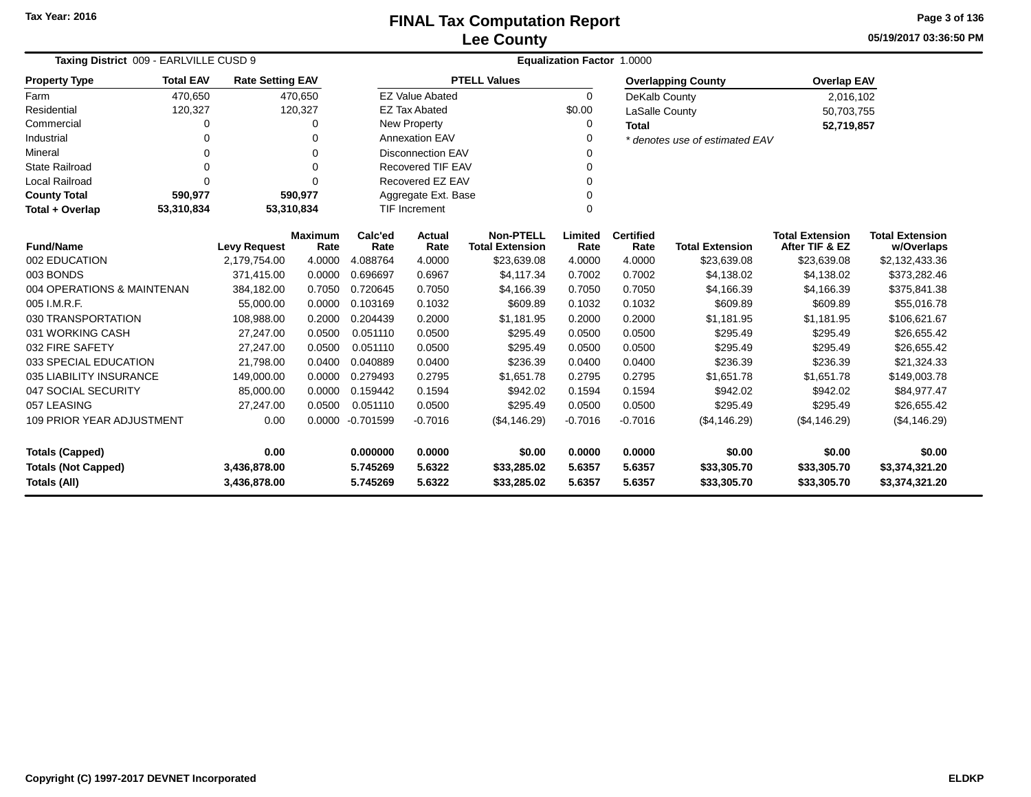**05/19/2017 03:36:50 PM Page 3 of 136**

| Taxing District 009 - EARLVILLE CUSD 9 |                  |                         |                        | Equalization Factor 1.0000 |                          |                                            |                 |                          |                                |                                          |                                      |  |  |
|----------------------------------------|------------------|-------------------------|------------------------|----------------------------|--------------------------|--------------------------------------------|-----------------|--------------------------|--------------------------------|------------------------------------------|--------------------------------------|--|--|
| <b>Property Type</b>                   | <b>Total EAV</b> | <b>Rate Setting EAV</b> |                        |                            |                          | <b>PTELL Values</b>                        |                 |                          | <b>Overlapping County</b>      | <b>Overlap EAV</b>                       |                                      |  |  |
| Farm                                   | 470,650          |                         | 470,650                |                            | <b>EZ Value Abated</b>   |                                            | $\Omega$        | DeKalb County            |                                | 2,016,102                                |                                      |  |  |
| Residential                            | 120,327          |                         | 120,327                |                            | <b>EZ Tax Abated</b>     |                                            | \$0.00          | LaSalle County           |                                | 50,703,755                               |                                      |  |  |
| Commercial                             | 0                |                         | 0                      |                            | New Property             |                                            | 0               | Total                    |                                | 52,719,857                               |                                      |  |  |
| Industrial                             | 0                |                         | $\Omega$               |                            | <b>Annexation EAV</b>    |                                            | 0               |                          | * denotes use of estimated EAV |                                          |                                      |  |  |
| Mineral                                |                  |                         | $\Omega$               |                            | <b>Disconnection EAV</b> |                                            | U               |                          |                                |                                          |                                      |  |  |
| <b>State Railroad</b>                  | 0                |                         | $\Omega$               |                            | <b>Recovered TIF EAV</b> |                                            | 0               |                          |                                |                                          |                                      |  |  |
| <b>Local Railroad</b>                  | 0                |                         | ∩                      |                            | Recovered EZ EAV         |                                            | 0               |                          |                                |                                          |                                      |  |  |
| <b>County Total</b>                    | 590,977          |                         | 590,977                |                            | Aggregate Ext. Base      |                                            | 0               |                          |                                |                                          |                                      |  |  |
| Total + Overlap                        | 53,310,834       |                         | 53,310,834             |                            | <b>TIF Increment</b>     |                                            | 0               |                          |                                |                                          |                                      |  |  |
| <b>Fund/Name</b>                       |                  | <b>Levy Request</b>     | <b>Maximum</b><br>Rate | Calc'ed<br>Rate            | Actual<br>Rate           | <b>Non-PTELL</b><br><b>Total Extension</b> | Limited<br>Rate | <b>Certified</b><br>Rate | <b>Total Extension</b>         | <b>Total Extension</b><br>After TIF & EZ | <b>Total Extension</b><br>w/Overlaps |  |  |
| 002 EDUCATION                          |                  | 2,179,754.00            | 4.0000                 | 4.088764                   | 4.0000                   | \$23,639.08                                | 4.0000          | 4.0000                   | \$23,639.08                    | \$23,639.08                              | \$2,132,433.36                       |  |  |
| 003 BONDS                              |                  | 371,415.00              | 0.0000                 | 0.696697                   | 0.6967                   | \$4,117.34                                 | 0.7002          | 0.7002                   | \$4,138.02                     | \$4,138.02                               | \$373,282.46                         |  |  |
| 004 OPERATIONS & MAINTENAN             |                  | 384,182.00              | 0.7050                 | 0.720645                   | 0.7050                   | \$4,166.39                                 | 0.7050          | 0.7050                   | \$4,166.39                     | \$4,166.39                               | \$375,841.38                         |  |  |
| 005 I.M.R.F.                           |                  | 55,000.00               | 0.0000                 | 0.103169                   | 0.1032                   | \$609.89                                   | 0.1032          | 0.1032                   | \$609.89                       | \$609.89                                 | \$55,016.78                          |  |  |
| 030 TRANSPORTATION                     |                  | 108,988.00              | 0.2000                 | 0.204439                   | 0.2000                   | \$1,181.95                                 | 0.2000          | 0.2000                   | \$1,181.95                     | \$1,181.95                               | \$106,621.67                         |  |  |
| 031 WORKING CASH                       |                  | 27,247.00               | 0.0500                 | 0.051110                   | 0.0500                   | \$295.49                                   | 0.0500          | 0.0500                   | \$295.49                       | \$295.49                                 | \$26,655.42                          |  |  |
| 032 FIRE SAFETY                        |                  | 27,247.00               | 0.0500                 | 0.051110                   | 0.0500                   | \$295.49                                   | 0.0500          | 0.0500                   | \$295.49                       | \$295.49                                 | \$26,655.42                          |  |  |
| 033 SPECIAL EDUCATION                  |                  | 21,798.00               | 0.0400                 | 0.040889                   | 0.0400                   | \$236.39                                   | 0.0400          | 0.0400                   | \$236.39                       | \$236.39                                 | \$21,324.33                          |  |  |
| 035 LIABILITY INSURANCE                |                  | 149,000.00              | 0.0000                 | 0.279493                   | 0.2795                   | \$1,651.78                                 | 0.2795          | 0.2795                   | \$1,651.78                     | \$1,651.78                               | \$149,003.78                         |  |  |
| 047 SOCIAL SECURITY                    |                  | 85,000.00               | 0.0000                 | 0.159442                   | 0.1594                   | \$942.02                                   | 0.1594          | 0.1594                   | \$942.02                       | \$942.02                                 | \$84,977.47                          |  |  |
| 057 LEASING                            |                  | 27,247.00               | 0.0500                 | 0.051110                   | 0.0500                   | \$295.49                                   | 0.0500          | 0.0500                   | \$295.49                       | \$295.49                                 | \$26,655.42                          |  |  |
| <b>109 PRIOR YEAR ADJUSTMENT</b>       |                  | 0.00                    | 0.0000                 | $-0.701599$                | $-0.7016$                | (\$4,146.29)                               | $-0.7016$       | $-0.7016$                | (\$4,146.29)                   | (\$4,146.29)                             | (\$4,146.29)                         |  |  |
| <b>Totals (Capped)</b>                 |                  | 0.00                    |                        | 0.000000                   | 0.0000                   | \$0.00                                     | 0.0000          | 0.0000                   | \$0.00                         | \$0.00                                   | \$0.00                               |  |  |
| <b>Totals (Not Capped)</b>             |                  | 3,436,878.00            |                        | 5.745269                   | 5.6322                   | \$33,285.02                                | 5.6357          | 5.6357                   | \$33,305.70                    | \$33,305.70                              | \$3,374,321.20                       |  |  |
| Totals (All)<br>3,436,878.00           |                  |                         | 5.745269               | 5.6322                     | \$33,285.02              | 5.6357                                     | 5.6357          | \$33,305.70              | \$33,305.70                    | \$3,374,321.20                           |                                      |  |  |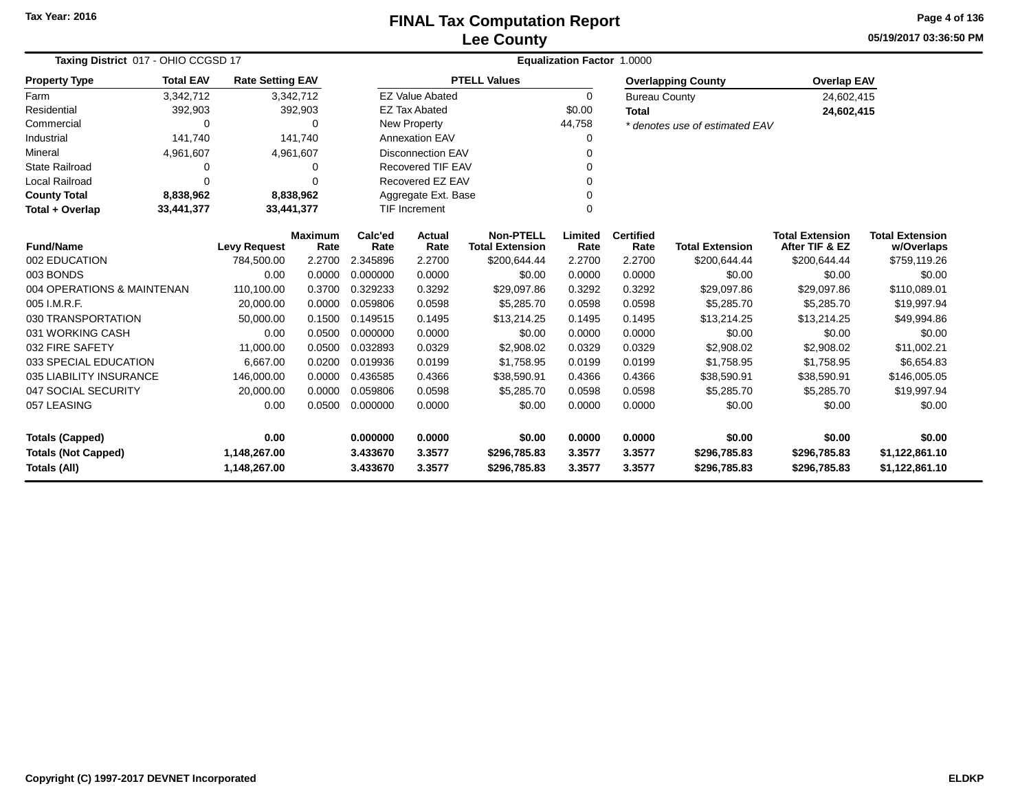**05/19/2017 03:36:50 PMPage 4 of 136**

| Taxing District 017 - OHIO CCGSD 17 |                                                                                                  |                     |                | <b>Equalization Factor 1.0000</b> |                          |                        |          |                      |                                |                        |                        |
|-------------------------------------|--------------------------------------------------------------------------------------------------|---------------------|----------------|-----------------------------------|--------------------------|------------------------|----------|----------------------|--------------------------------|------------------------|------------------------|
| <b>Property Type</b>                | <b>Total EAV</b><br><b>Rate Setting EAV</b><br>3,342,712<br>3,342,712<br>392,903<br>392,903<br>0 |                     |                |                                   |                          | <b>PTELL Values</b>    |          |                      | <b>Overlapping County</b>      | <b>Overlap EAV</b>     |                        |
| Farm                                |                                                                                                  |                     |                |                                   | <b>EZ Value Abated</b>   |                        | $\Omega$ | <b>Bureau County</b> |                                | 24,602,415             |                        |
| Residential                         |                                                                                                  |                     |                |                                   | <b>EZ Tax Abated</b>     |                        | \$0.00   | <b>Total</b>         |                                | 24,602,415             |                        |
| Commercial                          |                                                                                                  |                     | $\Omega$       |                                   | New Property             |                        | 44,758   |                      | * denotes use of estimated EAV |                        |                        |
| Industrial                          | 141.740                                                                                          |                     | 141.740        |                                   | <b>Annexation EAV</b>    |                        | $\Omega$ |                      |                                |                        |                        |
| Mineral                             | 4,961,607                                                                                        |                     | 4,961,607      |                                   | <b>Disconnection EAV</b> |                        | $\Omega$ |                      |                                |                        |                        |
| <b>State Railroad</b>               | 0                                                                                                |                     | 0              |                                   | Recovered TIF EAV        |                        | $\Omega$ |                      |                                |                        |                        |
| <b>Local Railroad</b>               | $\Omega$                                                                                         |                     | $\Omega$       |                                   | Recovered EZ EAV         |                        | $\Omega$ |                      |                                |                        |                        |
| <b>County Total</b>                 | 8,838,962                                                                                        |                     | 8,838,962      |                                   | Aggregate Ext. Base      |                        | $\Omega$ |                      |                                |                        |                        |
| Total + Overlap                     | 33,441,377                                                                                       |                     | 33,441,377     |                                   | <b>TIF Increment</b>     |                        | $\Omega$ |                      |                                |                        |                        |
|                                     |                                                                                                  |                     | <b>Maximum</b> | Calc'ed                           | Actual                   | <b>Non-PTELL</b>       | Limited  | <b>Certified</b>     |                                | <b>Total Extension</b> | <b>Total Extension</b> |
| <b>Fund/Name</b>                    |                                                                                                  | <b>Levy Request</b> | Rate           | Rate                              | Rate                     | <b>Total Extension</b> | Rate     | Rate                 | <b>Total Extension</b>         | After TIF & EZ         | w/Overlaps             |
| 002 EDUCATION                       |                                                                                                  | 784,500.00          | 2.2700         | 2.345896                          | 2.2700                   | \$200,644.44           | 2.2700   | 2.2700               | \$200,644.44                   | \$200,644.44           | \$759,119.26           |
| 003 BONDS                           |                                                                                                  | 0.00                | 0.0000         | 0.000000                          | 0.0000                   | \$0.00                 | 0.0000   | 0.0000               | \$0.00                         | \$0.00                 | \$0.00                 |
| 004 OPERATIONS & MAINTENAN          |                                                                                                  | 110,100.00          | 0.3700         | 0.329233                          | 0.3292                   | \$29,097.86            | 0.3292   | 0.3292               | \$29,097.86                    | \$29,097.86            | \$110,089.01           |
| 005 I.M.R.F.                        |                                                                                                  | 20,000.00           | 0.0000         | 0.059806                          | 0.0598                   | \$5,285.70             | 0.0598   | 0.0598               | \$5,285.70                     | \$5,285.70             | \$19,997.94            |
| 030 TRANSPORTATION                  |                                                                                                  | 50,000.00           | 0.1500         | 0.149515                          | 0.1495                   | \$13,214.25            | 0.1495   | 0.1495               | \$13,214.25                    | \$13,214.25            | \$49,994.86            |
| 031 WORKING CASH                    |                                                                                                  | 0.00                | 0.0500         | 0.000000                          | 0.0000                   | \$0.00                 | 0.0000   | 0.0000               | \$0.00                         | \$0.00                 | \$0.00                 |
| 032 FIRE SAFETY                     |                                                                                                  | 11,000.00           | 0.0500         | 0.032893                          | 0.0329                   | \$2,908.02             | 0.0329   | 0.0329               | \$2,908.02                     | \$2,908.02             | \$11,002.21            |
| 033 SPECIAL EDUCATION               |                                                                                                  | 6,667.00            | 0.0200         | 0.019936                          | 0.0199                   | \$1,758.95             | 0.0199   | 0.0199               | \$1,758.95                     | \$1,758.95             | \$6,654.83             |
| 035 LIABILITY INSURANCE             |                                                                                                  | 146,000.00          | 0.0000         | 0.436585                          | 0.4366                   | \$38,590.91            | 0.4366   | 0.4366               | \$38,590.91                    | \$38,590.91            | \$146,005.05           |
| 047 SOCIAL SECURITY                 |                                                                                                  | 20,000.00           | 0.0000         | 0.059806                          | 0.0598                   | \$5,285.70             | 0.0598   | 0.0598               | \$5,285.70                     | \$5,285.70             | \$19,997.94            |
| 057 LEASING                         |                                                                                                  | 0.00                | 0.0500         | 0.000000                          | 0.0000                   | \$0.00                 | 0.0000   | 0.0000               | \$0.00                         | \$0.00                 | \$0.00                 |
| <b>Totals (Capped)</b>              |                                                                                                  | 0.00                |                | 0.000000                          | 0.0000                   | \$0.00                 | 0.0000   | 0.0000               | \$0.00                         | \$0.00                 | \$0.00                 |
| <b>Totals (Not Capped)</b>          |                                                                                                  | 1,148,267.00        |                | 3.433670                          | 3.3577                   | \$296,785.83           | 3.3577   | 3.3577               | \$296,785.83                   | \$296,785.83           | \$1,122,861.10         |
| Totals (All)                        |                                                                                                  | 1,148,267.00        |                | 3.433670                          | 3.3577                   | \$296,785.83           | 3.3577   | 3.3577               | \$296,785.83                   | \$296,785.83           | \$1,122,861.10         |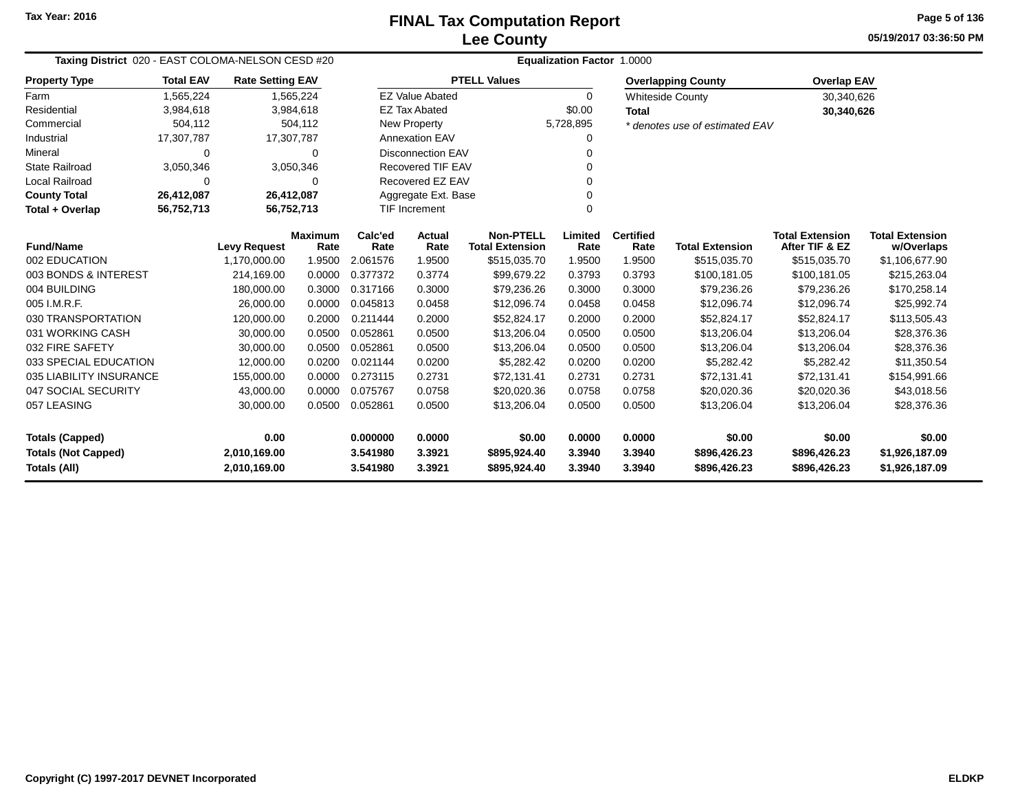**05/19/2017 03:36:50 PM Page 5 of 136**

| Taxing District 020 - EAST COLOMA-NELSON CESD #20                                                                      |                  |                         |                        |                 | Equalization Factor 1.0000 |                                            |                 |                          |                                |                                          |                                      |
|------------------------------------------------------------------------------------------------------------------------|------------------|-------------------------|------------------------|-----------------|----------------------------|--------------------------------------------|-----------------|--------------------------|--------------------------------|------------------------------------------|--------------------------------------|
| <b>Property Type</b>                                                                                                   | <b>Total EAV</b> | <b>Rate Setting EAV</b> |                        |                 |                            | <b>PTELL Values</b>                        |                 |                          | <b>Overlapping County</b>      | <b>Overlap EAV</b>                       |                                      |
| Farm                                                                                                                   | 1,565,224        |                         | 1,565,224              |                 | <b>EZ Value Abated</b>     |                                            | 0               |                          | <b>Whiteside County</b>        | 30,340,626                               |                                      |
| Residential                                                                                                            | 3,984,618        |                         | 3,984,618              |                 | <b>EZ Tax Abated</b>       |                                            | \$0.00          | <b>Total</b>             |                                | 30,340,626                               |                                      |
| Commercial                                                                                                             | 504,112          |                         | 504,112                |                 | New Property               |                                            | 5,728,895       |                          | * denotes use of estimated EAV |                                          |                                      |
| Industrial                                                                                                             | 17,307,787       |                         | 17,307,787             |                 | <b>Annexation EAV</b>      |                                            | $\Omega$        |                          |                                |                                          |                                      |
| Mineral                                                                                                                | $\Omega$         |                         | $\Omega$               |                 | <b>Disconnection EAV</b>   |                                            | ∩               |                          |                                |                                          |                                      |
| <b>State Railroad</b>                                                                                                  | 3,050,346        |                         | 3,050,346              |                 | <b>Recovered TIF EAV</b>   |                                            |                 |                          |                                |                                          |                                      |
| Local Railroad                                                                                                         | 0                |                         | 0                      |                 | Recovered EZ EAV           |                                            | 0               |                          |                                |                                          |                                      |
| <b>County Total</b>                                                                                                    | 26,412,087       |                         | 26,412,087             |                 | Aggregate Ext. Base        |                                            |                 |                          |                                |                                          |                                      |
| Total + Overlap                                                                                                        | 56,752,713       |                         | 56,752,713             |                 | TIF Increment              |                                            | $\Omega$        |                          |                                |                                          |                                      |
| <b>Fund/Name</b>                                                                                                       |                  | <b>Levy Request</b>     | <b>Maximum</b><br>Rate | Calc'ed<br>Rate | Actual<br>Rate             | <b>Non-PTELL</b><br><b>Total Extension</b> | Limited<br>Rate | <b>Certified</b><br>Rate | <b>Total Extension</b>         | <b>Total Extension</b><br>After TIF & EZ | <b>Total Extension</b><br>w/Overlaps |
| 002 EDUCATION                                                                                                          |                  | 1,170,000.00            | 1.9500                 | 2.061576        | 1.9500                     | \$515,035.70                               | 1.9500          | 1.9500                   | \$515,035.70                   | \$515,035.70                             | \$1,106,677.90                       |
| 003 BONDS & INTEREST                                                                                                   |                  | 214,169.00              | 0.0000                 | 0.377372        | 0.3774                     | \$99,679.22                                | 0.3793          | 0.3793                   | \$100,181.05                   | \$100,181.05                             | \$215,263.04                         |
| 004 BUILDING                                                                                                           |                  | 180,000.00              | 0.3000                 | 0.317166        | 0.3000                     | \$79,236.26                                | 0.3000          | 0.3000                   | \$79,236.26                    | \$79,236.26                              | \$170,258.14                         |
| 005 I.M.R.F.                                                                                                           |                  | 26,000.00               | 0.0000                 | 0.045813        | 0.0458                     | \$12,096.74                                | 0.0458          | 0.0458                   | \$12,096.74                    | \$12,096.74                              | \$25,992.74                          |
| 030 TRANSPORTATION                                                                                                     |                  | 120,000.00              | 0.2000                 | 0.211444        | 0.2000                     | \$52,824.17                                | 0.2000          | 0.2000                   | \$52,824.17                    | \$52,824.17                              | \$113,505.43                         |
| 031 WORKING CASH                                                                                                       |                  | 30,000.00               | 0.0500                 | 0.052861        | 0.0500                     | \$13,206.04                                | 0.0500          | 0.0500                   | \$13,206.04                    | \$13,206.04                              | \$28,376.36                          |
| 032 FIRE SAFETY                                                                                                        |                  | 30,000.00               | 0.0500                 | 0.052861        | 0.0500                     | \$13,206.04                                | 0.0500          | 0.0500                   | \$13,206.04                    | \$13,206.04                              | \$28,376.36                          |
| 033 SPECIAL EDUCATION                                                                                                  |                  | 12,000.00               | 0.0200                 | 0.021144        | 0.0200                     | \$5,282.42                                 | 0.0200          | 0.0200                   | \$5,282.42                     | \$5,282.42                               | \$11,350.54                          |
| 035 LIABILITY INSURANCE                                                                                                |                  | 155,000.00              | 0.0000                 | 0.273115        | 0.2731                     | \$72,131.41                                | 0.2731          | 0.2731                   | \$72,131.41                    | \$72,131.41                              | \$154,991.66                         |
| 047 SOCIAL SECURITY                                                                                                    |                  | 43,000.00               | 0.0000                 | 0.075767        | 0.0758                     | \$20,020.36                                | 0.0758          | 0.0758                   | \$20,020.36                    | \$20,020.36                              | \$43,018.56                          |
| 057 LEASING                                                                                                            |                  | 30,000.00               | 0.0500                 | 0.052861        | 0.0500                     | \$13,206.04                                | 0.0500          | 0.0500                   | \$13,206.04                    | \$13,206.04                              | \$28,376.36                          |
| <b>Totals (Capped)</b>                                                                                                 |                  | 0.00                    |                        | 0.000000        | 0.0000                     | \$0.00                                     | 0.0000          | 0.0000                   | \$0.00                         | \$0.00                                   | \$0.00                               |
| <b>Totals (Not Capped)</b>                                                                                             |                  | 2,010,169.00            |                        | 3.541980        | 3.3921                     | \$895,924.40                               | 3.3940          | 3.3940                   | \$896,426.23                   | \$896,426.23                             | \$1,926,187.09                       |
| 3.3921<br>Totals (All)<br>2,010,169.00<br>3.541980<br>\$895,924.40<br>3.3940<br>3.3940<br>\$896,426.23<br>\$896,426.23 |                  |                         |                        |                 | \$1,926,187.09             |                                            |                 |                          |                                |                                          |                                      |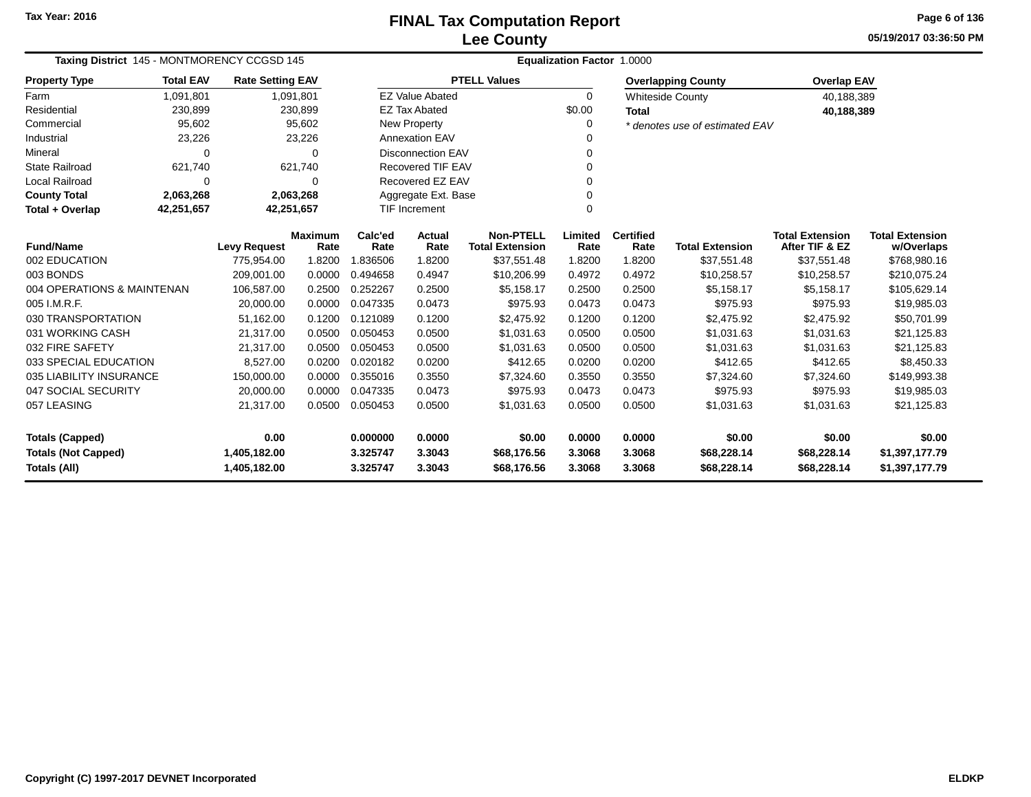**05/19/2017 03:36:50 PMPage 6 of 136**

| Taxing District 145 - MONTMORENCY CCGSD 145 |                                               |                         |                        |                 | <b>Equalization Factor 1.0000</b> |                                            |                 |                          |                                |                                          |                                      |
|---------------------------------------------|-----------------------------------------------|-------------------------|------------------------|-----------------|-----------------------------------|--------------------------------------------|-----------------|--------------------------|--------------------------------|------------------------------------------|--------------------------------------|
| <b>Property Type</b>                        | <b>Total EAV</b>                              | <b>Rate Setting EAV</b> |                        |                 |                                   | <b>PTELL Values</b>                        |                 |                          | <b>Overlapping County</b>      | <b>Overlap EAV</b>                       |                                      |
| Farm                                        | 1,091,801                                     |                         | 1,091,801              |                 | <b>EZ Value Abated</b>            |                                            | $\Omega$        |                          | <b>Whiteside County</b>        | 40,188,389                               |                                      |
| Residential                                 | 230,899                                       |                         | 230,899                |                 | <b>EZ Tax Abated</b>              |                                            | \$0.00          | <b>Total</b>             |                                | 40,188,389                               |                                      |
| Commercial                                  | 95,602                                        |                         | 95,602                 |                 | <b>New Property</b>               |                                            | 0               |                          | * denotes use of estimated EAV |                                          |                                      |
| Industrial                                  | 23,226                                        |                         | 23,226                 |                 | <b>Annexation EAV</b>             |                                            |                 |                          |                                |                                          |                                      |
| Mineral                                     | $\Omega$                                      |                         | $\Omega$               |                 | <b>Disconnection EAV</b>          |                                            | 0               |                          |                                |                                          |                                      |
| <b>State Railroad</b>                       | 621,740                                       |                         | 621,740                |                 | Recovered TIF EAV                 |                                            |                 |                          |                                |                                          |                                      |
| Local Railroad                              | 0                                             |                         | $\Omega$               |                 | Recovered EZ EAV                  |                                            | 0               |                          |                                |                                          |                                      |
| <b>County Total</b>                         | 2,063,268<br>2,063,268<br>Aggregate Ext. Base |                         |                        |                 |                                   |                                            |                 |                          |                                |                                          |                                      |
| Total + Overlap                             | 42,251,657<br>42,251,657                      |                         |                        |                 | <b>TIF Increment</b>              |                                            | $\Omega$        |                          |                                |                                          |                                      |
| <b>Fund/Name</b>                            |                                               | <b>Levy Request</b>     | <b>Maximum</b><br>Rate | Calc'ed<br>Rate | Actual<br>Rate                    | <b>Non-PTELL</b><br><b>Total Extension</b> | Limited<br>Rate | <b>Certified</b><br>Rate | <b>Total Extension</b>         | <b>Total Extension</b><br>After TIF & EZ | <b>Total Extension</b><br>w/Overlaps |
| 002 EDUCATION                               |                                               | 775,954.00              | 1.8200                 | 1.836506        | 1.8200                            | \$37,551.48                                | 1.8200          | 1.8200                   | \$37,551.48                    | \$37,551.48                              | \$768,980.16                         |
| 003 BONDS                                   |                                               | 209,001.00              | 0.0000                 | 0.494658        | 0.4947                            | \$10,206.99                                | 0.4972          | 0.4972                   | \$10,258.57                    | \$10,258.57                              | \$210,075.24                         |
| 004 OPERATIONS & MAINTENAN                  |                                               | 106,587.00              | 0.2500                 | 0.252267        | 0.2500                            | \$5,158.17                                 | 0.2500          | 0.2500                   | \$5,158.17                     | \$5,158.17                               | \$105,629.14                         |
| 005 I.M.R.F.                                |                                               | 20,000.00               | 0.0000                 | 0.047335        | 0.0473                            | \$975.93                                   | 0.0473          | 0.0473                   | \$975.93                       | \$975.93                                 | \$19,985.03                          |
| 030 TRANSPORTATION                          |                                               | 51,162.00               | 0.1200                 | 0.121089        | 0.1200                            | \$2,475.92                                 | 0.1200          | 0.1200                   | \$2,475.92                     | \$2,475.92                               | \$50,701.99                          |
| 031 WORKING CASH                            |                                               | 21,317.00               | 0.0500                 | 0.050453        | 0.0500                            | \$1,031.63                                 | 0.0500          | 0.0500                   | \$1,031.63                     | \$1,031.63                               | \$21,125.83                          |
| 032 FIRE SAFETY                             |                                               | 21,317.00               | 0.0500                 | 0.050453        | 0.0500                            | \$1,031.63                                 | 0.0500          | 0.0500                   | \$1,031.63                     | \$1,031.63                               | \$21,125.83                          |
| 033 SPECIAL EDUCATION                       |                                               | 8,527.00                | 0.0200                 | 0.020182        | 0.0200                            | \$412.65                                   | 0.0200          | 0.0200                   | \$412.65                       | \$412.65                                 | \$8,450.33                           |
| 035 LIABILITY INSURANCE                     |                                               | 150,000.00              | 0.0000                 | 0.355016        | 0.3550                            | \$7,324.60                                 | 0.3550          | 0.3550                   | \$7,324.60                     | \$7,324.60                               | \$149,993.38                         |
| 047 SOCIAL SECURITY                         |                                               | 20,000.00               | 0.0000                 | 0.047335        | 0.0473                            | \$975.93                                   | 0.0473          | 0.0473                   | \$975.93                       | \$975.93                                 | \$19,985.03                          |
| 057 LEASING                                 |                                               | 21,317.00               | 0.0500                 | 0.050453        | 0.0500                            | \$1,031.63                                 | 0.0500          | 0.0500                   | \$1,031.63                     | \$1,031.63                               | \$21,125.83                          |
| <b>Totals (Capped)</b>                      |                                               | 0.00                    |                        | 0.000000        | 0.0000                            | \$0.00                                     | 0.0000          | 0.0000                   | \$0.00                         | \$0.00                                   | \$0.00                               |
| <b>Totals (Not Capped)</b>                  |                                               | 1,405,182.00            |                        | 3.325747        | 3.3043                            | \$68,176.56                                | 3.3068          | 3.3068                   | \$68,228.14                    | \$68,228.14                              | \$1,397,177.79                       |
| Totals (All)                                |                                               | 1,405,182.00            |                        | 3.325747        | 3.3043                            | \$68,176.56                                | 3.3068          | 3.3068                   | \$68,228.14                    | \$68,228.14                              | \$1,397,177.79                       |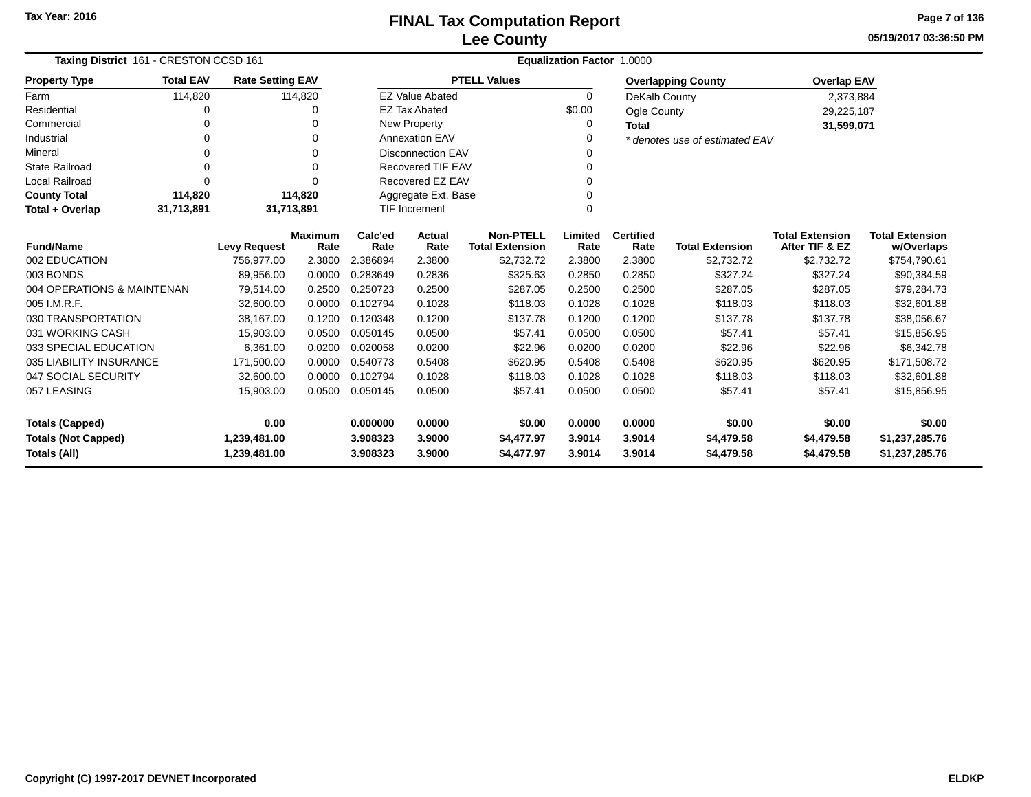**05/19/2017 03:36:50 PMPage 7 of 136**

| Taxing District 161 - CRESTON CCSD 161 |                  |                         |                        |                 |                          |                                            | Equalization Factor 1.0000 |                          |                                |                                          |                                      |
|----------------------------------------|------------------|-------------------------|------------------------|-----------------|--------------------------|--------------------------------------------|----------------------------|--------------------------|--------------------------------|------------------------------------------|--------------------------------------|
| <b>Property Type</b>                   | <b>Total EAV</b> | <b>Rate Setting EAV</b> |                        |                 |                          | <b>PTELL Values</b>                        |                            |                          | <b>Overlapping County</b>      | <b>Overlap EAV</b>                       |                                      |
| Farm                                   | 114,820          |                         | 114,820                |                 | <b>EZ Value Abated</b>   |                                            | $\Omega$                   | DeKalb County            |                                | 2,373,884                                |                                      |
| Residential                            | 0                |                         | $\Omega$               |                 | <b>EZ Tax Abated</b>     |                                            | \$0.00                     | Ogle County              |                                | 29,225,187                               |                                      |
| Commercial                             |                  |                         | $\Omega$               |                 | New Property             |                                            | 0                          | <b>Total</b>             |                                | 31,599,071                               |                                      |
| Industrial                             | 0                |                         | $\Omega$               |                 | <b>Annexation EAV</b>    |                                            | 0                          |                          | * denotes use of estimated EAV |                                          |                                      |
| Mineral                                | 0                |                         | $\Omega$               |                 | <b>Disconnection EAV</b> |                                            | 0                          |                          |                                |                                          |                                      |
| <b>State Railroad</b>                  | 0                |                         | $\Omega$               |                 | Recovered TIF EAV        |                                            | 0                          |                          |                                |                                          |                                      |
| <b>Local Railroad</b>                  | 0                |                         | $\Omega$               |                 | Recovered EZ EAV         |                                            | 0                          |                          |                                |                                          |                                      |
| <b>County Total</b>                    | 114,820          |                         | 114,820                |                 | Aggregate Ext. Base      |                                            | 0                          |                          |                                |                                          |                                      |
| Total + Overlap                        | 31,713,891       | 31,713,891              |                        |                 | <b>TIF Increment</b>     |                                            | 0                          |                          |                                |                                          |                                      |
| <b>Fund/Name</b>                       |                  | <b>Levy Request</b>     | <b>Maximum</b><br>Rate | Calc'ed<br>Rate | <b>Actual</b><br>Rate    | <b>Non-PTELL</b><br><b>Total Extension</b> | Limited<br>Rate            | <b>Certified</b><br>Rate | <b>Total Extension</b>         | <b>Total Extension</b><br>After TIF & EZ | <b>Total Extension</b><br>w/Overlaps |
| 002 EDUCATION                          |                  | 756.977.00              | 2.3800                 | 2.386894        | 2.3800                   | \$2,732.72                                 | 2.3800                     | 2.3800                   | \$2,732.72                     | \$2,732.72                               | \$754,790.61                         |
| 003 BONDS                              |                  | 89,956.00               | 0.0000                 | 0.283649        | 0.2836                   | \$325.63                                   | 0.2850                     | 0.2850                   | \$327.24                       | \$327.24                                 | \$90,384.59                          |
| 004 OPERATIONS & MAINTENAN             |                  | 79,514.00               | 0.2500                 | 0.250723        | 0.2500                   | \$287.05                                   | 0.2500                     | 0.2500                   | \$287.05                       | \$287.05                                 | \$79,284.73                          |
| 005 I.M.R.F.                           |                  | 32,600.00               | 0.0000                 | 0.102794        | 0.1028                   | \$118.03                                   | 0.1028                     | 0.1028                   | \$118.03                       | \$118.03                                 | \$32,601.88                          |
| 030 TRANSPORTATION                     |                  | 38,167.00               | 0.1200                 | 0.120348        | 0.1200                   | \$137.78                                   | 0.1200                     | 0.1200                   | \$137.78                       | \$137.78                                 | \$38,056.67                          |
| 031 WORKING CASH                       |                  | 15,903.00               | 0.0500                 | 0.050145        | 0.0500                   | \$57.41                                    | 0.0500                     | 0.0500                   | \$57.41                        | \$57.41                                  | \$15,856.95                          |
| 033 SPECIAL EDUCATION                  |                  | 6,361.00                | 0.0200                 | 0.020058        | 0.0200                   | \$22.96                                    | 0.0200                     | 0.0200                   | \$22.96                        | \$22.96                                  | \$6,342.78                           |
| 035 LIABILITY INSURANCE                |                  | 171,500.00              | 0.0000                 | 0.540773        | 0.5408                   | \$620.95                                   | 0.5408                     | 0.5408                   | \$620.95                       | \$620.95                                 | \$171,508.72                         |
| 047 SOCIAL SECURITY                    |                  | 32,600.00               | 0.0000                 | 0.102794        | 0.1028                   | \$118.03                                   | 0.1028                     | 0.1028                   | \$118.03                       | \$118.03                                 | \$32,601.88                          |
| 057 LEASING                            |                  | 15,903.00               | 0.0500                 | 0.050145        | 0.0500                   | \$57.41                                    | 0.0500                     | 0.0500                   | \$57.41                        | \$57.41                                  | \$15,856.95                          |
| <b>Totals (Capped)</b>                 |                  | 0.00                    |                        | 0.000000        | 0.0000                   | \$0.00                                     | 0.0000                     | 0.0000                   | \$0.00                         | \$0.00                                   | \$0.00                               |
| <b>Totals (Not Capped)</b>             |                  | 1,239,481.00            |                        | 3.908323        | 3.9000                   | \$4,477.97                                 | 3.9014                     | 3.9014                   | \$4,479.58                     | \$4,479.58                               | \$1,237,285.76                       |
| Totals (All)<br>1,239,481.00           |                  |                         | 3.908323               | 3.9000          | \$4,477.97               | 3.9014                                     | 3.9014                     | \$4,479.58               | \$4,479.58                     | \$1,237,285.76                           |                                      |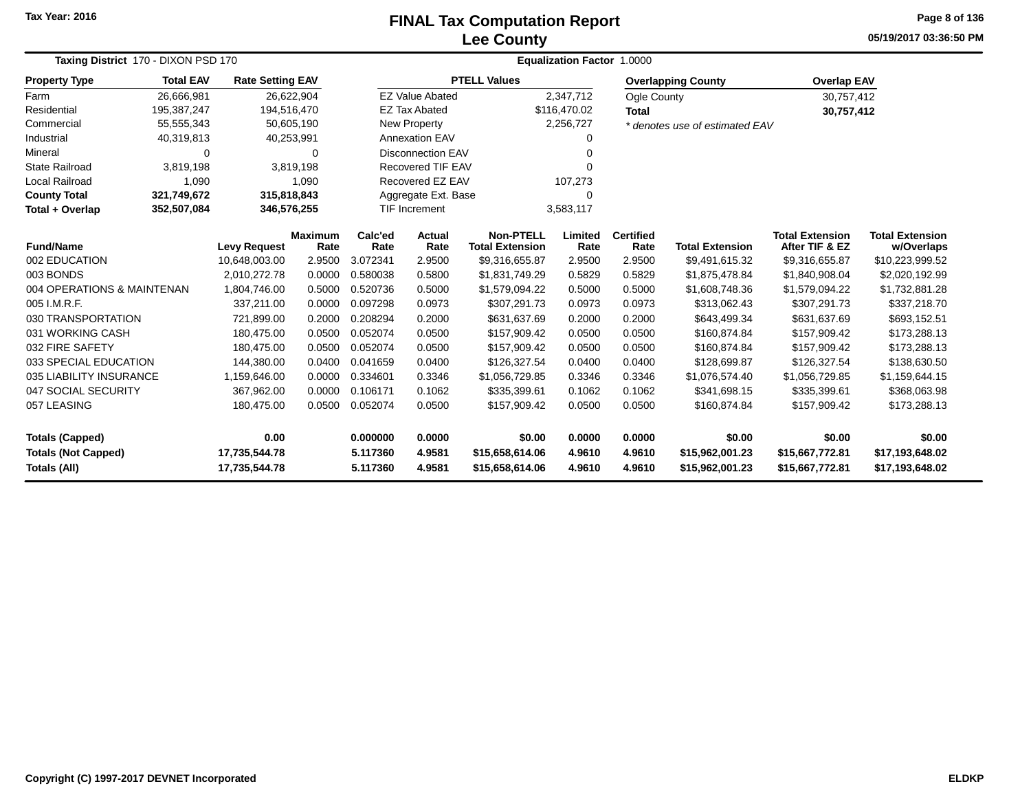# **Lee CountyFINAL Tax Computation Report** FINAL Tax Computation Report

**05/19/2017 03:36:50 PM Page 8 of 136**

| Taxing District 170 - DIXON PSD 170<br><b>Total EAV</b><br><b>Rate Setting EAV</b><br>26,666,981<br>26,622,904<br>194,516,470 |               |                                |                |                      |                          |                                    | Equalization Factor 1.0000 |                  |                                    |                                    |                                    |  |
|-------------------------------------------------------------------------------------------------------------------------------|---------------|--------------------------------|----------------|----------------------|--------------------------|------------------------------------|----------------------------|------------------|------------------------------------|------------------------------------|------------------------------------|--|
| <b>Property Type</b>                                                                                                          |               |                                |                |                      |                          | <b>PTELL Values</b>                |                            |                  | <b>Overlapping County</b>          | <b>Overlap EAV</b>                 |                                    |  |
| Farm                                                                                                                          |               |                                |                |                      | <b>EZ Value Abated</b>   |                                    | 2,347,712                  | Ogle County      |                                    | 30,757,412                         |                                    |  |
| Residential                                                                                                                   | 195, 387, 247 |                                |                |                      | <b>EZ Tax Abated</b>     |                                    | \$116,470.02               | <b>Total</b>     |                                    | 30,757,412                         |                                    |  |
| Commercial                                                                                                                    | 55,555,343    | 50,605,190                     |                |                      | <b>New Property</b>      |                                    | 2,256,727                  |                  | * denotes use of estimated EAV     |                                    |                                    |  |
| Industrial                                                                                                                    | 40,319,813    | 40,253,991                     |                |                      | <b>Annexation EAV</b>    |                                    | 0                          |                  |                                    |                                    |                                    |  |
| Mineral                                                                                                                       | 0             |                                | 0              |                      | <b>Disconnection EAV</b> |                                    | 0                          |                  |                                    |                                    |                                    |  |
| <b>State Railroad</b>                                                                                                         | 3,819,198     |                                | 3,819,198      |                      | <b>Recovered TIF EAV</b> |                                    | $\Omega$                   |                  |                                    |                                    |                                    |  |
| Local Railroad                                                                                                                | 1,090         |                                | 1,090          |                      | Recovered EZ EAV         |                                    | 107,273                    |                  |                                    |                                    |                                    |  |
| <b>County Total</b>                                                                                                           | 321,749,672   | 315,818,843                    |                |                      | Aggregate Ext. Base      |                                    | $\Omega$                   |                  |                                    |                                    |                                    |  |
| Total + Overlap                                                                                                               | 352,507,084   | 346,576,255                    |                |                      | <b>TIF Increment</b>     |                                    | 3,583,117                  |                  |                                    |                                    |                                    |  |
| <b>Fund/Name</b>                                                                                                              |               |                                | <b>Maximum</b> | Calc'ed              | <b>Actual</b>            | <b>Non-PTELL</b>                   | Limited                    | <b>Certified</b> |                                    | <b>Total Extension</b>             | <b>Total Extension</b>             |  |
| 002 EDUCATION                                                                                                                 |               | <b>Levy Request</b>            | Rate<br>2.9500 | Rate<br>3.072341     | Rate<br>2.9500           | <b>Total Extension</b>             | Rate<br>2.9500             | Rate<br>2.9500   | <b>Total Extension</b>             | After TIF & EZ                     | w/Overlaps                         |  |
| 003 BONDS                                                                                                                     |               | 10,648,003.00<br>2,010,272.78  | 0.0000         | 0.580038             | 0.5800                   | \$9,316,655.87<br>\$1,831,749.29   | 0.5829                     | 0.5829           | \$9,491,615.32<br>\$1,875,478.84   | \$9,316,655.87<br>\$1,840,908.04   | \$10,223,999.52<br>\$2,020,192.99  |  |
| 004 OPERATIONS & MAINTENAN                                                                                                    |               |                                | 0.5000         | 0.520736             | 0.5000                   |                                    | 0.5000                     | 0.5000           |                                    |                                    |                                    |  |
| 005 I.M.R.F.                                                                                                                  |               | 1,804,746.00                   | 0.0000         | 0.097298             | 0.0973                   | \$1,579,094.22                     | 0.0973                     | 0.0973           | \$1,608,748.36                     | \$1,579,094.22<br>\$307,291.73     | \$1,732,881.28                     |  |
| 030 TRANSPORTATION                                                                                                            |               | 337,211.00<br>721,899.00       | 0.2000         | 0.208294             | 0.2000                   | \$307,291.73<br>\$631,637.69       | 0.2000                     | 0.2000           | \$313,062.43<br>\$643,499.34       | \$631,637.69                       | \$337,218.70<br>\$693,152.51       |  |
| 031 WORKING CASH                                                                                                              |               | 180,475.00                     | 0.0500         | 0.052074             | 0.0500                   | \$157,909.42                       | 0.0500                     | 0.0500           | \$160,874.84                       | \$157,909.42                       | \$173,288.13                       |  |
| 032 FIRE SAFETY                                                                                                               |               | 180,475.00                     | 0.0500         | 0.052074             | 0.0500                   | \$157,909.42                       | 0.0500                     | 0.0500           | \$160,874.84                       | \$157,909.42                       | \$173,288.13                       |  |
| 033 SPECIAL EDUCATION                                                                                                         |               | 144,380.00                     | 0.0400         | 0.041659             | 0.0400                   | \$126,327.54                       | 0.0400                     | 0.0400           | \$128,699.87                       | \$126,327.54                       | \$138,630.50                       |  |
| 035 LIABILITY INSURANCE                                                                                                       |               | 1,159,646.00                   | 0.0000         | 0.334601             | 0.3346                   | \$1,056,729.85                     | 0.3346                     | 0.3346           | \$1,076,574.40                     | \$1,056,729.85                     | \$1,159,644.15                     |  |
| 047 SOCIAL SECURITY                                                                                                           |               | 367,962.00                     | 0.0000         | 0.106171             | 0.1062                   | \$335,399.61                       | 0.1062                     | 0.1062           | \$341,698.15                       | \$335,399.61                       | \$368,063.98                       |  |
| 057 LEASING                                                                                                                   |               | 180,475.00                     | 0.0500         | 0.052074             | 0.0500                   | \$157,909.42                       | 0.0500                     | 0.0500           | \$160,874.84                       | \$157,909.42                       | \$173,288.13                       |  |
| <b>Totals (Capped)</b>                                                                                                        |               | 0.00                           |                | 0.000000             | 0.0000                   | \$0.00                             | 0.0000                     | 0.0000           | \$0.00                             | \$0.00                             | \$0.00                             |  |
| <b>Totals (Not Capped)</b><br>Totals (All)                                                                                    |               | 17,735,544.78<br>17,735,544.78 |                | 5.117360<br>5.117360 | 4.9581<br>4.9581         | \$15,658,614.06<br>\$15,658,614.06 | 4.9610<br>4.9610           | 4.9610<br>4.9610 | \$15,962,001.23<br>\$15,962,001.23 | \$15,667,772.81<br>\$15,667,772.81 | \$17,193,648.02<br>\$17,193,648.02 |  |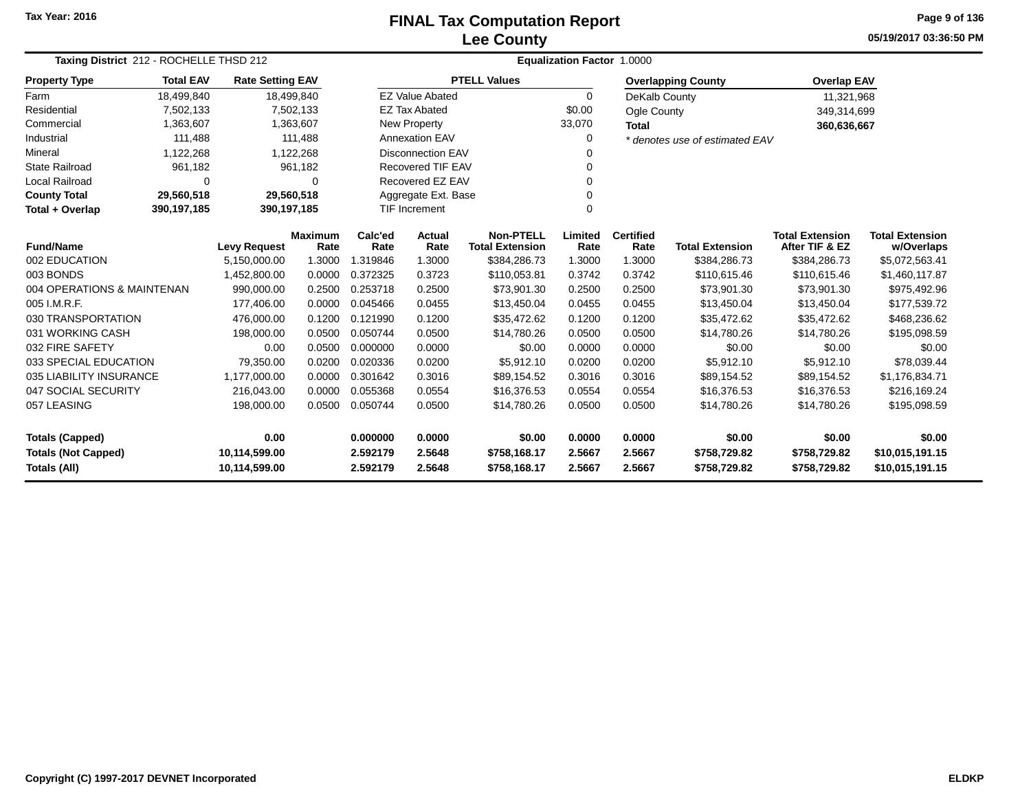## **Lee CountyFINAL Tax Computation Report** FINAL Tax Computation Report

**05/19/2017 03:36:50 PMPage 9 of 136**

| Taxing District 212 - ROCHELLE THSD 212 |                  |                         |                        |                      | Equalization Factor 1.0000 |                                            |                 |                          |                                |                                          |                                      |  |  |
|-----------------------------------------|------------------|-------------------------|------------------------|----------------------|----------------------------|--------------------------------------------|-----------------|--------------------------|--------------------------------|------------------------------------------|--------------------------------------|--|--|
| <b>Property Type</b>                    | <b>Total EAV</b> | <b>Rate Setting EAV</b> |                        |                      |                            | <b>PTELL Values</b>                        |                 |                          | <b>Overlapping County</b>      | <b>Overlap EAV</b>                       |                                      |  |  |
| Farm                                    | 18,499,840       | 18,499,840              |                        |                      | <b>EZ Value Abated</b>     |                                            | $\Omega$        | DeKalb County            |                                | 11,321,968                               |                                      |  |  |
| Residential                             | 7,502,133        |                         | 7,502,133              |                      | <b>EZ Tax Abated</b>       |                                            | \$0.00          | Ogle County              |                                | 349,314,699                              |                                      |  |  |
| Commercial                              | 1,363,607        |                         | 1,363,607              |                      | New Property               |                                            | 33,070          | <b>Total</b>             |                                | 360,636,667                              |                                      |  |  |
| Industrial                              | 111,488          |                         | 111,488                |                      | <b>Annexation EAV</b>      |                                            | 0               |                          | * denotes use of estimated EAV |                                          |                                      |  |  |
| Mineral                                 | 1,122,268        |                         | 1,122,268              |                      | <b>Disconnection EAV</b>   |                                            | $\Omega$        |                          |                                |                                          |                                      |  |  |
| <b>State Railroad</b>                   | 961,182          |                         | 961,182                |                      | <b>Recovered TIF EAV</b>   |                                            | 0               |                          |                                |                                          |                                      |  |  |
| <b>Local Railroad</b>                   | 0                |                         | 0                      |                      | Recovered EZ EAV           |                                            | 0               |                          |                                |                                          |                                      |  |  |
| <b>County Total</b>                     | 29,560,518       | 29,560,518              |                        |                      | Aggregate Ext. Base        |                                            | $\Omega$        |                          |                                |                                          |                                      |  |  |
| Total + Overlap                         | 390,197,185      | 390,197,185             |                        | <b>TIF Increment</b> |                            |                                            | $\mathbf 0$     |                          |                                |                                          |                                      |  |  |
| <b>Fund/Name</b>                        |                  | <b>Levy Request</b>     | <b>Maximum</b><br>Rate | Calc'ed<br>Rate      | Actual<br>Rate             | <b>Non-PTELL</b><br><b>Total Extension</b> | Limited<br>Rate | <b>Certified</b><br>Rate | <b>Total Extension</b>         | <b>Total Extension</b><br>After TIF & EZ | <b>Total Extension</b><br>w/Overlaps |  |  |
| 002 EDUCATION                           |                  | 5,150,000.00            | 1.3000                 | 1.319846             | 1.3000                     | \$384,286.73                               | 1.3000          | 1.3000                   | \$384,286.73                   | \$384,286.73                             | \$5,072,563.41                       |  |  |
| 003 BONDS                               |                  | 1,452,800.00            | 0.0000                 | 0.372325             | 0.3723                     | \$110,053.81                               | 0.3742          | 0.3742                   | \$110,615.46                   | \$110,615.46                             | \$1,460,117.87                       |  |  |
| 004 OPERATIONS & MAINTENAN              |                  | 990,000.00              | 0.2500                 | 0.253718             | 0.2500                     | \$73,901.30                                | 0.2500          | 0.2500                   | \$73,901.30                    | \$73,901.30                              | \$975,492.96                         |  |  |
| 005 I.M.R.F.                            |                  | 177,406.00              | 0.0000                 | 0.045466             | 0.0455                     | \$13,450.04                                | 0.0455          | 0.0455                   | \$13,450.04                    | \$13,450.04                              | \$177,539.72                         |  |  |
| 030 TRANSPORTATION                      |                  | 476,000.00              | 0.1200                 | 0.121990             | 0.1200                     | \$35,472.62                                | 0.1200          | 0.1200                   | \$35,472.62                    | \$35,472.62                              | \$468,236.62                         |  |  |
| 031 WORKING CASH                        |                  | 198,000.00              | 0.0500                 | 0.050744             | 0.0500                     | \$14,780.26                                | 0.0500          | 0.0500                   | \$14,780.26                    | \$14,780.26                              | \$195,098.59                         |  |  |
| 032 FIRE SAFETY                         |                  | 0.00                    | 0.0500                 | 0.000000             | 0.0000                     | \$0.00                                     | 0.0000          | 0.0000                   | \$0.00                         | \$0.00                                   | \$0.00                               |  |  |
| 033 SPECIAL EDUCATION                   |                  | 79,350.00               | 0.0200                 | 0.020336             | 0.0200                     | \$5,912.10                                 | 0.0200          | 0.0200                   | \$5,912.10                     | \$5,912.10                               | \$78,039.44                          |  |  |
| 035 LIABILITY INSURANCE                 |                  | 1,177,000.00            | 0.0000                 | 0.301642             | 0.3016                     | \$89,154.52                                | 0.3016          | 0.3016                   | \$89,154.52                    | \$89,154.52                              | \$1,176,834.71                       |  |  |
| 047 SOCIAL SECURITY                     |                  | 216,043.00              | 0.0000                 | 0.055368             | 0.0554                     | \$16,376.53                                | 0.0554          | 0.0554                   | \$16,376.53                    | \$16,376.53                              | \$216,169.24                         |  |  |
| 057 LEASING                             |                  | 198,000.00              | 0.0500                 | 0.050744             | 0.0500                     | \$14,780.26                                | 0.0500          | 0.0500                   | \$14,780.26                    | \$14,780.26                              | \$195,098.59                         |  |  |
| 0.00<br><b>Totals (Capped)</b>          |                  |                         | 0.000000               | 0.0000               | \$0.00                     | 0.0000                                     | 0.0000          | \$0.00                   | \$0.00                         | \$0.00                                   |                                      |  |  |
| <b>Totals (Not Capped)</b>              |                  | 10,114,599.00           |                        | 2.592179             | 2.5648                     | \$758,168.17                               | 2.5667          | 2.5667                   | \$758,729.82                   | \$758,729.82                             | \$10,015,191.15                      |  |  |
| Totals (All)<br>10,114,599.00           |                  |                         |                        | 2.592179             | 2.5648                     | \$758,168.17                               | 2.5667          | 2.5667                   | \$758,729.82                   | \$758,729.82                             | \$10,015,191.15                      |  |  |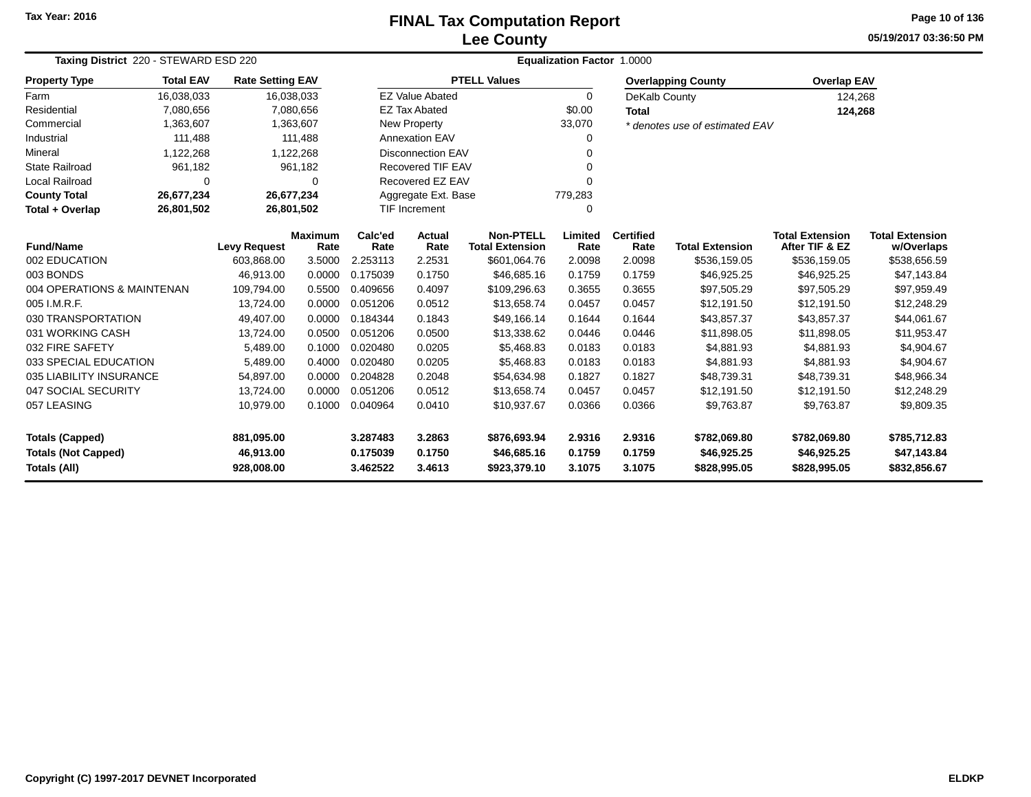## **Lee CountyFINAL Tax Computation Report** FINAL Tax Computation Report

**05/19/2017 03:36:50 PMPage 10 of 136**

| Taxing District 220 - STEWARD ESD 220 |                  |                         |                        |                 |                          |                                            | Equalization Factor 1.0000 |                          |                                |                                          |                                      |
|---------------------------------------|------------------|-------------------------|------------------------|-----------------|--------------------------|--------------------------------------------|----------------------------|--------------------------|--------------------------------|------------------------------------------|--------------------------------------|
| <b>Property Type</b>                  | <b>Total EAV</b> | <b>Rate Setting EAV</b> |                        |                 |                          | <b>PTELL Values</b>                        |                            |                          | <b>Overlapping County</b>      | <b>Overlap EAV</b>                       |                                      |
| Farm                                  | 16,038,033       | 16,038,033              |                        |                 | <b>EZ Value Abated</b>   |                                            | $\Omega$                   | DeKalb County            |                                | 124,268                                  |                                      |
| Residential                           | 7,080,656        |                         | 7,080,656              |                 | <b>EZ Tax Abated</b>     |                                            | \$0.00                     | <b>Total</b>             |                                | 124,268                                  |                                      |
| Commercial                            | 1,363,607        |                         | 1,363,607              |                 | New Property             |                                            | 33,070                     |                          | * denotes use of estimated EAV |                                          |                                      |
| Industrial                            | 111,488          |                         | 111.488                |                 | <b>Annexation EAV</b>    |                                            | 0                          |                          |                                |                                          |                                      |
| Mineral                               | 1,122,268        |                         | 1,122,268              |                 | <b>Disconnection EAV</b> |                                            | 0                          |                          |                                |                                          |                                      |
| <b>State Railroad</b>                 | 961,182          |                         | 961,182                |                 | <b>Recovered TIF EAV</b> |                                            | 0                          |                          |                                |                                          |                                      |
| Local Railroad                        | 0                |                         | $\Omega$               |                 | Recovered EZ EAV         |                                            | 0                          |                          |                                |                                          |                                      |
| <b>County Total</b>                   | 26,677,234       | 26,677,234              |                        |                 | Aggregate Ext. Base      |                                            | 779,283                    |                          |                                |                                          |                                      |
| Total + Overlap                       | 26,801,502       | 26,801,502              |                        |                 | <b>TIF Increment</b>     |                                            | 0                          |                          |                                |                                          |                                      |
| <b>Fund/Name</b>                      |                  | <b>Levy Request</b>     | <b>Maximum</b><br>Rate | Calc'ed<br>Rate | Actual<br>Rate           | <b>Non-PTELL</b><br><b>Total Extension</b> | Limited<br>Rate            | <b>Certified</b><br>Rate | <b>Total Extension</b>         | <b>Total Extension</b><br>After TIF & EZ | <b>Total Extension</b><br>w/Overlaps |
| 002 EDUCATION                         |                  | 603,868.00              | 3.5000                 | 2.253113        | 2.2531                   | \$601,064.76                               | 2.0098                     | 2.0098                   | \$536,159.05                   | \$536,159.05                             | \$538,656.59                         |
| 003 BONDS                             |                  | 46,913.00               | 0.0000                 | 0.175039        | 0.1750                   | \$46,685.16                                | 0.1759                     | 0.1759                   | \$46,925.25                    | \$46,925.25                              | \$47,143.84                          |
| 004 OPERATIONS & MAINTENAN            |                  | 109,794.00              | 0.5500                 | 0.409656        | 0.4097                   | \$109,296.63                               | 0.3655                     | 0.3655                   | \$97,505.29                    | \$97,505.29                              | \$97,959.49                          |
| 005 I.M.R.F.                          |                  | 13,724.00               | 0.0000                 | 0.051206        | 0.0512                   | \$13,658.74                                | 0.0457                     | 0.0457                   | \$12,191.50                    | \$12,191.50                              | \$12,248.29                          |
| 030 TRANSPORTATION                    |                  | 49,407.00               | 0.0000                 | 0.184344        | 0.1843                   | \$49,166.14                                | 0.1644                     | 0.1644                   | \$43,857.37                    | \$43,857.37                              | \$44,061.67                          |
| 031 WORKING CASH                      |                  | 13,724.00               | 0.0500                 | 0.051206        | 0.0500                   | \$13,338.62                                | 0.0446                     | 0.0446                   | \$11,898.05                    | \$11,898.05                              | \$11,953.47                          |
| 032 FIRE SAFETY                       |                  | 5,489.00                | 0.1000                 | 0.020480        | 0.0205                   | \$5,468.83                                 | 0.0183                     | 0.0183                   | \$4,881.93                     | \$4,881.93                               | \$4,904.67                           |
| 033 SPECIAL EDUCATION                 |                  | 5,489.00                | 0.4000                 | 0.020480        | 0.0205                   | \$5,468.83                                 | 0.0183                     | 0.0183                   | \$4,881.93                     | \$4,881.93                               | \$4,904.67                           |
| 035 LIABILITY INSURANCE               |                  | 54,897.00               | 0.0000                 | 0.204828        | 0.2048                   | \$54,634.98                                | 0.1827                     | 0.1827                   | \$48,739.31                    | \$48,739.31                              | \$48,966.34                          |
| 047 SOCIAL SECURITY                   |                  | 13,724.00               | 0.0000                 | 0.051206        | 0.0512                   | \$13,658.74                                | 0.0457                     | 0.0457                   | \$12,191.50                    | \$12,191.50                              | \$12,248.29                          |
| 057 LEASING                           |                  | 10,979.00               | 0.1000                 | 0.040964        | 0.0410                   | \$10,937.67                                | 0.0366                     | 0.0366                   | \$9,763.87                     | \$9,763.87                               | \$9,809.35                           |
| <b>Totals (Capped)</b>                |                  | 881,095.00              |                        | 3.287483        | 3.2863                   | \$876,693.94                               | 2.9316                     | 2.9316                   | \$782,069.80                   | \$782,069.80                             | \$785,712.83                         |
| <b>Totals (Not Capped)</b>            |                  | 46,913.00               |                        | 0.175039        | 0.1750                   | \$46,685.16                                | 0.1759                     | 0.1759                   | \$46,925.25                    | \$46,925.25                              | \$47,143.84                          |
| Totals (All)                          |                  | 928,008.00              |                        | 3.462522        | 3.4613                   | \$923,379.10                               | 3.1075                     | 3.1075                   | \$828,995.05                   | \$828,995.05                             | \$832,856.67                         |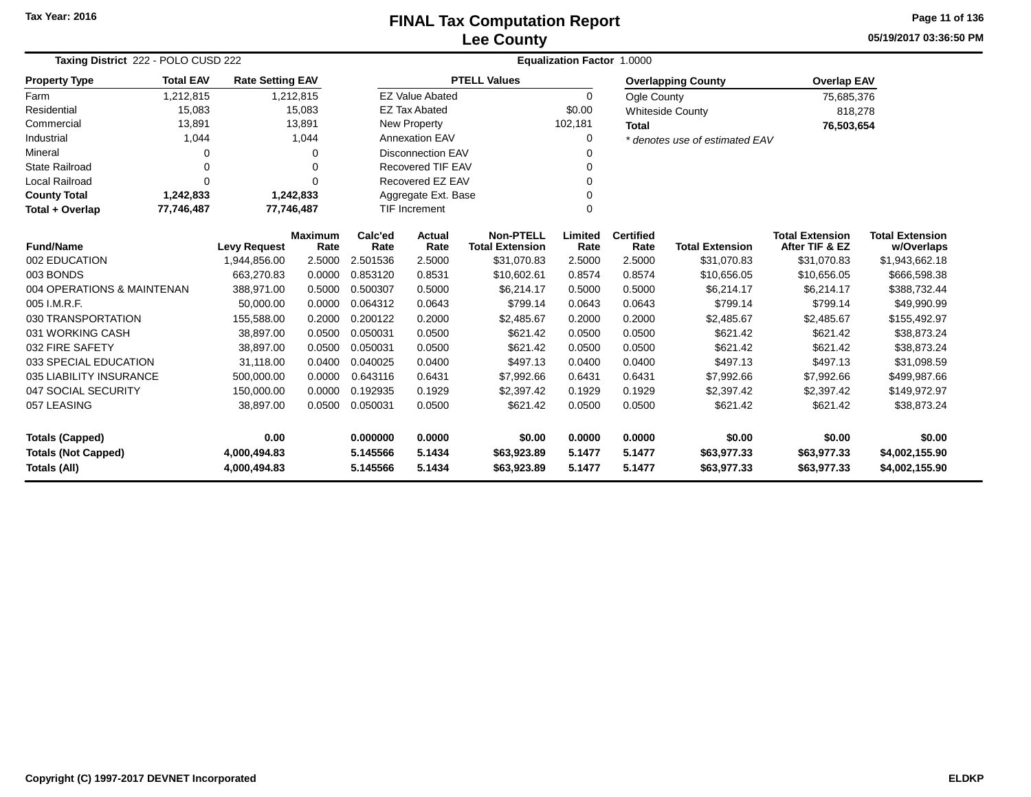## **Lee CountyFINAL Tax Computation Report**

**05/19/2017 03:36:50 PM Page 11 of 136**

| Taxing District 222 - POLO CUSD 222 |                  |                         |                        |                 | <b>Equalization Factor 1.0000</b> |                                            |                 |                          |                                |                                          |                                      |  |  |
|-------------------------------------|------------------|-------------------------|------------------------|-----------------|-----------------------------------|--------------------------------------------|-----------------|--------------------------|--------------------------------|------------------------------------------|--------------------------------------|--|--|
| <b>Property Type</b>                | <b>Total EAV</b> | <b>Rate Setting EAV</b> |                        |                 |                                   | <b>PTELL Values</b>                        |                 |                          | <b>Overlapping County</b>      | <b>Overlap EAV</b>                       |                                      |  |  |
| Farm                                | 1,212,815        |                         | 1,212,815              |                 | <b>EZ Value Abated</b>            |                                            | $\Omega$        | Ogle County              |                                | 75,685,376                               |                                      |  |  |
| Residential                         | 15,083           |                         | 15,083                 |                 | <b>EZ Tax Abated</b>              |                                            | \$0.00          |                          | <b>Whiteside County</b>        | 818,278                                  |                                      |  |  |
| Commercial                          | 13,891           |                         | 13,891                 |                 | <b>New Property</b>               |                                            | 102,181         | <b>Total</b>             |                                | 76,503,654                               |                                      |  |  |
| Industrial                          | 1,044            |                         | 1,044                  |                 | <b>Annexation EAV</b>             |                                            | 0               |                          | * denotes use of estimated EAV |                                          |                                      |  |  |
| Mineral                             | 0                |                         | $\Omega$               |                 | <b>Disconnection EAV</b>          |                                            | 0               |                          |                                |                                          |                                      |  |  |
| <b>State Railroad</b>               | 0                |                         | $\mathbf 0$            |                 | <b>Recovered TIF EAV</b>          |                                            | 0               |                          |                                |                                          |                                      |  |  |
| <b>Local Railroad</b>               | $\Omega$         |                         | $\Omega$               |                 | Recovered EZ EAV                  |                                            | $\Omega$        |                          |                                |                                          |                                      |  |  |
| <b>County Total</b>                 | 1,242,833        |                         | 1,242,833              |                 | Aggregate Ext. Base               |                                            | $\mathbf 0$     |                          |                                |                                          |                                      |  |  |
| Total + Overlap                     | 77,746,487       | 77,746,487              |                        |                 | <b>TIF Increment</b>              |                                            | $\mathbf 0$     |                          |                                |                                          |                                      |  |  |
| <b>Fund/Name</b>                    |                  | <b>Levy Request</b>     | <b>Maximum</b><br>Rate | Calc'ed<br>Rate | Actual<br>Rate                    | <b>Non-PTELL</b><br><b>Total Extension</b> | Limited<br>Rate | <b>Certified</b><br>Rate | <b>Total Extension</b>         | <b>Total Extension</b><br>After TIF & EZ | <b>Total Extension</b><br>w/Overlaps |  |  |
| 002 EDUCATION                       |                  | 1,944,856.00            | 2.5000                 | 2.501536        | 2.5000                            | \$31,070.83                                | 2.5000          | 2.5000                   | \$31,070.83                    | \$31,070.83                              | \$1,943,662.18                       |  |  |
| 003 BONDS                           |                  | 663,270.83              | 0.0000                 | 0.853120        | 0.8531                            | \$10,602.61                                | 0.8574          | 0.8574                   | \$10,656.05                    | \$10,656.05                              | \$666,598.38                         |  |  |
| 004 OPERATIONS & MAINTENAN          |                  | 388,971.00              | 0.5000                 | 0.500307        | 0.5000                            | \$6,214.17                                 | 0.5000          | 0.5000                   | \$6,214.17                     | \$6,214.17                               | \$388,732.44                         |  |  |
| 005 I.M.R.F.                        |                  | 50,000.00               | 0.0000                 | 0.064312        | 0.0643                            | \$799.14                                   | 0.0643          | 0.0643                   | \$799.14                       | \$799.14                                 | \$49,990.99                          |  |  |
| 030 TRANSPORTATION                  |                  | 155,588.00              | 0.2000                 | 0.200122        | 0.2000                            | \$2,485.67                                 | 0.2000          | 0.2000                   | \$2,485.67                     | \$2,485.67                               | \$155,492.97                         |  |  |
| 031 WORKING CASH                    |                  | 38,897.00               | 0.0500                 | 0.050031        | 0.0500                            | \$621.42                                   | 0.0500          | 0.0500                   | \$621.42                       | \$621.42                                 | \$38,873.24                          |  |  |
| 032 FIRE SAFETY                     |                  | 38,897.00               | 0.0500                 | 0.050031        | 0.0500                            | \$621.42                                   | 0.0500          | 0.0500                   | \$621.42                       | \$621.42                                 | \$38,873.24                          |  |  |
| 033 SPECIAL EDUCATION               |                  | 31,118.00               | 0.0400                 | 0.040025        | 0.0400                            | \$497.13                                   | 0.0400          | 0.0400                   | \$497.13                       | \$497.13                                 | \$31,098.59                          |  |  |
| 035 LIABILITY INSURANCE             |                  | 500,000.00              | 0.0000                 | 0.643116        | 0.6431                            | \$7,992.66                                 | 0.6431          | 0.6431                   | \$7,992.66                     | \$7,992.66                               | \$499,987.66                         |  |  |
| 047 SOCIAL SECURITY                 |                  | 150,000.00              | 0.0000                 | 0.192935        | 0.1929                            | \$2,397.42                                 | 0.1929          | 0.1929                   | \$2,397.42                     | \$2,397.42                               | \$149,972.97                         |  |  |
| 057 LEASING                         |                  | 38,897.00               | 0.0500                 | 0.050031        | 0.0500                            | \$621.42                                   | 0.0500          | 0.0500                   | \$621.42                       | \$621.42                                 | \$38,873.24                          |  |  |
| 0.00<br><b>Totals (Capped)</b>      |                  | 0.000000                | 0.0000                 | \$0.00          | 0.0000                            | 0.0000                                     | \$0.00          | \$0.00                   | \$0.00                         |                                          |                                      |  |  |
| <b>Totals (Not Capped)</b>          |                  | 4,000,494.83            |                        | 5.145566        | 5.1434                            | \$63,923.89                                | 5.1477          | 5.1477                   | \$63,977.33                    | \$63,977.33                              | \$4,002,155.90                       |  |  |
| <b>Totals (All)</b><br>4,000,494.83 |                  |                         |                        | 5.145566        | 5.1434                            | \$63,923.89                                | 5.1477          | 5.1477                   | \$63,977.33                    | \$63,977.33                              | \$4,002,155.90                       |  |  |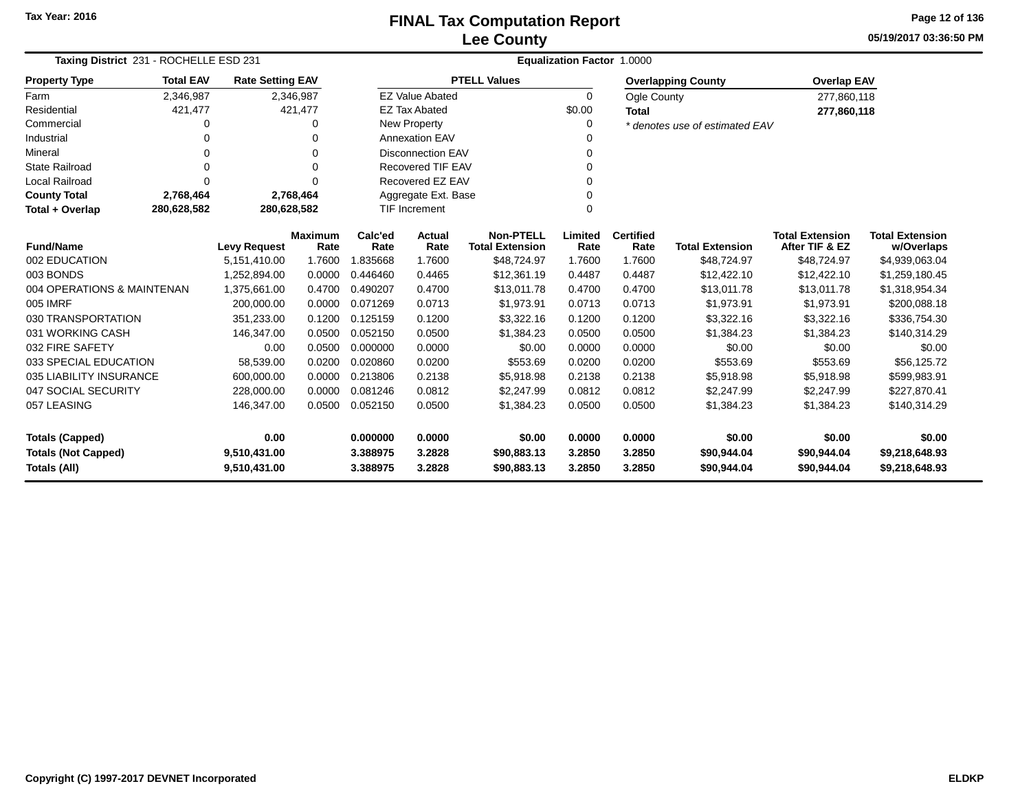**05/19/2017 03:36:50 PMPage 12 of 136**

| Taxing District 231 - ROCHELLE ESD 231 |                  |                         |                        |                 | <b>Equalization Factor 1.0000</b> |                                            |                 |                          |                                |                                          |                                      |  |  |  |
|----------------------------------------|------------------|-------------------------|------------------------|-----------------|-----------------------------------|--------------------------------------------|-----------------|--------------------------|--------------------------------|------------------------------------------|--------------------------------------|--|--|--|
| <b>Property Type</b>                   | <b>Total EAV</b> | <b>Rate Setting EAV</b> |                        |                 |                                   | <b>PTELL Values</b>                        |                 |                          | <b>Overlapping County</b>      | <b>Overlap EAV</b>                       |                                      |  |  |  |
| Farm                                   | 2,346,987        |                         | 2,346,987              |                 | <b>EZ Value Abated</b>            |                                            | 0               | Ogle County              |                                | 277,860,118                              |                                      |  |  |  |
| Residential                            | 421,477          |                         | 421,477                |                 | <b>EZ Tax Abated</b>              |                                            | \$0.00          | <b>Total</b>             |                                | 277,860,118                              |                                      |  |  |  |
| Commercial                             | O                |                         | $\Omega$               |                 | New Property                      |                                            | 0               |                          | * denotes use of estimated EAV |                                          |                                      |  |  |  |
| Industrial                             |                  |                         | O                      |                 | <b>Annexation EAV</b>             |                                            | 0               |                          |                                |                                          |                                      |  |  |  |
| Mineral                                | 0                |                         | $\Omega$               |                 | <b>Disconnection EAV</b>          |                                            | 0               |                          |                                |                                          |                                      |  |  |  |
| <b>State Railroad</b>                  | $\Omega$         |                         | $\Omega$               |                 | <b>Recovered TIF EAV</b>          |                                            | $\Omega$        |                          |                                |                                          |                                      |  |  |  |
| <b>Local Railroad</b>                  | $\Omega$         |                         | $\Omega$               |                 | Recovered EZ EAV                  |                                            | $\Omega$        |                          |                                |                                          |                                      |  |  |  |
| <b>County Total</b>                    | 2,768,464        |                         | 2,768,464              |                 | Aggregate Ext. Base               |                                            | 0               |                          |                                |                                          |                                      |  |  |  |
| Total + Overlap                        | 280,628,582      | 280,628,582             |                        |                 | TIF Increment<br>$\Omega$         |                                            |                 |                          |                                |                                          |                                      |  |  |  |
| <b>Fund/Name</b>                       |                  | <b>Levy Request</b>     | <b>Maximum</b><br>Rate | Calc'ed<br>Rate | Actual<br>Rate                    | <b>Non-PTELL</b><br><b>Total Extension</b> | Limited<br>Rate | <b>Certified</b><br>Rate | <b>Total Extension</b>         | <b>Total Extension</b><br>After TIF & EZ | <b>Total Extension</b><br>w/Overlaps |  |  |  |
| 002 EDUCATION                          |                  | 5,151,410.00            | 1.7600                 | 1.835668        | 1.7600                            | \$48,724.97                                | 1.7600          | 1.7600                   | \$48,724.97                    | \$48,724.97                              | \$4,939,063.04                       |  |  |  |
| 003 BONDS                              |                  | 1,252,894.00            | 0.0000                 | 0.446460        | 0.4465                            | \$12,361.19                                | 0.4487          | 0.4487                   | \$12,422.10                    | \$12,422.10                              | \$1,259,180.45                       |  |  |  |
| 004 OPERATIONS & MAINTENAN             |                  | 1,375,661.00            | 0.4700                 | 0.490207        | 0.4700                            | \$13,011.78                                | 0.4700          | 0.4700                   | \$13,011.78                    | \$13,011.78                              | \$1,318,954.34                       |  |  |  |
| 005 IMRF                               |                  | 200,000.00              | 0.0000                 | 0.071269        | 0.0713                            | \$1,973.91                                 | 0.0713          | 0.0713                   | \$1,973.91                     | \$1,973.91                               | \$200,088.18                         |  |  |  |
| 030 TRANSPORTATION                     |                  | 351,233.00              | 0.1200                 | 0.125159        | 0.1200                            | \$3,322.16                                 | 0.1200          | 0.1200                   | \$3,322.16                     | \$3,322.16                               | \$336,754.30                         |  |  |  |
| 031 WORKING CASH                       |                  | 146,347.00              | 0.0500                 | 0.052150        | 0.0500                            | \$1,384.23                                 | 0.0500          | 0.0500                   | \$1,384.23                     | \$1,384.23                               | \$140,314.29                         |  |  |  |
| 032 FIRE SAFETY                        |                  | 0.00                    | 0.0500                 | 0.000000        | 0.0000                            | \$0.00                                     | 0.0000          | 0.0000                   | \$0.00                         | \$0.00                                   | \$0.00                               |  |  |  |
| 033 SPECIAL EDUCATION                  |                  | 58,539.00               | 0.0200                 | 0.020860        | 0.0200                            | \$553.69                                   | 0.0200          | 0.0200                   | \$553.69                       | \$553.69                                 | \$56,125.72                          |  |  |  |
| 035 LIABILITY INSURANCE                |                  | 600,000.00              | 0.0000                 | 0.213806        | 0.2138                            | \$5,918.98                                 | 0.2138          | 0.2138                   | \$5,918.98                     | \$5,918.98                               | \$599,983.91                         |  |  |  |
| 047 SOCIAL SECURITY                    |                  | 228,000.00              | 0.0000                 | 0.081246        | 0.0812                            | \$2,247.99                                 | 0.0812          | 0.0812                   | \$2,247.99                     | \$2,247.99                               | \$227,870.41                         |  |  |  |
| 057 LEASING                            |                  | 146,347.00              | 0.0500                 | 0.052150        | 0.0500                            | \$1,384.23                                 | 0.0500          | 0.0500                   | \$1,384.23                     | \$1,384.23                               | \$140,314.29                         |  |  |  |
| <b>Totals (Capped)</b>                 |                  | 0.00                    |                        | 0.000000        | 0.0000                            | \$0.00                                     | 0.0000          | 0.0000                   | \$0.00                         | \$0.00                                   | \$0.00                               |  |  |  |
| <b>Totals (Not Capped)</b>             |                  | 9,510,431.00            |                        | 3.388975        | 3.2828                            | \$90,883.13                                | 3.2850          | 3.2850                   | \$90,944.04                    | \$90,944.04                              | \$9,218,648.93                       |  |  |  |
| <b>Totals (All)</b>                    | 9,510,431.00     |                         | 3.388975               | 3.2828          | \$90,883.13                       | 3.2850                                     | 3.2850          | \$90,944.04              | \$90,944.04                    | \$9,218,648.93                           |                                      |  |  |  |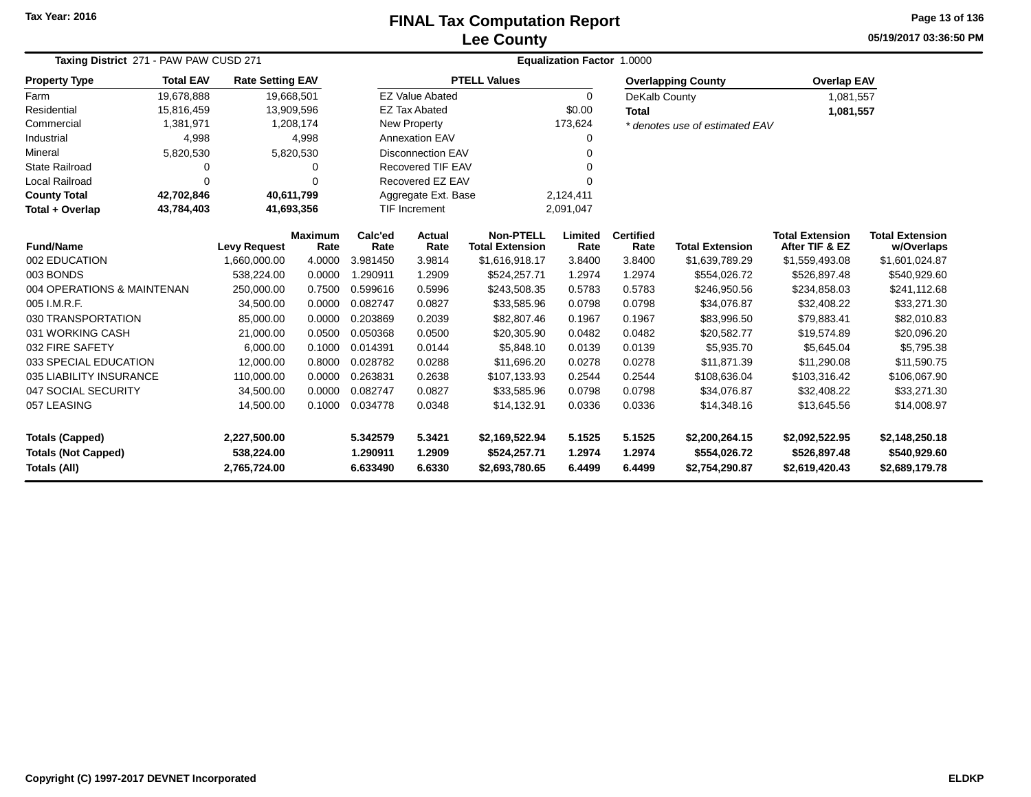# **Lee CountyFINAL Tax Computation Report**

**05/19/2017 03:36:50 PM Page 13 of 136**

| <b>Total EAV</b><br>19,678,888<br>15,816,459 | <b>Rate Setting EAV</b>    | 19,668,501                                                                                                                                                                 |                                                                                                                                                                     |                                                                                                                                          |                                                                                                                                            |                                                                                                                                                                                                                                                                                 |                                                                                                                                 |                                                                                                                    | <b>Overlap EAV</b>                                                                                                                                                                                  |                                                                                                                                                                                             |
|----------------------------------------------|----------------------------|----------------------------------------------------------------------------------------------------------------------------------------------------------------------------|---------------------------------------------------------------------------------------------------------------------------------------------------------------------|------------------------------------------------------------------------------------------------------------------------------------------|--------------------------------------------------------------------------------------------------------------------------------------------|---------------------------------------------------------------------------------------------------------------------------------------------------------------------------------------------------------------------------------------------------------------------------------|---------------------------------------------------------------------------------------------------------------------------------|--------------------------------------------------------------------------------------------------------------------|-----------------------------------------------------------------------------------------------------------------------------------------------------------------------------------------------------|---------------------------------------------------------------------------------------------------------------------------------------------------------------------------------------------|
|                                              |                            |                                                                                                                                                                            | <b>PTELL Values</b><br><b>EZ Value Abated</b>                                                                                                                       |                                                                                                                                          |                                                                                                                                            |                                                                                                                                                                                                                                                                                 |                                                                                                                                 | <b>Overlapping County</b>                                                                                          |                                                                                                                                                                                                     |                                                                                                                                                                                             |
|                                              |                            |                                                                                                                                                                            |                                                                                                                                                                     |                                                                                                                                          |                                                                                                                                            | $\Omega$                                                                                                                                                                                                                                                                        | DeKalb County                                                                                                                   |                                                                                                                    | 1,081,557                                                                                                                                                                                           |                                                                                                                                                                                             |
| Commercial<br>1,381,971                      |                            | 13,909,596                                                                                                                                                                 |                                                                                                                                                                     | <b>EZ Tax Abated</b>                                                                                                                     |                                                                                                                                            | \$0.00                                                                                                                                                                                                                                                                          | <b>Total</b>                                                                                                                    |                                                                                                                    | 1,081,557                                                                                                                                                                                           |                                                                                                                                                                                             |
| 4,998<br>Industrial<br>Mineral               |                            | 1,208,174                                                                                                                                                                  |                                                                                                                                                                     | New Property                                                                                                                             |                                                                                                                                            | 173,624                                                                                                                                                                                                                                                                         |                                                                                                                                 | * denotes use of estimated EAV                                                                                     |                                                                                                                                                                                                     |                                                                                                                                                                                             |
|                                              |                            | 4,998                                                                                                                                                                      |                                                                                                                                                                     | <b>Annexation EAV</b>                                                                                                                    |                                                                                                                                            | 0                                                                                                                                                                                                                                                                               |                                                                                                                                 |                                                                                                                    |                                                                                                                                                                                                     |                                                                                                                                                                                             |
| 5,820,530                                    |                            |                                                                                                                                                                            |                                                                                                                                                                     |                                                                                                                                          |                                                                                                                                            | 0                                                                                                                                                                                                                                                                               |                                                                                                                                 |                                                                                                                    |                                                                                                                                                                                                     |                                                                                                                                                                                             |
| 0                                            |                            | O                                                                                                                                                                          |                                                                                                                                                                     |                                                                                                                                          |                                                                                                                                            |                                                                                                                                                                                                                                                                                 |                                                                                                                                 |                                                                                                                    |                                                                                                                                                                                                     |                                                                                                                                                                                             |
| 0                                            |                            | $\Omega$                                                                                                                                                                   |                                                                                                                                                                     |                                                                                                                                          |                                                                                                                                            |                                                                                                                                                                                                                                                                                 |                                                                                                                                 |                                                                                                                    |                                                                                                                                                                                                     |                                                                                                                                                                                             |
| 42,702,846                                   |                            |                                                                                                                                                                            |                                                                                                                                                                     | Aggregate Ext. Base<br>2,124,411                                                                                                         |                                                                                                                                            |                                                                                                                                                                                                                                                                                 |                                                                                                                                 |                                                                                                                    |                                                                                                                                                                                                     |                                                                                                                                                                                             |
| Total + Overlap<br>43,784,403                |                            |                                                                                                                                                                            |                                                                                                                                                                     |                                                                                                                                          |                                                                                                                                            |                                                                                                                                                                                                                                                                                 |                                                                                                                                 |                                                                                                                    |                                                                                                                                                                                                     |                                                                                                                                                                                             |
|                                              |                            |                                                                                                                                                                            | Calc'ed                                                                                                                                                             | Actual                                                                                                                                   | <b>Non-PTELL</b>                                                                                                                           | Limited                                                                                                                                                                                                                                                                         | <b>Certified</b>                                                                                                                |                                                                                                                    | <b>Total Extension</b>                                                                                                                                                                              | <b>Total Extension</b>                                                                                                                                                                      |
|                                              |                            |                                                                                                                                                                            |                                                                                                                                                                     |                                                                                                                                          |                                                                                                                                            |                                                                                                                                                                                                                                                                                 |                                                                                                                                 |                                                                                                                    |                                                                                                                                                                                                     | w/Overlaps<br>\$1,601,024.87                                                                                                                                                                |
|                                              |                            |                                                                                                                                                                            |                                                                                                                                                                     |                                                                                                                                          |                                                                                                                                            |                                                                                                                                                                                                                                                                                 |                                                                                                                                 |                                                                                                                    |                                                                                                                                                                                                     | \$540,929.60                                                                                                                                                                                |
|                                              |                            |                                                                                                                                                                            |                                                                                                                                                                     |                                                                                                                                          |                                                                                                                                            |                                                                                                                                                                                                                                                                                 |                                                                                                                                 |                                                                                                                    |                                                                                                                                                                                                     | \$241,112.68                                                                                                                                                                                |
|                                              |                            |                                                                                                                                                                            |                                                                                                                                                                     |                                                                                                                                          |                                                                                                                                            |                                                                                                                                                                                                                                                                                 |                                                                                                                                 |                                                                                                                    |                                                                                                                                                                                                     | \$33,271.30                                                                                                                                                                                 |
|                                              |                            |                                                                                                                                                                            |                                                                                                                                                                     |                                                                                                                                          |                                                                                                                                            |                                                                                                                                                                                                                                                                                 |                                                                                                                                 |                                                                                                                    |                                                                                                                                                                                                     | \$82,010.83                                                                                                                                                                                 |
|                                              |                            |                                                                                                                                                                            |                                                                                                                                                                     |                                                                                                                                          |                                                                                                                                            |                                                                                                                                                                                                                                                                                 |                                                                                                                                 |                                                                                                                    |                                                                                                                                                                                                     | \$20,096.20                                                                                                                                                                                 |
|                                              |                            |                                                                                                                                                                            |                                                                                                                                                                     |                                                                                                                                          |                                                                                                                                            |                                                                                                                                                                                                                                                                                 |                                                                                                                                 |                                                                                                                    |                                                                                                                                                                                                     | \$5,795.38                                                                                                                                                                                  |
|                                              |                            |                                                                                                                                                                            |                                                                                                                                                                     |                                                                                                                                          |                                                                                                                                            |                                                                                                                                                                                                                                                                                 |                                                                                                                                 |                                                                                                                    |                                                                                                                                                                                                     | \$11,590.75                                                                                                                                                                                 |
|                                              |                            |                                                                                                                                                                            |                                                                                                                                                                     |                                                                                                                                          |                                                                                                                                            |                                                                                                                                                                                                                                                                                 |                                                                                                                                 |                                                                                                                    |                                                                                                                                                                                                     | \$106,067.90                                                                                                                                                                                |
|                                              |                            |                                                                                                                                                                            |                                                                                                                                                                     |                                                                                                                                          |                                                                                                                                            |                                                                                                                                                                                                                                                                                 |                                                                                                                                 |                                                                                                                    |                                                                                                                                                                                                     | \$33,271.30                                                                                                                                                                                 |
|                                              | 14,500.00                  | 0.1000                                                                                                                                                                     | 0.034778                                                                                                                                                            | 0.0348                                                                                                                                   | \$14,132.91                                                                                                                                | 0.0336                                                                                                                                                                                                                                                                          | 0.0336                                                                                                                          | \$14,348.16                                                                                                        | \$13,645.56                                                                                                                                                                                         | \$14,008.97                                                                                                                                                                                 |
|                                              | 2,227,500.00               |                                                                                                                                                                            | 5.342579                                                                                                                                                            | 5.3421                                                                                                                                   | \$2,169,522.94                                                                                                                             | 5.1525                                                                                                                                                                                                                                                                          | 5.1525                                                                                                                          | \$2,200,264.15                                                                                                     | \$2,092,522.95                                                                                                                                                                                      | \$2,148,250.18                                                                                                                                                                              |
|                                              | 538,224.00                 |                                                                                                                                                                            | 1.290911                                                                                                                                                            | 1.2909                                                                                                                                   | \$524,257.71                                                                                                                               | 1.2974                                                                                                                                                                                                                                                                          | 1.2974                                                                                                                          | \$554,026.72                                                                                                       | \$526,897.48                                                                                                                                                                                        | \$540,929.60<br>\$2,689,179.78                                                                                                                                                              |
|                                              | 004 OPERATIONS & MAINTENAN | <b>Levy Request</b><br>1,660,000.00<br>538,224.00<br>250,000.00<br>34,500.00<br>85,000.00<br>21,000.00<br>6,000.00<br>12,000.00<br>110,000.00<br>34,500.00<br>2,765,724.00 | 5,820,530<br>40,611,799<br>41,693,356<br><b>Maximum</b><br>Rate<br>4.0000<br>0.0000<br>0.7500<br>0.0000<br>0.0000<br>0.0500<br>0.1000<br>0.8000<br>0.0000<br>0.0000 | Rate<br>3.981450<br>1.290911<br>0.599616<br>0.082747<br>0.203869<br>0.050368<br>0.014391<br>0.028782<br>0.263831<br>0.082747<br>6.633490 | <b>TIF Increment</b><br>Rate<br>3.9814<br>1.2909<br>0.5996<br>0.0827<br>0.2039<br>0.0500<br>0.0144<br>0.0288<br>0.2638<br>0.0827<br>6.6330 | <b>Disconnection EAV</b><br><b>Recovered TIF EAV</b><br>Recovered EZ EAV<br><b>Total Extension</b><br>\$1,616,918.17<br>\$524,257.71<br>\$243,508.35<br>\$33,585.96<br>\$82,807.46<br>\$20,305.90<br>\$5,848.10<br>\$11,696.20<br>\$107,133.93<br>\$33,585.96<br>\$2,693,780.65 | 2,091,047<br>Rate<br>3.8400<br>1.2974<br>0.5783<br>0.0798<br>0.1967<br>0.0482<br>0.0139<br>0.0278<br>0.2544<br>0.0798<br>6.4499 | Rate<br>3.8400<br>1.2974<br>0.5783<br>0.0798<br>0.1967<br>0.0482<br>0.0139<br>0.0278<br>0.2544<br>0.0798<br>6.4499 | <b>Total Extension</b><br>\$1,639,789.29<br>\$554,026.72<br>\$246,950.56<br>\$34,076.87<br>\$83,996.50<br>\$20,582.77<br>\$5,935.70<br>\$11,871.39<br>\$108,636.04<br>\$34,076.87<br>\$2,754,290.87 | After TIF & EZ<br>\$1,559,493.08<br>\$526,897.48<br>\$234,858.03<br>\$32,408.22<br>\$79,883.41<br>\$19,574.89<br>\$5,645.04<br>\$11,290.08<br>\$103,316.42<br>\$32,408.22<br>\$2,619,420.43 |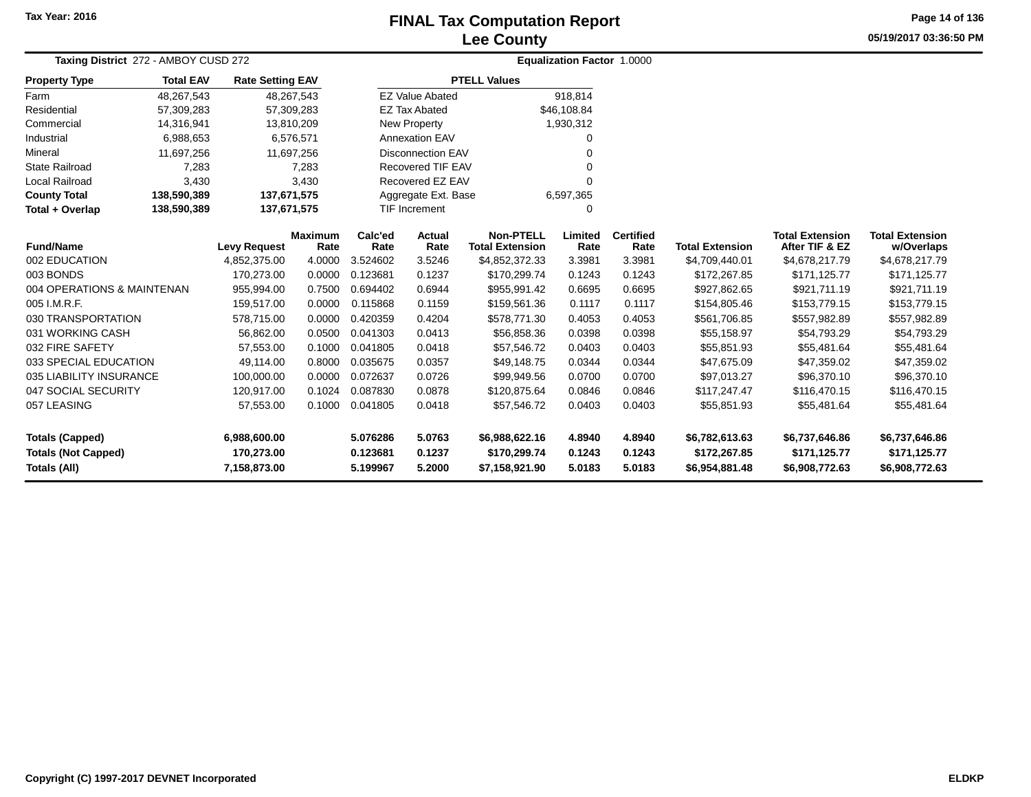## **Lee CountyFINAL Tax Computation Report** FINAL Tax Computation Report

**05/19/2017 03:36:50 PMPage 14 of 136**

| Taxing District 272 - AMBOY CUSD 272              |                  |                            |                        |                      |                           |                                            | <b>Equalization Factor 1.0000</b> |                          |                                |                                          |                                      |
|---------------------------------------------------|------------------|----------------------------|------------------------|----------------------|---------------------------|--------------------------------------------|-----------------------------------|--------------------------|--------------------------------|------------------------------------------|--------------------------------------|
| <b>Property Type</b>                              | <b>Total EAV</b> | <b>Rate Setting EAV</b>    |                        |                      |                           | <b>PTELL Values</b>                        |                                   |                          |                                |                                          |                                      |
| Farm                                              | 48,267,543       |                            | 48,267,543             |                      | <b>EZ Value Abated</b>    |                                            | 918,814                           |                          |                                |                                          |                                      |
| Residential                                       | 57,309,283       |                            | 57,309,283             |                      | <b>EZ Tax Abated</b>      |                                            | \$46,108.84                       |                          |                                |                                          |                                      |
| Commercial                                        | 14,316,941       |                            | 13,810,209             |                      | New Property              |                                            | 1,930,312                         |                          |                                |                                          |                                      |
| Industrial                                        | 6,988,653        |                            | 6,576,571              |                      | <b>Annexation EAV</b>     |                                            | 0                                 |                          |                                |                                          |                                      |
| Mineral                                           | 11,697,256       |                            | 11,697,256             |                      | <b>Disconnection EAV</b>  |                                            |                                   |                          |                                |                                          |                                      |
| <b>State Railroad</b>                             | 7,283            |                            | 7,283                  |                      | <b>Recovered TIF EAV</b>  |                                            | $\Omega$                          |                          |                                |                                          |                                      |
| Local Railroad                                    | 3,430            |                            | 3,430                  |                      | Recovered EZ EAV          |                                            | $\Omega$                          |                          |                                |                                          |                                      |
| <b>County Total</b>                               | 138,590,389      | 137,671,575                |                        | Aggregate Ext. Base  |                           |                                            | 6,597,365                         |                          |                                |                                          |                                      |
| Total + Overlap                                   | 138,590,389      | 137,671,575                |                        |                      | <b>TIF Increment</b><br>0 |                                            |                                   |                          |                                |                                          |                                      |
| <b>Fund/Name</b>                                  |                  | <b>Levy Request</b>        | <b>Maximum</b><br>Rate | Calc'ed<br>Rate      | Actual<br>Rate            | <b>Non-PTELL</b><br><b>Total Extension</b> | Limited<br>Rate                   | <b>Certified</b><br>Rate | <b>Total Extension</b>         | <b>Total Extension</b><br>After TIF & EZ | <b>Total Extension</b><br>w/Overlaps |
| 002 EDUCATION                                     |                  | 4,852,375.00               | 4.0000                 | 3.524602             | 3.5246                    | \$4,852,372.33                             | 3.3981                            | 3.3981                   | \$4,709,440.01                 | \$4,678,217.79                           | \$4,678,217.79                       |
| 003 BONDS                                         |                  | 170,273.00                 | 0.0000                 | 0.123681             | 0.1237                    | \$170,299.74                               | 0.1243                            | 0.1243                   | \$172,267.85                   | \$171,125.77                             | \$171,125.77                         |
| 004 OPERATIONS & MAINTENAN                        |                  | 955,994.00                 | 0.7500                 | 0.694402             | 0.6944                    | \$955,991.42                               | 0.6695                            | 0.6695                   | \$927,862.65                   | \$921,711.19                             | \$921,711.19                         |
| 005 I.M.R.F.                                      |                  | 159,517.00                 | 0.0000                 | 0.115868             | 0.1159                    | \$159,561.36                               | 0.1117                            | 0.1117                   | \$154,805.46                   | \$153,779.15                             | \$153,779.15                         |
| 030 TRANSPORTATION                                |                  | 578,715.00                 | 0.0000                 | 0.420359             | 0.4204                    | \$578,771.30                               | 0.4053                            | 0.4053                   | \$561,706.85                   | \$557,982.89                             | \$557,982.89                         |
| 031 WORKING CASH                                  |                  | 56,862.00                  | 0.0500                 | 0.041303             | 0.0413                    | \$56,858.36                                | 0.0398                            | 0.0398                   | \$55,158.97                    | \$54,793.29                              | \$54,793.29                          |
| 032 FIRE SAFETY                                   |                  | 57,553.00                  | 0.1000                 | 0.041805             | 0.0418                    | \$57,546.72                                | 0.0403                            | 0.0403                   | \$55,851.93                    | \$55,481.64                              | \$55,481.64                          |
| 033 SPECIAL EDUCATION                             |                  | 49,114.00                  | 0.8000                 | 0.035675             | 0.0357                    | \$49,148.75                                | 0.0344                            | 0.0344                   | \$47,675.09                    | \$47,359.02                              | \$47,359.02                          |
| 035 LIABILITY INSURANCE                           |                  | 100,000.00                 | 0.0000                 | 0.072637             | 0.0726                    | \$99,949.56                                | 0.0700                            | 0.0700                   | \$97,013.27                    | \$96,370.10                              | \$96,370.10                          |
| 047 SOCIAL SECURITY                               |                  | 120,917.00                 | 0.1024                 | 0.087830             | 0.0878                    | \$120,875.64                               | 0.0846                            | 0.0846                   | \$117,247.47                   | \$116,470.15                             | \$116,470.15                         |
| 057 LEASING                                       |                  | 57,553.00                  | 0.1000                 | 0.041805             | 0.0418                    | \$57,546.72                                | 0.0403                            | 0.0403                   | \$55,851.93                    | \$55,481.64                              | \$55,481.64                          |
| <b>Totals (Capped)</b>                            |                  | 6,988,600.00               |                        | 5.076286             | 5.0763                    | \$6,988,622.16                             | 4.8940                            | 4.8940                   | \$6,782,613.63                 | \$6,737,646.86                           | \$6,737,646.86                       |
| <b>Totals (Not Capped)</b><br><b>Totals (All)</b> |                  | 170,273.00<br>7,158,873.00 |                        | 0.123681<br>5.199967 | 0.1237<br>5.2000          | \$170,299.74<br>\$7,158,921.90             | 0.1243<br>5.0183                  | 0.1243<br>5.0183         | \$172,267.85<br>\$6,954,881.48 | \$171,125.77<br>\$6,908,772.63           | \$171,125.77<br>\$6,908,772.63       |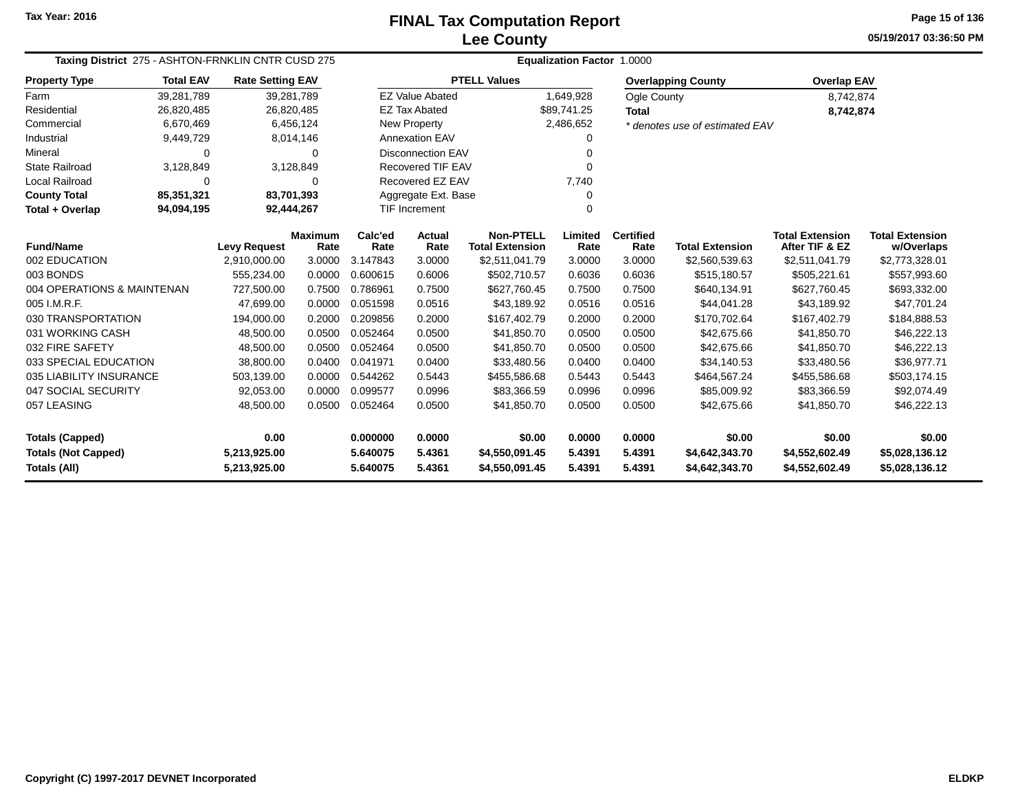**05/19/2017 03:36:50 PMPage 15 of 136**

| Taxing District 275 - ASHTON-FRNKLIN CNTR CUSD 275                                          |                  |                         |                        |                 | Equalization Factor 1.0000 |                                                                        |                 |                          |                                |                                          |                                      |  |  |
|---------------------------------------------------------------------------------------------|------------------|-------------------------|------------------------|-----------------|----------------------------|------------------------------------------------------------------------|-----------------|--------------------------|--------------------------------|------------------------------------------|--------------------------------------|--|--|
| <b>Property Type</b>                                                                        | <b>Total EAV</b> | <b>Rate Setting EAV</b> |                        |                 |                            | <b>PTELL Values</b>                                                    |                 |                          | <b>Overlapping County</b>      | <b>Overlap EAV</b>                       |                                      |  |  |
| Farm                                                                                        | 39,281,789       | 39,281,789              |                        |                 | <b>EZ Value Abated</b>     |                                                                        | 1,649,928       | Ogle County              |                                | 8,742,874                                |                                      |  |  |
| Residential                                                                                 | 26,820,485       | 26,820,485              |                        |                 | <b>EZ Tax Abated</b>       |                                                                        | \$89,741.25     | <b>Total</b>             |                                | 8,742,874                                |                                      |  |  |
| Commercial                                                                                  | 6,670,469        |                         | 6,456,124              |                 | New Property               |                                                                        | 2,486,652       |                          | * denotes use of estimated EAV |                                          |                                      |  |  |
| Industrial                                                                                  | 9,449,729        |                         | 8,014,146              |                 | Annexation EAV             |                                                                        | 0               |                          |                                |                                          |                                      |  |  |
| Mineral                                                                                     | 0                |                         | $\Omega$               |                 | <b>Disconnection EAV</b>   |                                                                        | 0               |                          |                                |                                          |                                      |  |  |
| <b>State Railroad</b>                                                                       | 3,128,849        |                         | 3,128,849              |                 | <b>Recovered TIF EAV</b>   |                                                                        | 0               |                          |                                |                                          |                                      |  |  |
| Local Railroad                                                                              | 0                |                         | 0                      |                 | Recovered EZ EAV           |                                                                        | 7,740           |                          |                                |                                          |                                      |  |  |
| <b>County Total</b>                                                                         | 85,351,321       | 83,701,393              |                        |                 | Aggregate Ext. Base        |                                                                        | 0               |                          |                                |                                          |                                      |  |  |
| Total + Overlap                                                                             | 94,094,195       | 92,444,267              |                        |                 | <b>TIF Increment</b>       |                                                                        | 0               |                          |                                |                                          |                                      |  |  |
| <b>Fund/Name</b>                                                                            |                  | <b>Levy Request</b>     | <b>Maximum</b><br>Rate | Calc'ed<br>Rate | Actual<br>Rate             | <b>Non-PTELL</b><br><b>Total Extension</b>                             | Limited<br>Rate | <b>Certified</b><br>Rate | <b>Total Extension</b>         | <b>Total Extension</b><br>After TIF & EZ | <b>Total Extension</b><br>w/Overlaps |  |  |
| 002 EDUCATION                                                                               |                  | 2,910,000.00            | 3.0000                 | 3.147843        | 3.0000                     | \$2,511,041.79                                                         | 3.0000          | 3.0000                   | \$2,560,539.63                 | \$2,511,041.79                           | \$2,773,328.01                       |  |  |
| 003 BONDS                                                                                   |                  | 555,234.00              | 0.0000                 | 0.600615        | 0.6006                     | \$502,710.57                                                           | 0.6036          | 0.6036                   | \$515,180.57                   | \$505,221.61                             | \$557,993.60                         |  |  |
| 004 OPERATIONS & MAINTENAN                                                                  |                  | 727,500.00              | 0.7500                 | 0.786961        | 0.7500                     | \$627,760.45                                                           | 0.7500          | 0.7500                   | \$640,134.91                   | \$627,760.45                             | \$693,332.00                         |  |  |
| 005 I.M.R.F.                                                                                |                  | 47,699.00               | 0.0000                 | 0.051598        | 0.0516                     | \$43,189.92                                                            | 0.0516          | 0.0516                   | \$44,041.28                    | \$43,189.92                              | \$47,701.24                          |  |  |
| 030 TRANSPORTATION                                                                          |                  | 194,000.00              | 0.2000                 | 0.209856        | 0.2000                     | \$167,402.79                                                           | 0.2000          | 0.2000                   | \$170,702.64                   | \$167,402.79                             | \$184,888.53                         |  |  |
| 031 WORKING CASH                                                                            |                  | 48,500.00               | 0.0500                 | 0.052464        | 0.0500                     | \$41,850.70                                                            | 0.0500          | 0.0500                   | \$42,675.66                    | \$41,850.70                              | \$46,222.13                          |  |  |
| 032 FIRE SAFETY                                                                             |                  | 48,500.00               | 0.0500                 | 0.052464        | 0.0500                     | \$41,850.70                                                            | 0.0500          | 0.0500                   | \$42,675.66                    | \$41,850.70                              | \$46,222.13                          |  |  |
| 033 SPECIAL EDUCATION                                                                       |                  | 38,800.00               | 0.0400                 | 0.041971        | 0.0400                     | \$33,480.56                                                            | 0.0400          | 0.0400                   | \$34,140.53                    | \$33,480.56                              | \$36,977.71                          |  |  |
| 035 LIABILITY INSURANCE                                                                     |                  | 503,139.00              | 0.0000                 | 0.544262        | 0.5443                     | \$455,586.68                                                           | 0.5443          | 0.5443                   | \$464,567.24                   | \$455,586.68                             | \$503,174.15                         |  |  |
| 047 SOCIAL SECURITY                                                                         |                  | 92,053.00               | 0.0000                 | 0.099577        | 0.0996                     | \$83,366.59                                                            | 0.0996          | 0.0996                   | \$85,009.92                    | \$83,366.59                              | \$92,074.49                          |  |  |
| 057 LEASING<br>0.052464<br>0.0500<br>48,500.00<br>0.0500<br>0.0500<br>\$41,850.70<br>0.0500 |                  |                         |                        | \$42,675.66     | \$41,850.70                | \$46,222.13                                                            |                 |                          |                                |                                          |                                      |  |  |
| 0.00<br>0.000000<br><b>Totals (Capped)</b>                                                  |                  |                         |                        |                 | 0.0000                     | \$0.00                                                                 | 0.0000          | 0.0000                   | \$0.00                         | \$0.00                                   | \$0.00                               |  |  |
| <b>Totals (Not Capped)</b>                                                                  |                  | 5,213,925.00            |                        | 5.640075        | 5.4361                     | \$4,550,091.45                                                         | 5.4391          | 5.4391                   | \$4,642,343.70                 | \$4,552,602.49                           | \$5,028,136.12                       |  |  |
| Totals (All)                                                                                |                  | 5,213,925.00            |                        | 5.640075        | 5.4361                     | \$4,550,091.45<br>5.4391<br>5.4391<br>\$4,642,343.70<br>\$4,552,602.49 |                 |                          |                                | \$5,028,136.12                           |                                      |  |  |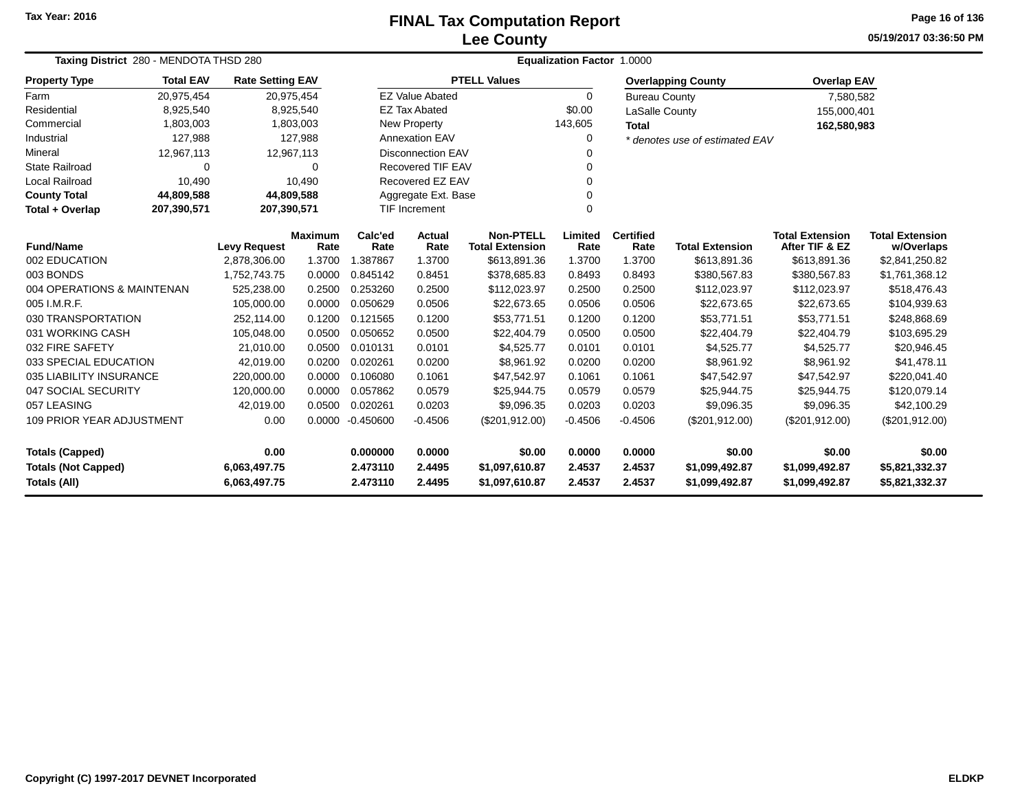## **Lee CountyFINAL Tax Computation Report** FINAL Tax Computation Report

**05/19/2017 03:36:50 PMPage 16 of 136**

| Taxing District 280 - MENDOTA THSD 280                                     |                  |                         |                        | <b>Equalization Factor 1.0000</b> |                          |                                            |                  |                          |                                  |                                          |                                      |  |  |
|----------------------------------------------------------------------------|------------------|-------------------------|------------------------|-----------------------------------|--------------------------|--------------------------------------------|------------------|--------------------------|----------------------------------|------------------------------------------|--------------------------------------|--|--|
| <b>Property Type</b>                                                       | <b>Total EAV</b> | <b>Rate Setting EAV</b> |                        |                                   |                          | <b>PTELL Values</b>                        |                  |                          | <b>Overlapping County</b>        | <b>Overlap EAV</b>                       |                                      |  |  |
| Farm                                                                       | 20,975,454       | 20,975,454              |                        |                                   | <b>EZ Value Abated</b>   |                                            | 0                | <b>Bureau County</b>     |                                  | 7,580,582                                |                                      |  |  |
| Residential                                                                | 8,925,540        |                         | 8,925,540              |                                   | <b>EZ Tax Abated</b>     |                                            | \$0.00           | LaSalle County           |                                  | 155,000,401                              |                                      |  |  |
| Commercial                                                                 | 1,803,003        |                         | 1,803,003              |                                   | New Property             |                                            | 143,605          | <b>Total</b>             |                                  | 162,580,983                              |                                      |  |  |
| Industrial                                                                 | 127,988          |                         | 127,988                |                                   | <b>Annexation EAV</b>    |                                            | 0                |                          | * denotes use of estimated EAV   |                                          |                                      |  |  |
| Mineral                                                                    | 12,967,113       | 12,967,113              |                        |                                   | <b>Disconnection EAV</b> |                                            |                  |                          |                                  |                                          |                                      |  |  |
| <b>State Railroad</b>                                                      | 0                |                         | 0                      |                                   | <b>Recovered TIF EAV</b> |                                            | 0                |                          |                                  |                                          |                                      |  |  |
| Local Railroad                                                             | 10,490           |                         | 10,490                 |                                   | Recovered EZ EAV         |                                            | 0                |                          |                                  |                                          |                                      |  |  |
| <b>County Total</b>                                                        | 44,809,588       | 44,809,588              |                        |                                   | Aggregate Ext. Base      |                                            | 0                |                          |                                  |                                          |                                      |  |  |
| Total + Overlap                                                            | 207,390,571      | 207,390,571             |                        |                                   | <b>TIF Increment</b>     |                                            | 0                |                          |                                  |                                          |                                      |  |  |
| <b>Fund/Name</b>                                                           |                  | <b>Levy Request</b>     | <b>Maximum</b><br>Rate | Calc'ed<br>Rate                   | Actual<br>Rate           | <b>Non-PTELL</b><br><b>Total Extension</b> | Limited<br>Rate  | <b>Certified</b><br>Rate | <b>Total Extension</b>           | <b>Total Extension</b><br>After TIF & EZ | <b>Total Extension</b><br>w/Overlaps |  |  |
| 002 EDUCATION                                                              |                  | 2,878,306.00            | 1.3700                 | 1.387867                          | 1.3700                   | \$613,891.36                               | 1.3700           | 1.3700                   | \$613,891.36                     | \$613,891.36                             | \$2,841,250.82                       |  |  |
| 003 BONDS                                                                  |                  | 1,752,743.75            | 0.0000                 | 0.845142                          | 0.8451                   | \$378,685.83                               | 0.8493           | 0.8493                   | \$380,567.83                     | \$380,567.83                             | \$1,761,368.12                       |  |  |
| 004 OPERATIONS & MAINTENAN                                                 |                  | 525,238.00              | 0.2500                 | 0.253260                          | 0.2500                   | \$112,023.97                               | 0.2500           | 0.2500                   | \$112,023.97                     | \$112,023.97                             | \$518,476.43                         |  |  |
| 005 I.M.R.F.                                                               |                  | 105,000.00              | 0.0000                 | 0.050629                          | 0.0506                   | \$22,673.65                                | 0.0506           | 0.0506                   | \$22,673.65                      | \$22,673.65                              | \$104,939.63                         |  |  |
| 030 TRANSPORTATION                                                         |                  | 252,114.00              | 0.1200                 | 0.121565                          | 0.1200                   | \$53,771.51                                | 0.1200           | 0.1200                   | \$53,771.51                      | \$53,771.51                              | \$248,868.69                         |  |  |
| 031 WORKING CASH                                                           |                  | 105,048.00              | 0.0500                 | 0.050652                          | 0.0500                   | \$22,404.79                                | 0.0500           | 0.0500                   | \$22,404.79                      | \$22,404.79                              | \$103,695.29                         |  |  |
| 032 FIRE SAFETY                                                            |                  | 21,010.00               | 0.0500                 | 0.010131                          | 0.0101                   | \$4,525.77                                 | 0.0101           | 0.0101                   | \$4,525.77                       | \$4,525.77                               | \$20,946.45                          |  |  |
| 033 SPECIAL EDUCATION                                                      |                  | 42,019.00               | 0.0200                 | 0.020261                          | 0.0200                   | \$8,961.92                                 | 0.0200           | 0.0200                   | \$8,961.92                       | \$8,961.92                               | \$41,478.11                          |  |  |
| 035 LIABILITY INSURANCE                                                    |                  | 220,000.00              | 0.0000                 | 0.106080                          | 0.1061                   | \$47,542.97                                | 0.1061           | 0.1061                   | \$47,542.97                      | \$47,542.97                              | \$220,041.40                         |  |  |
| 047 SOCIAL SECURITY                                                        |                  | 120,000.00              | 0.0000                 | 0.057862                          | 0.0579                   | \$25,944.75                                | 0.0579           | 0.0579                   | \$25,944.75                      | \$25,944.75                              | \$120,079.14                         |  |  |
| 057 LEASING                                                                |                  | 42,019.00               | 0.0500                 | 0.020261                          | 0.0203                   | \$9,096.35                                 | 0.0203           | 0.0203                   | \$9,096.35                       | \$9,096.35                               | \$42,100.29                          |  |  |
| 0.00<br><b>109 PRIOR YEAR ADJUSTMENT</b>                                   |                  |                         | 0.0000                 | $-0.450600$                       | $-0.4506$                | (\$201,912.00)                             | $-0.4506$        | $-0.4506$                | (\$201,912.00)                   | $(\$201,912.00)$                         | (\$201, 912.00)                      |  |  |
| 0.00<br><b>Totals (Capped)</b>                                             |                  |                         |                        | 0.000000                          | 0.0000                   | \$0.00                                     | 0.0000           | 0.0000                   | \$0.00                           | \$0.00                                   | \$0.00                               |  |  |
| <b>Totals (Not Capped)</b><br>6,063,497.75<br>Totals (All)<br>6,063,497.75 |                  |                         |                        | 2.473110<br>2.473110              | 2.4495<br>2.4495         | \$1,097,610.87<br>\$1,097,610.87           | 2.4537<br>2.4537 | 2.4537<br>2.4537         | \$1,099,492.87<br>\$1,099,492.87 | \$1,099,492.87<br>\$1,099,492.87         | \$5,821,332.37<br>\$5,821,332.37     |  |  |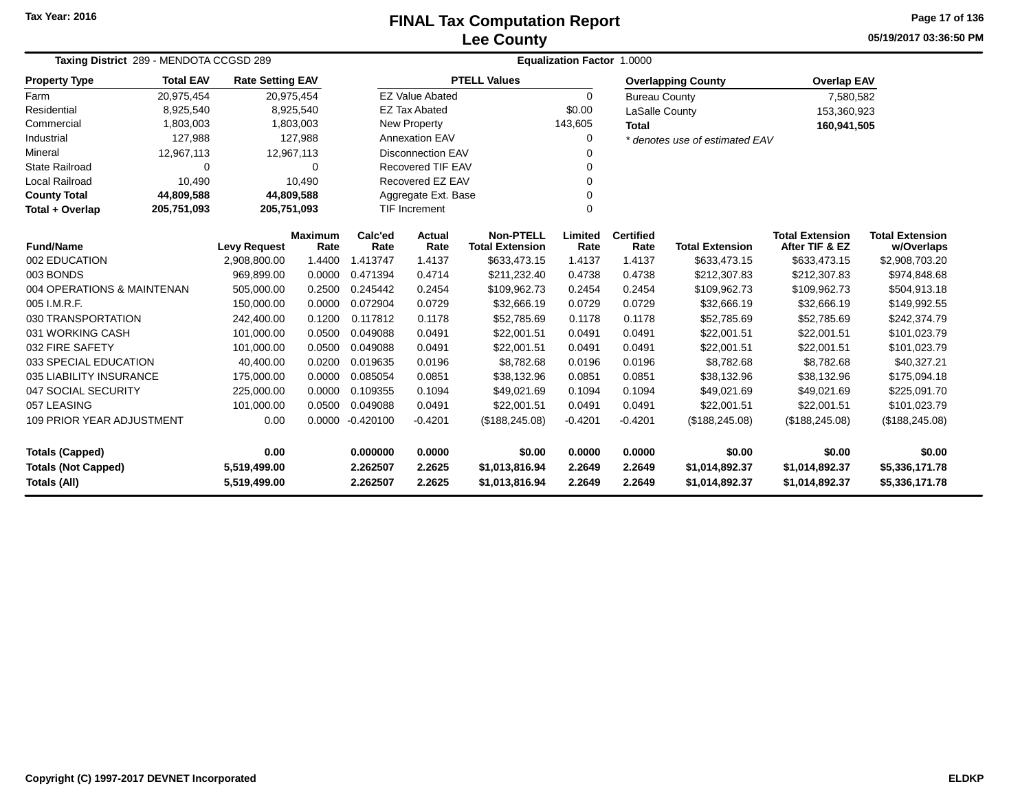## **Lee CountyFINAL Tax Computation Report** FINAL Tax Computation Report

**05/19/2017 03:36:50 PMPage 17 of 136**

| Taxing District 289 - MENDOTA CCGSD 289                                    |                  |                         |                        | <b>Equalization Factor 1.0000</b> |                                  |                                            |                  |                          |                                  |                                          |                                      |  |  |
|----------------------------------------------------------------------------|------------------|-------------------------|------------------------|-----------------------------------|----------------------------------|--------------------------------------------|------------------|--------------------------|----------------------------------|------------------------------------------|--------------------------------------|--|--|
| <b>Property Type</b>                                                       | <b>Total EAV</b> | <b>Rate Setting EAV</b> |                        |                                   |                                  | <b>PTELL Values</b>                        |                  |                          | <b>Overlapping County</b>        | <b>Overlap EAV</b>                       |                                      |  |  |
| Farm                                                                       | 20,975,454       | 20,975,454              |                        |                                   | <b>EZ Value Abated</b>           |                                            | $\Omega$         | <b>Bureau County</b>     |                                  | 7,580,582                                |                                      |  |  |
| Residential                                                                | 8,925,540        |                         | 8,925,540              |                                   | <b>EZ Tax Abated</b>             |                                            | \$0.00           | LaSalle County           |                                  | 153,360,923                              |                                      |  |  |
| Commercial                                                                 | 1,803,003        |                         | 1,803,003              |                                   | New Property                     |                                            | 143,605          | <b>Total</b>             |                                  | 160,941,505                              |                                      |  |  |
| Industrial                                                                 | 127,988          |                         | 127,988                |                                   | <b>Annexation EAV</b>            |                                            | 0                |                          | * denotes use of estimated EAV   |                                          |                                      |  |  |
| Mineral                                                                    | 12,967,113       |                         | 12,967,113             |                                   | <b>Disconnection EAV</b>         |                                            |                  |                          |                                  |                                          |                                      |  |  |
| <b>State Railroad</b>                                                      | $\Omega$         |                         | 0                      |                                   | <b>Recovered TIF EAV</b>         |                                            | 0                |                          |                                  |                                          |                                      |  |  |
| Local Railroad                                                             | 10,490           |                         | 10,490                 |                                   | Recovered EZ EAV                 |                                            |                  |                          |                                  |                                          |                                      |  |  |
| <b>County Total</b>                                                        | 44,809,588       | 44,809,588              |                        |                                   | Aggregate Ext. Base              |                                            | 0                |                          |                                  |                                          |                                      |  |  |
| Total + Overlap                                                            | 205,751,093      | 205,751,093             |                        |                                   | <b>TIF Increment</b><br>$\Omega$ |                                            |                  |                          |                                  |                                          |                                      |  |  |
| <b>Fund/Name</b>                                                           |                  | <b>Levy Request</b>     | <b>Maximum</b><br>Rate | Calc'ed<br>Rate                   | Actual<br>Rate                   | <b>Non-PTELL</b><br><b>Total Extension</b> | Limited<br>Rate  | <b>Certified</b><br>Rate | <b>Total Extension</b>           | <b>Total Extension</b><br>After TIF & EZ | <b>Total Extension</b><br>w/Overlaps |  |  |
| 002 EDUCATION                                                              |                  | 2,908,800.00            | 1.4400                 | 1.413747                          | 1.4137                           | \$633,473.15                               | 1.4137           | 1.4137                   | \$633,473.15                     | \$633,473.15                             | \$2,908,703.20                       |  |  |
| 003 BONDS<br>969,899.00                                                    |                  | 0.0000                  | 0.471394               | 0.4714                            | \$211,232.40                     | 0.4738                                     | 0.4738           | \$212,307.83             | \$212,307.83                     | \$974,848.68                             |                                      |  |  |
| 004 OPERATIONS & MAINTENAN                                                 |                  | 505,000.00              | 0.2500                 | 0.245442                          | 0.2454                           | \$109,962.73                               | 0.2454           | 0.2454                   | \$109,962.73                     | \$109,962.73                             | \$504,913.18                         |  |  |
| 005 I.M.R.F.                                                               |                  | 150,000.00              | 0.0000                 | 0.072904                          | 0.0729                           | \$32,666.19                                | 0.0729           | 0.0729                   | \$32,666.19                      | \$32,666.19                              | \$149,992.55                         |  |  |
| 030 TRANSPORTATION                                                         |                  | 242,400.00              | 0.1200                 | 0.117812                          | 0.1178                           | \$52,785.69                                | 0.1178           | 0.1178                   | \$52,785.69                      | \$52,785.69                              | \$242,374.79                         |  |  |
| 031 WORKING CASH                                                           |                  | 101,000.00              | 0.0500                 | 0.049088                          | 0.0491                           | \$22,001.51                                | 0.0491           | 0.0491                   | \$22,001.51                      | \$22,001.51                              | \$101,023.79                         |  |  |
| 032 FIRE SAFETY                                                            |                  | 101,000.00              | 0.0500                 | 0.049088                          | 0.0491                           | \$22,001.51                                | 0.0491           | 0.0491                   | \$22,001.51                      | \$22,001.51                              | \$101,023.79                         |  |  |
| 033 SPECIAL EDUCATION                                                      |                  | 40,400.00               | 0.0200                 | 0.019635                          | 0.0196                           | \$8,782.68                                 | 0.0196           | 0.0196                   | \$8,782.68                       | \$8,782.68                               | \$40,327.21                          |  |  |
| 035 LIABILITY INSURANCE                                                    |                  | 175,000.00              | 0.0000                 | 0.085054                          | 0.0851                           | \$38,132.96                                | 0.0851           | 0.0851                   | \$38,132.96                      | \$38,132.96                              | \$175,094.18                         |  |  |
| 047 SOCIAL SECURITY                                                        |                  | 225,000.00              | 0.0000                 | 0.109355                          | 0.1094                           | \$49,021.69                                | 0.1094           | 0.1094                   | \$49,021.69                      | \$49,021.69                              | \$225,091.70                         |  |  |
| 057 LEASING                                                                |                  | 101,000.00              | 0.0500                 | 0.049088                          | 0.0491                           | \$22,001.51                                | 0.0491           | 0.0491                   | \$22,001.51                      | \$22,001.51                              | \$101,023.79                         |  |  |
| <b>109 PRIOR YEAR ADJUSTMENT</b><br>0.00                                   |                  |                         | 0.0000                 | $-0.420100$                       | $-0.4201$                        | (\$188, 245.08)                            | $-0.4201$        | $-0.4201$                | (\$188, 245.08)                  | (\$188, 245.08)                          | (\$188, 245.08)                      |  |  |
| 0.00<br><b>Totals (Capped)</b>                                             |                  |                         |                        | 0.000000                          | 0.0000                           | \$0.00                                     | 0.0000           | 0.0000                   | \$0.00                           | \$0.00                                   | \$0.00                               |  |  |
| <b>Totals (Not Capped)</b><br>5,519,499.00<br>Totals (All)<br>5,519,499.00 |                  |                         |                        | 2.262507<br>2.262507              | 2.2625<br>2.2625                 | \$1,013,816.94<br>\$1,013,816.94           | 2.2649<br>2.2649 | 2.2649<br>2.2649         | \$1,014,892.37<br>\$1,014,892.37 | \$1,014,892.37<br>\$1,014,892.37         | \$5,336,171.78<br>\$5,336,171.78     |  |  |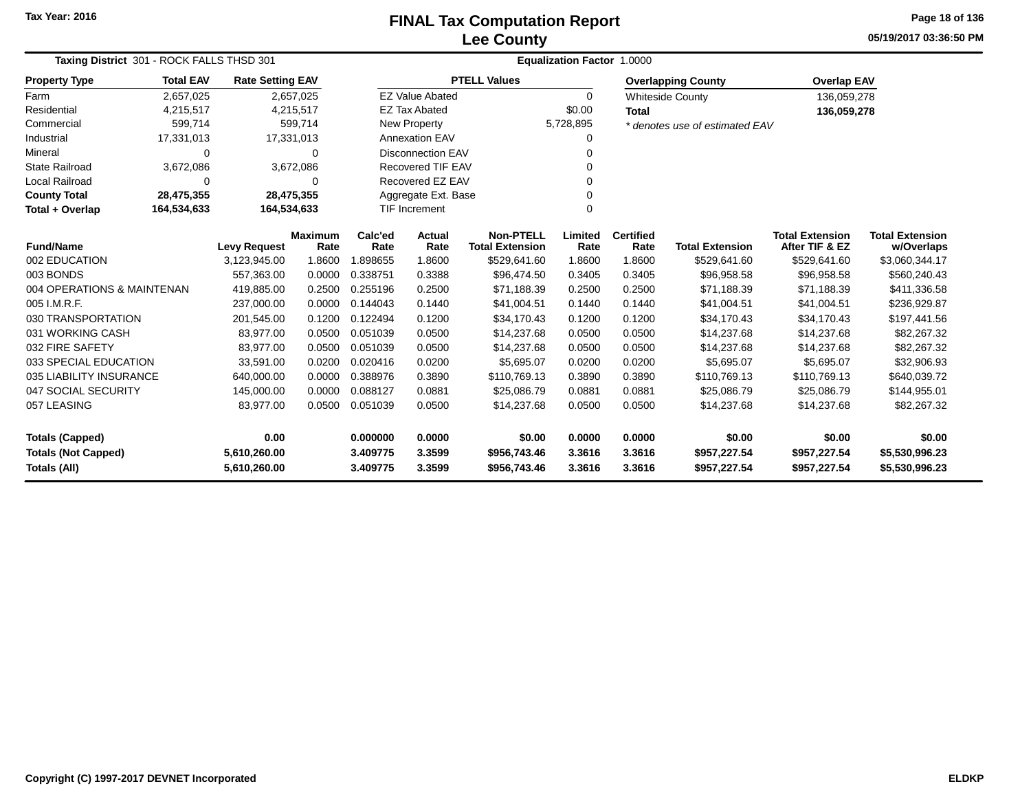# **Lee CountyFINAL Tax Computation Report**

**05/19/2017 03:36:50 PM Page 18 of 136**

| Taxing District 301 - ROCK FALLS THSD 301                                                                     |                  |                         |                        |                 | <b>Equalization Factor 1.0000</b> |                                            |                 |                          |                                |                                          |                                      |  |
|---------------------------------------------------------------------------------------------------------------|------------------|-------------------------|------------------------|-----------------|-----------------------------------|--------------------------------------------|-----------------|--------------------------|--------------------------------|------------------------------------------|--------------------------------------|--|
| <b>Property Type</b>                                                                                          | <b>Total EAV</b> | <b>Rate Setting EAV</b> |                        |                 |                                   | <b>PTELL Values</b>                        |                 |                          | <b>Overlapping County</b>      | <b>Overlap EAV</b>                       |                                      |  |
| Farm                                                                                                          | 2,657,025        |                         | 2,657,025              |                 | <b>EZ Value Abated</b>            |                                            | $\Omega$        |                          | <b>Whiteside County</b>        | 136,059,278                              |                                      |  |
| Residential                                                                                                   | 4,215,517        | 4,215,517               |                        |                 | <b>EZ Tax Abated</b>              |                                            | \$0.00          | <b>Total</b>             |                                | 136,059,278                              |                                      |  |
| Commercial                                                                                                    | 599,714          |                         | 599,714                |                 | <b>New Property</b>               |                                            | 5,728,895       |                          | * denotes use of estimated EAV |                                          |                                      |  |
| Industrial                                                                                                    | 17,331,013       | 17,331,013              |                        |                 | <b>Annexation EAV</b>             |                                            | 0               |                          |                                |                                          |                                      |  |
| Mineral                                                                                                       | 0                |                         | 0                      |                 | <b>Disconnection EAV</b><br>0     |                                            |                 |                          |                                |                                          |                                      |  |
| <b>State Railroad</b>                                                                                         | 3,672,086        |                         | 3,672,086              |                 | <b>Recovered TIF EAV</b>          |                                            | $\mathbf 0$     |                          |                                |                                          |                                      |  |
| Local Railroad                                                                                                | $\Omega$         |                         | 0                      |                 | Recovered EZ EAV<br>$\Omega$      |                                            |                 |                          |                                |                                          |                                      |  |
| <b>County Total</b>                                                                                           | 28,475,355       | 28,475,355              |                        |                 | Aggregate Ext. Base<br>$\Omega$   |                                            |                 |                          |                                |                                          |                                      |  |
| Total + Overlap                                                                                               | 164,534,633      | 164,534,633             |                        |                 | TIF Increment<br>$\Omega$         |                                            |                 |                          |                                |                                          |                                      |  |
| <b>Fund/Name</b>                                                                                              |                  | <b>Levy Request</b>     | <b>Maximum</b><br>Rate | Calc'ed<br>Rate | Actual<br>Rate                    | <b>Non-PTELL</b><br><b>Total Extension</b> | Limited<br>Rate | <b>Certified</b><br>Rate | <b>Total Extension</b>         | <b>Total Extension</b><br>After TIF & EZ | <b>Total Extension</b><br>w/Overlaps |  |
| 002 EDUCATION                                                                                                 |                  | 3,123,945.00            | 1.8600                 | 1.898655        | 1.8600                            | \$529,641.60                               | 1.8600          | 1.8600                   | \$529,641.60                   | \$529,641.60                             | \$3,060,344.17                       |  |
| 003 BONDS                                                                                                     |                  | 557,363.00              | 0.0000                 | 0.338751        | 0.3388                            | \$96,474.50                                | 0.3405          | 0.3405                   | \$96,958.58                    | \$96,958.58                              | \$560,240.43                         |  |
| 004 OPERATIONS & MAINTENAN                                                                                    |                  | 419,885.00              | 0.2500                 | 0.255196        | 0.2500                            | \$71,188.39                                | 0.2500          | 0.2500                   | \$71,188.39                    | \$71,188.39                              | \$411,336.58                         |  |
| 005 I.M.R.F.                                                                                                  |                  | 237,000.00              | 0.0000                 | 0.144043        | 0.1440                            | \$41,004.51                                | 0.1440          | 0.1440                   | \$41,004.51                    | \$41,004.51                              | \$236,929.87                         |  |
| 030 TRANSPORTATION                                                                                            |                  | 201,545.00              | 0.1200                 | 0.122494        | 0.1200                            | \$34,170.43                                | 0.1200          | 0.1200                   | \$34,170.43                    | \$34,170.43                              | \$197,441.56                         |  |
| 031 WORKING CASH                                                                                              |                  | 83,977.00               | 0.0500                 | 0.051039        | 0.0500                            | \$14,237.68                                | 0.0500          | 0.0500                   | \$14,237.68                    | \$14,237.68                              | \$82,267.32                          |  |
| 032 FIRE SAFETY                                                                                               |                  | 83,977.00               | 0.0500                 | 0.051039        | 0.0500                            | \$14,237.68                                | 0.0500          | 0.0500                   | \$14,237.68                    | \$14,237.68                              | \$82,267.32                          |  |
| 033 SPECIAL EDUCATION                                                                                         |                  | 33,591.00               | 0.0200                 | 0.020416        | 0.0200                            | \$5,695.07                                 | 0.0200          | 0.0200                   | \$5,695.07                     | \$5,695.07                               | \$32,906.93                          |  |
| 035 LIABILITY INSURANCE                                                                                       |                  | 640,000.00              | 0.0000                 | 0.388976        | 0.3890                            | \$110,769.13                               | 0.3890          | 0.3890                   | \$110,769.13                   | \$110,769.13                             | \$640,039.72                         |  |
| 047 SOCIAL SECURITY                                                                                           |                  | 145,000.00              | 0.0000                 | 0.088127        | 0.0881                            | \$25,086.79                                | 0.0881          | 0.0881                   | \$25,086.79                    | \$25,086.79                              | \$144,955.01                         |  |
| 057 LEASING                                                                                                   |                  | 83,977.00               | 0.0500                 | 0.051039        | 0.0500                            | \$14,237.68                                | 0.0500          | 0.0500                   | \$14,237.68                    | \$14,237.68                              | \$82,267.32                          |  |
| <b>Totals (Capped)</b>                                                                                        |                  | 0.00                    |                        | 0.000000        | 0.0000                            | \$0.00                                     | 0.0000          | 0.0000                   | \$0.00                         | \$0.00                                   | \$0.00                               |  |
| <b>Totals (Not Capped)</b>                                                                                    |                  | 5,610,260.00            |                        | 3.409775        | 3.3599                            | \$956,743.46                               | 3.3616          | 3.3616                   | \$957,227.54                   | \$957,227.54                             | \$5,530,996.23                       |  |
| <b>Totals (All)</b><br>3.409775<br>3.3599<br>3.3616<br>3.3616<br>5,610,260.00<br>\$956,743.46<br>\$957,227.54 |                  |                         | \$957,227.54           | \$5,530,996.23  |                                   |                                            |                 |                          |                                |                                          |                                      |  |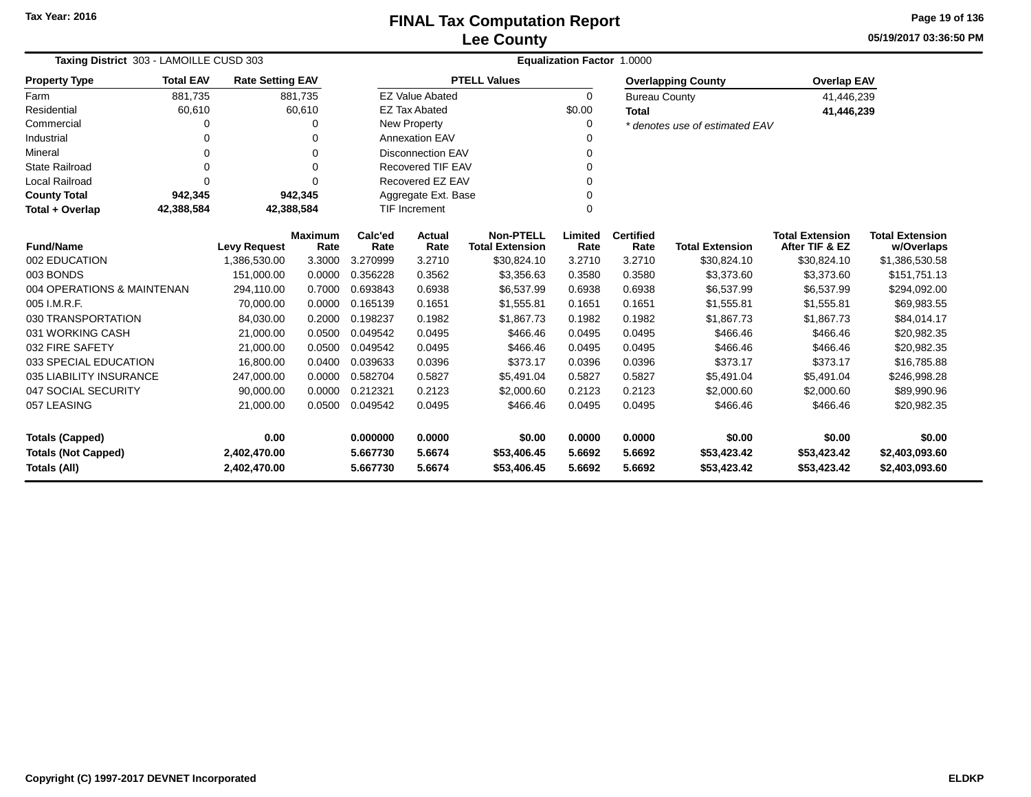**05/19/2017 03:36:50 PMPage 19 of 136**

| Taxing District 303 - LAMOILLE CUSD 303 |                  |                         |                 | Equalization Factor 1.0000 |                                            |                     |                          |                        |                                          |                                      |                |  |
|-----------------------------------------|------------------|-------------------------|-----------------|----------------------------|--------------------------------------------|---------------------|--------------------------|------------------------|------------------------------------------|--------------------------------------|----------------|--|
| <b>Property Type</b>                    | <b>Total EAV</b> | <b>Rate Setting EAV</b> |                 |                            |                                            | <b>PTELL Values</b> |                          |                        | <b>Overlapping County</b>                | <b>Overlap EAV</b>                   |                |  |
| Farm                                    | 881,735          |                         | 881,735         |                            | <b>EZ Value Abated</b>                     |                     | 0                        | <b>Bureau County</b>   |                                          | 41,446,239                           |                |  |
| Residential                             | 60,610           |                         | 60,610          |                            | <b>EZ Tax Abated</b>                       |                     | \$0.00                   | <b>Total</b>           |                                          | 41,446,239                           |                |  |
| Commercial                              | 0                |                         | 0               |                            | New Property                               |                     | 0                        |                        | * denotes use of estimated EAV           |                                      |                |  |
| Industrial                              | 0                |                         | 0               |                            | <b>Annexation EAV</b>                      |                     |                          |                        |                                          |                                      |                |  |
| Mineral                                 | 0                |                         | 0               |                            | Disconnection EAV                          |                     | 0                        |                        |                                          |                                      |                |  |
| <b>State Railroad</b>                   | 0                |                         | $\Omega$        |                            | <b>Recovered TIF EAV</b>                   |                     | 0                        |                        |                                          |                                      |                |  |
| <b>Local Railroad</b>                   | 0                |                         | $\Omega$        |                            | Recovered EZ EAV                           |                     | 0                        |                        |                                          |                                      |                |  |
| <b>County Total</b>                     | 942,345          |                         | 942,345         |                            | Aggregate Ext. Base                        |                     | 0                        |                        |                                          |                                      |                |  |
| Total + Overlap                         | 42,388,584       |                         | 42,388,584      |                            | <b>TIF Increment</b><br>0                  |                     |                          |                        |                                          |                                      |                |  |
| <b>Fund/Name</b><br><b>Levy Request</b> |                  | <b>Maximum</b><br>Rate  | Calc'ed<br>Rate | <b>Actual</b><br>Rate      | <b>Non-PTELL</b><br><b>Total Extension</b> | Limited<br>Rate     | <b>Certified</b><br>Rate | <b>Total Extension</b> | <b>Total Extension</b><br>After TIF & EZ | <b>Total Extension</b><br>w/Overlaps |                |  |
| 002 EDUCATION                           |                  | 1,386,530.00            | 3.3000          | 3.270999                   | 3.2710                                     | \$30,824.10         | 3.2710                   | 3.2710                 | \$30,824.10                              | \$30,824.10                          | \$1,386,530.58 |  |
| 003 BONDS                               |                  | 151,000.00              | 0.0000          | 0.356228                   | 0.3562                                     | \$3,356.63          | 0.3580                   | 0.3580                 | \$3,373.60                               | \$3,373.60                           | \$151,751.13   |  |
| 004 OPERATIONS & MAINTENAN              |                  | 294,110.00              | 0.7000          | 0.693843                   | 0.6938                                     | \$6,537.99          | 0.6938                   | 0.6938                 | \$6,537.99                               | \$6,537.99                           | \$294,092.00   |  |
| 005 I.M.R.F.                            |                  | 70,000.00               | 0.0000          | 0.165139                   | 0.1651                                     | \$1,555.81          | 0.1651                   | 0.1651                 | \$1,555.81                               | \$1,555.81                           | \$69,983.55    |  |
| 030 TRANSPORTATION                      |                  | 84,030.00               | 0.2000          | 0.198237                   | 0.1982                                     | \$1,867.73          | 0.1982                   | 0.1982                 | \$1,867.73                               | \$1,867.73                           | \$84,014.17    |  |
| 031 WORKING CASH                        |                  | 21,000.00               | 0.0500          | 0.049542                   | 0.0495                                     | \$466.46            | 0.0495                   | 0.0495                 | \$466.46                                 | \$466.46                             | \$20,982.35    |  |
| 032 FIRE SAFETY                         |                  | 21,000.00               | 0.0500          | 0.049542                   | 0.0495                                     | \$466.46            | 0.0495                   | 0.0495                 | \$466.46                                 | \$466.46                             | \$20,982.35    |  |
| 033 SPECIAL EDUCATION                   |                  | 16,800.00               | 0.0400          | 0.039633                   | 0.0396                                     | \$373.17            | 0.0396                   | 0.0396                 | \$373.17                                 | \$373.17                             | \$16,785.88    |  |
| 035 LIABILITY INSURANCE                 |                  | 247,000.00              | 0.0000          | 0.582704                   | 0.5827                                     | \$5,491.04          | 0.5827                   | 0.5827                 | \$5,491.04                               | \$5,491.04                           | \$246,998.28   |  |
| 047 SOCIAL SECURITY                     |                  | 90,000.00               | 0.0000          | 0.212321                   | 0.2123                                     | \$2,000.60          | 0.2123                   | 0.2123                 | \$2,000.60                               | \$2,000.60                           | \$89,990.96    |  |
| 057 LEASING                             |                  | 21,000.00               | 0.0500          | 0.049542                   | 0.0495                                     | \$466.46            | 0.0495                   | 0.0495                 | \$466.46                                 | \$466.46                             | \$20,982.35    |  |
| 0.00<br><b>Totals (Capped)</b>          |                  | 0.000000                | 0.0000          | \$0.00                     | 0.0000                                     | 0.0000              | \$0.00                   | \$0.00                 | \$0.00                                   |                                      |                |  |
| <b>Totals (Not Capped)</b>              |                  | 2,402,470.00            |                 | 5.667730                   | 5.6674                                     | \$53,406.45         | 5.6692                   | 5.6692                 | \$53,423.42                              | \$53,423.42                          | \$2,403,093.60 |  |
| <b>Totals (All)</b>                     | 2,402,470.00     |                         | 5.667730        | 5.6674                     | \$53,406.45                                | 5.6692              | 5.6692                   | \$53,423.42            | \$53,423.42                              | \$2,403,093.60                       |                |  |

۰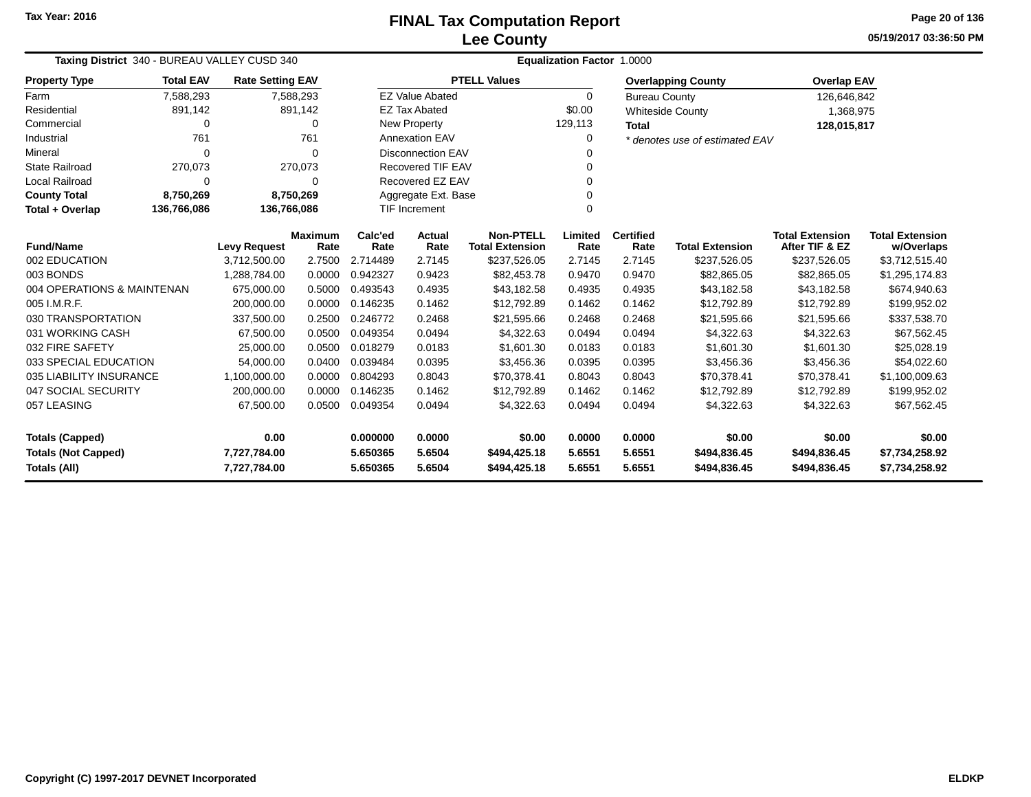**05/19/2017 03:36:50 PMPage 20 of 136**

| Taxing District 340 - BUREAU VALLEY CUSD 340      |                  |                                     |                | <b>Equalization Factor 1.0000</b> |                                  |                                        |                  |                      |                                        |                                          |                                  |  |
|---------------------------------------------------|------------------|-------------------------------------|----------------|-----------------------------------|----------------------------------|----------------------------------------|------------------|----------------------|----------------------------------------|------------------------------------------|----------------------------------|--|
| <b>Property Type</b>                              | <b>Total EAV</b> | <b>Rate Setting EAV</b>             |                |                                   |                                  | <b>PTELL Values</b>                    |                  |                      | <b>Overlapping County</b>              | <b>Overlap EAV</b>                       |                                  |  |
| Farm                                              | 7,588,293        |                                     | 7,588,293      |                                   | <b>EZ Value Abated</b>           |                                        | $\Omega$         | <b>Bureau County</b> |                                        | 126,646,842                              |                                  |  |
| Residential                                       | 891,142          |                                     | 891,142        |                                   | <b>EZ Tax Abated</b>             |                                        | \$0.00           |                      | <b>Whiteside County</b>                | 1,368,975                                |                                  |  |
| Commercial                                        | 0                |                                     | $\Omega$       |                                   | New Property                     |                                        | 129,113          | <b>Total</b>         |                                        | 128,015,817                              |                                  |  |
| Industrial                                        | 761              |                                     | 761            |                                   | <b>Annexation EAV</b>            |                                        | 0                |                      | * denotes use of estimated EAV         |                                          |                                  |  |
| Mineral                                           | $\Omega$         |                                     | $\Omega$       |                                   | <b>Disconnection EAV</b>         |                                        |                  |                      |                                        |                                          |                                  |  |
| <b>State Railroad</b>                             | 270,073          |                                     | 270,073        |                                   | <b>Recovered TIF EAV</b>         |                                        |                  |                      |                                        |                                          |                                  |  |
| <b>Local Railroad</b>                             | 0                |                                     | $\Omega$       |                                   | Recovered EZ EAV                 |                                        | 0                |                      |                                        |                                          |                                  |  |
| <b>County Total</b>                               | 8,750,269        | 8,750,269                           |                |                                   | Aggregate Ext. Base              |                                        |                  |                      |                                        |                                          |                                  |  |
| Total + Overlap                                   | 136,766,086      | 136,766,086                         |                |                                   | <b>TIF Increment</b><br>$\Omega$ |                                        |                  |                      |                                        |                                          |                                  |  |
| <b>Fund/Name</b>                                  |                  |                                     | <b>Maximum</b> | Calc'ed                           | Actual<br>Rate                   | <b>Non-PTELL</b>                       | Limited          | <b>Certified</b>     |                                        | <b>Total Extension</b><br>After TIF & EZ | <b>Total Extension</b>           |  |
| 002 EDUCATION                                     |                  | <b>Levy Request</b><br>3,712,500.00 | Rate<br>2.7500 | Rate<br>2.714489                  | 2.7145                           | <b>Total Extension</b><br>\$237,526.05 | Rate<br>2.7145   | Rate<br>2.7145       | <b>Total Extension</b><br>\$237,526.05 | \$237,526.05                             | w/Overlaps<br>\$3,712,515.40     |  |
| 003 BONDS                                         |                  | 1,288,784.00                        | 0.0000         | 0.942327                          | 0.9423                           | \$82,453.78                            | 0.9470           | 0.9470               | \$82,865.05                            | \$82,865.05                              | \$1,295,174.83                   |  |
| 004 OPERATIONS & MAINTENAN                        |                  | 675.000.00                          | 0.5000         | 0.493543                          | 0.4935                           | \$43,182.58                            | 0.4935           | 0.4935               | \$43,182.58                            | \$43,182.58                              | \$674,940.63                     |  |
| 005 I.M.R.F.                                      |                  | 200.000.00                          | 0.0000         | 0.146235                          | 0.1462                           | \$12,792.89                            | 0.1462           | 0.1462               | \$12,792.89                            | \$12,792.89                              |                                  |  |
| 030 TRANSPORTATION                                |                  | 337,500.00                          | 0.2500         | 0.246772                          | 0.2468                           | \$21,595.66                            | 0.2468           | 0.2468               | \$21,595.66                            | \$21,595.66                              | \$199,952.02<br>\$337,538.70     |  |
| 031 WORKING CASH                                  |                  | 67,500.00                           | 0.0500         | 0.049354                          | 0.0494                           | \$4,322.63                             | 0.0494           | 0.0494               | \$4,322.63                             | \$4,322.63                               | \$67,562.45                      |  |
| 032 FIRE SAFETY                                   |                  | 25,000.00                           | 0.0500         | 0.018279                          | 0.0183                           | \$1,601.30                             | 0.0183           | 0.0183               | \$1,601.30                             | \$1,601.30                               | \$25,028.19                      |  |
| 033 SPECIAL EDUCATION                             |                  | 54,000.00                           | 0.0400         | 0.039484                          | 0.0395                           | \$3,456.36                             | 0.0395           | 0.0395               | \$3,456.36                             | \$3,456.36                               | \$54,022.60                      |  |
| 035 LIABILITY INSURANCE                           |                  | 1,100,000.00                        | 0.0000         | 0.804293                          | 0.8043                           | \$70,378.41                            | 0.8043           | 0.8043               | \$70,378.41                            | \$70,378.41                              | \$1,100,009.63                   |  |
| 047 SOCIAL SECURITY                               |                  | 200,000.00                          | 0.0000         | 0.146235                          | 0.1462                           | \$12,792.89                            | 0.1462           | 0.1462               | \$12,792.89                            | \$12,792.89                              | \$199,952.02                     |  |
| 057 LEASING                                       |                  | 67,500.00                           | 0.0500         | 0.049354                          | 0.0494                           | \$4,322.63                             | 0.0494           | 0.0494               | \$4,322.63                             | \$4,322.63                               | \$67,562.45                      |  |
| 0.00<br><b>Totals (Capped)</b>                    |                  |                                     | 0.000000       | 0.0000                            | \$0.00                           | 0.0000                                 | 0.0000           | \$0.00               | \$0.00                                 | \$0.00                                   |                                  |  |
| <b>Totals (Not Capped)</b><br><b>Totals (All)</b> |                  | 7,727,784.00<br>7,727,784.00        |                | 5.650365<br>5.650365              | 5.6504<br>5.6504                 | \$494,425.18<br>\$494,425.18           | 5.6551<br>5.6551 | 5.6551<br>5.6551     | \$494,836.45<br>\$494,836.45           | \$494,836.45<br>\$494,836.45             | \$7,734,258.92<br>\$7,734,258.92 |  |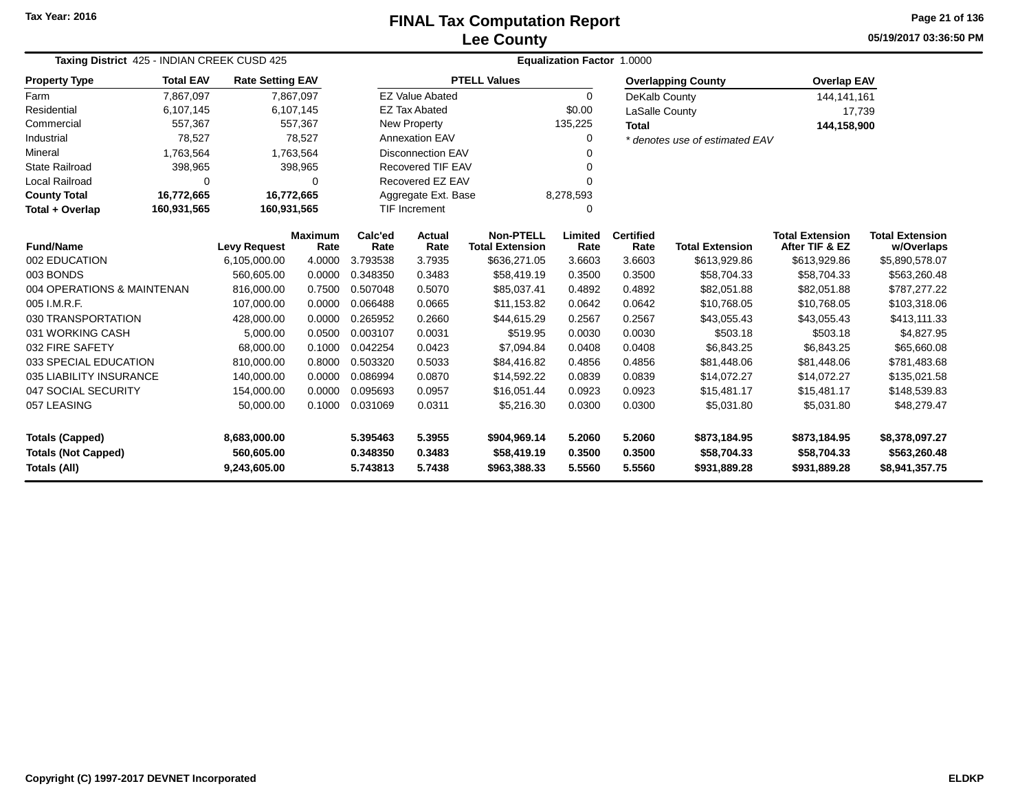## **Lee CountyFINAL Tax Computation Report** FINAL Tax Computation Report

**05/19/2017 03:36:50 PMPage 21 of 136**

| Taxing District 425 - INDIAN CREEK CUSD 425                                                                         |                                                                                                           |                         |                | Equalization Factor 1.0000 |                           |                        |              |                  |                                |                        |                        |  |  |
|---------------------------------------------------------------------------------------------------------------------|-----------------------------------------------------------------------------------------------------------|-------------------------|----------------|----------------------------|---------------------------|------------------------|--------------|------------------|--------------------------------|------------------------|------------------------|--|--|
| <b>Property Type</b>                                                                                                | <b>Total EAV</b>                                                                                          | <b>Rate Setting EAV</b> |                |                            |                           | <b>PTELL Values</b>    |              |                  | <b>Overlapping County</b>      | <b>Overlap EAV</b>     |                        |  |  |
| Farm                                                                                                                | 7,867,097                                                                                                 |                         | 7,867,097      |                            | <b>EZ Value Abated</b>    |                        | $\Omega$     | DeKalb County    |                                | 144, 141, 161          |                        |  |  |
| Residential                                                                                                         | 6,107,145                                                                                                 |                         | 6,107,145      |                            | <b>EZ Tax Abated</b>      |                        | \$0.00       | LaSalle County   |                                | 17,739                 |                        |  |  |
| Commercial                                                                                                          | 557,367                                                                                                   |                         | 557,367        |                            | New Property              |                        | 135,225      | <b>Total</b>     |                                | 144,158,900            |                        |  |  |
| Industrial                                                                                                          | 78,527                                                                                                    |                         | 78,527         |                            | <b>Annexation EAV</b>     |                        |              |                  | * denotes use of estimated EAV |                        |                        |  |  |
| Mineral                                                                                                             | 1,763,564                                                                                                 |                         | 1,763,564      |                            | <b>Disconnection EAV</b>  |                        |              |                  |                                |                        |                        |  |  |
| <b>State Railroad</b>                                                                                               | 398,965                                                                                                   |                         | 398,965        |                            | Recovered TIF EAV         |                        |              |                  |                                |                        |                        |  |  |
| <b>Local Railroad</b>                                                                                               | $\Omega$                                                                                                  |                         | 0              |                            | Recovered EZ EAV          |                        |              |                  |                                |                        |                        |  |  |
| <b>County Total</b>                                                                                                 | 16,772,665                                                                                                | 16,772,665              |                |                            | Aggregate Ext. Base       |                        | 8,278,593    |                  |                                |                        |                        |  |  |
| Total + Overlap                                                                                                     | 160,931,565                                                                                               | 160,931,565             |                |                            | <b>TIF Increment</b><br>O |                        |              |                  |                                |                        |                        |  |  |
|                                                                                                                     |                                                                                                           |                         | <b>Maximum</b> | Calc'ed                    | <b>Actual</b>             | <b>Non-PTELL</b>       | Limited      | <b>Certified</b> |                                | <b>Total Extension</b> | <b>Total Extension</b> |  |  |
| <b>Fund/Name</b>                                                                                                    |                                                                                                           | <b>Levy Request</b>     | Rate           | Rate                       | Rate                      | <b>Total Extension</b> | Rate         | Rate             | <b>Total Extension</b>         | After TIF & EZ         | w/Overlaps             |  |  |
| 002 EDUCATION                                                                                                       |                                                                                                           | 6,105,000.00            | 4.0000         | 3.793538                   | 3.7935                    | \$636,271.05           | 3.6603       | 3.6603           | \$613,929.86                   | \$613,929.86           | \$5,890,578.07         |  |  |
|                                                                                                                     | 003 BONDS<br>0.0000<br>0.3483<br>560,605.00<br>0.348350<br>\$58,419.19<br>0.3500<br>0.3500<br>\$58,704.33 |                         |                |                            |                           | \$58,704.33            | \$563,260.48 |                  |                                |                        |                        |  |  |
| 004 OPERATIONS & MAINTENAN                                                                                          |                                                                                                           | 816,000.00              | 0.7500         | 0.507048                   | 0.5070                    | \$85,037.41            | 0.4892       | 0.4892           | \$82,051.88                    | \$82,051.88            | \$787,277.22           |  |  |
| 005 I.M.R.F.                                                                                                        |                                                                                                           | 107,000.00              | 0.0000         | 0.066488                   | 0.0665                    | \$11,153.82            | 0.0642       | 0.0642           | \$10,768.05                    | \$10,768.05            | \$103,318.06           |  |  |
| 030 TRANSPORTATION                                                                                                  |                                                                                                           | 428,000.00              | 0.0000         | 0.265952                   | 0.2660                    | \$44,615.29            | 0.2567       | 0.2567           | \$43,055.43                    | \$43,055.43            | \$413,111.33           |  |  |
| 031 WORKING CASH                                                                                                    |                                                                                                           | 5,000.00                | 0.0500         | 0.003107                   | 0.0031                    | \$519.95               | 0.0030       | 0.0030           | \$503.18                       | \$503.18               | \$4,827.95             |  |  |
| 032 FIRE SAFETY                                                                                                     |                                                                                                           | 68,000.00               | 0.1000         | 0.042254                   | 0.0423                    | \$7,094.84             | 0.0408       | 0.0408           | \$6,843.25                     | \$6,843.25             | \$65,660.08            |  |  |
| 033 SPECIAL EDUCATION                                                                                               |                                                                                                           | 810,000.00              | 0.8000         | 0.503320                   | 0.5033                    | \$84,416.82            | 0.4856       | 0.4856           | \$81,448.06                    | \$81,448.06            | \$781,483.68           |  |  |
| 035 LIABILITY INSURANCE                                                                                             |                                                                                                           | 140,000.00              | 0.0000         | 0.086994                   | 0.0870                    | \$14,592.22            | 0.0839       | 0.0839           | \$14,072.27                    | \$14,072.27            | \$135,021.58           |  |  |
| 047 SOCIAL SECURITY<br>0.0000<br>0.095693<br>0.0957<br>154,000.00<br>\$16,051.44<br>0.0923<br>0.0923<br>\$15,481.17 |                                                                                                           |                         |                | \$15,481.17                | \$148,539.83              |                        |              |                  |                                |                        |                        |  |  |
| 057 LEASING<br>50,000.00                                                                                            |                                                                                                           |                         | 0.1000         | 0.031069                   | 0.0311                    | \$5,216.30             | 0.0300       | 0.0300           | \$5,031.80                     | \$5,031.80             | \$48,279.47            |  |  |
| <b>Totals (Capped)</b><br>8,683,000.00                                                                              |                                                                                                           |                         |                | 5.395463                   | 5.3955                    | \$904,969.14           | 5.2060       | 5.2060           | \$873,184.95                   | \$873,184.95           | \$8,378,097.27         |  |  |
| <b>Totals (Not Capped)</b>                                                                                          |                                                                                                           | 560,605.00              |                | 0.348350                   | 0.3483                    | \$58,419.19            | 0.3500       | 0.3500           | \$58,704.33                    | \$58,704.33            | \$563,260.48           |  |  |
| Totals (All)                                                                                                        | 5.7438<br>5.5560<br>9,243,605.00<br>5.743813<br>\$963,388.33<br>5.5560<br>\$931,889.28<br>\$931,889.28    |                         |                |                            |                           | \$8,941,357.75         |              |                  |                                |                        |                        |  |  |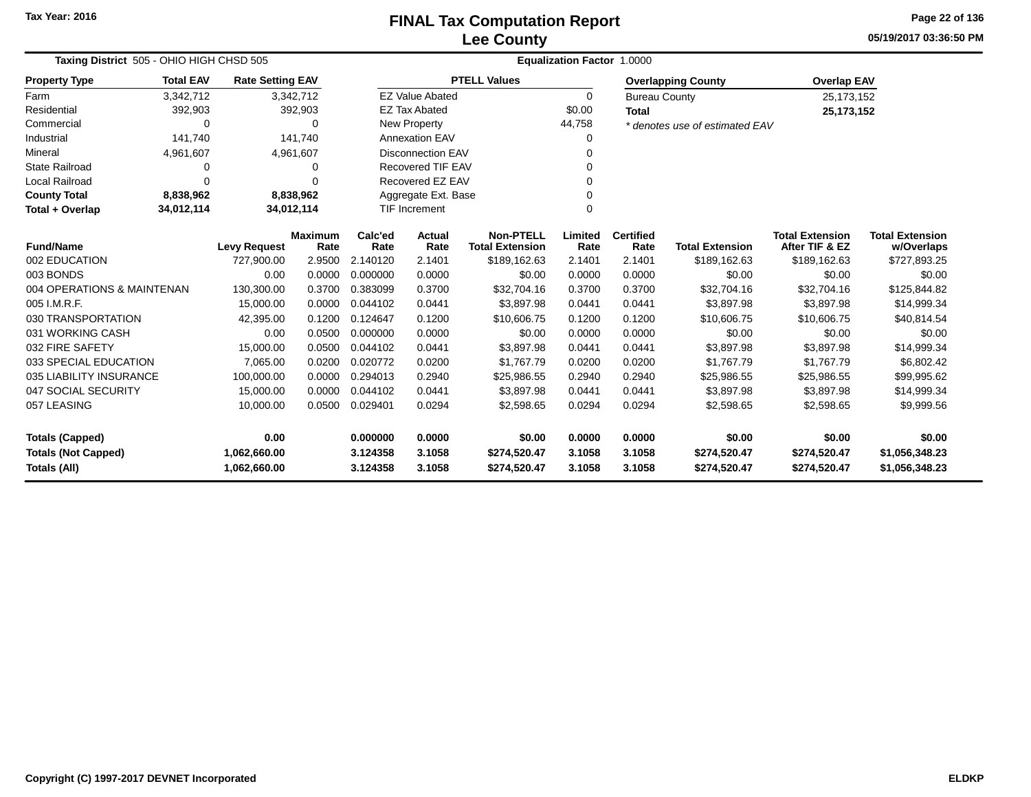**05/19/2017 03:36:50 PMPage 22 of 136**

| Taxing District 505 - OHIO HIGH CHSD 505 |                                                           |                         |                | <b>Equalization Factor 1.0000</b> |                                  |                                            |                  |                      |                                |                                          |                            |
|------------------------------------------|-----------------------------------------------------------|-------------------------|----------------|-----------------------------------|----------------------------------|--------------------------------------------|------------------|----------------------|--------------------------------|------------------------------------------|----------------------------|
| <b>Property Type</b>                     | <b>Total EAV</b>                                          | <b>Rate Setting EAV</b> |                |                                   |                                  | <b>PTELL Values</b>                        |                  |                      | <b>Overlapping County</b>      | <b>Overlap EAV</b>                       |                            |
| Farm                                     | 3,342,712                                                 |                         | 3,342,712      |                                   | <b>EZ Value Abated</b>           |                                            | 0                | <b>Bureau County</b> |                                | 25, 173, 152                             |                            |
| Residential                              | 392,903                                                   |                         | 392,903        |                                   | <b>EZ Tax Abated</b>             |                                            | \$0.00           | <b>Total</b>         |                                | 25,173,152                               |                            |
| Commercial                               | $\Omega$                                                  |                         | 0              |                                   | New Property                     |                                            | 44,758           |                      | * denotes use of estimated EAV |                                          |                            |
| Industrial                               | 141,740                                                   |                         | 141.740        |                                   | <b>Annexation EAV</b>            |                                            | 0                |                      |                                |                                          |                            |
| Mineral                                  | 4,961,607                                                 |                         | 4,961,607      |                                   | <b>Disconnection EAV</b><br>∩    |                                            |                  |                      |                                |                                          |                            |
| <b>State Railroad</b>                    | O                                                         |                         | 0              |                                   | Recovered TIF EAV                |                                            |                  |                      |                                |                                          |                            |
| <b>Local Railroad</b>                    | $\Omega$                                                  |                         | 0              |                                   | Recovered EZ EAV<br>∩            |                                            |                  |                      |                                |                                          |                            |
| <b>County Total</b>                      | 8,838,962                                                 |                         | 8,838,962      | Aggregate Ext. Base               |                                  |                                            |                  |                      |                                |                                          |                            |
| Total + Overlap                          | 34,012,114                                                | 34,012,114              |                |                                   | <b>TIF Increment</b><br>$\Omega$ |                                            |                  |                      |                                |                                          |                            |
|                                          | <b>Maximum</b><br><b>Fund/Name</b><br><b>Levy Request</b> |                         |                |                                   | Actual                           | <b>Non-PTELL</b><br><b>Total Extension</b> | Limited<br>Rate  | <b>Certified</b>     | <b>Total Extension</b>         | <b>Total Extension</b><br>After TIF & EZ | <b>Total Extension</b>     |
|                                          |                                                           | 727,900.00              | Rate<br>2.9500 | Rate<br>2.140120                  | Rate<br>2.1401                   | \$189,162.63                               | 2.1401           | Rate<br>2.1401       | \$189,162.63                   | \$189,162.63                             | w/Overlaps<br>\$727,893.25 |
| 002 EDUCATION<br>003 BONDS               |                                                           | 0.00                    | 0.0000         | 0.000000                          | 0.0000                           | \$0.00                                     | 0.0000           | 0.0000               | \$0.00                         | \$0.00                                   | \$0.00                     |
| 004 OPERATIONS & MAINTENAN               |                                                           |                         | 0.3700         | 0.383099                          | 0.3700                           | \$32,704.16                                | 0.3700           | 0.3700               | \$32,704.16                    | \$32,704.16                              | \$125,844.82               |
| 005 I.M.R.F.                             |                                                           | 130,300.00<br>15,000.00 | 0.0000         | 0.044102                          | 0.0441                           | \$3,897.98                                 | 0.0441           | 0.0441               | \$3,897.98                     | \$3,897.98                               | \$14,999.34                |
| 030 TRANSPORTATION                       |                                                           |                         | 0.1200         | 0.124647                          | 0.1200                           | \$10,606.75                                |                  | 0.1200               |                                |                                          |                            |
| 031 WORKING CASH                         |                                                           | 42,395.00<br>0.00       | 0.0500         | 0.000000                          | 0.0000                           | \$0.00                                     | 0.1200<br>0.0000 | 0.0000               | \$10,606.75<br>\$0.00          | \$10,606.75<br>\$0.00                    | \$40,814.54<br>\$0.00      |
| 032 FIRE SAFETY                          |                                                           | 15,000.00               | 0.0500         | 0.044102                          | 0.0441                           | \$3,897.98                                 | 0.0441           | 0.0441               | \$3,897.98                     | \$3,897.98                               |                            |
| 033 SPECIAL EDUCATION                    |                                                           | 7,065.00                | 0.0200         | 0.020772                          | 0.0200                           | \$1,767.79                                 | 0.0200           | 0.0200               | \$1,767.79                     | \$1,767.79                               | \$14,999.34<br>\$6,802.42  |
| 035 LIABILITY INSURANCE                  |                                                           | 100,000.00              | 0.0000         | 0.294013                          | 0.2940                           | \$25,986.55                                | 0.2940           | 0.2940               |                                | \$25,986.55                              | \$99,995.62                |
| 047 SOCIAL SECURITY                      |                                                           | 15,000.00               | 0.0000         | 0.044102                          | 0.0441                           | \$3,897.98                                 | 0.0441           | 0.0441               | \$25,986.55<br>\$3,897.98      | \$3,897.98                               | \$14,999.34                |
|                                          |                                                           |                         |                | 0.029401                          | 0.0294                           |                                            | 0.0294           | 0.0294               |                                |                                          |                            |
| 057 LEASING<br>10,000.00<br>0.0500       |                                                           |                         |                |                                   |                                  | \$2,598.65                                 |                  |                      | \$2,598.65                     | \$2,598.65                               | \$9,999.56                 |
| <b>Totals (Capped)</b>                   |                                                           | 0.00                    |                | 0.000000                          | 0.0000                           | \$0.00                                     | 0.0000           | 0.0000               | \$0.00                         | \$0.00                                   | \$0.00                     |
| <b>Totals (Not Capped)</b>               |                                                           | 1,062,660.00            |                | 3.124358                          | 3.1058                           | \$274,520.47                               | 3.1058           | 3.1058               | \$274,520.47                   | \$274,520.47                             | \$1,056,348.23             |
| <b>Totals (All)</b><br>1,062,660.00      |                                                           |                         | 3.124358       | 3.1058                            | \$274,520.47                     | 3.1058                                     | 3.1058           | \$274,520.47         | \$274,520.47                   | \$1,056,348.23                           |                            |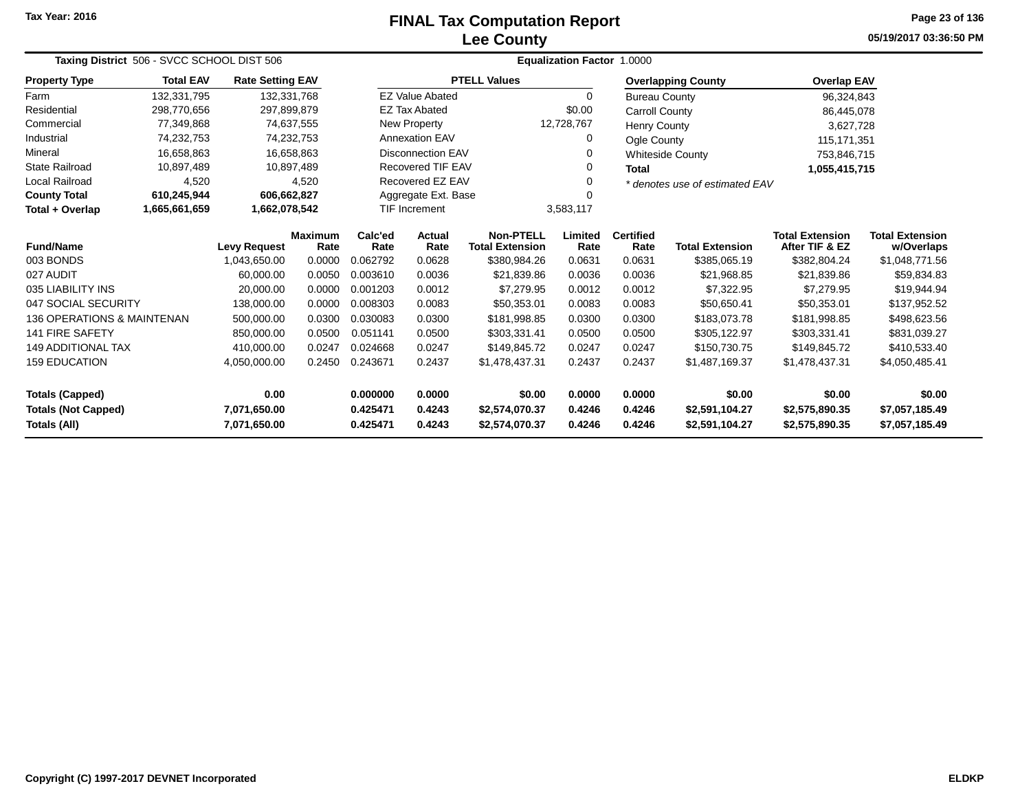## **Lee CountyFINAL Tax Computation Report** FINAL Tax Computation Report

**05/19/2017 03:36:50 PMPage 23 of 136**

| Taxing District 506 - SVCC SCHOOL DIST 506                                 |                                                                  |                         |                       | <b>Equalization Factor</b><br>1.0000       |                                    |                          |                        |                                          |                                      |                                  |                |  |
|----------------------------------------------------------------------------|------------------------------------------------------------------|-------------------------|-----------------------|--------------------------------------------|------------------------------------|--------------------------|------------------------|------------------------------------------|--------------------------------------|----------------------------------|----------------|--|
| <b>Property Type</b>                                                       | <b>Total EAV</b>                                                 | <b>Rate Setting EAV</b> |                       |                                            |                                    | <b>PTELL Values</b>      |                        |                                          | <b>Overlapping County</b>            | <b>Overlap EAV</b>               |                |  |
| Farm                                                                       | 132,331,795                                                      | 132,331,768             |                       |                                            | <b>EZ Value Abated</b>             |                          | 0                      | <b>Bureau County</b>                     |                                      | 96,324,843                       |                |  |
| Residential                                                                | 298,770,656                                                      | 297,899,879             |                       |                                            | <b>EZ Tax Abated</b>               |                          | \$0.00                 | Carroll County                           |                                      | 86,445,078                       |                |  |
| Commercial                                                                 | 77,349,868                                                       |                         | 74,637,555            |                                            | New Property                       |                          | 12,728,767             | <b>Henry County</b>                      |                                      | 3,627,728                        |                |  |
| Industrial                                                                 | 74,232,753                                                       |                         | 74,232,753            |                                            | <b>Annexation EAV</b>              |                          | 0                      | Ogle County                              |                                      | 115, 171, 351                    |                |  |
| Mineral                                                                    | 16,658,863                                                       |                         | 16,658,863            |                                            | Disconnection EAV                  |                          |                        |                                          | <b>Whiteside County</b>              | 753,846,715                      |                |  |
| <b>State Railroad</b>                                                      | 10,897,489                                                       |                         | 10,897,489            |                                            | <b>Recovered TIF EAV</b>           |                          | o                      | <b>Total</b>                             |                                      | 1,055,415,715                    |                |  |
| <b>Local Railroad</b>                                                      | 4,520                                                            |                         | 4,520                 |                                            | Recovered EZ EAV                   |                          |                        |                                          | * denotes use of estimated EAV       |                                  |                |  |
| <b>County Total</b>                                                        | 610,245,944                                                      | 606,662,827             |                       |                                            | Aggregate Ext. Base                |                          |                        |                                          |                                      |                                  |                |  |
| Total + Overlap                                                            | 1,665,661,659                                                    | 1,662,078,542           |                       |                                            | <b>TIF Increment</b><br>3,583,117  |                          |                        |                                          |                                      |                                  |                |  |
| <b>Fund/Name</b>                                                           | Calc'ed<br><b>Maximum</b><br><b>Levy Request</b><br>Rate<br>Rate |                         | <b>Actual</b><br>Rate | <b>Non-PTELL</b><br><b>Total Extension</b> | Limited<br>Rate                    | <b>Certified</b><br>Rate | <b>Total Extension</b> | <b>Total Extension</b><br>After TIF & EZ | <b>Total Extension</b><br>w/Overlaps |                                  |                |  |
| 003 BONDS                                                                  | 1,043,650.00                                                     |                         | 0.0000                | 0.062792                                   | 0.0628                             | \$380,984.26             | 0.0631                 | 0.0631                                   | \$385,065.19                         | \$382,804.24                     | \$1,048,771.56 |  |
| 027 AUDIT                                                                  |                                                                  | 60.000.00               | 0.0050                | 0.003610                                   | 0.0036                             | \$21,839.86              | 0.0036                 | 0.0036                                   | \$21,968.85                          | \$21,839.86                      | \$59,834.83    |  |
| 035 LIABILITY INS                                                          |                                                                  | 20,000.00               | 0.0000                | 0.001203                                   | 0.0012                             | \$7,279.95               | 0.0012                 | 0.0012                                   | \$7,322.95                           | \$7,279.95                       | \$19,944.94    |  |
| 047 SOCIAL SECURITY                                                        |                                                                  | 138,000.00              | 0.0000                | 0.008303                                   | 0.0083                             | \$50,353.01              | 0.0083                 | 0.0083                                   | \$50,650.41                          | \$50,353.01                      | \$137,952.52   |  |
| 136 OPERATIONS & MAINTENAN                                                 |                                                                  | 500,000.00              | 0.0300                | 0.030083                                   | 0.0300                             | \$181,998.85             | 0.0300                 | 0.0300                                   | \$183,073.78                         | \$181,998.85                     | \$498,623.56   |  |
| <b>141 FIRE SAFETY</b>                                                     |                                                                  | 850,000.00              | 0.0500                | 0.051141                                   | 0.0500                             | \$303,331.41             | 0.0500                 | 0.0500                                   | \$305,122.97                         | \$303,331.41                     | \$831,039.27   |  |
| <b>149 ADDITIONAL TAX</b>                                                  |                                                                  | 410,000.00              | 0.0247                | 0.024668                                   | 0.0247                             | \$149,845.72             | 0.0247                 | 0.0247                                   | \$150,730.75                         | \$149,845.72                     | \$410,533.40   |  |
| <b>159 EDUCATION</b>                                                       |                                                                  | 4,050,000.00            | 0.2450                | 0.243671                                   | 0.2437<br>0.2437<br>\$1,478,437.31 |                          |                        | 0.2437                                   | \$1,487,169.37                       | \$1,478,437.31                   | \$4,050,485.41 |  |
| <b>Totals (Capped)</b><br>0.00                                             |                                                                  |                         | 0.000000              | 0.0000                                     | \$0.00                             | 0.0000                   | 0.0000                 | \$0.00                                   | \$0.00                               | \$0.00                           |                |  |
| <b>Totals (Not Capped)</b><br>7,071,650.00<br>Totals (All)<br>7,071,650.00 |                                                                  |                         | 0.425471<br>0.425471  | 0.4243<br>0.4243                           | \$2,574,070.37<br>\$2,574,070.37   | 0.4246<br>0.4246         | 0.4246<br>0.4246       | \$2,591,104.27<br>\$2,591,104.27         | \$2,575,890.35<br>\$2,575,890.35     | \$7,057,185.49<br>\$7,057,185.49 |                |  |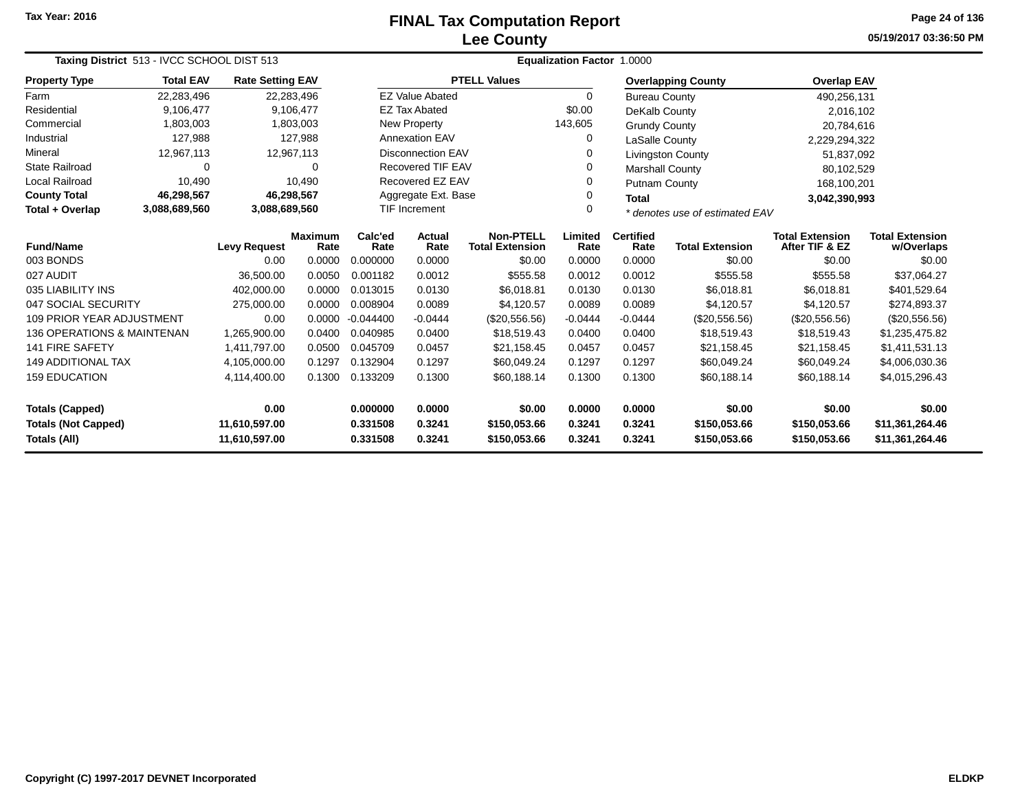## **Lee CountyFINAL Tax Computation Report** FINAL Tax Computation Report

**05/19/2017 03:36:50 PMPage 24 of 136**

| Taxing District 513 - IVCC SCHOOL DIST 513 |                                                                  |                         |           | <b>Equalization Factor 1.0000</b> |                                            |                     |                          |                        |                                          |                                      |                 |  |
|--------------------------------------------|------------------------------------------------------------------|-------------------------|-----------|-----------------------------------|--------------------------------------------|---------------------|--------------------------|------------------------|------------------------------------------|--------------------------------------|-----------------|--|
| <b>Property Type</b>                       | <b>Total EAV</b>                                                 | <b>Rate Setting EAV</b> |           |                                   |                                            | <b>PTELL Values</b> |                          |                        | <b>Overlapping County</b>                | <b>Overlap EAV</b>                   |                 |  |
| Farm                                       | 22,283,496                                                       | 22,283,496              |           |                                   | <b>EZ Value Abated</b>                     |                     | $\Omega$                 | <b>Bureau County</b>   |                                          | 490,256,131                          |                 |  |
| Residential                                | 9,106,477                                                        |                         | 9,106,477 |                                   | <b>EZ Tax Abated</b>                       |                     | \$0.00                   | DeKalb County          |                                          | 2,016,102                            |                 |  |
| Commercial                                 | 1,803,003                                                        |                         | 1,803,003 |                                   | New Property                               |                     | 143,605                  | <b>Grundy County</b>   |                                          | 20,784,616                           |                 |  |
| Industrial                                 | 127,988                                                          |                         | 127,988   |                                   | <b>Annexation EAV</b>                      |                     | 0                        | LaSalle County         |                                          | 2,229,294,322                        |                 |  |
| Mineral                                    | 12,967,113                                                       | 12,967,113              |           |                                   | Disconnection EAV                          |                     |                          |                        | Livingston County                        | 51,837,092                           |                 |  |
| <b>State Railroad</b>                      | 0                                                                |                         | $\Omega$  |                                   | <b>Recovered TIF EAV</b>                   |                     | O                        | <b>Marshall County</b> |                                          | 80,102,529                           |                 |  |
| Local Railroad                             | 10,490                                                           |                         | 10,490    |                                   | Recovered EZ EAV                           |                     |                          | Putnam County          |                                          | 168,100,201                          |                 |  |
| <b>County Total</b>                        | 46,298,567                                                       | 46,298,567              |           |                                   | Aggregate Ext. Base                        |                     |                          | <b>Total</b>           |                                          | 3,042,390,993                        |                 |  |
| Total + Overlap                            | 3,088,689,560                                                    | 3,088,689,560           |           | <b>TIF Increment</b><br>$\Omega$  |                                            |                     |                          |                        | * denotes use of estimated EAV           |                                      |                 |  |
| <b>Fund/Name</b>                           | Calc'ed<br><b>Maximum</b><br>Rate<br><b>Levy Request</b><br>Rate |                         |           | Actual<br>Rate                    | <b>Non-PTELL</b><br><b>Total Extension</b> | Limited<br>Rate     | <b>Certified</b><br>Rate | <b>Total Extension</b> | <b>Total Extension</b><br>After TIF & EZ | <b>Total Extension</b><br>w/Overlaps |                 |  |
| 003 BONDS                                  |                                                                  | 0.00                    | 0.0000    | 0.000000                          | 0.0000                                     | \$0.00              | 0.0000                   | 0.0000                 | \$0.00                                   | \$0.00                               | \$0.00          |  |
| 027 AUDIT                                  |                                                                  | 36,500.00               | 0.0050    | 0.001182                          | 0.0012                                     | \$555.58            | 0.0012                   | 0.0012                 | \$555.58                                 | \$555.58                             | \$37,064.27     |  |
| 035 LIABILITY INS                          |                                                                  | 402,000.00              | 0.0000    | 0.013015                          | 0.0130                                     | \$6,018.81          | 0.0130                   | 0.0130                 | \$6,018.81                               | \$6,018.81                           | \$401,529.64    |  |
| 047 SOCIAL SECURITY                        |                                                                  | 275,000.00              | 0.0000    | 0.008904                          | 0.0089                                     | \$4,120.57          | 0.0089                   | 0.0089                 | \$4,120.57                               | \$4,120.57                           | \$274,893.37    |  |
| <b>109 PRIOR YEAR ADJUSTMENT</b>           |                                                                  | 0.00                    | 0.0000    | $-0.044400$                       | $-0.0444$                                  | (\$20,556.56)       | $-0.0444$                | $-0.0444$              | (\$20,556.56)                            | (\$20,556.56)                        | (\$20,556.56)   |  |
| 136 OPERATIONS & MAINTENAN                 |                                                                  | 1,265,900.00            | 0.0400    | 0.040985                          | 0.0400                                     | \$18,519.43         | 0.0400                   | 0.0400                 | \$18,519.43                              | \$18,519.43                          | \$1,235,475.82  |  |
| <b>141 FIRE SAFETY</b>                     |                                                                  | 1,411,797.00            | 0.0500    | 0.045709                          | 0.0457                                     | \$21,158.45         | 0.0457                   | 0.0457                 | \$21,158.45                              | \$21,158.45                          | \$1,411,531.13  |  |
| <b>149 ADDITIONAL TAX</b>                  |                                                                  | 4,105,000.00            | 0.1297    | 0.132904                          | 0.1297                                     | \$60,049.24         | 0.1297                   | 0.1297                 | \$60,049.24                              | \$60,049.24                          | \$4,006,030.36  |  |
| <b>159 EDUCATION</b>                       |                                                                  | 4,114,400.00            | 0.1300    | 0.133209                          | 0.1300                                     | \$60,188.14         | 0.1300                   | 0.1300                 | \$60,188.14                              | \$60,188.14                          | \$4,015,296.43  |  |
| <b>Totals (Capped)</b>                     |                                                                  | 0.00                    |           | 0.000000                          | 0.0000                                     | \$0.00              | 0.0000                   | 0.0000                 | \$0.00                                   | \$0.00                               | \$0.00          |  |
| <b>Totals (Not Capped)</b>                 |                                                                  | 11,610,597.00           |           | 0.331508                          | 0.3241                                     | \$150,053.66        | 0.3241                   | 0.3241                 | \$150,053.66                             | \$150,053.66                         | \$11,361,264.46 |  |
| Totals (All)                               |                                                                  | 11,610,597.00           |           | 0.331508                          | 0.3241                                     | \$150,053.66        | 0.3241                   | 0.3241                 | \$150,053.66                             | \$150,053.66                         | \$11,361,264.46 |  |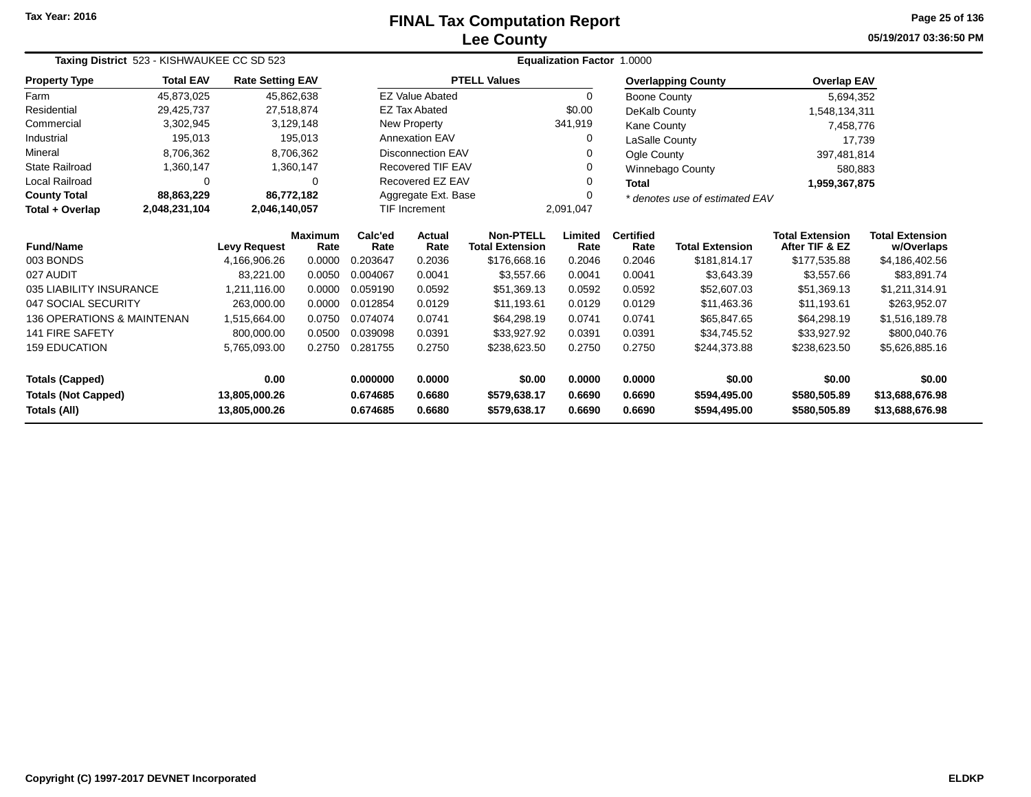## **Lee CountyFINAL Tax Computation Report** FINAL Tax Computation Report

**05/19/2017 03:36:50 PMPage 25 of 136**

| Taxing District 523 - KISHWAUKEE CC SD 523 |                  |                         |                        |                 |                          |                                            | <b>Equalization Factor 1.0000</b> |                          |                                |                                          |                                      |  |
|--------------------------------------------|------------------|-------------------------|------------------------|-----------------|--------------------------|--------------------------------------------|-----------------------------------|--------------------------|--------------------------------|------------------------------------------|--------------------------------------|--|
| <b>Property Type</b>                       | <b>Total EAV</b> | <b>Rate Setting EAV</b> |                        |                 |                          | <b>PTELL Values</b>                        |                                   |                          | <b>Overlapping County</b>      | <b>Overlap EAV</b>                       |                                      |  |
| Farm                                       | 45,873,025       | 45,862,638              |                        |                 | <b>EZ Value Abated</b>   |                                            | $\Omega$                          | <b>Boone County</b>      |                                | 5,694,352                                |                                      |  |
| Residential                                | 29,425,737       | 27,518,874              |                        |                 | <b>EZ Tax Abated</b>     |                                            | \$0.00                            | DeKalb County            |                                | 1,548,134,311                            |                                      |  |
| Commercial                                 | 3,302,945        |                         | 3,129,148              |                 | New Property             |                                            | 341,919                           | Kane County              |                                | 7,458,776                                |                                      |  |
| Industrial                                 | 195,013          |                         | 195,013                |                 | <b>Annexation EAV</b>    |                                            | $\Omega$                          | LaSalle County           |                                | 17,739                                   |                                      |  |
| Mineral                                    | 8,706,362        |                         | 8,706,362              |                 | <b>Disconnection EAV</b> |                                            | 0                                 | Ogle County              |                                | 397,481,814                              |                                      |  |
| <b>State Railroad</b>                      | 1,360,147        |                         | 1,360,147              |                 | <b>Recovered TIF EAV</b> |                                            | 0                                 |                          | Winnebago County               | 580,883                                  |                                      |  |
| Local Railroad                             | $\Omega$         |                         | $\mathbf 0$            |                 | Recovered EZ EAV         |                                            | 0                                 | <b>Total</b>             |                                | 1,959,367,875                            |                                      |  |
| <b>County Total</b>                        | 88,863,229       | 86,772,182              |                        |                 | Aggregate Ext. Base      |                                            | 0                                 |                          | * denotes use of estimated EAV |                                          |                                      |  |
| Total + Overlap                            | 2,048,231,104    | 2,046,140,057           |                        |                 | <b>TIF Increment</b>     |                                            | 2,091,047                         |                          |                                |                                          |                                      |  |
| <b>Fund/Name</b>                           |                  | <b>Levy Request</b>     | <b>Maximum</b><br>Rate | Calc'ed<br>Rate | Actual<br>Rate           | <b>Non-PTELL</b><br><b>Total Extension</b> | Limited<br>Rate                   | <b>Certified</b><br>Rate | <b>Total Extension</b>         | <b>Total Extension</b><br>After TIF & EZ | <b>Total Extension</b><br>w/Overlaps |  |
| 003 BONDS                                  |                  | 4,166,906.26            | 0.0000                 | 0.203647        | 0.2036                   | \$176,668.16                               | 0.2046                            | 0.2046                   | \$181,814.17                   | \$177,535.88                             | \$4,186,402.56                       |  |
| 027 AUDIT                                  |                  | 83,221.00               | 0.0050                 | 0.004067        | 0.0041                   | \$3,557.66                                 | 0.0041                            | 0.0041                   | \$3,643.39                     | \$3,557.66                               | \$83,891.74                          |  |
| 035 LIABILITY INSURANCE                    |                  | 1.211.116.00            | 0.0000                 | 0.059190        | 0.0592                   | \$51,369.13                                | 0.0592                            | 0.0592                   | \$52,607.03                    | \$51,369.13                              | \$1,211,314.91                       |  |
| 047 SOCIAL SECURITY                        |                  | 263,000.00              | 0.0000                 | 0.012854        | 0.0129                   | \$11,193.61                                | 0.0129                            | 0.0129                   | \$11,463.36                    | \$11,193.61                              | \$263,952.07                         |  |
| 136 OPERATIONS & MAINTENAN                 |                  | 1,515,664.00            | 0.0750                 | 0.074074        | 0.0741                   | \$64,298.19                                | 0.0741                            | 0.0741                   | \$65,847.65                    | \$64,298.19                              | \$1,516,189.78                       |  |
| 141 FIRE SAFETY                            |                  | 800,000.00              | 0.0500                 | 0.039098        | 0.0391                   | \$33,927.92                                | 0.0391                            | 0.0391                   | \$34,745.52                    | \$33,927.92                              | \$800,040.76                         |  |
| <b>159 EDUCATION</b>                       |                  | 5,765,093.00            | 0.2750                 | 0.281755        | 0.2750                   | \$238,623.50                               | 0.2750                            | 0.2750                   | \$244,373.88                   | \$238,623.50                             | \$5,626,885.16                       |  |
| <b>Totals (Capped)</b>                     |                  | 0.00                    |                        | 0.000000        | 0.0000                   | \$0.00                                     | 0.0000                            | 0.0000                   | \$0.00                         | \$0.00                                   | \$0.00                               |  |
| <b>Totals (Not Capped)</b>                 |                  | 13,805,000.26           |                        | 0.674685        | 0.6680                   | \$579,638.17                               | 0.6690                            | 0.6690                   | \$594,495.00                   | \$580,505.89                             | \$13,688,676.98                      |  |
| Totals (All)                               |                  | 13,805,000.26           |                        | 0.674685        | 0.6680                   | \$579,638.17                               | 0.6690                            | 0.6690                   | \$594,495.00                   | \$580,505.89                             | \$13,688,676.98                      |  |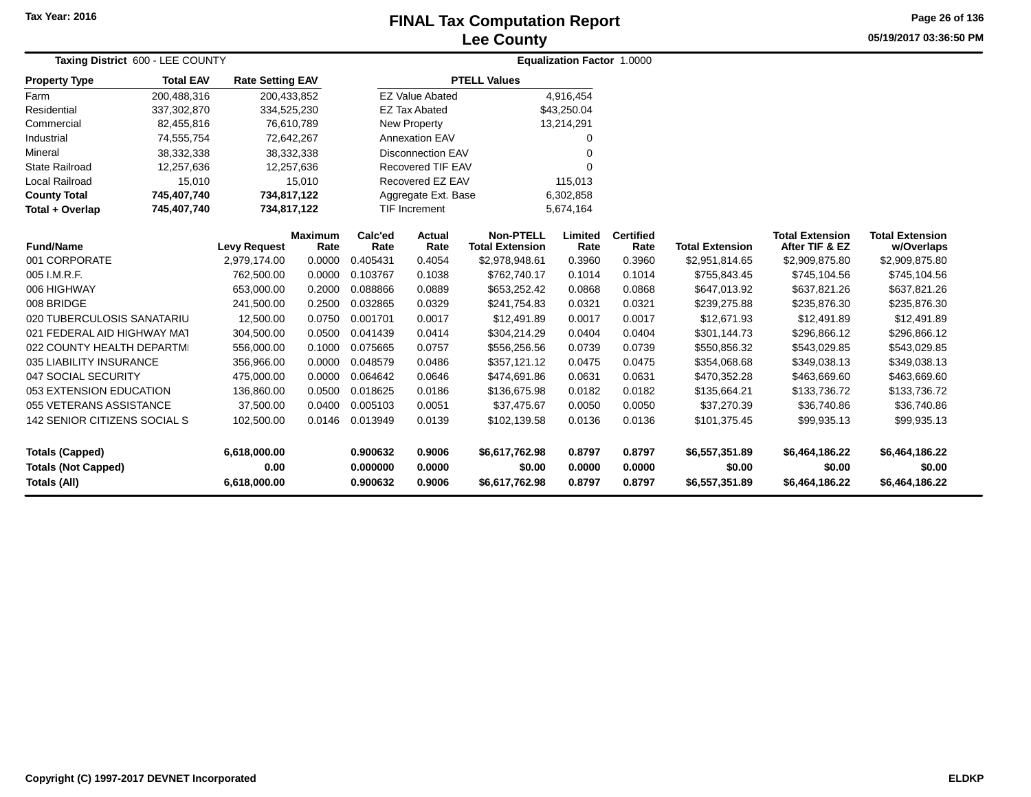## **Lee CountyFINAL Tax Computation Report** FINAL Tax Computation Report

**05/19/2017 03:36:50 PM Page 26 of 136**

| Taxing District 600 - LEE COUNTY                                            |                  |                                      |                        |                                  | <b>Equalization Factor 1.0000</b> |                                            |                            |                            |                                            |                                            |                                            |  |
|-----------------------------------------------------------------------------|------------------|--------------------------------------|------------------------|----------------------------------|-----------------------------------|--------------------------------------------|----------------------------|----------------------------|--------------------------------------------|--------------------------------------------|--------------------------------------------|--|
| <b>Property Type</b>                                                        | <b>Total EAV</b> | <b>Rate Setting EAV</b>              |                        |                                  |                                   | <b>PTELL Values</b>                        |                            |                            |                                            |                                            |                                            |  |
| Farm                                                                        | 200,488,316      | 200,433,852                          |                        |                                  | <b>EZ Value Abated</b>            |                                            | 4,916,454                  |                            |                                            |                                            |                                            |  |
| Residential                                                                 | 337,302,870      | 334,525,230                          |                        |                                  | <b>EZ Tax Abated</b>              |                                            | \$43,250.04                |                            |                                            |                                            |                                            |  |
| Commercial                                                                  | 82,455,816       | 76,610,789                           |                        |                                  | <b>New Property</b>               |                                            | 13,214,291                 |                            |                                            |                                            |                                            |  |
| Industrial                                                                  | 74,555,754       | 72,642,267                           |                        |                                  | <b>Annexation EAV</b>             |                                            | 0                          |                            |                                            |                                            |                                            |  |
| Mineral                                                                     | 38,332,338       | 38,332,338                           |                        |                                  | <b>Disconnection EAV</b>          |                                            | $\Omega$                   |                            |                                            |                                            |                                            |  |
| <b>State Railroad</b>                                                       | 12,257,636       | 12,257,636                           |                        |                                  | Recovered TIF EAV                 |                                            | $\Omega$                   |                            |                                            |                                            |                                            |  |
| Local Railroad                                                              | 15,010           |                                      | 15,010                 |                                  | Recovered EZ EAV                  |                                            | 115,013                    |                            |                                            |                                            |                                            |  |
| <b>County Total</b>                                                         | 745,407,740      | 734,817,122                          |                        |                                  | Aggregate Ext. Base               |                                            | 6,302,858                  |                            |                                            |                                            |                                            |  |
| Total + Overlap                                                             | 745,407,740      | 734,817,122                          |                        |                                  | <b>TIF Increment</b>              |                                            | 5,674,164                  |                            |                                            |                                            |                                            |  |
| <b>Fund/Name</b>                                                            |                  | <b>Levy Request</b>                  | <b>Maximum</b><br>Rate | Calc'ed<br>Rate                  | <b>Actual</b><br>Rate             | <b>Non-PTELL</b><br><b>Total Extension</b> | Limited<br>Rate            | <b>Certified</b><br>Rate   | <b>Total Extension</b>                     | <b>Total Extension</b><br>After TIF & EZ   | <b>Total Extension</b><br>w/Overlaps       |  |
| 001 CORPORATE                                                               |                  | 2,979,174.00                         | 0.0000                 | 0.405431                         | 0.4054                            | \$2,978,948.61                             | 0.3960                     | 0.3960                     | \$2,951,814.65                             | \$2,909,875.80                             | \$2,909,875.80                             |  |
| 005 I.M.R.F.                                                                |                  | 762,500.00                           | 0.0000                 | 0.103767                         | 0.1038                            | \$762,740.17                               | 0.1014                     | 0.1014                     | \$755,843.45                               | \$745,104.56                               | \$745,104.56                               |  |
| 006 HIGHWAY                                                                 |                  | 653,000.00                           | 0.2000                 | 0.088866                         | 0.0889                            | \$653,252.42                               | 0.0868                     | 0.0868                     | \$647,013.92                               | \$637,821.26                               | \$637,821.26                               |  |
| 008 BRIDGE                                                                  |                  | 241,500.00                           | 0.2500                 | 0.032865                         | 0.0329                            | \$241,754.83                               | 0.0321                     | 0.0321                     | \$239,275.88                               | \$235,876.30                               | \$235,876.30                               |  |
| 020 TUBERCULOSIS SANATARIU                                                  |                  | 12,500.00                            | 0.0750                 | 0.001701                         | 0.0017                            | \$12,491.89                                | 0.0017                     | 0.0017                     | \$12,671.93                                | \$12,491.89                                | \$12,491.89                                |  |
| 021 FEDERAL AID HIGHWAY MAT                                                 |                  | 304,500.00                           | 0.0500                 | 0.041439                         | 0.0414                            | \$304,214.29                               | 0.0404                     | 0.0404                     | \$301,144.73                               | \$296,866.12                               | \$296,866.12                               |  |
| 022 COUNTY HEALTH DEPARTMI                                                  |                  | 556,000.00                           | 0.1000                 | 0.075665                         | 0.0757                            | \$556,256.56                               | 0.0739                     | 0.0739                     | \$550,856.32                               | \$543,029.85                               | \$543,029.85                               |  |
| 035 LIABILITY INSURANCE                                                     |                  | 356,966.00                           | 0.0000                 | 0.048579                         | 0.0486                            | \$357,121.12                               | 0.0475                     | 0.0475                     | \$354,068.68                               | \$349,038.13                               | \$349,038.13                               |  |
| 047 SOCIAL SECURITY                                                         |                  | 475,000.00                           | 0.0000                 | 0.064642                         | 0.0646                            | \$474,691.86                               | 0.0631                     | 0.0631                     | \$470,352.28                               | \$463,669.60                               | \$463,669.60                               |  |
| 053 EXTENSION EDUCATION                                                     |                  | 136,860.00                           | 0.0500                 | 0.018625                         | 0.0186                            | \$136,675.98                               | 0.0182                     | 0.0182                     | \$135,664.21                               | \$133,736.72                               | \$133,736.72                               |  |
| 055 VETERANS ASSISTANCE                                                     |                  | 37,500.00                            | 0.0400                 | 0.005103                         | 0.0051                            | \$37,475.67                                | 0.0050                     | 0.0050                     | \$37,270.39                                | \$36,740.86                                | \$36,740.86                                |  |
| 142 SENIOR CITIZENS SOCIAL S                                                |                  | 102,500.00                           | 0.0146                 | 0.013949                         | 0.0139                            | \$102,139.58                               | 0.0136                     | 0.0136                     | \$101,375.45                               | \$99,935.13                                | \$99,935.13                                |  |
| <b>Totals (Capped)</b><br><b>Totals (Not Capped)</b><br><b>Totals (All)</b> |                  | 6,618,000.00<br>0.00<br>6,618,000.00 |                        | 0.900632<br>0.000000<br>0.900632 | 0.9006<br>0.0000<br>0.9006        | \$6,617,762.98<br>\$0.00<br>\$6,617,762.98 | 0.8797<br>0.0000<br>0.8797 | 0.8797<br>0.0000<br>0.8797 | \$6,557,351.89<br>\$0.00<br>\$6,557,351.89 | \$6,464,186.22<br>\$0.00<br>\$6,464,186.22 | \$6,464,186.22<br>\$0.00<br>\$6,464,186.22 |  |
|                                                                             |                  |                                      |                        |                                  |                                   |                                            |                            |                            |                                            |                                            |                                            |  |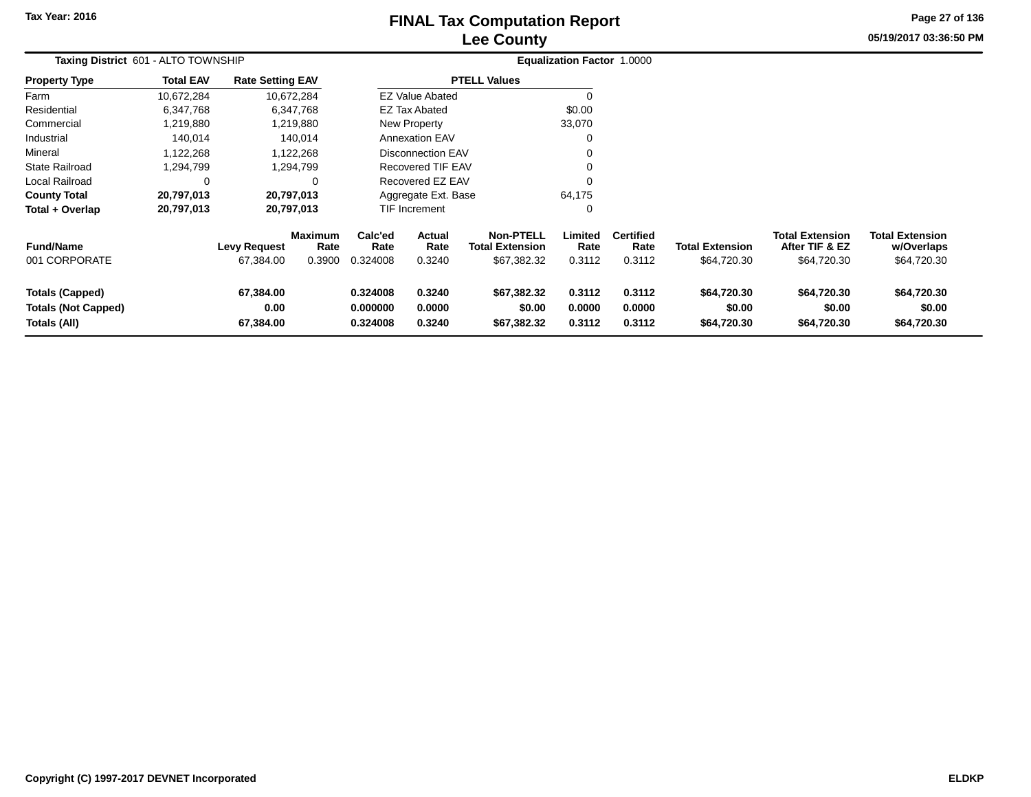# **Lee CountyFINAL Tax Computation Report** FINAL Tax Computation Report

**05/19/2017 03:36:50 PM Page 27 of 136**

| Taxing District 601 - ALTO TOWNSHIP                                  |                  |                                  |                                  |                                                                |                                 |                                                           | <b>Equalization Factor 1.0000</b> |                                    |                                       |                                                         |                                                     |
|----------------------------------------------------------------------|------------------|----------------------------------|----------------------------------|----------------------------------------------------------------|---------------------------------|-----------------------------------------------------------|-----------------------------------|------------------------------------|---------------------------------------|---------------------------------------------------------|-----------------------------------------------------|
| <b>Property Type</b>                                                 | <b>Total EAV</b> | <b>Rate Setting EAV</b>          |                                  |                                                                |                                 | <b>PTELL Values</b>                                       |                                   |                                    |                                       |                                                         |                                                     |
| Farm                                                                 | 10,672,284       |                                  | 10,672,284                       |                                                                | <b>EZ Value Abated</b>          |                                                           | $\Omega$                          |                                    |                                       |                                                         |                                                     |
| Residential                                                          | 6,347,768        |                                  | 6,347,768                        |                                                                | <b>EZ Tax Abated</b>            |                                                           | \$0.00                            |                                    |                                       |                                                         |                                                     |
| Commercial                                                           | 1,219,880        |                                  | 1,219,880                        |                                                                | New Property                    |                                                           | 33,070                            |                                    |                                       |                                                         |                                                     |
| Industrial                                                           | 140,014          |                                  | 140,014                          |                                                                | <b>Annexation EAV</b>           |                                                           |                                   |                                    |                                       |                                                         |                                                     |
| Mineral                                                              | 1,122,268        |                                  | 1,122,268                        |                                                                | <b>Disconnection EAV</b>        |                                                           |                                   |                                    |                                       |                                                         |                                                     |
| <b>State Railroad</b>                                                | 1,294,799        |                                  | 1,294,799                        |                                                                | <b>Recovered TIF EAV</b>        |                                                           |                                   |                                    |                                       |                                                         |                                                     |
| Local Railroad                                                       |                  |                                  | 0                                |                                                                | Recovered EZ EAV                |                                                           | $\Omega$                          |                                    |                                       |                                                         |                                                     |
| <b>County Total</b>                                                  | 20,797,013       |                                  | 20,797,013                       |                                                                | Aggregate Ext. Base             |                                                           | 64,175                            |                                    |                                       |                                                         |                                                     |
| Total + Overlap                                                      | 20,797,013       |                                  | 20,797,013                       |                                                                | TIF Increment                   |                                                           | 0                                 |                                    |                                       |                                                         |                                                     |
| <b>Fund/Name</b><br>001 CORPORATE                                    |                  | <b>Levy Request</b><br>67,384.00 | <b>Maximum</b><br>Rate<br>0.3900 | Calc'ed<br>Rate<br>0.324008                                    | <b>Actual</b><br>Rate<br>0.3240 | <b>Non-PTELL</b><br><b>Total Extension</b><br>\$67,382.32 | Limited<br>Rate<br>0.3112         | <b>Certified</b><br>Rate<br>0.3112 | <b>Total Extension</b><br>\$64,720.30 | <b>Total Extension</b><br>After TIF & EZ<br>\$64,720.30 | <b>Total Extension</b><br>w/Overlaps<br>\$64,720.30 |
| <b>Totals (Capped)</b><br><b>Totals (Not Capped)</b><br>Totals (All) |                  | 67,384.00<br>0.00<br>67,384.00   |                                  | 0.324008<br>0.3240<br>0.000000<br>0.0000<br>0.324008<br>0.3240 |                                 | \$67,382.32<br>\$0.00<br>\$67,382.32                      | 0.3112<br>0.0000<br>0.3112        | 0.3112<br>0.0000<br>0.3112         | \$64,720.30<br>\$0.00<br>\$64,720.30  | \$64,720.30<br>\$0.00<br>\$64,720.30                    | \$64,720.30<br>\$0.00<br>\$64,720.30                |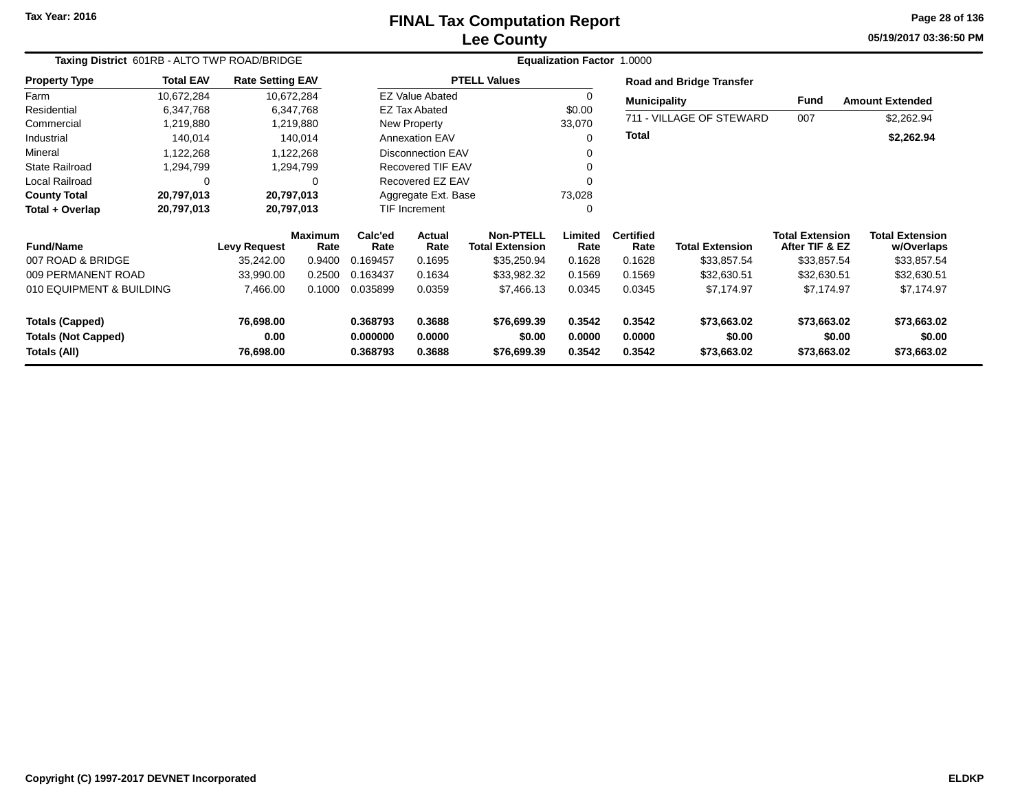# **Lee CountyFINAL Tax Computation Report**

**05/19/2017 03:36:50 PM Page 28 of 136**

|                                            | Taxing District 601RB - ALTO TWP ROAD/BRIDGE |                         |                        |                      |                          |                                            | Equalization Factor 1.0000 |                          |                                 |                                          |                                      |
|--------------------------------------------|----------------------------------------------|-------------------------|------------------------|----------------------|--------------------------|--------------------------------------------|----------------------------|--------------------------|---------------------------------|------------------------------------------|--------------------------------------|
| <b>Property Type</b>                       | <b>Total EAV</b>                             | <b>Rate Setting EAV</b> |                        |                      |                          | <b>PTELL Values</b>                        |                            |                          | <b>Road and Bridge Transfer</b> |                                          |                                      |
| Farm                                       | 10,672,284                                   |                         | 10,672,284             |                      | <b>EZ Value Abated</b>   |                                            | $\Omega$                   | <b>Municipality</b>      |                                 | Fund                                     | <b>Amount Extended</b>               |
| Residential                                | 6,347,768                                    |                         | 6,347,768              |                      | <b>EZ Tax Abated</b>     |                                            | \$0.00                     |                          |                                 |                                          |                                      |
| Commercial                                 | 1,219,880                                    |                         | 1,219,880              |                      | New Property             |                                            | 33,070                     |                          | 711 - VILLAGE OF STEWARD        | 007                                      | \$2,262.94                           |
| Industrial                                 | 140,014                                      |                         | 140,014                |                      | <b>Annexation EAV</b>    |                                            | $\Omega$                   | Total                    |                                 |                                          | \$2,262.94                           |
| Mineral                                    | 1,122,268                                    |                         | 1,122,268              |                      | <b>Disconnection EAV</b> |                                            | 0                          |                          |                                 |                                          |                                      |
| <b>State Railroad</b>                      | 1,294,799                                    |                         | 1,294,799              |                      | <b>Recovered TIF EAV</b> |                                            |                            |                          |                                 |                                          |                                      |
| <b>Local Railroad</b>                      | $\Omega$                                     |                         | 0                      |                      | Recovered EZ EAV         |                                            | $\Omega$                   |                          |                                 |                                          |                                      |
| <b>County Total</b>                        | 20,797,013                                   |                         | 20,797,013             |                      | Aggregate Ext. Base      |                                            | 73,028                     |                          |                                 |                                          |                                      |
| Total + Overlap                            | 20,797,013                                   |                         | 20,797,013             |                      | <b>TIF Increment</b>     |                                            | 0                          |                          |                                 |                                          |                                      |
| <b>Fund/Name</b>                           |                                              | Levy Request            | <b>Maximum</b><br>Rate | Calc'ed<br>Rate      | <b>Actual</b><br>Rate    | <b>Non-PTELL</b><br><b>Total Extension</b> | Limited<br>Rate            | <b>Certified</b><br>Rate | <b>Total Extension</b>          | <b>Total Extension</b><br>After TIF & EZ | <b>Total Extension</b><br>w/Overlaps |
| 007 ROAD & BRIDGE                          |                                              | 35,242.00               | 0.9400                 | 0.169457             | 0.1695                   | \$35,250.94                                | 0.1628                     | 0.1628                   | \$33,857.54                     | \$33,857.54                              | \$33,857.54                          |
| 009 PERMANENT ROAD                         |                                              | 33,990.00               | 0.2500                 | 0.163437             | 0.1634                   | \$33,982.32                                | 0.1569                     | 0.1569                   | \$32,630.51                     | \$32,630.51                              | \$32,630.51                          |
| 010 EQUIPMENT & BUILDING                   |                                              | 7,466.00                | 0.1000                 | 0.035899             | 0.0359                   | \$7,466.13                                 | 0.0345                     | 0.0345                   | \$7,174.97                      | \$7,174.97                               | \$7,174.97                           |
| <b>Totals (Capped)</b>                     |                                              | 76,698.00               |                        | 0.368793             | 0.3688                   | \$76,699.39                                | 0.3542                     | 0.3542                   | \$73,663.02                     | \$73,663.02                              | \$73,663.02                          |
| <b>Totals (Not Capped)</b><br>Totals (All) |                                              | 0.00<br>76,698.00       |                        | 0.000000<br>0.368793 | 0.0000<br>0.3688         | \$0.00<br>\$76,699.39                      | 0.0000<br>0.3542           | 0.0000<br>0.3542         | \$0.00<br>\$73,663.02           | \$0.00<br>\$73,663.02                    | \$0.00<br>\$73,663.02                |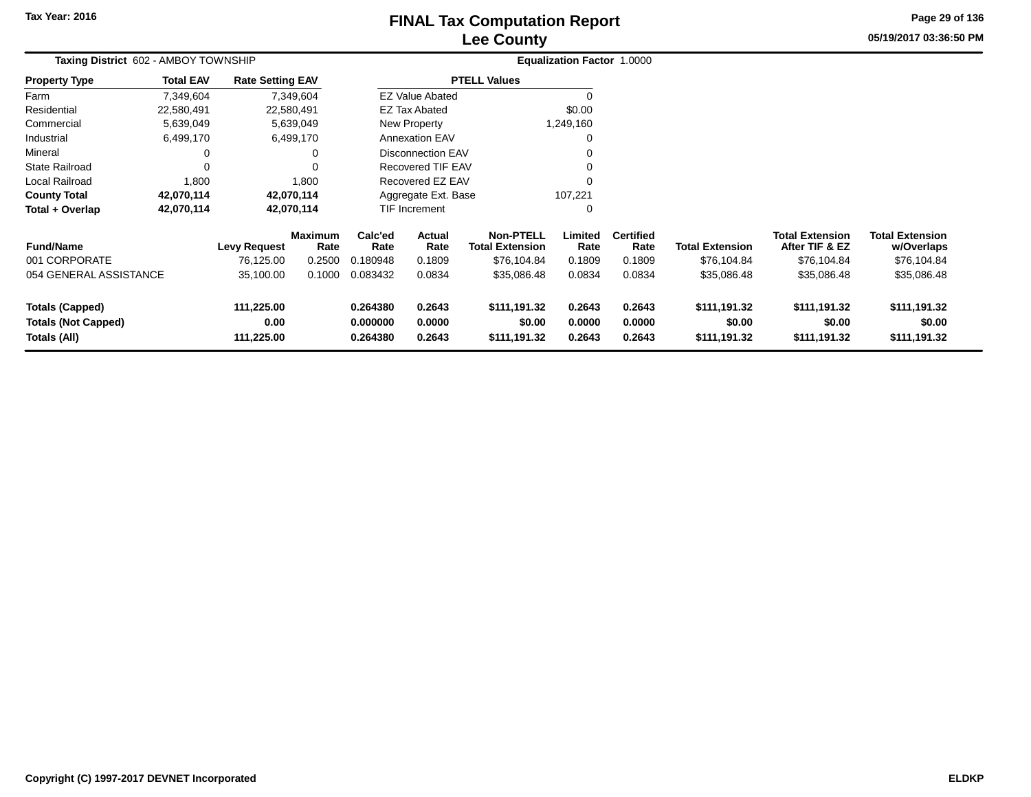# **Lee CountyFINAL Tax Computation Report**

**05/19/2017 03:36:50 PM Page 29 of 136**

|                                                                                                          | Taxing District 602 - AMBOY TOWNSHIP |                                  |                                  |                             |                                        |                                                           | <b>Equalization Factor 1.0000</b> |                                        |                                        |                                                         |                                                     |  |
|----------------------------------------------------------------------------------------------------------|--------------------------------------|----------------------------------|----------------------------------|-----------------------------|----------------------------------------|-----------------------------------------------------------|-----------------------------------|----------------------------------------|----------------------------------------|---------------------------------------------------------|-----------------------------------------------------|--|
| <b>Property Type</b>                                                                                     | <b>Total EAV</b>                     | <b>Rate Setting EAV</b>          |                                  |                             |                                        | <b>PTELL Values</b>                                       |                                   |                                        |                                        |                                                         |                                                     |  |
| Farm                                                                                                     | 7,349,604                            |                                  | 7,349,604                        |                             | <b>EZ Value Abated</b>                 |                                                           |                                   |                                        |                                        |                                                         |                                                     |  |
| Residential                                                                                              | 22,580,491                           | 22,580,491                       |                                  |                             | <b>EZ Tax Abated</b>                   |                                                           | \$0.00                            |                                        |                                        |                                                         |                                                     |  |
| Commercial                                                                                               | 5,639,049                            |                                  | 5,639,049                        |                             | New Property                           |                                                           | 1,249,160                         |                                        |                                        |                                                         |                                                     |  |
| Industrial                                                                                               | 6,499,170                            |                                  | 6,499,170                        |                             | <b>Annexation EAV</b>                  |                                                           | $\Omega$                          |                                        |                                        |                                                         |                                                     |  |
| Mineral                                                                                                  |                                      |                                  | 0                                |                             | <b>Disconnection EAV</b>               |                                                           | $\Omega$                          |                                        |                                        |                                                         |                                                     |  |
| <b>State Railroad</b>                                                                                    |                                      |                                  | 0                                |                             | Recovered TIF EAV                      |                                                           |                                   |                                        |                                        |                                                         |                                                     |  |
| <b>Local Railroad</b>                                                                                    | 1,800                                |                                  | 1,800                            |                             | Recovered EZ EAV                       |                                                           | $\Omega$                          |                                        |                                        |                                                         |                                                     |  |
| <b>County Total</b>                                                                                      | 42,070,114                           | 42,070,114                       |                                  |                             | Aggregate Ext. Base                    |                                                           | 107,221                           |                                        |                                        |                                                         |                                                     |  |
| Total + Overlap                                                                                          | 42,070,114                           | 42,070,114                       |                                  |                             | TIF Increment                          |                                                           | 0                                 |                                        |                                        |                                                         |                                                     |  |
| <b>Fund/Name</b><br>001 CORPORATE                                                                        |                                      | <b>Levy Request</b><br>76,125.00 | <b>Maximum</b><br>Rate<br>0.2500 | Calc'ed<br>Rate<br>0.180948 | Actual<br>Rate<br>0.1809               | <b>Non-PTELL</b><br><b>Total Extension</b><br>\$76,104.84 | Limited<br>Rate<br>0.1809         | <b>Certified</b><br>Rate<br>0.1809     | <b>Total Extension</b><br>\$76,104.84  | <b>Total Extension</b><br>After TIF & EZ<br>\$76,104.84 | <b>Total Extension</b><br>w/Overlaps<br>\$76,104.84 |  |
| 054 GENERAL ASSISTANCE                                                                                   |                                      | 35,100.00                        | 0.1000                           | 0.083432                    | 0.0834                                 | \$35,086.48                                               | 0.0834                            | 0.0834                                 | \$35,086.48                            | \$35,086.48                                             | \$35,086.48                                         |  |
| 111,225.00<br><b>Totals (Capped)</b><br>0.00<br><b>Totals (Not Capped)</b><br>111,225.00<br>Totals (All) |                                      |                                  | 0.264380<br>0.000000<br>0.264380 | 0.2643<br>0.0000<br>0.2643  | \$111,191.32<br>\$0.00<br>\$111,191.32 | 0.2643<br>0.0000<br>0.2643                                | 0.2643<br>0.0000<br>0.2643        | \$111,191.32<br>\$0.00<br>\$111,191.32 | \$111,191.32<br>\$0.00<br>\$111,191.32 | \$111,191.32<br>\$0.00<br>\$111,191.32                  |                                                     |  |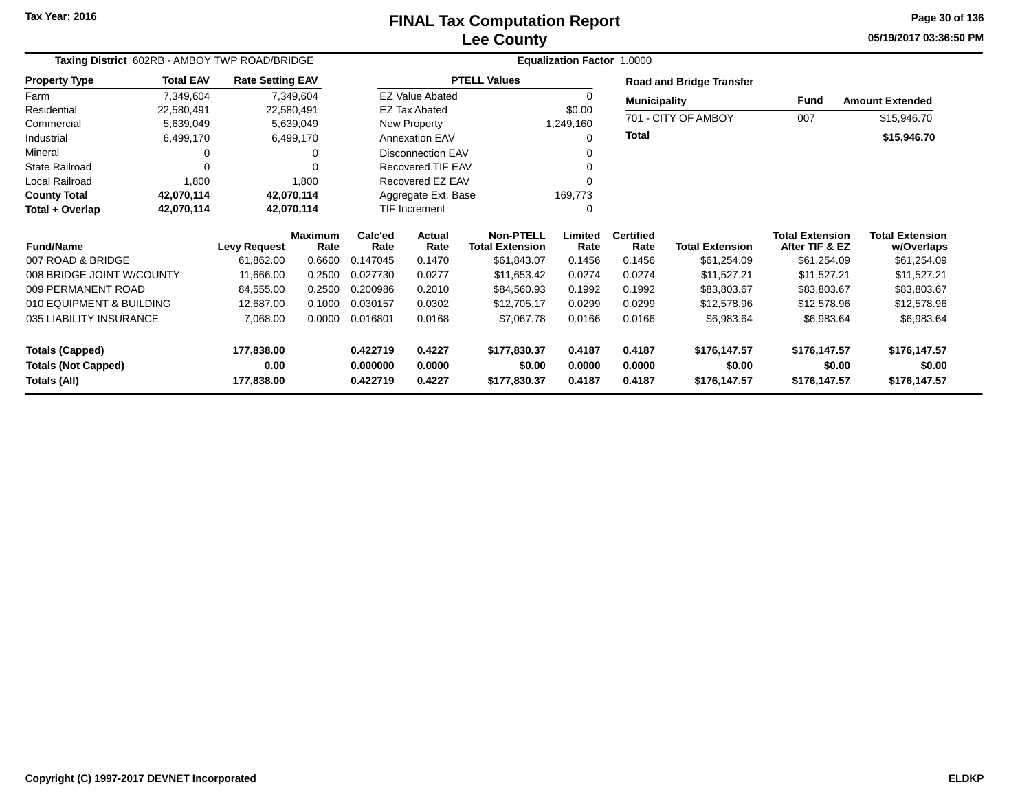# **Lee CountyFINAL Tax Computation Report**

**05/19/2017 03:36:50 PM Page 30 of 136**

| Taxing District 602RB - AMBOY TWP ROAD/BRIDGE |                  |                         |                        |                      |                          |                                            | <b>Equalization Factor 1.0000</b> |                          |                                 |                                          |                                      |
|-----------------------------------------------|------------------|-------------------------|------------------------|----------------------|--------------------------|--------------------------------------------|-----------------------------------|--------------------------|---------------------------------|------------------------------------------|--------------------------------------|
| <b>Property Type</b>                          | <b>Total EAV</b> | <b>Rate Setting EAV</b> |                        |                      |                          | <b>PTELL Values</b>                        |                                   |                          | <b>Road and Bridge Transfer</b> |                                          |                                      |
| Farm                                          | 7,349,604        |                         | 7,349,604              |                      | <b>EZ Value Abated</b>   |                                            | 0                                 | <b>Municipality</b>      |                                 | Fund                                     | <b>Amount Extended</b>               |
| Residential                                   | 22,580,491       |                         | 22,580,491             |                      | <b>EZ Tax Abated</b>     |                                            | \$0.00                            |                          |                                 |                                          |                                      |
| Commercial                                    | 5,639,049        |                         | 5,639,049              |                      | New Property             |                                            | 1,249,160                         |                          | 701 - CITY OF AMBOY             | 007                                      | \$15,946.70                          |
| Industrial                                    | 6,499,170        |                         | 6,499,170              |                      | <b>Annexation EAV</b>    |                                            | $\Omega$                          | <b>Total</b>             |                                 |                                          | \$15,946.70                          |
| Mineral                                       |                  |                         | 0                      |                      | <b>Disconnection EAV</b> |                                            | 0                                 |                          |                                 |                                          |                                      |
| <b>State Railroad</b>                         | 0                |                         |                        |                      | Recovered TIF EAV        |                                            | 0                                 |                          |                                 |                                          |                                      |
| Local Railroad                                | 1,800            |                         | 1,800                  | Recovered EZ EAV     |                          |                                            | 0                                 |                          |                                 |                                          |                                      |
| <b>County Total</b>                           | 42,070,114       |                         | 42,070,114             | Aggregate Ext. Base  |                          |                                            | 169,773                           |                          |                                 |                                          |                                      |
| Total + Overlap                               | 42,070,114       |                         | 42,070,114             | <b>TIF Increment</b> |                          |                                            | 0                                 |                          |                                 |                                          |                                      |
| <b>Fund/Name</b>                              |                  | <b>Levy Request</b>     | <b>Maximum</b><br>Rate | Calc'ed<br>Rate      | Actual<br>Rate           | <b>Non-PTELL</b><br><b>Total Extension</b> | Limited<br>Rate                   | <b>Certified</b><br>Rate | <b>Total Extension</b>          | <b>Total Extension</b><br>After TIF & EZ | <b>Total Extension</b><br>w/Overlaps |
| 007 ROAD & BRIDGE                             |                  | 61,862.00               | 0.6600                 | 0.147045             | 0.1470                   | \$61,843.07                                | 0.1456                            | 0.1456                   | \$61,254.09                     | \$61,254.09                              | \$61,254.09                          |
| 008 BRIDGE JOINT W/COUNTY                     |                  | 11,666.00               | 0.2500                 | 0.027730             | 0.0277                   | \$11,653.42                                | 0.0274                            | 0.0274                   | \$11,527.21                     | \$11,527.21                              | \$11,527.21                          |
| 009 PERMANENT ROAD                            |                  | 84,555.00               | 0.2500                 | 0.200986             | 0.2010                   | \$84,560.93                                | 0.1992                            | 0.1992                   | \$83,803.67                     | \$83,803.67                              | \$83,803.67                          |
| 010 EQUIPMENT & BUILDING                      |                  | 12,687.00               | 0.1000                 | 0.030157             | 0.0302                   | \$12,705.17                                | 0.0299                            | 0.0299                   | \$12,578.96                     | \$12,578.96                              | \$12,578.96                          |
| 035 LIABILITY INSURANCE                       |                  | 7,068.00                | 0.0000                 | 0.016801             | 0.0168                   | \$7,067.78                                 | 0.0166                            | 0.0166                   | \$6,983.64                      | \$6,983.64                               | \$6,983.64                           |
| <b>Totals (Capped)</b>                        |                  | 177,838.00              |                        | 0.422719             | 0.4227                   | \$177,830.37                               | 0.4187                            | 0.4187                   | \$176,147.57                    | \$176,147.57                             | \$176,147.57                         |
| <b>Totals (Not Capped)</b>                    |                  | 0.00                    |                        | 0.000000             | 0.0000                   | \$0.00                                     | 0.0000                            | 0.0000                   | \$0.00                          | \$0.00                                   | \$0.00                               |
| Totals (All)                                  |                  | 177,838.00              |                        | 0.422719             | 0.4227                   | \$177,830.37                               | 0.4187                            | 0.4187                   | \$176,147.57                    | \$176,147.57                             | \$176,147.57                         |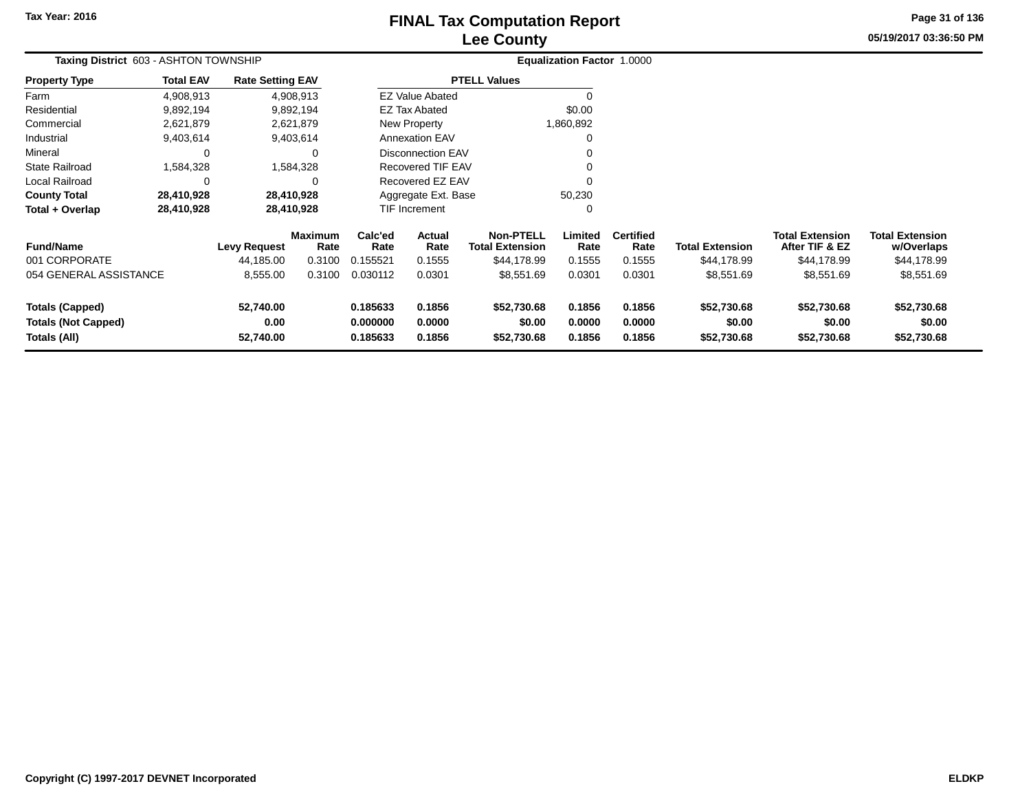## **Lee CountyFINAL Tax Computation Report** FINAL Tax Computation Report

**05/19/2017 03:36:50 PMPage 31 of 136**

| Taxing District 603 - ASHTON TOWNSHIP                                |                  |                                |                        | <b>Equalization Factor 1.0000</b> |                            |                                            |                            |                            |                                      |                                          |                                      |  |
|----------------------------------------------------------------------|------------------|--------------------------------|------------------------|-----------------------------------|----------------------------|--------------------------------------------|----------------------------|----------------------------|--------------------------------------|------------------------------------------|--------------------------------------|--|
| <b>Property Type</b>                                                 | <b>Total EAV</b> | <b>Rate Setting EAV</b>        |                        |                                   |                            | <b>PTELL Values</b>                        |                            |                            |                                      |                                          |                                      |  |
| Farm                                                                 | 4,908,913        |                                | 4,908,913              |                                   | <b>EZ Value Abated</b>     |                                            | $\Omega$                   |                            |                                      |                                          |                                      |  |
| Residential                                                          | 9,892,194        |                                | 9,892,194              |                                   | <b>EZ Tax Abated</b>       |                                            | \$0.00                     |                            |                                      |                                          |                                      |  |
| Commercial                                                           | 2,621,879        |                                | 2,621,879              |                                   | New Property               |                                            | 1,860,892                  |                            |                                      |                                          |                                      |  |
| Industrial                                                           | 9,403,614        |                                | 9,403,614              |                                   | <b>Annexation EAV</b>      |                                            | 0                          |                            |                                      |                                          |                                      |  |
| Mineral                                                              | 0                |                                | 0                      |                                   | <b>Disconnection EAV</b>   |                                            |                            |                            |                                      |                                          |                                      |  |
| <b>State Railroad</b>                                                | 1,584,328        |                                | 1,584,328              |                                   | <b>Recovered TIF EAV</b>   |                                            | 0                          |                            |                                      |                                          |                                      |  |
| Local Railroad                                                       | 0                |                                |                        |                                   | Recovered EZ EAV           |                                            | $\Omega$                   |                            |                                      |                                          |                                      |  |
| <b>County Total</b>                                                  | 28,410,928       |                                | 28,410,928             |                                   | Aggregate Ext. Base        |                                            | 50,230                     |                            |                                      |                                          |                                      |  |
| Total + Overlap                                                      | 28,410,928       |                                | 28,410,928             |                                   | <b>TIF Increment</b>       |                                            | 0                          |                            |                                      |                                          |                                      |  |
| <b>Fund/Name</b>                                                     |                  | <b>Levy Request</b>            | <b>Maximum</b><br>Rate | Calc'ed<br>Rate                   | <b>Actual</b><br>Rate      | <b>Non-PTELL</b><br><b>Total Extension</b> | Limited<br>Rate            | <b>Certified</b><br>Rate   | <b>Total Extension</b>               | <b>Total Extension</b><br>After TIF & EZ | <b>Total Extension</b><br>w/Overlaps |  |
| 001 CORPORATE                                                        |                  | 44,185.00                      | 0.3100                 | 0.155521                          | 0.1555                     | \$44,178.99                                | 0.1555                     | 0.1555                     | \$44,178.99                          | \$44,178.99                              | \$44,178.99                          |  |
| 054 GENERAL ASSISTANCE                                               |                  | 8,555.00                       | 0.3100                 | 0.030112                          | 0.0301                     | \$8,551.69                                 | 0.0301                     | 0.0301                     | \$8,551.69                           | \$8,551.69                               | \$8,551.69                           |  |
| <b>Totals (Capped)</b><br><b>Totals (Not Capped)</b><br>Totals (All) |                  | 52,740.00<br>0.00<br>52,740.00 |                        | 0.185633<br>0.000000<br>0.185633  | 0.1856<br>0.0000<br>0.1856 | \$52,730.68<br>\$0.00<br>\$52,730.68       | 0.1856<br>0.0000<br>0.1856 | 0.1856<br>0.0000<br>0.1856 | \$52,730.68<br>\$0.00<br>\$52,730.68 | \$52,730.68<br>\$0.00<br>\$52,730.68     | \$52,730.68<br>\$0.00<br>\$52,730.68 |  |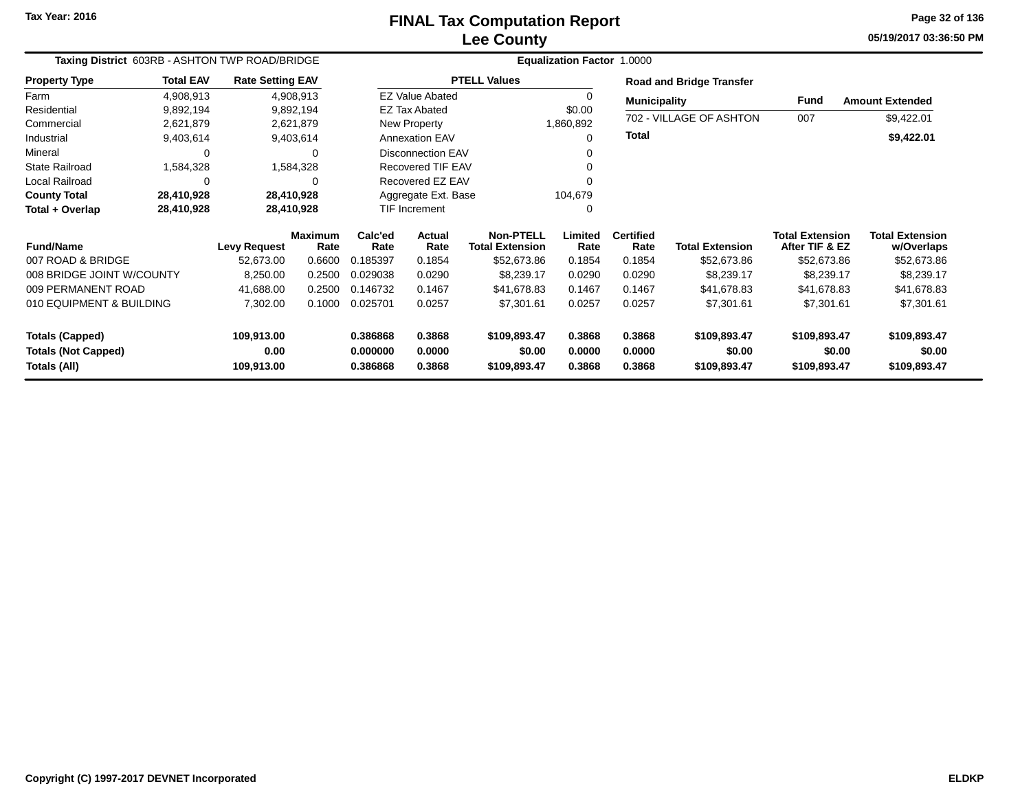## **Lee CountyFINAL Tax Computation Report**

**05/19/2017 03:36:50 PM Page 32 of 136**

| Taxing District 603RB - ASHTON TWP ROAD/BRIDGE |                  |                         |                        |                 |                          |                                            | Equalization Factor 1.0000 |                          |                                 |                                          |                                      |
|------------------------------------------------|------------------|-------------------------|------------------------|-----------------|--------------------------|--------------------------------------------|----------------------------|--------------------------|---------------------------------|------------------------------------------|--------------------------------------|
| <b>Property Type</b>                           | <b>Total EAV</b> | <b>Rate Setting EAV</b> |                        |                 |                          | <b>PTELL Values</b>                        |                            |                          | <b>Road and Bridge Transfer</b> |                                          |                                      |
| Farm                                           | 4,908,913        |                         | 4,908,913              |                 | <b>EZ Value Abated</b>   |                                            |                            | <b>Municipality</b>      |                                 | Fund                                     | <b>Amount Extended</b>               |
| Residential                                    | 9,892,194        |                         | 9,892,194              |                 | <b>EZ Tax Abated</b>     |                                            | \$0.00                     |                          |                                 |                                          |                                      |
| Commercial                                     | 2,621,879        |                         | 2,621,879              |                 | New Property             |                                            | 1,860,892                  |                          | 702 - VILLAGE OF ASHTON         | 007                                      | \$9,422.01                           |
| Industrial                                     | 9,403,614        |                         | 9,403,614              |                 | <b>Annexation EAV</b>    |                                            | $\Omega$                   | <b>Total</b>             |                                 |                                          | \$9,422.01                           |
| Mineral                                        | 0                |                         | 0                      |                 | <b>Disconnection EAV</b> |                                            |                            |                          |                                 |                                          |                                      |
| <b>State Railroad</b>                          | 1,584,328        |                         | 1,584,328              |                 | <b>Recovered TIF EAV</b> |                                            |                            |                          |                                 |                                          |                                      |
| Local Railroad                                 | 0                |                         | 0                      |                 | Recovered EZ EAV         |                                            |                            |                          |                                 |                                          |                                      |
| <b>County Total</b>                            | 28,410,928       |                         | 28,410,928             |                 | Aggregate Ext. Base      |                                            | 104,679                    |                          |                                 |                                          |                                      |
| Total + Overlap                                | 28,410,928       |                         | 28,410,928             |                 | TIF Increment            |                                            | $\Omega$                   |                          |                                 |                                          |                                      |
| <b>Fund/Name</b>                               |                  | <b>Levy Request</b>     | <b>Maximum</b><br>Rate | Calc'ed<br>Rate | Actual<br>Rate           | <b>Non-PTELL</b><br><b>Total Extension</b> | Limited<br>Rate            | <b>Certified</b><br>Rate | <b>Total Extension</b>          | <b>Total Extension</b><br>After TIF & EZ | <b>Total Extension</b><br>w/Overlaps |
| 007 ROAD & BRIDGE                              |                  | 52,673.00               | 0.6600                 | 0.185397        | 0.1854                   | \$52,673.86                                | 0.1854                     | 0.1854                   | \$52,673.86                     | \$52,673.86                              | \$52,673.86                          |
| 008 BRIDGE JOINT W/COUNTY                      |                  | 8,250.00                | 0.2500                 | 0.029038        | 0.0290                   | \$8,239.17                                 | 0.0290                     | 0.0290                   | \$8,239.17                      | \$8,239.17                               | \$8,239.17                           |
|                                                |                  |                         |                        |                 |                          |                                            |                            |                          |                                 |                                          |                                      |
| 009 PERMANENT ROAD                             |                  | 41,688.00               | 0.2500                 | 0.146732        | 0.1467                   | \$41,678.83                                | 0.1467                     | 0.1467                   | \$41,678.83                     | \$41,678.83                              | \$41,678.83                          |
| 010 EQUIPMENT & BUILDING                       |                  | 7,302.00                | 0.1000                 | 0.025701        | 0.0257                   | \$7,301.61                                 | 0.0257                     | 0.0257                   | \$7,301.61                      | \$7,301.61                               | \$7,301.61                           |
| <b>Totals (Capped)</b>                         |                  | 109,913.00              |                        | 0.386868        | 0.3868                   | \$109,893.47                               | 0.3868                     | 0.3868                   | \$109,893.47                    | \$109,893.47                             | \$109,893.47                         |
| <b>Totals (Not Capped)</b>                     |                  | 0.00                    |                        | 0.000000        | 0.0000                   | \$0.00                                     | 0.0000                     | 0.0000                   | \$0.00                          | \$0.00                                   | \$0.00                               |
| Totals (All)                                   |                  | 109,913.00              |                        | 0.386868        | 0.3868                   | \$109,893.47                               | 0.3868                     | 0.3868                   | \$109,893.47                    | \$109,893.47                             | \$109,893.47                         |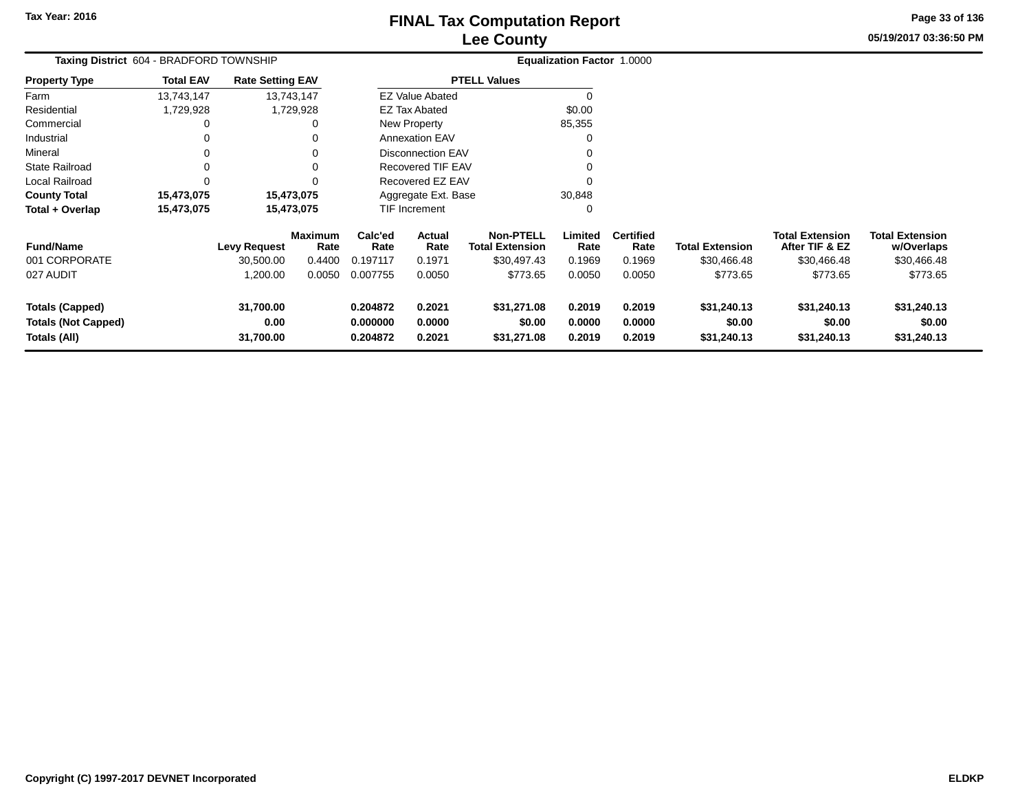**05/19/2017 03:36:50 PMPage 33 of 136**

| Taxing District 604 - BRADFORD TOWNSHIP                       |                  |                                |                        |                                                                |                          |                                            | Equalization Factor 1.0000 |                            |                                      |                                          |                                      |
|---------------------------------------------------------------|------------------|--------------------------------|------------------------|----------------------------------------------------------------|--------------------------|--------------------------------------------|----------------------------|----------------------------|--------------------------------------|------------------------------------------|--------------------------------------|
| Property Type                                                 | <b>Total EAV</b> | <b>Rate Setting EAV</b>        |                        |                                                                |                          | <b>PTELL Values</b>                        |                            |                            |                                      |                                          |                                      |
| Farm                                                          | 13,743,147       |                                | 13,743,147             |                                                                | <b>EZ Value Abated</b>   |                                            | 0                          |                            |                                      |                                          |                                      |
| Residential                                                   | 1,729,928        |                                | 1,729,928              |                                                                | <b>EZ Tax Abated</b>     |                                            | \$0.00                     |                            |                                      |                                          |                                      |
| Commercial                                                    |                  |                                | 0                      |                                                                | New Property             |                                            | 85,355                     |                            |                                      |                                          |                                      |
| Industrial                                                    |                  |                                | 0                      |                                                                | <b>Annexation EAV</b>    |                                            |                            |                            |                                      |                                          |                                      |
| Mineral                                                       |                  |                                |                        |                                                                | <b>Disconnection EAV</b> |                                            |                            |                            |                                      |                                          |                                      |
| State Railroad                                                |                  |                                |                        |                                                                | <b>Recovered TIF EAV</b> |                                            |                            |                            |                                      |                                          |                                      |
| Local Railroad                                                |                  |                                | 0                      |                                                                | Recovered EZ EAV         |                                            | ŋ                          |                            |                                      |                                          |                                      |
| <b>County Total</b>                                           | 15,473,075       |                                | 15,473,075             |                                                                | Aggregate Ext. Base      |                                            | 30,848                     |                            |                                      |                                          |                                      |
| Total + Overlap                                               | 15,473,075       |                                | 15,473,075             |                                                                | TIF Increment            |                                            | 0                          |                            |                                      |                                          |                                      |
| <b>Fund/Name</b>                                              |                  | <b>Levy Request</b>            | <b>Maximum</b><br>Rate | Calc'ed<br>Rate                                                | Actual<br>Rate           | <b>Non-PTELL</b><br><b>Total Extension</b> | Limited<br>Rate            | <b>Certified</b><br>Rate   | <b>Total Extension</b>               | <b>Total Extension</b><br>After TIF & EZ | <b>Total Extension</b><br>w/Overlaps |
| 001 CORPORATE                                                 |                  | 30,500.00                      | 0.4400                 | 0.197117                                                       | 0.1971                   | \$30,497.43                                | 0.1969                     | 0.1969                     | \$30,466.48                          | \$30,466.48                              | \$30,466.48                          |
| 027 AUDIT                                                     |                  | 1,200.00                       | 0.0050                 | 0.007755                                                       | 0.0050                   | \$773.65                                   | 0.0050                     | 0.0050                     | \$773.65                             | \$773.65                                 | \$773.65                             |
| Totals (Capped)<br><b>Totals (Not Capped)</b><br>Totals (All) |                  | 31,700.00<br>0.00<br>31,700.00 |                        | 0.204872<br>0.2021<br>0.000000<br>0.0000<br>0.2021<br>0.204872 |                          | \$31,271.08<br>\$0.00<br>\$31,271.08       | 0.2019<br>0.0000<br>0.2019 | 0.2019<br>0.0000<br>0.2019 | \$31,240.13<br>\$0.00<br>\$31,240.13 | \$31,240.13<br>\$0.00<br>\$31,240.13     | \$31,240.13<br>\$0.00<br>\$31,240.13 |
|                                                               |                  |                                |                        |                                                                |                          |                                            |                            |                            |                                      |                                          |                                      |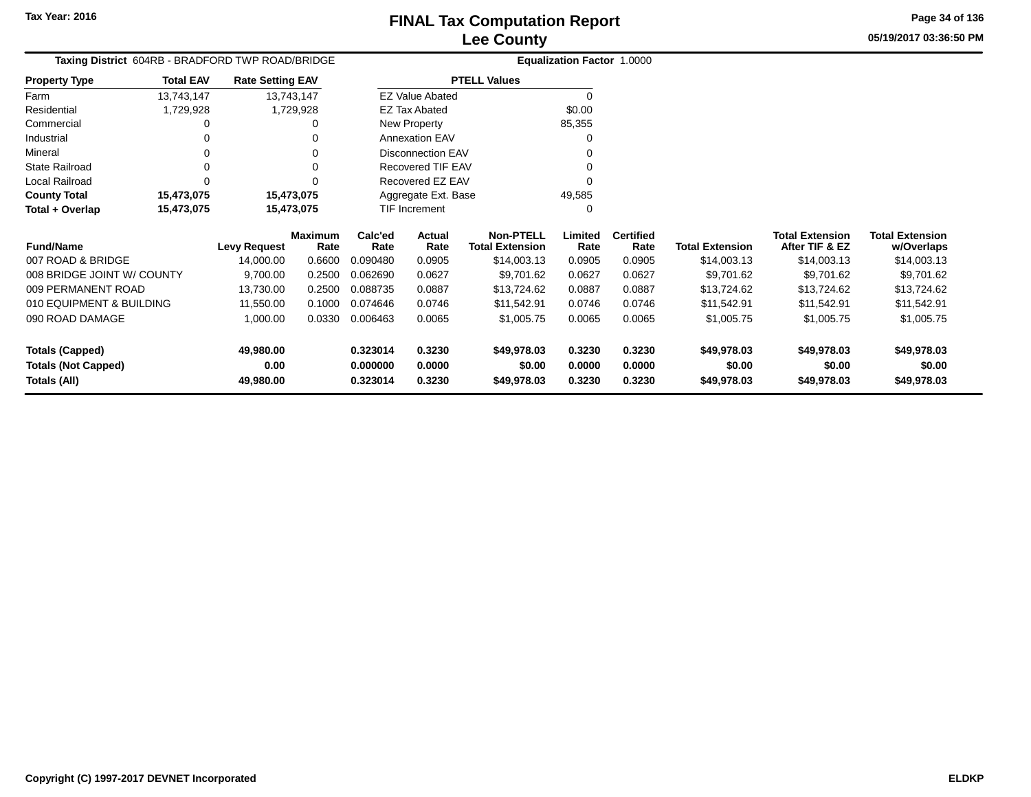## **Lee CountyFINAL Tax Computation Report**

**05/19/2017 03:36:50 PMPage 34 of 136**

| Taxing District 604RB - BRADFORD TWP ROAD/BRIDGE |                  |                         |                        |                 |                          |                                            | Equalization Factor 1.0000 |                          |                        |                                          |                                      |
|--------------------------------------------------|------------------|-------------------------|------------------------|-----------------|--------------------------|--------------------------------------------|----------------------------|--------------------------|------------------------|------------------------------------------|--------------------------------------|
| <b>Property Type</b>                             | <b>Total EAV</b> | <b>Rate Setting EAV</b> |                        |                 |                          | <b>PTELL Values</b>                        |                            |                          |                        |                                          |                                      |
| Farm                                             | 13,743,147       |                         | 13,743,147             |                 | <b>EZ Value Abated</b>   |                                            | $\Omega$                   |                          |                        |                                          |                                      |
| Residential                                      | 1,729,928        |                         | 1,729,928              |                 | <b>EZ Tax Abated</b>     |                                            | \$0.00                     |                          |                        |                                          |                                      |
| Commercial                                       |                  |                         | 0                      |                 | New Property             |                                            | 85,355                     |                          |                        |                                          |                                      |
| Industrial                                       | 0                |                         |                        |                 | <b>Annexation EAV</b>    |                                            | $\Omega$                   |                          |                        |                                          |                                      |
| Mineral                                          | 0                |                         | 0                      |                 | <b>Disconnection EAV</b> |                                            |                            |                          |                        |                                          |                                      |
| <b>State Railroad</b>                            | 0                |                         | 0                      |                 | Recovered TIF EAV        |                                            |                            |                          |                        |                                          |                                      |
| Local Railroad                                   | 0                |                         | 0                      |                 | Recovered EZ EAV         |                                            | $\Omega$                   |                          |                        |                                          |                                      |
| <b>County Total</b>                              | 15,473,075       |                         | 15,473,075             |                 | Aggregate Ext. Base      |                                            | 49,585                     |                          |                        |                                          |                                      |
| Total + Overlap                                  | 15,473,075       |                         | 15,473,075             |                 | TIF Increment            |                                            | $\Omega$                   |                          |                        |                                          |                                      |
| <b>Fund/Name</b>                                 |                  | <b>Levy Request</b>     | <b>Maximum</b><br>Rate | Calc'ed<br>Rate | Actual<br>Rate           | <b>Non-PTELL</b><br><b>Total Extension</b> | Limited<br>Rate            | <b>Certified</b><br>Rate | <b>Total Extension</b> | <b>Total Extension</b><br>After TIF & EZ | <b>Total Extension</b><br>w/Overlaps |
| 007 ROAD & BRIDGE                                |                  | 14,000.00               | 0.6600                 | 0.090480        | 0.0905                   | \$14,003.13                                | 0.0905                     | 0.0905                   | \$14,003.13            | \$14,003.13                              | \$14,003.13                          |
| 008 BRIDGE JOINT W/ COUNTY                       |                  | 9,700.00                | 0.2500                 | 0.062690        | 0.0627                   | \$9,701.62                                 | 0.0627                     | 0.0627                   | \$9,701.62             | \$9,701.62                               | \$9,701.62                           |
| 009 PERMANENT ROAD                               |                  | 13,730.00               | 0.2500                 | 0.088735        | 0.0887                   | \$13,724.62                                | 0.0887                     | 0.0887                   | \$13,724.62            | \$13,724.62                              | \$13,724.62                          |
| 010 EQUIPMENT & BUILDING                         |                  | 11,550.00               | 0.1000                 | 0.074646        | 0.0746                   | \$11,542.91                                | 0.0746                     | 0.0746                   | \$11,542.91            | \$11,542.91                              | \$11,542.91                          |
| 090 ROAD DAMAGE                                  |                  | 1,000.00                | 0.0330                 | 0.006463        | 0.0065                   | \$1,005.75                                 | 0.0065                     | 0.0065                   | \$1,005.75             | \$1,005.75                               | \$1,005.75                           |
| <b>Totals (Capped)</b>                           |                  | 49,980.00               |                        | 0.323014        | 0.3230                   | \$49,978.03                                | 0.3230                     | 0.3230                   | \$49,978.03            | \$49,978.03                              | \$49,978.03                          |
| <b>Totals (Not Capped)</b>                       |                  | 0.00                    |                        | 0.000000        | 0.0000                   | \$0.00                                     | 0.0000                     | 0.0000                   | \$0.00                 | \$0.00                                   | \$0.00                               |
| Totals (All)                                     |                  | 49,980.00               |                        | 0.323014        | 0.3230                   | \$49,978.03                                | 0.3230                     | 0.3230                   | \$49,978.03            | \$49,978.03                              | \$49,978.03                          |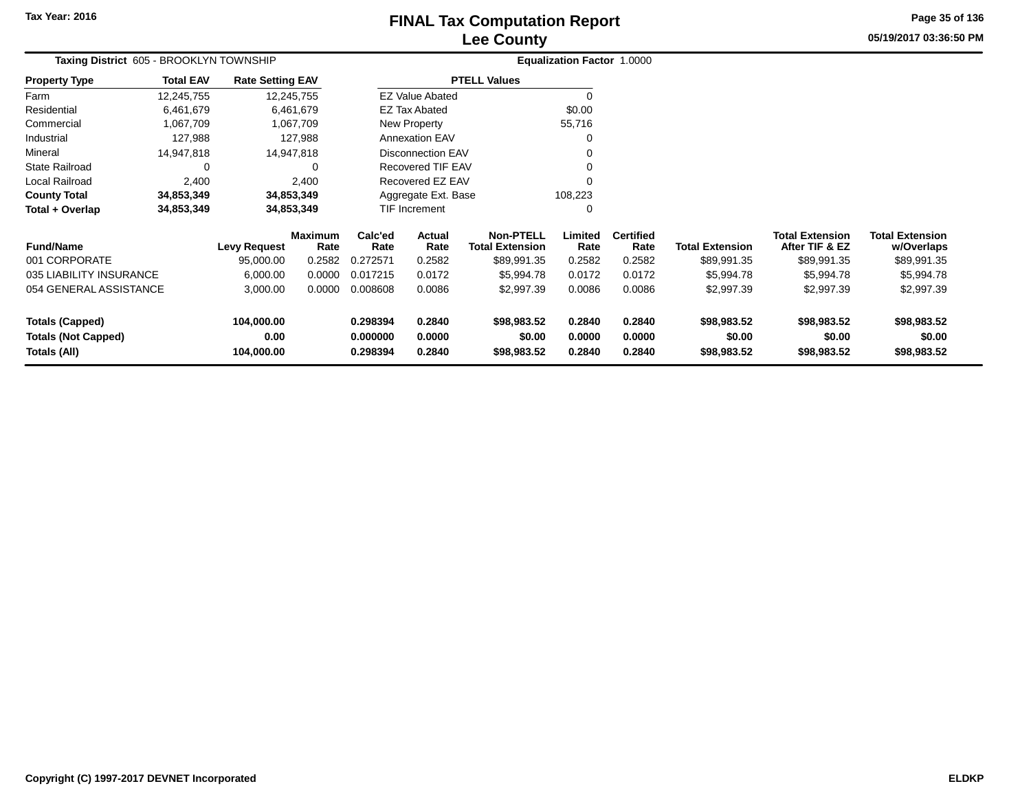## **Lee CountyFINAL Tax Computation Report** FINAL Tax Computation Report

**05/19/2017 03:36:50 PMPage 35 of 136**

|                            | Taxing District 605 - BROOKLYN TOWNSHIP |                         |                        |                 |                          |                                            | <b>Equalization Factor 1.0000</b> |                          |                        |                                          |                                      |
|----------------------------|-----------------------------------------|-------------------------|------------------------|-----------------|--------------------------|--------------------------------------------|-----------------------------------|--------------------------|------------------------|------------------------------------------|--------------------------------------|
| <b>Property Type</b>       | <b>Total EAV</b>                        | <b>Rate Setting EAV</b> |                        |                 |                          | <b>PTELL Values</b>                        |                                   |                          |                        |                                          |                                      |
| Farm                       | 12,245,755                              |                         | 12,245,755             |                 | <b>EZ Value Abated</b>   |                                            |                                   |                          |                        |                                          |                                      |
| Residential                | 6,461,679                               |                         | 6,461,679              |                 | EZ Tax Abated            |                                            | \$0.00                            |                          |                        |                                          |                                      |
| Commercial                 | 1,067,709                               |                         | 1,067,709              |                 | New Property             |                                            | 55,716                            |                          |                        |                                          |                                      |
| Industrial                 | 127,988                                 |                         | 127,988                |                 | <b>Annexation EAV</b>    |                                            |                                   |                          |                        |                                          |                                      |
| Mineral                    | 14,947,818                              |                         | 14,947,818             |                 | <b>Disconnection EAV</b> |                                            |                                   |                          |                        |                                          |                                      |
| <b>State Railroad</b>      | 0                                       |                         |                        |                 | Recovered TIF EAV        |                                            |                                   |                          |                        |                                          |                                      |
| Local Railroad             | 2,400                                   |                         | 2,400                  |                 | Recovered EZ EAV         |                                            | $\Omega$                          |                          |                        |                                          |                                      |
| <b>County Total</b>        | 34,853,349                              |                         | 34,853,349             |                 | Aggregate Ext. Base      |                                            | 108,223                           |                          |                        |                                          |                                      |
| Total + Overlap            | 34,853,349                              |                         | 34,853,349             |                 | TIF Increment            |                                            | 0                                 |                          |                        |                                          |                                      |
| <b>Fund/Name</b>           |                                         | <b>Levy Request</b>     | <b>Maximum</b><br>Rate | Calc'ed<br>Rate | Actual<br>Rate           | <b>Non-PTELL</b><br><b>Total Extension</b> | Limited<br>Rate                   | <b>Certified</b><br>Rate | <b>Total Extension</b> | <b>Total Extension</b><br>After TIF & EZ | <b>Total Extension</b><br>w/Overlaps |
| 001 CORPORATE              |                                         | 95,000.00               | 0.2582                 | 0.272571        | 0.2582                   | \$89,991.35                                | 0.2582                            | 0.2582                   | \$89,991.35            | \$89,991.35                              | \$89,991.35                          |
| 035 LIABILITY INSURANCE    |                                         | 6,000.00                | 0.0000                 | 0.017215        | 0.0172                   | \$5,994.78                                 | 0.0172                            | 0.0172                   | \$5,994.78             | \$5,994.78                               | \$5,994.78                           |
| 054 GENERAL ASSISTANCE     |                                         | 3,000.00                | 0.0000                 | 0.008608        | 0.0086                   | \$2,997.39                                 | 0.0086                            | 0.0086                   | \$2,997.39             | \$2,997.39                               | \$2,997.39                           |
| <b>Totals (Capped)</b>     |                                         | 104,000.00              |                        | 0.298394        | 0.2840                   | \$98,983.52                                | 0.2840                            | 0.2840                   | \$98,983.52            | \$98,983.52                              | \$98,983.52                          |
| <b>Totals (Not Capped)</b> |                                         | 0.00                    |                        | 0.000000        | 0.0000                   | \$0.00                                     | 0.0000                            | 0.0000                   | \$0.00                 | \$0.00                                   | \$0.00                               |
| Totals (All)               |                                         | 104,000.00              |                        | 0.298394        | 0.2840                   | \$98,983.52                                | 0.2840                            | 0.2840                   | \$98,983.52            | \$98,983.52                              | \$98,983.52                          |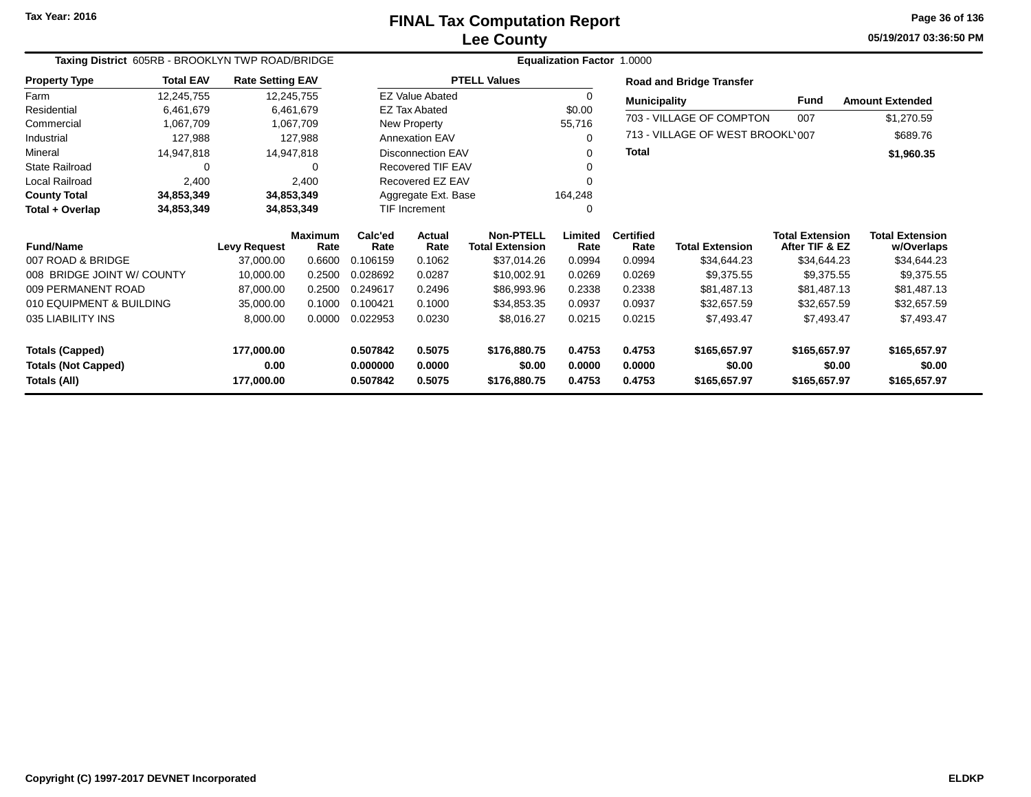**05/19/2017 03:36:50 PMPage 36 of 136**

| Taxing District 605RB - BROOKLYN TWP ROAD/BRIDGE |                  |                         |                        |                 |                        |                                            | Equalization Factor 1.0000 |                          |                                  |                                          |                                      |
|--------------------------------------------------|------------------|-------------------------|------------------------|-----------------|------------------------|--------------------------------------------|----------------------------|--------------------------|----------------------------------|------------------------------------------|--------------------------------------|
| <b>Property Type</b>                             | <b>Total EAV</b> | <b>Rate Setting EAV</b> |                        |                 |                        | <b>PTELL Values</b>                        |                            |                          | <b>Road and Bridge Transfer</b>  |                                          |                                      |
| Farm                                             | 12,245,755       |                         | 12,245,755             |                 | <b>EZ Value Abated</b> |                                            | 0                          | <b>Municipality</b>      |                                  | <b>Fund</b>                              | <b>Amount Extended</b>               |
| Residential                                      | 6,461,679        |                         | 6,461,679              |                 | <b>EZ Tax Abated</b>   |                                            | \$0.00                     |                          |                                  |                                          |                                      |
| Commercial                                       | 1,067,709        |                         | 1,067,709              |                 | New Property           |                                            | 55,716                     |                          | 703 - VILLAGE OF COMPTON         | 007                                      | \$1,270.59                           |
| Industrial                                       | 127,988          |                         | 127,988                |                 | <b>Annexation EAV</b>  |                                            | 0                          |                          | 713 - VILLAGE OF WEST BROOKL'007 |                                          | \$689.76                             |
| Mineral                                          | 14,947,818       |                         | 14,947,818             |                 | Disconnection EAV      |                                            | 0                          | Total                    |                                  |                                          | \$1,960.35                           |
| <b>State Railroad</b>                            | $\mathbf 0$      |                         |                        |                 | Recovered TIF EAV      |                                            | 0                          |                          |                                  |                                          |                                      |
| Local Railroad                                   | 2,400            |                         | 2,400                  |                 | Recovered EZ EAV       |                                            |                            |                          |                                  |                                          |                                      |
| <b>County Total</b>                              | 34,853,349       | 34,853,349              |                        |                 | Aggregate Ext. Base    |                                            | 164,248                    |                          |                                  |                                          |                                      |
| Total + Overlap                                  | 34,853,349       | 34,853,349              |                        |                 | TIF Increment          |                                            | 0                          |                          |                                  |                                          |                                      |
| <b>Fund/Name</b>                                 |                  | <b>Levy Request</b>     | <b>Maximum</b><br>Rate | Calc'ed<br>Rate | Actual<br>Rate         | <b>Non-PTELL</b><br><b>Total Extension</b> | Limited<br>Rate            | <b>Certified</b><br>Rate | <b>Total Extension</b>           | <b>Total Extension</b><br>After TIF & EZ | <b>Total Extension</b><br>w/Overlaps |
| 007 ROAD & BRIDGE                                |                  | 37,000.00               | 0.6600                 | 0.106159        | 0.1062                 | \$37,014.26                                | 0.0994                     | 0.0994                   | \$34,644.23                      | \$34,644.23                              | \$34,644.23                          |
| 008 BRIDGE JOINT W/ COUNTY                       |                  | 10,000.00               | 0.2500                 | 0.028692        | 0.0287                 | \$10,002.91                                | 0.0269                     | 0.0269                   | \$9,375.55                       | \$9,375.55                               | \$9,375.55                           |
| 009 PERMANENT ROAD                               |                  | 87,000.00               | 0.2500                 | 0.249617        | 0.2496                 | \$86,993.96                                | 0.2338                     | 0.2338                   | \$81,487.13                      | \$81,487.13                              | \$81,487.13                          |
| 010 EQUIPMENT & BUILDING                         |                  | 35,000.00               | 0.1000                 | 0.100421        | 0.1000                 | \$34,853.35                                | 0.0937                     | 0.0937                   | \$32,657.59                      | \$32,657.59                              | \$32,657.59                          |
| 035 LIABILITY INS                                |                  | 8,000.00                | 0.0000                 | 0.022953        | 0.0230                 | \$8,016.27                                 | 0.0215                     | 0.0215                   | \$7,493.47                       | \$7,493.47                               | \$7,493.47                           |
| <b>Totals (Capped)</b>                           |                  | 177,000.00              |                        | 0.507842        | 0.5075                 | \$176,880.75                               | 0.4753                     | 0.4753                   | \$165,657.97                     | \$165,657.97                             | \$165,657.97                         |
| <b>Totals (Not Capped)</b>                       |                  | 0.00                    |                        | 0.000000        | 0.0000                 | \$0.00                                     | 0.0000                     | 0.0000                   | \$0.00                           | \$0.00                                   | \$0.00                               |
| Totals (All)                                     |                  | 177,000.00              |                        | 0.507842        | 0.5075                 | \$176,880.75                               | 0.4753                     | 0.4753                   | \$165,657.97                     | \$165,657.97                             | \$165,657.97                         |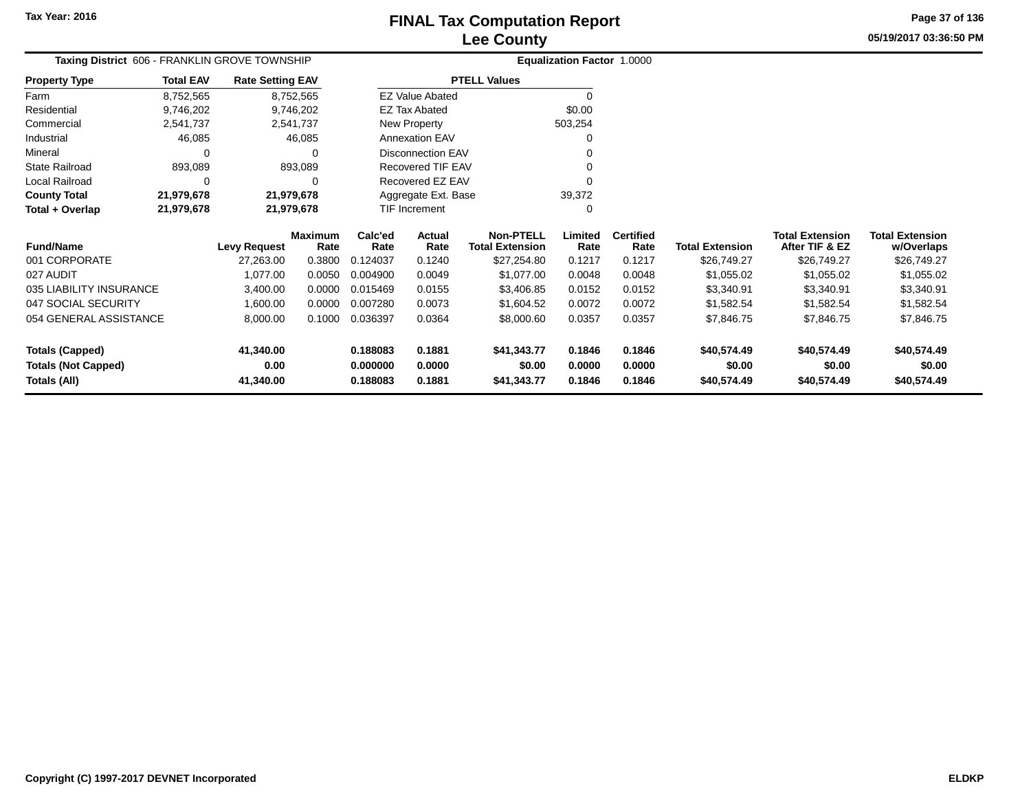# **Lee CountyFINAL Tax Computation Report**

**05/19/2017 03:36:50 PMPage 37 of 136**

| Taxing District 606 - FRANKLIN GROVE TOWNSHIP |                  | Equalization Factor 1.0000 |                        |                     |                          |                                            |                 |                          |                        |                                          |                                      |  |
|-----------------------------------------------|------------------|----------------------------|------------------------|---------------------|--------------------------|--------------------------------------------|-----------------|--------------------------|------------------------|------------------------------------------|--------------------------------------|--|
| <b>Property Type</b>                          | <b>Total EAV</b> | <b>Rate Setting EAV</b>    |                        | <b>PTELL Values</b> |                          |                                            |                 |                          |                        |                                          |                                      |  |
| Farm                                          | 8,752,565        |                            | 8,752,565              |                     | <b>EZ Value Abated</b>   |                                            | $\Omega$        |                          |                        |                                          |                                      |  |
| Residential                                   | 9,746,202        |                            | 9,746,202              |                     | <b>EZ Tax Abated</b>     |                                            | \$0.00          |                          |                        |                                          |                                      |  |
| Commercial                                    | 2,541,737        |                            | 2,541,737              |                     | New Property             |                                            | 503,254         |                          |                        |                                          |                                      |  |
| Industrial                                    | 46,085           |                            | 46,085                 |                     | <b>Annexation EAV</b>    |                                            | $\Omega$        |                          |                        |                                          |                                      |  |
| Mineral                                       |                  |                            | ∩                      |                     | <b>Disconnection EAV</b> |                                            |                 |                          |                        |                                          |                                      |  |
| <b>State Railroad</b>                         | 893,089          |                            | 893,089                |                     | Recovered TIF EAV        |                                            | O               |                          |                        |                                          |                                      |  |
| Local Railroad                                |                  |                            | ∩                      |                     | Recovered EZ EAV         |                                            | U               |                          |                        |                                          |                                      |  |
| <b>County Total</b>                           | 21,979,678       | 21,979,678                 |                        |                     | Aggregate Ext. Base      |                                            | 39,372          |                          |                        |                                          |                                      |  |
| Total + Overlap                               | 21,979,678       | 21,979,678                 |                        |                     | TIF Increment            |                                            | 0               |                          |                        |                                          |                                      |  |
| <b>Fund/Name</b>                              |                  | <b>Levy Request</b>        | <b>Maximum</b><br>Rate | Calc'ed<br>Rate     | Actual<br>Rate           | <b>Non-PTELL</b><br><b>Total Extension</b> | Limited<br>Rate | <b>Certified</b><br>Rate | <b>Total Extension</b> | <b>Total Extension</b><br>After TIF & EZ | <b>Total Extension</b><br>w/Overlaps |  |
| 001 CORPORATE                                 |                  | 27,263.00                  | 0.3800                 | 0.124037            | 0.1240                   | \$27,254.80                                | 0.1217          | 0.1217                   | \$26,749.27            | \$26,749.27                              | \$26,749.27                          |  |
| 027 AUDIT                                     |                  | 1,077.00                   | 0.0050                 | 0.004900            | 0.0049                   | \$1,077.00                                 | 0.0048          | 0.0048                   | \$1,055.02             | \$1,055.02                               | \$1,055.02                           |  |
| 035 LIABILITY INSURANCE                       |                  | 3,400.00                   | 0.0000                 | 0.015469            | 0.0155                   | \$3,406.85                                 | 0.0152          | 0.0152                   | \$3,340.91             | \$3,340.91                               | \$3,340.91                           |  |
| 047 SOCIAL SECURITY                           |                  | 1,600.00                   | 0.0000                 | 0.007280            | 0.0073                   | \$1,604.52                                 | 0.0072          | 0.0072                   | \$1,582.54             | \$1,582.54                               | \$1,582.54                           |  |
| 054 GENERAL ASSISTANCE                        |                  | 8,000.00                   | 0.1000                 | 0.036397            | 0.0364                   | \$8,000.60                                 | 0.0357          | 0.0357                   | \$7,846.75             | \$7,846.75                               | \$7,846.75                           |  |
| <b>Totals (Capped)</b>                        |                  | 41,340.00                  |                        | 0.188083            | 0.1881                   | \$41,343.77                                | 0.1846          | 0.1846                   | \$40,574.49            | \$40,574.49                              | \$40,574.49                          |  |
| <b>Totals (Not Capped)</b>                    |                  | 0.00                       |                        | 0.000000            | 0.0000                   | \$0.00                                     | 0.0000          | 0.0000                   | \$0.00                 | \$0.00                                   | \$0.00                               |  |
| Totals (All)                                  |                  | 41,340.00                  |                        | 0.188083            | 0.1881                   | \$41,343.77                                | 0.1846          | 0.1846                   | \$40,574.49            | \$40,574.49                              | \$40,574.49                          |  |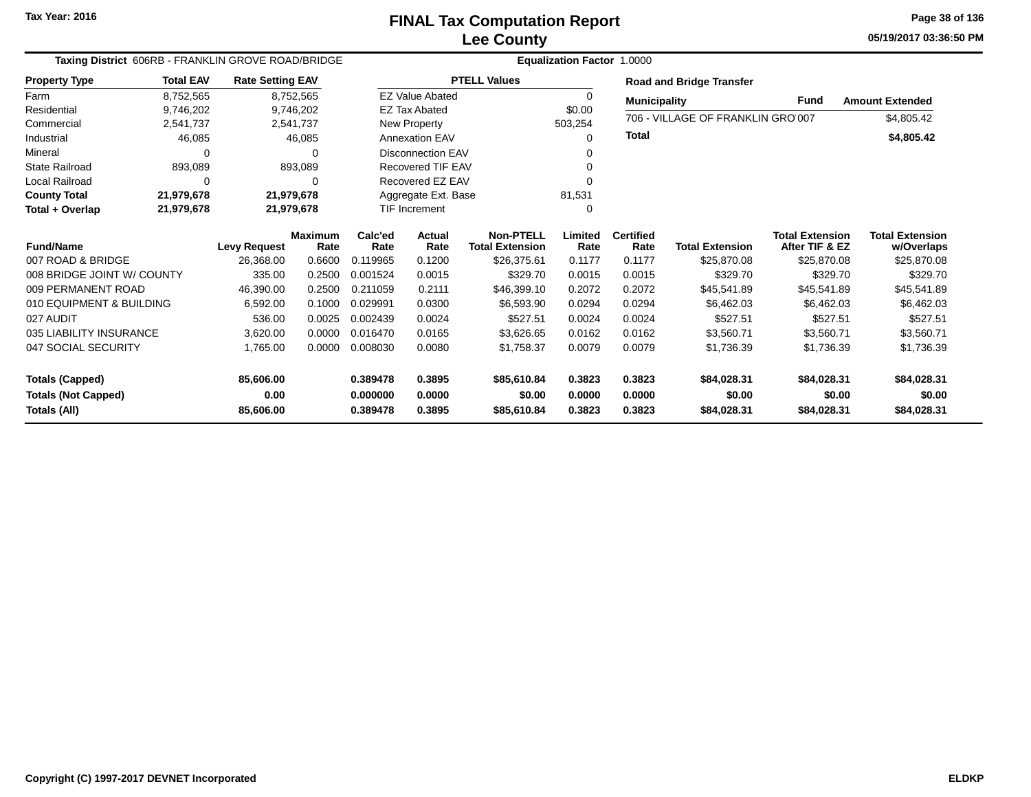# **Lee CountyFINAL Tax Computation Report**

**05/19/2017 03:36:50 PM Page 38 of 136**

| Taxing District 606RB - FRANKLIN GROVE ROAD/BRIDGE                   |                  |                                |                         |                                  | <b>Equalization Factor 1.0000</b> |                                            |                            |                            |                                      |                                          |                                      |  |  |  |
|----------------------------------------------------------------------|------------------|--------------------------------|-------------------------|----------------------------------|-----------------------------------|--------------------------------------------|----------------------------|----------------------------|--------------------------------------|------------------------------------------|--------------------------------------|--|--|--|
| <b>Property Type</b>                                                 | <b>Total EAV</b> |                                | <b>Rate Setting EAV</b> |                                  |                                   | <b>PTELL Values</b>                        |                            |                            | <b>Road and Bridge Transfer</b>      |                                          |                                      |  |  |  |
| Farm                                                                 | 8,752,565        | 8,752,565                      |                         |                                  | <b>EZ Value Abated</b>            |                                            | $\Omega$                   |                            | <b>Municipality</b>                  | Fund                                     | <b>Amount Extended</b>               |  |  |  |
| Residential                                                          | 9,746,202        | 9,746,202                      |                         |                                  | <b>EZ Tax Abated</b>              |                                            | \$0.00                     |                            | 706 - VILLAGE OF FRANKLIN GRO 007    |                                          |                                      |  |  |  |
| Commercial                                                           | 2,541,737        | 2,541,737                      |                         |                                  | New Property                      |                                            | 503,254                    |                            |                                      |                                          | \$4,805.42                           |  |  |  |
| Industrial                                                           | 46,085           |                                | 46,085                  |                                  | <b>Annexation EAV</b>             |                                            | ∩                          | <b>Total</b>               |                                      |                                          | \$4,805.42                           |  |  |  |
| Mineral                                                              |                  |                                | $\Omega$                |                                  | <b>Disconnection EAV</b>          |                                            |                            |                            |                                      |                                          |                                      |  |  |  |
| <b>State Railroad</b>                                                | 893,089          |                                | 893,089                 |                                  | <b>Recovered TIF EAV</b>          |                                            |                            |                            |                                      |                                          |                                      |  |  |  |
| <b>Local Railroad</b>                                                |                  |                                | $\Omega$                |                                  | Recovered EZ EAV                  |                                            | $\Omega$                   |                            |                                      |                                          |                                      |  |  |  |
| <b>County Total</b>                                                  | 21,979,678       | 21,979,678                     |                         |                                  | Aggregate Ext. Base               |                                            | 81,531                     |                            |                                      |                                          |                                      |  |  |  |
| Total + Overlap                                                      | 21,979,678       | 21,979,678                     |                         |                                  | <b>TIF Increment</b>              |                                            | $\Omega$                   |                            |                                      |                                          |                                      |  |  |  |
| <b>Fund/Name</b>                                                     |                  | <b>Levy Request</b>            | <b>Maximum</b><br>Rate  | Calc'ed<br>Rate                  | <b>Actual</b><br>Rate             | <b>Non-PTELL</b><br><b>Total Extension</b> | Limited<br>Rate            | <b>Certified</b><br>Rate   | <b>Total Extension</b>               | <b>Total Extension</b><br>After TIF & EZ | <b>Total Extension</b><br>w/Overlaps |  |  |  |
| 007 ROAD & BRIDGE                                                    |                  | 26,368.00                      | 0.6600                  | 0.119965                         | 0.1200                            | \$26,375.61                                | 0.1177                     | 0.1177                     | \$25,870.08                          | \$25,870.08                              | \$25,870.08                          |  |  |  |
| 008 BRIDGE JOINT W/ COUNTY                                           |                  | 335.00                         | 0.2500                  | 0.001524                         | 0.0015                            | \$329.70                                   | 0.0015                     | 0.0015                     | \$329.70                             | \$329.70                                 | \$329.70                             |  |  |  |
| 009 PERMANENT ROAD                                                   |                  | 46,390.00                      | 0.2500                  | 0.211059                         | 0.2111                            | \$46,399.10                                | 0.2072                     | 0.2072                     | \$45,541.89                          | \$45,541.89                              | \$45,541.89                          |  |  |  |
| 010 EQUIPMENT & BUILDING                                             |                  | 6,592.00                       | 0.1000                  | 0.029991                         | 0.0300                            | \$6,593.90                                 | 0.0294                     | 0.0294                     | \$6,462.03                           | \$6,462.03                               | \$6,462.03                           |  |  |  |
| 027 AUDIT                                                            |                  | 536.00                         | 0.0025                  | 0.002439                         | 0.0024                            | \$527.51                                   | 0.0024                     | 0.0024                     | \$527.51                             | \$527.51                                 | \$527.51                             |  |  |  |
| 035 LIABILITY INSURANCE                                              |                  | 3,620.00                       | 0.0000                  | 0.016470                         | 0.0165                            | \$3,626.65                                 | 0.0162                     | 0.0162                     | \$3,560.71                           | \$3,560.71                               | \$3,560.71                           |  |  |  |
| 047 SOCIAL SECURITY                                                  |                  | 1,765.00                       | 0.0000                  | 0.008030                         | 0.0080                            | \$1,758.37                                 | 0.0079                     | 0.0079                     | \$1,736.39                           | \$1,736.39                               | \$1,736.39                           |  |  |  |
| <b>Totals (Capped)</b><br><b>Totals (Not Capped)</b><br>Totals (All) |                  | 85,606.00<br>0.00<br>85,606.00 |                         | 0.389478<br>0.000000<br>0.389478 | 0.3895<br>0.0000<br>0.3895        | \$85,610.84<br>\$0.00<br>\$85,610.84       | 0.3823<br>0.0000<br>0.3823 | 0.3823<br>0.0000<br>0.3823 | \$84,028.31<br>\$0.00<br>\$84,028.31 | \$84,028.31<br>\$0.00<br>\$84,028.31     | \$84,028.31<br>\$0.00<br>\$84,028.31 |  |  |  |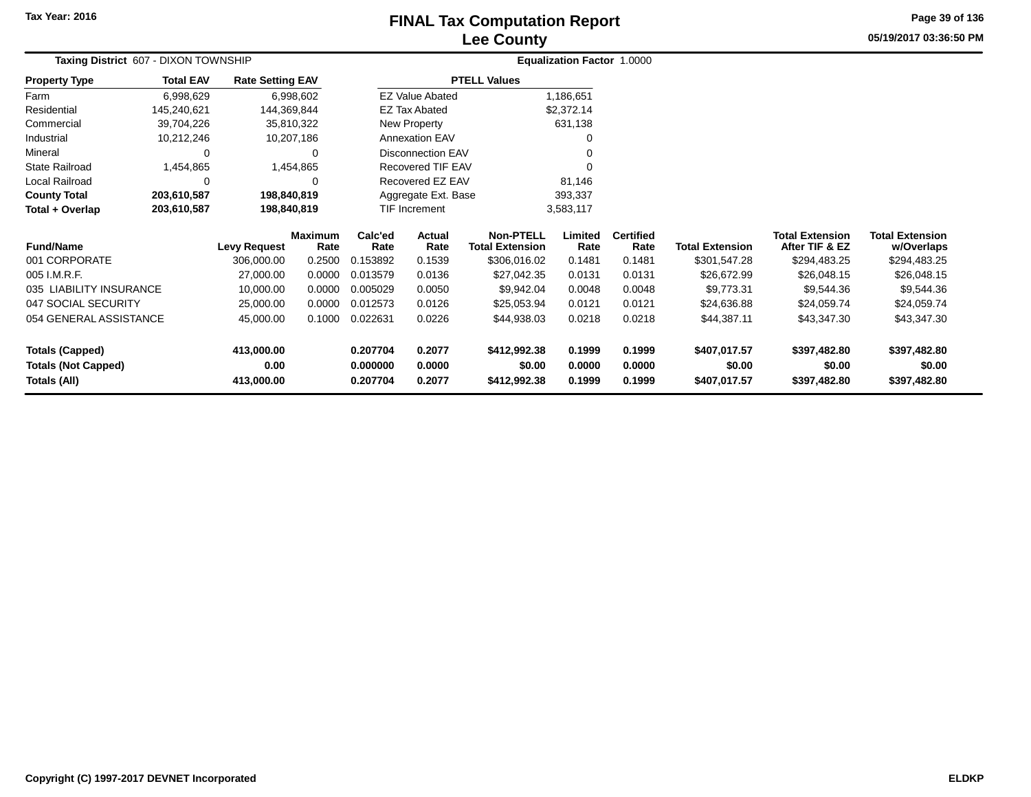### **Lee CountyFINAL Tax Computation Report** FINAL Tax Computation Report

**05/19/2017 03:36:50 PMPage 39 of 136**

| Taxing District 607 - DIXON TOWNSHIP |                  |                         |                        |                 | Equalization Factor 1.0000 |                                            |                 |                          |                        |                                          |                                      |  |
|--------------------------------------|------------------|-------------------------|------------------------|-----------------|----------------------------|--------------------------------------------|-----------------|--------------------------|------------------------|------------------------------------------|--------------------------------------|--|
| <b>Property Type</b>                 | <b>Total EAV</b> | <b>Rate Setting EAV</b> |                        |                 |                            | <b>PTELL Values</b>                        |                 |                          |                        |                                          |                                      |  |
| Farm                                 | 6,998,629        |                         | 6,998,602              |                 | <b>EZ Value Abated</b>     |                                            | 1,186,651       |                          |                        |                                          |                                      |  |
| Residential                          | 145,240,621      | 144,369,844             |                        |                 | <b>EZ Tax Abated</b>       |                                            | \$2,372.14      |                          |                        |                                          |                                      |  |
| Commercial                           | 39,704,226       | 35,810,322              |                        |                 | New Property               |                                            | 631,138         |                          |                        |                                          |                                      |  |
| Industrial                           | 10,212,246       | 10,207,186              |                        |                 | <b>Annexation EAV</b>      |                                            |                 |                          |                        |                                          |                                      |  |
| Mineral                              | 0                |                         | 0                      |                 | <b>Disconnection EAV</b>   |                                            |                 |                          |                        |                                          |                                      |  |
| <b>State Railroad</b>                | 1,454,865        |                         | 1,454,865              |                 | <b>Recovered TIF EAV</b>   |                                            |                 |                          |                        |                                          |                                      |  |
| Local Railroad                       | 0                |                         | 0                      |                 | Recovered EZ EAV           |                                            | 81,146          |                          |                        |                                          |                                      |  |
| <b>County Total</b>                  | 203,610,587      | 198,840,819             |                        |                 | Aggregate Ext. Base        |                                            | 393,337         |                          |                        |                                          |                                      |  |
| Total + Overlap                      | 203,610,587      | 198,840,819             |                        |                 | <b>TIF Increment</b>       |                                            | 3,583,117       |                          |                        |                                          |                                      |  |
| <b>Fund/Name</b>                     |                  | <b>Levy Request</b>     | <b>Maximum</b><br>Rate | Calc'ed<br>Rate | Actual<br>Rate             | <b>Non-PTELL</b><br><b>Total Extension</b> | Limited<br>Rate | <b>Certified</b><br>Rate | <b>Total Extension</b> | <b>Total Extension</b><br>After TIF & EZ | <b>Total Extension</b><br>w/Overlaps |  |
| 001 CORPORATE                        |                  | 306,000.00              | 0.2500                 | 0.153892        | 0.1539                     | \$306,016.02                               | 0.1481          | 0.1481                   | \$301,547.28           | \$294,483.25                             | \$294,483.25                         |  |
| 005 I.M.R.F.                         |                  | 27,000.00               | 0.0000                 | 0.013579        | 0.0136                     | \$27,042.35                                | 0.0131          | 0.0131                   | \$26,672.99            | \$26,048.15                              | \$26,048.15                          |  |
| 035 LIABILITY INSURANCE              |                  | 10,000.00               | 0.0000                 | 0.005029        | 0.0050                     | \$9,942.04                                 | 0.0048          | 0.0048                   | \$9,773.31             | \$9,544.36                               | \$9,544.36                           |  |
| 047 SOCIAL SECURITY                  |                  | 25,000.00               | 0.0000                 | 0.012573        | 0.0126                     | \$25,053.94                                | 0.0121          | 0.0121                   | \$24,636.88            | \$24,059.74                              | \$24,059.74                          |  |
| 054 GENERAL ASSISTANCE               |                  | 45,000.00               | 0.1000                 | 0.022631        | 0.0226                     | \$44,938.03                                | 0.0218          | 0.0218                   | \$44,387.11            | \$43,347.30                              | \$43,347.30                          |  |
| <b>Totals (Capped)</b>               |                  | 413,000.00              |                        | 0.207704        | 0.2077                     | \$412,992.38                               | 0.1999          | 0.1999                   | \$407,017.57           | \$397,482.80                             | \$397,482.80                         |  |
| <b>Totals (Not Capped)</b>           |                  | 0.00                    |                        | 0.000000        | 0.0000                     | \$0.00                                     | 0.0000          | 0.0000                   | \$0.00                 | \$0.00                                   | \$0.00                               |  |
| <b>Totals (All)</b>                  |                  | 413,000.00              |                        | 0.207704        | 0.2077                     | \$412,992.38                               | 0.1999          | 0.1999                   | \$407,017.57           | \$397,482.80                             | \$397,482.80                         |  |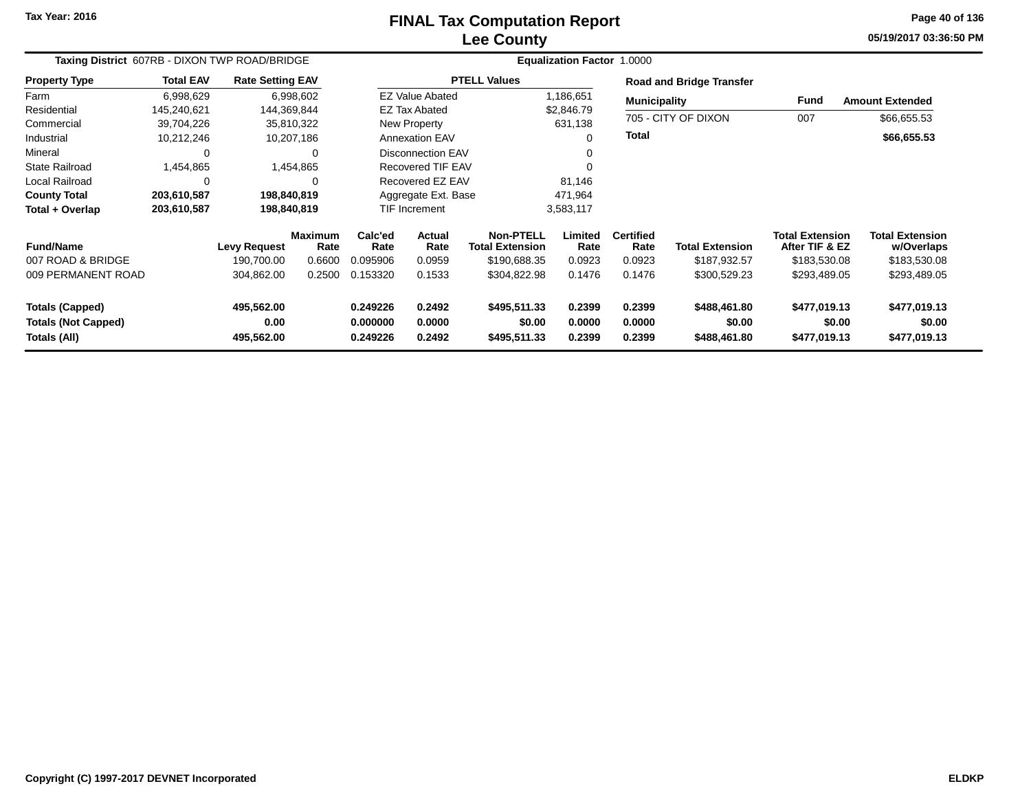# **Lee CountyFINAL Tax Computation Report**

**05/19/2017 03:36:50 PM Page 40 of 136**

| Taxing District 607RB - DIXON TWP ROAD/BRIDGE                        |                  | <b>Equalization Factor 1.0000</b> |                        |                                  |                            |                                            |                            |                                 |                                        |                                          |                                        |  |
|----------------------------------------------------------------------|------------------|-----------------------------------|------------------------|----------------------------------|----------------------------|--------------------------------------------|----------------------------|---------------------------------|----------------------------------------|------------------------------------------|----------------------------------------|--|
| <b>Property Type</b>                                                 | <b>Total EAV</b> | <b>Rate Setting EAV</b>           |                        | <b>PTELL Values</b>              |                            |                                            |                            | <b>Road and Bridge Transfer</b> |                                        |                                          |                                        |  |
| Farm                                                                 | 6,998,629        |                                   | 6,998,602              |                                  | <b>EZ Value Abated</b>     |                                            | 1,186,651                  | <b>Municipality</b>             |                                        | Fund                                     | <b>Amount Extended</b>                 |  |
| Residential                                                          | 145,240,621      | 144,369,844                       |                        |                                  | <b>EZ Tax Abated</b>       |                                            | \$2,846.79                 |                                 |                                        |                                          |                                        |  |
| Commercial                                                           | 39,704,226       |                                   | 35,810,322             |                                  | New Property               |                                            | 631,138                    |                                 | 705 - CITY OF DIXON                    | 007                                      | \$66,655.53                            |  |
| Industrial                                                           | 10,212,246       |                                   | 10,207,186             |                                  | <b>Annexation EAV</b>      |                                            | $\Omega$                   | <b>Total</b>                    |                                        |                                          | \$66,655.53                            |  |
| Mineral                                                              | 0                |                                   | 0                      |                                  | <b>Disconnection EAV</b>   |                                            | 0                          |                                 |                                        |                                          |                                        |  |
| <b>State Railroad</b>                                                | 1,454,865        |                                   | 1,454,865              |                                  | <b>Recovered TIF EAV</b>   |                                            | $\Omega$                   |                                 |                                        |                                          |                                        |  |
| Local Railroad                                                       | 0                |                                   | 0                      |                                  | Recovered EZ EAV           |                                            | 81,146                     |                                 |                                        |                                          |                                        |  |
| <b>County Total</b>                                                  | 203,610,587      | 198,840,819                       |                        |                                  | Aggregate Ext. Base        |                                            | 471,964                    |                                 |                                        |                                          |                                        |  |
| Total + Overlap                                                      | 203,610,587      | 198,840,819                       |                        |                                  | TIF Increment              |                                            | 3,583,117                  |                                 |                                        |                                          |                                        |  |
| <b>Fund/Name</b>                                                     |                  | <b>Levy Request</b>               | <b>Maximum</b><br>Rate | Calc'ed<br>Rate                  | <b>Actual</b><br>Rate      | <b>Non-PTELL</b><br><b>Total Extension</b> | Limited<br>Rate            | <b>Certified</b><br>Rate        | <b>Total Extension</b>                 | <b>Total Extension</b><br>After TIF & EZ | <b>Total Extension</b><br>w/Overlaps   |  |
| 007 ROAD & BRIDGE                                                    |                  | 190,700.00                        | 0.6600                 | 0.095906                         | 0.0959                     | \$190,688.35                               | 0.0923                     | 0.0923                          | \$187,932.57                           | \$183,530.08                             | \$183,530.08                           |  |
| 009 PERMANENT ROAD                                                   |                  | 304,862.00                        | 0.2500                 | 0.153320                         | 0.1533                     | \$304,822.98                               | 0.1476                     | 0.1476                          | \$300,529.23                           | \$293,489.05                             | \$293,489.05                           |  |
| <b>Totals (Capped)</b><br><b>Totals (Not Capped)</b><br>Totals (All) |                  | 495,562.00<br>0.00<br>495,562.00  |                        | 0.249226<br>0.000000<br>0.249226 | 0.2492<br>0.0000<br>0.2492 | \$495,511.33<br>\$0.00<br>\$495,511.33     | 0.2399<br>0.0000<br>0.2399 | 0.2399<br>0.0000<br>0.2399      | \$488,461.80<br>\$0.00<br>\$488,461.80 | \$477,019.13<br>\$0.00<br>\$477,019.13   | \$477,019.13<br>\$0.00<br>\$477,019.13 |  |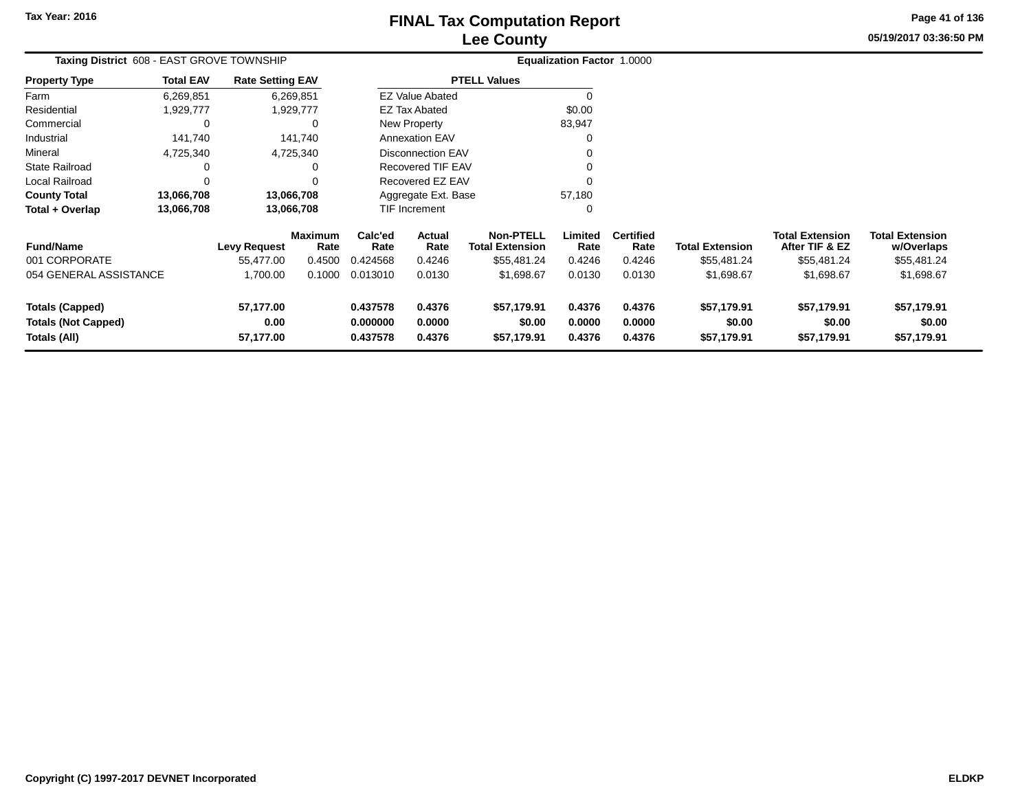# **Lee CountyFINAL Tax Computation Report** FINAL Tax Computation Report

**05/19/2017 03:36:50 PM Page 41 of 136**

| <b>Taxing District 608 - EAST GROVE TOWNSHIP</b> |                  |                         |                        |                      | <b>Equalization Factor 1.0000</b> |                                            |                  |                          |                        |                                   |                                      |
|--------------------------------------------------|------------------|-------------------------|------------------------|----------------------|-----------------------------------|--------------------------------------------|------------------|--------------------------|------------------------|-----------------------------------|--------------------------------------|
| <b>Property Type</b>                             | <b>Total EAV</b> | <b>Rate Setting EAV</b> |                        | <b>PTELL Values</b>  |                                   |                                            |                  |                          |                        |                                   |                                      |
| Farm                                             | 6,269,851        |                         | 6,269,851              |                      | <b>EZ Value Abated</b>            |                                            | 0                |                          |                        |                                   |                                      |
| Residential                                      | 1,929,777        |                         | 1,929,777              |                      | <b>EZ Tax Abated</b>              |                                            | \$0.00           |                          |                        |                                   |                                      |
| Commercial                                       |                  |                         | ∩                      |                      | <b>New Property</b>               |                                            | 83,947           |                          |                        |                                   |                                      |
| Industrial                                       | 141,740          |                         | 141,740                |                      | <b>Annexation EAV</b>             |                                            |                  |                          |                        |                                   |                                      |
| Mineral                                          | 4,725,340        |                         | 4,725,340              |                      | <b>Disconnection EAV</b>          |                                            |                  |                          |                        |                                   |                                      |
| <b>State Railroad</b>                            |                  |                         | O                      |                      | Recovered TIF EAV                 |                                            |                  |                          |                        |                                   |                                      |
| Local Railroad                                   |                  |                         |                        |                      | Recovered EZ EAV                  |                                            |                  |                          |                        |                                   |                                      |
| <b>County Total</b>                              | 13,066,708       |                         | 13,066,708             |                      | Aggregate Ext. Base               |                                            | 57,180           |                          |                        |                                   |                                      |
| Total + Overlap                                  | 13,066,708       |                         | 13,066,708             |                      | TIF Increment                     |                                            | 0                |                          |                        |                                   |                                      |
| <b>Fund/Name</b>                                 |                  | Levy Request            | <b>Maximum</b><br>Rate | Calc'ed<br>Rate      | Actual<br>Rate                    | <b>Non-PTELL</b><br><b>Total Extension</b> | Limited<br>Rate  | <b>Certified</b><br>Rate | <b>Total Extension</b> | Total Extension<br>After TIF & EZ | <b>Total Extension</b><br>w/Overlaps |
| 001 CORPORATE                                    |                  | 55,477.00               | 0.4500                 | 0.424568             | 0.4246                            | \$55,481.24                                | 0.4246           | 0.4246                   | \$55,481.24            | \$55,481.24                       | \$55,481.24                          |
| 054 GENERAL ASSISTANCE                           |                  | 1,700.00                | 0.1000                 | 0.013010             | 0.0130                            | \$1,698.67                                 | 0.0130           | 0.0130                   | \$1,698.67             | \$1,698.67                        | \$1,698.67                           |
| <b>Totals (Capped)</b>                           |                  | 57,177.00               |                        | 0.437578             | 0.4376                            | \$57,179.91                                | 0.4376           | 0.4376                   | \$57,179.91            | \$57,179.91                       | \$57,179.91                          |
| <b>Totals (Not Capped)</b><br>Totals (All)       |                  | 0.00<br>57,177.00       |                        | 0.000000<br>0.437578 | 0.0000<br>0.4376                  | \$0.00<br>\$57,179.91                      | 0.0000<br>0.4376 | 0.0000<br>0.4376         | \$0.00<br>\$57,179.91  | \$0.00<br>\$57,179.91             | \$0.00<br>\$57,179.91                |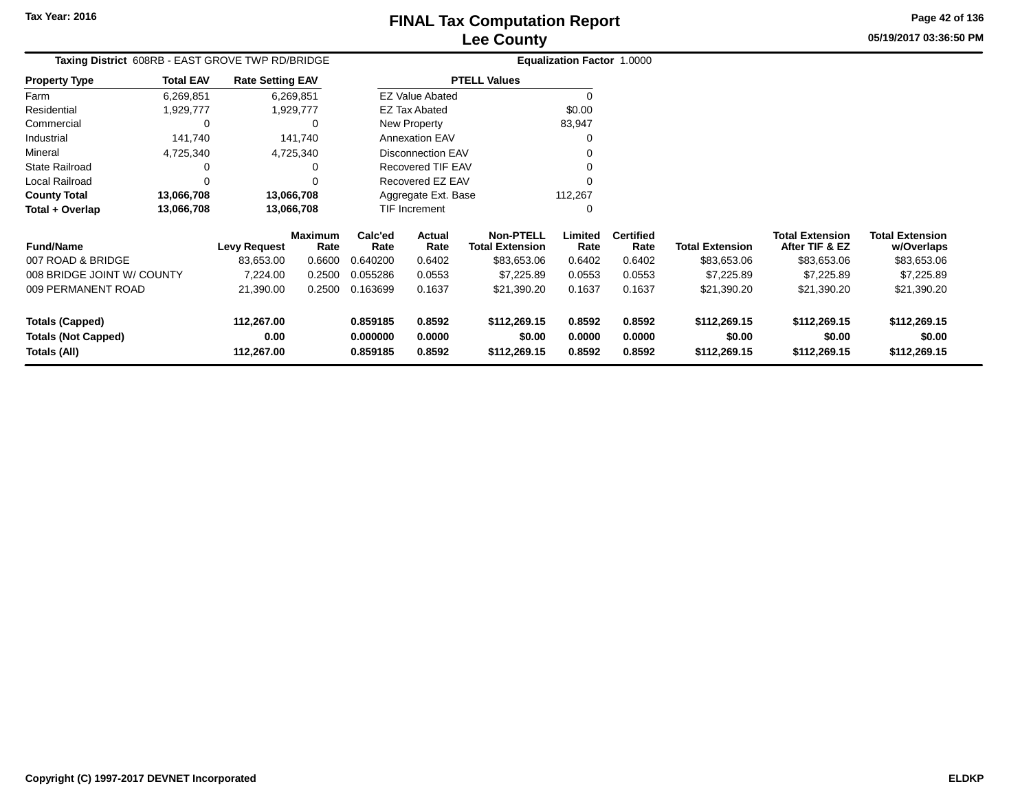**Property Type**

4,725,340

**13,066,708**

**13,066,708 13,066,708**

<sup>0</sup> <sup>0</sup>

d 0 0

4,725,340<br>0 0

**13,066,708**

Farm ResidentialCommercial

Industrial

State Railroad

Local Railroad

**County Total**

**Fund/Name**

**Total + Overlap**

007 ROAD & BRIDGE

009 PERMANENT ROAD

008 BRIDGE JOINT W/ COUNTY

Mineral

#### **Lee CountyFINAL Tax Computation Report**

**Limited**Rate

112,267 $\mathbf{0}$ 

**Certified**

**Total Extension Rate Total Extension**

21,390.00 0.2500 0.163699 0.1637 \$21,390.20 0.1637 0.1637 \$21,390.20 \$21,390.20 \$21,390.20

7,224.00 0.2500 0.055286 0.0553 \$7,225.89 0.0553 0.0553 \$7,225.89 \$7,225.89 \$7,225.89

83,653.00 0.6600 0.640200 0.6402 \$83,653.06 0.6402 0.6402 \$83,653.06 \$83,653.06 \$83,653.06

**Non-PTELL**

0

 $\sim$  0

v o

 $\begin{array}{ccc} 0 & 0 \\ 0 & 0 \end{array}$ 

\$83,653.06

**05/19/2017 03:36:50 PMPage 42 of 136**

> **w/Overlaps** \$83,653.06

**Total Extension**

**After TIF & EZ** \$83,653.06

**Total Extension**

\$83,653.06

#### **Equalization Factor** 1.0000 **Taxing District** 608RB - EAST GROVE TWP RD/BRIDGE1,929,777 1,929,777 0 $0\qquad \qquad 0$  141,740 141,740 6,269,8516,269,851**Total EAV Rate Setting EAV PTELL Values**  $\overline{\overline{0}}$  \$0.00 83,947 $\mathbf 0$ Annexation EAV v o New Property EZ Tax AbatedEZ Value Abated

**ActualRate**

Disconnection EAV

Recovered TIF EAV

Recovered EZ EAV

Aggregate Ext. BaseTIF Increment

| <b>Totals (Capped)</b>     | 112,267.00 | 0.859185 | 0.8592 | \$112,269.15 | 0.8592 | 0.8592 | \$112,269.15 | \$112,269.15 | \$112,269.15 |
|----------------------------|------------|----------|--------|--------------|--------|--------|--------------|--------------|--------------|
| <b>Totals (Not Capped)</b> | 0.00       | 0.000000 | 0.0000 | \$0.00       | 0.0000 | 0.0000 | \$0.00       | \$0.00       | \$0.00       |
| Totals (All)               | 112,267.00 | 0.859185 | 0.8592 | \$112,269.15 | 0.8592 | 0.8592 | \$112,269.15 | \$112,269.15 | \$112,269.15 |
|                            |            |          |        |              |        |        |              |              |              |
|                            |            |          |        |              |        |        |              |              |              |
|                            |            |          |        |              |        |        |              |              |              |
|                            |            |          |        |              |        |        |              |              |              |
|                            |            |          |        |              |        |        |              |              |              |

**Levy Request Rate**

 **Calc'ed Rate**0.640200

**Rate**

**Maximum**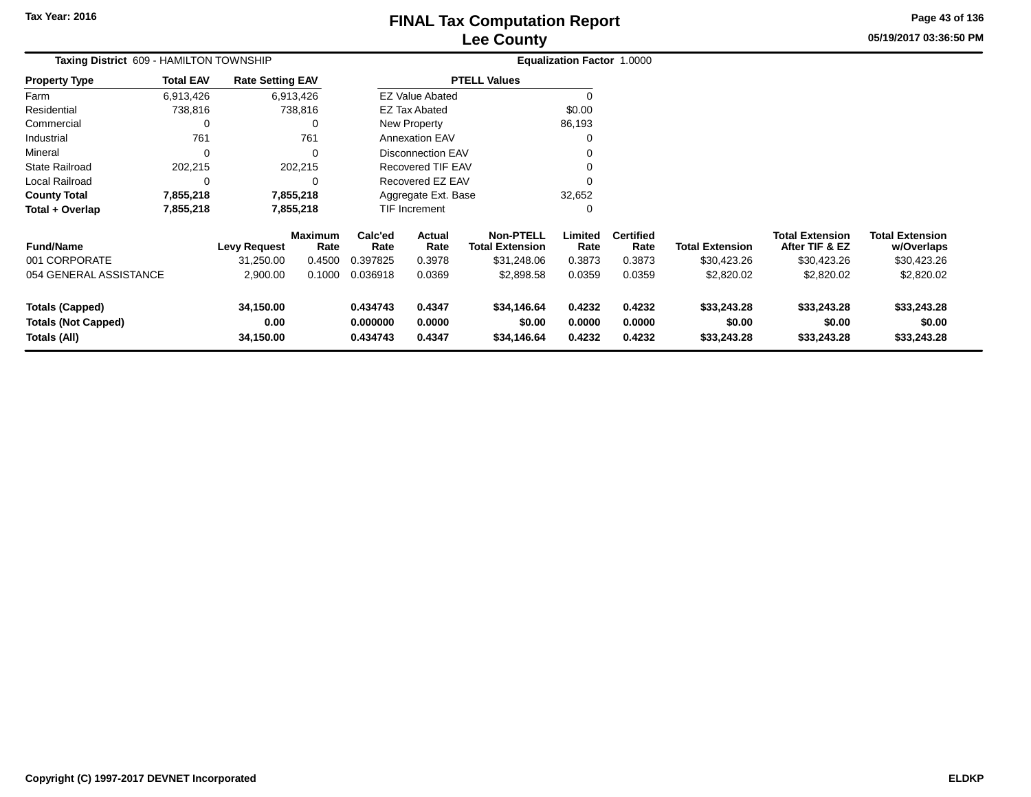# **Lee CountyFINAL Tax Computation Report** FINAL Tax Computation Report

**05/19/2017 03:36:50 PM Page 43 of 136**

| <b>Total EAV</b> |                        |                                                                             |                                                                                                        |                  |                                                                                                 |                                                                                                                                                   |                          |                                             |                                          |                                      |
|------------------|------------------------|-----------------------------------------------------------------------------|--------------------------------------------------------------------------------------------------------|------------------|-------------------------------------------------------------------------------------------------|---------------------------------------------------------------------------------------------------------------------------------------------------|--------------------------|---------------------------------------------|------------------------------------------|--------------------------------------|
| 6,913,426        |                        |                                                                             |                                                                                                        |                  |                                                                                                 | $\Omega$                                                                                                                                          |                          |                                             |                                          |                                      |
| 738,816          |                        |                                                                             |                                                                                                        |                  |                                                                                                 | \$0.00                                                                                                                                            |                          |                                             |                                          |                                      |
| 0                |                        |                                                                             |                                                                                                        |                  |                                                                                                 | 86,193                                                                                                                                            |                          |                                             |                                          |                                      |
| 761              |                        | 761                                                                         |                                                                                                        |                  |                                                                                                 |                                                                                                                                                   |                          |                                             |                                          |                                      |
| 0                |                        |                                                                             |                                                                                                        |                  |                                                                                                 |                                                                                                                                                   |                          |                                             |                                          |                                      |
| 202,215          |                        |                                                                             |                                                                                                        |                  |                                                                                                 |                                                                                                                                                   |                          |                                             |                                          |                                      |
| 0                |                        |                                                                             |                                                                                                        |                  |                                                                                                 |                                                                                                                                                   |                          |                                             |                                          |                                      |
| 7,855,218        |                        |                                                                             |                                                                                                        |                  |                                                                                                 | 32,652                                                                                                                                            |                          |                                             |                                          |                                      |
| 7,855,218        |                        |                                                                             |                                                                                                        |                  |                                                                                                 | 0                                                                                                                                                 |                          |                                             |                                          |                                      |
|                  |                        | Rate                                                                        | Calc'ed<br>Rate                                                                                        | Actual<br>Rate   | <b>Non-PTELL</b><br><b>Total Extension</b>                                                      | Limited<br>Rate                                                                                                                                   | <b>Certified</b><br>Rate | <b>Total Extension</b>                      | <b>Total Extension</b><br>After TIF & EZ | <b>Total Extension</b><br>w/Overlaps |
|                  | 31,250.00              | 0.4500                                                                      | 0.397825                                                                                               | 0.3978           | \$31,248.06                                                                                     | 0.3873                                                                                                                                            | 0.3873                   | \$30,423.26                                 | \$30,423.26                              | \$30,423.26                          |
|                  | 2,900.00               | 0.1000                                                                      | 0.036918                                                                                               | 0.0369           | \$2,898.58                                                                                      | 0.0359                                                                                                                                            | 0.0359                   | \$2,820.02                                  | \$2,820.02                               | \$2,820.02                           |
|                  | 34,150.00<br>0.00      |                                                                             | 0.434743<br>0.000000                                                                                   | 0.4347<br>0.0000 | \$34,146.64<br>\$0.00                                                                           | 0.4232<br>0.0000                                                                                                                                  | 0.4232<br>0.0000         | \$33,243.28<br>\$0.00                       | \$33,243.28<br>\$0.00                    | \$33,243.28<br>\$0.00<br>\$33,243.28 |
|                  | 054 GENERAL ASSISTANCE | Taxing District 609 - HAMILTON TOWNSHIP<br><b>Levy Request</b><br>34,150.00 | <b>Rate Setting EAV</b><br>6,913,426<br>738,816<br>202,215<br>7,855,218<br>7,855,218<br><b>Maximum</b> | 0.434743         | <b>EZ Tax Abated</b><br>New Property<br><b>Annexation EAV</b><br><b>TIF Increment</b><br>0.4347 | <b>PTELL Values</b><br><b>EZ Value Abated</b><br>Disconnection EAV<br>Recovered TIF EAV<br>Recovered EZ EAV<br>Aggregate Ext. Base<br>\$34,146.64 | 0.4232                   | <b>Equalization Factor 1.0000</b><br>0.4232 | \$33,243.28                              | \$33,243.28                          |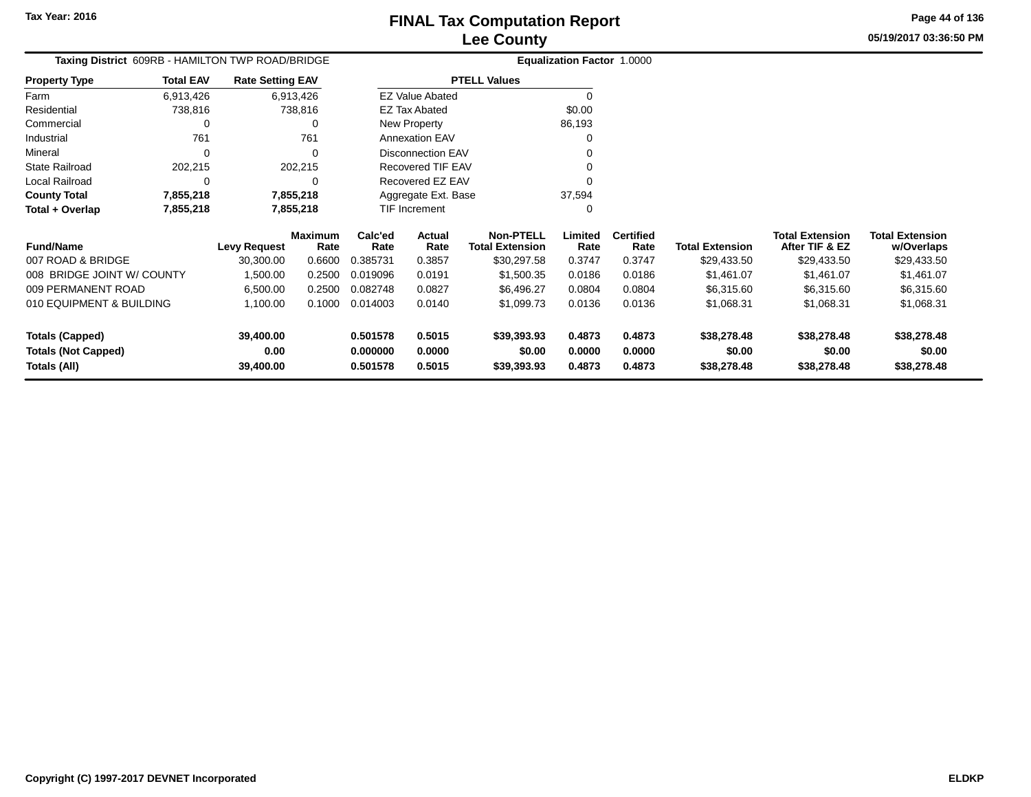## **Lee CountyFINAL Tax Computation Report**

**05/19/2017 03:36:50 PMPage 44 of 136**

|                  |                         |                                                  | <b>Equalization Factor 1.0000</b> |                                  |
|------------------|-------------------------|--------------------------------------------------|-----------------------------------|----------------------------------|
| <b>Total EAV</b> | <b>Rate Setting EAV</b> |                                                  |                                   |                                  |
| 6,913,426        | 6.913.426               | <b>EZ Value Abated</b>                           |                                   |                                  |
| 738,816          | 738,816                 | <b>EZ Tax Abated</b>                             | \$0.00                            |                                  |
|                  |                         | New Property                                     | 86.193                            |                                  |
| 761              | 761                     | <b>Annexation EAV</b>                            |                                   |                                  |
| 0                |                         | Disconnection EAV                                |                                   |                                  |
| 202.215          | 202,215                 | Recovered TIF EAV                                |                                   |                                  |
|                  |                         | Recovered EZ EAV                                 |                                   |                                  |
| 7,855,218        | 7,855,218               | Aggregate Ext. Base                              | 37,594                            |                                  |
| 7,855,218        | 7,855,218               | <b>TIF Increment</b>                             |                                   |                                  |
|                  |                         | Taxing District 609RB - HAMILTON TWP ROAD/BRIDGE |                                   | ---------<br><b>PTELL Values</b> |

| <b>Fund/Name</b>           | <b>Levy Request</b> | <b>Maximum</b><br>Rate | Calc'ed<br>Rate | Actual<br>Rate | <b>Non-PTELL</b><br><b>Total Extension</b> | Limited<br>Rate | <b>Certified</b><br>Rate | <b>Total Extension</b> | <b>Total Extension</b><br>After TIF & EZ | <b>Total Extension</b><br>w/Overlaps |
|----------------------------|---------------------|------------------------|-----------------|----------------|--------------------------------------------|-----------------|--------------------------|------------------------|------------------------------------------|--------------------------------------|
| 007 ROAD & BRIDGE          | 30.300.00           | 0.6600                 | 0.385731        | 0.3857         | \$30,297.58                                | 0.3747          | 0.3747                   | \$29,433.50            | \$29,433.50                              | \$29,433.50                          |
| 008 BRIDGE JOINT W/ COUNTY | 1.500.00            | 0.2500                 | 0.019096        | 0.0191         | \$1,500.35                                 | 0.0186          | 0.0186                   | \$1.461.07             | \$1,461.07                               | \$1,461.07                           |
| 009 PERMANENT ROAD         | 6.500.00            | 0.2500                 | 0.082748        | 0.0827         | \$6.496.27                                 | 0.0804          | 0.0804                   | \$6,315,60             | \$6,315.60                               | \$6,315.60                           |
| 010 EQUIPMENT & BUILDING   | 1.100.00            | 0.1000                 | 0.014003        | 0.0140         | \$1,099.73                                 | 0.0136          | 0.0136                   | \$1.068.31             | \$1,068.31                               | \$1,068.31                           |
| Totals (Capped)            | 39,400.00           |                        | 0.501578        | 0.5015         | \$39,393.93                                | 0.4873          | 0.4873                   | \$38,278,48            | \$38,278,48                              | \$38,278.48                          |
| <b>Totals (Not Capped)</b> | 0.00                |                        | 0.000000        | 0.0000         | \$0.00                                     | 0.0000          | 0.0000                   | \$0.00                 | \$0.00                                   | \$0.00                               |
| Totals (All)               | 39,400.00           |                        | 0.501578        | 0.5015         | \$39,393.93                                | 0.4873          | 0.4873                   | \$38,278,48            | \$38,278.48                              | \$38,278.48                          |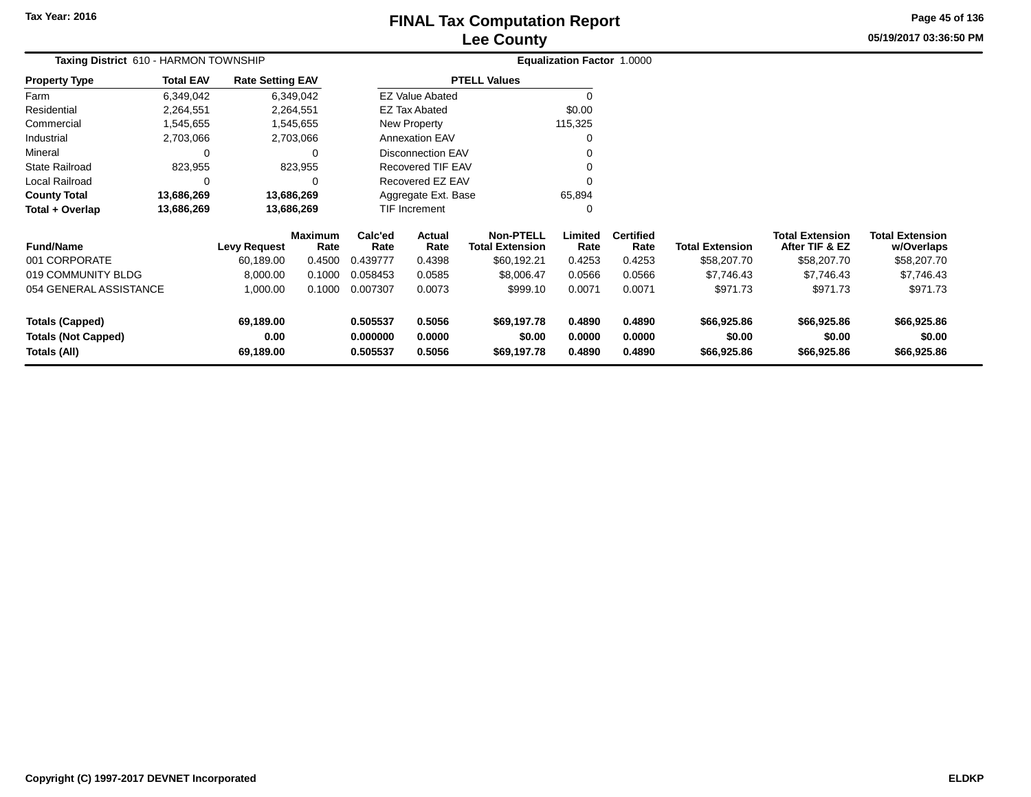### **Lee CountyFINAL Tax Computation Report** FINAL Tax Computation Report

**05/19/2017 03:36:50 PMPage 45 of 136**

| Taxing District 610 - HARMON TOWNSHIP                                |                  |                                |                        |                                  | Equalization Factor 1.0000 |                                            |                            |                            |                                      |                                          |                                      |
|----------------------------------------------------------------------|------------------|--------------------------------|------------------------|----------------------------------|----------------------------|--------------------------------------------|----------------------------|----------------------------|--------------------------------------|------------------------------------------|--------------------------------------|
| <b>Property Type</b>                                                 | <b>Total EAV</b> | <b>Rate Setting EAV</b>        |                        |                                  |                            | <b>PTELL Values</b>                        |                            |                            |                                      |                                          |                                      |
| Farm                                                                 | 6,349,042        |                                | 6,349,042              |                                  | <b>EZ Value Abated</b>     |                                            | 0                          |                            |                                      |                                          |                                      |
| Residential                                                          | 2,264,551        |                                | 2,264,551              |                                  | <b>EZ Tax Abated</b>       |                                            | \$0.00                     |                            |                                      |                                          |                                      |
| Commercial                                                           | 1,545,655        |                                | 1,545,655              |                                  | New Property               |                                            | 115,325                    |                            |                                      |                                          |                                      |
| Industrial                                                           | 2,703,066        |                                | 2,703,066              |                                  | <b>Annexation EAV</b>      |                                            | 0                          |                            |                                      |                                          |                                      |
| Mineral                                                              | 0                |                                | 0                      |                                  | <b>Disconnection EAV</b>   |                                            |                            |                            |                                      |                                          |                                      |
| <b>State Railroad</b>                                                | 823,955          |                                | 823,955                |                                  | Recovered TIF EAV          |                                            |                            |                            |                                      |                                          |                                      |
| Local Railroad                                                       | $\Omega$         |                                |                        |                                  | Recovered EZ EAV           |                                            |                            |                            |                                      |                                          |                                      |
| <b>County Total</b>                                                  | 13,686,269       |                                | 13,686,269             |                                  | Aggregate Ext. Base        |                                            | 65,894                     |                            |                                      |                                          |                                      |
| Total + Overlap                                                      | 13,686,269       |                                | 13,686,269             |                                  | <b>TIF Increment</b>       |                                            | 0                          |                            |                                      |                                          |                                      |
| <b>Fund/Name</b>                                                     |                  | <b>Levy Request</b>            | <b>Maximum</b><br>Rate | Calc'ed<br>Rate                  | Actual<br>Rate             | <b>Non-PTELL</b><br><b>Total Extension</b> | Limited<br>Rate            | <b>Certified</b><br>Rate   | <b>Total Extension</b>               | <b>Total Extension</b><br>After TIF & EZ | <b>Total Extension</b><br>w/Overlaps |
| 001 CORPORATE                                                        |                  | 60,189.00                      | 0.4500                 | 0.439777                         | 0.4398                     | \$60,192.21                                | 0.4253                     | 0.4253                     | \$58,207.70                          | \$58,207.70                              | \$58,207.70                          |
| 019 COMMUNITY BLDG                                                   |                  | 8,000.00                       | 0.1000                 | 0.058453                         | 0.0585                     | \$8,006.47                                 | 0.0566                     | 0.0566                     | \$7,746.43                           | \$7,746.43                               | \$7,746.43                           |
| 054 GENERAL ASSISTANCE                                               |                  | 1,000.00                       | 0.1000                 | 0.007307                         | 0.0073                     | \$999.10                                   | 0.0071                     | 0.0071                     | \$971.73                             | \$971.73                                 | \$971.73                             |
| <b>Totals (Capped)</b><br><b>Totals (Not Capped)</b><br>Totals (All) |                  | 69,189.00<br>0.00<br>69,189.00 |                        | 0.505537<br>0.000000<br>0.505537 | 0.5056<br>0.0000<br>0.5056 | \$69,197.78<br>\$0.00<br>\$69,197.78       | 0.4890<br>0.0000<br>0.4890 | 0.4890<br>0.0000<br>0.4890 | \$66,925.86<br>\$0.00<br>\$66,925.86 | \$66,925.86<br>\$0.00<br>\$66,925.86     | \$66,925.86<br>\$0.00<br>\$66,925.86 |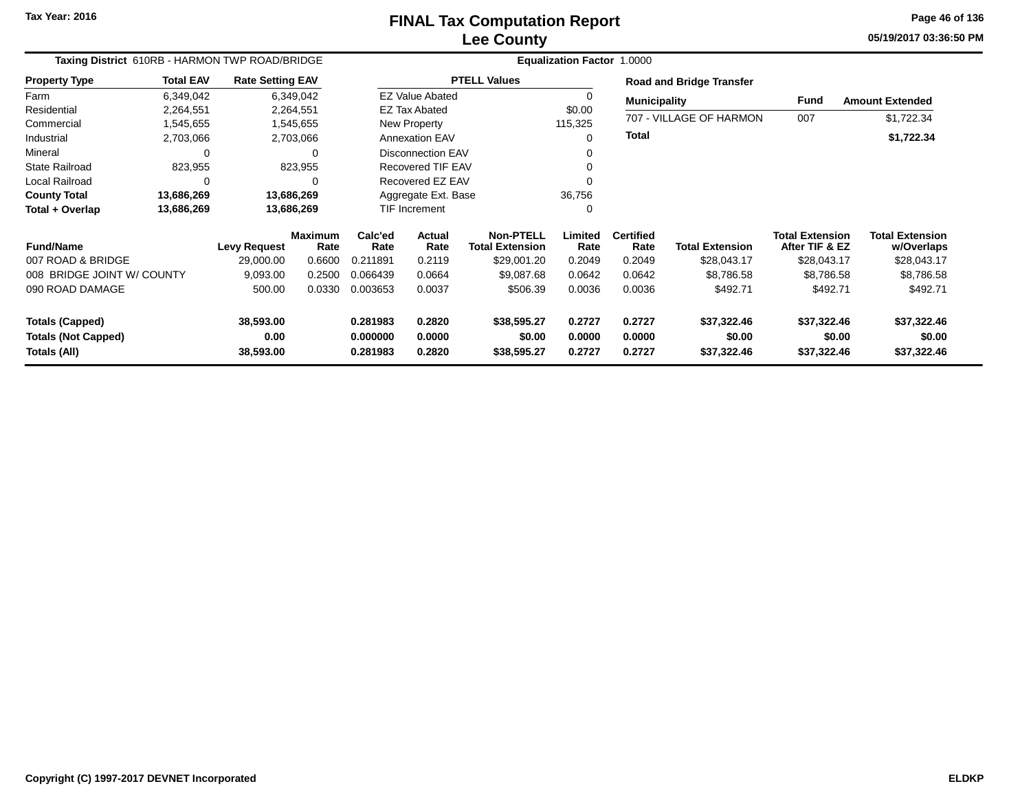# **Lee CountyFINAL Tax Computation Report**

**05/19/2017 03:36:50 PM Page 46 of 136**

| Taxing District 610RB - HARMON TWP ROAD/BRIDGE |                  |                         |                        | Equalization Factor 1.0000 |                          |                                            |                  |                          |                                 |                                          |                                      |  |  |
|------------------------------------------------|------------------|-------------------------|------------------------|----------------------------|--------------------------|--------------------------------------------|------------------|--------------------------|---------------------------------|------------------------------------------|--------------------------------------|--|--|
| <b>Property Type</b>                           | <b>Total EAV</b> | <b>Rate Setting EAV</b> |                        |                            |                          | <b>PTELL Values</b>                        |                  |                          | <b>Road and Bridge Transfer</b> |                                          |                                      |  |  |
| Farm                                           | 6,349,042        |                         | 6,349,042              |                            | <b>EZ Value Abated</b>   |                                            | $\Omega$         | <b>Municipality</b>      |                                 | <b>Fund</b>                              | <b>Amount Extended</b>               |  |  |
| Residential                                    | 2,264,551        |                         | 2,264,551              |                            | <b>EZ Tax Abated</b>     |                                            | \$0.00           |                          |                                 |                                          |                                      |  |  |
| Commercial                                     | 1,545,655        |                         | 1,545,655              |                            | New Property             |                                            | 115,325          |                          | 707 - VILLAGE OF HARMON         | 007                                      | \$1,722.34                           |  |  |
| Industrial                                     | 2,703,066        |                         | 2,703,066              |                            | <b>Annexation EAV</b>    |                                            | $\Omega$         | <b>Total</b>             |                                 |                                          | \$1,722.34                           |  |  |
| Mineral                                        | 0                |                         |                        |                            | <b>Disconnection EAV</b> |                                            |                  |                          |                                 |                                          |                                      |  |  |
| <b>State Railroad</b>                          | 823,955          |                         | 823,955                |                            | <b>Recovered TIF EAV</b> |                                            |                  |                          |                                 |                                          |                                      |  |  |
| Local Railroad                                 | 0                |                         |                        |                            | Recovered EZ EAV         |                                            |                  |                          |                                 |                                          |                                      |  |  |
| <b>County Total</b>                            | 13,686,269       |                         | 13,686,269             |                            | Aggregate Ext. Base      |                                            | 36,756           |                          |                                 |                                          |                                      |  |  |
| Total + Overlap                                | 13,686,269       |                         | 13,686,269             |                            | <b>TIF Increment</b>     |                                            | 0                |                          |                                 |                                          |                                      |  |  |
| <b>Fund/Name</b>                               |                  | <b>Levy Request</b>     | <b>Maximum</b><br>Rate | Calc'ed<br>Rate            | <b>Actual</b><br>Rate    | <b>Non-PTELL</b><br><b>Total Extension</b> | Limited<br>Rate  | <b>Certified</b><br>Rate | <b>Total Extension</b>          | <b>Total Extension</b><br>After TIF & EZ | <b>Total Extension</b><br>w/Overlaps |  |  |
| 007 ROAD & BRIDGE                              |                  | 29,000.00               | 0.6600                 | 0.211891                   | 0.2119                   | \$29,001.20                                | 0.2049           | 0.2049                   | \$28,043.17                     | \$28,043.17                              | \$28,043.17                          |  |  |
| 008 BRIDGE JOINT W/ COUNTY                     |                  | 9,093.00                | 0.2500                 | 0.066439                   | 0.0664                   | \$9,087.68                                 | 0.0642           | 0.0642                   | \$8,786.58                      | \$8,786.58                               | \$8,786.58                           |  |  |
| 090 ROAD DAMAGE                                |                  | 500.00                  | 0.0330                 | 0.003653                   | 0.0037                   | \$506.39                                   | 0.0036           | 0.0036                   | \$492.71                        | \$492.71                                 | \$492.71                             |  |  |
| <b>Totals (Capped)</b>                         |                  | 38,593.00               |                        | 0.281983                   | 0.2820                   | \$38,595.27                                | 0.2727           | 0.2727                   | \$37,322.46                     | \$37,322.46                              | \$37,322.46                          |  |  |
| <b>Totals (Not Capped)</b><br>Totals (All)     |                  | 0.00<br>38,593.00       |                        | 0.000000<br>0.281983       | 0.0000<br>0.2820         | \$0.00<br>\$38,595.27                      | 0.0000<br>0.2727 | 0.0000<br>0.2727         | \$0.00<br>\$37,322.46           | \$0.00<br>\$37,322.46                    | \$0.00<br>\$37,322.46                |  |  |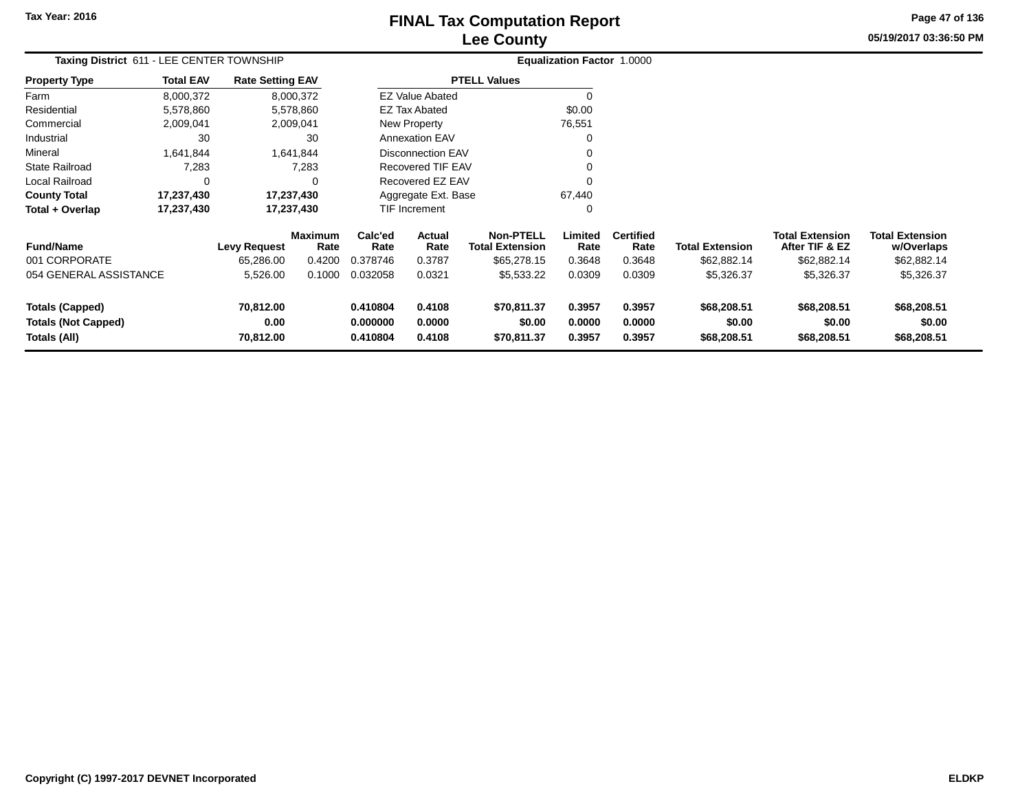# **Lee CountyFINAL Tax Computation Report** FINAL Tax Computation Report

**05/19/2017 03:36:50 PM Page 47 of 136**

| Taxing District 611 - LEE CENTER TOWNSHIP                            |                  |                                |                        |                                  |                            |                                      | Equalization Factor 1.0000 |                            |                                      |                                          |                                      |
|----------------------------------------------------------------------|------------------|--------------------------------|------------------------|----------------------------------|----------------------------|--------------------------------------|----------------------------|----------------------------|--------------------------------------|------------------------------------------|--------------------------------------|
| <b>Property Type</b>                                                 | <b>Total EAV</b> | <b>Rate Setting EAV</b>        |                        |                                  |                            | <b>PTELL Values</b>                  |                            |                            |                                      |                                          |                                      |
| Farm                                                                 | 8,000,372        |                                | 8,000,372              |                                  | <b>EZ Value Abated</b>     |                                      | $\Omega$                   |                            |                                      |                                          |                                      |
| Residential                                                          | 5,578,860        |                                | 5,578,860              |                                  | <b>EZ Tax Abated</b>       |                                      | \$0.00                     |                            |                                      |                                          |                                      |
| Commercial                                                           | 2,009,041        |                                | 2,009,041              |                                  | New Property               |                                      | 76,551                     |                            |                                      |                                          |                                      |
| Industrial                                                           | 30               |                                | 30                     |                                  | <b>Annexation EAV</b>      |                                      | 0                          |                            |                                      |                                          |                                      |
| Mineral                                                              | 1,641,844        |                                | 1,641,844              |                                  | <b>Disconnection EAV</b>   |                                      | 0                          |                            |                                      |                                          |                                      |
| <b>State Railroad</b>                                                | 7,283            |                                | 7,283                  |                                  | <b>Recovered TIF EAV</b>   |                                      | 0                          |                            |                                      |                                          |                                      |
| Local Railroad                                                       | 0                |                                | 0                      |                                  | Recovered EZ EAV           |                                      | 0                          |                            |                                      |                                          |                                      |
| <b>County Total</b>                                                  | 17,237,430       |                                | 17,237,430             |                                  | Aggregate Ext. Base        |                                      | 67,440                     |                            |                                      |                                          |                                      |
| Total + Overlap                                                      | 17,237,430       |                                | 17,237,430             |                                  | TIF Increment              |                                      | 0                          |                            |                                      |                                          |                                      |
| <b>Fund/Name</b>                                                     |                  | <b>Levy Request</b>            | <b>Maximum</b><br>Rate | Calc'ed<br>Rate                  | Actual<br>Rate             | Non-PTELL<br><b>Total Extension</b>  | Limited<br>Rate            | <b>Certified</b><br>Rate   | <b>Total Extension</b>               | <b>Total Extension</b><br>After TIF & EZ | <b>Total Extension</b><br>w/Overlaps |
| 001 CORPORATE                                                        |                  | 65,286.00                      | 0.4200                 | 0.378746                         | 0.3787                     | \$65,278.15                          | 0.3648                     | 0.3648                     | \$62,882.14                          | \$62,882.14                              | \$62,882.14                          |
| 054 GENERAL ASSISTANCE                                               |                  | 5,526.00                       | 0.1000                 | 0.032058                         | 0.0321                     | \$5,533.22                           | 0.0309                     | 0.0309                     | \$5,326.37                           | \$5,326.37                               | \$5,326.37                           |
| <b>Totals (Capped)</b><br><b>Totals (Not Capped)</b><br>Totals (All) |                  | 70,812.00<br>0.00<br>70,812.00 |                        | 0.410804<br>0.000000<br>0.410804 | 0.4108<br>0.0000<br>0.4108 | \$70,811.37<br>\$0.00<br>\$70,811.37 | 0.3957<br>0.0000<br>0.3957 | 0.3957<br>0.0000<br>0.3957 | \$68,208.51<br>\$0.00<br>\$68,208.51 | \$68,208.51<br>\$0.00<br>\$68,208.51     | \$68,208.51<br>\$0.00<br>\$68,208.51 |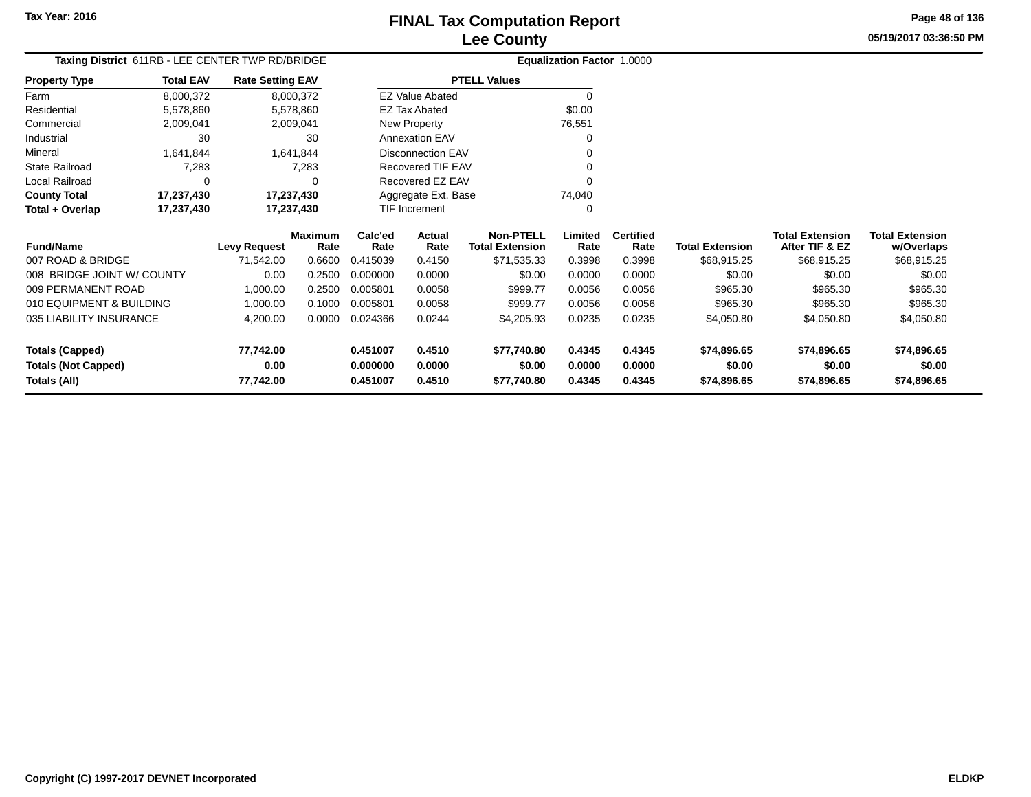**Property Type**

Farm

### **Lee CountyFINAL Tax Computation Report**

**05/19/2017 03:36:50 PMPage 48 of 136**

|                                           |                  |                                                  | <b>Lee County</b>    |                                   |  |
|-------------------------------------------|------------------|--------------------------------------------------|----------------------|-----------------------------------|--|
|                                           |                  | Taxing District 611RB - LEE CENTER TWP RD/BRIDGE |                      | <b>Equalization Factor 1.0000</b> |  |
| rty Type                                  | <b>Total EAV</b> | <b>Rate Setting EAV</b>                          | <b>PTELL Values</b>  |                                   |  |
|                                           | 8,000,372        | 8.000.372                                        | EZ Value Abated      |                                   |  |
| ential                                    | 5.578.860        | 5.578.860                                        | <b>EZ Tax Abated</b> | \$0.00                            |  |
| $\sim$ $\sim$ $\sim$ $\sim$ $\sim$ $\sim$ | 0.00001          | 0.000011                                         | Marco Documento      | 70.55                             |  |

|                       |            | <b>Maximum</b> | Calc'ed | Actual                | <b>Non-PTELL</b> | Limited  | <b>Certified</b> |
|-----------------------|------------|----------------|---------|-----------------------|------------------|----------|------------------|
| Total + Overlap       | 17,237,430 | 17,237,430     |         | TIF Increment         |                  | 0        |                  |
| <b>County Total</b>   | 17,237,430 | 17,237,430     |         | Aggregate Ext. Base   |                  | 74.040   |                  |
| Local Railroad        | 0          | $\Omega$       |         | Recovered EZ EAV      |                  | $\Omega$ |                  |
| <b>State Railroad</b> | 7,283      | 7.283          |         | Recovered TIF EAV     |                  | 0        |                  |
| Mineral               | 1.641.844  | 1.641.844      |         | Disconnection EAV     |                  | 0        |                  |
| Industrial            | 30         | 30             |         | <b>Annexation EAV</b> |                  | 0        |                  |
| Commercial            | 2,009,041  | 2,009,041      |         | New Property          |                  | 76,551   |                  |
| Residential           | 5,578,860  | 5,578,860      |         | <b>EZ Tax Abated</b>  |                  | \$0.00   |                  |
|                       |            |                |         |                       |                  |          |                  |

| <b>Fund/Name</b>           | <b>Levy Request</b> | Maximum<br>Rate | Calc'ed<br>Rate | Actual<br>Rate | <b>Non-PTELL</b><br><b>Total Extension</b> | .imited<br>Rate | <b>Certified</b><br>Rate | Total Extension | Total Extension<br>After TIF & EZ | Total Extension<br>w/Overlaps |
|----------------------------|---------------------|-----------------|-----------------|----------------|--------------------------------------------|-----------------|--------------------------|-----------------|-----------------------------------|-------------------------------|
| 007 ROAD & BRIDGE          | 71.542.00           | 0.6600          | 0.415039        | 0.4150         | \$71,535.33                                | 0.3998          | 0.3998                   | \$68,915.25     | \$68,915.25                       | \$68,915.25                   |
| 008 BRIDGE JOINT W/ COUNTY | 0.00                | 0.2500          | 0.000000        | 0.0000         | \$0.00                                     | 0.0000          | 0.0000                   | \$0.00          | \$0.00                            | \$0.00                        |
| 009 PERMANENT ROAD         | 1.000.00            | 0.2500          | 0.005801        | 0.0058         | \$999.77                                   | 0.0056          | 0.0056                   | \$965.30        | \$965.30                          | \$965.30                      |
| 010 EQUIPMENT & BUILDING   | 1.000.00            | 0.1000          | 0.005801        | 0.0058         | \$999.77                                   | 0.0056          | 0.0056                   | \$965.30        | \$965.30                          | \$965.30                      |
| 035 LIABILITY INSURANCE    | 4,200.00            | 0.0000          | 0.024366        | 0.0244         | \$4,205.93                                 | 0.0235          | 0.0235                   | \$4,050.80      | \$4,050.80                        | \$4,050.80                    |
| <b>Totals (Capped)</b>     | 77,742.00           |                 | 0.451007        | 0.4510         | \$77.740.80                                | 0.4345          | 0.4345                   | \$74.896.65     | \$74,896,65                       | \$74,896.65                   |
| <b>Totals (Not Capped)</b> | 0.00                |                 | 0.000000        | 0.0000         | \$0.00                                     | 0.0000          | 0.0000                   | \$0.00          | \$0.00                            | \$0.00                        |
| Totals (All)               | 77.742.00           |                 | 0.451007        | 0.4510         | \$77,740.80                                | 0.4345          | 0.4345                   | \$74.896.65     | \$74.896.65                       | \$74,896.65                   |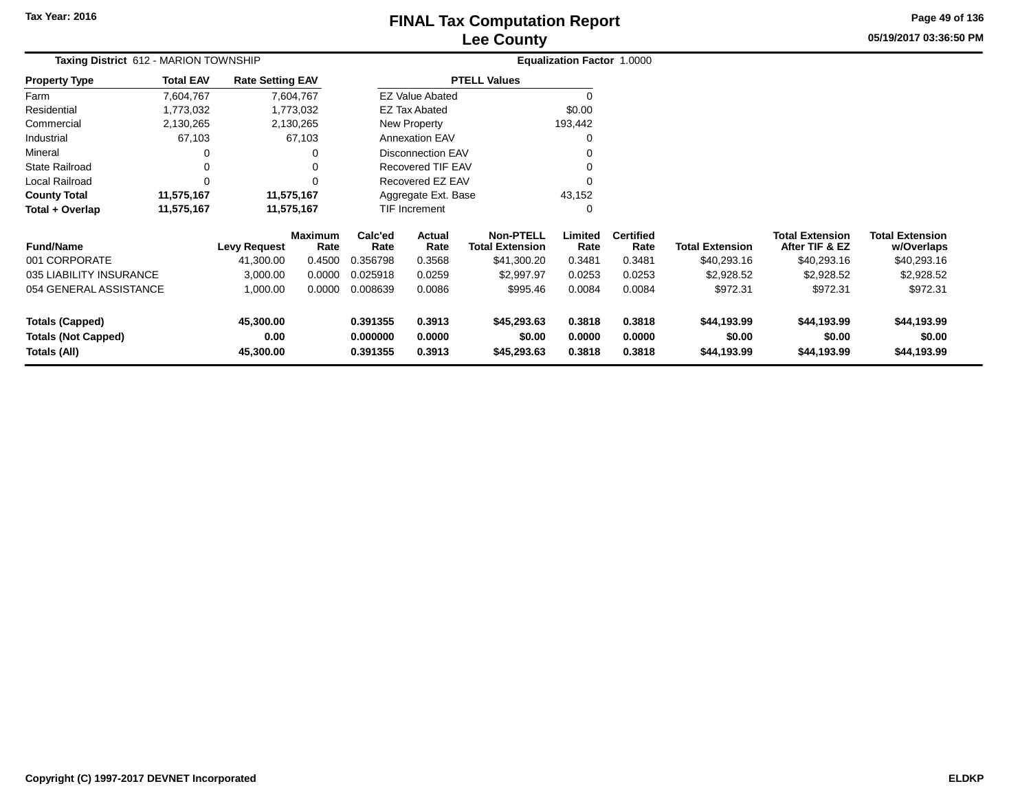**Totals (Not Capped)**

**Totals (All)**

**0.00**

**45,300.00**

# **Lee CountyFINAL Tax Computation Report**

**0.000000 0.0000 \$0.00 0.0000 0.0000 \$0.00 \$0.00 \$0.00**

**0.391355 0.3913 \$45,293.63 0.3818 0.3818 \$44,193.99 \$44,193.99 \$44,193.99**

**05/19/2017 03:36:50 PMPage 49 of 136**

| Taxing District 612 - MARION TOWNSHIP |                  |                         |                        |                 |                          |                                            | Equalization Factor 1.0000 |                          |                        |                                          |                                      |
|---------------------------------------|------------------|-------------------------|------------------------|-----------------|--------------------------|--------------------------------------------|----------------------------|--------------------------|------------------------|------------------------------------------|--------------------------------------|
| <b>Property Type</b>                  | <b>Total EAV</b> | <b>Rate Setting EAV</b> |                        |                 |                          | <b>PTELL Values</b>                        |                            |                          |                        |                                          |                                      |
| Farm                                  | 7,604,767        |                         | 7,604,767              |                 | <b>EZ Value Abated</b>   |                                            | 0                          |                          |                        |                                          |                                      |
| Residential                           | 1,773,032        |                         | 1,773,032              |                 | EZ Tax Abated            |                                            | \$0.00                     |                          |                        |                                          |                                      |
| Commercial                            | 2,130,265        |                         | 2,130,265              |                 | New Property             |                                            | 193,442                    |                          |                        |                                          |                                      |
| Industrial                            | 67,103           |                         | 67,103                 |                 | <b>Annexation EAV</b>    |                                            | $\Omega$                   |                          |                        |                                          |                                      |
| Mineral                               | 0                |                         | 0                      |                 | <b>Disconnection EAV</b> |                                            | $\Omega$                   |                          |                        |                                          |                                      |
| <b>State Railroad</b>                 | 0                |                         | 0                      |                 | Recovered TIF EAV        |                                            | $\Omega$                   |                          |                        |                                          |                                      |
| Local Railroad                        | 0                |                         | 0                      |                 | Recovered EZ EAV         |                                            | $\Omega$                   |                          |                        |                                          |                                      |
| <b>County Total</b>                   | 11,575,167       |                         | 11,575,167             |                 | Aggregate Ext. Base      |                                            | 43,152                     |                          |                        |                                          |                                      |
| Total + Overlap                       | 11,575,167       |                         | 11,575,167             |                 | <b>TIF Increment</b>     |                                            | 0                          |                          |                        |                                          |                                      |
| <b>Fund/Name</b>                      |                  | Levy Request            | <b>Maximum</b><br>Rate | Calc'ed<br>Rate | <b>Actual</b><br>Rate    | <b>Non-PTELL</b><br><b>Total Extension</b> | Limited<br>Rate            | <b>Certified</b><br>Rate | <b>Total Extension</b> | <b>Total Extension</b><br>After TIF & EZ | <b>Total Extension</b><br>w/Overlaps |
| 001 CORPORATE                         |                  | 41,300.00               | 0.4500                 | 0.356798        | 0.3568                   | \$41,300.20                                | 0.3481                     | 0.3481                   | \$40,293.16            | \$40,293.16                              | \$40,293.16                          |
| 035 LIABILITY INSURANCE               |                  | 3,000.00                | 0.0000                 | 0.025918        | 0.0259                   | \$2,997.97                                 | 0.0253                     | 0.0253                   | \$2,928.52             | \$2,928.52                               | \$2,928.52                           |
| 054 GENERAL ASSISTANCE                |                  | 1,000.00                | 0.0000                 | 0.008639        | 0.0086                   | \$995.46                                   | 0.0084                     | 0.0084                   | \$972.31               | \$972.31                                 | \$972.31                             |
| <b>Totals (Capped)</b>                |                  | 45,300.00               |                        | 0.391355        | 0.3913                   | \$45,293.63                                | 0.3818                     | 0.3818                   | \$44,193.99            | \$44,193.99                              | \$44,193.99                          |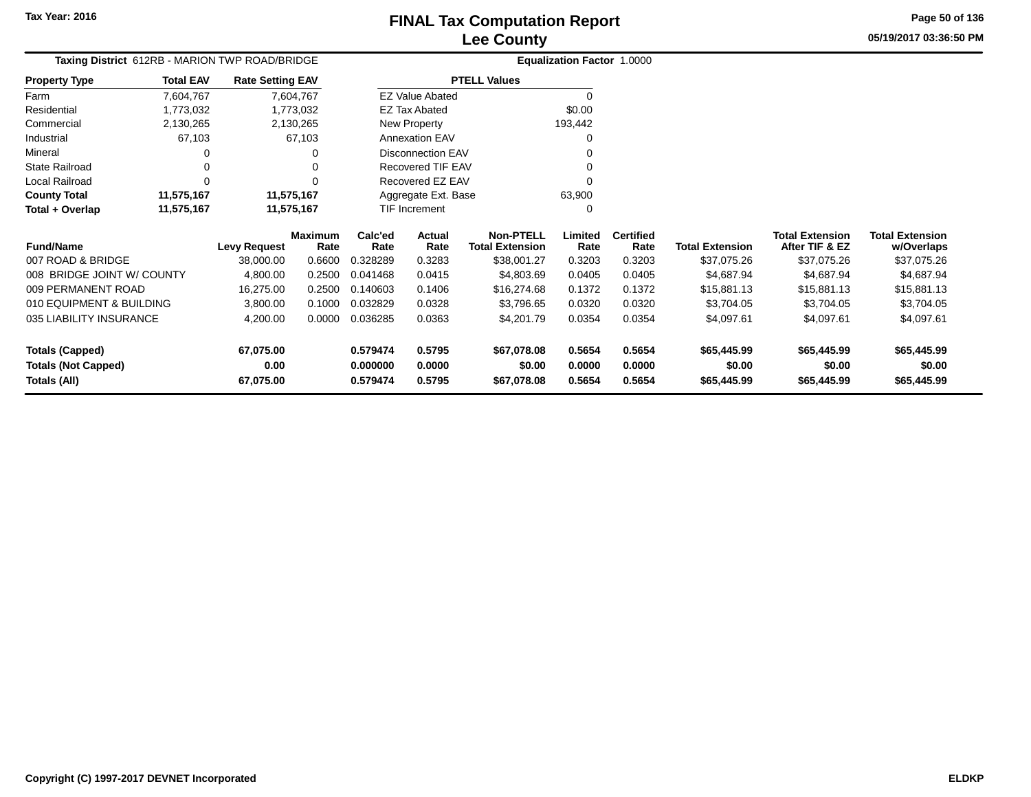$\overline{a}$ 

**Totals (All)**

## **Lee CountyFINAL Tax Computation Report**

**0.579474 0.5795 \$67,078.08 0.5654 0.5654 \$65,445.99 \$65,445.99 \$65,445.99**

**05/19/2017 03:36:50 PMPage 50 of 136**

> **w/Overlaps**\$37,075.26

| Taxing District 612RB - MARION TWP ROAD/BRIDGE |                  |                         |                        |                 | Equalization Factor 1.0000 |                                            |                 |                          |                        |                                          |                                      |
|------------------------------------------------|------------------|-------------------------|------------------------|-----------------|----------------------------|--------------------------------------------|-----------------|--------------------------|------------------------|------------------------------------------|--------------------------------------|
| <b>Property Type</b>                           | <b>Total EAV</b> | <b>Rate Setting EAV</b> |                        |                 |                            | <b>PTELL Values</b>                        |                 |                          |                        |                                          |                                      |
| Farm                                           | 7,604,767        |                         | 7,604,767              |                 | <b>EZ Value Abated</b>     |                                            |                 |                          |                        |                                          |                                      |
| Residential                                    | 1,773,032        |                         | 1,773,032              |                 | <b>EZ Tax Abated</b>       |                                            | \$0.00          |                          |                        |                                          |                                      |
| Commercial                                     | 2,130,265        |                         | 2,130,265              |                 | New Property               |                                            | 193,442         |                          |                        |                                          |                                      |
| Industrial                                     | 67,103           |                         | 67,103                 |                 | <b>Annexation EAV</b>      |                                            |                 |                          |                        |                                          |                                      |
| Mineral                                        |                  |                         |                        |                 | <b>Disconnection EAV</b>   |                                            |                 |                          |                        |                                          |                                      |
| <b>State Railroad</b>                          |                  |                         |                        |                 | Recovered TIF EAV          |                                            |                 |                          |                        |                                          |                                      |
| Local Railroad                                 |                  |                         |                        |                 | Recovered EZ EAV           |                                            |                 |                          |                        |                                          |                                      |
| <b>County Total</b>                            | 11,575,167       | 11,575,167              |                        |                 | Aggregate Ext. Base        |                                            | 63,900          |                          |                        |                                          |                                      |
| Total + Overlap                                | 11,575,167       | 11,575,167              |                        |                 | TIF Increment              |                                            |                 |                          |                        |                                          |                                      |
| <b>Fund/Name</b>                               |                  | <b>Levy Request</b>     | <b>Maximum</b><br>Rate | Calc'ed<br>Rate | Actual<br>Rate             | <b>Non-PTELL</b><br><b>Total Extension</b> | Limited<br>Rate | <b>Certified</b><br>Rate | <b>Total Extension</b> | <b>Total Extension</b><br>After TIF & EZ | <b>Total Extension</b><br>w/Overlaps |
| 007 ROAD & BRIDGE                              |                  | 38,000.00               | 0.6600                 | 0.328289        | 0.3283                     | \$38,001.27                                | 0.3203          | 0.3203                   | \$37,075.26            | \$37,075.26                              | \$37,075.26                          |
| 008 BRIDGE JOINT W/ COUNTY                     |                  | 4,800.00                | 0.2500                 | 0.041468        | 0.0415                     | \$4,803.69                                 | 0.0405          | 0.0405                   | \$4,687.94             | \$4,687.94                               | \$4,687.94                           |
| 009 PERMANENT ROAD                             |                  | 16,275.00               | 0.2500                 | 0.140603        | 0.1406                     | \$16,274.68                                | 0.1372          | 0.1372                   | \$15,881.13            | \$15,881.13                              | \$15,881.13                          |
| 010 EQUIPMENT & BUILDING                       |                  | 3,800.00                | 0.1000                 | 0.032829        | 0.0328                     | \$3,796.65                                 | 0.0320          | 0.0320                   | \$3,704.05             | \$3,704.05                               | \$3,704.05                           |
| 035 LIABILITY INSURANCE                        |                  | 4,200.00                | 0.0000                 | 0.036285        | 0.0363                     | \$4,201.79                                 | 0.0354          | 0.0354                   | \$4,097.61             | \$4,097.61                               | \$4,097.61                           |
| <b>Totals (Capped)</b>                         |                  | 67,075.00               |                        | 0.579474        | 0.5795                     | \$67,078.08                                | 0.5654          | 0.5654                   | \$65,445.99            | \$65,445.99                              | \$65,445.99                          |
| <b>Totals (Not Capped)</b>                     |                  | 0.00                    |                        | 0.000000        | 0.0000                     | \$0.00                                     | 0.0000          | 0.0000                   | \$0.00                 | \$0.00                                   | \$0.00                               |

**67,075.00**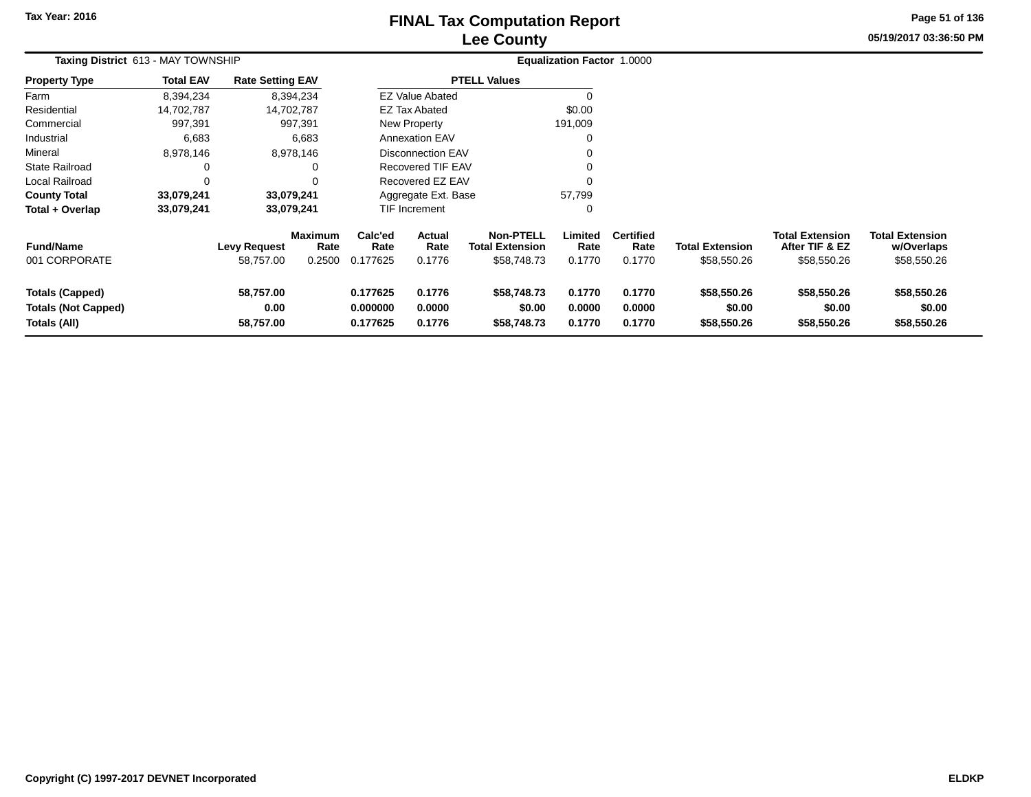# **Lee CountyFINAL Tax Computation Report** FINAL Tax Computation Report

**05/19/2017 03:36:50 PMPage 51 of 136**

| Taxing District 613 - MAY TOWNSHIP                                   |                  |                                  |                                  | <b>Equalization Factor 1.0000</b> |                            |                                                           |                            |                                    |                                       |                                                         |                                                     |
|----------------------------------------------------------------------|------------------|----------------------------------|----------------------------------|-----------------------------------|----------------------------|-----------------------------------------------------------|----------------------------|------------------------------------|---------------------------------------|---------------------------------------------------------|-----------------------------------------------------|
| <b>Property Type</b>                                                 | <b>Total EAV</b> | <b>Rate Setting EAV</b>          |                                  |                                   |                            | <b>PTELL Values</b>                                       |                            |                                    |                                       |                                                         |                                                     |
| Farm                                                                 | 8,394,234        |                                  | 8,394,234                        |                                   | <b>EZ Value Abated</b>     |                                                           |                            |                                    |                                       |                                                         |                                                     |
| Residential                                                          | 14,702,787       |                                  | 14,702,787                       |                                   | <b>EZ Tax Abated</b>       |                                                           | \$0.00                     |                                    |                                       |                                                         |                                                     |
| Commercial                                                           | 997,391          |                                  | 997,391                          |                                   | New Property               |                                                           | 191,009                    |                                    |                                       |                                                         |                                                     |
| Industrial                                                           | 6,683            |                                  | 6,683                            |                                   | <b>Annexation EAV</b>      |                                                           |                            |                                    |                                       |                                                         |                                                     |
| Mineral                                                              | 8,978,146        |                                  | 8,978,146                        |                                   | <b>Disconnection EAV</b>   |                                                           |                            |                                    |                                       |                                                         |                                                     |
| State Railroad                                                       |                  |                                  | 0                                |                                   | Recovered TIF EAV          |                                                           |                            |                                    |                                       |                                                         |                                                     |
| Local Railroad                                                       |                  |                                  | 0                                |                                   | Recovered EZ EAV           |                                                           |                            |                                    |                                       |                                                         |                                                     |
| <b>County Total</b>                                                  | 33,079,241       |                                  | 33,079,241                       |                                   | Aggregate Ext. Base        |                                                           | 57,799                     |                                    |                                       |                                                         |                                                     |
| Total + Overlap                                                      | 33,079,241       |                                  | 33,079,241                       |                                   | TIF Increment              |                                                           | 0                          |                                    |                                       |                                                         |                                                     |
| <b>Fund/Name</b><br>001 CORPORATE                                    |                  | <b>Levy Request</b><br>58,757.00 | <b>Maximum</b><br>Rate<br>0.2500 | Calc'ed<br>Rate<br>0.177625       | Actual<br>Rate<br>0.1776   | <b>Non-PTELL</b><br><b>Total Extension</b><br>\$58,748.73 | Limited<br>Rate<br>0.1770  | <b>Certified</b><br>Rate<br>0.1770 | <b>Total Extension</b><br>\$58,550.26 | <b>Total Extension</b><br>After TIF & EZ<br>\$58,550.26 | <b>Total Extension</b><br>w/Overlaps<br>\$58,550.26 |
| <b>Totals (Capped)</b><br><b>Totals (Not Capped)</b><br>Totals (All) |                  | 58,757.00<br>0.00<br>58,757.00   |                                  | 0.177625<br>0.000000<br>0.177625  | 0.1776<br>0.0000<br>0.1776 | \$58,748.73<br>\$0.00<br>\$58,748.73                      | 0.1770<br>0.0000<br>0.1770 | 0.1770<br>0.0000<br>0.1770         | \$58,550.26<br>\$0.00<br>\$58,550.26  | \$58,550.26<br>\$0.00<br>\$58,550.26                    | \$58,550.26<br>\$0.00<br>\$58,550.26                |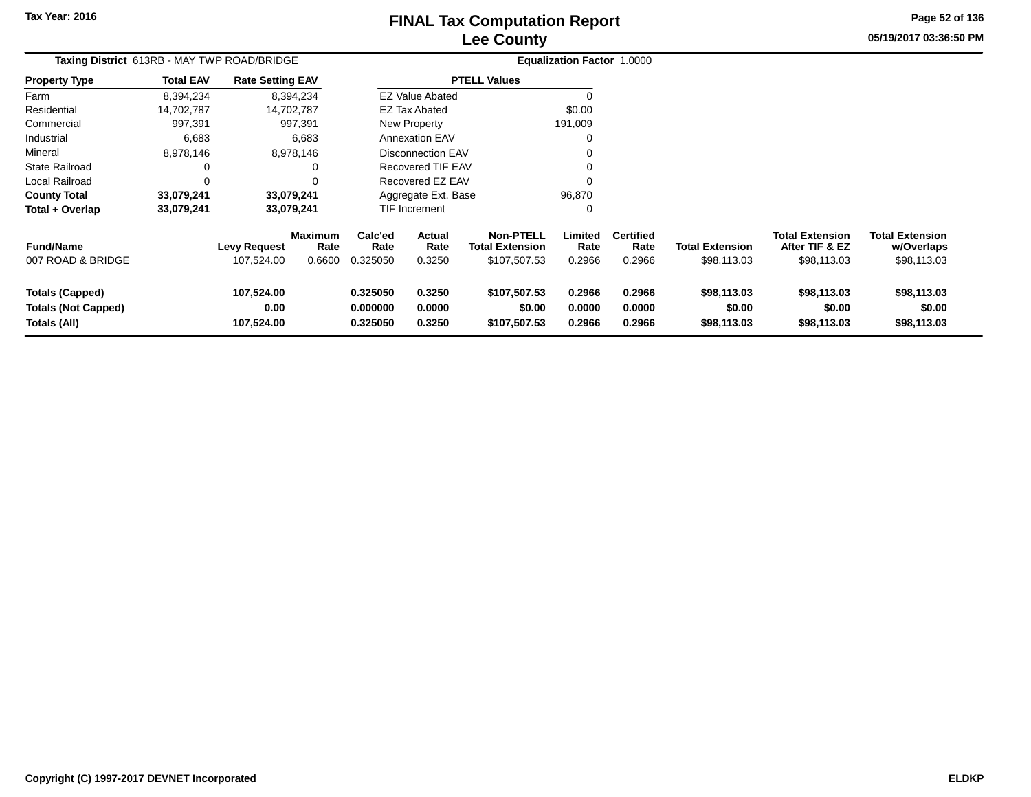# **Lee CountyFINAL Tax Computation Report**

**05/19/2017 03:36:50 PM Page 52 of 136**

| Taxing District 613RB - MAY TWP ROAD/BRIDGE                          |                  |                                   |                                  |                                  |                            |                                                            | Equalization Factor 1.0000 |                                    |                                       |                                                         |                                                     |
|----------------------------------------------------------------------|------------------|-----------------------------------|----------------------------------|----------------------------------|----------------------------|------------------------------------------------------------|----------------------------|------------------------------------|---------------------------------------|---------------------------------------------------------|-----------------------------------------------------|
| <b>Property Type</b>                                                 | <b>Total EAV</b> | <b>Rate Setting EAV</b>           |                                  |                                  |                            | <b>PTELL Values</b>                                        |                            |                                    |                                       |                                                         |                                                     |
| Farm                                                                 | 8,394,234        |                                   | 8,394,234                        |                                  | <b>EZ Value Abated</b>     |                                                            |                            |                                    |                                       |                                                         |                                                     |
| Residential                                                          | 14,702,787       |                                   | 14,702,787                       |                                  | <b>EZ Tax Abated</b>       |                                                            | \$0.00                     |                                    |                                       |                                                         |                                                     |
| Commercial                                                           | 997,391          |                                   | 997,391                          |                                  | New Property               |                                                            | 191,009                    |                                    |                                       |                                                         |                                                     |
| Industrial                                                           | 6,683            |                                   | 6,683                            |                                  | <b>Annexation EAV</b>      |                                                            |                            |                                    |                                       |                                                         |                                                     |
| Mineral                                                              | 8,978,146        |                                   | 8,978,146                        |                                  | <b>Disconnection EAV</b>   |                                                            |                            |                                    |                                       |                                                         |                                                     |
| <b>State Railroad</b>                                                | O                |                                   |                                  |                                  | Recovered TIF EAV          |                                                            |                            |                                    |                                       |                                                         |                                                     |
| Local Railroad                                                       | $\Omega$         |                                   |                                  |                                  | Recovered EZ EAV           |                                                            |                            |                                    |                                       |                                                         |                                                     |
| <b>County Total</b>                                                  | 33,079,241       |                                   | 33,079,241                       |                                  | Aggregate Ext. Base        |                                                            | 96,870                     |                                    |                                       |                                                         |                                                     |
| Total + Overlap                                                      | 33,079,241       |                                   | 33,079,241                       |                                  | TIF Increment              |                                                            | 0                          |                                    |                                       |                                                         |                                                     |
| <b>Fund/Name</b><br>007 ROAD & BRIDGE                                |                  | <b>Levy Request</b><br>107,524.00 | <b>Maximum</b><br>Rate<br>0.6600 | Calc'ed<br>Rate<br>0.325050      | Actual<br>Rate<br>0.3250   | <b>Non-PTELL</b><br><b>Total Extension</b><br>\$107,507.53 | Limited<br>Rate<br>0.2966  | <b>Certified</b><br>Rate<br>0.2966 | <b>Total Extension</b><br>\$98,113.03 | <b>Total Extension</b><br>After TIF & EZ<br>\$98,113.03 | <b>Total Extension</b><br>w/Overlaps<br>\$98,113.03 |
| <b>Totals (Capped)</b><br><b>Totals (Not Capped)</b><br>Totals (All) |                  | 107,524.00<br>0.00<br>107,524.00  |                                  | 0.325050<br>0.000000<br>0.325050 | 0.3250<br>0.0000<br>0.3250 | \$107,507.53<br>\$0.00<br>\$107,507.53                     | 0.2966<br>0.0000<br>0.2966 | 0.2966<br>0.0000<br>0.2966         | \$98,113.03<br>\$0.00<br>\$98,113.03  | \$98,113.03<br>\$0.00<br>\$98,113.03                    | \$98,113.03<br>\$0.00<br>\$98,113.03                |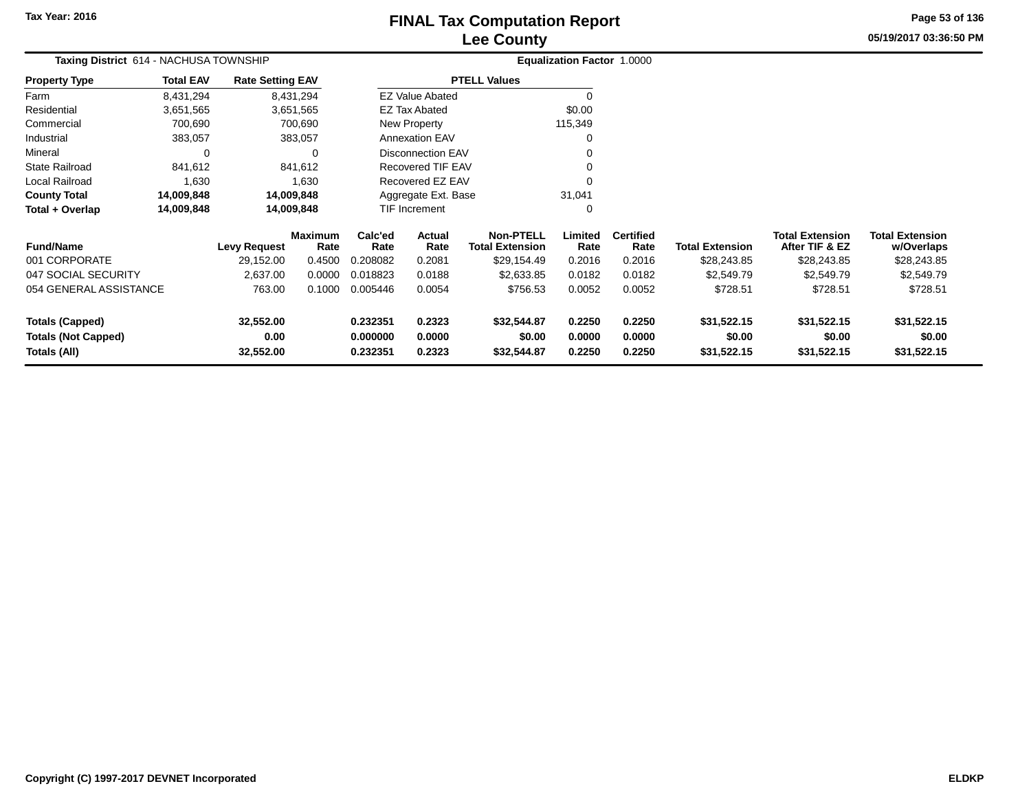# **Lee CountyFINAL Tax Computation Report** FINAL Tax Computation Report

**05/19/2017 03:36:50 PM Page 53 of 136**

| Taxing District 614 - NACHUSA TOWNSHIP     |                  |                         |                 |                      |                          |                                            | Equalization Factor 1.0000 |                          |                        |                                          |                                      |
|--------------------------------------------|------------------|-------------------------|-----------------|----------------------|--------------------------|--------------------------------------------|----------------------------|--------------------------|------------------------|------------------------------------------|--------------------------------------|
| <b>Property Type</b>                       | <b>Total EAV</b> | <b>Rate Setting EAV</b> |                 |                      |                          | <b>PTELL Values</b>                        |                            |                          |                        |                                          |                                      |
| Farm                                       | 8,431,294        |                         | 8,431,294       |                      | <b>EZ Value Abated</b>   |                                            |                            |                          |                        |                                          |                                      |
| Residential                                | 3,651,565        |                         | 3,651,565       |                      | <b>EZ Tax Abated</b>     |                                            | \$0.00                     |                          |                        |                                          |                                      |
| Commercial                                 | 700,690          |                         | 700,690         |                      | <b>New Property</b>      |                                            | 115,349                    |                          |                        |                                          |                                      |
| Industrial                                 | 383,057          |                         | 383,057         |                      | <b>Annexation EAV</b>    |                                            |                            |                          |                        |                                          |                                      |
| Mineral                                    | $\overline{0}$   |                         | 0               |                      | <b>Disconnection EAV</b> |                                            |                            |                          |                        |                                          |                                      |
| <b>State Railroad</b>                      | 841,612          |                         | 841,612         |                      | Recovered TIF EAV        |                                            | 0                          |                          |                        |                                          |                                      |
| Local Railroad                             | 1,630            |                         | 1,630           |                      | Recovered EZ EAV         |                                            |                            |                          |                        |                                          |                                      |
| <b>County Total</b>                        | 14,009,848       |                         | 14,009,848      |                      | Aggregate Ext. Base      |                                            | 31,041                     |                          |                        |                                          |                                      |
| Total + Overlap                            | 14,009,848       |                         | 14,009,848      |                      | TIF Increment            |                                            | 0                          |                          |                        |                                          |                                      |
| <b>Fund/Name</b>                           |                  | <b>Levy Request</b>     | Maximum<br>Rate | Calc'ed<br>Rate      | Actual<br>Rate           | <b>Non-PTELL</b><br><b>Total Extension</b> | Limited<br>Rate            | <b>Certified</b><br>Rate | <b>Total Extension</b> | <b>Total Extension</b><br>After TIF & EZ | <b>Total Extension</b><br>w/Overlaps |
| 001 CORPORATE                              |                  | 29,152.00               | 0.4500          | 0.208082             | 0.2081                   | \$29,154.49                                | 0.2016                     | 0.2016                   | \$28,243.85            | \$28,243.85                              | \$28,243.85                          |
| 047 SOCIAL SECURITY                        |                  | 2,637.00                | 0.0000          | 0.018823             | 0.0188                   | \$2,633.85                                 | 0.0182                     | 0.0182                   | \$2,549.79             | \$2,549.79                               | \$2,549.79                           |
| 054 GENERAL ASSISTANCE                     |                  | 763.00                  | 0.1000          | 0.005446             | 0.0054                   | \$756.53                                   | 0.0052                     | 0.0052                   | \$728.51               | \$728.51                                 | \$728.51                             |
| <b>Totals (Capped)</b>                     |                  | 32,552.00               |                 | 0.232351             | 0.2323                   | \$32,544.87                                | 0.2250                     | 0.2250                   | \$31,522.15            | \$31,522.15                              | \$31,522.15                          |
| <b>Totals (Not Capped)</b><br>Totals (All) |                  | 0.00<br>32,552.00       |                 | 0.000000<br>0.232351 | 0.0000<br>0.2323         | \$0.00<br>\$32,544.87                      | 0.0000<br>0.2250           | 0.0000<br>0.2250         | \$0.00<br>\$31,522.15  | \$0.00<br>\$31,522.15                    | \$0.00<br>\$31,522.15                |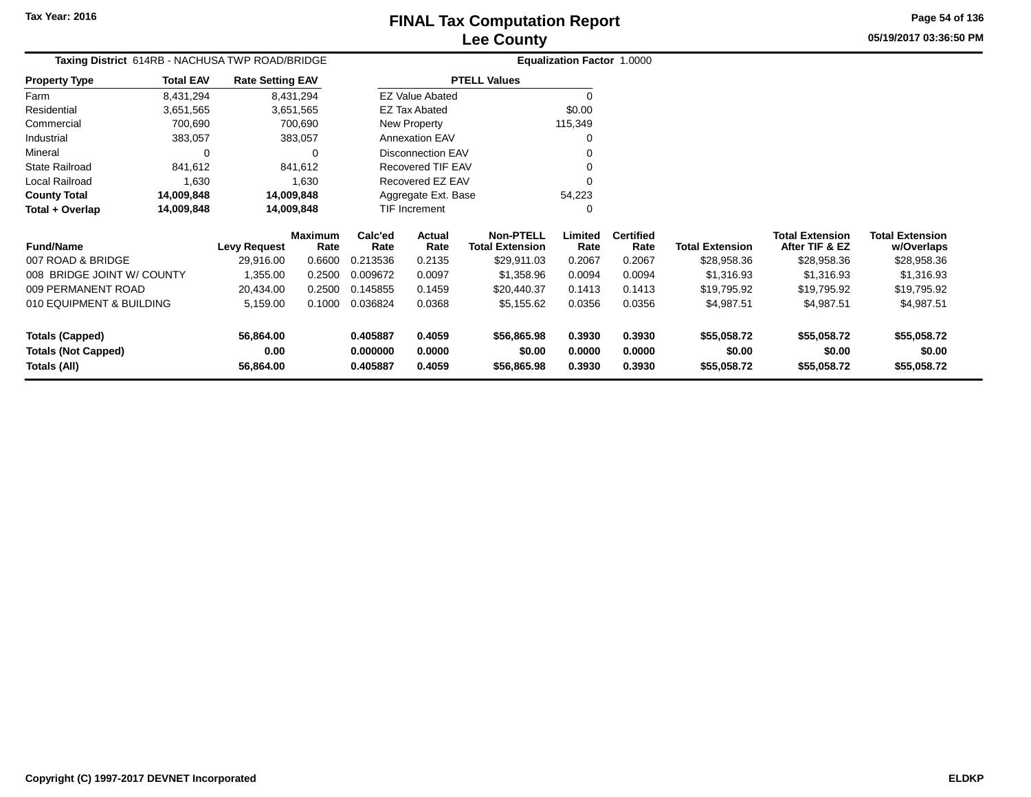**Totals (Capped)**

**Totals (All)**

**Totals (Not Capped)**

#### **Lee CountyFINAL Tax Computation Report**

**0.405887 0.4059 \$56,865.98 0.3930 0.3930 \$55,058.72 \$55,058.72 \$55,058.72**

**0.000000 0.0000 \$0.00 0.0000 0.0000 \$0.00 \$0.00 \$0.00**

**0.405887 0.4059 \$56,865.98 0.3930 0.3930 \$55,058.72 \$55,058.72 \$55,058.72**

**05/19/2017 03:36:50 PMPage 54 of 136**

> **w/Overlaps** \$28,958.36

|                            |                  | Taxing District 614RB - NACHUSA TWP ROAD/BRIDGE |                        |                 |                       |                                            | Equalization Factor 1.0000 |                          |                        |                                          |                                      |
|----------------------------|------------------|-------------------------------------------------|------------------------|-----------------|-----------------------|--------------------------------------------|----------------------------|--------------------------|------------------------|------------------------------------------|--------------------------------------|
| <b>Property Type</b>       | <b>Total EAV</b> | <b>Rate Setting EAV</b>                         |                        |                 |                       | <b>PTELL Values</b>                        |                            |                          |                        |                                          |                                      |
| Farm                       | 8,431,294        |                                                 | 8,431,294              |                 | EZ Value Abated       |                                            |                            |                          |                        |                                          |                                      |
| Residential                | 3,651,565        |                                                 | 3,651,565              |                 | <b>EZ Tax Abated</b>  |                                            | \$0.00                     |                          |                        |                                          |                                      |
| Commercial                 | 700,690          |                                                 | 700,690                |                 | New Property          |                                            | 115,349                    |                          |                        |                                          |                                      |
| Industrial                 | 383,057          |                                                 | 383,057                |                 | <b>Annexation EAV</b> |                                            |                            |                          |                        |                                          |                                      |
| Mineral                    | 0                |                                                 | $\Omega$               |                 | Disconnection EAV     |                                            |                            |                          |                        |                                          |                                      |
| <b>State Railroad</b>      | 841,612          |                                                 | 841,612                |                 | Recovered TIF EAV     |                                            |                            |                          |                        |                                          |                                      |
| Local Railroad             | 1,630            |                                                 | 1,630                  |                 | Recovered EZ EAV      |                                            |                            |                          |                        |                                          |                                      |
| <b>County Total</b>        | 14,009,848       |                                                 | 14,009,848             |                 | Aggregate Ext. Base   |                                            | 54,223                     |                          |                        |                                          |                                      |
| Total + Overlap            | 14,009,848       |                                                 | 14,009,848             |                 | TIF Increment         |                                            |                            |                          |                        |                                          |                                      |
| <b>Fund/Name</b>           |                  | <b>Levy Request</b>                             | <b>Maximum</b><br>Rate | Calc'ed<br>Rate | Actual<br>Rate        | <b>Non-PTELL</b><br><b>Total Extension</b> | Limited<br>Rate            | <b>Certified</b><br>Rate | <b>Total Extension</b> | <b>Total Extension</b><br>After TIF & EZ | <b>Total Extension</b><br>w/Overlaps |
| 007 ROAD & BRIDGE          |                  | 29,916.00                                       | 0.6600                 | 0.213536        | 0.2135                | \$29,911.03                                | 0.2067                     | 0.2067                   | \$28,958.36            | \$28,958.36                              | \$28,958.36                          |
| 008 BRIDGE JOINT W/ COUNTY |                  | 1,355.00                                        | 0.2500                 | 0.009672        | 0.0097                | \$1,358.96                                 | 0.0094                     | 0.0094                   | \$1,316.93             | \$1,316.93                               | \$1,316.93                           |
| 009 PERMANENT ROAD         |                  | 20,434.00                                       | 0.2500                 | 0.145855        | 0.1459                | \$20,440.37                                | 0.1413                     | 0.1413                   | \$19,795.92            | \$19,795.92                              | \$19,795.92                          |
| 010 EQUIPMENT & BUILDING   |                  | 5,159.00                                        | 0.1000                 | 0.036824        | 0.0368                | \$5,155.62                                 | 0.0356                     | 0.0356                   | \$4,987.51             | \$4,987.51                               | \$4,987.51                           |

**56,864.00**

**56,864.00**

**0.00**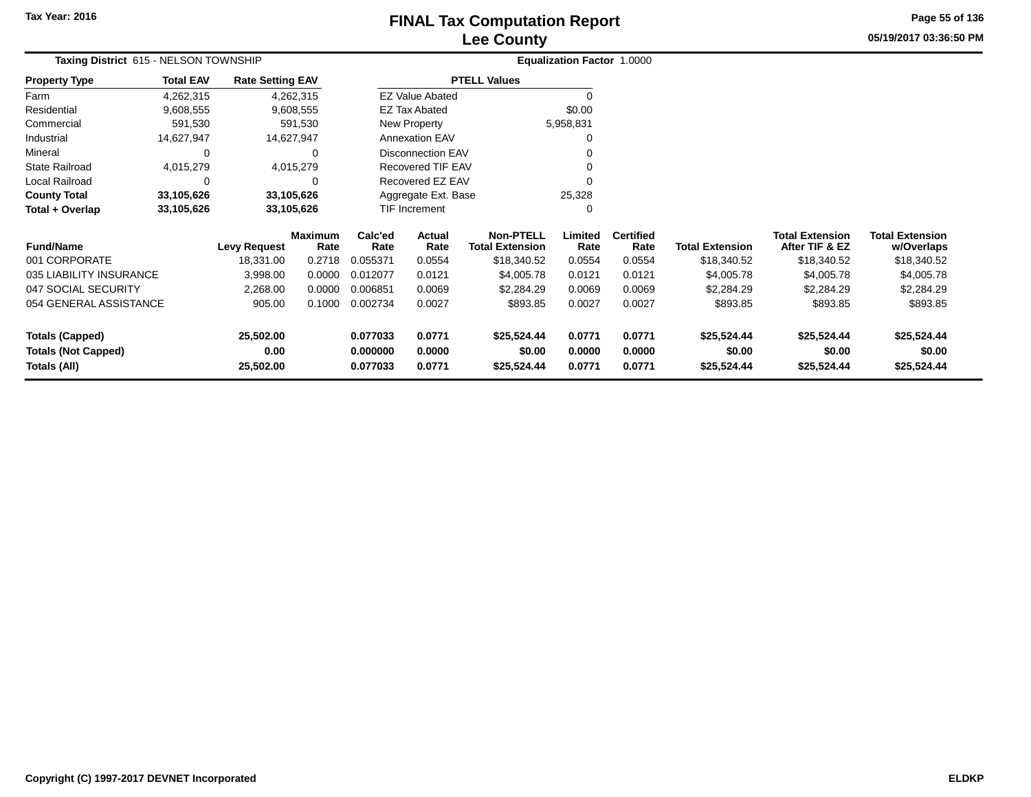## **Lee CountyFINAL Tax Computation Report** FINAL Tax Computation Report

**05/19/2017 03:36:50 PM Page 55 of 136**

| Taxing District 615 - NELSON TOWNSHIP      |                  |                         |                        |                      |                          |                                            | Equalization Factor 1.0000 |                          |                        |                                          |                                      |
|--------------------------------------------|------------------|-------------------------|------------------------|----------------------|--------------------------|--------------------------------------------|----------------------------|--------------------------|------------------------|------------------------------------------|--------------------------------------|
| <b>Property Type</b>                       | <b>Total EAV</b> | <b>Rate Setting EAV</b> |                        |                      |                          | <b>PTELL Values</b>                        |                            |                          |                        |                                          |                                      |
| Farm                                       | 4,262,315        |                         | 4,262,315              |                      | <b>EZ Value Abated</b>   |                                            | $\Omega$                   |                          |                        |                                          |                                      |
| Residential                                | 9,608,555        |                         | 9,608,555              |                      | EZ Tax Abated            |                                            | \$0.00                     |                          |                        |                                          |                                      |
| Commercial                                 | 591,530          |                         | 591,530                |                      | <b>New Property</b>      |                                            | 5,958,831                  |                          |                        |                                          |                                      |
| Industrial                                 | 14,627,947       |                         | 14,627,947             |                      | <b>Annexation EAV</b>    |                                            | 0                          |                          |                        |                                          |                                      |
| Mineral                                    | 0                |                         | $\Omega$               |                      | <b>Disconnection EAV</b> |                                            | ∩                          |                          |                        |                                          |                                      |
| <b>State Railroad</b>                      | 4,015,279        |                         | 4,015,279              |                      | Recovered TIF EAV        |                                            |                            |                          |                        |                                          |                                      |
| Local Railroad                             | 0                |                         | 0                      |                      | Recovered EZ EAV         |                                            | $\Omega$                   |                          |                        |                                          |                                      |
| <b>County Total</b>                        | 33,105,626       |                         | 33,105,626             |                      | Aggregate Ext. Base      |                                            | 25,328                     |                          |                        |                                          |                                      |
| Total + Overlap                            | 33,105,626       |                         | 33,105,626             |                      | TIF Increment            |                                            | $\Omega$                   |                          |                        |                                          |                                      |
| <b>Fund/Name</b>                           |                  | <b>Levy Request</b>     | <b>Maximum</b><br>Rate | Calc'ed<br>Rate      | Actual<br>Rate           | <b>Non-PTELL</b><br><b>Total Extension</b> | Limited<br>Rate            | <b>Certified</b><br>Rate | <b>Total Extension</b> | <b>Total Extension</b><br>After TIF & EZ | <b>Total Extension</b><br>w/Overlaps |
| 001 CORPORATE                              |                  | 18,331.00               | 0.2718                 | 0.055371             | 0.0554                   | \$18,340.52                                | 0.0554                     | 0.0554                   | \$18,340.52            | \$18,340.52                              | \$18,340.52                          |
| 035 LIABILITY INSURANCE                    |                  | 3,998.00                | 0.0000                 | 0.012077             | 0.0121                   | \$4,005.78                                 | 0.0121                     | 0.0121                   | \$4,005.78             | \$4,005.78                               | \$4,005.78                           |
| 047 SOCIAL SECURITY                        |                  | 2,268.00                | 0.0000                 | 0.006851             | 0.0069                   | \$2,284.29                                 | 0.0069                     | 0.0069                   | \$2,284.29             | \$2,284.29                               | \$2,284.29                           |
| 054 GENERAL ASSISTANCE                     |                  | 905.00                  | 0.1000                 | 0.002734             | 0.0027                   | \$893.85                                   | 0.0027                     | 0.0027                   | \$893.85               | \$893.85                                 | \$893.85                             |
| <b>Totals (Capped)</b>                     |                  | 25,502.00               |                        | 0.077033             | 0.0771                   | \$25,524.44                                | 0.0771                     | 0.0771                   | \$25,524.44            | \$25,524.44                              | \$25,524.44                          |
| <b>Totals (Not Capped)</b><br>Totals (All) |                  | 0.00<br>25,502.00       |                        | 0.000000<br>0.077033 | 0.0000<br>0.0771         | \$0.00<br>\$25,524.44                      | 0.0000<br>0.0771           | 0.0000<br>0.0771         | \$0.00<br>\$25,524.44  | \$0.00<br>\$25,524.44                    | \$0.00<br>\$25,524.44                |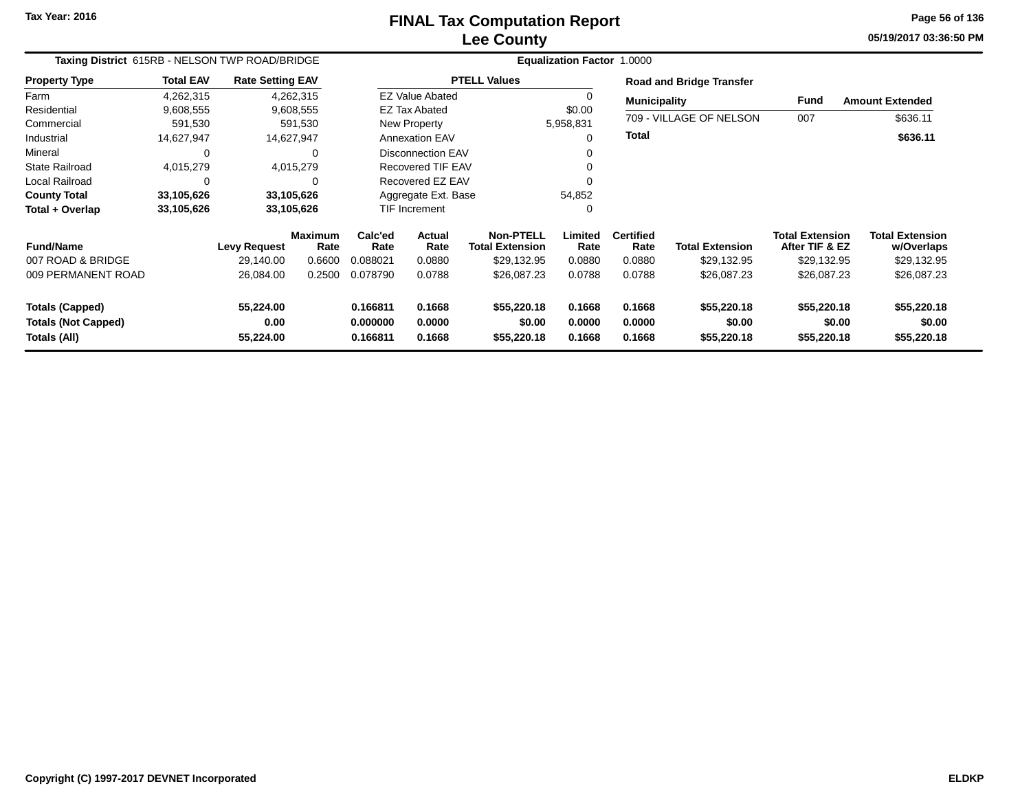# **Lee CountyFINAL Tax Computation Report**

**05/19/2017 03:36:50 PM Page 56 of 136**

| Taxing District 615RB - NELSON TWP ROAD/BRIDGE                       |                  |                                |                        |                                  |                            |                                            | Equalization Factor 1.0000 |                            |                                      |                                          |                                      |  |  |
|----------------------------------------------------------------------|------------------|--------------------------------|------------------------|----------------------------------|----------------------------|--------------------------------------------|----------------------------|----------------------------|--------------------------------------|------------------------------------------|--------------------------------------|--|--|
| <b>Property Type</b>                                                 | <b>Total EAV</b> | <b>Rate Setting EAV</b>        |                        |                                  |                            | <b>PTELL Values</b>                        |                            |                            | <b>Road and Bridge Transfer</b>      |                                          |                                      |  |  |
| Farm                                                                 | 4,262,315        |                                | 4,262,315              |                                  | <b>EZ Value Abated</b>     |                                            |                            | <b>Municipality</b>        |                                      | <b>Fund</b>                              | <b>Amount Extended</b>               |  |  |
| Residential                                                          | 9,608,555        |                                | 9,608,555              |                                  | <b>EZ Tax Abated</b>       |                                            | \$0.00                     |                            |                                      |                                          |                                      |  |  |
| Commercial                                                           | 591,530          |                                | 591,530                |                                  | New Property               |                                            | 5,958,831                  |                            | 709 - VILLAGE OF NELSON              | 007                                      | \$636.11                             |  |  |
| Industrial                                                           | 14,627,947       |                                | 14,627,947             |                                  | <b>Annexation EAV</b>      |                                            | $\Omega$                   | Total                      |                                      |                                          | \$636.11                             |  |  |
| Mineral                                                              | $\Omega$         |                                | $\Omega$               |                                  | <b>Disconnection EAV</b>   |                                            | 0                          |                            |                                      |                                          |                                      |  |  |
| <b>State Railroad</b>                                                | 4,015,279        |                                | 4,015,279              |                                  | <b>Recovered TIF EAV</b>   |                                            | $\Omega$                   |                            |                                      |                                          |                                      |  |  |
| Local Railroad                                                       | $\Omega$         |                                |                        |                                  | Recovered EZ EAV           |                                            | $\Omega$                   |                            |                                      |                                          |                                      |  |  |
| <b>County Total</b>                                                  | 33,105,626       |                                | 33,105,626             |                                  | Aggregate Ext. Base        |                                            | 54,852                     |                            |                                      |                                          |                                      |  |  |
| Total + Overlap                                                      | 33,105,626       |                                | 33,105,626             |                                  | <b>TIF Increment</b>       |                                            | $\Omega$                   |                            |                                      |                                          |                                      |  |  |
| <b>Fund/Name</b>                                                     |                  | <b>Levy Request</b>            | <b>Maximum</b><br>Rate | Calc'ed<br>Rate                  | <b>Actual</b><br>Rate      | <b>Non-PTELL</b><br><b>Total Extension</b> | Limited<br>Rate            | <b>Certified</b><br>Rate   | <b>Total Extension</b>               | <b>Total Extension</b><br>After TIF & EZ | <b>Total Extension</b><br>w/Overlaps |  |  |
| 007 ROAD & BRIDGE                                                    |                  | 29.140.00                      | 0.6600                 | 0.088021                         | 0.0880                     | \$29,132.95                                | 0.0880                     | 0.0880                     | \$29,132.95                          | \$29,132.95                              | \$29,132.95                          |  |  |
| 009 PERMANENT ROAD                                                   |                  | 26,084.00                      | 0.2500                 | 0.078790                         | 0.0788                     | \$26,087.23                                | 0.0788                     | 0.0788                     | \$26,087.23                          | \$26,087.23                              | \$26,087.23                          |  |  |
| <b>Totals (Capped)</b><br><b>Totals (Not Capped)</b><br>Totals (All) |                  | 55,224.00<br>0.00<br>55,224.00 |                        | 0.166811<br>0.000000<br>0.166811 | 0.1668<br>0.0000<br>0.1668 | \$55,220.18<br>\$0.00<br>\$55,220.18       | 0.1668<br>0.0000<br>0.1668 | 0.1668<br>0.0000<br>0.1668 | \$55,220.18<br>\$0.00<br>\$55,220.18 | \$55,220.18<br>\$0.00<br>\$55,220.18     | \$55,220.18<br>\$0.00<br>\$55,220.18 |  |  |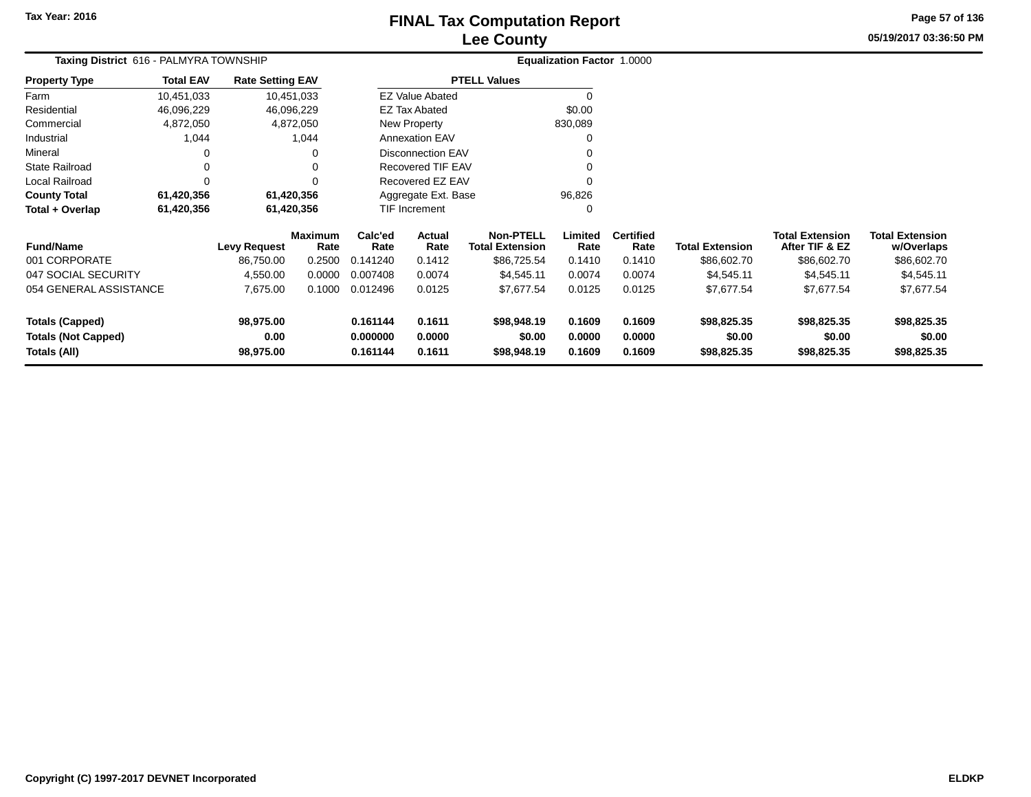# **Lee CountyFINAL Tax Computation Report**

**05/19/2017 03:36:50 PMPage 57 of 136**

| Taxing District 616 - PALMYRA TOWNSHIP     |                  |                         |                        |                      |                          |                                            | Equalization Factor 1.0000 |                          |                        |                                          |                                      |
|--------------------------------------------|------------------|-------------------------|------------------------|----------------------|--------------------------|--------------------------------------------|----------------------------|--------------------------|------------------------|------------------------------------------|--------------------------------------|
| <b>Property Type</b>                       | <b>Total EAV</b> | <b>Rate Setting EAV</b> |                        |                      |                          | <b>PTELL Values</b>                        |                            |                          |                        |                                          |                                      |
| Farm                                       | 10,451,033       |                         | 10,451,033             |                      | <b>EZ Value Abated</b>   |                                            |                            |                          |                        |                                          |                                      |
| Residential                                | 46,096,229       |                         | 46,096,229             |                      | <b>EZ Tax Abated</b>     |                                            | \$0.00                     |                          |                        |                                          |                                      |
| Commercial                                 | 4,872,050        |                         | 4,872,050              |                      | New Property             |                                            | 830,089                    |                          |                        |                                          |                                      |
| Industrial                                 | 1,044            |                         | 1,044                  |                      | <b>Annexation EAV</b>    |                                            | 0                          |                          |                        |                                          |                                      |
| Mineral                                    |                  |                         | 0                      |                      | <b>Disconnection EAV</b> |                                            |                            |                          |                        |                                          |                                      |
| <b>State Railroad</b>                      | 0                |                         |                        |                      | Recovered TIF EAV        |                                            |                            |                          |                        |                                          |                                      |
| <b>Local Railroad</b>                      | $\Omega$         |                         |                        |                      | Recovered EZ EAV         |                                            |                            |                          |                        |                                          |                                      |
| <b>County Total</b>                        | 61,420,356       |                         | 61,420,356             |                      | Aggregate Ext. Base      |                                            | 96,826                     |                          |                        |                                          |                                      |
| Total + Overlap<br>61,420,356              |                  |                         | 61,420,356             | TIF Increment        |                          |                                            |                            |                          |                        |                                          |                                      |
| <b>Fund/Name</b>                           |                  | Levy Request            | <b>Maximum</b><br>Rate | Calc'ed<br>Rate      | Actual<br>Rate           | <b>Non-PTELL</b><br><b>Total Extension</b> | Limited<br>Rate            | <b>Certified</b><br>Rate | <b>Total Extension</b> | <b>Total Extension</b><br>After TIF & EZ | <b>Total Extension</b><br>w/Overlaps |
| 001 CORPORATE                              |                  | 86,750.00               | 0.2500                 | 0.141240             | 0.1412                   | \$86,725.54                                | 0.1410                     | 0.1410                   | \$86,602.70            | \$86,602.70                              | \$86,602.70                          |
| 047 SOCIAL SECURITY                        |                  | 4,550.00                | 0.0000                 | 0.007408             | 0.0074                   | \$4,545.11                                 | 0.0074                     | 0.0074                   | \$4,545.11             | \$4,545.11                               | \$4,545.11                           |
| 054 GENERAL ASSISTANCE                     |                  | 7,675.00                | 0.1000                 | 0.012496             | 0.0125                   | \$7,677.54                                 | 0.0125                     | 0.0125                   | \$7,677.54             | \$7,677.54                               | \$7,677.54                           |
| <b>Totals (Capped)</b>                     |                  | 98,975.00               |                        | 0.161144             | 0.1611                   | \$98,948.19                                | 0.1609                     | 0.1609                   | \$98,825.35            | \$98,825.35                              | \$98,825.35                          |
| <b>Totals (Not Capped)</b><br>Totals (All) |                  | 0.00<br>98,975.00       |                        | 0.000000<br>0.161144 | 0.0000<br>0.1611         | \$0.00<br>\$98,948.19                      | 0.0000<br>0.1609           | 0.0000<br>0.1609         | \$0.00<br>\$98,825.35  | \$0.00<br>\$98,825.35                    | \$0.00<br>\$98,825.35                |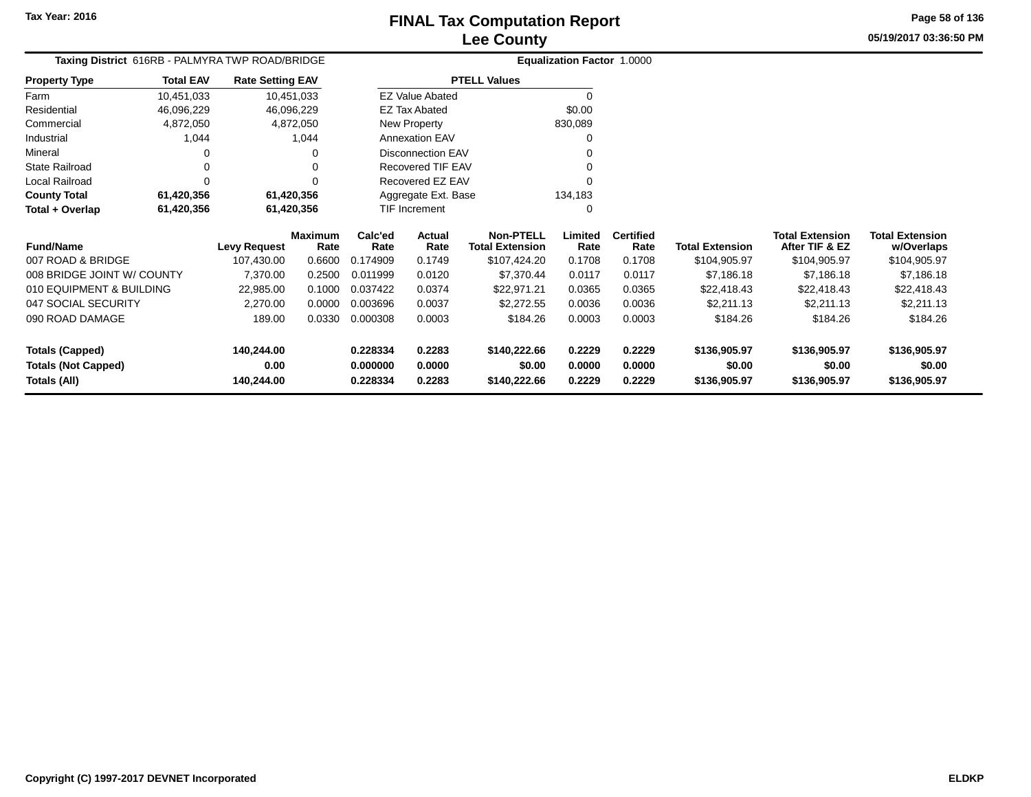### **Lee CountyFINAL Tax Computation Report**

**05/19/2017 03:36:50 PMPage 58 of 136**

| Taxing District 616RB - PALMYRA TWP ROAD/BRIDGE |                  |                         |                        |                 |                          |                                            | Equalization Factor 1.0000 |                          |                        |                                          |                                      |
|-------------------------------------------------|------------------|-------------------------|------------------------|-----------------|--------------------------|--------------------------------------------|----------------------------|--------------------------|------------------------|------------------------------------------|--------------------------------------|
| <b>Property Type</b>                            | <b>Total EAV</b> | <b>Rate Setting EAV</b> |                        |                 |                          | <b>PTELL Values</b>                        |                            |                          |                        |                                          |                                      |
| Farm                                            | 10,451,033       |                         | 10,451,033             |                 | <b>EZ Value Abated</b>   |                                            | $\Omega$                   |                          |                        |                                          |                                      |
| Residential                                     | 46,096,229       |                         | 46,096,229             |                 | <b>EZ Tax Abated</b>     |                                            | \$0.00                     |                          |                        |                                          |                                      |
| Commercial                                      | 4,872,050        |                         | 4,872,050              |                 | New Property             |                                            | 830,089                    |                          |                        |                                          |                                      |
| Industrial                                      | 1,044            |                         | 1,044                  |                 | <b>Annexation EAV</b>    |                                            |                            |                          |                        |                                          |                                      |
| Mineral                                         |                  |                         | 0                      |                 | <b>Disconnection EAV</b> |                                            |                            |                          |                        |                                          |                                      |
| State Railroad                                  |                  |                         |                        |                 | Recovered TIF EAV        |                                            |                            |                          |                        |                                          |                                      |
| Local Railroad                                  | O                |                         |                        |                 | Recovered EZ EAV         |                                            |                            |                          |                        |                                          |                                      |
| <b>County Total</b>                             | 61,420,356       |                         | 61,420,356             |                 | Aggregate Ext. Base      |                                            | 134,183                    |                          |                        |                                          |                                      |
| 61,420,356<br>Total + Overlap<br>61,420,356     |                  |                         | TIF Increment          |                 | $\Omega$                 |                                            |                            |                          |                        |                                          |                                      |
| <b>Fund/Name</b>                                |                  | <b>Levy Request</b>     | <b>Maximum</b><br>Rate | Calc'ed<br>Rate | Actual<br>Rate           | <b>Non-PTELL</b><br><b>Total Extension</b> | Limited<br>Rate            | <b>Certified</b><br>Rate | <b>Total Extension</b> | <b>Total Extension</b><br>After TIF & EZ | <b>Total Extension</b><br>w/Overlaps |
| 007 ROAD & BRIDGE                               |                  | 107,430.00              | 0.6600                 | 0.174909        | 0.1749                   | \$107,424.20                               | 0.1708                     | 0.1708                   | \$104,905.97           | \$104,905.97                             | \$104,905.97                         |
| 008 BRIDGE JOINT W/ COUNTY                      |                  | 7,370.00                | 0.2500                 | 0.011999        | 0.0120                   | \$7,370.44                                 | 0.0117                     | 0.0117                   | \$7,186.18             | \$7,186.18                               | \$7,186.18                           |
| 010 EQUIPMENT & BUILDING                        |                  | 22,985.00               | 0.1000                 | 0.037422        | 0.0374                   | \$22,971.21                                | 0.0365                     | 0.0365                   | \$22,418.43            | \$22,418.43                              | \$22,418.43                          |
| 047 SOCIAL SECURITY                             |                  | 2,270.00                | 0.0000                 | 0.003696        | 0.0037                   | \$2,272.55                                 | 0.0036                     | 0.0036                   | \$2,211.13             | \$2,211.13                               | \$2,211.13                           |
| 090 ROAD DAMAGE                                 |                  | 189.00                  | 0.0330                 | 0.000308        | 0.0003                   | \$184.26                                   | 0.0003                     | 0.0003                   | \$184.26               | \$184.26                                 | \$184.26                             |
| <b>Totals (Capped)</b>                          |                  | 140,244.00              |                        | 0.228334        | 0.2283                   | \$140,222.66                               | 0.2229                     | 0.2229                   | \$136,905.97           | \$136,905.97                             | \$136,905.97                         |
| <b>Totals (Not Capped)</b>                      |                  | 0.00                    |                        | 0.000000        | 0.0000                   | \$0.00                                     | 0.0000                     | 0.0000                   | \$0.00                 | \$0.00                                   | \$0.00                               |
| <b>Totals (All)</b>                             |                  | 140,244.00              |                        | 0.228334        | 0.2283                   | \$140,222.66                               | 0.2229                     | 0.2229                   | \$136,905.97           | \$136,905.97                             | \$136,905.97                         |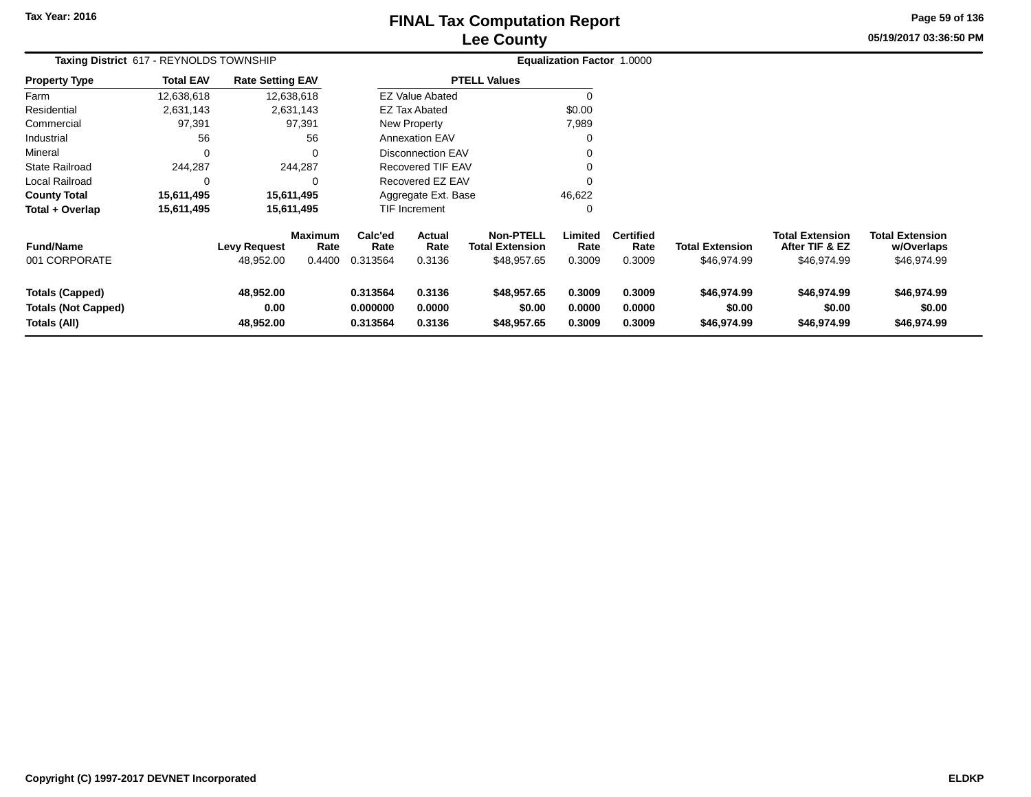# **Lee CountyFINAL Tax Computation Report** FINAL Tax Computation Report

**05/19/2017 03:36:50 PMPage 59 of 136**

| Taxing District 617 - REYNOLDS TOWNSHIP                                     |                  |                                |                                  |                                  |                            |                                                           | Equalization Factor 1.0000 |                                    |                                       |                                                         |                                                     |
|-----------------------------------------------------------------------------|------------------|--------------------------------|----------------------------------|----------------------------------|----------------------------|-----------------------------------------------------------|----------------------------|------------------------------------|---------------------------------------|---------------------------------------------------------|-----------------------------------------------------|
| Property Type                                                               | <b>Total EAV</b> | <b>Rate Setting EAV</b>        |                                  |                                  |                            | <b>PTELL Values</b>                                       |                            |                                    |                                       |                                                         |                                                     |
| Farm                                                                        | 12,638,618       |                                | 12,638,618                       |                                  | <b>EZ Value Abated</b>     |                                                           |                            |                                    |                                       |                                                         |                                                     |
| Residential                                                                 | 2,631,143        |                                | 2,631,143                        |                                  | <b>EZ Tax Abated</b>       |                                                           | \$0.00                     |                                    |                                       |                                                         |                                                     |
| Commercial                                                                  | 97,391           |                                | 97,391                           |                                  | New Property               |                                                           | 7,989                      |                                    |                                       |                                                         |                                                     |
| Industrial                                                                  | 56               |                                | 56                               |                                  | <b>Annexation EAV</b>      |                                                           |                            |                                    |                                       |                                                         |                                                     |
| Mineral                                                                     | 0                |                                | 0                                |                                  | <b>Disconnection EAV</b>   |                                                           |                            |                                    |                                       |                                                         |                                                     |
| <b>State Railroad</b>                                                       | 244,287          |                                | 244,287                          |                                  | <b>Recovered TIF EAV</b>   |                                                           |                            |                                    |                                       |                                                         |                                                     |
| Local Railroad                                                              | 0                |                                | 0                                |                                  | Recovered EZ EAV           |                                                           |                            |                                    |                                       |                                                         |                                                     |
| <b>County Total</b>                                                         | 15,611,495       |                                | 15,611,495                       |                                  | Aggregate Ext. Base        |                                                           | 46,622                     |                                    |                                       |                                                         |                                                     |
| Total + Overlap                                                             | 15,611,495       |                                | 15,611,495                       |                                  | <b>TIF Increment</b>       |                                                           |                            |                                    |                                       |                                                         |                                                     |
| <b>Fund/Name</b><br>001 CORPORATE                                           |                  | Levy Request<br>48,952.00      | <b>Maximum</b><br>Rate<br>0.4400 | Calc'ed<br>Rate<br>0.313564      | Actual<br>Rate<br>0.3136   | <b>Non-PTELL</b><br><b>Total Extension</b><br>\$48,957.65 | Limited<br>Rate<br>0.3009  | <b>Certified</b><br>Rate<br>0.3009 | <b>Total Extension</b><br>\$46,974.99 | <b>Total Extension</b><br>After TIF & EZ<br>\$46,974.99 | <b>Total Extension</b><br>w/Overlaps<br>\$46,974.99 |
| <b>Totals (Capped)</b><br><b>Totals (Not Capped)</b><br><b>Totals (All)</b> |                  | 48,952.00<br>0.00<br>48,952.00 |                                  | 0.313564<br>0.000000<br>0.313564 | 0.3136<br>0.0000<br>0.3136 | \$48,957.65<br>\$0.00<br>\$48,957.65                      | 0.3009<br>0.0000<br>0.3009 | 0.3009<br>0.0000<br>0.3009         | \$46,974.99<br>\$0.00<br>\$46,974.99  | \$46,974.99<br>\$0.00<br>\$46,974.99                    | \$46,974.99<br>\$0.00<br>\$46,974.99                |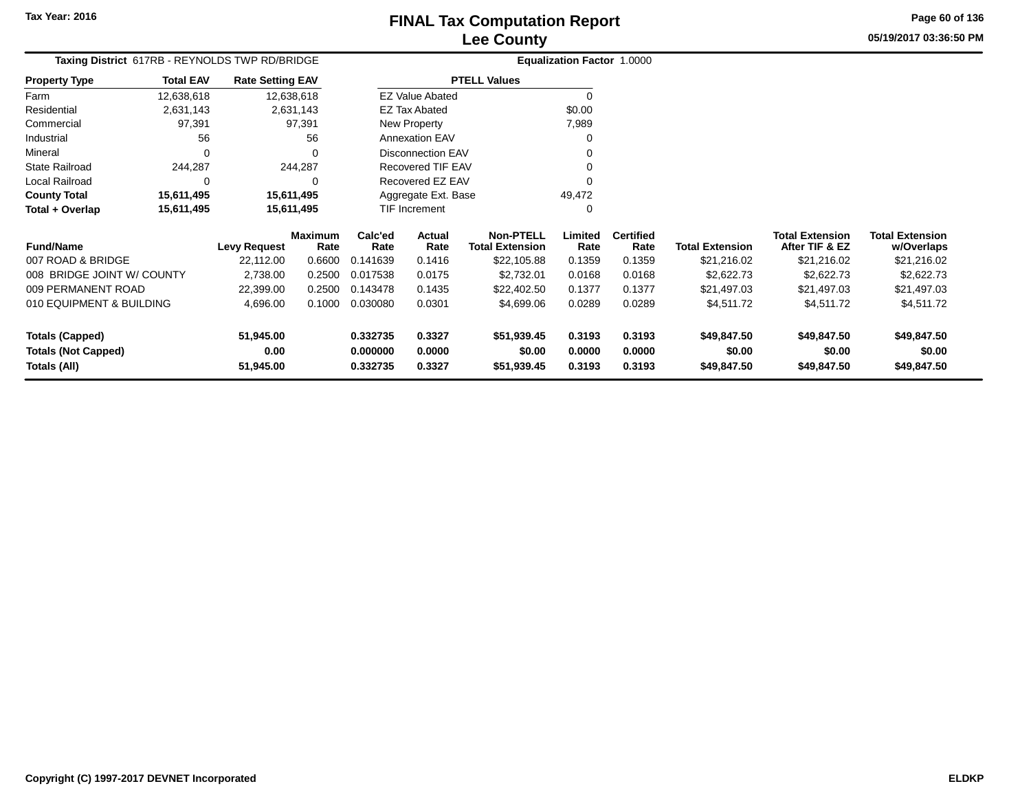#### **Lee CountyFINAL Tax Computation Report** FINAL Tax Computation Report

**05/19/2017 03:36:50 PMPage 60 of 136**

|                      |                  | Taxing District 617RB - REYNOLDS TWP RD/BRIDGE |         |                        |                     | <b>Equalization Factor 1.0000</b> |           |
|----------------------|------------------|------------------------------------------------|---------|------------------------|---------------------|-----------------------------------|-----------|
| <b>Property Type</b> | <b>Total EAV</b> | <b>Rate Setting EAV</b>                        |         |                        | <b>PTELL Values</b> |                                   |           |
| Farm                 | 12,638,618       | 12,638,618                                     |         | <b>EZ Value Abated</b> |                     | 0                                 |           |
| Residential          | 2.631.143        | 2.631.143                                      |         | <b>EZ Tax Abated</b>   |                     | \$0.00                            |           |
| Commercial           | 97.391           | 97.391                                         |         | New Property           |                     | 7.989                             |           |
| Industrial           | 56               | 56                                             |         | <b>Annexation EAV</b>  |                     | 0                                 |           |
| Mineral              | 0                | 0                                              |         | Disconnection EAV      |                     | 0                                 |           |
| State Railroad       | 244.287          | 244.287                                        |         | Recovered TIF EAV      |                     | 0                                 |           |
| Local Railroad       | $\Omega$         | 0                                              |         | Recovered EZ EAV       |                     | 0                                 |           |
| <b>County Total</b>  | 15,611,495       | 15,611,495                                     |         | Aggregate Ext. Base    |                     | 49,472                            |           |
| Total + Overlap      | 15,611,495       | 15,611,495                                     |         | <b>TIF Increment</b>   |                     | 0                                 |           |
|                      |                  | Maximum                                        | Calc'ed | <b>Actual</b>          | Non-PTFLI           | imited                            | Certified |

| <b>Fund/Name</b>                                              | <b>Levy Request</b>            | <b>Maximum</b><br>Rate | Calc'ed<br>Rate                  | Actual<br>Rate             | <b>Non-PTELL</b><br><b>Total Extension</b> | Limited<br>Rate            | <b>Certified</b><br>Rate   | <b>Total Extension</b>               | <b>Total Extension</b><br>After TIF & EZ | <b>Total Extension</b><br>w/Overlaps |
|---------------------------------------------------------------|--------------------------------|------------------------|----------------------------------|----------------------------|--------------------------------------------|----------------------------|----------------------------|--------------------------------------|------------------------------------------|--------------------------------------|
| 007 ROAD & BRIDGE                                             | 22.112.00                      | 0.6600                 | 0.141639                         | 0.1416                     | \$22,105.88                                | 0.1359                     | 0.1359                     | \$21.216.02                          | \$21.216.02                              | \$21,216.02                          |
| 008 BRIDGE JOINT W/ COUNTY                                    | 2.738.00                       | 0.2500                 | 0.017538                         | 0.0175                     | \$2,732.01                                 | 0.0168                     | 0.0168                     | \$2,622,73                           | \$2,622.73                               | \$2,622.73                           |
| 009 PERMANENT ROAD                                            | 22,399.00                      | 0.2500                 | 0.143478                         | 0.1435                     | \$22,402.50                                | 0.1377                     | 0.1377                     | \$21.497.03                          | \$21.497.03                              | \$21,497.03                          |
| 010 EQUIPMENT & BUILDING                                      | 4.696.00                       | 0.1000                 | 0.030080                         | 0.0301                     | \$4,699.06                                 | 0.0289                     | 0.0289                     | \$4,511.72                           | \$4,511.72                               | \$4,511.72                           |
| Totals (Capped)<br><b>Totals (Not Capped)</b><br>Totals (All) | 51.945.00<br>0.00<br>51.945.00 |                        | 0.332735<br>0.000000<br>0.332735 | 0.3327<br>0.0000<br>0.3327 | \$51.939.45<br>\$0.00<br>\$51,939.45       | 0.3193<br>0.0000<br>0.3193 | 0.3193<br>0.0000<br>0.3193 | \$49,847.50<br>\$0.00<br>\$49,847.50 | \$49,847.50<br>\$0.00<br>\$49,847.50     | \$49.847.50<br>\$0.00<br>\$49,847.50 |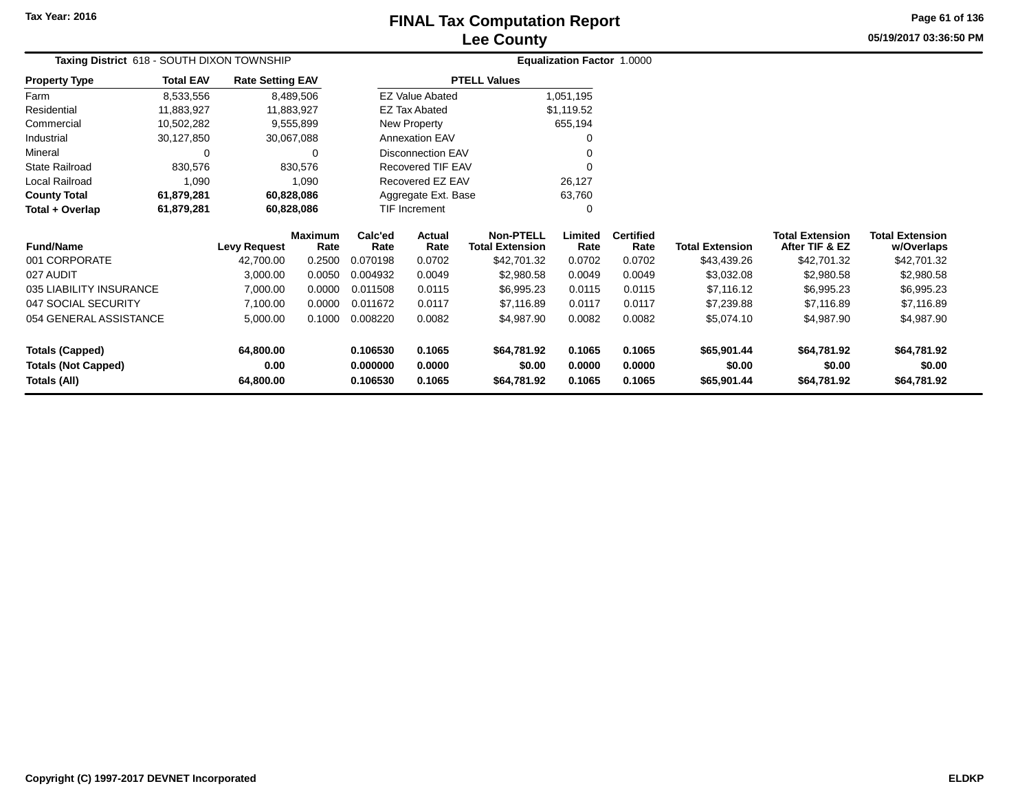### **Lee CountyFINAL Tax Computation Report** FINAL Tax Computation Report

**05/19/2017 03:36:50 PMPage 61 of 136**

| Taxing District 618 - SOUTH DIXON TOWNSHIP |                  |                         |                 |                 |                          |                                            | Equalization Factor 1.0000 |                          |                        |                                          |                                      |
|--------------------------------------------|------------------|-------------------------|-----------------|-----------------|--------------------------|--------------------------------------------|----------------------------|--------------------------|------------------------|------------------------------------------|--------------------------------------|
| <b>Property Type</b>                       | <b>Total EAV</b> | <b>Rate Setting EAV</b> |                 |                 |                          | <b>PTELL Values</b>                        |                            |                          |                        |                                          |                                      |
| Farm                                       | 8,533,556        |                         | 8,489,506       |                 | <b>EZ Value Abated</b>   |                                            | 1,051,195                  |                          |                        |                                          |                                      |
| Residential                                | 11,883,927       |                         | 11,883,927      |                 | <b>EZ Tax Abated</b>     |                                            | \$1,119.52                 |                          |                        |                                          |                                      |
| Commercial                                 | 10,502,282       |                         | 9,555,899       |                 | New Property             |                                            | 655,194                    |                          |                        |                                          |                                      |
| Industrial                                 | 30,127,850       | 30,067,088              |                 |                 | <b>Annexation EAV</b>    |                                            | 0                          |                          |                        |                                          |                                      |
| Mineral                                    | 0                |                         | 0               |                 | <b>Disconnection EAV</b> |                                            |                            |                          |                        |                                          |                                      |
| <b>State Railroad</b>                      | 830,576          |                         | 830,576         |                 | Recovered TIF EAV        |                                            |                            |                          |                        |                                          |                                      |
| Local Railroad                             | 1,090            |                         | 1,090           |                 | Recovered EZ EAV         |                                            | 26,127                     |                          |                        |                                          |                                      |
| <b>County Total</b>                        | 61,879,281       | 60,828,086              |                 |                 | Aggregate Ext. Base      |                                            | 63,760                     |                          |                        |                                          |                                      |
| Total + Overlap                            | 61,879,281       | 60,828,086              |                 |                 | TIF Increment<br>0       |                                            |                            |                          |                        |                                          |                                      |
| <b>Fund/Name</b>                           |                  | <b>Levy Request</b>     | Maximum<br>Rate | Calc'ed<br>Rate | Actual<br>Rate           | <b>Non-PTELL</b><br><b>Total Extension</b> | Limited<br>Rate            | <b>Certified</b><br>Rate | <b>Total Extension</b> | <b>Total Extension</b><br>After TIF & EZ | <b>Total Extension</b><br>w/Overlaps |
| 001 CORPORATE                              |                  | 42,700.00               | 0.2500          | 0.070198        | 0.0702                   | \$42,701.32                                | 0.0702                     | 0.0702                   | \$43,439.26            | \$42,701.32                              | \$42,701.32                          |
| 027 AUDIT                                  |                  | 3,000.00                | 0.0050          | 0.004932        | 0.0049                   | \$2,980.58                                 | 0.0049                     | 0.0049                   | \$3,032.08             | \$2,980.58                               | \$2,980.58                           |
| 035 LIABILITY INSURANCE                    |                  | 7,000.00                | 0.0000          | 0.011508        | 0.0115                   | \$6,995.23                                 | 0.0115                     | 0.0115                   | \$7,116.12             | \$6,995.23                               | \$6,995.23                           |
| 047 SOCIAL SECURITY                        |                  | 7,100.00                | 0.0000          | 0.011672        | 0.0117                   | \$7,116.89                                 | 0.0117                     | 0.0117                   | \$7,239.88             | \$7,116.89                               | \$7,116.89                           |
| 054 GENERAL ASSISTANCE                     |                  | 5,000.00                | 0.1000          | 0.008220        | 0.0082                   | \$4,987.90                                 | 0.0082                     | 0.0082                   | \$5,074.10             | \$4,987.90                               | \$4,987.90                           |
| <b>Totals (Capped)</b>                     |                  | 64,800.00               |                 | 0.106530        | 0.1065                   | \$64,781.92                                | 0.1065                     | 0.1065                   | \$65,901.44            | \$64,781.92                              | \$64,781.92                          |
| <b>Totals (Not Capped)</b>                 |                  | 0.00                    |                 | 0.000000        | 0.0000                   | \$0.00                                     | 0.0000                     | 0.0000                   | \$0.00                 | \$0.00                                   | \$0.00                               |
| Totals (All)                               |                  | 64,800.00               |                 | 0.106530        | 0.1065                   | \$64,781.92                                | 0.1065                     | 0.1065                   | \$65,901.44            | \$64,781.92                              | \$64,781.92                          |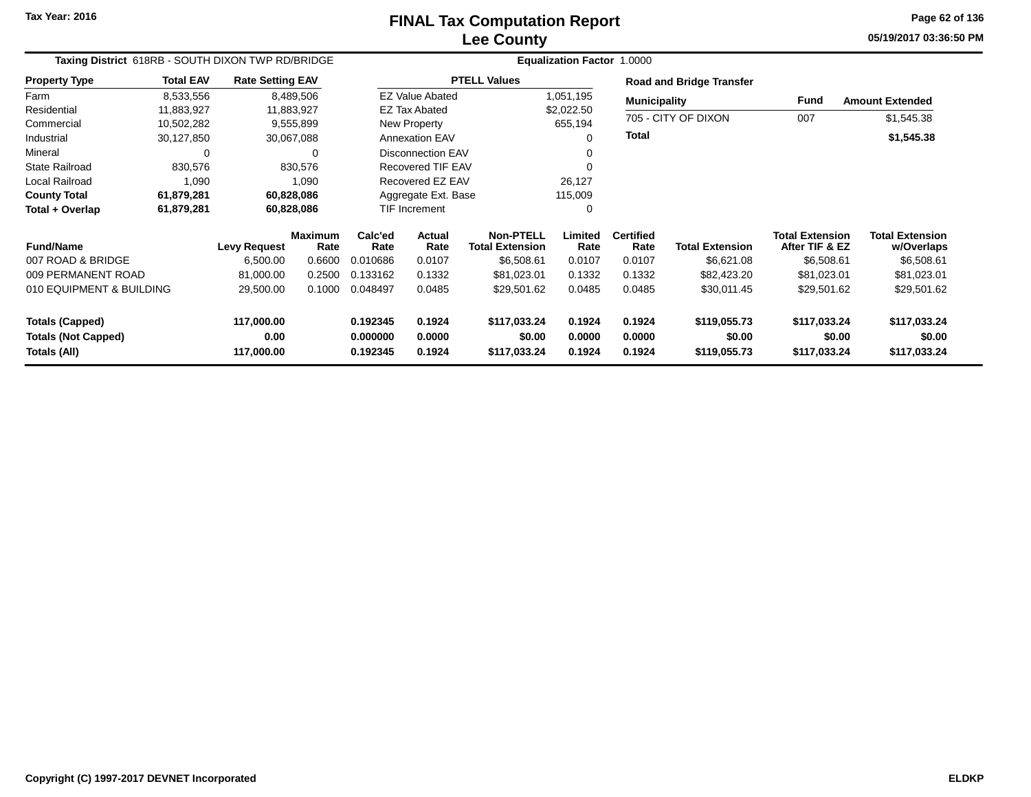#### **Lee CountyFINAL Tax Computation Report** FINAL Tax Computation Report

**05/19/2017 03:36:50 PMPage 62 of 136**

| Taxing District 618RB - SOUTH DIXON TWP RD/BRIDGE |                  |                         |                        |                 |                          |                                            | <b>Equalization Factor 1.0000</b> |                          |                                 |                                          |                                      |
|---------------------------------------------------|------------------|-------------------------|------------------------|-----------------|--------------------------|--------------------------------------------|-----------------------------------|--------------------------|---------------------------------|------------------------------------------|--------------------------------------|
| <b>Property Type</b>                              | <b>Total EAV</b> | <b>Rate Setting EAV</b> |                        |                 |                          | <b>PTELL Values</b>                        |                                   |                          | <b>Road and Bridge Transfer</b> |                                          |                                      |
| Farm                                              | 8,533,556        |                         | 8,489,506              |                 | <b>EZ Value Abated</b>   |                                            | 1,051,195                         | <b>Municipality</b>      |                                 | <b>Fund</b>                              | <b>Amount Extended</b>               |
| Residential                                       | 11.883.927       |                         | 11,883,927             |                 | <b>EZ Tax Abated</b>     |                                            | \$2,022.50                        |                          |                                 |                                          |                                      |
| Commercial                                        | 10,502,282       |                         | 9,555,899              |                 | New Property             |                                            | 655,194                           |                          | 705 - CITY OF DIXON             | 007                                      | \$1,545.38                           |
| Industrial                                        | 30,127,850       |                         | 30,067,088             |                 | <b>Annexation EAV</b>    |                                            | 0                                 | <b>Total</b>             |                                 |                                          | \$1,545.38                           |
| Mineral                                           | 0                |                         | $\Omega$               |                 | <b>Disconnection EAV</b> |                                            |                                   |                          |                                 |                                          |                                      |
| <b>State Railroad</b>                             | 830,576          |                         | 830,576                |                 | Recovered TIF EAV        |                                            | 0                                 |                          |                                 |                                          |                                      |
| Local Railroad                                    | 1,090            |                         | 1,090                  |                 | Recovered EZ EAV         |                                            | 26,127                            |                          |                                 |                                          |                                      |
| <b>County Total</b>                               | 61,879,281       |                         | 60,828,086             |                 | Aggregate Ext. Base      |                                            | 115,009                           |                          |                                 |                                          |                                      |
| Total + Overlap                                   | 61,879,281       |                         | 60,828,086             |                 | TIF Increment            |                                            | 0                                 |                          |                                 |                                          |                                      |
| <b>Fund/Name</b>                                  |                  | <b>Levy Request</b>     | <b>Maximum</b><br>Rate | Calc'ed<br>Rate | <b>Actual</b><br>Rate    | <b>Non-PTELL</b><br><b>Total Extension</b> | Limited<br>Rate                   | <b>Certified</b><br>Rate | <b>Total Extension</b>          | <b>Total Extension</b><br>After TIF & EZ | <b>Total Extension</b><br>w/Overlaps |
| 007 ROAD & BRIDGE                                 |                  | 6,500.00                | 0.6600                 | 0.010686        | 0.0107                   | \$6,508.61                                 | 0.0107                            | 0.0107                   | \$6,621.08                      | \$6,508.61                               | \$6,508.61                           |
| 009 PERMANENT ROAD                                |                  | 81,000.00               | 0.2500                 | 0.133162        | 0.1332                   | \$81,023.01                                | 0.1332                            | 0.1332                   | \$82,423.20                     | \$81,023.01                              | \$81,023.01                          |
| 010 EQUIPMENT & BUILDING                          |                  | 29,500.00               | 0.1000                 | 0.048497        | 0.0485                   | \$29,501.62                                | 0.0485                            | 0.0485                   | \$30,011.45                     | \$29,501.62                              | \$29,501.62                          |
| <b>Totals (Capped)</b>                            |                  | 117,000.00              |                        | 0.192345        | 0.1924                   | \$117,033.24                               | 0.1924                            | 0.1924                   | \$119,055.73                    | \$117,033.24                             | \$117,033.24                         |
| <b>Totals (Not Capped)</b>                        |                  | 0.00                    |                        | 0.000000        | 0.0000                   | \$0.00                                     | 0.0000                            | 0.0000                   | \$0.00                          | \$0.00                                   | \$0.00                               |
| Totals (All)                                      |                  | 117,000.00              |                        | 0.192345        | 0.1924                   | \$117,033.24                               | 0.1924                            | 0.1924                   | \$119,055.73                    | \$117,033.24                             | \$117,033.24                         |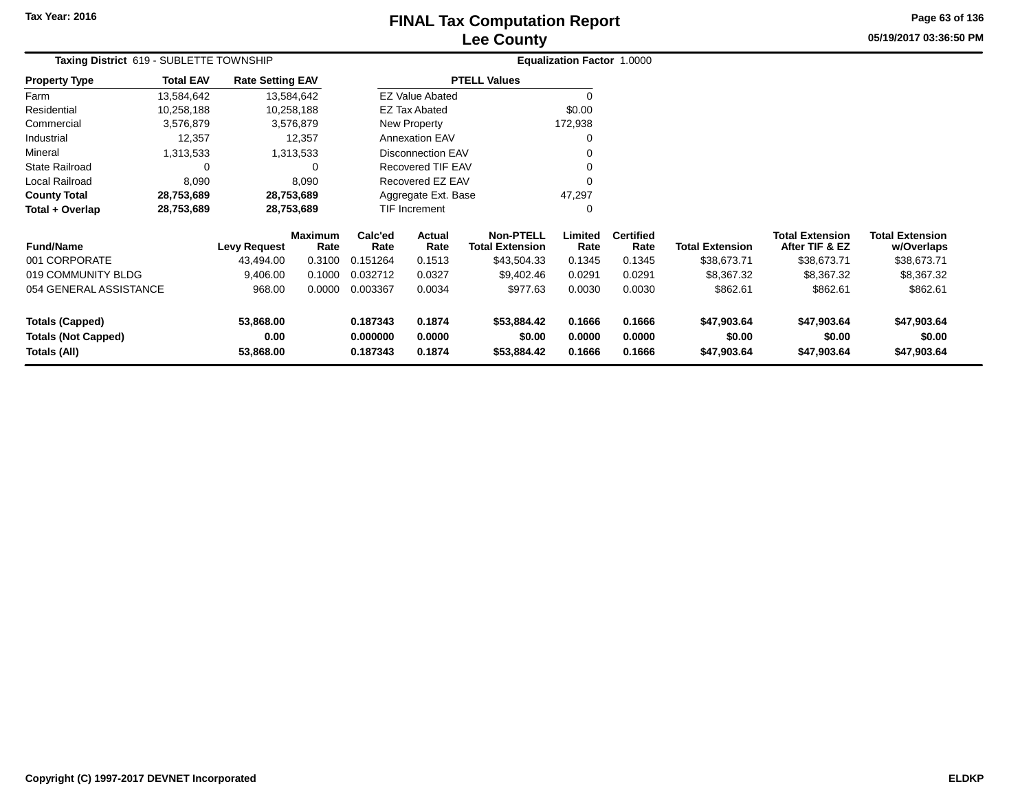## **Lee CountyFINAL Tax Computation Report** FINAL Tax Computation Report

**05/19/2017 03:36:50 PMPage 63 of 136**

| Taxing District 619 - SUBLETTE TOWNSHIP    |                  |                         |                        | <b>Equalization Factor 1.0000</b> |                          |                                            |                  |                          |                        |                                          |                                      |
|--------------------------------------------|------------------|-------------------------|------------------------|-----------------------------------|--------------------------|--------------------------------------------|------------------|--------------------------|------------------------|------------------------------------------|--------------------------------------|
| <b>Property Type</b>                       | <b>Total EAV</b> | <b>Rate Setting EAV</b> |                        |                                   |                          | <b>PTELL Values</b>                        |                  |                          |                        |                                          |                                      |
| Farm                                       | 13,584,642       |                         | 13,584,642             |                                   | <b>EZ Value Abated</b>   |                                            |                  |                          |                        |                                          |                                      |
| Residential                                | 10,258,188       |                         | 10,258,188             |                                   | EZ Tax Abated            |                                            | \$0.00           |                          |                        |                                          |                                      |
| Commercial                                 | 3,576,879        |                         | 3,576,879              |                                   | New Property             |                                            | 172,938          |                          |                        |                                          |                                      |
| Industrial                                 | 12,357           |                         | 12,357                 |                                   | Annexation EAV           |                                            | 0                |                          |                        |                                          |                                      |
| Mineral                                    | 1,313,533        |                         | 1,313,533              |                                   | <b>Disconnection EAV</b> |                                            | 0                |                          |                        |                                          |                                      |
| <b>State Railroad</b>                      | 0                |                         | 0                      |                                   | Recovered TIF EAV        |                                            |                  |                          |                        |                                          |                                      |
| <b>Local Railroad</b>                      | 8,090            |                         | 8,090                  |                                   | Recovered EZ EAV         |                                            | 0                |                          |                        |                                          |                                      |
| <b>County Total</b>                        | 28,753,689       |                         | 28,753,689             |                                   | Aggregate Ext. Base      |                                            | 47,297           |                          |                        |                                          |                                      |
| Total + Overlap                            | 28,753,689       |                         | 28,753,689             |                                   | TIF Increment<br>0       |                                            |                  |                          |                        |                                          |                                      |
| <b>Fund/Name</b>                           |                  | <b>Levy Request</b>     | <b>Maximum</b><br>Rate | Calc'ed<br>Rate                   | Actual<br>Rate           | <b>Non-PTELL</b><br><b>Total Extension</b> | Limited<br>Rate  | <b>Certified</b><br>Rate | <b>Total Extension</b> | <b>Total Extension</b><br>After TIF & EZ | <b>Total Extension</b><br>w/Overlaps |
| 001 CORPORATE                              |                  | 43,494.00               | 0.3100                 | 0.151264                          | 0.1513                   | \$43,504.33                                | 0.1345           | 0.1345                   | \$38,673.71            | \$38,673.71                              | \$38,673.71                          |
| 019 COMMUNITY BLDG                         |                  | 9,406.00                | 0.1000                 | 0.032712                          | 0.0327                   | \$9,402.46                                 | 0.0291           | 0.0291                   | \$8,367.32             | \$8,367.32                               | \$8,367.32                           |
| 054 GENERAL ASSISTANCE                     |                  | 968.00                  | 0.0000                 | 0.003367                          | 0.0034                   | \$977.63                                   | 0.0030           | 0.0030                   | \$862.61               | \$862.61                                 | \$862.61                             |
| <b>Totals (Capped)</b>                     |                  | 53,868.00               |                        | 0.187343                          | 0.1874                   | \$53,884.42                                | 0.1666           | 0.1666                   | \$47,903.64            | \$47,903.64                              | \$47,903.64                          |
| <b>Totals (Not Capped)</b><br>Totals (All) |                  | 0.00<br>53,868.00       |                        | 0.000000<br>0.187343              | 0.0000<br>0.1874         | \$0.00<br>\$53,884.42                      | 0.0000<br>0.1666 | 0.0000<br>0.1666         | \$0.00<br>\$47,903.64  | \$0.00<br>\$47,903.64                    | \$0.00<br>\$47,903.64                |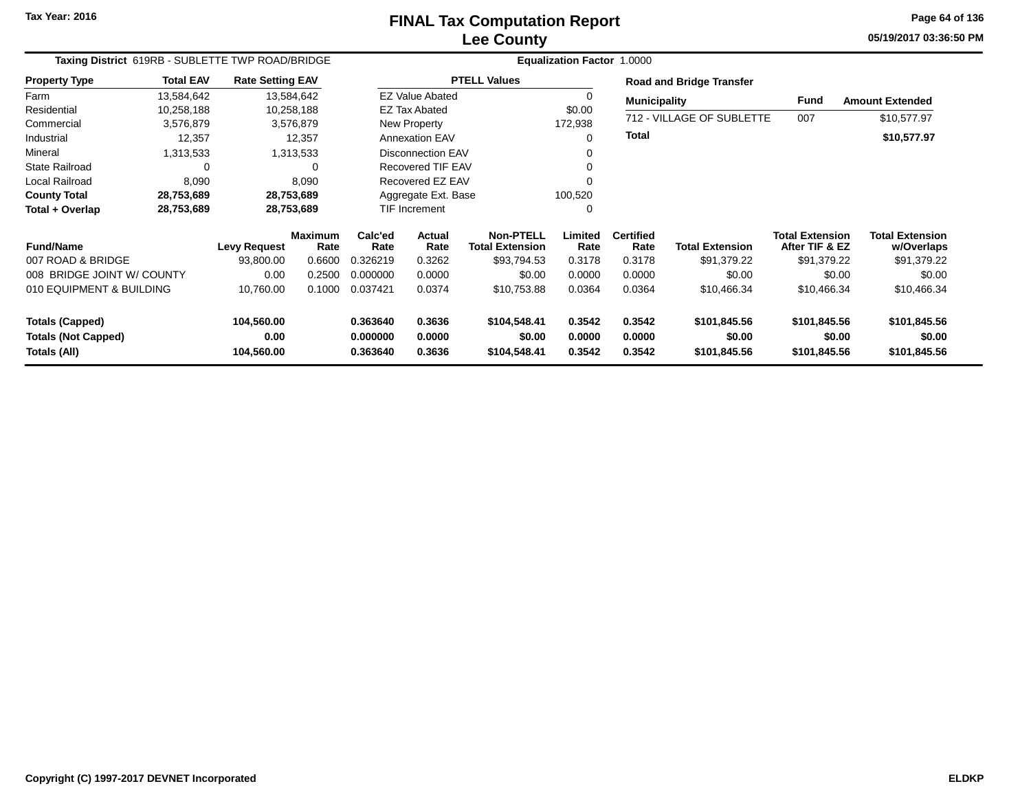#### **Lee CountyFINAL Tax Computation Report** FINAL Tax Computation Report

**05/19/2017 03:36:50 PMPage 64 of 136**

| Taxing District 619RB - SUBLETTE TWP ROAD/BRIDGE |                  |                         |                        |                      |                          | Equalization Factor 1.0000                 |                  |                          |                                 |                                          |                                      |
|--------------------------------------------------|------------------|-------------------------|------------------------|----------------------|--------------------------|--------------------------------------------|------------------|--------------------------|---------------------------------|------------------------------------------|--------------------------------------|
| <b>Property Type</b>                             | <b>Total EAV</b> | <b>Rate Setting EAV</b> |                        |                      |                          | <b>PTELL Values</b>                        |                  |                          | <b>Road and Bridge Transfer</b> |                                          |                                      |
| Farm                                             | 13,584,642       |                         | 13,584,642             |                      | <b>EZ Value Abated</b>   |                                            | 0                | <b>Municipality</b>      |                                 | Fund                                     | <b>Amount Extended</b>               |
| Residential                                      | 10,258,188       |                         | 10,258,188             |                      | <b>EZ Tax Abated</b>     |                                            | \$0.00           |                          |                                 |                                          |                                      |
| Commercial                                       | 3,576,879        |                         | 3,576,879              |                      | New Property             |                                            | 172,938          |                          | 712 - VILLAGE OF SUBLETTE       | 007                                      | \$10,577.97                          |
| Industrial                                       | 12,357           |                         | 12,357                 |                      | <b>Annexation EAV</b>    |                                            |                  | <b>Total</b>             |                                 |                                          | \$10,577.97                          |
| Mineral                                          | 1,313,533        |                         | 1,313,533              |                      | <b>Disconnection EAV</b> |                                            |                  |                          |                                 |                                          |                                      |
| <b>State Railroad</b>                            | 0                |                         | 0                      |                      | Recovered TIF EAV        |                                            |                  |                          |                                 |                                          |                                      |
| <b>Local Railroad</b>                            | 8,090            |                         | 8,090                  |                      | Recovered EZ EAV         |                                            |                  |                          |                                 |                                          |                                      |
| <b>County Total</b>                              | 28,753,689       |                         | 28,753,689             |                      | Aggregate Ext. Base      |                                            | 100,520          |                          |                                 |                                          |                                      |
| Total + Overlap                                  | 28,753,689       |                         | 28,753,689             |                      | <b>TIF Increment</b>     |                                            | 0                |                          |                                 |                                          |                                      |
| <b>Fund/Name</b>                                 |                  | <b>Levy Request</b>     | <b>Maximum</b><br>Rate | Calc'ed<br>Rate      | <b>Actual</b><br>Rate    | <b>Non-PTELL</b><br><b>Total Extension</b> | Limited<br>Rate  | <b>Certified</b><br>Rate | <b>Total Extension</b>          | <b>Total Extension</b><br>After TIF & EZ | <b>Total Extension</b><br>w/Overlaps |
| 007 ROAD & BRIDGE                                |                  | 93,800.00               | 0.6600                 | 0.326219             | 0.3262                   | \$93,794.53                                | 0.3178           | 0.3178                   | \$91,379.22                     | \$91,379.22                              | \$91,379.22                          |
| 008 BRIDGE JOINT W/ COUNTY                       |                  | 0.00                    | 0.2500                 | 0.000000             | 0.0000                   | \$0.00                                     | 0.0000           | 0.0000                   | \$0.00                          | \$0.00                                   | \$0.00                               |
| 010 EQUIPMENT & BUILDING                         |                  | 10,760.00               | 0.1000                 | 0.037421             | 0.0374                   | \$10,753.88                                | 0.0364           | 0.0364                   | \$10,466.34                     | \$10,466.34                              | \$10,466.34                          |
| <b>Totals (Capped)</b>                           |                  | 104,560.00              |                        | 0.363640             | 0.3636                   | \$104,548.41                               | 0.3542           | 0.3542                   | \$101,845.56                    | \$101,845.56                             | \$101,845.56                         |
| <b>Totals (Not Capped)</b><br>Totals (All)       |                  | 0.00<br>104,560.00      |                        | 0.000000<br>0.363640 | 0.0000<br>0.3636         | \$0.00<br>\$104,548.41                     | 0.0000<br>0.3542 | 0.0000<br>0.3542         | \$0.00<br>\$101,845.56          | \$0.00<br>\$101,845.56                   | \$0.00<br>\$101,845.56               |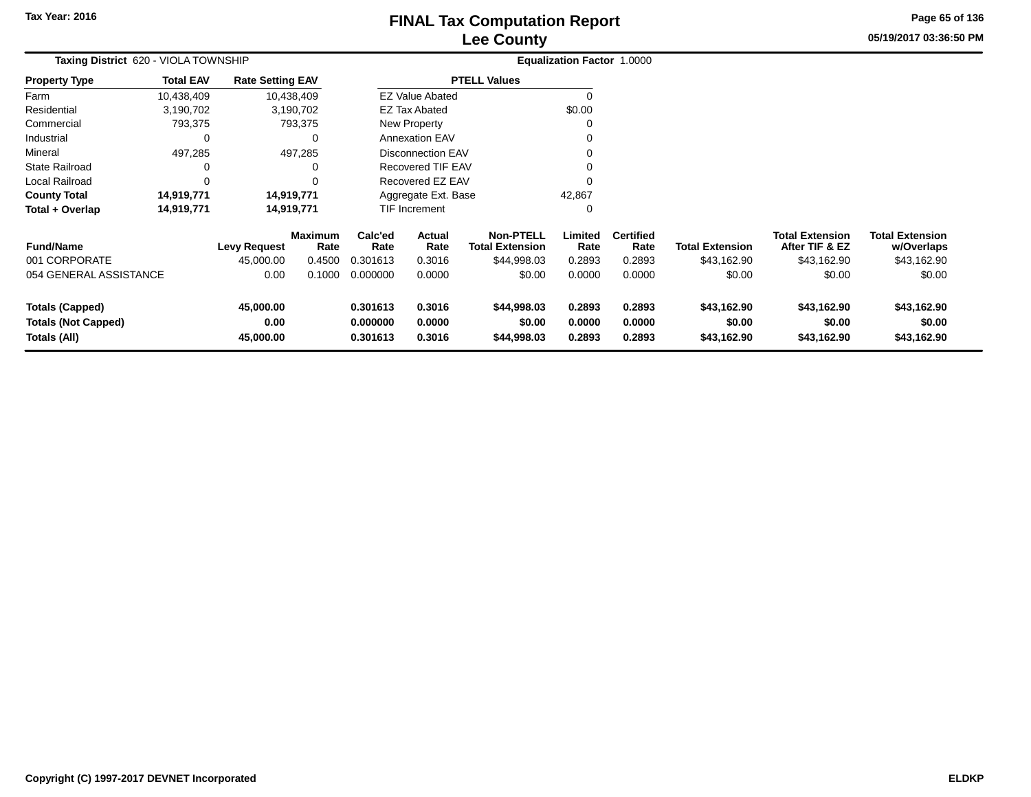# **Lee CountyFINAL Tax Computation Report** FINAL Tax Computation Report

**05/19/2017 03:36:50 PMPage 65 of 136**

| Taxing District 620 - VIOLA TOWNSHIP                                 |                  |                                |                        |                                  | Equalization Factor 1.0000 |                                            |                            |                            |                                      |                                          |                                      |  |
|----------------------------------------------------------------------|------------------|--------------------------------|------------------------|----------------------------------|----------------------------|--------------------------------------------|----------------------------|----------------------------|--------------------------------------|------------------------------------------|--------------------------------------|--|
| Property Type                                                        | <b>Total EAV</b> | <b>Rate Setting EAV</b>        |                        |                                  |                            | <b>PTELL Values</b>                        |                            |                            |                                      |                                          |                                      |  |
| Farm                                                                 | 10,438,409       |                                | 10,438,409             |                                  | <b>EZ Value Abated</b>     |                                            |                            |                            |                                      |                                          |                                      |  |
| Residential                                                          | 3,190,702        |                                | 3,190,702              |                                  | EZ Tax Abated              |                                            | \$0.00                     |                            |                                      |                                          |                                      |  |
| Commercial                                                           | 793,375          |                                | 793,375                |                                  | <b>New Property</b>        |                                            |                            |                            |                                      |                                          |                                      |  |
| Industrial                                                           | 0                |                                | 0                      |                                  | <b>Annexation EAV</b>      |                                            |                            |                            |                                      |                                          |                                      |  |
| Mineral                                                              | 497,285          |                                | 497,285                |                                  | <b>Disconnection EAV</b>   |                                            |                            |                            |                                      |                                          |                                      |  |
| State Railroad                                                       | 0                |                                |                        |                                  | Recovered TIF EAV          |                                            |                            |                            |                                      |                                          |                                      |  |
| Local Railroad                                                       | $\Omega$         |                                |                        |                                  | Recovered EZ EAV           |                                            |                            |                            |                                      |                                          |                                      |  |
| <b>County Total</b>                                                  | 14,919,771       |                                | 14,919,771             |                                  | Aggregate Ext. Base        |                                            | 42,867                     |                            |                                      |                                          |                                      |  |
| Total + Overlap                                                      | 14,919,771       |                                | 14,919,771             |                                  | TIF Increment              |                                            |                            |                            |                                      |                                          |                                      |  |
| <b>Fund/Name</b>                                                     |                  | <b>Levy Request</b>            | <b>Maximum</b><br>Rate | Calc'ed<br>Rate                  | Actual<br>Rate             | <b>Non-PTELL</b><br><b>Total Extension</b> | Limited<br>Rate            | <b>Certified</b><br>Rate   | <b>Total Extension</b>               | <b>Total Extension</b><br>After TIF & EZ | <b>Total Extension</b><br>w/Overlaps |  |
| 001 CORPORATE                                                        |                  | 45,000.00                      | 0.4500                 | 0.301613                         | 0.3016                     | \$44,998.03                                | 0.2893                     | 0.2893                     | \$43,162.90                          | \$43,162.90                              | \$43,162.90                          |  |
| 054 GENERAL ASSISTANCE                                               |                  | 0.00                           | 0.1000                 | 0.000000                         | 0.0000                     | \$0.00                                     | 0.0000                     | 0.0000                     | \$0.00                               | \$0.00                                   | \$0.00                               |  |
| <b>Totals (Capped)</b><br><b>Totals (Not Capped)</b><br>Totals (All) |                  | 45,000.00<br>0.00<br>45,000.00 |                        | 0.301613<br>0.000000<br>0.301613 | 0.3016<br>0.0000<br>0.3016 | \$44,998.03<br>\$0.00<br>\$44,998.03       | 0.2893<br>0.0000<br>0.2893 | 0.2893<br>0.0000<br>0.2893 | \$43,162.90<br>\$0.00<br>\$43,162.90 | \$43,162.90<br>\$0.00<br>\$43,162.90     | \$43,162.90<br>\$0.00<br>\$43,162.90 |  |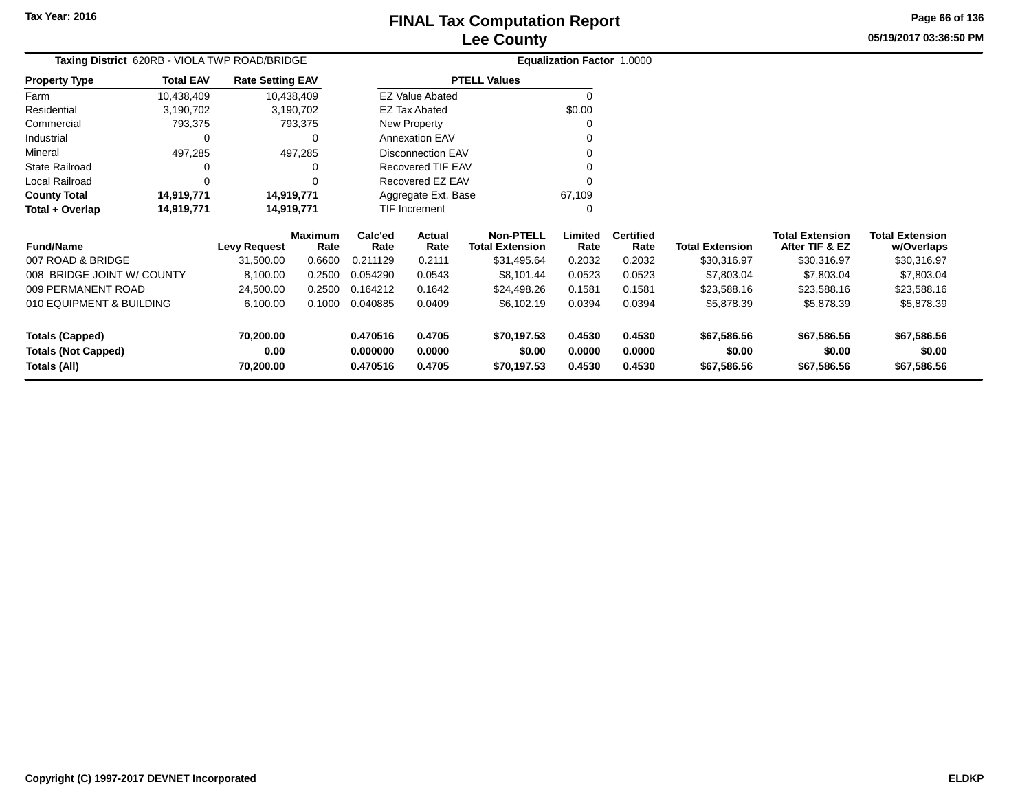# **Lee CountyFINAL Tax Computation Report**

**05/19/2017 03:36:50 PMPage 66 of 136**

| Taxing District 620RB - VIOLA TWP ROAD/BRIDGE |                  |                         |                        |                 |                          |                                     | Equalization Factor 1.0000 |                          |                        |                                       |  |  |
|-----------------------------------------------|------------------|-------------------------|------------------------|-----------------|--------------------------|-------------------------------------|----------------------------|--------------------------|------------------------|---------------------------------------|--|--|
| <b>Property Type</b>                          | <b>Total EAV</b> | <b>Rate Setting EAV</b> |                        |                 |                          | <b>PTELL Values</b>                 |                            |                          |                        |                                       |  |  |
| Farm                                          | 10,438,409       |                         | 10,438,409             |                 | <b>EZ Value Abated</b>   |                                     |                            |                          |                        |                                       |  |  |
| Residential                                   | 3,190,702        |                         | 3,190,702              |                 | <b>EZ Tax Abated</b>     |                                     | \$0.00                     |                          |                        |                                       |  |  |
| Commercial                                    | 793,375          |                         | 793,375                |                 | New Property             |                                     | 0                          |                          |                        |                                       |  |  |
| Industrial                                    | O                |                         |                        |                 | <b>Annexation EAV</b>    |                                     |                            |                          |                        |                                       |  |  |
| Mineral<br>497,285<br>497,285                 |                  |                         |                        |                 | <b>Disconnection EAV</b> |                                     |                            |                          |                        |                                       |  |  |
| <b>State Railroad</b>                         |                  |                         |                        |                 | Recovered TIF EAV        |                                     |                            |                          |                        |                                       |  |  |
| Local Railroad                                |                  |                         |                        |                 | Recovered EZ EAV         |                                     |                            |                          |                        |                                       |  |  |
| <b>County Total</b>                           | 14,919,771       |                         | 14,919,771             |                 | Aggregate Ext. Base      |                                     | 67,109                     |                          |                        |                                       |  |  |
| Total + Overlap                               | 14,919,771       |                         | 14,919,771             |                 | <b>TIF Increment</b>     |                                     | 0                          |                          |                        |                                       |  |  |
| <b>Fund/Name</b>                              |                  | <b>Levy Request</b>     | <b>Maximum</b><br>Rate | Calc'ed<br>Rate | Actual<br>Rate           | <b>Non-PTELL</b><br>Total Extension | Limited<br>Rate            | <b>Certified</b><br>Rate | <b>Total Extension</b> | <b>Total Exte</b><br><b>After TIF</b> |  |  |
| 007 ROAD & BRIDGE                             |                  | 31,500.00               | 0.6600                 | 0.211129        | 0.2111                   | \$31,495.64                         | 0.2032                     | 0.2032                   | \$30,316.97            | \$30,3                                |  |  |
|                                               |                  |                         |                        |                 |                          |                                     |                            |                          |                        |                                       |  |  |

| <b>Fund/Name</b>                                                     | <b>Levy Request</b>            | <b>Maximum</b><br>Rate | Calc'ed<br>Rate                  | Actual<br>Rate             | <b>Non-PTELL</b><br><b>Total Extension</b> | Limited<br>Rate            | <b>Certified</b><br>Rate   | <b>Total Extension</b>               | <b>Total Extension</b><br>After TIF & EZ | <b>Total Extension</b><br>w/Overlaps |
|----------------------------------------------------------------------|--------------------------------|------------------------|----------------------------------|----------------------------|--------------------------------------------|----------------------------|----------------------------|--------------------------------------|------------------------------------------|--------------------------------------|
| 007 ROAD & BRIDGE                                                    | 31.500.00                      | 0.6600                 | 0.211129                         | 0.2111                     | \$31,495.64                                | 0.2032                     | 0.2032                     | \$30,316.97                          | \$30,316.97                              | \$30,316.97                          |
| 008 BRIDGE JOINT W/ COUNTY                                           | 8.100.00                       | 0.2500                 | 0.054290                         | 0.0543                     | \$8,101.44                                 | 0.0523                     | 0.0523                     | \$7,803.04                           | \$7,803,04                               | \$7,803.04                           |
| 009 PERMANENT ROAD                                                   | 24.500.00                      | 0.2500                 | 0.164212                         | 0.1642                     | \$24.498.26                                | 0.1581                     | 0.1581                     | \$23.588.16                          | \$23,588.16                              | \$23,588.16                          |
| 010 EQUIPMENT & BUILDING                                             | 6.100.00                       | 0.1000                 | 0.040885                         | 0.0409                     | \$6,102.19                                 | 0.0394                     | 0.0394                     | \$5,878.39                           | \$5,878,39                               | \$5,878.39                           |
| <b>Totals (Capped)</b><br><b>Totals (Not Capped)</b><br>Totals (All) | 70.200.00<br>0.00<br>70.200.00 |                        | 0.470516<br>0.000000<br>0.470516 | 0.4705<br>0.0000<br>0.4705 | \$70.197.53<br>\$0.00<br>\$70.197.53       | 0.4530<br>0.0000<br>0.4530 | 0.4530<br>0.0000<br>0.4530 | \$67,586,56<br>\$0.00<br>\$67,586.56 | \$67,586.56<br>\$0.00<br>\$67,586.56     | \$67,586.56<br>\$0.00<br>\$67,586.56 |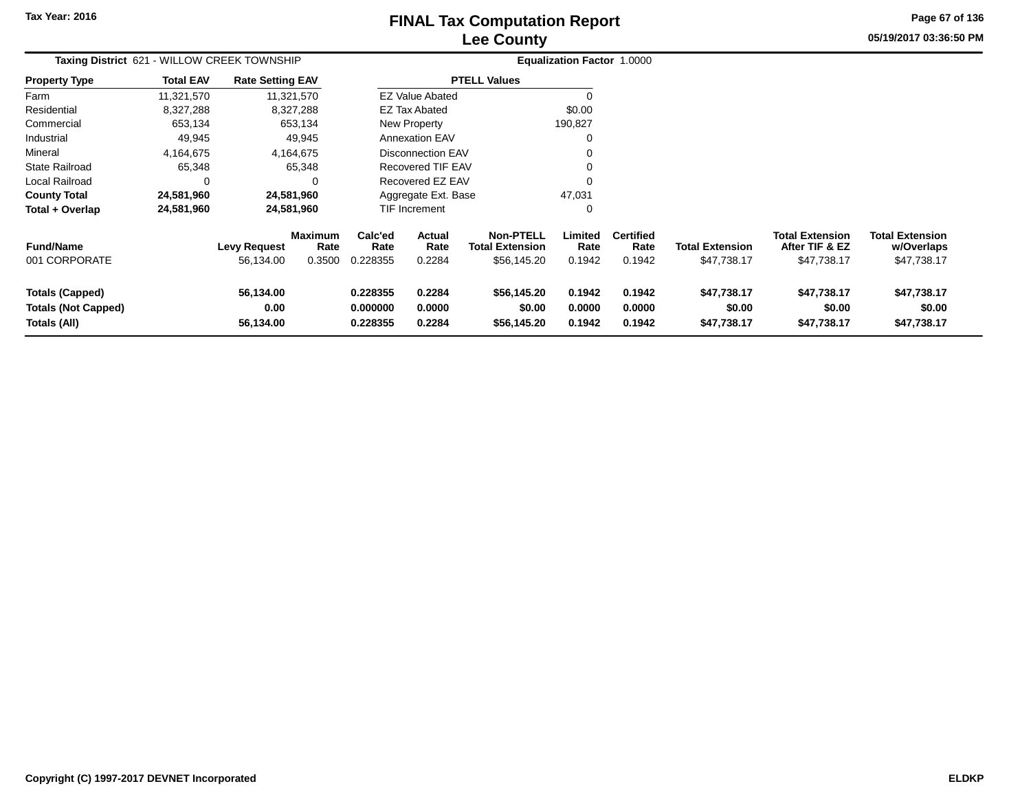# **Lee CountyFINAL Tax Computation Report** FINAL Tax Computation Report

**05/19/2017 03:36:50 PMPage 67 of 136**

| Taxing District 621 - WILLOW CREEK TOWNSHIP                          |                  |                                  |                                  |                                  |                            |                                                           | <b>Equalization Factor 1.0000</b> |                                    |                                       |                                                         |                                                     |
|----------------------------------------------------------------------|------------------|----------------------------------|----------------------------------|----------------------------------|----------------------------|-----------------------------------------------------------|-----------------------------------|------------------------------------|---------------------------------------|---------------------------------------------------------|-----------------------------------------------------|
| Property Type                                                        | <b>Total EAV</b> | <b>Rate Setting EAV</b>          |                                  |                                  |                            | <b>PTELL Values</b>                                       |                                   |                                    |                                       |                                                         |                                                     |
| Farm                                                                 | 11,321,570       |                                  | 11,321,570                       |                                  | <b>EZ Value Abated</b>     |                                                           | n                                 |                                    |                                       |                                                         |                                                     |
| Residential                                                          | 8,327,288        |                                  | 8,327,288                        |                                  | <b>EZ Tax Abated</b>       |                                                           | \$0.00                            |                                    |                                       |                                                         |                                                     |
| Commercial                                                           | 653,134          |                                  | 653,134                          |                                  | <b>New Property</b>        |                                                           | 190,827                           |                                    |                                       |                                                         |                                                     |
| Industrial                                                           | 49,945           |                                  | 49,945                           |                                  | <b>Annexation EAV</b>      |                                                           | 0                                 |                                    |                                       |                                                         |                                                     |
| Mineral                                                              | 4,164,675        |                                  | 4,164,675                        |                                  | <b>Disconnection EAV</b>   |                                                           | ∩                                 |                                    |                                       |                                                         |                                                     |
| State Railroad                                                       | 65,348           |                                  | 65,348                           |                                  | <b>Recovered TIF EAV</b>   |                                                           | 0                                 |                                    |                                       |                                                         |                                                     |
| Local Railroad                                                       | 0                |                                  | 0                                |                                  | Recovered EZ EAV           |                                                           |                                   |                                    |                                       |                                                         |                                                     |
| <b>County Total</b>                                                  | 24,581,960       |                                  | 24,581,960                       |                                  | Aggregate Ext. Base        |                                                           | 47,031                            |                                    |                                       |                                                         |                                                     |
| Total + Overlap                                                      | 24,581,960       |                                  | 24,581,960                       |                                  | TIF Increment              |                                                           | 0                                 |                                    |                                       |                                                         |                                                     |
| <b>Fund/Name</b><br>001 CORPORATE                                    |                  | <b>Levy Request</b><br>56,134.00 | <b>Maximum</b><br>Rate<br>0.3500 | Calc'ed<br>Rate<br>0.228355      | Actual<br>Rate<br>0.2284   | <b>Non-PTELL</b><br><b>Total Extension</b><br>\$56,145.20 | Limited<br>Rate<br>0.1942         | <b>Certified</b><br>Rate<br>0.1942 | <b>Total Extension</b><br>\$47,738.17 | <b>Total Extension</b><br>After TIF & EZ<br>\$47,738.17 | <b>Total Extension</b><br>w/Overlaps<br>\$47,738.17 |
| <b>Totals (Capped)</b><br><b>Totals (Not Capped)</b><br>Totals (All) |                  | 56,134.00<br>0.00<br>56,134.00   |                                  | 0.228355<br>0.000000<br>0.228355 | 0.2284<br>0.0000<br>0.2284 | \$56,145.20<br>\$0.00<br>\$56,145.20                      | 0.1942<br>0.0000<br>0.1942        | 0.1942<br>0.0000<br>0.1942         | \$47,738.17<br>\$0.00<br>\$47,738.17  | \$47,738.17<br>\$0.00<br>\$47,738.17                    | \$47,738.17<br>\$0.00<br>\$47,738.17                |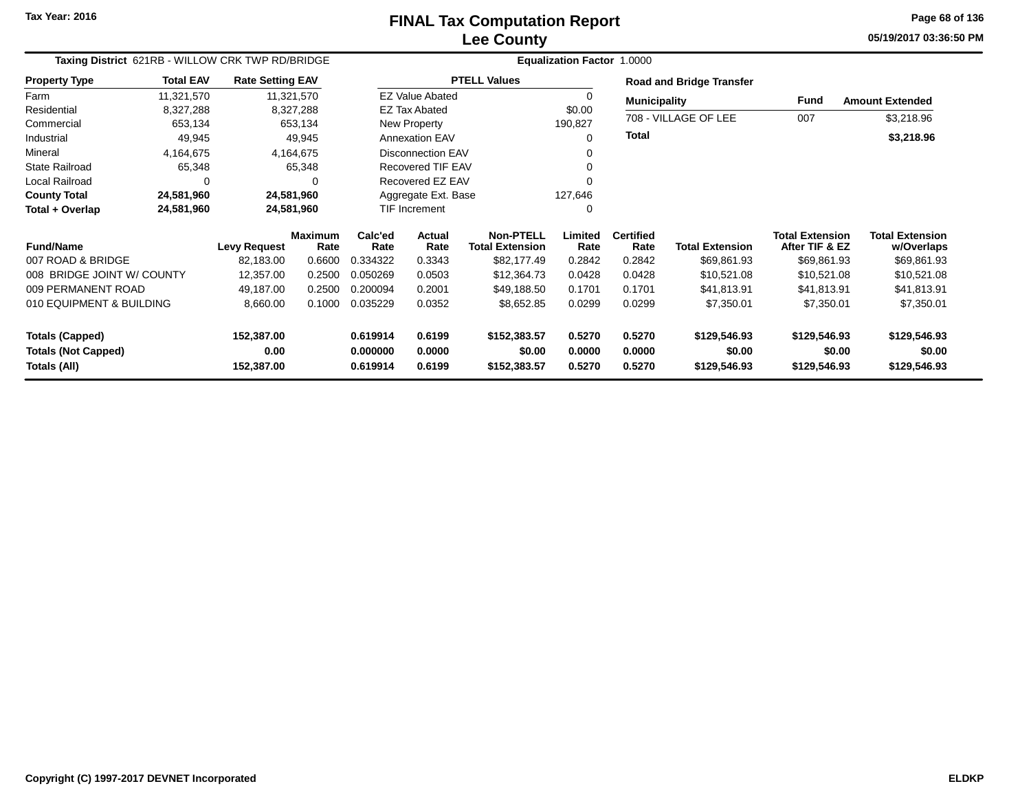#### **Lee CountyFINAL Tax Computation Report** FINAL Tax Computation Report

**05/19/2017 03:36:50 PMPage 68 of 136**

| Taxing District 621RB - WILLOW CRK TWP RD/BRIDGE |                  | <b>Equalization Factor 1.0000</b> |                        |                       |                          |                                            |                  |                                 |                        |                                          |                                      |
|--------------------------------------------------|------------------|-----------------------------------|------------------------|-----------------------|--------------------------|--------------------------------------------|------------------|---------------------------------|------------------------|------------------------------------------|--------------------------------------|
| <b>Property Type</b>                             | <b>Total EAV</b> | <b>Rate Setting EAV</b>           |                        |                       |                          | <b>PTELL Values</b>                        |                  | <b>Road and Bridge Transfer</b> |                        |                                          |                                      |
| Farm                                             | 11,321,570       |                                   | 11,321,570             |                       | <b>EZ Value Abated</b>   |                                            |                  | <b>Municipality</b>             |                        | <b>Fund</b>                              | <b>Amount Extended</b>               |
| Residential                                      | 8,327,288        |                                   | 8,327,288              |                       | <b>EZ Tax Abated</b>     |                                            | \$0.00           |                                 |                        |                                          |                                      |
| Commercial                                       | 653,134          |                                   | 653,134                |                       | New Property             |                                            | 190,827          |                                 | 708 - VILLAGE OF LEE   | 007                                      | \$3,218.96                           |
| Industrial                                       | 49,945           |                                   | 49,945                 | <b>Annexation EAV</b> |                          |                                            | 0                | <b>Total</b>                    |                        |                                          | \$3,218.96                           |
| Mineral                                          | 4,164,675        |                                   | 4,164,675              |                       | <b>Disconnection EAV</b> |                                            |                  |                                 |                        |                                          |                                      |
| <b>State Railroad</b>                            | 65,348           |                                   | 65,348                 | Recovered TIF EAV     |                          |                                            |                  |                                 |                        |                                          |                                      |
| Local Railroad                                   | $\Omega$         |                                   | 0                      |                       | Recovered EZ EAV         |                                            |                  |                                 |                        |                                          |                                      |
| <b>County Total</b>                              | 24,581,960       |                                   | 24,581,960             |                       | Aggregate Ext. Base      |                                            | 127,646          |                                 |                        |                                          |                                      |
| Total + Overlap                                  | 24,581,960       |                                   | 24,581,960             |                       | <b>TIF Increment</b>     |                                            | 0                |                                 |                        |                                          |                                      |
| <b>Fund/Name</b>                                 |                  | <b>Levy Request</b>               | <b>Maximum</b><br>Rate | Calc'ed<br>Rate       | Actual<br>Rate           | <b>Non-PTELL</b><br><b>Total Extension</b> | Limited<br>Rate  | <b>Certified</b><br>Rate        | <b>Total Extension</b> | <b>Total Extension</b><br>After TIF & EZ | <b>Total Extension</b><br>w/Overlaps |
| 007 ROAD & BRIDGE                                |                  | 82,183.00                         | 0.6600                 | 0.334322              | 0.3343                   | \$82,177.49                                | 0.2842           | 0.2842                          | \$69,861.93            | \$69,861.93                              | \$69,861.93                          |
| 008 BRIDGE JOINT W/ COUNTY                       |                  | 12,357.00                         | 0.2500                 | 0.050269              | 0.0503                   | \$12,364.73                                | 0.0428           | 0.0428                          | \$10,521.08            | \$10,521.08                              | \$10,521.08                          |
| 009 PERMANENT ROAD                               |                  | 49,187.00                         | 0.2500                 | 0.200094              | 0.2001                   | \$49,188.50                                | 0.1701           | 0.1701                          | \$41,813.91            | \$41,813.91                              | \$41,813.91                          |
| 010 EQUIPMENT & BUILDING                         |                  | 8,660.00                          | 0.1000                 | 0.035229              | 0.0352                   | \$8,652.85                                 | 0.0299           | 0.0299                          | \$7,350.01             | \$7,350.01                               | \$7,350.01                           |
| <b>Totals (Capped)</b>                           |                  | 152,387.00                        |                        | 0.619914              | 0.6199                   | \$152,383.57                               | 0.5270           | 0.5270                          | \$129,546.93           | \$129,546.93                             | \$129,546.93                         |
| <b>Totals (Not Capped)</b><br>Totals (All)       |                  | 0.00<br>152,387.00                |                        | 0.000000<br>0.619914  | 0.0000<br>0.6199         | \$0.00<br>\$152,383.57                     | 0.0000<br>0.5270 | 0.0000<br>0.5270                | \$0.00<br>\$129,546.93 | \$0.00<br>\$129,546.93                   | \$0.00<br>\$129,546.93               |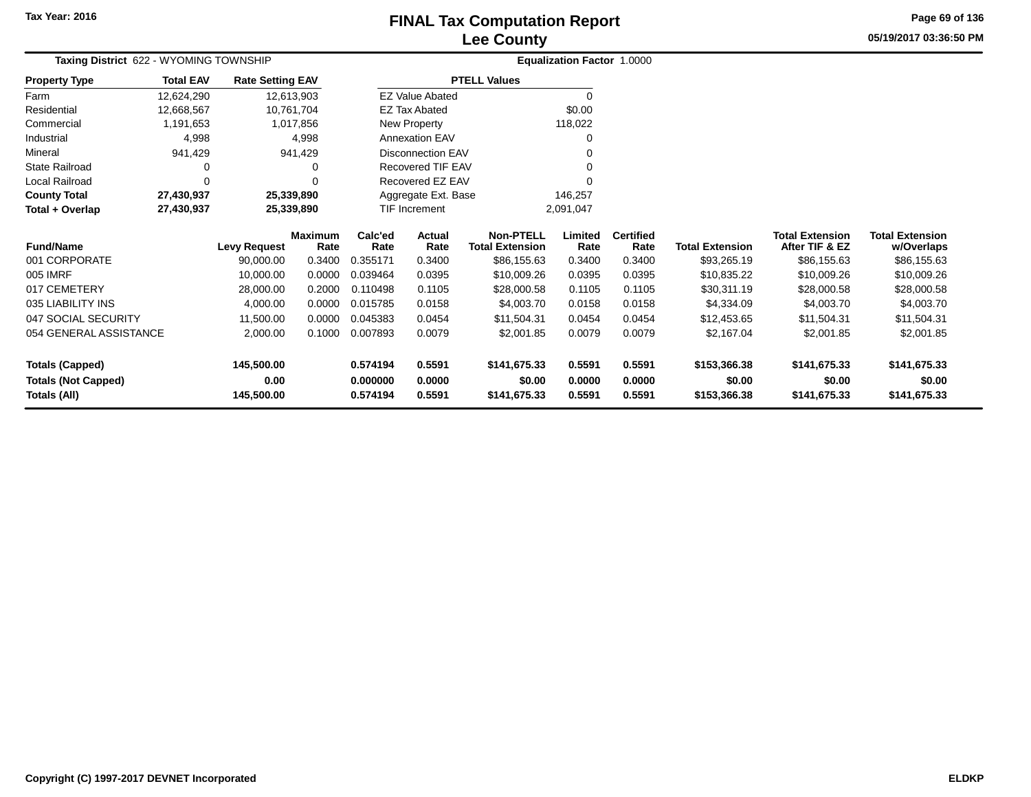### **Lee CountyFINAL Tax Computation Report** FINAL Tax Computation Report

**05/19/2017 03:36:50 PMPage 69 of 136**

| Taxing District 622 - WYOMING TOWNSHIP | Equalization Factor 1.0000 |                         |                        |                      |                          |                                            |                 |                          |                        |                                          |                                      |
|----------------------------------------|----------------------------|-------------------------|------------------------|----------------------|--------------------------|--------------------------------------------|-----------------|--------------------------|------------------------|------------------------------------------|--------------------------------------|
| <b>Property Type</b>                   | <b>Total EAV</b>           | <b>Rate Setting EAV</b> |                        |                      |                          | <b>PTELL Values</b>                        |                 |                          |                        |                                          |                                      |
| Farm                                   | 12,624,290                 | 12,613,903              |                        |                      | <b>EZ Value Abated</b>   |                                            | 0               |                          |                        |                                          |                                      |
| Residential                            | 12,668,567                 | 10,761,704              |                        |                      | <b>EZ Tax Abated</b>     |                                            | \$0.00          |                          |                        |                                          |                                      |
| Commercial                             | 1,191,653                  |                         | 1,017,856              |                      | New Property             |                                            | 118,022         |                          |                        |                                          |                                      |
| Industrial                             | 4,998                      |                         | 4,998                  |                      | <b>Annexation EAV</b>    |                                            |                 |                          |                        |                                          |                                      |
| Mineral                                | 941,429                    |                         | 941,429                |                      | <b>Disconnection EAV</b> |                                            |                 |                          |                        |                                          |                                      |
| <b>State Railroad</b>                  | 0                          |                         |                        |                      | Recovered TIF EAV        |                                            |                 |                          |                        |                                          |                                      |
| Local Railroad                         | $\Omega$                   |                         |                        |                      | Recovered EZ EAV         |                                            |                 |                          |                        |                                          |                                      |
| <b>County Total</b>                    | 27,430,937                 | 25,339,890              |                        | Aggregate Ext. Base  |                          |                                            | 146,257         |                          |                        |                                          |                                      |
| Total + Overlap                        | 27,430,937                 | 25,339,890              |                        | <b>TIF Increment</b> |                          |                                            | 2,091,047       |                          |                        |                                          |                                      |
| <b>Fund/Name</b>                       |                            | <b>Levy Request</b>     | <b>Maximum</b><br>Rate | Calc'ed<br>Rate      | Actual<br>Rate           | <b>Non-PTELL</b><br><b>Total Extension</b> | Limited<br>Rate | <b>Certified</b><br>Rate | <b>Total Extension</b> | <b>Total Extension</b><br>After TIF & EZ | <b>Total Extension</b><br>w/Overlaps |
| 001 CORPORATE                          |                            | 90,000.00               | 0.3400                 | 0.355171             | 0.3400                   | \$86,155.63                                | 0.3400          | 0.3400                   | \$93,265.19            | \$86,155.63                              | \$86,155.63                          |
| 005 IMRF                               |                            | 10,000.00               | 0.0000                 | 0.039464             | 0.0395                   | \$10,009.26                                | 0.0395          | 0.0395                   | \$10,835.22            | \$10,009.26                              | \$10,009.26                          |
| 017 CEMETERY                           |                            | 28,000.00               | 0.2000                 | 0.110498             | 0.1105                   | \$28,000.58                                | 0.1105          | 0.1105                   | \$30,311.19            | \$28,000.58                              | \$28,000.58                          |
| 035 LIABILITY INS                      |                            | 4,000.00                | 0.0000                 | 0.015785             | 0.0158                   | \$4,003.70                                 | 0.0158          | 0.0158                   | \$4,334.09             | \$4,003.70                               | \$4,003.70                           |
| 047 SOCIAL SECURITY                    |                            | 11,500.00               | 0.0000                 | 0.045383             | 0.0454                   | \$11,504.31                                | 0.0454          | 0.0454                   | \$12,453.65            | \$11,504.31                              | \$11,504.31                          |
| 054 GENERAL ASSISTANCE<br>2,000.00     |                            | 0.1000                  | 0.007893               | 0.0079               | \$2,001.85               | 0.0079                                     | 0.0079          | \$2,167.04               | \$2,001.85             | \$2,001.85                               |                                      |
| <b>Totals (Capped)</b>                 |                            | 145,500.00              |                        | 0.574194             | 0.5591                   | \$141,675.33                               | 0.5591          | 0.5591                   | \$153,366.38           | \$141,675.33                             | \$141,675.33                         |
| <b>Totals (Not Capped)</b>             |                            | 0.00                    |                        | 0.000000             | 0.0000                   | \$0.00                                     | 0.0000          | 0.0000                   | \$0.00                 | \$0.00                                   | \$0.00                               |
| Totals (All)                           |                            | 145,500.00              |                        | 0.574194             | 0.5591                   | \$141,675.33                               | 0.5591          | 0.5591                   | \$153,366.38           | \$141,675.33                             | \$141,675.33                         |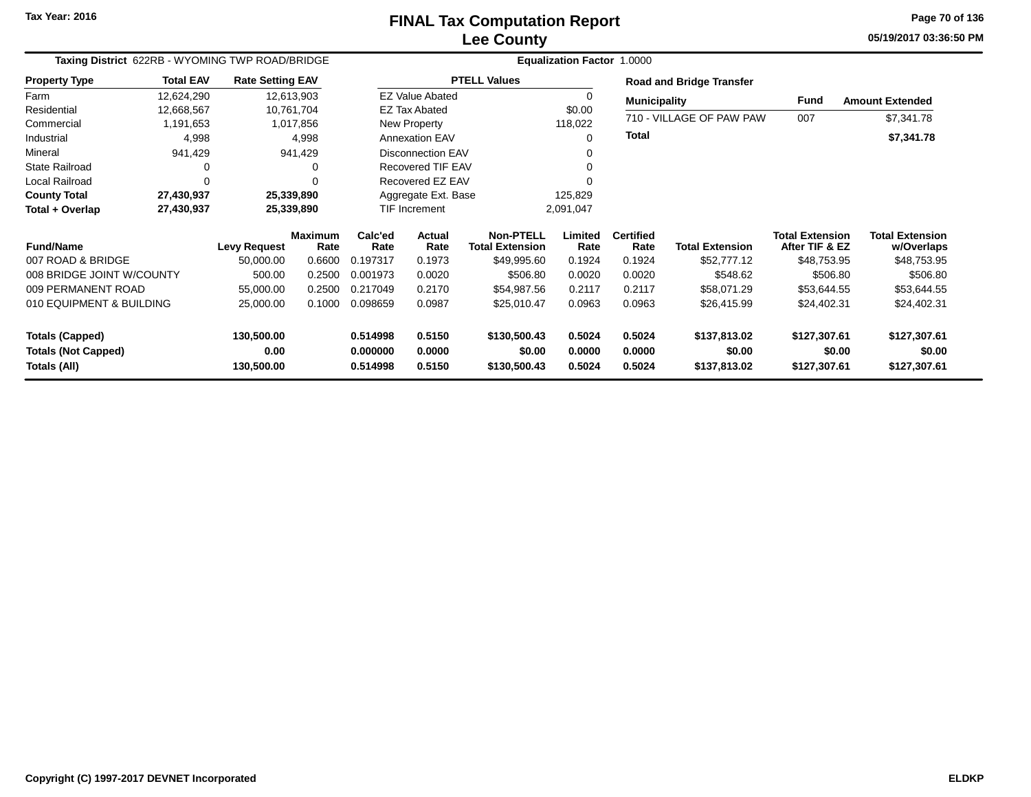#### **Lee CountyFINAL Tax Computation Report** FINAL Tax Computation Report

**05/19/2017 03:36:50 PMPage 70 of 136**

| Taxing District 622RB - WYOMING TWP ROAD/BRIDGE |                                             |                     |                 |                       |                          |                                            |                  |                          |                                 |                                          |                                      |  |  |
|-------------------------------------------------|---------------------------------------------|---------------------|-----------------|-----------------------|--------------------------|--------------------------------------------|------------------|--------------------------|---------------------------------|------------------------------------------|--------------------------------------|--|--|
| <b>Property Type</b>                            | <b>Total EAV</b><br><b>Rate Setting EAV</b> |                     |                 |                       |                          | <b>PTELL Values</b>                        |                  |                          | <b>Road and Bridge Transfer</b> |                                          |                                      |  |  |
| Farm                                            | 12,624,290                                  | 12,613,903          |                 |                       | <b>EZ Value Abated</b>   |                                            | $\Omega$         |                          | <b>Municipality</b>             |                                          | <b>Amount Extended</b>               |  |  |
| Residential                                     | 12,668,567                                  | 10,761,704          |                 | <b>EZ Tax Abated</b>  |                          |                                            | \$0.00           |                          | 710 - VILLAGE OF PAW PAW        |                                          |                                      |  |  |
| Commercial                                      | 1,191,653                                   |                     | 1,017,856       | New Property          |                          |                                            | 118,022          |                          |                                 | 007                                      | \$7,341.78                           |  |  |
| Industrial                                      | 4,998                                       |                     | 4,998           | <b>Annexation EAV</b> |                          |                                            | ∩                | <b>Total</b>             |                                 |                                          | \$7,341.78                           |  |  |
| Mineral                                         | 941,429                                     |                     | 941,429         |                       | <b>Disconnection EAV</b> |                                            | ∩                |                          |                                 |                                          |                                      |  |  |
| <b>State Railroad</b>                           | 0                                           |                     | O               | Recovered TIF EAV     |                          |                                            | ∩                |                          |                                 |                                          |                                      |  |  |
| Local Railroad                                  | 0                                           |                     | 0               |                       | Recovered EZ EAV         |                                            |                  |                          |                                 |                                          |                                      |  |  |
| <b>County Total</b>                             | 27,430,937                                  |                     | 25,339,890      |                       | Aggregate Ext. Base      |                                            | 125,829          |                          |                                 |                                          |                                      |  |  |
| Total + Overlap                                 | 27,430,937                                  | 25,339,890          |                 | <b>TIF Increment</b>  |                          |                                            | 2,091,047        |                          |                                 |                                          |                                      |  |  |
| <b>Fund/Name</b>                                |                                             | <b>Levy Request</b> | Maximum<br>Rate | Calc'ed<br>Rate       | Actual<br>Rate           | <b>Non-PTELL</b><br><b>Total Extension</b> | Limited<br>Rate  | <b>Certified</b><br>Rate | <b>Total Extension</b>          | <b>Total Extension</b><br>After TIF & EZ | <b>Total Extension</b><br>w/Overlaps |  |  |
| 007 ROAD & BRIDGE                               |                                             | 50,000.00           | 0.6600          | 0.197317              | 0.1973                   | \$49,995.60                                | 0.1924           | 0.1924                   | \$52,777.12                     | \$48,753.95                              | \$48,753.95                          |  |  |
| 008 BRIDGE JOINT W/COUNTY                       |                                             | 500.00              | 0.2500          | 0.001973              | 0.0020                   | \$506.80                                   | 0.0020           | 0.0020                   | \$548.62                        | \$506.80                                 | \$506.80                             |  |  |
| 009 PERMANENT ROAD                              |                                             | 55,000.00           | 0.2500          | 0.217049              | 0.2170                   | \$54,987.56                                | 0.2117           | 0.2117                   | \$58,071.29                     | \$53,644.55                              | \$53,644.55                          |  |  |
| 010 EQUIPMENT & BUILDING                        |                                             | 25,000.00           | 0.1000          | 0.098659              | 0.0987                   | \$25,010.47                                | 0.0963           | 0.0963                   | \$26,415.99                     | \$24,402.31                              | \$24,402.31                          |  |  |
| <b>Totals (Capped)</b>                          |                                             | 130,500.00          |                 | 0.514998              | 0.5150                   | \$130,500.43                               | 0.5024           | 0.5024                   | \$137,813.02                    | \$127,307.61                             | \$127,307.61                         |  |  |
| <b>Totals (Not Capped)</b><br>Totals (All)      |                                             | 0.00<br>130,500.00  |                 | 0.000000<br>0.514998  | 0.0000<br>0.5150         | \$0.00<br>\$130,500.43                     | 0.0000<br>0.5024 | 0.0000<br>0.5024         | \$0.00<br>\$137,813.02          | \$0.00<br>\$127,307.61                   | \$0.00<br>\$127,307.61               |  |  |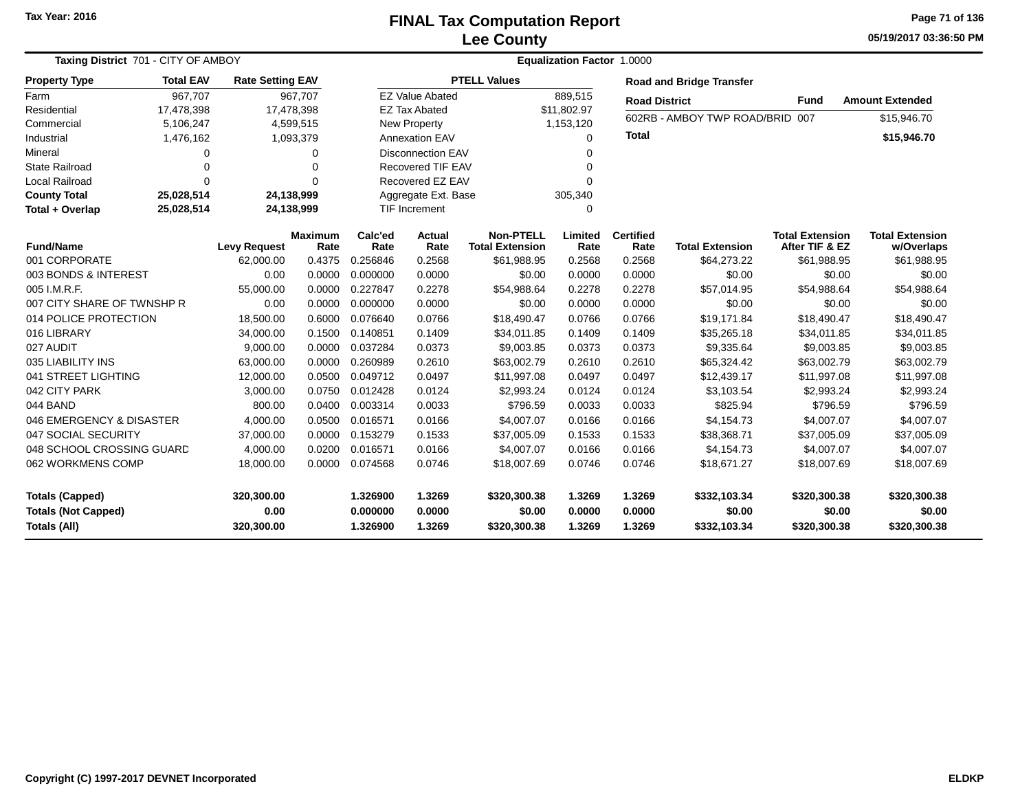# **Lee CountyFINAL Tax Computation Report**

**05/19/2017 03:36:50 PM Page 71 of 136**

| Taxing District 701 - CITY OF AMBOY                                  |                  |                                  |                        |                                  | Equalization Factor 1.0000 |                                            |                            |                            |                                        |                                          |                                        |  |  |
|----------------------------------------------------------------------|------------------|----------------------------------|------------------------|----------------------------------|----------------------------|--------------------------------------------|----------------------------|----------------------------|----------------------------------------|------------------------------------------|----------------------------------------|--|--|
| <b>Property Type</b>                                                 | <b>Total EAV</b> | <b>Rate Setting EAV</b>          |                        |                                  |                            | <b>PTELL Values</b>                        |                            |                            | <b>Road and Bridge Transfer</b>        |                                          |                                        |  |  |
| Farm                                                                 | 967.707          | 967.707                          |                        |                                  | <b>EZ Value Abated</b>     |                                            | 889,515                    |                            | <b>Road District</b>                   | <b>Fund</b>                              | <b>Amount Extended</b>                 |  |  |
| Residential                                                          | 17,478,398       | 17,478,398                       |                        |                                  | <b>EZ Tax Abated</b>       |                                            | \$11,802.97                |                            |                                        |                                          |                                        |  |  |
| Commercial                                                           | 5,106,247        |                                  | 4,599,515              | <b>New Property</b>              |                            |                                            | 1,153,120                  |                            | 602RB - AMBOY TWP ROAD/BRID 007        |                                          | \$15,946.70                            |  |  |
| Industrial                                                           | 1,476,162        |                                  | 1,093,379              | <b>Annexation EAV</b>            |                            |                                            | 0                          |                            |                                        |                                          | \$15,946.70                            |  |  |
| Mineral                                                              | $\Omega$         |                                  | $\Omega$               |                                  | <b>Disconnection EAV</b>   |                                            | 0                          |                            |                                        |                                          |                                        |  |  |
| <b>State Railroad</b>                                                | 0                |                                  | $\Omega$               |                                  | <b>Recovered TIF EAV</b>   |                                            | 0                          |                            |                                        |                                          |                                        |  |  |
| <b>Local Railroad</b>                                                | $\Omega$         |                                  | $\Omega$               |                                  | Recovered EZ EAV           |                                            | 0                          |                            |                                        |                                          |                                        |  |  |
| <b>County Total</b>                                                  | 25,028,514       | 24,138,999                       |                        |                                  | Aggregate Ext. Base        |                                            | 305,340                    |                            |                                        |                                          |                                        |  |  |
| Total + Overlap                                                      | 25,028,514       | 24,138,999                       |                        |                                  | TIF Increment              |                                            | $\Omega$                   |                            |                                        |                                          |                                        |  |  |
| <b>Fund/Name</b>                                                     |                  | <b>Levy Request</b>              | <b>Maximum</b><br>Rate | Calc'ed<br>Rate                  | <b>Actual</b><br>Rate      | <b>Non-PTELL</b><br><b>Total Extension</b> | Limited<br>Rate            | <b>Certified</b><br>Rate   | <b>Total Extension</b>                 | <b>Total Extension</b><br>After TIF & EZ | <b>Total Extension</b><br>w/Overlaps   |  |  |
| 001 CORPORATE                                                        |                  | 62,000.00                        | 0.4375                 | 0.256846                         | 0.2568                     | \$61,988.95                                | 0.2568                     | 0.2568                     | \$64,273.22                            | \$61,988.95                              | \$61,988.95                            |  |  |
| 003 BONDS & INTEREST                                                 |                  | 0.00                             | 0.0000                 | 0.000000                         | 0.0000                     | \$0.00                                     | 0.0000                     | 0.0000                     | \$0.00                                 | \$0.00                                   | \$0.00                                 |  |  |
| 005 I.M.R.F.                                                         |                  | 55,000.00                        | 0.0000                 | 0.227847                         | 0.2278                     | \$54,988.64                                | 0.2278                     | 0.2278                     | \$57,014.95                            | \$54,988.64                              | \$54,988.64                            |  |  |
| 007 CITY SHARE OF TWNSHP R                                           |                  | 0.00                             | 0.0000                 | 0.000000                         | 0.0000                     | \$0.00                                     | 0.0000                     | 0.0000                     | \$0.00                                 | \$0.00                                   | \$0.00                                 |  |  |
| 014 POLICE PROTECTION                                                |                  | 18,500.00                        | 0.6000                 | 0.076640                         | 0.0766                     | \$18,490.47                                | 0.0766                     | 0.0766                     | \$19,171.84                            | \$18,490.47                              | \$18,490.47                            |  |  |
| 016 LIBRARY                                                          |                  | 34,000.00                        | 0.1500                 | 0.140851                         | 0.1409                     | \$34,011.85                                | 0.1409                     | 0.1409                     | \$35,265.18                            | \$34,011.85                              | \$34,011.85                            |  |  |
| 027 AUDIT                                                            |                  | 9.000.00                         | 0.0000                 | 0.037284                         | 0.0373                     | \$9,003.85                                 | 0.0373                     | 0.0373                     | \$9,335.64                             | \$9,003.85                               | \$9,003.85                             |  |  |
| 035 LIABILITY INS                                                    |                  | 63,000.00                        | 0.0000                 | 0.260989                         | 0.2610                     | \$63,002.79                                | 0.2610                     | 0.2610                     | \$65,324.42                            | \$63,002.79                              | \$63,002.79                            |  |  |
| 041 STREET LIGHTING                                                  |                  | 12,000.00                        | 0.0500                 | 0.049712                         | 0.0497                     | \$11,997.08                                | 0.0497                     | 0.0497                     | \$12,439.17                            | \$11,997.08                              | \$11,997.08                            |  |  |
| 042 CITY PARK                                                        |                  | 3,000.00                         | 0.0750                 | 0.012428                         | 0.0124                     | \$2,993.24                                 | 0.0124                     | 0.0124                     | \$3,103.54                             | \$2,993.24                               | \$2,993.24                             |  |  |
| 044 BAND                                                             |                  | 800.00                           | 0.0400                 | 0.003314                         | 0.0033                     | \$796.59                                   | 0.0033                     | 0.0033                     | \$825.94                               | \$796.59                                 | \$796.59                               |  |  |
| 046 EMERGENCY & DISASTER                                             |                  | 4,000.00                         | 0.0500                 | 0.016571                         | 0.0166                     | \$4,007.07                                 | 0.0166                     | 0.0166                     | \$4,154.73                             | \$4,007.07                               | \$4,007.07                             |  |  |
| 047 SOCIAL SECURITY                                                  |                  | 37,000.00                        | 0.0000                 | 0.153279                         | 0.1533                     | \$37,005.09                                | 0.1533                     | 0.1533                     | \$38,368.71                            | \$37,005.09                              | \$37,005.09                            |  |  |
| 048 SCHOOL CROSSING GUARD                                            |                  | 4,000.00                         | 0.0200                 | 0.016571                         | 0.0166                     | \$4,007.07                                 | 0.0166                     | 0.0166                     | \$4,154.73                             | \$4,007.07                               | \$4,007.07                             |  |  |
| 062 WORKMENS COMP                                                    |                  | 18,000.00                        | 0.0000                 | 0.074568                         | 0.0746                     | \$18,007.69                                | 0.0746                     | 0.0746                     | \$18,671.27                            | \$18,007.69                              | \$18,007.69                            |  |  |
| <b>Totals (Capped)</b><br><b>Totals (Not Capped)</b><br>Totals (All) |                  | 320,300.00<br>0.00<br>320,300.00 |                        | 1.326900<br>0.000000<br>1.326900 | 1.3269<br>0.0000<br>1.3269 | \$320,300.38<br>\$0.00<br>\$320,300.38     | 1.3269<br>0.0000<br>1.3269 | 1.3269<br>0.0000<br>1.3269 | \$332,103.34<br>\$0.00<br>\$332,103.34 | \$320,300.38<br>\$0.00<br>\$320,300.38   | \$320,300.38<br>\$0.00<br>\$320,300.38 |  |  |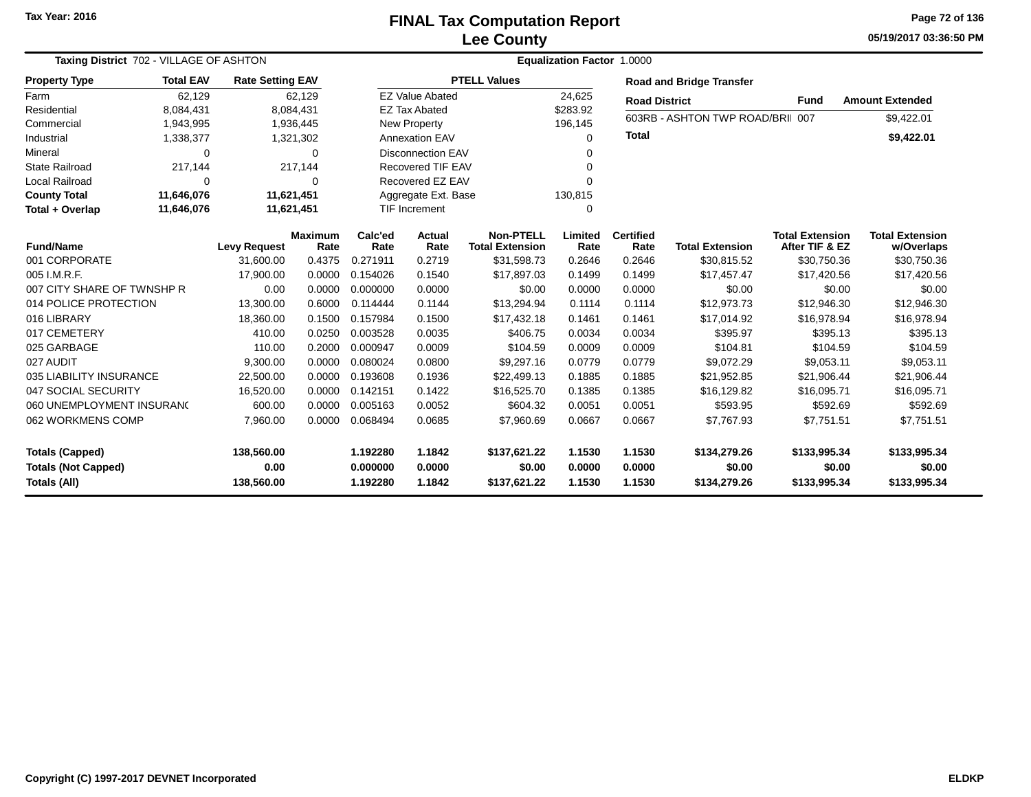#### **Lee CountyFINAL Tax Computation Report** FINAL Tax Computation Report

**05/19/2017 03:36:50 PMPage 72 of 136**

| Taxing District 702 - VILLAGE OF ASHTON              |                  |                         |                        | Equalization Factor 1.0000 |                          |                                            |                                |                                 |                                  |                                          |                                      |  |  |
|------------------------------------------------------|------------------|-------------------------|------------------------|----------------------------|--------------------------|--------------------------------------------|--------------------------------|---------------------------------|----------------------------------|------------------------------------------|--------------------------------------|--|--|
| <b>Property Type</b>                                 | <b>Total EAV</b> | <b>Rate Setting EAV</b> |                        |                            | <b>PTELL Values</b>      |                                            |                                | <b>Road and Bridge Transfer</b> |                                  |                                          |                                      |  |  |
| Farm                                                 | 62,129           |                         | 62,129                 |                            | <b>EZ Value Abated</b>   |                                            | 24,625<br><b>Road District</b> |                                 |                                  | Fund                                     | <b>Amount Extended</b>               |  |  |
| Residential                                          | 8,084,431        |                         | 8,084,431              |                            | <b>EZ Tax Abated</b>     |                                            | \$283.92                       |                                 | 603RB - ASHTON TWP ROAD/BRII 007 |                                          |                                      |  |  |
| Commercial                                           | 1,943,995        |                         | 1,936,445              |                            | <b>New Property</b>      |                                            |                                |                                 |                                  |                                          | \$9,422.01                           |  |  |
| Industrial                                           | 1,338,377        |                         | 1,321,302              | <b>Annexation EAV</b>      |                          |                                            | 0                              | <b>Total</b>                    |                                  |                                          | \$9,422.01                           |  |  |
| Mineral                                              | $\Omega$         |                         | 0                      |                            | <b>Disconnection EAV</b> |                                            |                                |                                 |                                  |                                          |                                      |  |  |
| State Railroad                                       | 217,144          |                         | 217,144                |                            | Recovered TIF EAV        |                                            | 0                              |                                 |                                  |                                          |                                      |  |  |
| <b>Local Railroad</b>                                | $\Omega$         |                         | $\Omega$               |                            | Recovered EZ EAV         |                                            | U                              |                                 |                                  |                                          |                                      |  |  |
| <b>County Total</b>                                  | 11,646,076       | 11,621,451              |                        |                            | Aggregate Ext. Base      |                                            | 130,815                        |                                 |                                  |                                          |                                      |  |  |
| Total + Overlap                                      | 11,646,076       | 11,621,451              |                        |                            | <b>TIF Increment</b>     |                                            | 0                              |                                 |                                  |                                          |                                      |  |  |
| <b>Fund/Name</b>                                     |                  | <b>Levy Request</b>     | <b>Maximum</b><br>Rate | Calc'ed<br>Rate            | <b>Actual</b><br>Rate    | <b>Non-PTELL</b><br><b>Total Extension</b> | Limited<br>Rate                | <b>Certified</b><br>Rate        | <b>Total Extension</b>           | <b>Total Extension</b><br>After TIF & EZ | <b>Total Extension</b><br>w/Overlaps |  |  |
| 001 CORPORATE                                        |                  | 31,600.00               | 0.4375                 | 0.271911                   | 0.2719                   | \$31,598.73                                | 0.2646                         | 0.2646                          | \$30,815.52                      | \$30,750.36                              | \$30,750.36                          |  |  |
| 005 I.M.R.F.                                         |                  | 17,900.00               | 0.0000                 | 0.154026                   | 0.1540                   | \$17,897.03                                | 0.1499                         | 0.1499                          | \$17,457.47                      | \$17,420.56                              | \$17,420.56                          |  |  |
| 007 CITY SHARE OF TWNSHP R                           |                  | 0.00                    | 0.0000                 | 0.000000                   | 0.0000                   | \$0.00                                     | 0.0000                         | 0.0000                          | \$0.00                           | \$0.00                                   | \$0.00                               |  |  |
| 014 POLICE PROTECTION                                |                  | 13,300.00               | 0.6000                 | 0.114444                   | 0.1144                   | \$13,294.94                                | 0.1114                         | 0.1114                          | \$12,973.73                      | \$12,946.30                              | \$12,946.30                          |  |  |
| 016 LIBRARY                                          |                  | 18,360.00               | 0.1500                 | 0.157984                   | 0.1500                   | \$17,432.18                                | 0.1461                         | 0.1461                          | \$17,014.92                      | \$16,978.94                              | \$16,978.94                          |  |  |
| 017 CEMETERY                                         |                  | 410.00                  | 0.0250                 | 0.003528                   | 0.0035                   | \$406.75                                   | 0.0034                         | 0.0034                          | \$395.97                         | \$395.13                                 | \$395.13                             |  |  |
| 025 GARBAGE                                          |                  | 110.00                  | 0.2000                 | 0.000947                   | 0.0009                   | \$104.59                                   | 0.0009                         | 0.0009                          | \$104.81                         | \$104.59                                 | \$104.59                             |  |  |
| 027 AUDIT                                            |                  | 9,300.00                | 0.0000                 | 0.080024                   | 0.0800                   | \$9,297.16                                 | 0.0779                         | 0.0779                          | \$9,072.29                       | \$9,053.11                               | \$9,053.11                           |  |  |
| 035 LIABILITY INSURANCE                              |                  | 22,500.00               | 0.0000                 | 0.193608                   | 0.1936                   | \$22,499.13                                | 0.1885                         | 0.1885                          | \$21,952.85                      | \$21,906.44                              | \$21,906.44                          |  |  |
| 047 SOCIAL SECURITY                                  |                  | 16,520.00               | 0.0000                 | 0.142151                   | 0.1422                   | \$16,525.70                                | 0.1385                         | 0.1385                          | \$16,129.82                      | \$16,095.71                              | \$16,095.71                          |  |  |
| 060 UNEMPLOYMENT INSURAN(                            |                  | 600.00                  | 0.0000                 | 0.005163                   | 0.0052                   | \$604.32                                   | 0.0051                         | 0.0051                          | \$593.95                         | \$592.69                                 | \$592.69                             |  |  |
| 062 WORKMENS COMP                                    |                  | 7,960.00                | 0.0000                 | 0.068494                   | 0.0685                   | \$7,960.69                                 | 0.0667                         | 0.0667                          | \$7,767.93                       | \$7,751.51                               | \$7,751.51                           |  |  |
| <b>Totals (Capped)</b><br><b>Totals (Not Capped)</b> |                  | 138,560.00<br>0.00      |                        | 1.192280<br>0.000000       | 1.1842<br>0.0000         | \$137,621.22<br>\$0.00                     | 1.1530<br>0.0000               | 1.1530<br>0.0000                | \$134,279.26<br>\$0.00           | \$133,995.34<br>\$0.00                   | \$133,995.34<br>\$0.00               |  |  |
| Totals (All)                                         |                  | 138,560.00              |                        | 1.192280                   | 1.1842                   | \$137,621.22                               | 1.1530                         | 1.1530                          | \$134,279.26                     | \$133,995.34                             | \$133,995.34                         |  |  |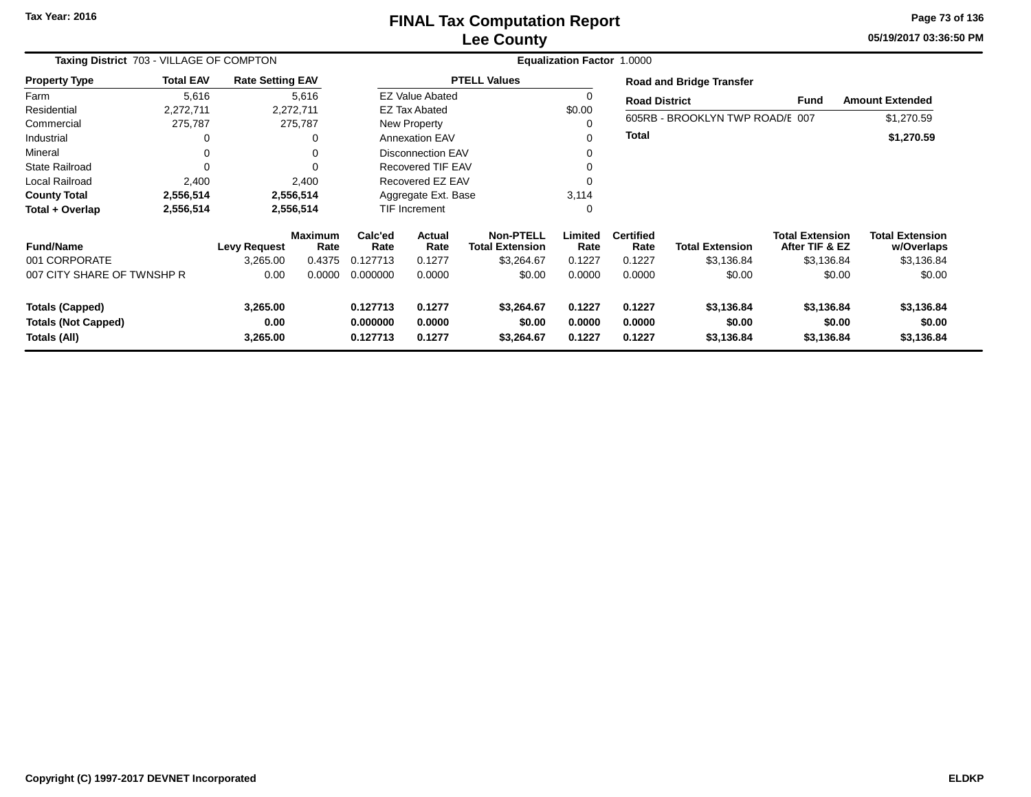# **Lee CountyFINAL Tax Computation Report**

**05/19/2017 03:36:50 PM Page 73 of 136**

and the

| Taxing District 703 - VILLAGE OF COMPTON |                  |                         |                        |                 | <b>Equalization Factor 1.0000</b> |                                            |                 |                          |                                 |                                          |                                      |  |  |
|------------------------------------------|------------------|-------------------------|------------------------|-----------------|-----------------------------------|--------------------------------------------|-----------------|--------------------------|---------------------------------|------------------------------------------|--------------------------------------|--|--|
| <b>Property Type</b>                     | <b>Total EAV</b> | <b>Rate Setting EAV</b> |                        |                 |                                   | <b>PTELL Values</b>                        |                 |                          | <b>Road and Bridge Transfer</b> |                                          |                                      |  |  |
| Farm                                     | 5,616            |                         | 5,616                  |                 | <b>EZ Value Abated</b>            |                                            | 0               | <b>Road District</b>     |                                 | Fund                                     | <b>Amount Extended</b>               |  |  |
| Residential                              | 2,272,711        |                         | 2,272,711              |                 | EZ Tax Abated                     |                                            | \$0.00          |                          |                                 |                                          |                                      |  |  |
| Commercial                               | 275,787          |                         | 275,787                |                 | New Property                      |                                            | 0               |                          | 605RB - BROOKLYN TWP ROAD/E 007 |                                          | \$1,270.59                           |  |  |
| Industrial                               | 0                |                         | 0                      |                 | <b>Annexation EAV</b>             |                                            | 0               | Total                    |                                 |                                          | \$1,270.59                           |  |  |
| Mineral                                  |                  |                         | 0                      |                 | <b>Disconnection EAV</b>          |                                            | 0               |                          |                                 |                                          |                                      |  |  |
| <b>State Railroad</b>                    |                  |                         | $\Omega$               |                 | <b>Recovered TIF EAV</b>          |                                            | 0               |                          |                                 |                                          |                                      |  |  |
| <b>Local Railroad</b>                    | 2,400            |                         | 2,400                  |                 | Recovered EZ EAV                  |                                            | 0               |                          |                                 |                                          |                                      |  |  |
| <b>County Total</b>                      | 2,556,514        |                         | 2,556,514              |                 | Aggregate Ext. Base               |                                            | 3,114           |                          |                                 |                                          |                                      |  |  |
| Total + Overlap                          | 2,556,514        |                         | 2,556,514              |                 | TIF Increment                     |                                            | 0               |                          |                                 |                                          |                                      |  |  |
| <b>Fund/Name</b>                         |                  | <b>Levy Request</b>     | <b>Maximum</b><br>Rate | Calc'ed<br>Rate | <b>Actual</b><br>Rate             | <b>Non-PTELL</b><br><b>Total Extension</b> | Limited<br>Rate | <b>Certified</b><br>Rate | <b>Total Extension</b>          | <b>Total Extension</b><br>After TIF & EZ | <b>Total Extension</b><br>w/Overlaps |  |  |
| 001 CORPORATE                            |                  | 3,265.00                | 0.4375                 | 0.127713        | 0.1277                            | \$3,264.67                                 | 0.1227          | 0.1227                   | \$3,136.84                      | \$3,136.84                               | \$3,136.84                           |  |  |
| 007 CITY SHARE OF TWNSHP R               |                  | 0.00                    | 0.0000                 | 0.000000        | 0.0000                            | \$0.00                                     | 0.0000          | 0.0000                   | \$0.00                          | \$0.00                                   | \$0.00                               |  |  |
| <b>Totals (Capped)</b>                   |                  | 3,265.00                |                        | 0.127713        | 0.1277                            | \$3,264.67                                 | 0.1227          | 0.1227                   | \$3,136.84                      | \$3,136.84                               | \$3,136.84                           |  |  |
| <b>Totals (Not Capped)</b>               |                  | 0.00                    |                        | 0.000000        | 0.0000                            | \$0.00                                     | 0.0000          | 0.0000                   | \$0.00                          | \$0.00                                   | \$0.00                               |  |  |
| Totals (All)                             |                  | 3,265.00                |                        | 0.127713        | 0.1277                            | \$3,264.67                                 | 0.1227          | 0.1227                   | \$3,136.84                      | \$3,136.84                               | \$3,136.84                           |  |  |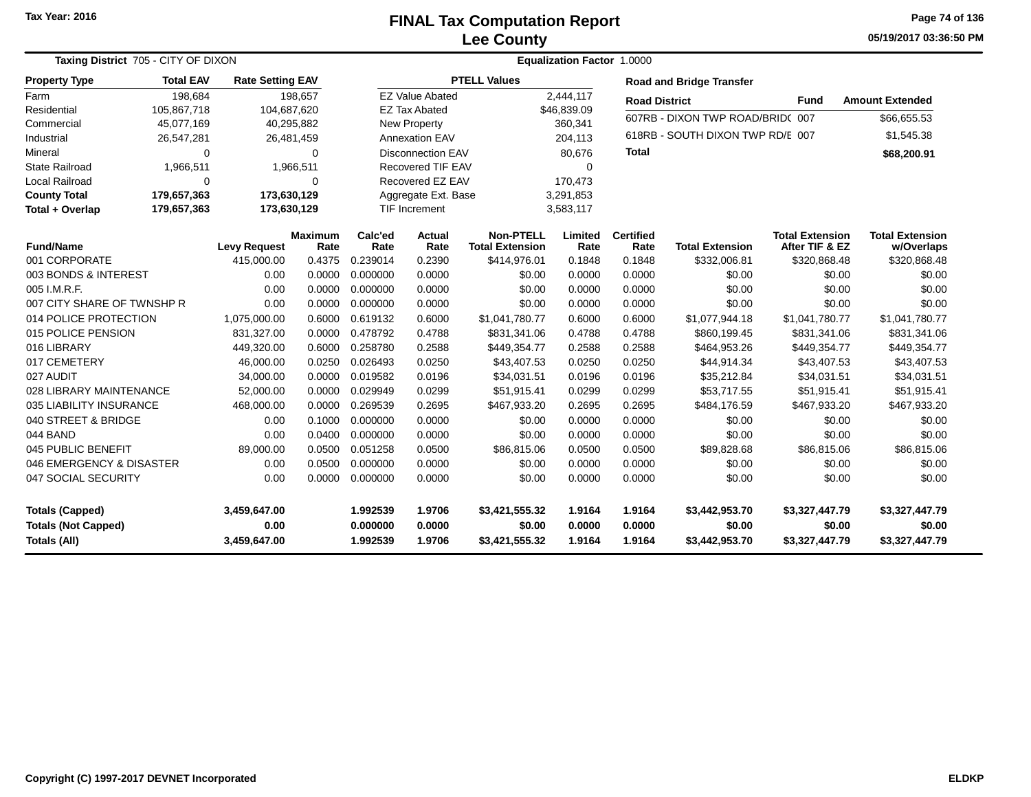#### **Lee CountyFINAL Tax Computation Report** FINAL Tax Computation Report

**05/19/2017 03:36:50 PMPage 74 of 136**

| Taxing District 705 - CITY OF DIXON |                     |                         |                        |                          | <b>Equalization Factor 1.0000</b> |                                            |                 |                          |                                  |                                          |                                      |  |
|-------------------------------------|---------------------|-------------------------|------------------------|--------------------------|-----------------------------------|--------------------------------------------|-----------------|--------------------------|----------------------------------|------------------------------------------|--------------------------------------|--|
| <b>Property Type</b>                | <b>Total EAV</b>    | <b>Rate Setting EAV</b> |                        |                          |                                   | <b>PTELL Values</b>                        |                 |                          | <b>Road and Bridge Transfer</b>  |                                          |                                      |  |
| Farm                                | 198,684             |                         | 198,657                |                          | <b>EZ Value Abated</b>            |                                            | 2,444,117       | <b>Road District</b>     |                                  | <b>Fund</b>                              | <b>Amount Extended</b>               |  |
| Residential                         | 105,867,718         | 104,687,620             |                        |                          | <b>EZ Tax Abated</b>              |                                            | \$46,839.09     |                          | 607RB - DIXON TWP ROAD/BRID(007  |                                          | \$66,655.53                          |  |
| Commercial                          | 45,077,169          | 40,295,882              |                        |                          | <b>New Property</b>               |                                            | 360,341         |                          |                                  |                                          |                                      |  |
| Industrial                          | 26,547,281          | 26,481,459              |                        |                          | <b>Annexation EAV</b>             |                                            | 204,113         |                          | 618RB - SOUTH DIXON TWP RD/E 007 |                                          | \$1,545.38                           |  |
| Mineral                             | $\Omega$            |                         | 0                      | <b>Disconnection EAV</b> |                                   |                                            | 80,676          | <b>Total</b>             |                                  |                                          | \$68,200.91                          |  |
| <b>State Railroad</b>               | 1,966,511           |                         | 1,966,511              |                          | <b>Recovered TIF EAV</b>          |                                            | 0               |                          |                                  |                                          |                                      |  |
| Local Railroad                      | $\Omega$            |                         | $\Omega$               | Recovered EZ EAV         |                                   |                                            | 170,473         |                          |                                  |                                          |                                      |  |
| <b>County Total</b>                 | 179,657,363         | 173,630,129             |                        | Aggregate Ext. Base      |                                   |                                            | 3,291,853       |                          |                                  |                                          |                                      |  |
| Total + Overlap                     | 179,657,363         | 173,630,129             |                        | <b>TIF Increment</b>     |                                   |                                            | 3,583,117       |                          |                                  |                                          |                                      |  |
| <b>Fund/Name</b>                    | <b>Levy Request</b> |                         | <b>Maximum</b><br>Rate | Calc'ed<br>Rate          | <b>Actual</b><br>Rate             | <b>Non-PTELL</b><br><b>Total Extension</b> | Limited<br>Rate | <b>Certified</b><br>Rate | <b>Total Extension</b>           | <b>Total Extension</b><br>After TIF & EZ | <b>Total Extension</b><br>w/Overlaps |  |
| 001 CORPORATE                       |                     | 415,000.00              | 0.4375                 | 0.239014                 | 0.2390                            | \$414,976.01                               | 0.1848          | 0.1848                   | \$332,006.81                     | \$320,868.48                             | \$320,868.48                         |  |
| 003 BONDS & INTEREST                |                     | 0.00                    | 0.0000                 | 0.000000                 | 0.0000                            | \$0.00                                     | 0.0000          | 0.0000                   | \$0.00                           | \$0.00                                   | \$0.00                               |  |
| 005 I.M.R.F.                        |                     | 0.00                    | 0.0000                 | 0.000000                 | 0.0000                            | \$0.00                                     | 0.0000          | 0.0000                   | \$0.00                           | \$0.00                                   | \$0.00                               |  |
| 007 CITY SHARE OF TWNSHP R          |                     | 0.00                    | 0.0000                 | 0.000000                 | 0.0000                            | \$0.00                                     | 0.0000          | 0.0000                   | \$0.00                           | \$0.00                                   | \$0.00                               |  |
| 014 POLICE PROTECTION               |                     | 1,075,000.00            | 0.6000                 | 0.619132                 | 0.6000                            | \$1,041,780.77                             | 0.6000          | 0.6000                   | \$1,077,944.18                   | \$1,041,780.77                           | \$1,041,780.77                       |  |
| 015 POLICE PENSION                  |                     | 831,327.00              | 0.0000                 | 0.478792                 | 0.4788                            | \$831,341.06                               | 0.4788          | 0.4788                   | \$860,199.45                     | \$831,341.06                             | \$831,341.06                         |  |
| 016 LIBRARY                         |                     | 449,320.00              | 0.6000                 | 0.258780                 | 0.2588                            | \$449,354.77                               | 0.2588          | 0.2588                   | \$464,953.26                     | \$449,354.77                             | \$449,354.77                         |  |
| 017 CEMETERY                        |                     | 46,000.00               | 0.0250                 | 0.026493                 | 0.0250                            | \$43,407.53                                | 0.0250          | 0.0250                   | \$44,914.34                      | \$43,407.53                              | \$43,407.53                          |  |
| 027 AUDIT                           |                     | 34,000.00               | 0.0000                 | 0.019582                 | 0.0196                            | \$34,031.51                                | 0.0196          | 0.0196                   | \$35,212.84                      | \$34,031.51                              | \$34,031.51                          |  |
| 028 LIBRARY MAINTENANCE             |                     | 52,000.00               | 0.0000                 | 0.029949                 | 0.0299                            | \$51,915.41                                | 0.0299          | 0.0299                   | \$53,717.55                      | \$51,915.41                              | \$51,915.41                          |  |
| 035 LIABILITY INSURANCE             |                     | 468,000.00              | 0.0000                 | 0.269539                 | 0.2695                            | \$467,933.20                               | 0.2695          | 0.2695                   | \$484,176.59                     | \$467,933.20                             | \$467,933.20                         |  |
| 040 STREET & BRIDGE                 |                     | 0.00                    | 0.1000                 | 0.000000                 | 0.0000                            | \$0.00                                     | 0.0000          | 0.0000                   | \$0.00                           | \$0.00                                   | \$0.00                               |  |
| 044 BAND                            |                     | 0.00                    | 0.0400                 | 0.000000                 | 0.0000                            | \$0.00                                     | 0.0000          | 0.0000                   | \$0.00                           | \$0.00                                   | \$0.00                               |  |
| 045 PUBLIC BENEFIT                  |                     | 89,000.00               | 0.0500                 | 0.051258                 | 0.0500                            | \$86,815.06                                | 0.0500          | 0.0500                   | \$89,828.68                      | \$86,815.06                              | \$86,815.06                          |  |
| 046 EMERGENCY & DISASTER            |                     | 0.00                    | 0.0500                 | 0.000000                 | 0.0000                            | \$0.00                                     | 0.0000          | 0.0000                   | \$0.00                           | \$0.00                                   | \$0.00                               |  |
| 047 SOCIAL SECURITY                 |                     | 0.00                    | 0.0000                 | 0.000000                 | 0.0000                            | \$0.00                                     | 0.0000          | 0.0000                   | \$0.00                           | \$0.00                                   | \$0.00                               |  |
| <b>Totals (Capped)</b>              |                     | 3,459,647.00            |                        | 1.992539                 | 1.9706                            | \$3,421,555.32                             | 1.9164          | 1.9164                   | \$3,442,953.70                   | \$3,327,447.79                           | \$3,327,447.79                       |  |
| <b>Totals (Not Capped)</b>          |                     | 0.00                    |                        | 0.000000                 | 0.0000                            | \$0.00                                     | 0.0000          | 0.0000                   | \$0.00                           | \$0.00                                   | \$0.00                               |  |
| Totals (All)                        |                     | 3,459,647.00            |                        | 1.992539                 | 1.9706                            | \$3,421,555.32                             | 1.9164          | 1.9164                   | \$3,442,953.70                   | \$3,327,447.79                           | \$3,327,447.79                       |  |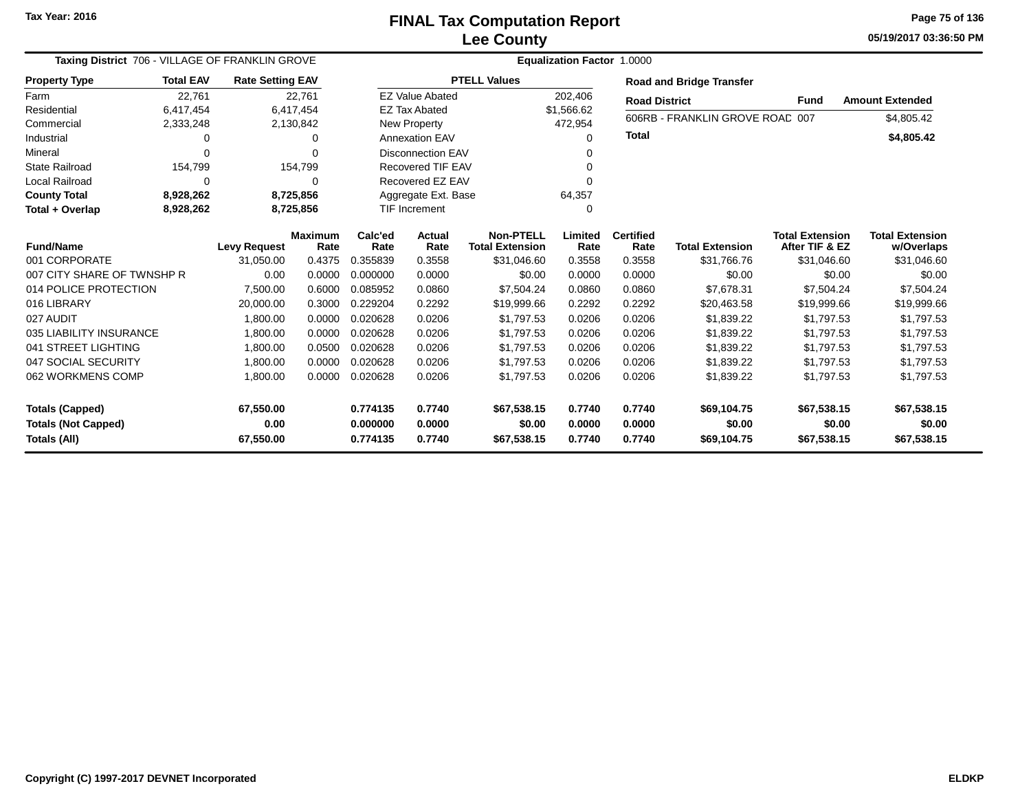#### **Lee CountyFINAL Tax Computation Report** FINAL Tax Computation Report

**05/19/2017 03:36:50 PMPage 75 of 136**

| Taxing District 706 - VILLAGE OF FRANKLIN GROVE |                  |                         |                        | Equalization Factor 1.0000 |                          |                                            |                 |                          |                                 |                                          |                                      |  |  |
|-------------------------------------------------|------------------|-------------------------|------------------------|----------------------------|--------------------------|--------------------------------------------|-----------------|--------------------------|---------------------------------|------------------------------------------|--------------------------------------|--|--|
| <b>Property Type</b>                            | <b>Total EAV</b> | <b>Rate Setting EAV</b> |                        |                            |                          | <b>PTELL Values</b>                        |                 |                          | <b>Road and Bridge Transfer</b> |                                          |                                      |  |  |
| Farm                                            | 22,761           |                         | 22,761                 |                            | <b>EZ Value Abated</b>   |                                            | 202,406         | <b>Road District</b>     |                                 | Fund                                     | <b>Amount Extended</b>               |  |  |
| Residential                                     | 6,417,454        |                         | 6,417,454              |                            | <b>EZ Tax Abated</b>     |                                            | \$1,566.62      |                          |                                 |                                          |                                      |  |  |
| Commercial                                      | 2,333,248        |                         | 2,130,842              |                            | New Property             |                                            | 472,954         |                          | 606RB - FRANKLIN GROVE ROAD 007 |                                          | \$4,805.42                           |  |  |
| Industrial                                      | 0                |                         | 0                      |                            | <b>Annexation EAV</b>    |                                            | 0               | <b>Total</b>             |                                 |                                          | \$4,805.42                           |  |  |
| Mineral                                         | ∩                |                         | O                      |                            | <b>Disconnection EAV</b> |                                            | O               |                          |                                 |                                          |                                      |  |  |
| <b>State Railroad</b>                           | 154,799          |                         | 154,799                |                            | Recovered TIF EAV        |                                            |                 |                          |                                 |                                          |                                      |  |  |
| Local Railroad                                  | 0                |                         | 0                      |                            | Recovered EZ EAV         |                                            | 0               |                          |                                 |                                          |                                      |  |  |
| <b>County Total</b>                             | 8,928,262        |                         | 8,725,856              | Aggregate Ext. Base        |                          |                                            | 64,357          |                          |                                 |                                          |                                      |  |  |
| Total + Overlap                                 | 8,928,262        |                         | 8,725,856              | <b>TIF Increment</b><br>0  |                          |                                            |                 |                          |                                 |                                          |                                      |  |  |
| <b>Fund/Name</b>                                |                  | <b>Levy Request</b>     | <b>Maximum</b><br>Rate | Calc'ed<br>Rate            | Actual<br>Rate           | <b>Non-PTELL</b><br><b>Total Extension</b> | Limited<br>Rate | <b>Certified</b><br>Rate | <b>Total Extension</b>          | <b>Total Extension</b><br>After TIF & EZ | <b>Total Extension</b><br>w/Overlaps |  |  |
| 001 CORPORATE                                   |                  | 31,050.00               | 0.4375                 | 0.355839                   | 0.3558                   | \$31,046.60                                | 0.3558          | 0.3558                   | \$31,766.76                     | \$31,046.60                              | \$31,046.60                          |  |  |
| 007 CITY SHARE OF TWNSHP R                      |                  | 0.00                    | 0.0000                 | 0.000000                   | 0.0000                   | \$0.00                                     | 0.0000          | 0.0000                   | \$0.00                          | \$0.00                                   | \$0.00                               |  |  |
| 014 POLICE PROTECTION                           |                  | 7,500.00                | 0.6000                 | 0.085952                   | 0.0860                   | \$7,504.24                                 | 0.0860          | 0.0860                   | \$7,678.31                      | \$7,504.24                               | \$7,504.24                           |  |  |
| 016 LIBRARY                                     |                  | 20,000.00               | 0.3000                 | 0.229204                   | 0.2292                   | \$19,999.66                                | 0.2292          | 0.2292                   | \$20,463.58                     | \$19,999.66                              | \$19,999.66                          |  |  |
| 027 AUDIT                                       |                  | 1,800.00                | 0.0000                 | 0.020628                   | 0.0206                   | \$1,797.53                                 | 0.0206          | 0.0206                   | \$1,839.22                      | \$1,797.53                               | \$1,797.53                           |  |  |
| 035 LIABILITY INSURANCE                         |                  | 1,800.00                | 0.0000                 | 0.020628                   | 0.0206                   | \$1,797.53                                 | 0.0206          | 0.0206                   | \$1,839.22                      | \$1,797.53                               | \$1,797.53                           |  |  |
| 041 STREET LIGHTING                             |                  | 1,800.00                | 0.0500                 | 0.020628                   | 0.0206                   | \$1,797.53                                 | 0.0206          | 0.0206                   | \$1,839.22                      | \$1,797.53                               | \$1,797.53                           |  |  |
| 047 SOCIAL SECURITY                             |                  | 1,800.00                | 0.0000                 | 0.020628                   | 0.0206                   | \$1,797.53                                 | 0.0206          | 0.0206                   | \$1,839.22                      | \$1,797.53                               | \$1,797.53                           |  |  |
| 062 WORKMENS COMP                               |                  | 1,800.00                | 0.0000                 | 0.020628                   | 0.0206                   | \$1,797.53                                 | 0.0206          | 0.0206                   | \$1,839.22                      | \$1,797.53                               | \$1,797.53                           |  |  |
| <b>Totals (Capped)</b>                          |                  | 67,550.00               |                        | 0.774135                   | 0.7740                   | \$67,538.15                                | 0.7740          | 0.7740                   | \$69,104.75                     | \$67,538.15                              | \$67,538.15                          |  |  |
| <b>Totals (Not Capped)</b>                      |                  | 0.00                    |                        | 0.000000                   | 0.0000                   | \$0.00                                     | 0.0000          | 0.0000                   | \$0.00                          | \$0.00                                   | \$0.00                               |  |  |
| Totals (All)                                    |                  | 67,550.00               |                        | 0.774135                   | 0.7740                   | \$67,538.15                                | 0.7740          | 0.7740                   | \$69,104.75                     | \$67,538.15                              | \$67,538.15                          |  |  |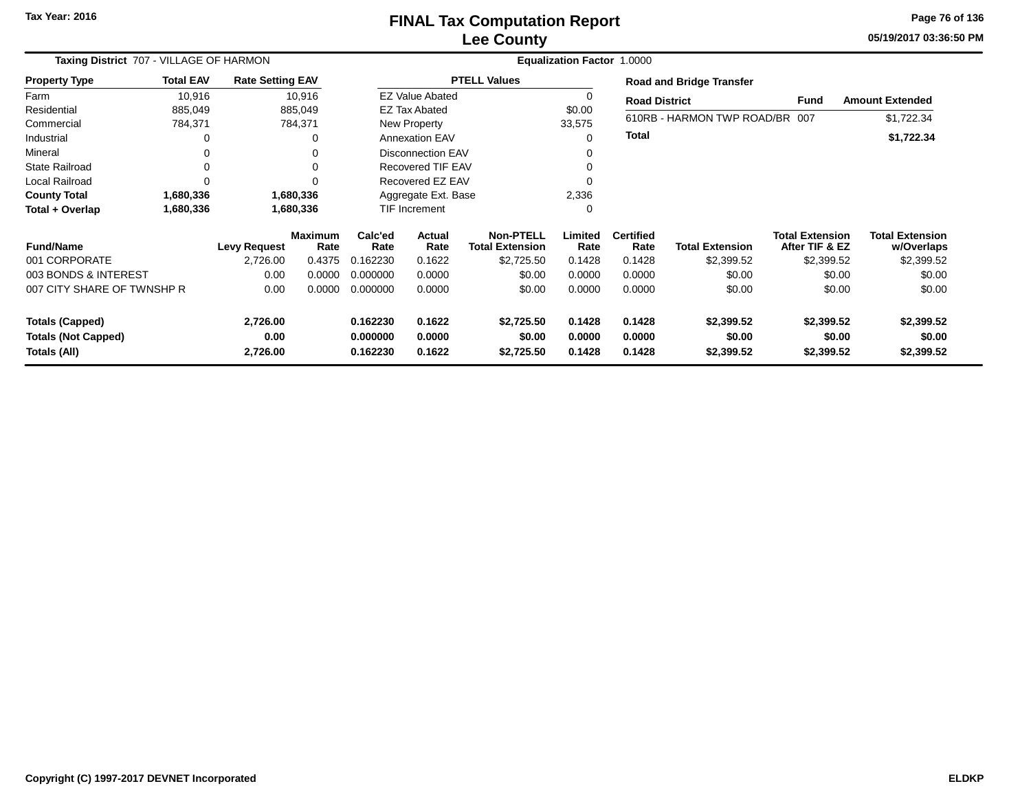## **Lee CountyFINAL Tax Computation Report**

**05/19/2017 03:36:50 PM Page 76 of 136**

| Taxing District 707 - VILLAGE OF HARMON    | <b>Equalization Factor 1.0000</b>  |                         |                        |                      |                          |                                            |                  |                          |                                 |                                          |                                      |
|--------------------------------------------|------------------------------------|-------------------------|------------------------|----------------------|--------------------------|--------------------------------------------|------------------|--------------------------|---------------------------------|------------------------------------------|--------------------------------------|
| <b>Property Type</b>                       | <b>Total EAV</b>                   | <b>Rate Setting EAV</b> |                        |                      |                          | <b>PTELL Values</b>                        |                  |                          | <b>Road and Bridge Transfer</b> |                                          |                                      |
| Farm                                       | 10,916                             |                         | 10,916                 |                      | <b>EZ Value Abated</b>   |                                            | 0                | <b>Road District</b>     |                                 | <b>Fund</b>                              | <b>Amount Extended</b>               |
| Residential                                | 885,049                            |                         | 885,049                |                      | <b>EZ Tax Abated</b>     |                                            | \$0.00           |                          |                                 |                                          |                                      |
| Commercial                                 | 784,371                            |                         | 784,371                |                      | New Property             |                                            | 33,575           |                          | 610RB - HARMON TWP ROAD/BR 007  |                                          | \$1,722.34                           |
| Industrial                                 | $\Omega$                           |                         | 0                      |                      | <b>Annexation EAV</b>    |                                            | 0                | Total                    |                                 |                                          | \$1,722.34                           |
| Mineral                                    | 0                                  |                         |                        |                      | <b>Disconnection EAV</b> |                                            |                  |                          |                                 |                                          |                                      |
| <b>State Railroad</b>                      | 0                                  |                         | 0                      |                      | <b>Recovered TIF EAV</b> |                                            | 0                |                          |                                 |                                          |                                      |
| Local Railroad                             | $\Omega$                           |                         |                        |                      | Recovered EZ EAV         |                                            | 0                |                          |                                 |                                          |                                      |
| <b>County Total</b>                        | 1,680,336                          |                         | 1,680,336              |                      | Aggregate Ext. Base      |                                            | 2,336            |                          |                                 |                                          |                                      |
| Total + Overlap                            | 1,680,336                          |                         | 1,680,336              |                      | TIF Increment            |                                            | 0                |                          |                                 |                                          |                                      |
| <b>Fund/Name</b>                           |                                    | <b>Levy Request</b>     | <b>Maximum</b><br>Rate | Calc'ed<br>Rate      | Actual<br>Rate           | <b>Non-PTELL</b><br><b>Total Extension</b> | Limited<br>Rate  | <b>Certified</b><br>Rate | <b>Total Extension</b>          | <b>Total Extension</b><br>After TIF & EZ | <b>Total Extension</b><br>w/Overlaps |
| 001 CORPORATE                              |                                    | 2,726.00                | 0.4375                 | 0.162230             | 0.1622                   | \$2,725.50                                 | 0.1428           | 0.1428                   | \$2,399.52                      | \$2,399.52                               | \$2,399.52                           |
| 003 BONDS & INTEREST                       |                                    | 0.00                    | 0.0000                 | 0.000000             | 0.0000                   | \$0.00                                     | 0.0000           | 0.0000                   | \$0.00                          | \$0.00                                   | \$0.00                               |
|                                            | 007 CITY SHARE OF TWNSHP R<br>0.00 |                         | 0.0000                 | 0.000000             | 0.0000                   | \$0.00                                     | 0.0000           | 0.0000                   | \$0.00                          | \$0.00                                   | \$0.00                               |
| <b>Totals (Capped)</b>                     |                                    | 2,726.00                |                        | 0.162230             | 0.1622                   | \$2,725.50                                 | 0.1428           | 0.1428                   | \$2,399.52                      | \$2,399.52                               | \$2,399.52                           |
| <b>Totals (Not Capped)</b><br>Totals (All) |                                    | 0.00<br>2,726.00        |                        | 0.000000<br>0.162230 | 0.0000<br>0.1622         | \$0.00<br>\$2,725.50                       | 0.0000<br>0.1428 | 0.0000<br>0.1428         | \$0.00<br>\$2,399.52            | \$0.00<br>\$2,399.52                     | \$0.00<br>\$2,399.52                 |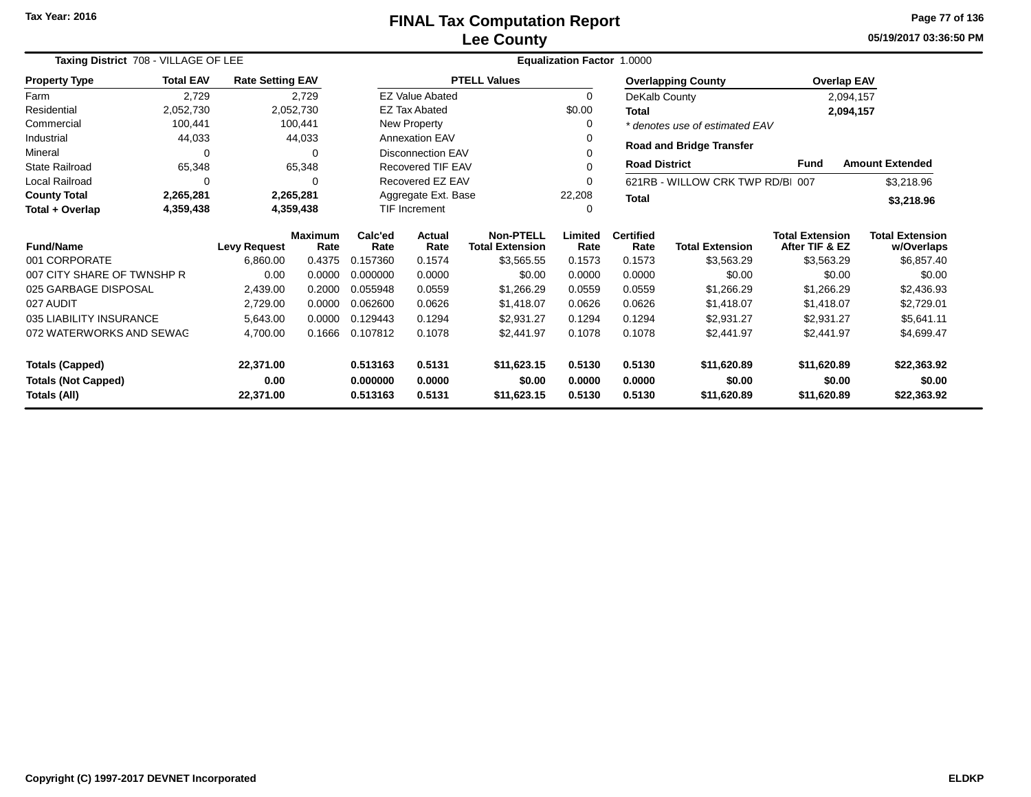#### **Lee CountyFINAL Tax Computation Report** FINAL Tax Computation Report

**05/19/2017 03:36:50 PMPage 77 of 136**

| Taxing District 708 - VILLAGE OF LEE |                  |                         |                        |                    | Equalization Factor 1.0000 |                                            |                 |                          |                                  |                                          |                                      |  |  |
|--------------------------------------|------------------|-------------------------|------------------------|--------------------|----------------------------|--------------------------------------------|-----------------|--------------------------|----------------------------------|------------------------------------------|--------------------------------------|--|--|
| <b>Property Type</b>                 | <b>Total EAV</b> | <b>Rate Setting EAV</b> |                        |                    |                            | <b>PTELL Values</b>                        |                 |                          | <b>Overlapping County</b>        | <b>Overlap EAV</b>                       |                                      |  |  |
| Farm                                 | 2,729            |                         | 2,729                  |                    | <b>EZ Value Abated</b>     |                                            | $\Omega$        | DeKalb County            |                                  |                                          | 2,094,157                            |  |  |
| Residential                          | 2,052,730        |                         | 2,052,730              |                    | <b>EZ Tax Abated</b>       |                                            | \$0.00          | <b>Total</b>             |                                  |                                          | 2,094,157                            |  |  |
| Commercial                           | 100,441          |                         | 100,441                |                    | New Property               |                                            | 0               |                          | * denotes use of estimated EAV   |                                          |                                      |  |  |
| Industrial                           | 44,033           |                         | 44,033                 |                    | <b>Annexation EAV</b>      |                                            |                 |                          | <b>Road and Bridge Transfer</b>  |                                          |                                      |  |  |
| Mineral                              | $\Omega$         |                         |                        |                    | Disconnection EAV          |                                            |                 |                          |                                  |                                          |                                      |  |  |
| <b>State Railroad</b>                | 65,348           |                         | 65,348                 |                    | Recovered TIF EAV          |                                            | $\Omega$        | <b>Road District</b>     |                                  | <b>Fund</b>                              | <b>Amount Extended</b>               |  |  |
| Local Railroad                       | $\Omega$         |                         |                        |                    | Recovered EZ EAV           |                                            | $\Omega$        |                          | 621RB - WILLOW CRK TWP RD/BI 007 |                                          | \$3,218.96                           |  |  |
| <b>County Total</b>                  | 2,265,281        |                         | 2,265,281              |                    | Aggregate Ext. Base        |                                            | 22,208          | <b>Total</b>             |                                  |                                          | \$3,218.96                           |  |  |
| Total + Overlap                      | 4,359,438        |                         | 4,359,438              |                    | <b>TIF Increment</b>       |                                            | 0               |                          |                                  |                                          |                                      |  |  |
| <b>Fund/Name</b>                     |                  | <b>Levy Request</b>     | <b>Maximum</b><br>Rate | Calc'ed<br>Rate    | Actual<br>Rate             | <b>Non-PTELL</b><br><b>Total Extension</b> | Limited<br>Rate | <b>Certified</b><br>Rate | <b>Total Extension</b>           | <b>Total Extension</b><br>After TIF & EZ | <b>Total Extension</b><br>w/Overlaps |  |  |
| 001 CORPORATE                        |                  | 6,860.00                | 0.4375                 | 0.157360           | 0.1574                     | \$3,565.55                                 | 0.1573          | 0.1573                   | \$3,563.29                       | \$3,563.29                               | \$6,857.40                           |  |  |
| 007 CITY SHARE OF TWNSHP R           |                  | 0.00                    | 0.0000                 | 0.000000           | 0.0000                     | \$0.00                                     | 0.0000          | 0.0000                   | \$0.00                           | \$0.00                                   | \$0.00                               |  |  |
| 025 GARBAGE DISPOSAL                 |                  | 2,439.00                | 0.2000                 | 0.055948           | 0.0559                     | \$1,266.29                                 | 0.0559          | 0.0559                   | \$1,266.29                       | \$1,266.29                               | \$2,436.93                           |  |  |
| 027 AUDIT                            |                  | 2,729.00                | 0.0000                 | 0.062600           | 0.0626                     | \$1,418.07                                 | 0.0626          | 0.0626                   | \$1,418.07                       | \$1,418.07                               | \$2,729.01                           |  |  |
| 035 LIABILITY INSURANCE              |                  | 5,643.00                | 0.0000                 | 0.129443           | 0.1294                     | \$2,931.27                                 | 0.1294          | 0.1294                   | \$2,931.27                       | \$2,931.27                               | \$5,641.11                           |  |  |
| 072 WATERWORKS AND SEWAG             |                  | 4,700.00                | 0.1666                 | 0.107812<br>0.1078 |                            | \$2,441.97                                 | 0.1078          | 0.1078                   | \$2,441.97                       | \$2,441.97                               | \$4,699.47                           |  |  |
| <b>Totals (Capped)</b><br>22,371.00  |                  |                         |                        | 0.513163           | 0.5131                     | \$11,623.15                                | 0.5130          | 0.5130                   | \$11,620.89                      | \$11,620.89                              | \$22,363.92                          |  |  |
| <b>Totals (Not Capped)</b>           | 0.00             |                         |                        | 0.000000           | 0.0000                     | \$0.00                                     | 0.0000          | 0.0000                   | \$0.00                           | \$0.00                                   | \$0.00                               |  |  |
| Totals (All)<br>22,371.00            |                  |                         |                        | 0.513163           | 0.5131                     | \$11,623.15                                | 0.5130          | 0.5130                   | \$11,620.89                      | \$11,620.89                              | \$22,363.92                          |  |  |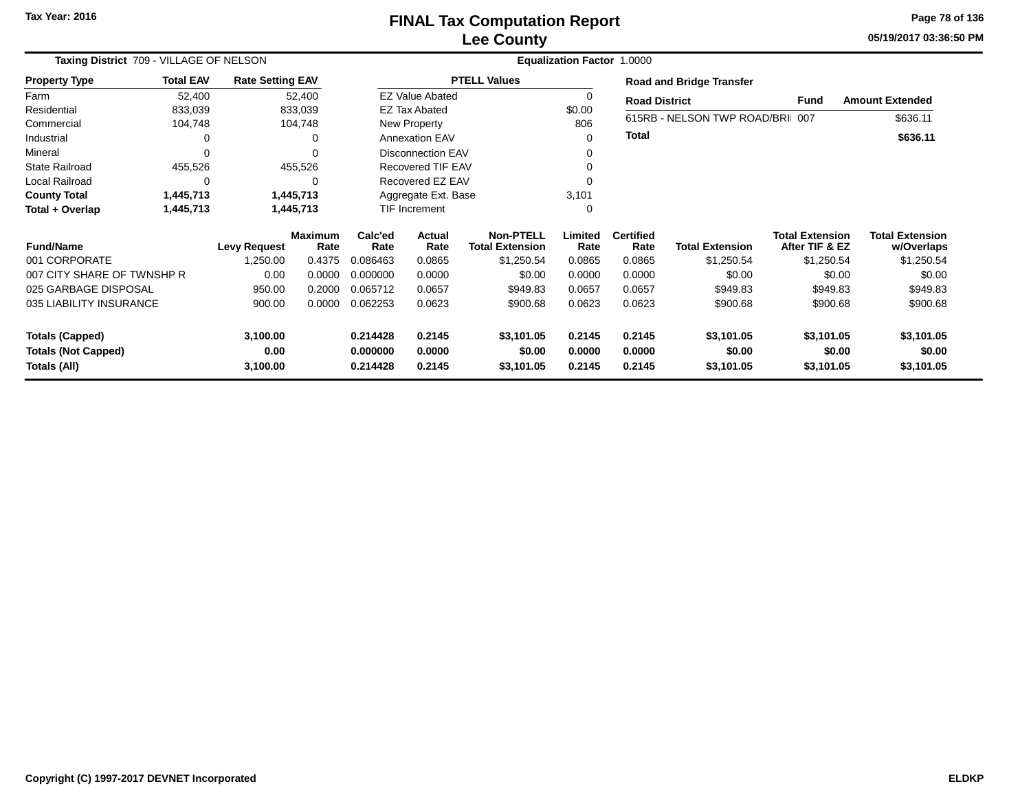## **Lee CountyFINAL Tax Computation Report**

**05/19/2017 03:36:50 PM Page 78 of 136**

| Taxing District 709 - VILLAGE OF NELSON |                                   |                         | <b>Equalization Factor 1.0000</b> |                 |                        |                                            |                 |                          |                                  |                                          |                                      |  |
|-----------------------------------------|-----------------------------------|-------------------------|-----------------------------------|-----------------|------------------------|--------------------------------------------|-----------------|--------------------------|----------------------------------|------------------------------------------|--------------------------------------|--|
| <b>Property Type</b>                    | <b>Total EAV</b>                  | <b>Rate Setting EAV</b> |                                   |                 |                        | <b>PTELL Values</b>                        |                 |                          | <b>Road and Bridge Transfer</b>  |                                          |                                      |  |
| Farm                                    | 52,400                            |                         | 52,400                            |                 | <b>EZ Value Abated</b> |                                            |                 | <b>Road District</b>     |                                  | Fund                                     | <b>Amount Extended</b>               |  |
| Residential                             | 833,039                           |                         | 833,039                           |                 | <b>EZ Tax Abated</b>   |                                            | \$0.00          |                          |                                  |                                          |                                      |  |
| Commercial                              | 104,748                           |                         | 104,748                           |                 | New Property           |                                            | 806             |                          | 615RB - NELSON TWP ROAD/BRII 007 |                                          | \$636.11                             |  |
| Industrial                              | 0                                 |                         | 0                                 |                 | <b>Annexation EAV</b>  |                                            | 0               | <b>Total</b>             |                                  |                                          | \$636.11                             |  |
| Mineral                                 | $\Omega$                          |                         | $\Omega$                          |                 | Disconnection EAV      |                                            |                 |                          |                                  |                                          |                                      |  |
| <b>State Railroad</b>                   | 455,526                           |                         | 455,526                           |                 | Recovered TIF EAV      |                                            |                 |                          |                                  |                                          |                                      |  |
| Local Railroad                          | 0                                 |                         | 0                                 |                 | Recovered EZ EAV       |                                            |                 |                          |                                  |                                          |                                      |  |
| <b>County Total</b>                     | 1,445,713                         |                         | 1,445,713                         |                 | Aggregate Ext. Base    |                                            | 3,101           |                          |                                  |                                          |                                      |  |
| Total + Overlap                         | 1,445,713                         |                         | 1,445,713                         |                 | TIF Increment          |                                            | $\Omega$        |                          |                                  |                                          |                                      |  |
| <b>Fund/Name</b>                        | Maximum<br><b>Levy Request</b>    |                         | Rate                              | Calc'ed<br>Rate | Actual<br>Rate         | <b>Non-PTELL</b><br><b>Total Extension</b> | Limited<br>Rate | <b>Certified</b><br>Rate | <b>Total Extension</b>           | <b>Total Extension</b><br>After TIF & EZ | <b>Total Extension</b><br>w/Overlaps |  |
| 001 CORPORATE                           |                                   | 1,250.00                | 0.4375                            | 0.086463        | 0.0865                 | \$1,250.54                                 | 0.0865          | 0.0865                   | \$1,250.54                       | \$1,250.54                               | \$1,250.54                           |  |
| 007 CITY SHARE OF TWNSHP R              |                                   | 0.00                    | 0.0000                            | 0.000000        | 0.0000                 | \$0.00                                     | 0.0000          | 0.0000                   | \$0.00                           | \$0.00                                   | \$0.00                               |  |
| 025 GARBAGE DISPOSAL                    |                                   | 950.00                  | 0.2000                            | 0.065712        | 0.0657                 | \$949.83                                   | 0.0657          | 0.0657                   | \$949.83                         | \$949.83                                 | \$949.83                             |  |
|                                         | 035 LIABILITY INSURANCE<br>900.00 |                         | 0.0000                            | 0.062253        | 0.0623                 | \$900.68                                   | 0.0623          | 0.0623                   | \$900.68                         | \$900.68                                 | \$900.68                             |  |
| <b>Totals (Capped)</b><br>3,100.00      |                                   |                         |                                   | 0.214428        | 0.2145                 | \$3,101.05                                 | 0.2145          | 0.2145                   | \$3,101.05                       | \$3,101.05                               | \$3,101.05                           |  |
| <b>Totals (Not Capped)</b>              |                                   | 0.00                    |                                   | 0.000000        | 0.0000                 | \$0.00                                     | 0.0000          | 0.0000                   | \$0.00                           | \$0.00                                   | \$0.00                               |  |
| Totals (All)<br>3,100.00                |                                   |                         | 0.214428                          | 0.2145          | \$3,101.05             | 0.2145                                     | 0.2145          | \$3,101.05               | \$3,101.05                       | \$3,101.05                               |                                      |  |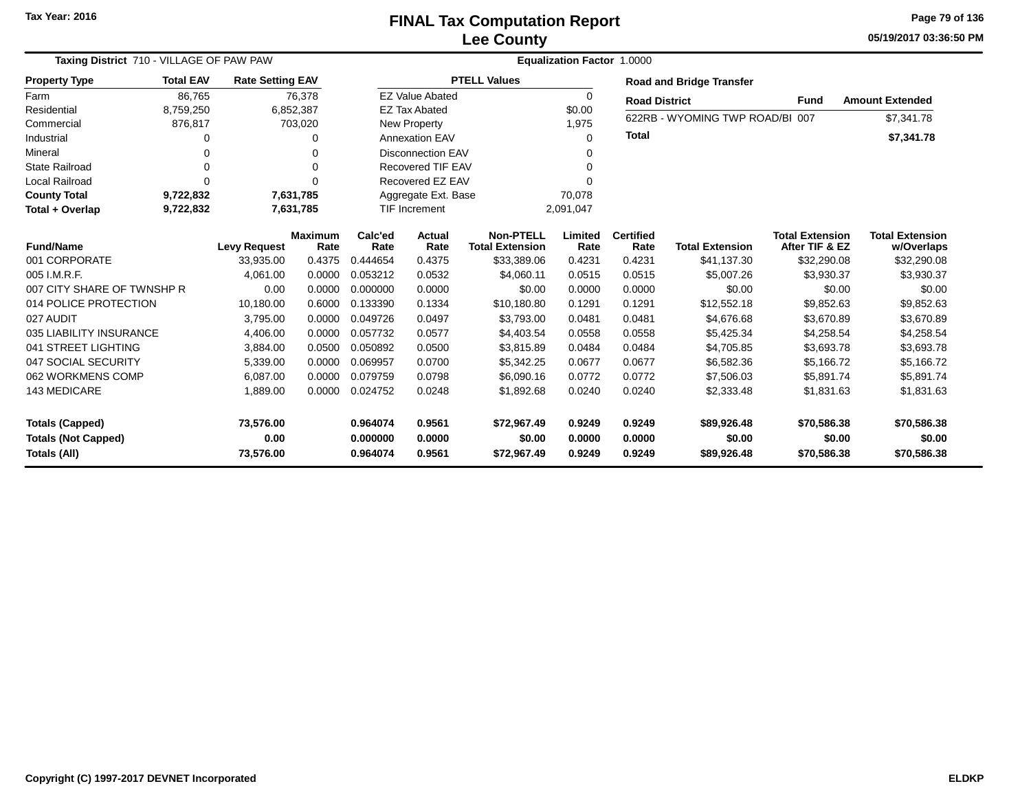#### **Lee CountyFINAL Tax Computation Report** FINAL Tax Computation Report

**05/19/2017 03:36:50 PMPage 79 of 136**

| Taxing District 710 - VILLAGE OF PAW PAW<br><b>Property Type</b>                                 |                                                                                |           |                                                                                                       | <b>Equalization Factor</b><br>1.0000 |                                                                                |                                                                                                                                                                 |                          |                        |                                                                        |                                                               |  |  |  |
|--------------------------------------------------------------------------------------------------|--------------------------------------------------------------------------------|-----------|-------------------------------------------------------------------------------------------------------|--------------------------------------|--------------------------------------------------------------------------------|-----------------------------------------------------------------------------------------------------------------------------------------------------------------|--------------------------|------------------------|------------------------------------------------------------------------|---------------------------------------------------------------|--|--|--|
| <b>Total EAV</b>                                                                                 |                                                                                |           |                                                                                                       |                                      |                                                                                |                                                                                                                                                                 |                          |                        |                                                                        |                                                               |  |  |  |
| 86.765                                                                                           |                                                                                |           |                                                                                                       |                                      |                                                                                | 0                                                                                                                                                               |                          |                        |                                                                        | <b>Amount Extended</b>                                        |  |  |  |
| 8,759,250                                                                                        |                                                                                |           |                                                                                                       |                                      |                                                                                | \$0.00                                                                                                                                                          |                          |                        |                                                                        |                                                               |  |  |  |
| 876,817                                                                                          |                                                                                |           |                                                                                                       |                                      |                                                                                | 1,975                                                                                                                                                           |                          |                        |                                                                        | \$7,341.78                                                    |  |  |  |
| 0                                                                                                |                                                                                | 0         |                                                                                                       |                                      |                                                                                | 0                                                                                                                                                               |                          |                        |                                                                        | \$7,341.78                                                    |  |  |  |
| 0                                                                                                |                                                                                | 0         |                                                                                                       |                                      |                                                                                |                                                                                                                                                                 |                          |                        |                                                                        |                                                               |  |  |  |
| $\Omega$                                                                                         |                                                                                | $\Omega$  |                                                                                                       |                                      |                                                                                | 0                                                                                                                                                               |                          |                        |                                                                        |                                                               |  |  |  |
| $\Omega$                                                                                         |                                                                                | $\Omega$  |                                                                                                       |                                      |                                                                                |                                                                                                                                                                 |                          |                        |                                                                        |                                                               |  |  |  |
| 9,722,832                                                                                        |                                                                                |           |                                                                                                       |                                      |                                                                                | 70,078                                                                                                                                                          |                          |                        |                                                                        |                                                               |  |  |  |
| 9,722,832                                                                                        |                                                                                |           | <b>TIF Increment</b><br>2,091,047                                                                     |                                      |                                                                                |                                                                                                                                                                 |                          |                        |                                                                        |                                                               |  |  |  |
| <b>Fund/Name</b><br><b>Levy Request</b>                                                          |                                                                                | Rate      | Calc'ed<br>Rate                                                                                       | <b>Actual</b><br>Rate                | <b>Non-PTELL</b><br><b>Total Extension</b>                                     | Limited<br>Rate                                                                                                                                                 | <b>Certified</b><br>Rate | <b>Total Extension</b> | <b>Total Extension</b><br>After TIF & EZ                               | <b>Total Extension</b><br>w/Overlaps                          |  |  |  |
|                                                                                                  | 33,935.00                                                                      | 0.4375    | 0.444654                                                                                              | 0.4375                               | \$33,389.06                                                                    | 0.4231                                                                                                                                                          | 0.4231                   | \$41,137.30            | \$32,290.08                                                            | \$32,290.08                                                   |  |  |  |
|                                                                                                  | 4,061.00                                                                       | 0.0000    | 0.053212                                                                                              | 0.0532                               | \$4,060.11                                                                     | 0.0515                                                                                                                                                          | 0.0515                   | \$5,007.26             | \$3,930.37                                                             | \$3,930.37                                                    |  |  |  |
|                                                                                                  | 0.00                                                                           | 0.0000    | 0.000000                                                                                              | 0.0000                               | \$0.00                                                                         | 0.0000                                                                                                                                                          | 0.0000                   | \$0.00                 | \$0.00                                                                 | \$0.00                                                        |  |  |  |
|                                                                                                  | 10,180.00                                                                      | 0.6000    | 0.133390                                                                                              | 0.1334                               | \$10,180.80                                                                    | 0.1291                                                                                                                                                          | 0.1291                   | \$12,552.18            | \$9,852.63                                                             | \$9,852.63                                                    |  |  |  |
|                                                                                                  | 3,795.00                                                                       | 0.0000    | 0.049726                                                                                              | 0.0497                               | \$3,793.00                                                                     | 0.0481                                                                                                                                                          | 0.0481                   | \$4,676.68             | \$3,670.89                                                             | \$3,670.89                                                    |  |  |  |
|                                                                                                  | 4,406.00                                                                       | 0.0000    | 0.057732                                                                                              | 0.0577                               | \$4,403.54                                                                     | 0.0558                                                                                                                                                          | 0.0558                   | \$5,425.34             | \$4,258.54                                                             | \$4,258.54                                                    |  |  |  |
|                                                                                                  | 3,884.00                                                                       | 0.0500    | 0.050892                                                                                              | 0.0500                               | \$3,815.89                                                                     | 0.0484                                                                                                                                                          | 0.0484                   | \$4,705.85             | \$3,693.78                                                             | \$3,693.78                                                    |  |  |  |
|                                                                                                  | 5,339.00                                                                       | 0.0000    | 0.069957                                                                                              | 0.0700                               | \$5,342.25                                                                     | 0.0677                                                                                                                                                          | 0.0677                   | \$6,582.36             | \$5,166.72                                                             | \$5,166.72                                                    |  |  |  |
|                                                                                                  | 6,087.00                                                                       | 0.0000    | 0.079759                                                                                              | 0.0798                               | \$6,090.16                                                                     | 0.0772                                                                                                                                                          | 0.0772                   | \$7,506.03             | \$5.891.74                                                             | \$5,891.74                                                    |  |  |  |
|                                                                                                  | 1,889.00                                                                       | 0.0000    | 0.024752                                                                                              | 0.0248                               | \$1,892.68                                                                     | 0.0240                                                                                                                                                          | 0.0240                   | \$2,333.48             | \$1,831.63                                                             | \$1,831.63                                                    |  |  |  |
| <b>Totals (Capped)</b><br>73,576.00<br><b>Totals (Not Capped)</b><br>0.00<br><b>Totals (All)</b> |                                                                                |           | 0.964074<br>0.000000                                                                                  | 0.9561<br>0.0000                     | \$72,967.49<br>\$0.00                                                          | 0.9249<br>0.0000                                                                                                                                                | 0.9249<br>0.0000         | \$89,926.48<br>\$0.00  | \$70,586.38<br>\$0.00                                                  | \$70,586.38<br>\$0.00<br>\$70,586.38                          |  |  |  |
|                                                                                                  | 007 CITY SHARE OF TWNSHP R<br>014 POLICE PROTECTION<br>035 LIABILITY INSURANCE | 73,576.00 | <b>Rate Setting EAV</b><br>76,378<br>6,852,387<br>703,020<br>7,631,785<br>7,631,785<br><b>Maximum</b> | 0.964074                             | <b>EZ Tax Abated</b><br><b>New Property</b><br><b>Annexation EAV</b><br>0.9561 | <b>PTELL Values</b><br><b>EZ Value Abated</b><br><b>Disconnection EAV</b><br><b>Recovered TIF EAV</b><br>Recovered EZ EAV<br>Aggregate Ext. Base<br>\$72,967.49 | 0.9249                   | <b>Total</b><br>0.9249 | <b>Road and Bridge Transfer</b><br><b>Road District</b><br>\$89,926.48 | <b>Fund</b><br>622RB - WYOMING TWP ROAD/BI 007<br>\$70,586.38 |  |  |  |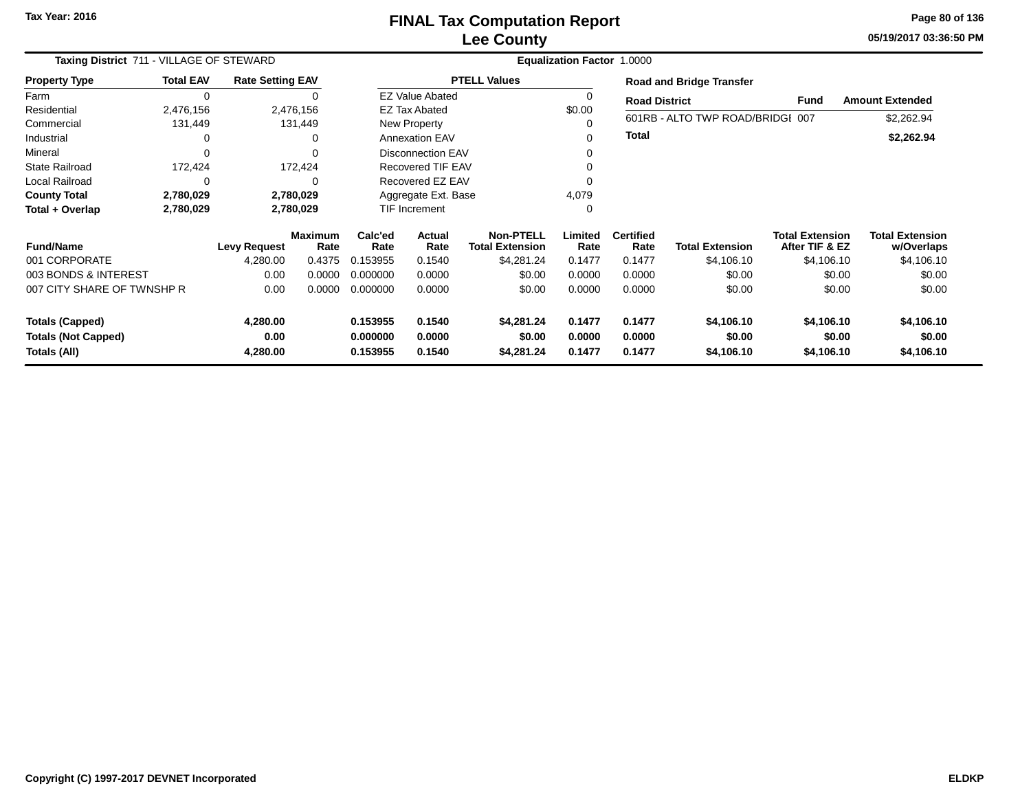## **Lee CountyFINAL Tax Computation Report**

**05/19/2017 03:36:50 PM Page 80 of 136**

| Taxing District 711 - VILLAGE OF STEWARD | <b>Equalization Factor</b><br>1.0000 |                         |                        |                 |                          |                                     |                 |                          |                                  |                                          |                                      |
|------------------------------------------|--------------------------------------|-------------------------|------------------------|-----------------|--------------------------|-------------------------------------|-----------------|--------------------------|----------------------------------|------------------------------------------|--------------------------------------|
| <b>Property Type</b>                     | <b>Total EAV</b>                     | <b>Rate Setting EAV</b> |                        |                 |                          | <b>PTELL Values</b>                 |                 |                          | <b>Road and Bridge Transfer</b>  |                                          |                                      |
| Farm                                     | $\overline{0}$                       |                         | 0                      |                 | <b>EZ Value Abated</b>   |                                     | 0               | <b>Road District</b>     |                                  | <b>Fund</b>                              | <b>Amount Extended</b>               |
| Residential                              | 2,476,156                            |                         | 2,476,156              |                 | <b>EZ Tax Abated</b>     |                                     | \$0.00          |                          |                                  |                                          |                                      |
| Commercial                               | 131,449                              |                         | 131,449                |                 | New Property             |                                     | 0               |                          | 601RB - ALTO TWP ROAD/BRIDGI 007 |                                          | \$2,262.94                           |
| Industrial                               | 0                                    |                         | 0                      |                 | <b>Annexation EAV</b>    |                                     | 0               | <b>Total</b>             |                                  |                                          | \$2,262.94                           |
| Mineral                                  | $\Omega$                             |                         | $\Omega$               |                 | <b>Disconnection EAV</b> |                                     | 0               |                          |                                  |                                          |                                      |
| <b>State Railroad</b>                    | 172,424                              |                         | 172,424                |                 | <b>Recovered TIF EAV</b> |                                     |                 |                          |                                  |                                          |                                      |
| Local Railroad                           | $\Omega$<br>$\Omega$<br>2,780,029    |                         |                        |                 | Recovered EZ EAV         |                                     |                 |                          |                                  |                                          |                                      |
| <b>County Total</b>                      | 2,780,029                            |                         |                        |                 | Aggregate Ext. Base      |                                     | 4,079           |                          |                                  |                                          |                                      |
| Total + Overlap                          | 2,780,029                            |                         | 2,780,029              |                 | TIF Increment            |                                     | 0               |                          |                                  |                                          |                                      |
| <b>Fund/Name</b>                         |                                      | <b>Levy Request</b>     | <b>Maximum</b><br>Rate | Calc'ed<br>Rate | Actual<br>Rate           | Non-PTELL<br><b>Total Extension</b> | Limited<br>Rate | <b>Certified</b><br>Rate | <b>Total Extension</b>           | <b>Total Extension</b><br>After TIF & EZ | <b>Total Extension</b><br>w/Overlaps |
| 001 CORPORATE                            |                                      | 4,280.00                | 0.4375                 | 0.153955        | 0.1540                   | \$4,281.24                          | 0.1477          | 0.1477                   | \$4,106.10                       | \$4,106.10                               | \$4,106.10                           |
| 003 BONDS & INTEREST                     |                                      | 0.00                    | 0.0000                 | 0.000000        | 0.0000                   | \$0.00                              | 0.0000          | 0.0000                   | \$0.00                           | \$0.00                                   | \$0.00                               |
| 007 CITY SHARE OF TWNSHP R               |                                      | 0.00                    | 0.0000                 | 0.000000        | 0.0000                   | \$0.00                              | 0.0000          | 0.0000                   | \$0.00                           | \$0.00                                   | \$0.00                               |
| <b>Totals (Capped)</b>                   |                                      | 4,280.00                |                        | 0.153955        | 0.1540                   | \$4,281.24                          | 0.1477          | 0.1477                   | \$4,106.10                       | \$4,106.10                               | \$4,106.10                           |
| <b>Totals (Not Capped)</b>               |                                      | 0.00                    |                        | 0.000000        | 0.0000                   | \$0.00                              | 0.0000          | 0.0000                   | \$0.00                           | \$0.00                                   | \$0.00                               |
| Totals (All)<br>4,280.00                 |                                      | 0.153955                | 0.1540                 | \$4,281.24      | 0.1477                   | 0.1477                              | \$4,106.10      | \$4,106.10               | \$4,106.10                       |                                          |                                      |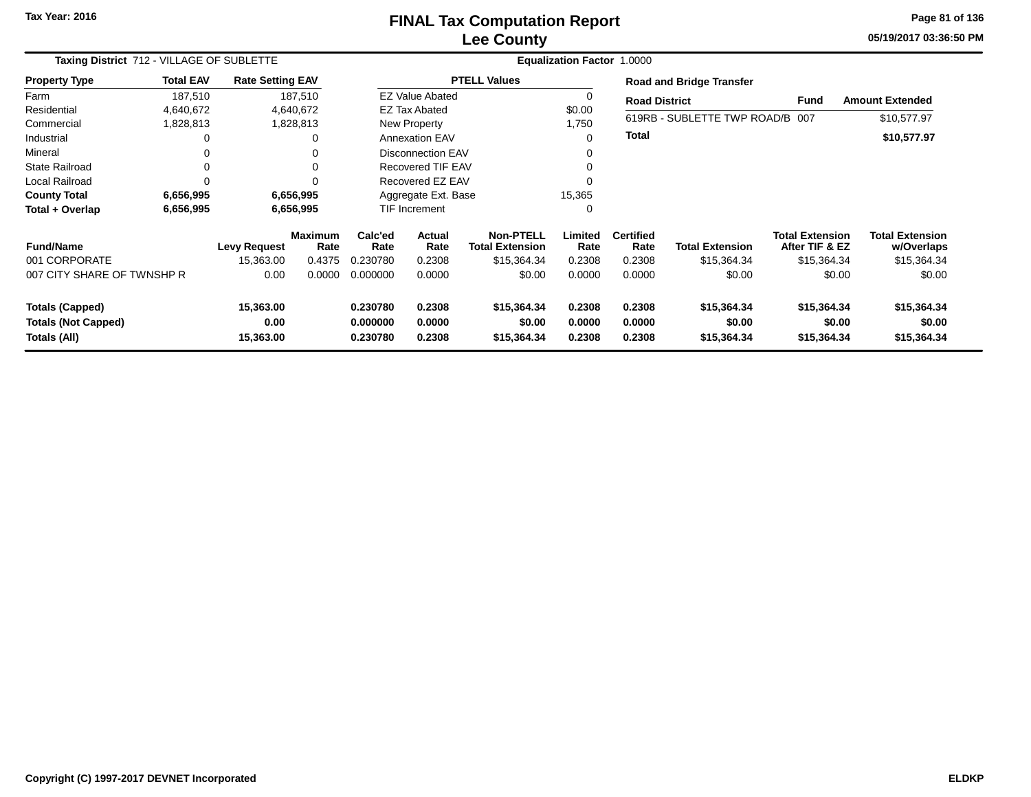### **Lee CountyFINAL Tax Computation Report**

**05/19/2017 03:36:50 PM Page 81 of 136**

|                                            | Taxing District 712 - VILLAGE OF SUBLETTE |                         |                        |                      | Equalization Factor 1.0000 |                                            |                  |                          |                                 |                                          |                                      |  |  |
|--------------------------------------------|-------------------------------------------|-------------------------|------------------------|----------------------|----------------------------|--------------------------------------------|------------------|--------------------------|---------------------------------|------------------------------------------|--------------------------------------|--|--|
| <b>Property Type</b>                       | <b>Total EAV</b>                          | <b>Rate Setting EAV</b> |                        |                      |                            | <b>PTELL Values</b>                        |                  |                          | <b>Road and Bridge Transfer</b> |                                          |                                      |  |  |
| Farm                                       | 187,510                                   |                         | 187,510                |                      | <b>EZ Value Abated</b>     |                                            | 0                | <b>Road District</b>     |                                 | Fund                                     | <b>Amount Extended</b>               |  |  |
| Residential                                | 4,640,672                                 |                         | 4,640,672              |                      | <b>EZ Tax Abated</b>       |                                            | \$0.00           |                          |                                 |                                          |                                      |  |  |
| Commercial                                 | 1,828,813                                 |                         | 1,828,813              |                      | New Property               |                                            | 1,750            |                          | 619RB - SUBLETTE TWP ROAD/B 007 |                                          | \$10,577.97                          |  |  |
| Industrial                                 |                                           |                         | 0                      |                      | <b>Annexation EAV</b>      |                                            | $\Omega$         | <b>Total</b>             |                                 |                                          | \$10,577.97                          |  |  |
| Mineral                                    |                                           |                         | $\Omega$               |                      | Disconnection EAV          |                                            |                  |                          |                                 |                                          |                                      |  |  |
| <b>State Railroad</b>                      |                                           |                         | $\Omega$               |                      | Recovered TIF EAV          |                                            |                  |                          |                                 |                                          |                                      |  |  |
| Local Railroad                             |                                           |                         | $\Omega$               |                      | Recovered EZ EAV           |                                            |                  |                          |                                 |                                          |                                      |  |  |
| <b>County Total</b>                        | 6,656,995                                 |                         | 6,656,995              |                      | Aggregate Ext. Base        |                                            | 15,365           |                          |                                 |                                          |                                      |  |  |
| Total + Overlap                            | 6,656,995                                 |                         | 6,656,995              |                      | <b>TIF Increment</b>       |                                            | 0                |                          |                                 |                                          |                                      |  |  |
| <b>Fund/Name</b>                           |                                           | <b>Levy Request</b>     | <b>Maximum</b><br>Rate | Calc'ed<br>Rate      | Actual<br>Rate             | <b>Non-PTELL</b><br><b>Total Extension</b> | Limited<br>Rate  | <b>Certified</b><br>Rate | <b>Total Extension</b>          | <b>Total Extension</b><br>After TIF & EZ | <b>Total Extension</b><br>w/Overlaps |  |  |
| 001 CORPORATE                              |                                           | 15,363.00               | 0.4375                 | 0.230780             | 0.2308                     | \$15,364.34                                | 0.2308           | 0.2308                   | \$15,364.34                     | \$15,364.34                              | \$15,364.34                          |  |  |
| 007 CITY SHARE OF TWNSHP R                 |                                           | 0.00                    | 0.0000                 | 0.000000             | 0.0000                     | \$0.00                                     | 0.0000           | 0.0000                   | \$0.00                          | \$0.00                                   | \$0.00                               |  |  |
| <b>Totals (Capped)</b>                     |                                           | 15,363.00               |                        | 0.230780             | 0.2308                     | \$15,364.34                                | 0.2308           | 0.2308                   | \$15,364.34                     | \$15,364.34                              | \$15,364.34                          |  |  |
| <b>Totals (Not Capped)</b><br>Totals (All) |                                           | 0.00<br>15,363.00       |                        | 0.000000<br>0.230780 | 0.0000<br>0.2308           | \$0.00<br>\$15,364.34                      | 0.0000<br>0.2308 | 0.0000<br>0.2308         | \$0.00<br>\$15,364.34           | \$0.00<br>\$15,364.34                    | \$0.00<br>\$15,364.34                |  |  |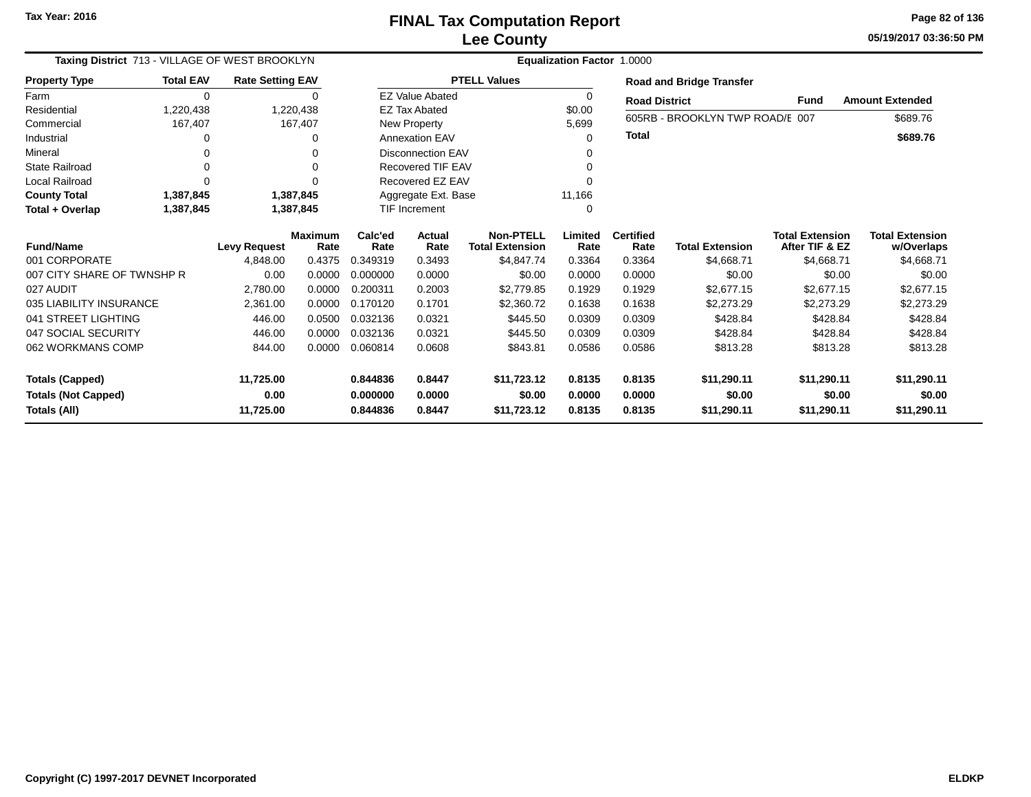# **Lee CountyFINAL Tax Computation Report**

**05/19/2017 03:36:50 PM Page 82 of 136**

| Taxing District 713 - VILLAGE OF WEST BROOKLYN |                  |                         |                | <b>Equalization Factor 1.0000</b> |                          |                        |          |                      |                                 |                        |                        |  |  |
|------------------------------------------------|------------------|-------------------------|----------------|-----------------------------------|--------------------------|------------------------|----------|----------------------|---------------------------------|------------------------|------------------------|--|--|
| <b>Property Type</b>                           | <b>Total EAV</b> | <b>Rate Setting EAV</b> |                |                                   |                          | <b>PTELL Values</b>    |          |                      | <b>Road and Bridge Transfer</b> |                        |                        |  |  |
| Farm                                           | $\Omega$         |                         | $\Omega$       |                                   | <b>EZ Value Abated</b>   |                        | $\Omega$ | <b>Road District</b> |                                 | <b>Fund</b>            | <b>Amount Extended</b> |  |  |
| Residential                                    | 1,220,438        |                         | 1,220,438      |                                   | <b>EZ Tax Abated</b>     |                        | \$0.00   |                      | 605RB - BROOKLYN TWP ROAD/E 007 |                        |                        |  |  |
| Commercial                                     | 167,407          |                         | 167,407        |                                   | New Property             |                        | 5,699    |                      |                                 |                        | \$689.76               |  |  |
| Industrial                                     |                  |                         | 0              |                                   | <b>Annexation EAV</b>    |                        | ∩        | <b>Total</b>         |                                 |                        | \$689.76               |  |  |
| Mineral                                        |                  |                         | 0              |                                   | <b>Disconnection EAV</b> |                        |          |                      |                                 |                        |                        |  |  |
| <b>State Railroad</b>                          |                  |                         | ∩              |                                   | <b>Recovered TIF EAV</b> |                        |          |                      |                                 |                        |                        |  |  |
| <b>Local Railroad</b>                          |                  |                         | ∩              |                                   | Recovered EZ EAV         |                        |          |                      |                                 |                        |                        |  |  |
| <b>County Total</b>                            | 1,387,845        |                         | 1,387,845      |                                   | Aggregate Ext. Base      |                        | 11,166   |                      |                                 |                        |                        |  |  |
| Total + Overlap                                | 1,387,845        |                         | 1,387,845      |                                   | <b>TIF Increment</b>     |                        | $\Omega$ |                      |                                 |                        |                        |  |  |
| <b>Fund/Name</b><br><b>Levy Request</b>        |                  |                         | <b>Maximum</b> | Calc'ed                           | <b>Actual</b>            | Non-PTELL              | Limited  | <b>Certified</b>     |                                 | <b>Total Extension</b> | <b>Total Extension</b> |  |  |
| 001 CORPORATE                                  |                  |                         | Rate           | Rate                              | Rate                     | <b>Total Extension</b> | Rate     | Rate<br>0.3364       | <b>Total Extension</b>          | After TIF & EZ         | w/Overlaps             |  |  |
| 007 CITY SHARE OF TWNSHP R                     |                  | 4,848.00                | 0.4375         | 0.349319                          | 0.3493                   | \$4,847.74             | 0.3364   |                      | \$4,668.71                      | \$4,668.71             | \$4,668.71             |  |  |
|                                                |                  | 0.00                    | 0.0000         | 0.000000                          | 0.0000                   | \$0.00                 | 0.0000   | 0.0000               | \$0.00                          | \$0.00                 | \$0.00                 |  |  |
| 027 AUDIT                                      |                  | 2,780.00                | 0.0000         | 0.200311                          | 0.2003                   | \$2,779.85             | 0.1929   | 0.1929               | \$2,677.15                      | \$2,677.15             | \$2,677.15             |  |  |
| 035 LIABILITY INSURANCE                        |                  | 2,361.00                | 0.0000         | 0.170120                          | 0.1701                   | \$2,360.72             | 0.1638   | 0.1638               | \$2,273.29                      | \$2,273.29             | \$2,273.29             |  |  |
| 041 STREET LIGHTING                            |                  | 446.00                  | 0.0500         | 0.032136                          | 0.0321                   | \$445.50               | 0.0309   | 0.0309               | \$428.84                        | \$428.84               | \$428.84               |  |  |
| 047 SOCIAL SECURITY                            |                  | 446.00                  | 0.0000         | 0.032136                          | 0.0321                   | \$445.50               | 0.0309   | 0.0309               | \$428.84                        | \$428.84               | \$428.84               |  |  |
| 062 WORKMANS COMP                              |                  | 844.00                  | 0.0000         | 0.060814                          | 0.0608                   | \$843.81               | 0.0586   | 0.0586               | \$813.28                        | \$813.28               | \$813.28               |  |  |
| 11,725.00<br><b>Totals (Capped)</b>            |                  |                         |                | 0.844836                          | 0.8447                   | \$11,723.12            | 0.8135   | 0.8135               | \$11,290.11                     | \$11,290.11            | \$11,290.11            |  |  |
| <b>Totals (Not Capped)</b>                     |                  | 0.00                    |                | 0.000000                          | 0.0000                   | \$0.00                 | 0.0000   | 0.0000               | \$0.00                          | \$0.00                 | \$0.00                 |  |  |
| Totals (All)                                   |                  | 11,725.00               |                | 0.844836                          | 0.8447                   | \$11,723.12            | 0.8135   | 0.8135               | \$11,290.11                     | \$11,290.11            | \$11,290.11            |  |  |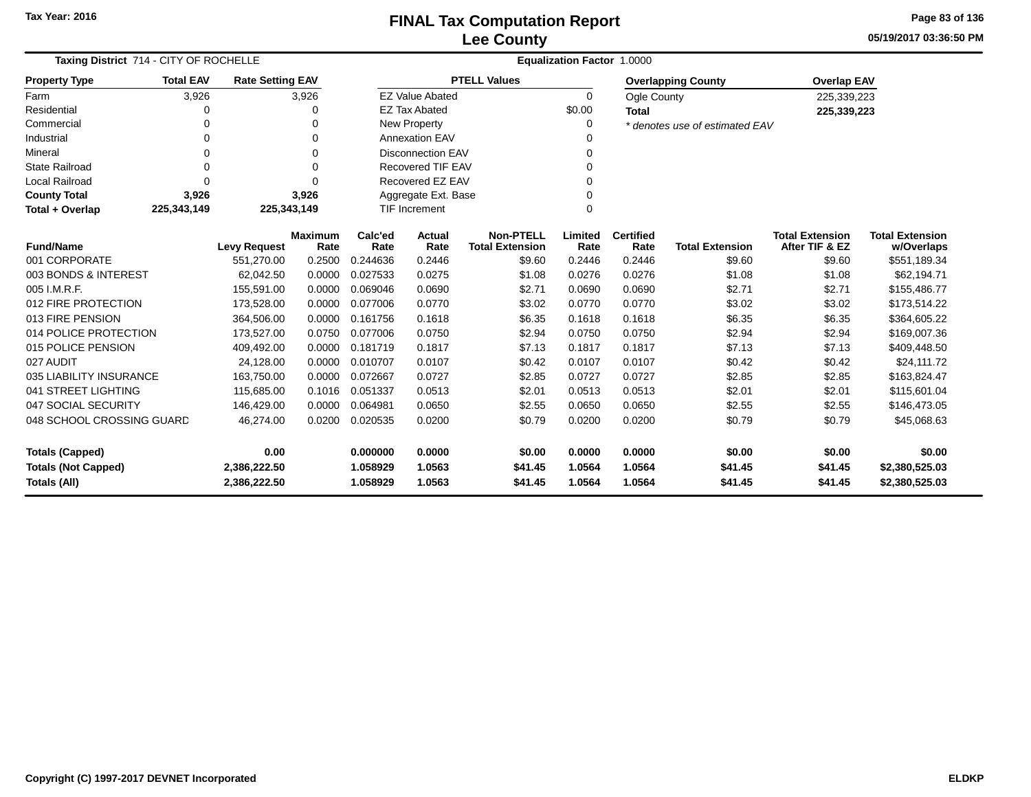### **Lee CountyFINAL Tax Computation Report** FINAL Tax Computation Report

**05/19/2017 03:36:50 PMPage 83 of 136**

| <b>Taxing District 714 - CITY OF ROCHELLE</b> |                     |                         |                        |                 | <b>Equalization Factor 1.0000</b> |                                            |                 |                          |                                |                                          |                                      |  |  |  |
|-----------------------------------------------|---------------------|-------------------------|------------------------|-----------------|-----------------------------------|--------------------------------------------|-----------------|--------------------------|--------------------------------|------------------------------------------|--------------------------------------|--|--|--|
| <b>Property Type</b>                          | <b>Total EAV</b>    | <b>Rate Setting EAV</b> |                        |                 |                                   | <b>PTELL Values</b>                        |                 |                          | <b>Overlapping County</b>      | <b>Overlap EAV</b>                       |                                      |  |  |  |
| Farm                                          | 3,926               |                         | 3,926                  |                 | <b>EZ Value Abated</b>            |                                            | $\Omega$        | Ogle County              |                                | 225,339,223                              |                                      |  |  |  |
| Residential                                   | 0                   |                         | 0                      |                 | <b>EZ Tax Abated</b>              |                                            | \$0.00          | <b>Total</b>             |                                | 225,339,223                              |                                      |  |  |  |
| Commercial                                    | $\mathbf 0$         |                         | 0                      |                 | New Property                      |                                            | 0               |                          | * denotes use of estimated EAV |                                          |                                      |  |  |  |
| Industrial                                    | 0                   |                         | 0                      |                 | <b>Annexation EAV</b>             |                                            | 0               |                          |                                |                                          |                                      |  |  |  |
| Mineral                                       | 0                   |                         | 0                      |                 | <b>Disconnection EAV</b>          |                                            | 0               |                          |                                |                                          |                                      |  |  |  |
| <b>State Railroad</b>                         | $\mathbf 0$         |                         | 0                      |                 | <b>Recovered TIF EAV</b>          |                                            | 0               |                          |                                |                                          |                                      |  |  |  |
| <b>Local Railroad</b>                         | $\Omega$            |                         | $\Omega$               |                 | Recovered EZ EAV                  |                                            | 0               |                          |                                |                                          |                                      |  |  |  |
| <b>County Total</b>                           | 3,926               |                         | 3,926                  |                 | Aggregate Ext. Base               |                                            | 0               |                          |                                |                                          |                                      |  |  |  |
| Total + Overlap                               | 225,343,149         | 225,343,149             |                        |                 | <b>TIF Increment</b>              |                                            | 0               |                          |                                |                                          |                                      |  |  |  |
| <b>Fund/Name</b>                              | <b>Levy Request</b> |                         | <b>Maximum</b><br>Rate | Calc'ed<br>Rate | Actual<br>Rate                    | <b>Non-PTELL</b><br><b>Total Extension</b> | Limited<br>Rate | <b>Certified</b><br>Rate | <b>Total Extension</b>         | <b>Total Extension</b><br>After TIF & EZ | <b>Total Extension</b><br>w/Overlaps |  |  |  |
| 001 CORPORATE                                 |                     | 551,270.00              | 0.2500                 | 0.244636        | 0.2446                            | \$9.60                                     | 0.2446          | 0.2446                   | \$9.60                         | \$9.60                                   | \$551,189.34                         |  |  |  |
| 003 BONDS & INTEREST                          |                     | 62,042.50               | 0.0000                 | 0.027533        | 0.0275                            | \$1.08                                     | 0.0276          | 0.0276                   | \$1.08                         | \$1.08                                   | \$62,194.71                          |  |  |  |
| 005 I.M.R.F.                                  |                     | 155.591.00              | 0.0000                 | 0.069046        | 0.0690                            | \$2.71                                     | 0.0690          | 0.0690                   | \$2.71                         | \$2.71                                   | \$155,486.77                         |  |  |  |
| 012 FIRE PROTECTION                           |                     | 173,528.00              | 0.0000                 | 0.077006        | 0.0770                            | \$3.02                                     | 0.0770          | 0.0770                   | \$3.02                         | \$3.02                                   | \$173,514.22                         |  |  |  |
| 013 FIRE PENSION                              |                     | 364,506.00              | 0.0000                 | 0.161756        | 0.1618                            | \$6.35                                     | 0.1618          | 0.1618                   | \$6.35                         | \$6.35                                   | \$364,605.22                         |  |  |  |
| 014 POLICE PROTECTION                         |                     | 173,527.00              | 0.0750                 | 0.077006        | 0.0750                            | \$2.94                                     | 0.0750          | 0.0750                   | \$2.94                         | \$2.94                                   | \$169,007.36                         |  |  |  |
| 015 POLICE PENSION                            |                     | 409,492.00              | 0.0000                 | 0.181719        | 0.1817                            | \$7.13                                     | 0.1817          | 0.1817                   | \$7.13                         | \$7.13                                   | \$409,448.50                         |  |  |  |
| 027 AUDIT                                     |                     | 24,128.00               | 0.0000                 | 0.010707        | 0.0107                            | \$0.42                                     | 0.0107          | 0.0107                   | \$0.42                         | \$0.42                                   | \$24,111.72                          |  |  |  |
| 035 LIABILITY INSURANCE                       |                     | 163,750.00              | 0.0000                 | 0.072667        | 0.0727                            | \$2.85                                     | 0.0727          | 0.0727                   | \$2.85                         | \$2.85                                   | \$163,824.47                         |  |  |  |
| 041 STREET LIGHTING                           |                     | 115,685.00              | 0.1016                 | 0.051337        | 0.0513                            | \$2.01                                     | 0.0513          | 0.0513                   | \$2.01                         | \$2.01                                   | \$115,601.04                         |  |  |  |
| 047 SOCIAL SECURITY                           |                     | 146,429.00              | 0.0000                 | 0.064981        | 0.0650                            | \$2.55                                     | 0.0650          | 0.0650                   | \$2.55                         | \$2.55                                   | \$146,473.05                         |  |  |  |
| 048 SCHOOL CROSSING GUARD                     |                     | 46,274.00               | 0.0200                 | 0.020535        | 0.0200                            | \$0.79                                     | 0.0200          | 0.0200                   | \$0.79                         | \$0.79                                   | \$45,068.63                          |  |  |  |
| <b>Totals (Capped)</b>                        |                     | 0.00                    |                        | 0.000000        | 0.0000                            | \$0.00                                     | 0.0000          | 0.0000                   | \$0.00                         | \$0.00                                   | \$0.00                               |  |  |  |
| <b>Totals (Not Capped)</b>                    |                     | 2,386,222.50            |                        | 1.058929        | 1.0563                            | \$41.45                                    | 1.0564          | 1.0564                   | \$41.45                        | \$41.45                                  | \$2,380,525.03                       |  |  |  |
| Totals (All)                                  |                     | 2,386,222.50            |                        | 1.058929        | 1.0563                            | \$41.45                                    | 1.0564          | 1.0564                   | \$41.45                        | \$41.45                                  | \$2,380,525.03                       |  |  |  |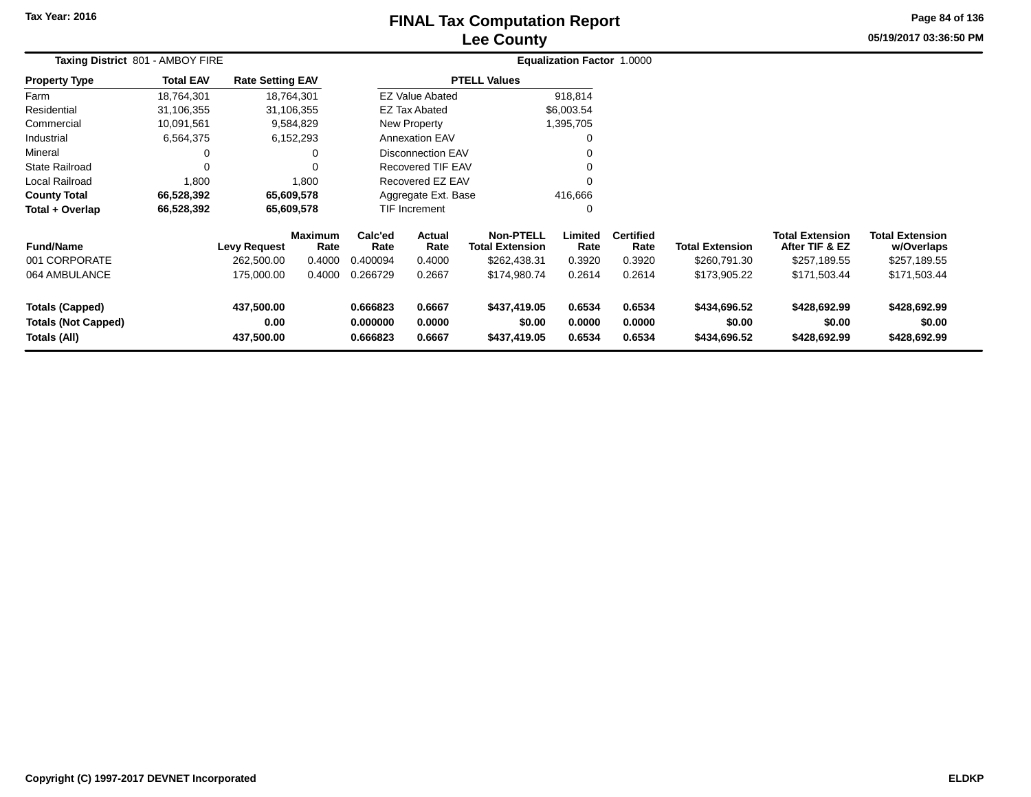# **Lee CountyFINAL Tax Computation Report**

**05/19/2017 03:36:50 PM Page 84 of 136**

|                                                                      | Taxing District 801 - AMBOY FIRE |                                   |                                  |                                                                |                          | <b>Equalization Factor 1.0000</b>                          |                            |                                    |                                        |                                                          |                                                      |  |  |
|----------------------------------------------------------------------|----------------------------------|-----------------------------------|----------------------------------|----------------------------------------------------------------|--------------------------|------------------------------------------------------------|----------------------------|------------------------------------|----------------------------------------|----------------------------------------------------------|------------------------------------------------------|--|--|
| <b>Property Type</b>                                                 | <b>Total EAV</b>                 | <b>Rate Setting EAV</b>           |                                  |                                                                |                          | <b>PTELL Values</b>                                        |                            |                                    |                                        |                                                          |                                                      |  |  |
| Farm                                                                 | 18,764,301                       |                                   | 18,764,301                       |                                                                | <b>EZ Value Abated</b>   |                                                            | 918,814                    |                                    |                                        |                                                          |                                                      |  |  |
| Residential                                                          | 31,106,355                       |                                   | 31,106,355                       |                                                                | <b>EZ Tax Abated</b>     |                                                            | \$6,003.54                 |                                    |                                        |                                                          |                                                      |  |  |
| Commercial                                                           | 10,091,561                       |                                   | 9,584,829                        |                                                                | New Property             |                                                            | 1,395,705                  |                                    |                                        |                                                          |                                                      |  |  |
| Industrial                                                           | 6,564,375                        |                                   | 6,152,293                        |                                                                | <b>Annexation EAV</b>    |                                                            | 0                          |                                    |                                        |                                                          |                                                      |  |  |
| Mineral                                                              |                                  |                                   | 0                                | Disconnection EAV                                              |                          |                                                            | 0                          |                                    |                                        |                                                          |                                                      |  |  |
| <b>State Railroad</b>                                                |                                  |                                   | $\Omega$                         |                                                                | <b>Recovered TIF EAV</b> |                                                            | $\Omega$                   |                                    |                                        |                                                          |                                                      |  |  |
| Local Railroad                                                       | 1,800                            |                                   | 1,800                            |                                                                | Recovered EZ EAV         |                                                            | 0                          |                                    |                                        |                                                          |                                                      |  |  |
| <b>County Total</b>                                                  | 66,528,392                       |                                   | 65,609,578                       |                                                                | Aggregate Ext. Base      |                                                            | 416,666                    |                                    |                                        |                                                          |                                                      |  |  |
| Total + Overlap                                                      | 66,528,392                       |                                   | 65,609,578                       |                                                                | TIF Increment            |                                                            | 0                          |                                    |                                        |                                                          |                                                      |  |  |
| <b>Fund/Name</b><br>001 CORPORATE                                    |                                  | <b>Levy Request</b><br>262,500.00 | <b>Maximum</b><br>Rate<br>0.4000 | Calc'ed<br>Rate<br>0.400094                                    | Actual<br>Rate<br>0.4000 | <b>Non-PTELL</b><br><b>Total Extension</b><br>\$262,438.31 | Limited<br>Rate<br>0.3920  | <b>Certified</b><br>Rate<br>0.3920 | <b>Total Extension</b><br>\$260,791.30 | <b>Total Extension</b><br>After TIF & EZ<br>\$257,189.55 | <b>Total Extension</b><br>w/Overlaps<br>\$257,189.55 |  |  |
| 064 AMBULANCE                                                        |                                  | 175,000.00                        | 0.4000                           | 0.266729                                                       | 0.2667                   | \$174,980.74                                               | 0.2614                     | 0.2614                             | \$173,905.22                           | \$171,503.44                                             | \$171,503.44                                         |  |  |
| <b>Totals (Capped)</b><br><b>Totals (Not Capped)</b><br>Totals (All) |                                  | 437,500.00<br>0.00<br>437,500.00  |                                  | 0.6667<br>0.666823<br>0.0000<br>0.000000<br>0.6667<br>0.666823 |                          | \$437,419.05<br>\$0.00<br>\$437,419.05                     | 0.6534<br>0.0000<br>0.6534 | 0.6534<br>0.0000<br>0.6534         | \$434,696.52<br>\$0.00<br>\$434,696.52 | \$428,692.99<br>\$0.00<br>\$428,692.99                   | \$428,692.99<br>\$0.00<br>\$428,692.99               |  |  |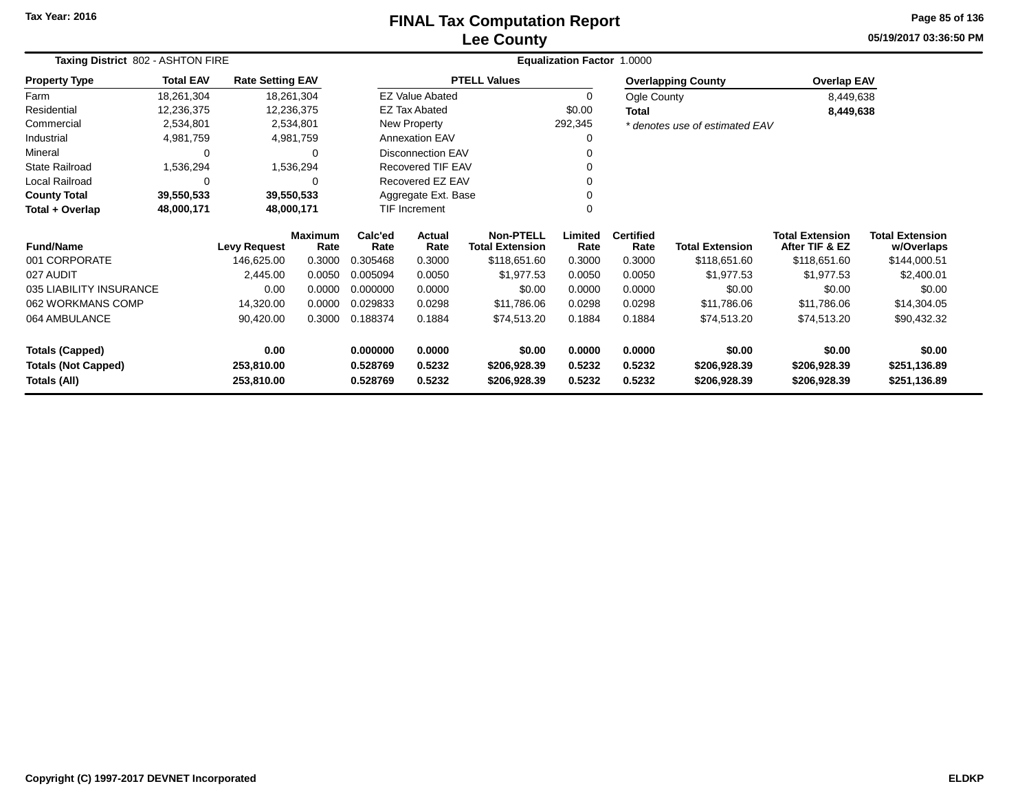#### **Lee CountyFINAL Tax Computation Report** FINAL Tax Computation Report

**05/19/2017 03:36:50 PMPage 85 of 136**

| Taxing District 802 - ASHTON FIRE             |                  |                         |                        | <b>Equalization Factor 1.0000</b> |                        |                                            |                 |                          |                                |                                          |                                      |
|-----------------------------------------------|------------------|-------------------------|------------------------|-----------------------------------|------------------------|--------------------------------------------|-----------------|--------------------------|--------------------------------|------------------------------------------|--------------------------------------|
| <b>Property Type</b>                          | <b>Total EAV</b> | <b>Rate Setting EAV</b> |                        |                                   |                        | <b>PTELL Values</b>                        |                 |                          | <b>Overlapping County</b>      | <b>Overlap EAV</b>                       |                                      |
| Farm                                          | 18,261,304       |                         | 18,261,304             |                                   | <b>EZ Value Abated</b> |                                            | 0               | Ogle County              |                                | 8,449,638                                |                                      |
| Residential                                   | 12,236,375       |                         | 12,236,375             |                                   | <b>EZ Tax Abated</b>   |                                            | \$0.00          | Total                    |                                | 8,449,638                                |                                      |
| Commercial                                    | 2,534,801        |                         | 2,534,801              |                                   | New Property           |                                            | 292,345         |                          | * denotes use of estimated EAV |                                          |                                      |
| Industrial                                    | 4,981,759        |                         | 4,981,759              | <b>Annexation EAV</b><br>0        |                        |                                            |                 |                          |                                |                                          |                                      |
| Mineral                                       | 0                |                         | 0                      | <b>Disconnection EAV</b><br>0     |                        |                                            |                 |                          |                                |                                          |                                      |
| State Railroad                                | 1,536,294        |                         | 1,536,294              |                                   | Recovered TIF EAV      |                                            |                 |                          |                                |                                          |                                      |
| Local Railroad<br>0<br>$\Omega$<br>39,550,533 |                  |                         |                        |                                   | Recovered EZ EAV       |                                            |                 |                          |                                |                                          |                                      |
| <b>County Total</b>                           | 39,550,533       |                         |                        |                                   | Aggregate Ext. Base    |                                            |                 |                          |                                |                                          |                                      |
| Total + Overlap<br>48,000,171<br>48,000,171   |                  |                         |                        | TIF Increment                     |                        | 0                                          |                 |                          |                                |                                          |                                      |
| <b>Fund/Name</b>                              |                  | <b>Levy Request</b>     | <b>Maximum</b><br>Rate | Calc'ed<br>Rate                   | <b>Actual</b><br>Rate  | <b>Non-PTELL</b><br><b>Total Extension</b> | Limited<br>Rate | <b>Certified</b><br>Rate | <b>Total Extension</b>         | <b>Total Extension</b><br>After TIF & EZ | <b>Total Extension</b><br>w/Overlaps |
| 001 CORPORATE                                 |                  | 146,625.00              | 0.3000                 | 0.305468                          | 0.3000                 | \$118,651.60                               | 0.3000          | 0.3000                   | \$118,651.60                   | \$118,651.60                             | \$144,000.51                         |
| 027 AUDIT                                     |                  | 2,445.00                | 0.0050                 | 0.005094                          | 0.0050                 | \$1,977.53                                 | 0.0050          | 0.0050                   | \$1,977.53                     | \$1,977.53                               | \$2,400.01                           |
| 035 LIABILITY INSURANCE                       |                  | 0.00                    | 0.0000                 | 0.000000                          | 0.0000                 | \$0.00                                     | 0.0000          | 0.0000                   | \$0.00                         | \$0.00                                   | \$0.00                               |
| 062 WORKMANS COMP                             |                  | 14,320.00               | 0.0000                 | 0.029833                          | 0.0298                 | \$11,786.06                                | 0.0298          | 0.0298                   | \$11,786.06                    | \$11,786.06                              | \$14,304.05                          |
| 064 AMBULANCE                                 |                  | 90,420.00               | 0.3000                 | 0.188374                          | 0.1884                 | \$74,513.20                                | 0.1884          | 0.1884                   | \$74,513.20                    | \$74,513.20                              | \$90,432.32                          |
| <b>Totals (Capped)</b>                        |                  | 0.00                    |                        | 0.000000                          | 0.0000                 | \$0.00                                     | 0.0000          | 0.0000                   | \$0.00                         | \$0.00                                   | \$0.00                               |
| <b>Totals (Not Capped)</b>                    |                  | 253,810.00              |                        | 0.528769                          | 0.5232                 | \$206,928.39                               | 0.5232          | 0.5232                   | \$206,928.39                   | \$206,928.39                             | \$251,136.89                         |
| Totals (All)                                  |                  | 253,810.00              |                        | 0.528769                          | 0.5232                 | \$206,928.39                               | 0.5232          | 0.5232                   | \$206,928.39                   | \$206,928.39                             | \$251,136.89                         |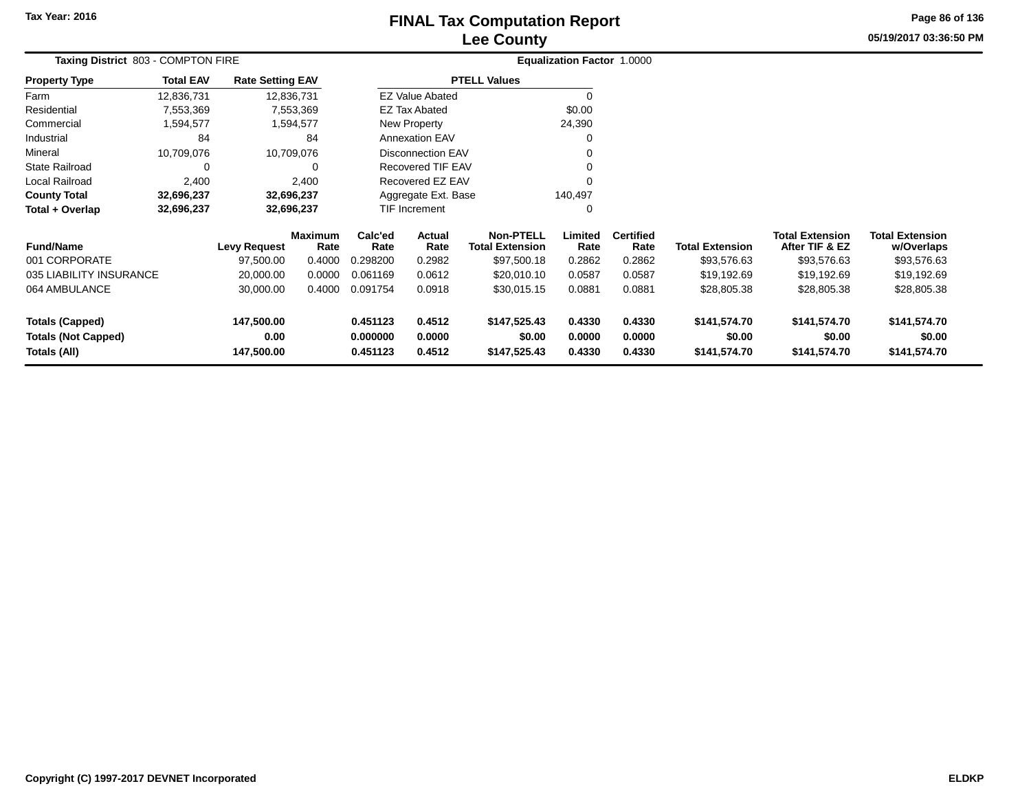## **Lee CountyFINAL Tax Computation Report** FINAL Tax Computation Report

**05/19/2017 03:36:50 PMPage 86 of 136**

|                         |                    |                                                           | Equalization Factor 1.0000                                                                                                  |                            |                                                                                        |                                                                     |                          |                        |                                          |                        |            |
|-------------------------|--------------------|-----------------------------------------------------------|-----------------------------------------------------------------------------------------------------------------------------|----------------------------|----------------------------------------------------------------------------------------|---------------------------------------------------------------------|--------------------------|------------------------|------------------------------------------|------------------------|------------|
| <b>Total EAV</b>        |                    |                                                           |                                                                                                                             |                            |                                                                                        |                                                                     |                          |                        |                                          |                        |            |
| 12,836,731              |                    |                                                           |                                                                                                                             |                            |                                                                                        | $\Omega$                                                            |                          |                        |                                          |                        |            |
| 7,553,369               |                    |                                                           |                                                                                                                             |                            |                                                                                        | \$0.00                                                              |                          |                        |                                          |                        |            |
| 1,594,577               |                    |                                                           |                                                                                                                             |                            |                                                                                        | 24,390                                                              |                          |                        |                                          |                        |            |
| 84                      |                    | 84                                                        |                                                                                                                             | <b>Annexation EAV</b><br>0 |                                                                                        |                                                                     |                          |                        |                                          |                        |            |
| 10,709,076              |                    |                                                           | <b>Disconnection EAV</b><br>0                                                                                               |                            |                                                                                        |                                                                     |                          |                        |                                          |                        |            |
| 0                       |                    | 0                                                         |                                                                                                                             |                            |                                                                                        |                                                                     |                          |                        |                                          |                        |            |
| 2,400                   |                    | 2,400                                                     |                                                                                                                             |                            |                                                                                        | $\Omega$                                                            |                          |                        |                                          |                        |            |
| 32,696,237              |                    |                                                           | Aggregate Ext. Base<br>140,497                                                                                              |                            |                                                                                        |                                                                     |                          |                        |                                          |                        |            |
| 32,696,237              |                    |                                                           |                                                                                                                             |                            |                                                                                        | 0                                                                   |                          |                        |                                          |                        |            |
|                         |                    | Rate                                                      | Calc'ed<br>Rate                                                                                                             | Actual<br>Rate             | <b>Non-PTELL</b><br><b>Total Extension</b>                                             | Limited<br>Rate                                                     | <b>Certified</b><br>Rate | <b>Total Extension</b> | <b>Total Extension</b><br>After TIF & EZ | <b>Total Extension</b> |            |
|                         | 97,500.00          | 0.4000                                                    | 0.298200                                                                                                                    | 0.2982                     | \$97,500.18                                                                            | 0.2862                                                              | 0.2862                   | \$93,576.63            | \$93,576.63                              | \$93,576.63            |            |
| 035 LIABILITY INSURANCE | 20,000.00          | 0.0000                                                    | 0.061169                                                                                                                    | 0.0612                     | \$20,010.10                                                                            | 0.0587                                                              | 0.0587                   | \$19,192.69            | \$19,192.69                              | \$19,192.69            |            |
|                         | 30,000.00          | 0.4000                                                    | 0.091754                                                                                                                    | 0.0918                     | \$30,015.15                                                                            | 0.0881                                                              | 0.0881                   | \$28,805.38            | \$28,805.38                              | \$28,805.38            |            |
|                         | 147,500.00         |                                                           | 0.451123                                                                                                                    | 0.4512                     | \$147,525.43                                                                           | 0.4330                                                              | 0.4330                   | \$141,574.70           | \$141,574.70                             | \$141,574.70           |            |
|                         | 0.00<br>147,500.00 |                                                           | 0.000000<br>0.451123                                                                                                        | 0.0000<br>0.4512           | \$0.00<br>\$147,525.43                                                                 | 0.0000<br>0.4330                                                    | 0.0000<br>0.4330         | \$0.00<br>\$141,574.70 | \$0.00<br>\$141,574.70                   | \$0.00<br>\$141,574.70 |            |
|                         |                    | Taxing District 803 - COMPTON FIRE<br><b>Levy Request</b> | <b>Rate Setting EAV</b><br>12,836,731<br>7,553,369<br>1,594,577<br>10,709,076<br>32,696,237<br>32,696,237<br><b>Maximum</b> |                            | <b>EZ Value Abated</b><br><b>EZ Tax Abated</b><br>New Property<br><b>TIF Increment</b> | <b>PTELL Values</b><br><b>Recovered TIF EAV</b><br>Recovered EZ EAV |                          |                        |                                          |                        | w/Overlaps |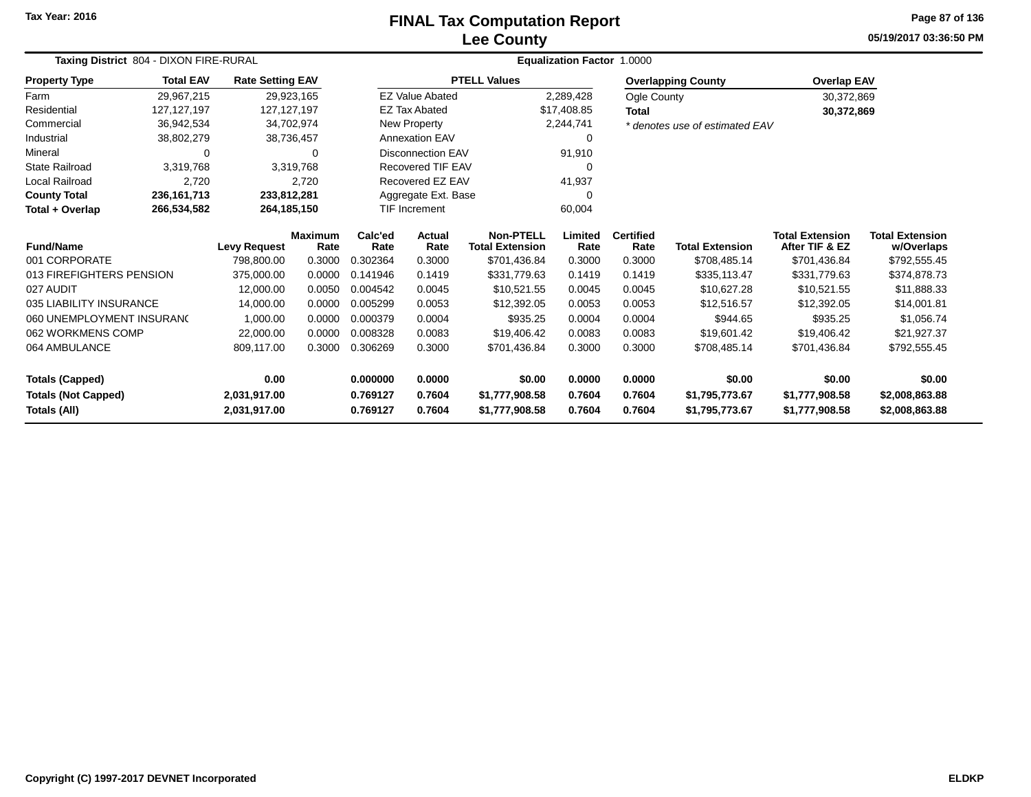# **Lee CountyFINAL Tax Computation Report**

**05/19/2017 03:36:50 PMPage 87 of 136**

| Taxing District 804 - DIXON FIRE-RURAL |                            |                         |                        |                      | Equalization Factor 1.0000 |                                            |                 |                          |                                |                                          |                                      |  |  |
|----------------------------------------|----------------------------|-------------------------|------------------------|----------------------|----------------------------|--------------------------------------------|-----------------|--------------------------|--------------------------------|------------------------------------------|--------------------------------------|--|--|
| Property Type                          | <b>Total EAV</b>           | <b>Rate Setting EAV</b> |                        |                      |                            | <b>PTELL Values</b>                        |                 |                          | <b>Overlapping County</b>      | <b>Overlap EAV</b>                       |                                      |  |  |
| Farm                                   | 29,967,215                 |                         | 29,923,165             |                      | <b>EZ Value Abated</b>     |                                            | 2,289,428       | Ogle County              |                                | 30,372,869                               |                                      |  |  |
| Residential                            | 127, 127, 197              | 127, 127, 197           |                        |                      | <b>EZ Tax Abated</b>       |                                            | \$17,408.85     | <b>Total</b>             |                                | 30,372,869                               |                                      |  |  |
| Commercial                             | 36,942,534                 |                         | 34,702,974             |                      | New Property               |                                            | 2,244,741       |                          | * denotes use of estimated EAV |                                          |                                      |  |  |
| Industrial                             | 38,802,279                 |                         | 38,736,457             |                      | <b>Annexation EAV</b>      |                                            | 0               |                          |                                |                                          |                                      |  |  |
| Mineral                                | 0                          |                         | 0                      |                      | <b>Disconnection EAV</b>   |                                            | 91,910          |                          |                                |                                          |                                      |  |  |
| State Railroad                         | 3,319,768                  |                         | 3,319,768              |                      | Recovered TIF EAV          |                                            | <sup>n</sup>    |                          |                                |                                          |                                      |  |  |
| Local Railroad                         | 2,720                      |                         | 2,720                  |                      | Recovered EZ EAV           |                                            | 41,937          |                          |                                |                                          |                                      |  |  |
| <b>County Total</b>                    | 236, 161, 713              | 233,812,281             |                        |                      | Aggregate Ext. Base        |                                            | 0               |                          |                                |                                          |                                      |  |  |
| Total + Overlap                        | 266,534,582<br>264,185,150 |                         |                        | <b>TIF Increment</b> |                            |                                            | 60,004          |                          |                                |                                          |                                      |  |  |
| <b>Fund/Name</b>                       |                            | <b>Levy Request</b>     | <b>Maximum</b><br>Rate | Calc'ed<br>Rate      | Actual<br>Rate             | <b>Non-PTELL</b><br><b>Total Extension</b> | Limited<br>Rate | <b>Certified</b><br>Rate | <b>Total Extension</b>         | <b>Total Extension</b><br>After TIF & EZ | <b>Total Extension</b><br>w/Overlaps |  |  |
| 001 CORPORATE                          |                            | 798,800.00              | 0.3000                 | 0.302364             | 0.3000                     | \$701,436.84                               | 0.3000          | 0.3000                   | \$708,485.14                   | \$701,436.84                             | \$792,555.45                         |  |  |
| 013 FIREFIGHTERS PENSION               |                            | 375,000.00              | 0.0000                 | 0.141946             | 0.1419                     | \$331,779.63                               | 0.1419          | 0.1419                   | \$335,113.47                   | \$331,779.63                             | \$374,878.73                         |  |  |
| 027 AUDIT                              |                            | 12,000.00               | 0.0050                 | 0.004542             | 0.0045                     | \$10,521.55                                | 0.0045          | 0.0045                   | \$10,627.28                    | \$10,521.55                              | \$11,888.33                          |  |  |
| 035 LIABILITY INSURANCE                |                            | 14,000.00               | 0.0000                 | 0.005299             | 0.0053                     | \$12,392.05                                | 0.0053          | 0.0053                   | \$12,516.57                    | \$12,392.05                              | \$14,001.81                          |  |  |
| 060 UNEMPLOYMENT INSURANC              |                            | 1,000.00                | 0.0000                 | 0.000379             | 0.0004                     | \$935.25                                   | 0.0004          | 0.0004                   | \$944.65                       | \$935.25                                 | \$1,056.74                           |  |  |
| 062 WORKMENS COMP                      |                            | 22,000.00               | 0.0000                 | 0.008328             | 0.0083                     | \$19,406.42                                | 0.0083          | 0.0083                   | \$19,601.42                    | \$19,406.42                              | \$21,927.37                          |  |  |
| 064 AMBULANCE                          |                            | 809,117.00              | 0.3000                 | 0.306269             | 0.3000                     | \$701,436.84                               | 0.3000          | 0.3000                   | \$708,485.14                   | \$701,436.84                             | \$792,555.45                         |  |  |
| <b>Totals (Capped)</b>                 |                            | 0.00                    |                        | 0.000000             | 0.0000                     | \$0.00                                     | 0.0000          | 0.0000                   | \$0.00                         | \$0.00                                   | \$0.00                               |  |  |
| <b>Totals (Not Capped)</b>             |                            | 2,031,917.00            |                        | 0.769127             | 0.7604                     | \$1,777,908.58                             | 0.7604          | 0.7604                   | \$1,795,773.67                 | \$1,777,908.58                           | \$2,008,863.88                       |  |  |
| <b>Totals (All)</b>                    |                            | 2,031,917.00            |                        | 0.769127             | 0.7604                     | \$1,777,908.58                             | 0.7604          | 0.7604                   | \$1,795,773.67                 | \$1,777,908.58                           | \$2,008,863.88                       |  |  |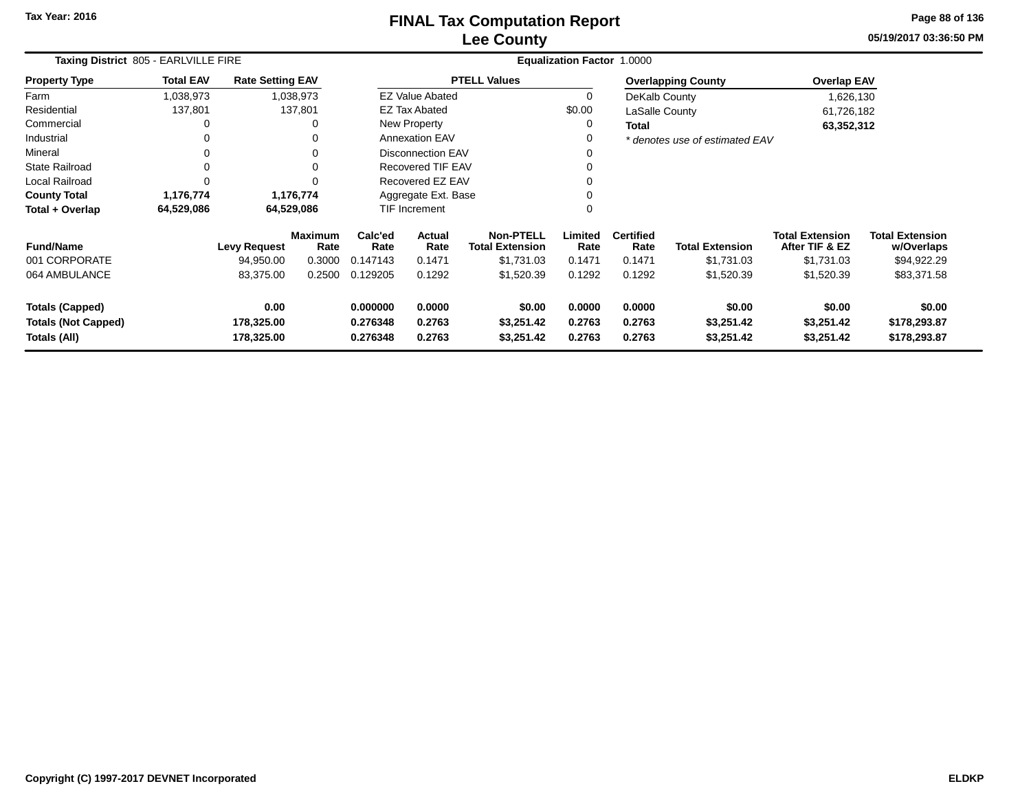# **Lee CountyFINAL Tax Computation Report** FINAL Tax Computation Report

**05/19/2017 03:36:50 PM Page 88 of 136**

| Taxing District 805 - EARLVILLE FIRE                                 |                  |                                  |                 | Equalization Factor 1.0000       |                                          |                                            |                            |                            |                                    |                                          |                                        |  |
|----------------------------------------------------------------------|------------------|----------------------------------|-----------------|----------------------------------|------------------------------------------|--------------------------------------------|----------------------------|----------------------------|------------------------------------|------------------------------------------|----------------------------------------|--|
| <b>Property Type</b>                                                 | <b>Total EAV</b> | <b>Rate Setting EAV</b>          |                 |                                  |                                          | <b>PTELL Values</b>                        |                            |                            | <b>Overlapping County</b>          | <b>Overlap EAV</b>                       |                                        |  |
| Farm                                                                 | 1,038,973        |                                  | 1,038,973       |                                  | <b>EZ Value Abated</b>                   |                                            | $\mathbf 0$                | DeKalb County              |                                    | 1,626,130                                |                                        |  |
| Residential                                                          | 137,801          |                                  | 137,801         |                                  | <b>EZ Tax Abated</b>                     |                                            | \$0.00                     | LaSalle County             |                                    | 61,726,182                               |                                        |  |
| Commercial                                                           | 0                |                                  |                 |                                  | New Property                             |                                            | 0                          | <b>Total</b>               |                                    | 63,352,312                               |                                        |  |
| Industrial                                                           | 0                |                                  | 0               |                                  | <b>Annexation EAV</b>                    |                                            |                            |                            | * denotes use of estimated EAV     |                                          |                                        |  |
| Mineral                                                              | 0                |                                  | 0               |                                  | <b>Disconnection EAV</b>                 |                                            |                            |                            |                                    |                                          |                                        |  |
| <b>State Railroad</b>                                                | 0                |                                  |                 |                                  | <b>Recovered TIF EAV</b>                 |                                            |                            |                            |                                    |                                          |                                        |  |
| Local Railroad                                                       | 0                |                                  | $\Omega$        | Recovered EZ EAV                 |                                          |                                            | 0                          |                            |                                    |                                          |                                        |  |
| <b>County Total</b>                                                  | 1,176,774        |                                  | 1,176,774       |                                  | Aggregate Ext. Base                      |                                            |                            |                            |                                    |                                          |                                        |  |
| Total + Overlap                                                      | 64,529,086       |                                  | 64,529,086      |                                  | 0<br>$\mathbf 0$<br><b>TIF Increment</b> |                                            |                            |                            |                                    |                                          |                                        |  |
| <b>Fund/Name</b>                                                     |                  | <b>Levy Request</b>              | Maximum<br>Rate | Calc'ed<br>Rate                  | Actual<br>Rate                           | <b>Non-PTELL</b><br><b>Total Extension</b> | Limited<br>Rate            | <b>Certified</b><br>Rate   | <b>Total Extension</b>             | <b>Total Extension</b><br>After TIF & EZ | <b>Total Extension</b><br>w/Overlaps   |  |
| 001 CORPORATE                                                        |                  | 94,950.00                        | 0.3000          | 0.147143                         | 0.1471                                   | \$1,731.03                                 | 0.1471                     | 0.1471                     | \$1,731.03                         | \$1,731.03                               | \$94,922.29                            |  |
| 064 AMBULANCE                                                        |                  | 83,375.00                        | 0.2500          | 0.129205                         | 0.1292                                   | \$1,520.39                                 | 0.1292                     | 0.1292                     | \$1,520.39                         | \$1,520.39                               | \$83,371.58                            |  |
| <b>Totals (Capped)</b><br><b>Totals (Not Capped)</b><br>Totals (All) |                  | 0.00<br>178,325.00<br>178,325.00 |                 | 0.000000<br>0.276348<br>0.276348 | 0.0000<br>0.2763<br>0.2763               | \$0.00<br>\$3,251.42<br>\$3,251.42         | 0.0000<br>0.2763<br>0.2763 | 0.0000<br>0.2763<br>0.2763 | \$0.00<br>\$3,251.42<br>\$3,251.42 | \$0.00<br>\$3,251.42<br>\$3,251.42       | \$0.00<br>\$178,293.87<br>\$178,293.87 |  |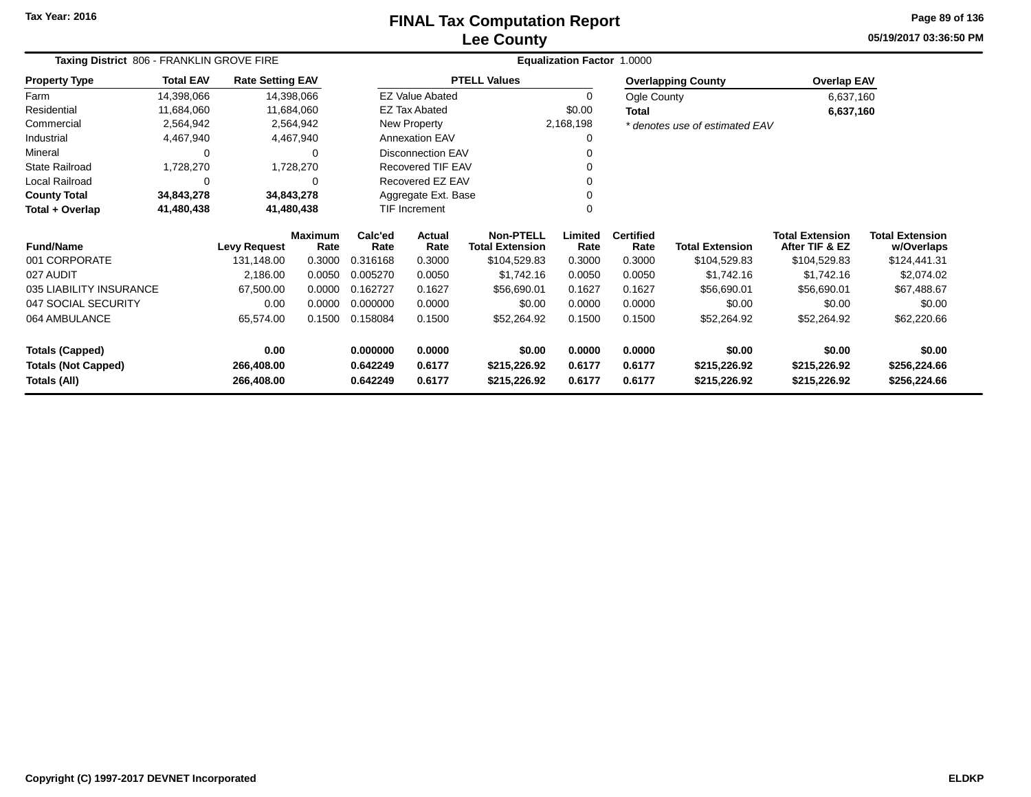#### **Lee CountyFINAL Tax Computation Report** FINAL Tax Computation Report

**05/19/2017 03:36:50 PMPage 89 of 136**

| Taxing District 806 - FRANKLIN GROVE FIRE |                  |                         |                        | Equalization Factor 1.0000 |                          |                                            |                 |                          |                                |                                          |                                      |  |
|-------------------------------------------|------------------|-------------------------|------------------------|----------------------------|--------------------------|--------------------------------------------|-----------------|--------------------------|--------------------------------|------------------------------------------|--------------------------------------|--|
| <b>Property Type</b>                      | <b>Total EAV</b> | <b>Rate Setting EAV</b> |                        |                            |                          | <b>PTELL Values</b>                        |                 |                          | <b>Overlapping County</b>      | <b>Overlap EAV</b>                       |                                      |  |
| Farm                                      | 14,398,066       | 14,398,066              |                        |                            | <b>EZ Value Abated</b>   |                                            | 0               | Ogle County              |                                | 6,637,160                                |                                      |  |
| Residential                               | 11,684,060       |                         | 11,684,060             |                            | <b>EZ Tax Abated</b>     |                                            | \$0.00          | <b>Total</b>             |                                | 6,637,160                                |                                      |  |
| Commercial                                | 2,564,942        |                         | 2,564,942              |                            | New Property             |                                            | 2,168,198       |                          | * denotes use of estimated EAV |                                          |                                      |  |
| Industrial                                | 4,467,940        |                         | 4,467,940              |                            | <b>Annexation EAV</b>    |                                            | 0               |                          |                                |                                          |                                      |  |
| Mineral                                   | 0                |                         | ∩                      |                            | <b>Disconnection EAV</b> |                                            |                 |                          |                                |                                          |                                      |  |
| <b>State Railroad</b>                     | 1,728,270        |                         | 1,728,270              |                            | Recovered TIF EAV        |                                            |                 |                          |                                |                                          |                                      |  |
| Local Railroad                            | $\Omega$         |                         |                        |                            | Recovered EZ EAV         |                                            |                 |                          |                                |                                          |                                      |  |
| <b>County Total</b>                       | 34,843,278       | 34,843,278              |                        |                            | Aggregate Ext. Base      |                                            |                 |                          |                                |                                          |                                      |  |
| Total + Overlap                           | 41,480,438       | 41,480,438              |                        |                            | <b>TIF Increment</b>     |                                            |                 |                          |                                |                                          |                                      |  |
| <b>Fund/Name</b>                          |                  | <b>Levy Request</b>     | <b>Maximum</b><br>Rate | Calc'ed<br>Rate            | <b>Actual</b><br>Rate    | <b>Non-PTELL</b><br><b>Total Extension</b> | Limited<br>Rate | <b>Certified</b><br>Rate | <b>Total Extension</b>         | <b>Total Extension</b><br>After TIF & EZ | <b>Total Extension</b><br>w/Overlaps |  |
| 001 CORPORATE                             |                  | 131,148.00              | 0.3000                 | 0.316168                   | 0.3000                   | \$104,529.83                               | 0.3000          | 0.3000                   | \$104,529.83                   | \$104,529.83                             | \$124,441.31                         |  |
| 027 AUDIT                                 |                  | 2,186.00                | 0.0050                 | 0.005270                   | 0.0050                   | \$1,742.16                                 | 0.0050          | 0.0050                   | \$1,742.16                     | \$1,742.16                               | \$2,074.02                           |  |
| 035 LIABILITY INSURANCE                   |                  | 67,500.00               | 0.0000                 | 0.162727                   | 0.1627                   | \$56,690.01                                | 0.1627          | 0.1627                   | \$56,690.01                    | \$56,690.01                              | \$67,488.67                          |  |
| 047 SOCIAL SECURITY                       |                  | 0.00                    | 0.0000                 | 0.000000                   | 0.0000                   | \$0.00                                     | 0.0000          | 0.0000                   | \$0.00                         | \$0.00                                   | \$0.00                               |  |
| 064 AMBULANCE                             |                  | 65,574.00               | 0.1500                 | 0.158084                   | 0.1500                   | \$52,264.92                                | 0.1500          | 0.1500                   | \$52,264.92                    | \$52,264.92                              | \$62,220.66                          |  |
| <b>Totals (Capped)</b>                    |                  | 0.00                    |                        | 0.000000                   | 0.0000                   | \$0.00                                     | 0.0000          | 0.0000                   | \$0.00                         | \$0.00                                   | \$0.00                               |  |
| <b>Totals (Not Capped)</b>                |                  | 266,408.00              |                        | 0.642249                   | 0.6177                   | \$215,226.92                               | 0.6177          | 0.6177                   | \$215,226.92                   | \$215,226.92                             | \$256,224.66                         |  |
| Totals (All)                              |                  | 266,408.00              |                        | 0.642249                   | 0.6177                   | \$215,226.92                               | 0.6177          | 0.6177                   | \$215,226.92                   | \$215,226.92                             | \$256,224.66                         |  |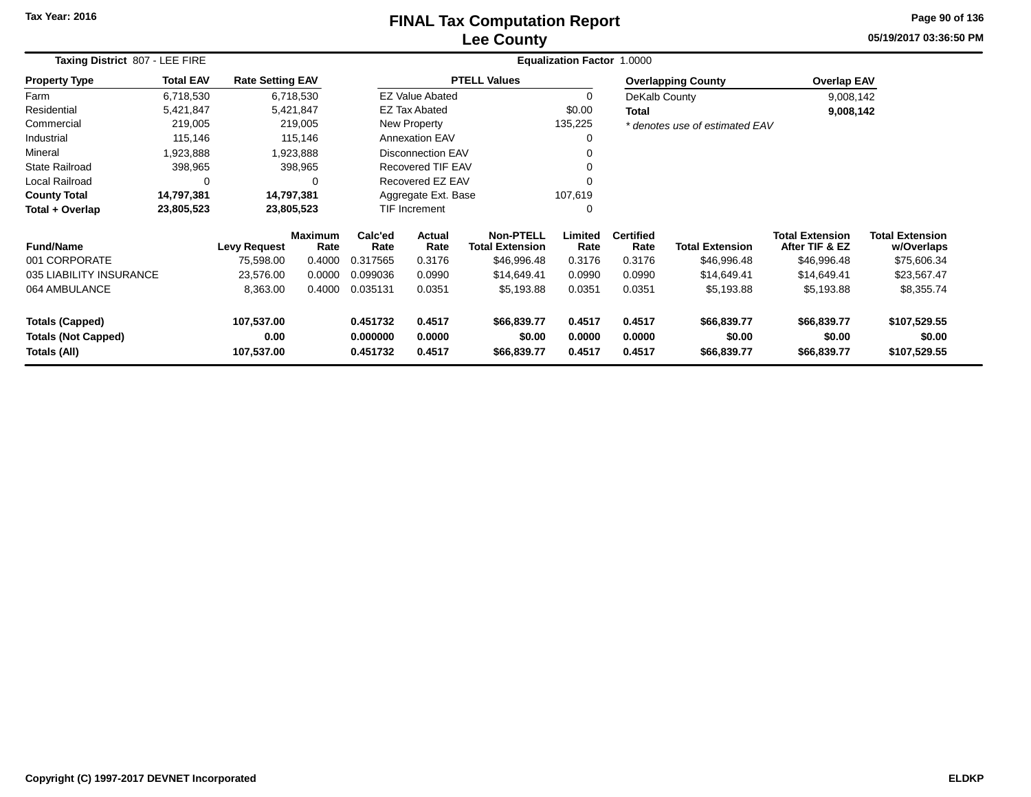## **Lee CountyFINAL Tax Computation Report**

**05/19/2017 03:36:50 PM Page 90 of 136**

|                            | Taxing District 807 - LEE FIRE |                         |                        |                          |                          | Equalization Factor 1.0000                 |                 |                          |                                |                                          |                                      |  |  |  |  |
|----------------------------|--------------------------------|-------------------------|------------------------|--------------------------|--------------------------|--------------------------------------------|-----------------|--------------------------|--------------------------------|------------------------------------------|--------------------------------------|--|--|--|--|
| <b>Property Type</b>       | <b>Total EAV</b>               | <b>Rate Setting EAV</b> |                        |                          |                          | <b>PTELL Values</b>                        |                 |                          | <b>Overlapping County</b>      | <b>Overlap EAV</b>                       |                                      |  |  |  |  |
| Farm                       | 6,718,530                      |                         | 6,718,530              |                          | <b>EZ Value Abated</b>   |                                            | $\Omega$        | DeKalb County            |                                | 9,008,142                                |                                      |  |  |  |  |
| Residential                | 5,421,847                      |                         | 5,421,847              |                          | EZ Tax Abated            |                                            | \$0.00          | <b>Total</b>             |                                | 9,008,142                                |                                      |  |  |  |  |
| Commercial                 | 219,005                        |                         | 219,005                |                          | New Property             |                                            | 135,225         |                          | * denotes use of estimated EAV |                                          |                                      |  |  |  |  |
| Industrial                 | 115,146                        |                         | 115,146                |                          | <b>Annexation EAV</b>    |                                            | 0               |                          |                                |                                          |                                      |  |  |  |  |
| Mineral                    | 1,923,888                      |                         | 1,923,888              |                          | <b>Disconnection EAV</b> |                                            | 0               |                          |                                |                                          |                                      |  |  |  |  |
| <b>State Railroad</b>      | 398,965                        |                         | 398,965                | <b>Recovered TIF EAV</b> |                          | 0                                          |                 |                          |                                |                                          |                                      |  |  |  |  |
| Local Railroad             | 0                              |                         | $\Omega$               |                          | Recovered EZ EAV         |                                            | 0               |                          |                                |                                          |                                      |  |  |  |  |
| <b>County Total</b>        | 14,797,381                     | 14,797,381              |                        |                          | Aggregate Ext. Base      |                                            | 107,619         |                          |                                |                                          |                                      |  |  |  |  |
| Total + Overlap            | 23,805,523                     |                         | 23,805,523             |                          | <b>TIF Increment</b>     |                                            | 0               |                          |                                |                                          |                                      |  |  |  |  |
| <b>Fund/Name</b>           |                                | <b>Levy Request</b>     | <b>Maximum</b><br>Rate | Calc'ed<br>Rate          | <b>Actual</b><br>Rate    | <b>Non-PTELL</b><br><b>Total Extension</b> | Limited<br>Rate | <b>Certified</b><br>Rate | <b>Total Extension</b>         | <b>Total Extension</b><br>After TIF & EZ | <b>Total Extension</b><br>w/Overlaps |  |  |  |  |
| 001 CORPORATE              |                                | 75,598.00               | 0.4000                 | 0.317565                 | 0.3176                   | \$46,996.48                                | 0.3176          | 0.3176                   | \$46,996.48                    | \$46,996.48                              | \$75,606.34                          |  |  |  |  |
| 035 LIABILITY INSURANCE    |                                | 23,576.00               | 0.0000                 | 0.099036                 | 0.0990                   | \$14,649.41                                | 0.0990          | 0.0990                   | \$14,649.41                    | \$14,649.41                              | \$23,567.47                          |  |  |  |  |
| 064 AMBULANCE              |                                | 8,363.00                | 0.4000                 | 0.035131                 | 0.0351                   | \$5,193.88                                 | 0.0351          | 0.0351                   | \$5,193.88                     | \$5,193.88                               | \$8,355.74                           |  |  |  |  |
| <b>Totals (Capped)</b>     |                                | 107,537.00              |                        | 0.451732                 | 0.4517                   | \$66,839.77                                | 0.4517          | 0.4517                   | \$66,839.77                    | \$66,839.77                              | \$107,529.55                         |  |  |  |  |
| <b>Totals (Not Capped)</b> |                                | 0.00                    |                        | 0.000000                 | 0.0000                   | \$0.00                                     | 0.0000          | 0.0000                   | \$0.00                         | \$0.00                                   | \$0.00                               |  |  |  |  |
| Totals (All)               |                                | 107,537.00              |                        | 0.451732                 | 0.4517                   | \$66,839.77                                | 0.4517          | 0.4517                   | \$66,839.77                    | \$66,839.77                              | \$107,529.55                         |  |  |  |  |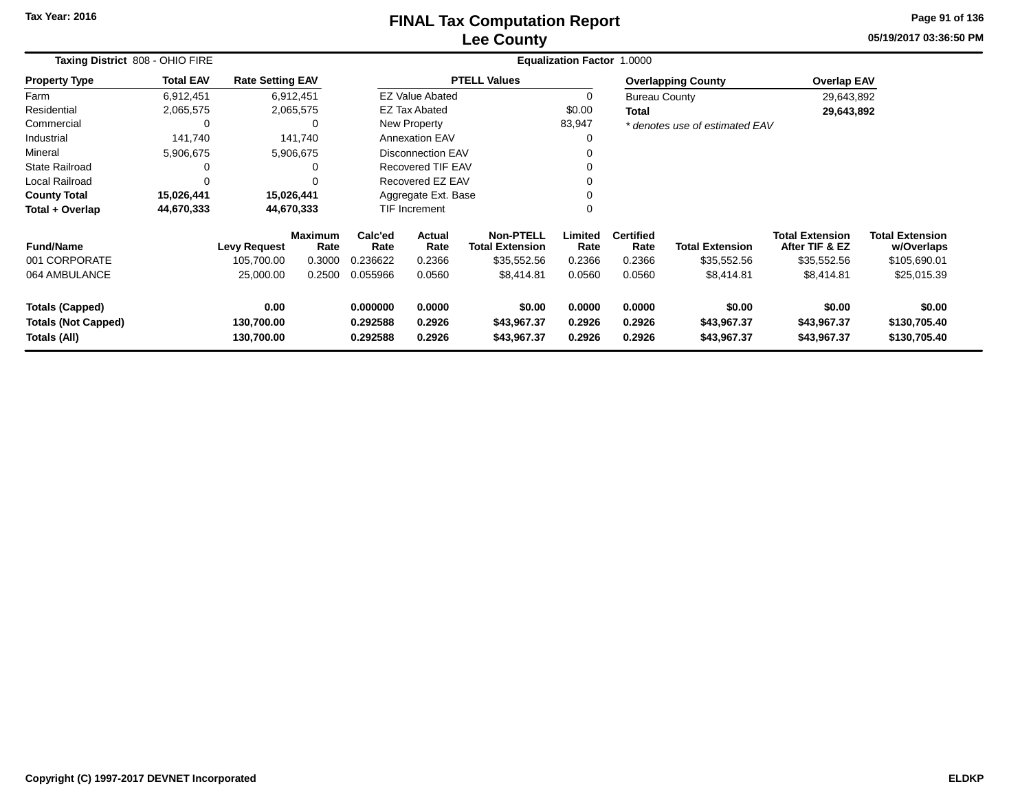#### **Lee CountyFINAL Tax Computation Report**

**05/19/2017 03:36:50 PM Page 91 of 136**

| Taxing District 808 - OHIO FIRE | Equalization Factor 1.0000 |                         |                        |                                   |                          |                                            |                 |                          |                                |                                          |                                      |
|---------------------------------|----------------------------|-------------------------|------------------------|-----------------------------------|--------------------------|--------------------------------------------|-----------------|--------------------------|--------------------------------|------------------------------------------|--------------------------------------|
| <b>Property Type</b>            | <b>Total EAV</b>           | <b>Rate Setting EAV</b> |                        |                                   |                          | <b>PTELL Values</b>                        |                 |                          | <b>Overlapping County</b>      | <b>Overlap EAV</b>                       |                                      |
| Farm                            | 6,912,451                  | 6,912,451               |                        |                                   | <b>EZ Value Abated</b>   |                                            |                 | <b>Bureau County</b>     |                                | 29,643,892                               |                                      |
| Residential                     | 2,065,575                  |                         | 2,065,575              |                                   | <b>EZ Tax Abated</b>     |                                            | \$0.00          | Total                    |                                | 29,643,892                               |                                      |
| Commercial                      | 0                          |                         | $\Omega$               |                                   | New Property             |                                            | 83,947          |                          | * denotes use of estimated EAV |                                          |                                      |
| Industrial                      | 141,740                    |                         | 141.740                |                                   | <b>Annexation EAV</b>    |                                            |                 |                          |                                |                                          |                                      |
| Mineral                         | 5,906,675                  |                         | 5,906,675              |                                   | <b>Disconnection EAV</b> |                                            |                 |                          |                                |                                          |                                      |
| <b>State Railroad</b>           |                            |                         |                        | <b>Recovered TIF EAV</b>          |                          |                                            |                 |                          |                                |                                          |                                      |
| Local Railroad                  |                            |                         |                        | Recovered EZ EAV                  |                          |                                            |                 |                          |                                |                                          |                                      |
| <b>County Total</b>             | 15,026,441                 | 15,026,441              |                        |                                   | Aggregate Ext. Base      |                                            |                 |                          |                                |                                          |                                      |
| Total + Overlap                 | 44,670,333                 |                         | 44,670,333             |                                   | <b>TIF Increment</b>     |                                            | 0               |                          |                                |                                          |                                      |
| <b>Fund/Name</b>                |                            | <b>Levy Request</b>     | <b>Maximum</b><br>Rate | Calc'ed<br>Rate                   | Actual<br>Rate           | <b>Non-PTELL</b><br><b>Total Extension</b> | Limited<br>Rate | <b>Certified</b><br>Rate | <b>Total Extension</b>         | <b>Total Extension</b><br>After TIF & EZ | <b>Total Extension</b><br>w/Overlaps |
| 001 CORPORATE                   |                            | 105,700.00              | 0.3000                 | 0.236622                          | 0.2366                   | \$35,552.56                                | 0.2366          | 0.2366                   | \$35,552.56                    | \$35,552.56                              | \$105,690.01                         |
| 064 AMBULANCE                   |                            | 25,000.00               | 0.2500                 | 0.055966                          | 0.0560                   | \$8,414.81                                 | 0.0560          | 0.0560                   | \$8,414.81                     | \$8,414.81                               | \$25,015.39                          |
| <b>Totals (Capped)</b>          |                            | 0.00                    |                        | 0.000000                          | 0.0000                   | \$0.00                                     | 0.0000          | 0.0000                   | \$0.00                         | \$0.00                                   | \$0.00                               |
| <b>Totals (Not Capped)</b>      |                            | 130,700.00              |                        | 0.292588                          | 0.2926                   | \$43,967.37                                | 0.2926          | 0.2926                   | \$43,967.37                    | \$43,967.37                              | \$130,705.40                         |
| Totals (All)                    |                            | 130,700.00              |                        | 0.292588<br>0.2926<br>\$43,967.37 |                          |                                            | 0.2926          | 0.2926                   | \$43,967.37                    | \$43,967.37                              | \$130,705.40                         |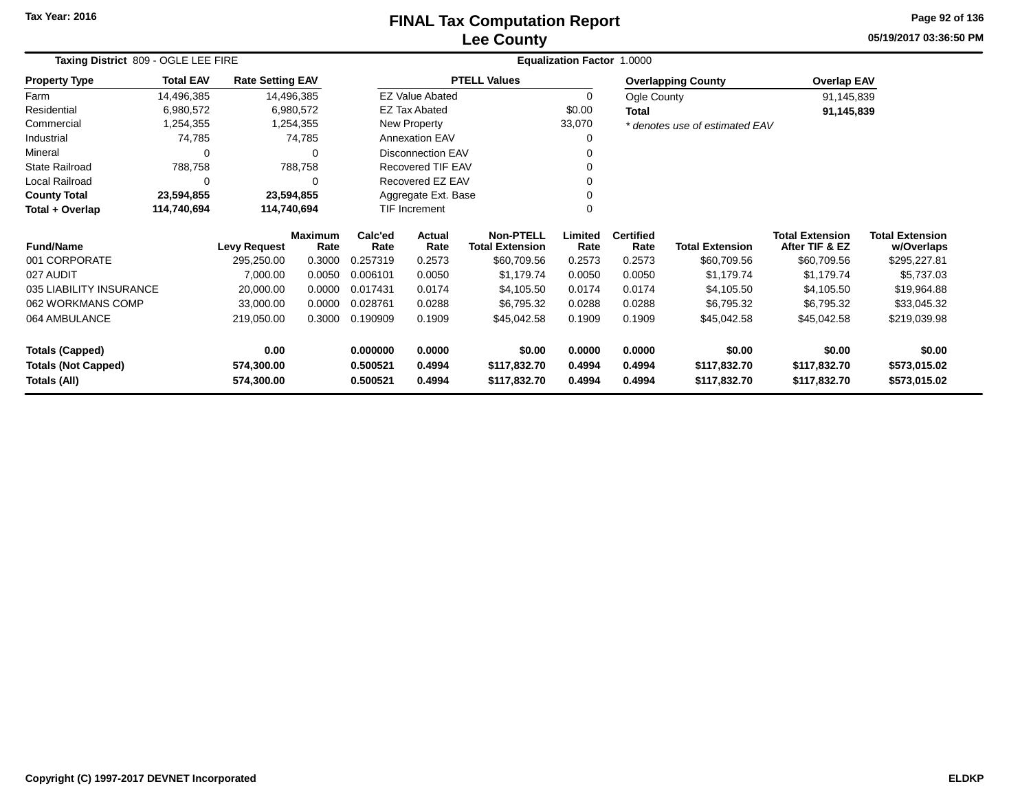#### **Lee CountyFINAL Tax Computation Report** FINAL Tax Computation Report

**05/19/2017 03:36:50 PMPage 92 of 136**

| Taxing District 809 - OGLE LEE FIRE             | <b>Equalization Factor 1.0000</b> |                         |                        |                     |                          |                                            |                 |                          |                                |                                          |                                      |
|-------------------------------------------------|-----------------------------------|-------------------------|------------------------|---------------------|--------------------------|--------------------------------------------|-----------------|--------------------------|--------------------------------|------------------------------------------|--------------------------------------|
| <b>Property Type</b>                            | <b>Total EAV</b>                  | <b>Rate Setting EAV</b> |                        |                     |                          | <b>PTELL Values</b>                        |                 |                          | <b>Overlapping County</b>      | <b>Overlap EAV</b>                       |                                      |
| Farm                                            | 14,496,385                        |                         | 14,496,385             |                     | <b>EZ Value Abated</b>   |                                            | 0               | Ogle County              |                                | 91,145,839                               |                                      |
| Residential                                     | 6,980,572                         |                         | 6,980,572              |                     | EZ Tax Abated            |                                            | \$0.00          | Total                    |                                | 91,145,839                               |                                      |
| Commercial                                      | 1,254,355                         |                         | 1,254,355              |                     | New Property             |                                            | 33,070          |                          | * denotes use of estimated EAV |                                          |                                      |
| Industrial                                      | 74,785                            |                         | 74,785                 |                     | <b>Annexation EAV</b>    |                                            | 0               |                          |                                |                                          |                                      |
| Mineral                                         | $\Omega$                          |                         | ∩                      |                     | <b>Disconnection EAV</b> |                                            |                 |                          |                                |                                          |                                      |
| <b>State Railroad</b>                           | 788,758                           |                         | 788,758                |                     | Recovered TIF EAV<br>ŋ   |                                            |                 |                          |                                |                                          |                                      |
| Local Railroad<br>$\Omega$<br>$\Omega$          |                                   |                         |                        | Recovered EZ EAV    |                          | ი                                          |                 |                          |                                |                                          |                                      |
| <b>County Total</b><br>23,594,855<br>23,594,855 |                                   |                         |                        | Aggregate Ext. Base |                          |                                            |                 |                          |                                |                                          |                                      |
| Total + Overlap<br>114,740,694<br>114,740,694   |                                   |                         |                        |                     | TIF Increment            |                                            | 0               |                          |                                |                                          |                                      |
| <b>Fund/Name</b>                                |                                   | <b>Levy Request</b>     | <b>Maximum</b><br>Rate | Calc'ed<br>Rate     | Actual<br>Rate           | <b>Non-PTELL</b><br><b>Total Extension</b> | Limited<br>Rate | <b>Certified</b><br>Rate | <b>Total Extension</b>         | <b>Total Extension</b><br>After TIF & EZ | <b>Total Extension</b><br>w/Overlaps |
| 001 CORPORATE                                   |                                   | 295,250.00              | 0.3000                 | 0.257319            | 0.2573                   | \$60,709.56                                | 0.2573          | 0.2573                   | \$60,709.56                    | \$60,709.56                              | \$295,227.81                         |
| 027 AUDIT                                       |                                   | 7,000.00                | 0.0050                 | 0.006101            | 0.0050                   | \$1,179.74                                 | 0.0050          | 0.0050                   | \$1,179.74                     | \$1,179.74                               | \$5,737.03                           |
| 035 LIABILITY INSURANCE                         |                                   | 20,000.00               | 0.0000                 | 0.017431            | 0.0174                   | \$4,105.50                                 | 0.0174          | 0.0174                   | \$4,105.50                     | \$4,105.50                               | \$19,964.88                          |
| 062 WORKMANS COMP                               |                                   | 33,000.00               | 0.0000                 | 0.028761            | 0.0288                   | \$6,795.32                                 | 0.0288          | 0.0288                   | \$6,795.32                     | \$6,795.32                               | \$33,045.32                          |
| 064 AMBULANCE                                   |                                   | 219,050.00              | 0.3000                 | 0.190909            | 0.1909                   | \$45,042.58                                | 0.1909          | 0.1909                   | \$45,042.58                    | \$45,042.58                              | \$219,039.98                         |
| <b>Totals (Capped)</b>                          |                                   | 0.00                    |                        | 0.000000            | 0.0000                   | \$0.00                                     | 0.0000          | 0.0000                   | \$0.00                         | \$0.00                                   | \$0.00                               |
| <b>Totals (Not Capped)</b>                      |                                   | 574,300.00              |                        | 0.500521            | 0.4994                   | \$117,832.70                               | 0.4994          | 0.4994                   | \$117,832.70                   | \$117,832.70                             | \$573,015.02                         |
| Totals (All)                                    |                                   | 574,300.00              |                        | 0.500521            | 0.4994                   | \$117,832.70                               | 0.4994          | 0.4994                   | \$117,832.70                   | \$117,832.70                             | \$573,015.02                         |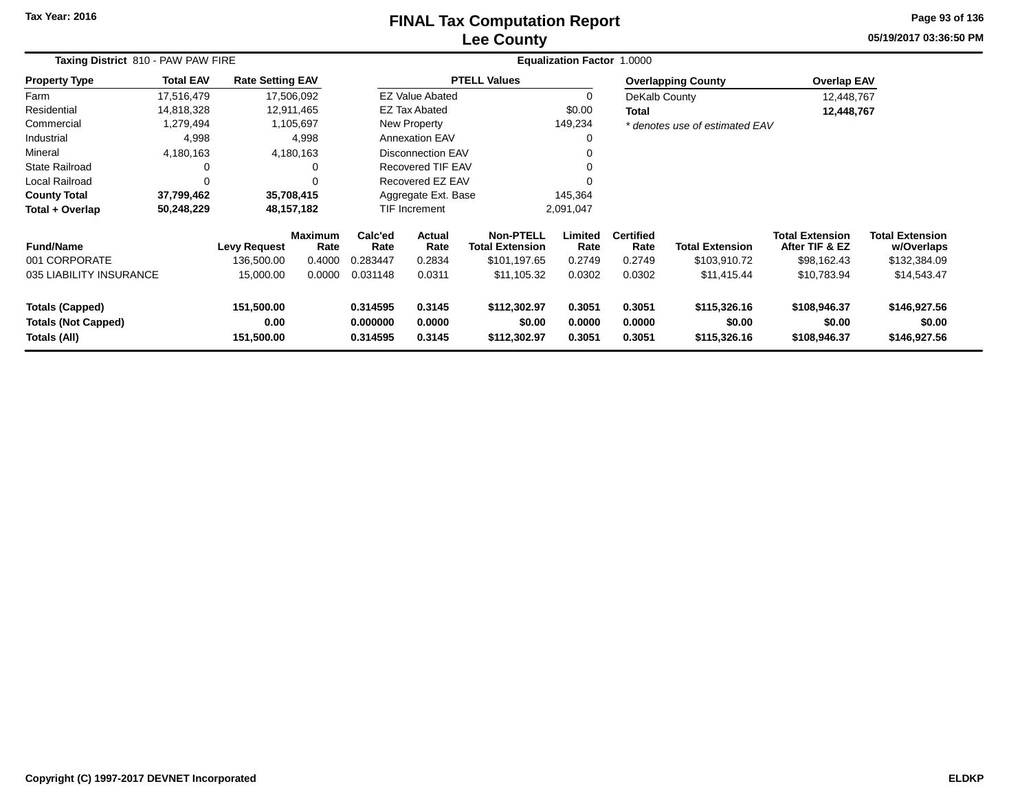## **Lee CountyFINAL Tax Computation Report**

**05/19/2017 03:36:50 PM Page 93 of 136**

| Taxing District 810 - PAW PAW FIRE                                   |                  | <b>Equalization Factor 1.0000</b> |                        |                                  |                                |                                            |                            |                            |                                        |                                          |                                        |  |
|----------------------------------------------------------------------|------------------|-----------------------------------|------------------------|----------------------------------|--------------------------------|--------------------------------------------|----------------------------|----------------------------|----------------------------------------|------------------------------------------|----------------------------------------|--|
| <b>Property Type</b>                                                 | <b>Total EAV</b> | <b>Rate Setting EAV</b>           |                        |                                  |                                | <b>PTELL Values</b>                        |                            |                            | <b>Overlapping County</b>              | <b>Overlap EAV</b>                       |                                        |  |
| Farm                                                                 | 17,516,479       |                                   | 17,506,092             |                                  | <b>EZ Value Abated</b>         |                                            | 0                          | DeKalb County              |                                        | 12,448,767                               |                                        |  |
| Residential                                                          | 14,818,328       |                                   | 12,911,465             |                                  | <b>EZ Tax Abated</b>           |                                            | \$0.00                     | Total                      |                                        | 12,448,767                               |                                        |  |
| Commercial                                                           | 1,279,494        |                                   | 1,105,697              |                                  | <b>New Property</b>            |                                            | 149,234                    |                            | * denotes use of estimated EAV         |                                          |                                        |  |
| Industrial                                                           | 4,998            |                                   | 4,998                  |                                  | <b>Annexation EAV</b>          |                                            | 0                          |                            |                                        |                                          |                                        |  |
| Mineral                                                              | 4,180,163        |                                   | 4,180,163              |                                  | <b>Disconnection EAV</b>       |                                            | 0                          |                            |                                        |                                          |                                        |  |
| State Railroad                                                       | 0                |                                   |                        |                                  | <b>Recovered TIF EAV</b>       |                                            | 0                          |                            |                                        |                                          |                                        |  |
| Local Railroad                                                       | $\Omega$         |                                   |                        |                                  | Recovered EZ EAV               |                                            | $\Omega$                   |                            |                                        |                                          |                                        |  |
| <b>County Total</b>                                                  | 37,799,462       |                                   | 35,708,415             |                                  | 145,364<br>Aggregate Ext. Base |                                            |                            |                            |                                        |                                          |                                        |  |
| Total + Overlap                                                      | 50,248,229       |                                   | 48, 157, 182           |                                  | TIF Increment                  |                                            | 2,091,047                  |                            |                                        |                                          |                                        |  |
| <b>Fund/Name</b>                                                     |                  | <b>Levy Request</b>               | <b>Maximum</b><br>Rate | Calc'ed<br>Rate                  | Actual<br>Rate                 | <b>Non-PTELL</b><br><b>Total Extension</b> | Limited<br>Rate            | <b>Certified</b><br>Rate   | <b>Total Extension</b>                 | <b>Total Extension</b><br>After TIF & EZ | <b>Total Extension</b><br>w/Overlaps   |  |
| 001 CORPORATE                                                        |                  | 136,500.00                        | 0.4000                 | 0.283447                         | 0.2834                         | \$101,197.65                               | 0.2749                     | 0.2749                     | \$103,910.72                           | \$98,162.43                              | \$132,384.09                           |  |
| 035 LIABILITY INSURANCE                                              |                  | 15,000.00                         | 0.0000                 | 0.031148                         | 0.0311                         | \$11,105.32                                | 0.0302                     | 0.0302                     | \$11,415.44                            | \$10,783.94                              | \$14,543.47                            |  |
| <b>Totals (Capped)</b><br><b>Totals (Not Capped)</b><br>Totals (All) |                  | 151,500.00<br>0.00<br>151,500.00  |                        | 0.314595<br>0.000000<br>0.314595 | 0.3145<br>0.0000<br>0.3145     | \$112,302.97<br>\$0.00<br>\$112,302.97     | 0.3051<br>0.0000<br>0.3051 | 0.3051<br>0.0000<br>0.3051 | \$115,326.16<br>\$0.00<br>\$115,326.16 | \$108,946.37<br>\$0.00<br>\$108,946.37   | \$146,927.56<br>\$0.00<br>\$146,927.56 |  |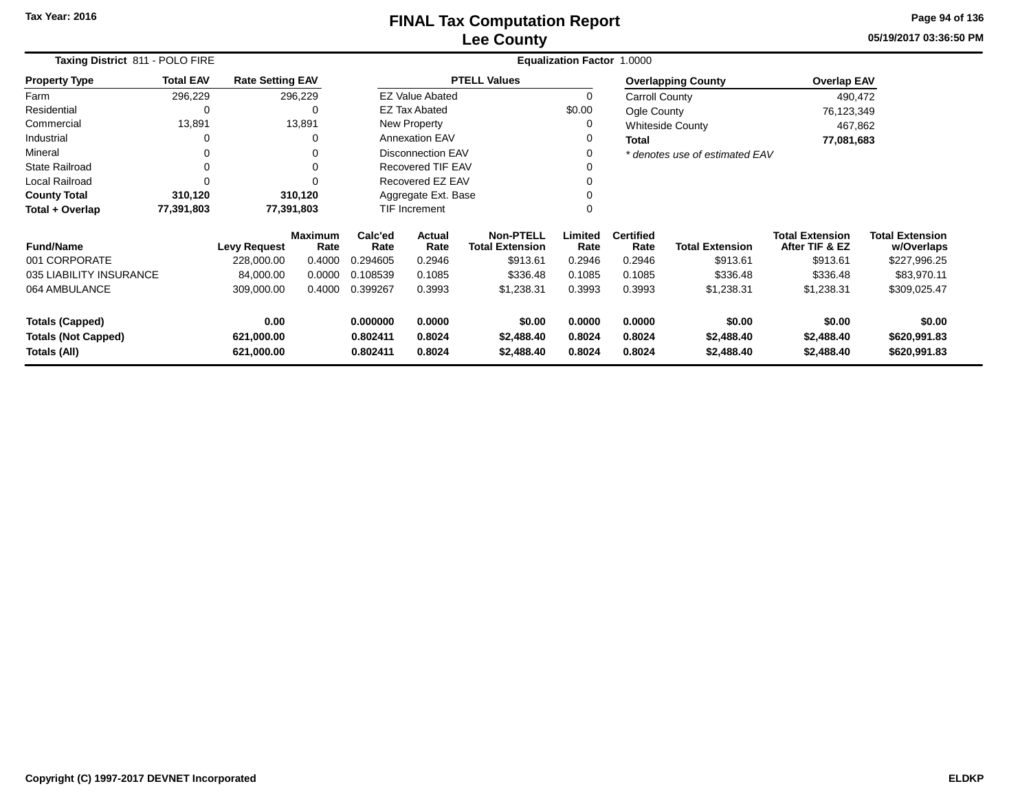#### **Lee CountyFINAL Tax Computation Report** FINAL Tax Computation Report

**05/19/2017 03:36:50 PMPage 94 of 136**

| Taxing District 811 - POLO FIRE                                        |                  |                         | Equalization Factor 1.0000 |                     |                          |                                            |                  |                          |                                |                                          |                                      |  |
|------------------------------------------------------------------------|------------------|-------------------------|----------------------------|---------------------|--------------------------|--------------------------------------------|------------------|--------------------------|--------------------------------|------------------------------------------|--------------------------------------|--|
| <b>Property Type</b>                                                   | <b>Total EAV</b> | <b>Rate Setting EAV</b> |                            |                     |                          | <b>PTELL Values</b>                        |                  |                          | <b>Overlapping County</b>      | <b>Overlap EAV</b>                       |                                      |  |
| Farm                                                                   | 296,229          |                         | 296,229                    |                     | <b>EZ Value Abated</b>   |                                            | 0                | Carroll County           |                                | 490,472                                  |                                      |  |
| Residential                                                            | 0                |                         | 0                          |                     | <b>EZ Tax Abated</b>     |                                            | \$0.00           | Ogle County              |                                | 76,123,349                               |                                      |  |
| Commercial                                                             | 13,891           |                         | 13,891                     |                     | New Property             |                                            | 0                |                          | <b>Whiteside County</b>        | 467,862                                  |                                      |  |
| Industrial                                                             | 0                |                         | 0                          |                     | <b>Annexation EAV</b>    |                                            | 0                | <b>Total</b>             |                                | 77,081,683                               |                                      |  |
| Mineral                                                                | 0                |                         | 0                          |                     | <b>Disconnection EAV</b> |                                            |                  |                          | * denotes use of estimated EAV |                                          |                                      |  |
| <b>State Railroad</b>                                                  | $\Omega$         |                         |                            |                     | <b>Recovered TIF EAV</b> |                                            |                  |                          |                                |                                          |                                      |  |
| <b>Local Railroad</b>                                                  | $\Omega$         |                         |                            |                     | Recovered EZ EAV         |                                            |                  |                          |                                |                                          |                                      |  |
| <b>County Total</b>                                                    | 310,120          |                         | 310,120                    | Aggregate Ext. Base |                          |                                            | $\Omega$         |                          |                                |                                          |                                      |  |
| Total + Overlap                                                        | 77,391,803       |                         | 77,391,803                 |                     | <b>TIF Increment</b>     |                                            |                  |                          |                                |                                          |                                      |  |
| <b>Fund/Name</b>                                                       |                  | <b>Levy Request</b>     | <b>Maximum</b><br>Rate     | Calc'ed<br>Rate     | <b>Actual</b><br>Rate    | <b>Non-PTELL</b><br><b>Total Extension</b> | Limited<br>Rate  | <b>Certified</b><br>Rate | <b>Total Extension</b>         | <b>Total Extension</b><br>After TIF & EZ | <b>Total Extension</b><br>w/Overlaps |  |
| 001 CORPORATE                                                          |                  | 228,000.00              | 0.4000                     | 0.294605            | 0.2946                   | \$913.61                                   | 0.2946           | 0.2946                   | \$913.61                       | \$913.61                                 | \$227,996.25                         |  |
| 035 LIABILITY INSURANCE                                                |                  | 84,000.00               | 0.0000                     | 0.108539            | 0.1085                   | \$336.48                                   | 0.1085           | 0.1085                   | \$336.48                       | \$336.48                                 | \$83,970.11                          |  |
| 064 AMBULANCE                                                          |                  | 309,000.00              | 0.4000                     | 0.399267            | 0.3993                   | \$1,238.31                                 | 0.3993           | 0.3993                   | \$1,238.31                     | \$1,238.31                               | \$309,025.47                         |  |
| <b>Totals (Capped)</b>                                                 |                  | 0.00                    |                            | 0.000000            | 0.0000                   | \$0.00                                     | 0.0000           | 0.0000                   | \$0.00                         | \$0.00                                   | \$0.00                               |  |
| <b>Totals (Not Capped)</b><br>621,000.00<br>Totals (All)<br>621,000.00 |                  |                         | 0.802411<br>0.802411       | 0.8024<br>0.8024    | \$2,488.40<br>\$2,488.40 | 0.8024<br>0.8024                           | 0.8024<br>0.8024 | \$2,488.40<br>\$2,488.40 | \$2,488.40<br>\$2,488.40       | \$620,991.83<br>\$620,991.83             |                                      |  |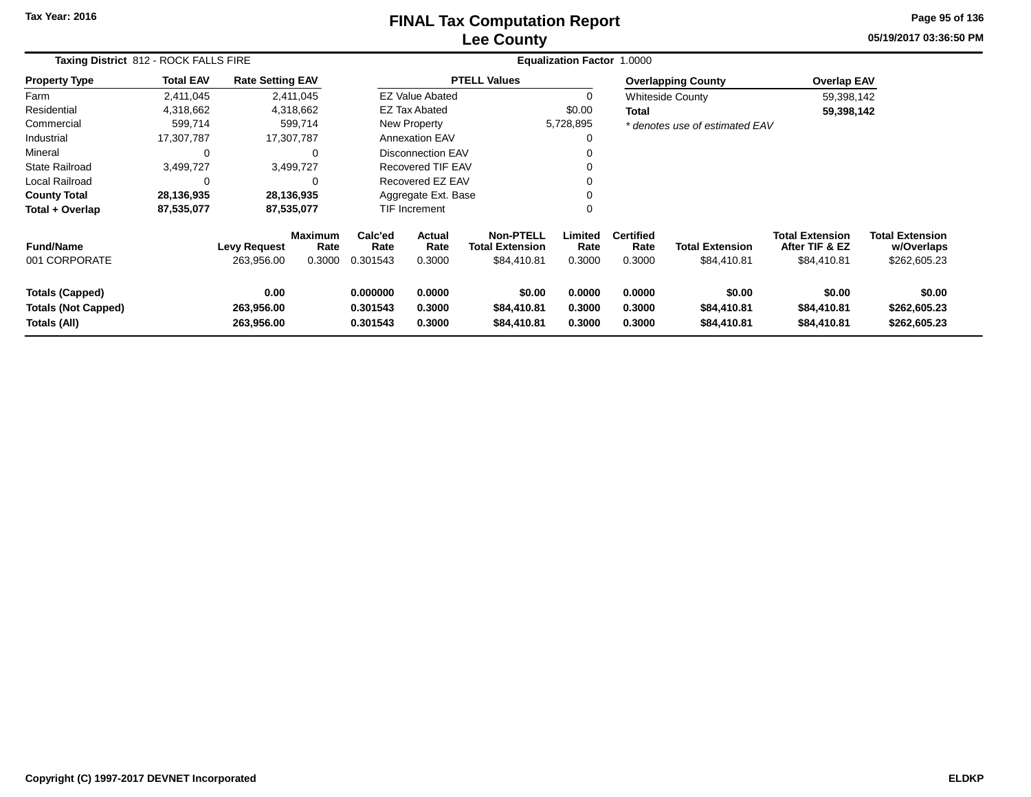### **Lee CountyFINAL Tax Computation Report**

**05/19/2017 03:36:50 PM Page 95 of 136**

| Taxing District 812 - ROCK FALLS FIRE                                |                  |                                   |                                  |                                  |                                 |                                                           | <b>Equalization Factor 1.0000</b> |                                    |                                       |                                                         |                                                      |
|----------------------------------------------------------------------|------------------|-----------------------------------|----------------------------------|----------------------------------|---------------------------------|-----------------------------------------------------------|-----------------------------------|------------------------------------|---------------------------------------|---------------------------------------------------------|------------------------------------------------------|
| <b>Property Type</b>                                                 | <b>Total EAV</b> | <b>Rate Setting EAV</b>           |                                  |                                  |                                 | <b>PTELL Values</b>                                       |                                   |                                    | <b>Overlapping County</b>             | <b>Overlap EAV</b>                                      |                                                      |
| Farm                                                                 | 2,411,045        |                                   | 2,411,045                        |                                  | <b>EZ Value Abated</b>          |                                                           | 0                                 |                                    | <b>Whiteside County</b>               | 59,398,142                                              |                                                      |
| Residential                                                          | 4,318,662        | 4,318,662                         |                                  |                                  | <b>EZ Tax Abated</b>            |                                                           | \$0.00<br>Total                   |                                    | 59,398,142                            |                                                         |                                                      |
| Commercial                                                           | 599,714          |                                   | 599,714                          |                                  | New Property                    |                                                           | 5,728,895                         |                                    | * denotes use of estimated EAV        |                                                         |                                                      |
| Industrial                                                           | 17,307,787       | 17,307,787                        |                                  |                                  | <b>Annexation EAV</b>           |                                                           | 0                                 |                                    |                                       |                                                         |                                                      |
| Mineral                                                              | $\Omega$         |                                   | 0                                |                                  | <b>Disconnection EAV</b>        |                                                           | 0                                 |                                    |                                       |                                                         |                                                      |
| <b>State Railroad</b>                                                | 3,499,727        | 3,499,727                         |                                  |                                  | <b>Recovered TIF EAV</b>        |                                                           |                                   |                                    |                                       |                                                         |                                                      |
| Local Railroad                                                       | 0                |                                   | 0                                |                                  | Recovered EZ EAV                |                                                           | 0                                 |                                    |                                       |                                                         |                                                      |
| <b>County Total</b>                                                  | 28,136,935       | 28,136,935                        |                                  |                                  | Aggregate Ext. Base             |                                                           | 0                                 |                                    |                                       |                                                         |                                                      |
| Total + Overlap                                                      | 87,535,077       | 87,535,077                        |                                  |                                  | <b>TIF Increment</b>            |                                                           | 0                                 |                                    |                                       |                                                         |                                                      |
| <b>Fund/Name</b><br>001 CORPORATE                                    |                  | <b>Levy Request</b><br>263,956.00 | <b>Maximum</b><br>Rate<br>0.3000 | Calc'ed<br>Rate<br>0.301543      | <b>Actual</b><br>Rate<br>0.3000 | <b>Non-PTELL</b><br><b>Total Extension</b><br>\$84,410.81 | Limited<br>Rate<br>0.3000         | <b>Certified</b><br>Rate<br>0.3000 | <b>Total Extension</b><br>\$84,410.81 | <b>Total Extension</b><br>After TIF & EZ<br>\$84,410.81 | <b>Total Extension</b><br>w/Overlaps<br>\$262,605.23 |
| <b>Totals (Capped)</b><br><b>Totals (Not Capped)</b><br>Totals (All) |                  | 0.00<br>263,956.00<br>263,956.00  |                                  | 0.000000<br>0.301543<br>0.301543 | 0.0000<br>0.3000<br>0.3000      | \$0.00<br>\$84,410.81<br>\$84,410.81                      | 0.0000<br>0.3000<br>0.3000        | 0.0000<br>0.3000<br>0.3000         | \$0.00<br>\$84,410.81<br>\$84,410.81  | \$0.00<br>\$84,410.81<br>\$84,410.81                    | \$0.00<br>\$262,605.23<br>\$262,605.23               |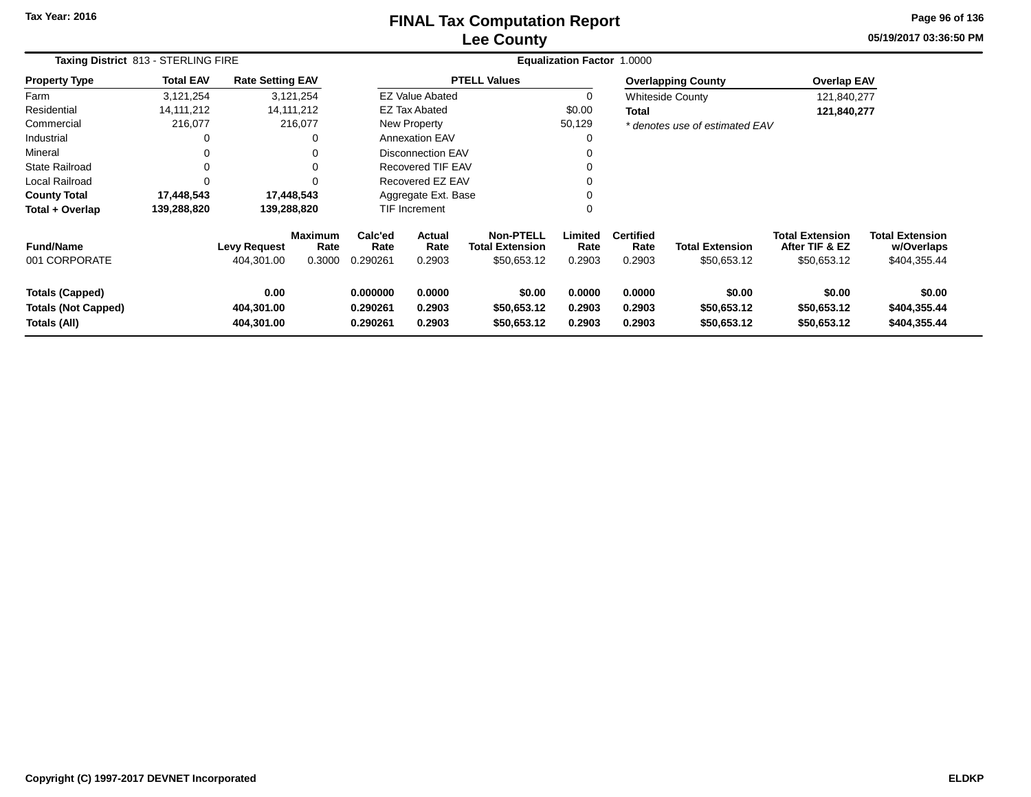### **Lee CountyFINAL Tax Computation Report**

**05/19/2017 03:36:50 PM Page 96 of 136**

|                                                                      | Taxing District 813 - STERLING FIRE |                                   |                                  |                                  |                            |                                                           | <b>Equalization Factor 1.0000</b> |                                    |                                       |                                                         |                                                      |
|----------------------------------------------------------------------|-------------------------------------|-----------------------------------|----------------------------------|----------------------------------|----------------------------|-----------------------------------------------------------|-----------------------------------|------------------------------------|---------------------------------------|---------------------------------------------------------|------------------------------------------------------|
| <b>Property Type</b>                                                 | <b>Total EAV</b>                    | <b>Rate Setting EAV</b>           |                                  |                                  |                            | <b>PTELL Values</b>                                       |                                   |                                    | <b>Overlapping County</b>             | <b>Overlap EAV</b>                                      |                                                      |
| Farm                                                                 | 3,121,254                           |                                   | 3,121,254                        |                                  | EZ Value Abated            |                                                           | $\mathbf 0$                       |                                    | <b>Whiteside County</b>               | 121,840,277                                             |                                                      |
| Residential                                                          | 14, 111, 212                        |                                   | 14, 111, 212                     |                                  | <b>EZ Tax Abated</b>       |                                                           | \$0.00                            | Total                              |                                       | 121,840,277                                             |                                                      |
| Commercial                                                           | 216,077                             |                                   | 216,077                          |                                  | New Property               |                                                           | 50,129                            |                                    | * denotes use of estimated EAV        |                                                         |                                                      |
| Industrial                                                           |                                     |                                   |                                  |                                  | <b>Annexation EAV</b>      |                                                           |                                   |                                    |                                       |                                                         |                                                      |
| Mineral                                                              |                                     |                                   |                                  |                                  | <b>Disconnection EAV</b>   |                                                           |                                   |                                    |                                       |                                                         |                                                      |
| State Railroad                                                       |                                     |                                   |                                  |                                  | <b>Recovered TIF EAV</b>   |                                                           |                                   |                                    |                                       |                                                         |                                                      |
| Local Railroad                                                       |                                     |                                   |                                  |                                  | Recovered EZ EAV           |                                                           |                                   |                                    |                                       |                                                         |                                                      |
| <b>County Total</b>                                                  | 17,448,543                          |                                   | 17,448,543                       |                                  | Aggregate Ext. Base        |                                                           |                                   |                                    |                                       |                                                         |                                                      |
| Total + Overlap                                                      | 139,288,820                         |                                   | 139,288,820                      |                                  | TIF Increment              |                                                           | $\Omega$                          |                                    |                                       |                                                         |                                                      |
| <b>Fund/Name</b><br>001 CORPORATE                                    |                                     | <b>Levy Request</b><br>404,301.00 | <b>Maximum</b><br>Rate<br>0.3000 | Calc'ed<br>Rate<br>0.290261      | Actual<br>Rate<br>0.2903   | <b>Non-PTELL</b><br><b>Total Extension</b><br>\$50,653.12 | Limited<br>Rate<br>0.2903         | <b>Certified</b><br>Rate<br>0.2903 | <b>Total Extension</b><br>\$50,653.12 | <b>Total Extension</b><br>After TIF & EZ<br>\$50,653.12 | <b>Total Extension</b><br>w/Overlaps<br>\$404,355.44 |
| <b>Totals (Capped)</b><br><b>Totals (Not Capped)</b><br>Totals (All) |                                     | 0.00<br>404,301.00<br>404,301.00  |                                  | 0.000000<br>0.290261<br>0.290261 | 0.0000<br>0.2903<br>0.2903 | \$0.00<br>\$50,653.12<br>\$50,653.12                      | 0.0000<br>0.2903<br>0.2903        | 0.0000<br>0.2903<br>0.2903         | \$0.00<br>\$50,653.12<br>\$50,653.12  | \$0.00<br>\$50,653.12<br>\$50,653.12                    | \$0.00<br>\$404,355.44<br>\$404,355.44               |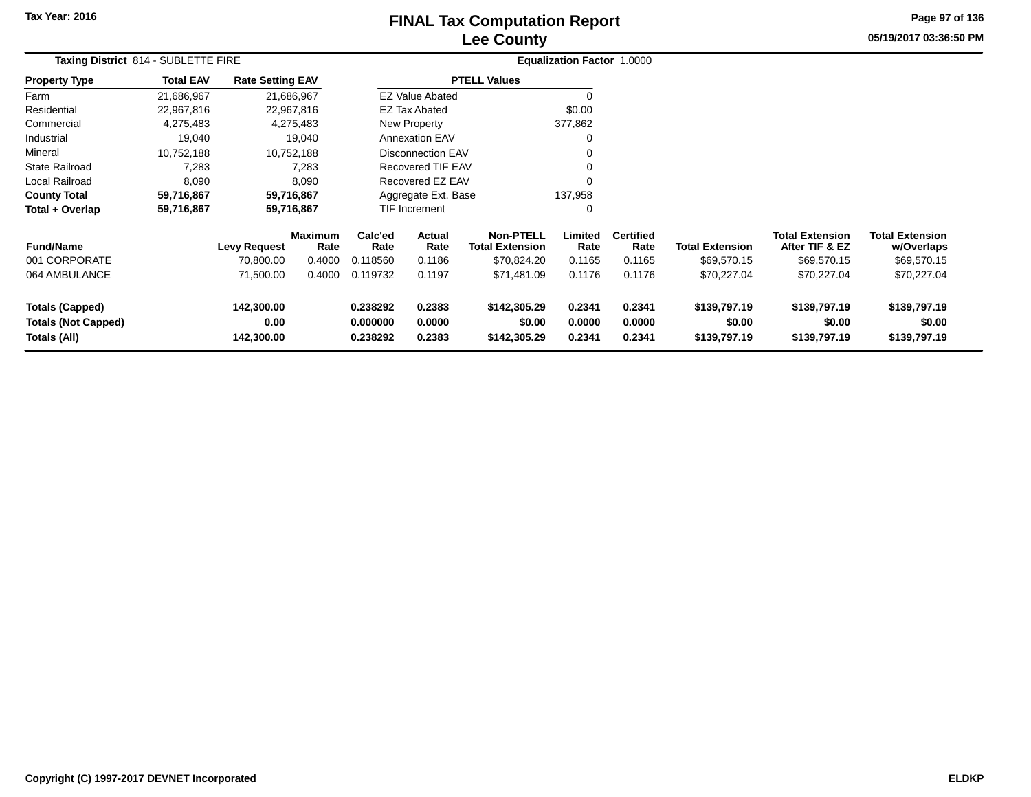## **Lee CountyFINAL Tax Computation Report** FINAL Tax Computation Report

**05/19/2017 03:36:50 PM Page 97 of 136**

| Taxing District 814 - SUBLETTE FIRE                                  |                  |                                  |                        |                                                                |                          |                                            | <b>Equalization Factor 1.0000</b> |                            |                                        |                                          |                                        |  |
|----------------------------------------------------------------------|------------------|----------------------------------|------------------------|----------------------------------------------------------------|--------------------------|--------------------------------------------|-----------------------------------|----------------------------|----------------------------------------|------------------------------------------|----------------------------------------|--|
| <b>Property Type</b>                                                 | <b>Total EAV</b> | <b>Rate Setting EAV</b>          |                        |                                                                |                          | <b>PTELL Values</b>                        |                                   |                            |                                        |                                          |                                        |  |
| Farm                                                                 | 21,686,967       |                                  | 21,686,967             |                                                                | <b>EZ Value Abated</b>   |                                            |                                   |                            |                                        |                                          |                                        |  |
| Residential                                                          | 22,967,816       |                                  | 22,967,816             |                                                                | EZ Tax Abated            |                                            | \$0.00                            |                            |                                        |                                          |                                        |  |
| Commercial                                                           | 4,275,483        |                                  | 4,275,483              |                                                                | New Property             |                                            | 377,862                           |                            |                                        |                                          |                                        |  |
| Industrial                                                           | 19,040           |                                  | 19,040                 |                                                                | <b>Annexation EAV</b>    |                                            |                                   |                            |                                        |                                          |                                        |  |
| Mineral                                                              | 10,752,188       |                                  | 10,752,188             |                                                                | <b>Disconnection EAV</b> |                                            |                                   |                            |                                        |                                          |                                        |  |
| <b>State Railroad</b>                                                | 7,283            |                                  | 7,283                  |                                                                | <b>Recovered TIF EAV</b> |                                            |                                   |                            |                                        |                                          |                                        |  |
| Local Railroad                                                       | 8,090            |                                  | 8,090                  |                                                                | Recovered EZ EAV         |                                            |                                   |                            |                                        |                                          |                                        |  |
| <b>County Total</b>                                                  | 59,716,867       |                                  | 59,716,867             |                                                                | Aggregate Ext. Base      |                                            | 137,958                           |                            |                                        |                                          |                                        |  |
| Total + Overlap                                                      | 59,716,867       |                                  | 59,716,867             |                                                                | TIF Increment            |                                            | $\Omega$                          |                            |                                        |                                          |                                        |  |
| <b>Fund/Name</b>                                                     |                  | <b>Levy Request</b>              | <b>Maximum</b><br>Rate | Calc'ed<br>Rate                                                | Actual<br>Rate           | <b>Non-PTELL</b><br><b>Total Extension</b> | Limited<br>Rate                   | <b>Certified</b><br>Rate   | <b>Total Extension</b>                 | <b>Total Extension</b><br>After TIF & EZ | <b>Total Extension</b><br>w/Overlaps   |  |
| 001 CORPORATE                                                        |                  | 70,800.00                        | 0.4000                 | 0.118560                                                       | 0.1186                   | \$70,824.20                                | 0.1165                            | 0.1165                     | \$69,570.15                            | \$69,570.15                              | \$69,570.15                            |  |
| 064 AMBULANCE                                                        |                  | 71,500.00                        | 0.4000                 | 0.119732                                                       | 0.1197                   | \$71,481.09                                | 0.1176                            | 0.1176                     | \$70,227.04                            | \$70,227.04                              | \$70,227.04                            |  |
| <b>Totals (Capped)</b><br><b>Totals (Not Capped)</b><br>Totals (All) |                  | 142,300.00<br>0.00<br>142,300.00 |                        | 0.238292<br>0.2383<br>0.0000<br>0.000000<br>0.2383<br>0.238292 |                          | \$142,305.29<br>\$0.00<br>\$142,305.29     | 0.2341<br>0.0000<br>0.2341        | 0.2341<br>0.0000<br>0.2341 | \$139,797.19<br>\$0.00<br>\$139,797.19 | \$139,797.19<br>\$0.00<br>\$139,797.19   | \$139,797.19<br>\$0.00<br>\$139,797.19 |  |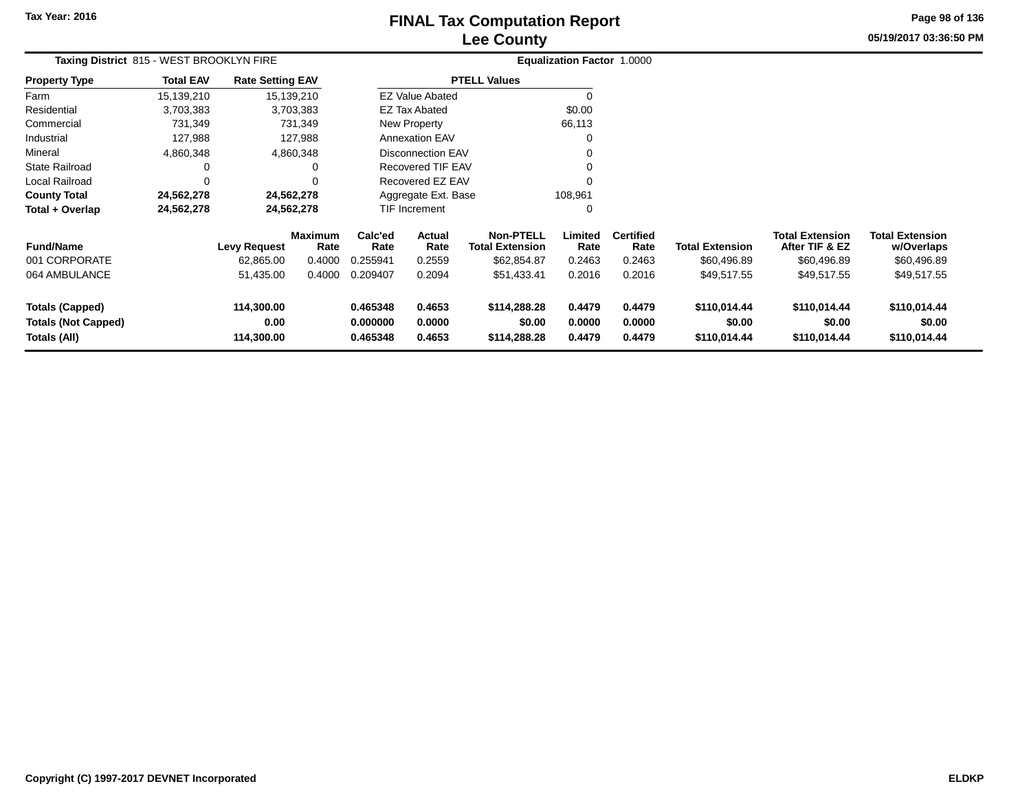# **Lee CountyFINAL Tax Computation Report**

**05/19/2017 03:36:50 PM Page 98 of 136**

| Taxing District 815 - WEST BROOKLYN FIRE                             |                  |                                  |                        |                                                                |                          |                                            | Equalization Factor 1.0000 |                            |                                        |                                          |                                        |  |
|----------------------------------------------------------------------|------------------|----------------------------------|------------------------|----------------------------------------------------------------|--------------------------|--------------------------------------------|----------------------------|----------------------------|----------------------------------------|------------------------------------------|----------------------------------------|--|
| <b>Property Type</b>                                                 | <b>Total EAV</b> | <b>Rate Setting EAV</b>          |                        |                                                                |                          | <b>PTELL Values</b>                        |                            |                            |                                        |                                          |                                        |  |
| Farm                                                                 | 15,139,210       | 15,139,210                       |                        |                                                                | <b>EZ Value Abated</b>   |                                            | -0                         |                            |                                        |                                          |                                        |  |
| Residential                                                          | 3,703,383        |                                  | 3,703,383              |                                                                | <b>EZ Tax Abated</b>     |                                            | \$0.00                     |                            |                                        |                                          |                                        |  |
| Commercial                                                           | 731,349          |                                  | 731,349                |                                                                | New Property             |                                            | 66,113                     |                            |                                        |                                          |                                        |  |
| Industrial                                                           | 127,988          |                                  | 127,988                |                                                                | <b>Annexation EAV</b>    |                                            | 0                          |                            |                                        |                                          |                                        |  |
| Mineral                                                              | 4,860,348        |                                  | 4,860,348              |                                                                | <b>Disconnection EAV</b> |                                            | 0                          |                            |                                        |                                          |                                        |  |
| State Railroad                                                       | 0                |                                  | 0                      |                                                                | <b>Recovered TIF EAV</b> |                                            | 0                          |                            |                                        |                                          |                                        |  |
| Local Railroad                                                       | $\Omega$         |                                  | $\Omega$               |                                                                | Recovered EZ EAV         |                                            | $\Omega$                   |                            |                                        |                                          |                                        |  |
| <b>County Total</b>                                                  | 24,562,278       | 24,562,278                       |                        |                                                                | Aggregate Ext. Base      |                                            | 108,961                    |                            |                                        |                                          |                                        |  |
| Total + Overlap                                                      | 24,562,278       | 24,562,278                       |                        |                                                                | <b>TIF Increment</b>     |                                            | 0                          |                            |                                        |                                          |                                        |  |
| <b>Fund/Name</b>                                                     |                  | <b>Levy Request</b>              | <b>Maximum</b><br>Rate | Calc'ed<br>Rate                                                | <b>Actual</b><br>Rate    | <b>Non-PTELL</b><br><b>Total Extension</b> | Limited<br>Rate            | <b>Certified</b><br>Rate   | <b>Total Extension</b>                 | <b>Total Extension</b><br>After TIF & EZ | <b>Total Extension</b><br>w/Overlaps   |  |
| 001 CORPORATE                                                        |                  | 62,865.00                        | 0.4000                 | 0.255941                                                       | 0.2559                   | \$62,854.87                                | 0.2463                     | 0.2463                     | \$60,496.89                            | \$60,496.89                              | \$60,496.89                            |  |
| 064 AMBULANCE                                                        |                  | 51,435.00                        | 0.4000                 | 0.209407                                                       | 0.2094                   | \$51,433.41                                | 0.2016                     | 0.2016                     | \$49,517.55                            | \$49,517.55                              | \$49,517.55                            |  |
| <b>Totals (Capped)</b><br><b>Totals (Not Capped)</b><br>Totals (All) |                  | 114,300.00<br>0.00<br>114,300.00 |                        | 0.465348<br>0.4653<br>0.000000<br>0.0000<br>0.465348<br>0.4653 |                          | \$114,288.28<br>\$0.00<br>\$114,288.28     | 0.4479<br>0.0000<br>0.4479 | 0.4479<br>0.0000<br>0.4479 | \$110,014.44<br>\$0.00<br>\$110,014.44 | \$110,014.44<br>\$0.00<br>\$110,014.44   | \$110,014.44<br>\$0.00<br>\$110,014.44 |  |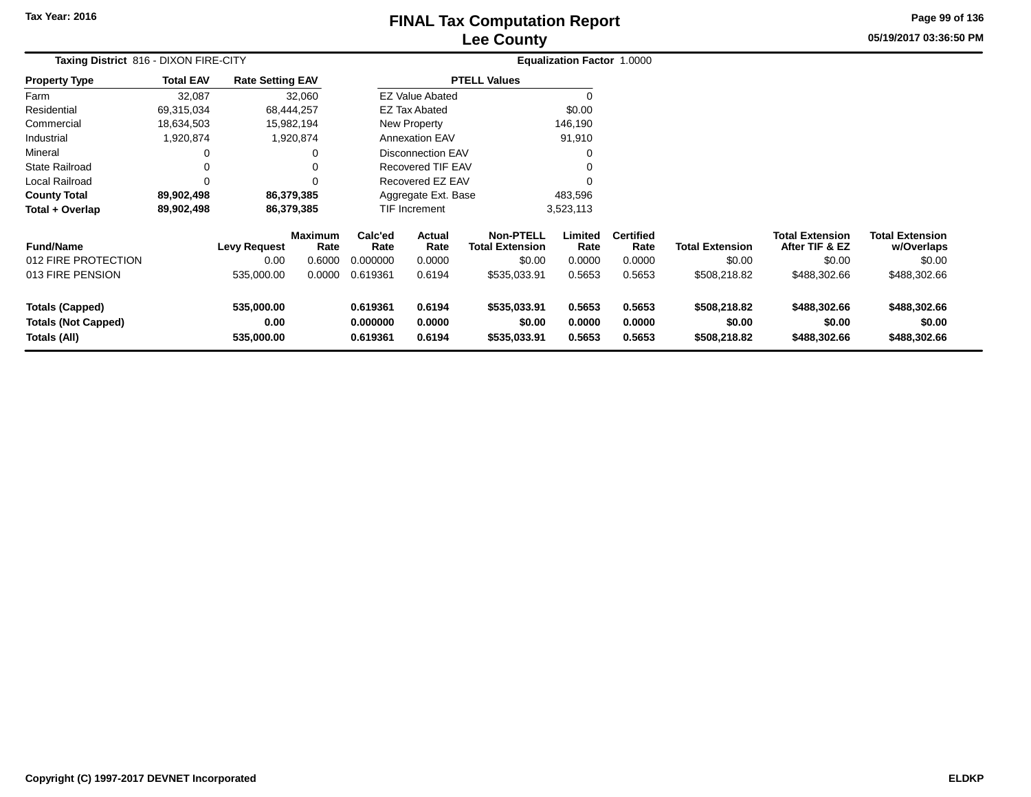# **Lee CountyFINAL Tax Computation Report** FINAL Tax Computation Report

**05/19/2017 03:36:50 PM Page 99 of 136**

|                                                                      | Taxing District 816 - DIXON FIRE-CITY |                                  |                        |                                                                |                          |                                            | Equalization Factor 1.0000 |                            |                                        |                                          |                                        |
|----------------------------------------------------------------------|---------------------------------------|----------------------------------|------------------------|----------------------------------------------------------------|--------------------------|--------------------------------------------|----------------------------|----------------------------|----------------------------------------|------------------------------------------|----------------------------------------|
| <b>Property Type</b>                                                 | <b>Total EAV</b>                      | <b>Rate Setting EAV</b>          |                        |                                                                |                          | <b>PTELL Values</b>                        |                            |                            |                                        |                                          |                                        |
| Farm                                                                 | 32,087                                |                                  | 32,060                 |                                                                | <b>EZ Value Abated</b>   |                                            | $\Omega$                   |                            |                                        |                                          |                                        |
| Residential                                                          | 69,315,034                            |                                  | 68,444,257             |                                                                | EZ Tax Abated            |                                            | \$0.00                     |                            |                                        |                                          |                                        |
| Commercial                                                           | 18,634,503                            |                                  | 15,982,194             |                                                                | New Property             |                                            | 146,190                    |                            |                                        |                                          |                                        |
| Industrial                                                           | 1,920,874                             |                                  | 1,920,874              |                                                                | <b>Annexation EAV</b>    |                                            | 91,910                     |                            |                                        |                                          |                                        |
| Mineral                                                              | 0                                     |                                  | 0                      |                                                                | <b>Disconnection EAV</b> |                                            | 0                          |                            |                                        |                                          |                                        |
| <b>State Railroad</b>                                                | 0                                     |                                  | 0                      |                                                                | <b>Recovered TIF EAV</b> |                                            |                            |                            |                                        |                                          |                                        |
| Local Railroad                                                       | 0                                     |                                  | $\Omega$               |                                                                | Recovered EZ EAV         |                                            | O                          |                            |                                        |                                          |                                        |
| <b>County Total</b>                                                  | 89,902,498                            |                                  | 86,379,385             |                                                                | Aggregate Ext. Base      |                                            | 483,596                    |                            |                                        |                                          |                                        |
| Total + Overlap                                                      | 89,902,498                            |                                  | 86,379,385             |                                                                | <b>TIF Increment</b>     | 3,523,113                                  |                            |                            |                                        |                                          |                                        |
| <b>Fund/Name</b>                                                     |                                       | <b>Levy Request</b>              | <b>Maximum</b><br>Rate | Calc'ed<br>Rate                                                | Actual<br>Rate           | <b>Non-PTELL</b><br><b>Total Extension</b> | Limited<br>Rate            | <b>Certified</b><br>Rate   | <b>Total Extension</b>                 | <b>Total Extension</b><br>After TIF & EZ | <b>Total Extension</b><br>w/Overlaps   |
| 012 FIRE PROTECTION                                                  |                                       | 0.00                             | 0.6000                 | 0.000000                                                       | 0.0000                   | \$0.00                                     | 0.0000                     | 0.0000                     | \$0.00                                 | \$0.00                                   | \$0.00                                 |
| 013 FIRE PENSION                                                     |                                       | 535,000.00                       | 0.0000                 | 0.619361                                                       | \$535,033.91<br>0.6194   |                                            | 0.5653                     | 0.5653                     | \$508,218.82                           | \$488,302.66                             | \$488,302.66                           |
| <b>Totals (Capped)</b><br><b>Totals (Not Capped)</b><br>Totals (All) |                                       | 535,000.00<br>0.00<br>535,000.00 |                        | 0.619361<br>0.6194<br>0.000000<br>0.0000<br>0.6194<br>0.619361 |                          | \$535,033.91<br>\$0.00<br>\$535,033.91     | 0.5653<br>0.0000<br>0.5653 | 0.5653<br>0.0000<br>0.5653 | \$508,218.82<br>\$0.00<br>\$508,218.82 | \$488,302.66<br>\$0.00<br>\$488,302.66   | \$488,302.66<br>\$0.00<br>\$488,302.66 |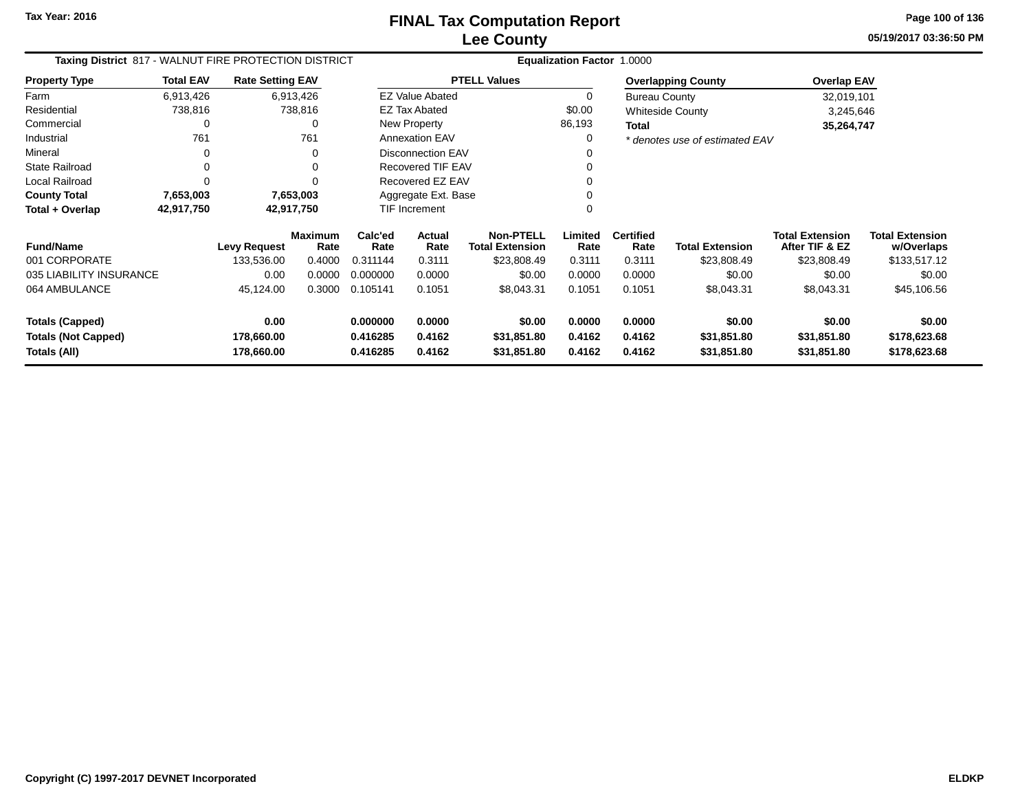# **Lee CountyFINAL Tax Computation Report**

**05/19/2017 03:36:50 PM Page 100 of 136**

| Taxing District 817 - WALNUT FIRE PROTECTION DISTRICT |                  |                          |                        |                      |                        |                                            | Equalization Factor 1.0000 |                          |                                |                                          |                                      |
|-------------------------------------------------------|------------------|--------------------------|------------------------|----------------------|------------------------|--------------------------------------------|----------------------------|--------------------------|--------------------------------|------------------------------------------|--------------------------------------|
| <b>Property Type</b>                                  | <b>Total EAV</b> | <b>Rate Setting EAV</b>  |                        |                      |                        | <b>PTELL Values</b>                        |                            |                          | <b>Overlapping County</b>      | <b>Overlap EAV</b>                       |                                      |
| Farm                                                  | 6,913,426        |                          | 6,913,426              |                      | <b>EZ Value Abated</b> |                                            | 0                          | <b>Bureau County</b>     |                                | 32,019,101                               |                                      |
| Residential                                           | 738,816          |                          | 738,816                |                      | <b>EZ Tax Abated</b>   |                                            | \$0.00                     |                          | <b>Whiteside County</b>        | 3,245,646                                |                                      |
| Commercial                                            | 0                |                          | 0                      |                      | New Property           |                                            | 86,193                     | Total                    |                                | 35,264,747                               |                                      |
| Industrial                                            | 761              |                          | 761                    |                      | <b>Annexation EAV</b>  |                                            | 0                          |                          | * denotes use of estimated EAV |                                          |                                      |
| Mineral                                               | 0                |                          | 0                      |                      | Disconnection EAV      |                                            | 0                          |                          |                                |                                          |                                      |
| <b>State Railroad</b>                                 | 0                |                          |                        |                      | Recovered TIF EAV      |                                            | 0                          |                          |                                |                                          |                                      |
| Local Railroad                                        | $\Omega$         |                          |                        |                      | Recovered EZ EAV       |                                            | 0                          |                          |                                |                                          |                                      |
| <b>County Total</b>                                   | 7,653,003        |                          | 7,653,003              |                      | Aggregate Ext. Base    |                                            | 0                          |                          |                                |                                          |                                      |
| Total + Overlap                                       | 42,917,750       |                          | 42,917,750             |                      | TIF Increment          |                                            | 0                          |                          |                                |                                          |                                      |
| <b>Fund/Name</b>                                      |                  | <b>Levy Request</b>      | <b>Maximum</b><br>Rate | Calc'ed<br>Rate      | Actual<br>Rate         | <b>Non-PTELL</b><br><b>Total Extension</b> | Limited<br>Rate            | <b>Certified</b><br>Rate | <b>Total Extension</b>         | <b>Total Extension</b><br>After TIF & EZ | <b>Total Extension</b><br>w/Overlaps |
| 001 CORPORATE                                         |                  | 133,536.00               | 0.4000                 | 0.311144             | 0.3111                 | \$23,808.49                                | 0.3111                     | 0.3111                   | \$23,808.49                    | \$23,808.49                              | \$133,517.12                         |
| 035 LIABILITY INSURANCE                               |                  | 0.00                     | 0.0000                 | 0.000000             | 0.0000                 | \$0.00                                     | 0.0000                     | 0.0000                   | \$0.00                         | \$0.00                                   | \$0.00                               |
| 064 AMBULANCE                                         |                  | 45,124.00                | 0.3000                 | 0.105141             | 0.1051                 | \$8,043.31                                 | 0.1051                     | 0.1051                   | \$8,043.31                     | \$8,043.31                               | \$45,106.56                          |
| <b>Totals (Capped)</b>                                |                  | 0.00                     |                        | 0.000000             | 0.0000                 | \$0.00                                     | 0.0000                     | 0.0000                   | \$0.00                         | \$0.00                                   | \$0.00                               |
| <b>Totals (Not Capped)</b><br>Totals (All)            |                  | 178,660.00<br>178,660.00 |                        | 0.416285<br>0.416285 | 0.4162<br>0.4162       | \$31,851.80<br>\$31,851.80                 | 0.4162<br>0.4162           | 0.4162<br>0.4162         | \$31,851.80<br>\$31,851.80     | \$31,851.80<br>\$31,851.80               | \$178,623.68<br>\$178,623.68         |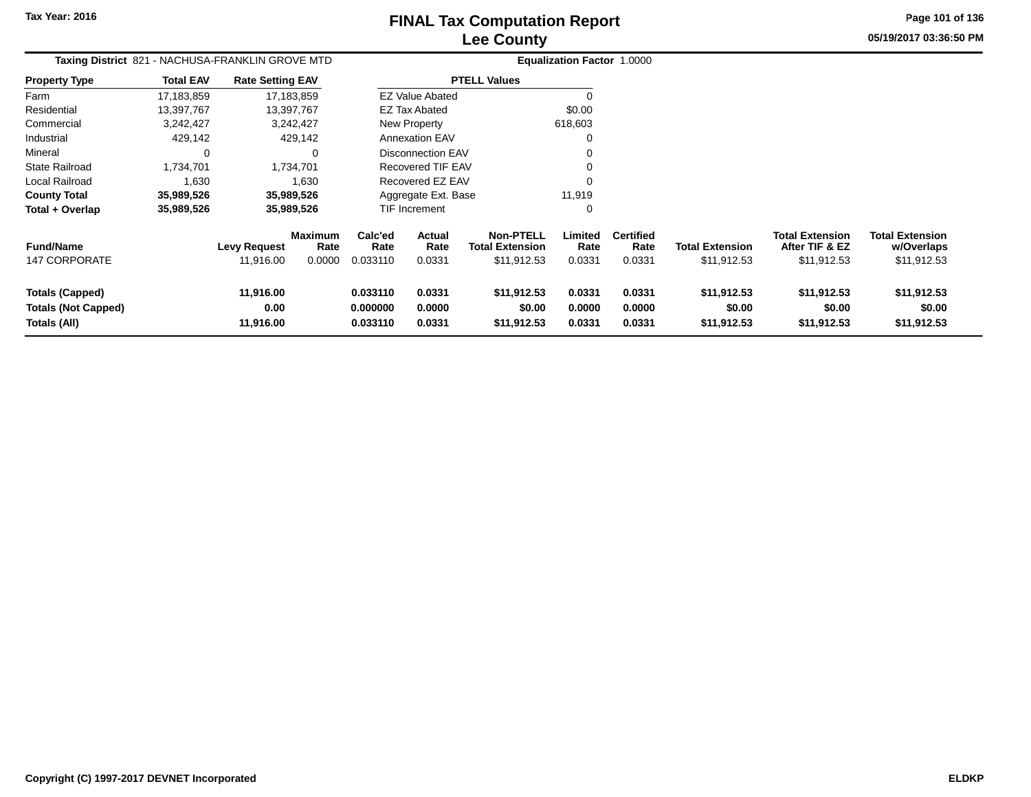## **Lee CountyFINAL Tax Computation Report**

**05/19/2017 03:36:50 PMPage 101 of 136**

|                            | Taxing District 821 - NACHUSA-FRANKLIN GROVE MTD<br><b>Rate Setting EAV</b> |              |                 |                                             |                          |                                            | <b>Equalization Factor 1.0000</b> |                          |                        |                                          |                                      |
|----------------------------|-----------------------------------------------------------------------------|--------------|-----------------|---------------------------------------------|--------------------------|--------------------------------------------|-----------------------------------|--------------------------|------------------------|------------------------------------------|--------------------------------------|
| <b>Property Type</b>       | <b>Total EAV</b>                                                            |              |                 |                                             |                          | <b>PTELL Values</b>                        |                                   |                          |                        |                                          |                                      |
| Farm                       | 17,183,859                                                                  |              | 17,183,859      |                                             | <b>EZ Value Abated</b>   |                                            | $\Omega$                          |                          |                        |                                          |                                      |
| Residential                | 13,397,767                                                                  |              | 13,397,767      |                                             | EZ Tax Abated            |                                            | \$0.00                            |                          |                        |                                          |                                      |
| Commercial                 | 3,242,427                                                                   |              | 3,242,427       |                                             | New Property             |                                            | 618,603                           |                          |                        |                                          |                                      |
| Industrial                 | 429,142                                                                     |              | 429,142         |                                             | <b>Annexation EAV</b>    |                                            | 0                                 |                          |                        |                                          |                                      |
| Mineral                    |                                                                             |              | 0               |                                             | <b>Disconnection EAV</b> |                                            |                                   |                          |                        |                                          |                                      |
| <b>State Railroad</b>      | 1,734,701                                                                   |              | 1,734,701       |                                             | Recovered TIF EAV        |                                            |                                   |                          |                        |                                          |                                      |
| <b>Local Railroad</b>      | 1,630                                                                       |              | 1,630           |                                             | Recovered EZ EAV         |                                            | $\Omega$                          |                          |                        |                                          |                                      |
| <b>County Total</b>        | 35,989,526                                                                  |              | 35,989,526      |                                             | Aggregate Ext. Base      |                                            | 11,919                            |                          |                        |                                          |                                      |
| Total + Overlap            | 35,989,526                                                                  |              | 35,989,526      |                                             | TIF Increment            |                                            | 0                                 |                          |                        |                                          |                                      |
| <b>Fund/Name</b>           |                                                                             | Levy Request | Maximum<br>Rate | Calc'ed<br>Rate                             | <b>Actual</b><br>Rate    | <b>Non-PTELL</b><br><b>Total Extension</b> | Limited<br>Rate                   | <b>Certified</b><br>Rate | <b>Total Extension</b> | <b>Total Extension</b><br>After TIF & EZ | <b>Total Extension</b><br>w/Overlaps |
| <b>147 CORPORATE</b>       |                                                                             | 11,916.00    | 0.0000          | 0.033110                                    | 0.0331                   | \$11,912.53                                | 0.0331                            | 0.0331                   | \$11,912.53            | \$11,912.53                              | \$11,912.53                          |
| Totals (Capped)            |                                                                             | 11,916.00    |                 | 0.033110                                    | 0.0331                   | \$11,912.53                                | 0.0331                            | 0.0331                   | \$11,912.53            | \$11,912.53                              | \$11,912.53                          |
| <b>Totals (Not Capped)</b> |                                                                             | 0.00         |                 | 0.000000                                    | 0.0000                   | \$0.00                                     | 0.0000                            | 0.0000                   | \$0.00                 | \$0.00                                   | \$0.00                               |
| Totals (All)               |                                                                             | 11,916.00    |                 | 0.033110<br>0.0331<br>\$11,912.53<br>0.0331 |                          |                                            |                                   | 0.0331                   | \$11,912.53            | \$11,912.53                              | \$11,912.53                          |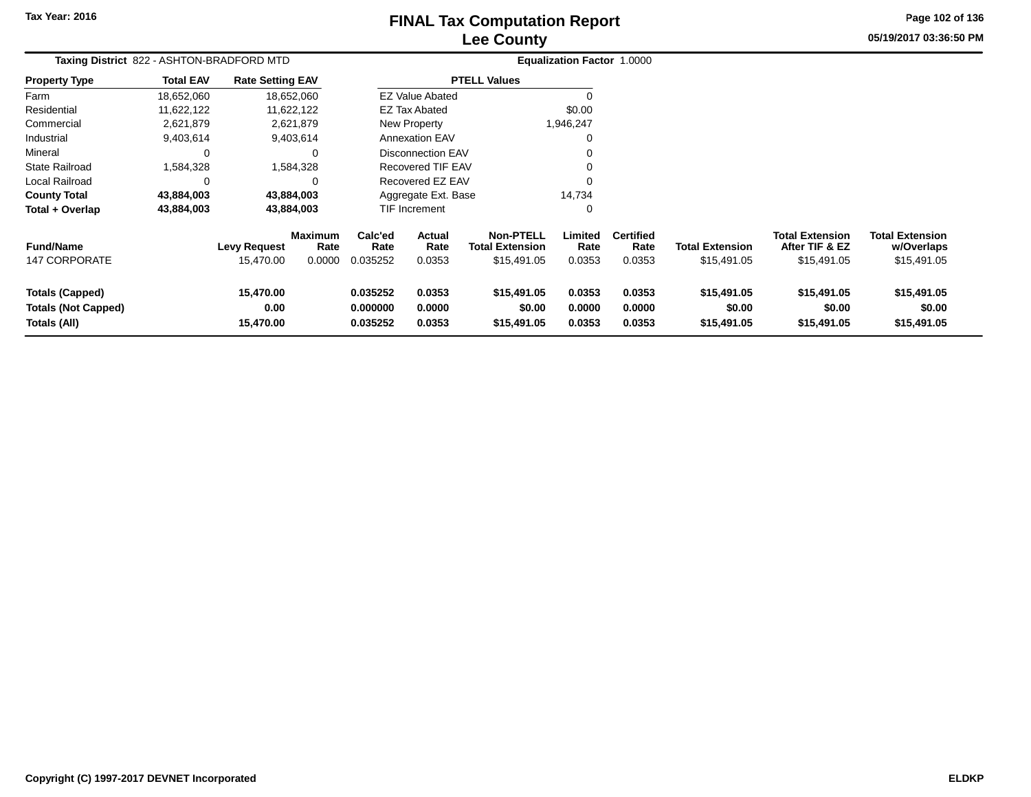# **Lee CountyFINAL Tax Computation Report**

**05/19/2017 03:36:50 PM Page 102 of 136**

| Taxing District 822 - ASHTON-BRADFORD MTD                            |                  |                                  |                                  |                                  |                                 |                                                           | Equalization Factor 1.0000 |                                    |                                       |                                                         |                                                     |
|----------------------------------------------------------------------|------------------|----------------------------------|----------------------------------|----------------------------------|---------------------------------|-----------------------------------------------------------|----------------------------|------------------------------------|---------------------------------------|---------------------------------------------------------|-----------------------------------------------------|
| <b>Property Type</b>                                                 | <b>Total EAV</b> | <b>Rate Setting EAV</b>          |                                  |                                  |                                 | <b>PTELL Values</b>                                       |                            |                                    |                                       |                                                         |                                                     |
| Farm                                                                 | 18,652,060       |                                  | 18,652,060                       |                                  | <b>EZ Value Abated</b>          |                                                           |                            |                                    |                                       |                                                         |                                                     |
| Residential                                                          | 11,622,122       |                                  | 11,622,122                       |                                  | <b>EZ Tax Abated</b>            |                                                           | \$0.00                     |                                    |                                       |                                                         |                                                     |
| Commercial                                                           | 2,621,879        |                                  | 2,621,879                        |                                  | New Property                    |                                                           | 1,946,247                  |                                    |                                       |                                                         |                                                     |
| Industrial                                                           | 9,403,614        |                                  | 9,403,614                        |                                  | <b>Annexation EAV</b>           |                                                           |                            |                                    |                                       |                                                         |                                                     |
| Mineral                                                              | 0                |                                  | 0                                |                                  | <b>Disconnection EAV</b>        |                                                           |                            |                                    |                                       |                                                         |                                                     |
| <b>State Railroad</b>                                                | 1,584,328        |                                  | 1,584,328                        |                                  | Recovered TIF EAV               |                                                           |                            |                                    |                                       |                                                         |                                                     |
| Local Railroad                                                       | C                |                                  | 0                                |                                  | Recovered EZ EAV                |                                                           | $\Omega$                   |                                    |                                       |                                                         |                                                     |
| <b>County Total</b>                                                  | 43,884,003       |                                  | 43,884,003                       |                                  | Aggregate Ext. Base             |                                                           | 14,734                     |                                    |                                       |                                                         |                                                     |
| Total + Overlap                                                      | 43,884,003       |                                  | 43,884,003                       |                                  | TIF Increment                   |                                                           | $\Omega$                   |                                    |                                       |                                                         |                                                     |
| <b>Fund/Name</b><br><b>147 CORPORATE</b>                             |                  | <b>Levy Request</b><br>15,470.00 | <b>Maximum</b><br>Rate<br>0.0000 | Calc'ed<br>Rate<br>0.035252      | <b>Actual</b><br>Rate<br>0.0353 | <b>Non-PTELL</b><br><b>Total Extension</b><br>\$15,491.05 | Limited<br>Rate<br>0.0353  | <b>Certified</b><br>Rate<br>0.0353 | <b>Total Extension</b><br>\$15,491.05 | <b>Total Extension</b><br>After TIF & EZ<br>\$15,491.05 | <b>Total Extension</b><br>w/Overlaps<br>\$15,491.05 |
| <b>Totals (Capped)</b><br><b>Totals (Not Capped)</b><br>Totals (All) |                  | 15,470.00<br>0.00<br>15,470.00   |                                  | 0.035252<br>0.000000<br>0.035252 | 0.0353<br>0.0000<br>0.0353      | \$15,491.05<br>\$0.00<br>\$15,491.05                      | 0.0353<br>0.0000<br>0.0353 | 0.0353<br>0.0000<br>0.0353         | \$15,491.05<br>\$0.00<br>\$15,491.05  | \$15,491.05<br>\$0.00<br>\$15,491.05                    | \$15,491.05<br>\$0.00<br>\$15,491.05                |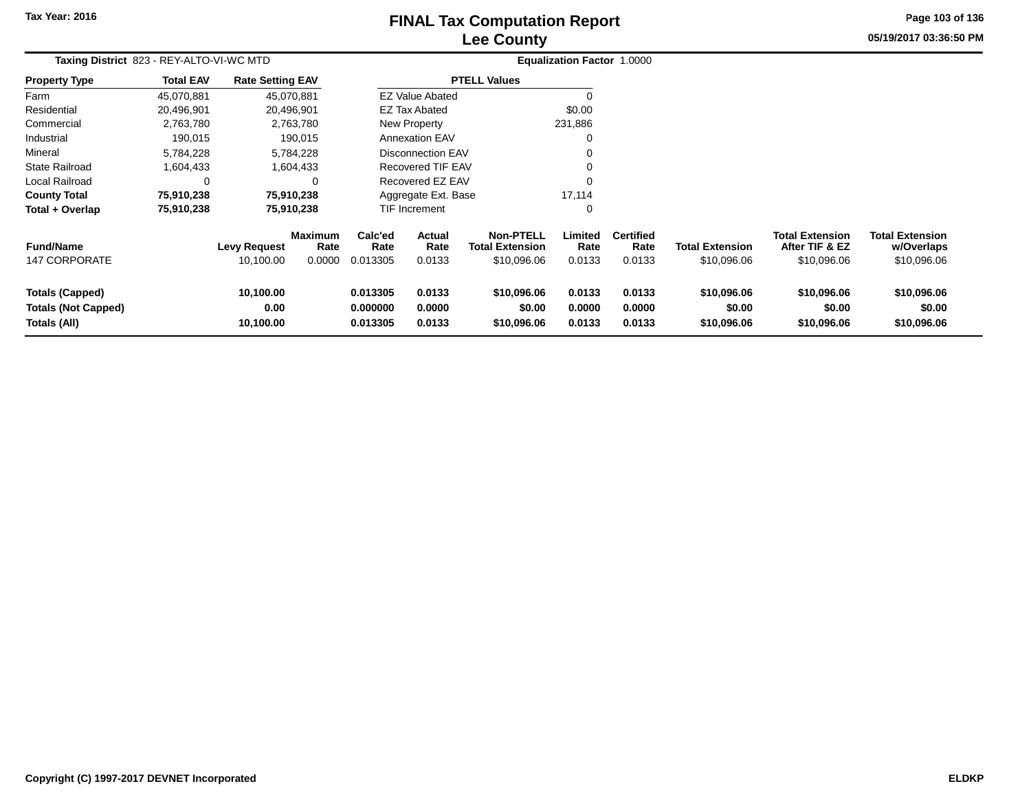# **Lee CountyFINAL Tax Computation Report** FINAL Tax Computation Report

**05/19/2017 03:36:50 PM Page 103 of 136**

| Taxing District 823 - REY-ALTO-VI-WC MTD                             |                  |                                  |                                  |                                                                |                          |                                                           | <b>Equalization Factor 1.0000</b> |                                    |                                       |                                                         |                                                     |
|----------------------------------------------------------------------|------------------|----------------------------------|----------------------------------|----------------------------------------------------------------|--------------------------|-----------------------------------------------------------|-----------------------------------|------------------------------------|---------------------------------------|---------------------------------------------------------|-----------------------------------------------------|
| <b>Property Type</b>                                                 | <b>Total EAV</b> | <b>Rate Setting EAV</b>          |                                  |                                                                |                          | <b>PTELL Values</b>                                       |                                   |                                    |                                       |                                                         |                                                     |
| Farm                                                                 | 45,070,881       | 45,070,881                       |                                  |                                                                | <b>EZ Value Abated</b>   |                                                           |                                   |                                    |                                       |                                                         |                                                     |
| Residential                                                          | 20,496,901       | 20,496,901                       |                                  |                                                                | EZ Tax Abated            |                                                           | \$0.00                            |                                    |                                       |                                                         |                                                     |
| Commercial                                                           | 2,763,780        |                                  | 2,763,780                        |                                                                | New Property             |                                                           | 231,886                           |                                    |                                       |                                                         |                                                     |
| Industrial                                                           | 190,015          |                                  | 190,015                          |                                                                | <b>Annexation EAV</b>    |                                                           | 0                                 |                                    |                                       |                                                         |                                                     |
| Mineral                                                              | 5,784,228        |                                  | 5,784,228                        |                                                                | <b>Disconnection EAV</b> |                                                           | 0                                 |                                    |                                       |                                                         |                                                     |
| <b>State Railroad</b>                                                | 1,604,433        |                                  | 1,604,433                        |                                                                | <b>Recovered TIF EAV</b> |                                                           | 0                                 |                                    |                                       |                                                         |                                                     |
| Local Railroad                                                       |                  |                                  |                                  |                                                                | Recovered EZ EAV         |                                                           | $\Omega$                          |                                    |                                       |                                                         |                                                     |
| <b>County Total</b>                                                  | 75,910,238       | 75,910,238                       |                                  |                                                                | Aggregate Ext. Base      |                                                           | 17,114                            |                                    |                                       |                                                         |                                                     |
| Total + Overlap                                                      | 75,910,238       | 75,910,238                       |                                  |                                                                | <b>TIF Increment</b>     |                                                           | 0                                 |                                    |                                       |                                                         |                                                     |
| <b>Fund/Name</b><br><b>147 CORPORATE</b>                             |                  | <b>Levy Request</b><br>10,100.00 | <b>Maximum</b><br>Rate<br>0.0000 | Calc'ed<br>Rate<br>0.013305                                    | Actual<br>Rate<br>0.0133 | <b>Non-PTELL</b><br><b>Total Extension</b><br>\$10,096.06 | Limited<br>Rate<br>0.0133         | <b>Certified</b><br>Rate<br>0.0133 | <b>Total Extension</b><br>\$10,096.06 | <b>Total Extension</b><br>After TIF & EZ<br>\$10,096.06 | <b>Total Extension</b><br>w/Overlaps<br>\$10,096.06 |
| <b>Totals (Capped)</b><br><b>Totals (Not Capped)</b><br>Totals (All) |                  | 10,100.00<br>0.00<br>10,100.00   |                                  | 0.013305<br>0.0133<br>0.000000<br>0.0000<br>0.0133<br>0.013305 |                          | \$10,096.06<br>\$0.00<br>\$10,096.06                      | 0.0133<br>0.0000<br>0.0133        | 0.0133<br>0.0000<br>0.0133         | \$10,096.06<br>\$0.00<br>\$10,096.06  | \$10,096.06<br>\$0.00<br>\$10,096.06                    | \$10,096.06<br>\$0.00<br>\$10,096.06                |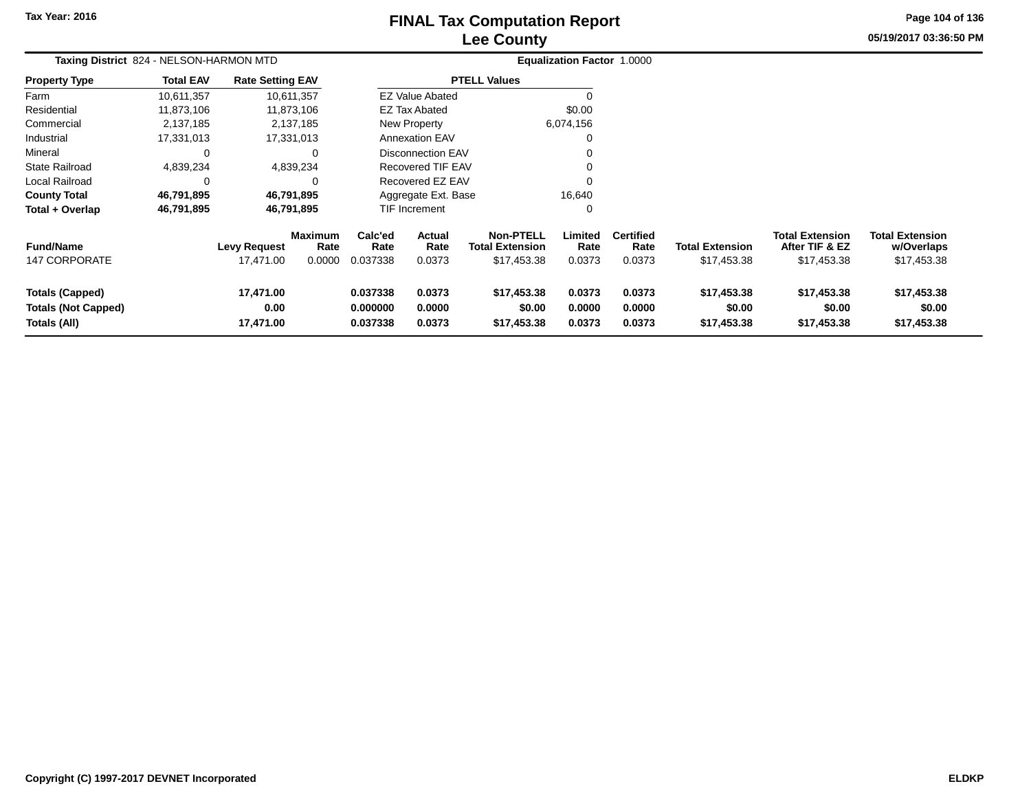# **Lee CountyFINAL Tax Computation Report**

**05/19/2017 03:36:50 PM Page 104 of 136**

| Taxing District 824 - NELSON-HARMON MTD                              |                  |                                |                        |                                  |                            |                                            | <b>Equalization Factor 1.0000</b> |                            |                                      |                                          |                                      |  |
|----------------------------------------------------------------------|------------------|--------------------------------|------------------------|----------------------------------|----------------------------|--------------------------------------------|-----------------------------------|----------------------------|--------------------------------------|------------------------------------------|--------------------------------------|--|
| <b>Property Type</b>                                                 | <b>Total EAV</b> | <b>Rate Setting EAV</b>        |                        |                                  |                            | <b>PTELL Values</b>                        |                                   |                            |                                      |                                          |                                      |  |
| Farm                                                                 | 10,611,357       |                                | 10,611,357             |                                  | <b>EZ Value Abated</b>     |                                            |                                   |                            |                                      |                                          |                                      |  |
| Residential                                                          | 11,873,106       |                                | 11,873,106             |                                  | <b>EZ Tax Abated</b>       |                                            | \$0.00                            |                            |                                      |                                          |                                      |  |
| Commercial                                                           | 2,137,185        |                                | 2,137,185              |                                  | New Property               |                                            | 6,074,156                         |                            |                                      |                                          |                                      |  |
| Industrial                                                           | 17,331,013       |                                | 17,331,013             |                                  | <b>Annexation EAV</b>      |                                            | $\Omega$                          |                            |                                      |                                          |                                      |  |
| Mineral                                                              | 0                |                                | 0                      |                                  | Disconnection EAV          |                                            |                                   |                            |                                      |                                          |                                      |  |
| <b>State Railroad</b>                                                | 4,839,234        |                                | 4,839,234              |                                  | <b>Recovered TIF EAV</b>   |                                            |                                   |                            |                                      |                                          |                                      |  |
| Local Railroad                                                       | $\Omega$         |                                | $\Omega$               |                                  | Recovered EZ EAV           |                                            |                                   |                            |                                      |                                          |                                      |  |
| <b>County Total</b>                                                  | 46,791,895       |                                | 46,791,895             |                                  | Aggregate Ext. Base        |                                            | 16,640                            |                            |                                      |                                          |                                      |  |
| Total + Overlap                                                      | 46,791,895       |                                | 46,791,895             |                                  | TIF Increment              |                                            | $\Omega$                          |                            |                                      |                                          |                                      |  |
| <b>Fund/Name</b>                                                     |                  | <b>Levy Request</b>            | <b>Maximum</b><br>Rate | Calc'ed<br>Rate                  | Actual<br>Rate             | <b>Non-PTELL</b><br><b>Total Extension</b> | Limited<br>Rate                   | <b>Certified</b><br>Rate   | <b>Total Extension</b>               | <b>Total Extension</b><br>After TIF & EZ | <b>Total Extension</b><br>w/Overlaps |  |
| 147 CORPORATE                                                        |                  | 17,471.00                      | 0.0000                 | 0.037338                         | 0.0373                     | \$17,453.38                                | 0.0373                            | 0.0373                     | \$17,453.38                          | \$17,453.38                              | \$17,453.38                          |  |
| <b>Totals (Capped)</b><br><b>Totals (Not Capped)</b><br>Totals (All) |                  | 17,471.00<br>0.00<br>17,471.00 |                        | 0.037338<br>0.000000<br>0.037338 | 0.0373<br>0.0000<br>0.0373 | \$17,453.38<br>\$0.00<br>\$17,453.38       | 0.0373<br>0.0000<br>0.0373        | 0.0373<br>0.0000<br>0.0373 | \$17,453.38<br>\$0.00<br>\$17,453.38 | \$17,453.38<br>\$0.00<br>\$17,453.38     | \$17,453.38<br>\$0.00<br>\$17,453.38 |  |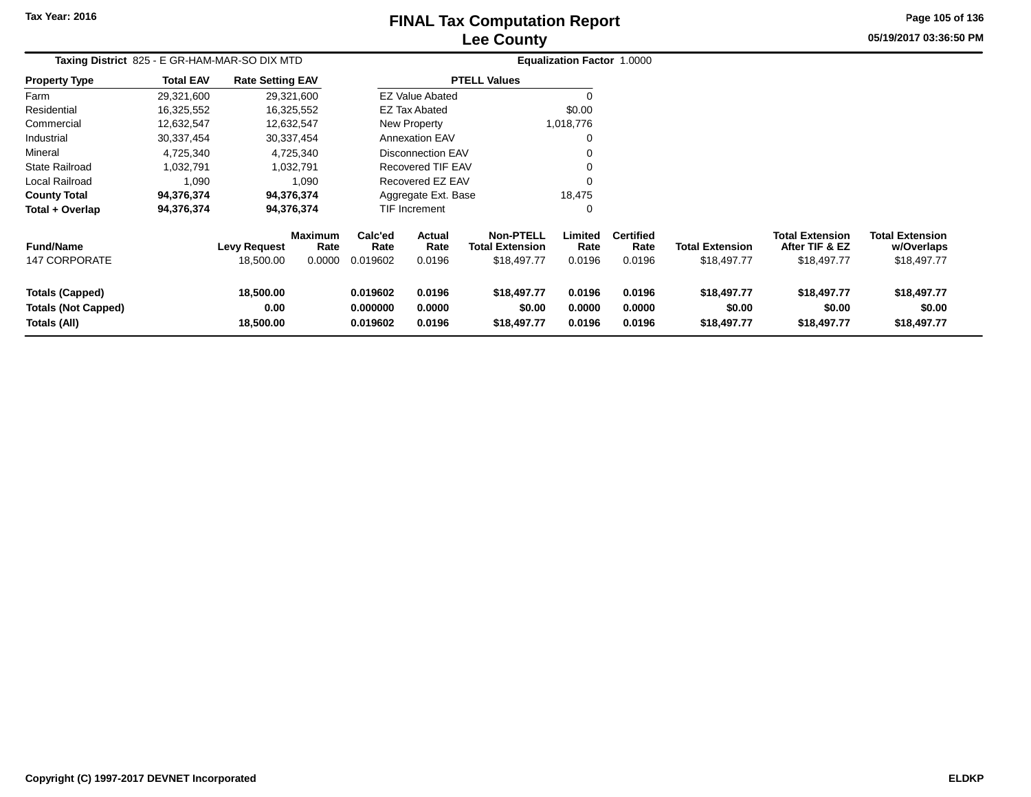## **Lee CountyFINAL Tax Computation Report** FINAL Tax Computation Report

**05/19/2017 03:36:50 PM Page 105 of 136**

| Taxing District 825 - E GR-HAM-MAR-SO DIX MTD                        |                  |                                  |                                  |                                                                |                          |                                                           | Equalization Factor 1.0000 |                                    |                                       |                                                         |                                                     |  |
|----------------------------------------------------------------------|------------------|----------------------------------|----------------------------------|----------------------------------------------------------------|--------------------------|-----------------------------------------------------------|----------------------------|------------------------------------|---------------------------------------|---------------------------------------------------------|-----------------------------------------------------|--|
| <b>Property Type</b>                                                 | <b>Total EAV</b> | <b>Rate Setting EAV</b>          |                                  |                                                                |                          | <b>PTELL Values</b>                                       |                            |                                    |                                       |                                                         |                                                     |  |
| Farm                                                                 | 29,321,600       | 29,321,600                       |                                  |                                                                | EZ Value Abated          |                                                           |                            |                                    |                                       |                                                         |                                                     |  |
| Residential                                                          | 16,325,552       | 16,325,552                       |                                  |                                                                | <b>EZ Tax Abated</b>     |                                                           | \$0.00                     |                                    |                                       |                                                         |                                                     |  |
| Commercial                                                           | 12,632,547       | 12,632,547                       |                                  |                                                                | New Property             |                                                           | 1,018,776                  |                                    |                                       |                                                         |                                                     |  |
| Industrial                                                           | 30,337,454       | 30,337,454                       |                                  |                                                                | <b>Annexation EAV</b>    |                                                           | 0                          |                                    |                                       |                                                         |                                                     |  |
| Mineral                                                              | 4,725,340        |                                  | 4,725,340                        |                                                                | <b>Disconnection EAV</b> |                                                           |                            |                                    |                                       |                                                         |                                                     |  |
| <b>State Railroad</b>                                                | 1,032,791        |                                  | 1,032,791                        |                                                                | Recovered TIF EAV        |                                                           |                            |                                    |                                       |                                                         |                                                     |  |
| Local Railroad                                                       | 1,090            |                                  | 1,090                            |                                                                | Recovered EZ EAV         |                                                           | $\Omega$                   |                                    |                                       |                                                         |                                                     |  |
| <b>County Total</b>                                                  | 94,376,374       | 94,376,374                       |                                  |                                                                | Aggregate Ext. Base      |                                                           | 18,475                     |                                    |                                       |                                                         |                                                     |  |
| Total + Overlap                                                      | 94,376,374       | 94,376,374                       |                                  |                                                                | <b>TIF Increment</b>     |                                                           | 0                          |                                    |                                       |                                                         |                                                     |  |
| <b>Fund/Name</b><br>147 CORPORATE                                    |                  | <b>Levy Request</b><br>18,500.00 | <b>Maximum</b><br>Rate<br>0.0000 | Calc'ed<br>Rate<br>0.019602                                    | Actual<br>Rate<br>0.0196 | <b>Non-PTELL</b><br><b>Total Extension</b><br>\$18,497.77 | Limited<br>Rate<br>0.0196  | <b>Certified</b><br>Rate<br>0.0196 | <b>Total Extension</b><br>\$18,497.77 | <b>Total Extension</b><br>After TIF & EZ<br>\$18,497.77 | <b>Total Extension</b><br>w/Overlaps<br>\$18,497.77 |  |
| <b>Totals (Capped)</b><br><b>Totals (Not Capped)</b><br>Totals (All) |                  | 18,500.00<br>0.00<br>18,500.00   |                                  | 0.0196<br>0.019602<br>0.000000<br>0.0000<br>0.019602<br>0.0196 |                          | \$18,497.77<br>\$0.00<br>\$18,497.77                      | 0.0196<br>0.0000<br>0.0196 | 0.0196<br>0.0000<br>0.0196         | \$18,497.77<br>\$0.00<br>\$18,497.77  | \$18,497.77<br>\$0.00<br>\$18,497.77                    | \$18,497.77<br>\$0.00<br>\$18,497.77                |  |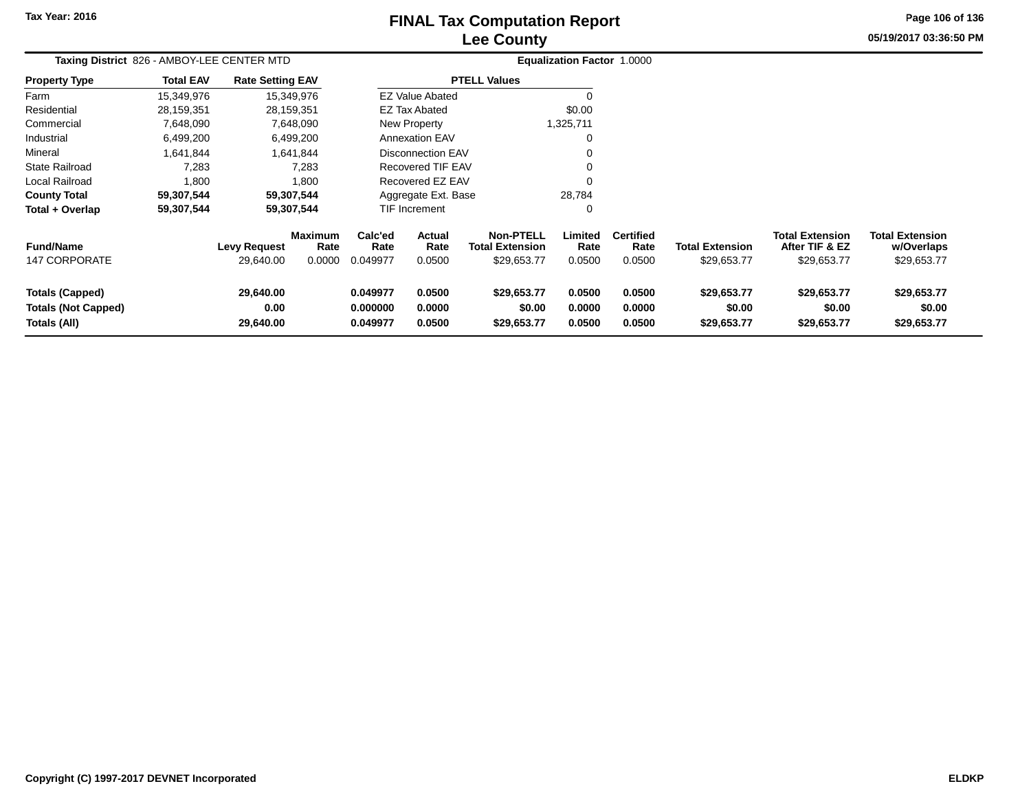## **Lee CountyFINAL Tax Computation Report** FINAL Tax Computation Report

**05/19/2017 03:36:50 PM Page 106 of 136**

| Taxing District 826 - AMBOY-LEE CENTER MTD                           |                  |                                |                 |                                                                |                        |                                            | <b>Equalization Factor 1.0000</b> |                            |                                      |                                          |                                      |  |
|----------------------------------------------------------------------|------------------|--------------------------------|-----------------|----------------------------------------------------------------|------------------------|--------------------------------------------|-----------------------------------|----------------------------|--------------------------------------|------------------------------------------|--------------------------------------|--|
| <b>Property Type</b>                                                 | <b>Total EAV</b> | <b>Rate Setting EAV</b>        |                 |                                                                |                        | <b>PTELL Values</b>                        |                                   |                            |                                      |                                          |                                      |  |
| Farm                                                                 | 15,349,976       |                                | 15,349,976      |                                                                | <b>EZ Value Abated</b> |                                            | -0                                |                            |                                      |                                          |                                      |  |
| Residential                                                          | 28,159,351       |                                | 28,159,351      |                                                                | <b>EZ Tax Abated</b>   |                                            | \$0.00                            |                            |                                      |                                          |                                      |  |
| Commercial                                                           | 7,648,090        |                                | 7,648,090       |                                                                | New Property           |                                            | 1,325,711                         |                            |                                      |                                          |                                      |  |
| Industrial                                                           | 6,499,200        |                                | 6,499,200       |                                                                | <b>Annexation EAV</b>  |                                            | 0                                 |                            |                                      |                                          |                                      |  |
| Mineral                                                              | 1,641,844        |                                | 1,641,844       |                                                                | Disconnection EAV      |                                            | 0                                 |                            |                                      |                                          |                                      |  |
| <b>State Railroad</b>                                                | 7,283            |                                | 7,283           |                                                                | Recovered TIF EAV      |                                            | 0                                 |                            |                                      |                                          |                                      |  |
| Local Railroad                                                       | 1,800            |                                | 1,800           |                                                                | Recovered EZ EAV       |                                            | $\mathbf 0$                       |                            |                                      |                                          |                                      |  |
| <b>County Total</b>                                                  | 59,307,544       |                                | 59,307,544      |                                                                | Aggregate Ext. Base    |                                            | 28,784                            |                            |                                      |                                          |                                      |  |
| Total + Overlap                                                      | 59,307,544       |                                | 59,307,544      |                                                                | <b>TIF Increment</b>   |                                            | 0                                 |                            |                                      |                                          |                                      |  |
| <b>Fund/Name</b>                                                     |                  | <b>Levy Request</b>            | Maximum<br>Rate | Calc'ed<br>Rate                                                | Actual<br>Rate         | <b>Non-PTELL</b><br><b>Total Extension</b> | Limited<br>Rate                   | <b>Certified</b><br>Rate   | <b>Total Extension</b>               | <b>Total Extension</b><br>After TIF & EZ | <b>Total Extension</b><br>w/Overlaps |  |
| <b>147 CORPORATE</b>                                                 |                  | 29,640.00                      | 0.0000          | 0.049977                                                       | 0.0500                 | \$29,653.77                                | 0.0500                            | 0.0500                     | \$29,653.77                          | \$29,653.77                              | \$29,653.77                          |  |
| <b>Totals (Capped)</b><br><b>Totals (Not Capped)</b><br>Totals (All) |                  | 29,640.00<br>0.00<br>29,640.00 |                 | 0.049977<br>0.0500<br>0.000000<br>0.0000<br>0.049977<br>0.0500 |                        | \$29,653.77<br>\$0.00<br>\$29,653.77       | 0.0500<br>0.0000<br>0.0500        | 0.0500<br>0.0000<br>0.0500 | \$29,653.77<br>\$0.00<br>\$29,653.77 | \$29,653.77<br>\$0.00<br>\$29,653.77     | \$29,653.77<br>\$0.00<br>\$29,653.77 |  |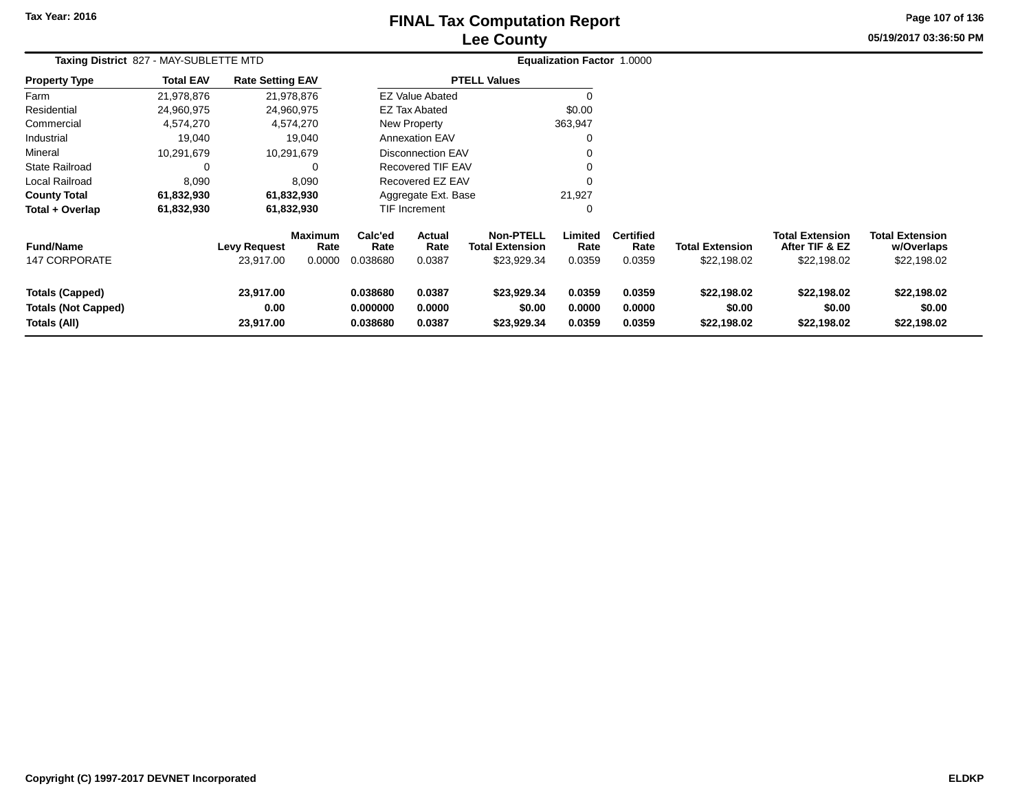## **Lee CountyFINAL Tax Computation Report** FINAL Tax Computation Report

**05/19/2017 03:36:50 PM Page 107 of 136**

| Taxing District 827 - MAY-SUBLETTE MTD                               |                  |                                  |                           |                                  |                            |                                                           | Equalization Factor 1.0000 |                                    |                                       |                                                         |                                                     |  |
|----------------------------------------------------------------------|------------------|----------------------------------|---------------------------|----------------------------------|----------------------------|-----------------------------------------------------------|----------------------------|------------------------------------|---------------------------------------|---------------------------------------------------------|-----------------------------------------------------|--|
| <b>Property Type</b>                                                 | <b>Total EAV</b> | <b>Rate Setting EAV</b>          |                           |                                  |                            | <b>PTELL Values</b>                                       |                            |                                    |                                       |                                                         |                                                     |  |
| Farm                                                                 | 21,978,876       | 21,978,876                       |                           |                                  | <b>EZ Value Abated</b>     |                                                           | 0                          |                                    |                                       |                                                         |                                                     |  |
| Residential                                                          | 24,960,975       | 24,960,975                       |                           |                                  | <b>EZ Tax Abated</b>       |                                                           | \$0.00                     |                                    |                                       |                                                         |                                                     |  |
| Commercial                                                           | 4,574,270        | 4,574,270                        |                           |                                  | New Property               |                                                           | 363,947                    |                                    |                                       |                                                         |                                                     |  |
| Industrial                                                           | 19,040           |                                  | 19,040                    |                                  | <b>Annexation EAV</b>      |                                                           | 0                          |                                    |                                       |                                                         |                                                     |  |
| Mineral                                                              | 10,291,679       | 10,291,679                       |                           |                                  | <b>Disconnection EAV</b>   |                                                           | 0                          |                                    |                                       |                                                         |                                                     |  |
| <b>State Railroad</b>                                                | 0                |                                  | $\Omega$                  |                                  | Recovered TIF EAV          |                                                           | 0                          |                                    |                                       |                                                         |                                                     |  |
| Local Railroad                                                       | 8,090            |                                  | 8,090                     |                                  | Recovered EZ EAV           |                                                           | $\Omega$                   |                                    |                                       |                                                         |                                                     |  |
| <b>County Total</b>                                                  | 61,832,930       | 61,832,930                       |                           |                                  | Aggregate Ext. Base        |                                                           | 21,927                     |                                    |                                       |                                                         |                                                     |  |
| Total + Overlap                                                      | 61,832,930       | 61,832,930                       |                           |                                  | <b>TIF Increment</b>       |                                                           | 0                          |                                    |                                       |                                                         |                                                     |  |
| <b>Fund/Name</b><br><b>147 CORPORATE</b>                             |                  | <b>Levy Request</b><br>23,917.00 | Maximum<br>Rate<br>0.0000 | Calc'ed<br>Rate<br>0.038680      | Actual<br>Rate<br>0.0387   | <b>Non-PTELL</b><br><b>Total Extension</b><br>\$23,929.34 | Limited<br>Rate<br>0.0359  | <b>Certified</b><br>Rate<br>0.0359 | <b>Total Extension</b><br>\$22,198.02 | <b>Total Extension</b><br>After TIF & EZ<br>\$22,198.02 | <b>Total Extension</b><br>w/Overlaps<br>\$22,198.02 |  |
| <b>Totals (Capped)</b><br><b>Totals (Not Capped)</b><br>Totals (All) |                  | 23,917.00<br>0.00<br>23,917.00   |                           | 0.038680<br>0.000000<br>0.038680 | 0.0387<br>0.0000<br>0.0387 | \$23,929.34<br>\$0.00<br>\$23,929.34                      | 0.0359<br>0.0000<br>0.0359 | 0.0359<br>0.0000<br>0.0359         | \$22,198.02<br>\$0.00<br>\$22,198.02  | \$22,198.02<br>\$0.00<br>\$22,198.02                    | \$22,198.02<br>\$0.00<br>\$22,198.02                |  |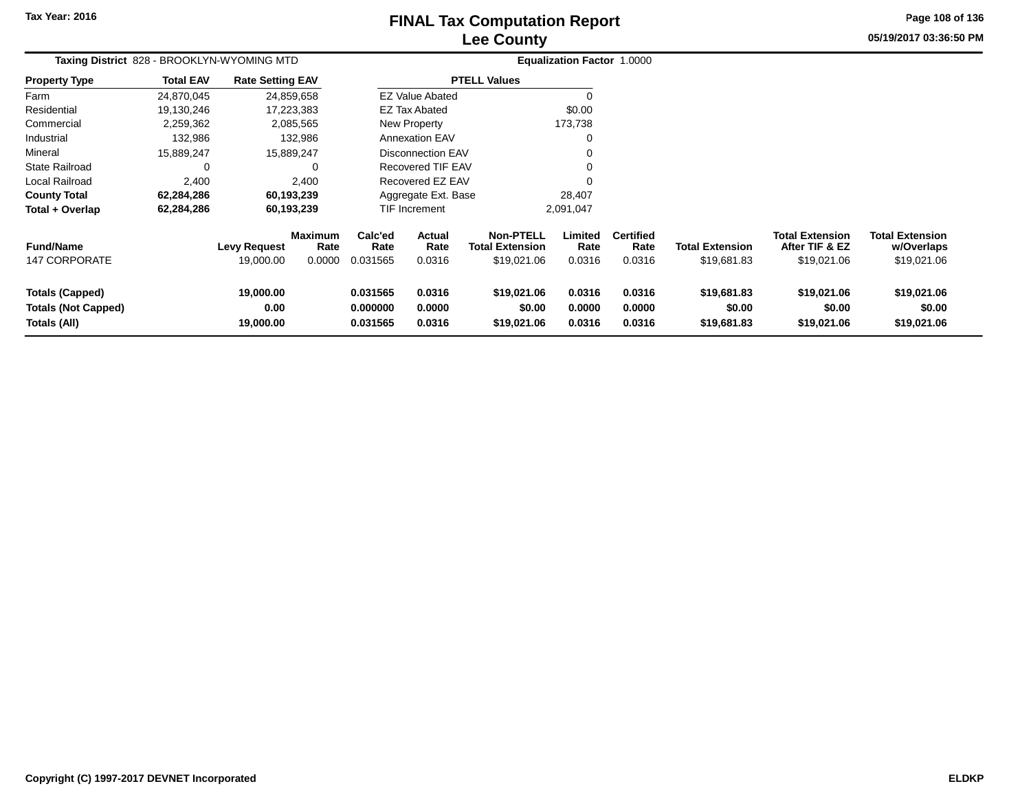## **Lee CountyFINAL Tax Computation Report** FINAL Tax Computation Report

**05/19/2017 03:36:50 PMPage 108 of 136**

| Taxing District 828 - BROOKLYN-WYOMING MTD                    |                  |                                |                                  |                                  |                            |                                                           | <b>Equalization Factor 1.0000</b> |                                    |                                       |                                                         |                                                     |
|---------------------------------------------------------------|------------------|--------------------------------|----------------------------------|----------------------------------|----------------------------|-----------------------------------------------------------|-----------------------------------|------------------------------------|---------------------------------------|---------------------------------------------------------|-----------------------------------------------------|
| <b>Property Type</b>                                          | <b>Total EAV</b> | <b>Rate Setting EAV</b>        |                                  |                                  |                            | <b>PTELL Values</b>                                       |                                   |                                    |                                       |                                                         |                                                     |
| Farm                                                          | 24,870,045       |                                | 24,859,658                       |                                  | <b>EZ Value Abated</b>     |                                                           | $\Omega$                          |                                    |                                       |                                                         |                                                     |
| Residential                                                   | 19,130,246       |                                | 17,223,383                       |                                  | <b>EZ Tax Abated</b>       |                                                           | \$0.00                            |                                    |                                       |                                                         |                                                     |
| Commercial                                                    | 2,259,362        |                                | 2,085,565                        |                                  | <b>New Property</b>        |                                                           | 173,738                           |                                    |                                       |                                                         |                                                     |
| Industrial                                                    | 132,986          |                                | 132,986                          |                                  | <b>Annexation EAV</b>      |                                                           | 0                                 |                                    |                                       |                                                         |                                                     |
| Mineral                                                       | 15.889.247       |                                | 15,889,247                       |                                  | <b>Disconnection EAV</b>   |                                                           |                                   |                                    |                                       |                                                         |                                                     |
| <b>State Railroad</b>                                         | 0                |                                | 0                                |                                  | Recovered TIF EAV          |                                                           | $\Omega$                          |                                    |                                       |                                                         |                                                     |
| Local Railroad                                                | 2,400            |                                | 2,400                            |                                  | Recovered EZ EAV           |                                                           |                                   |                                    |                                       |                                                         |                                                     |
| <b>County Total</b>                                           | 62,284,286       |                                | 60,193,239                       |                                  | Aggregate Ext. Base        |                                                           | 28,407                            |                                    |                                       |                                                         |                                                     |
| Total + Overlap                                               | 62,284,286       |                                | 60,193,239                       |                                  | TIF Increment<br>2,091,047 |                                                           |                                   |                                    |                                       |                                                         |                                                     |
| <b>Fund/Name</b><br><b>147 CORPORATE</b>                      |                  | Levy Request<br>19,000.00      | <b>Maximum</b><br>Rate<br>0.0000 | Calc'ed<br>Rate<br>0.031565      | Actual<br>Rate<br>0.0316   | <b>Non-PTELL</b><br><b>Total Extension</b><br>\$19,021.06 | Limited<br>Rate<br>0.0316         | <b>Certified</b><br>Rate<br>0.0316 | <b>Total Extension</b><br>\$19,681.83 | <b>Total Extension</b><br>After TIF & EZ<br>\$19,021.06 | <b>Total Extension</b><br>w/Overlaps<br>\$19,021.06 |
| Totals (Capped)<br><b>Totals (Not Capped)</b><br>Totals (All) |                  | 19,000.00<br>0.00<br>19,000.00 |                                  | 0.031565<br>0.000000<br>0.031565 | 0.0316<br>0.0000<br>0.0316 | \$19,021.06<br>\$0.00<br>\$19,021.06                      | 0.0316<br>0.0000<br>0.0316        | 0.0316<br>0.0000<br>0.0316         | \$19,681.83<br>\$0.00<br>\$19,681.83  | \$19,021.06<br>\$0.00<br>\$19,021.06                    | \$19,021.06<br>\$0.00<br>\$19,021.06                |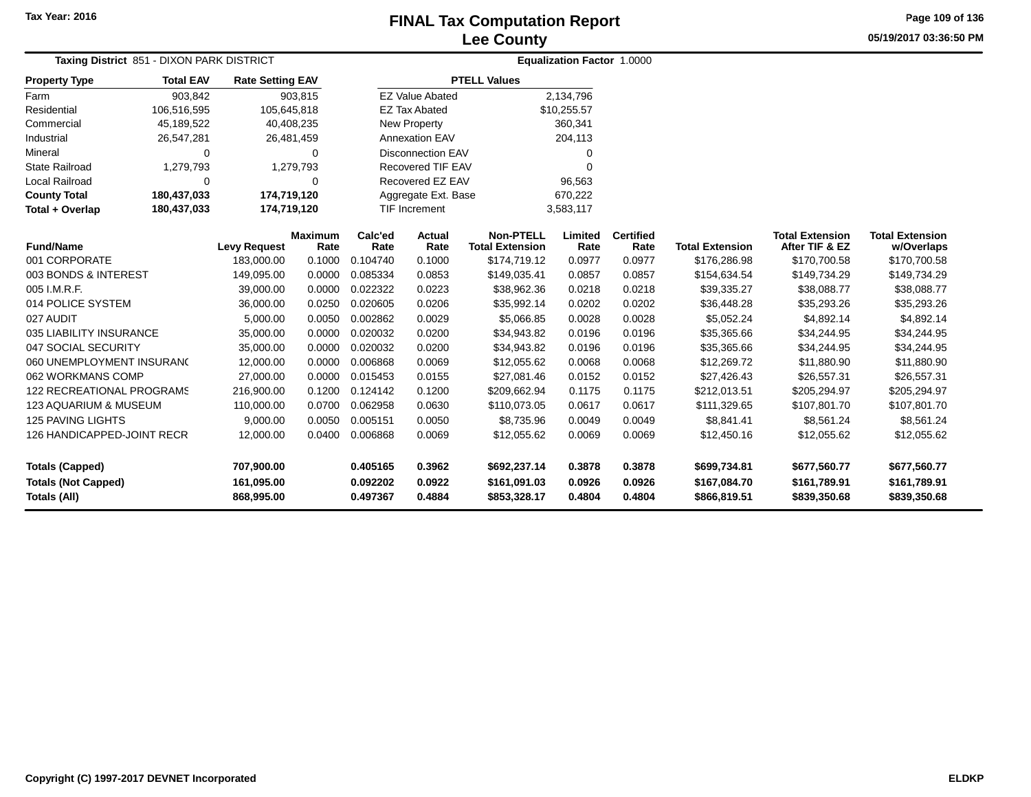**05/19/2017 03:36:50 PM Page 109 of 136**

| Taxing District 851 - DIXON PARK DISTRICT |                  |                         |                        |                 |                          | Equalization Factor 1.0000                 |                 |                          |                        |                                          |                                      |
|-------------------------------------------|------------------|-------------------------|------------------------|-----------------|--------------------------|--------------------------------------------|-----------------|--------------------------|------------------------|------------------------------------------|--------------------------------------|
| <b>Property Type</b>                      | <b>Total EAV</b> | <b>Rate Setting EAV</b> |                        |                 |                          | <b>PTELL Values</b>                        |                 |                          |                        |                                          |                                      |
| Farm                                      | 903,842          |                         | 903,815                |                 | <b>EZ Value Abated</b>   |                                            | 2,134,796       |                          |                        |                                          |                                      |
| Residential                               | 106,516,595      | 105,645,818             |                        |                 | <b>EZ Tax Abated</b>     |                                            | \$10,255.57     |                          |                        |                                          |                                      |
| Commercial                                | 45,189,522       | 40,408,235              |                        |                 | New Property             |                                            | 360,341         |                          |                        |                                          |                                      |
| Industrial                                | 26,547,281       | 26,481,459              |                        |                 | <b>Annexation EAV</b>    |                                            | 204,113         |                          |                        |                                          |                                      |
| Mineral                                   | $\Omega$         |                         | $\Omega$               |                 | <b>Disconnection EAV</b> |                                            | $\Omega$        |                          |                        |                                          |                                      |
| <b>State Railroad</b>                     | 1,279,793        |                         | 1,279,793              |                 | <b>Recovered TIF EAV</b> |                                            | $\Omega$        |                          |                        |                                          |                                      |
| Local Railroad                            | $\Omega$         |                         | $\Omega$               |                 | Recovered EZ EAV         |                                            | 96,563          |                          |                        |                                          |                                      |
| <b>County Total</b>                       | 180,437,033      | 174,719,120             |                        |                 | Aggregate Ext. Base      |                                            | 670,222         |                          |                        |                                          |                                      |
| Total + Overlap                           | 180,437,033      | 174,719,120             |                        |                 | <b>TIF Increment</b>     |                                            | 3,583,117       |                          |                        |                                          |                                      |
| <b>Fund/Name</b>                          |                  | <b>Levy Request</b>     | <b>Maximum</b><br>Rate | Calc'ed<br>Rate | Actual<br>Rate           | <b>Non-PTELL</b><br><b>Total Extension</b> | Limited<br>Rate | <b>Certified</b><br>Rate | <b>Total Extension</b> | <b>Total Extension</b><br>After TIF & EZ | <b>Total Extension</b><br>w/Overlaps |
| 001 CORPORATE                             |                  | 183.000.00              | 0.1000                 | 0.104740        | 0.1000                   | \$174,719.12                               | 0.0977          | 0.0977                   | \$176,286.98           | \$170,700.58                             | \$170,700.58                         |
| 003 BONDS & INTEREST                      |                  | 149,095.00              | 0.0000                 | 0.085334        | 0.0853                   | \$149,035.41                               | 0.0857          | 0.0857                   | \$154,634.54           | \$149,734.29                             | \$149,734.29                         |
| 005 I.M.R.F.                              |                  | 39,000.00               | 0.0000                 | 0.022322        | 0.0223                   | \$38,962.36                                | 0.0218          | 0.0218                   | \$39,335.27            | \$38,088.77                              | \$38,088.77                          |
| 014 POLICE SYSTEM                         |                  | 36,000.00               | 0.0250                 | 0.020605        | 0.0206                   | \$35,992.14                                | 0.0202          | 0.0202                   | \$36,448.28            | \$35,293.26                              | \$35,293.26                          |
| 027 AUDIT                                 |                  | 5,000.00                | 0.0050                 | 0.002862        | 0.0029                   | \$5,066.85                                 | 0.0028          | 0.0028                   | \$5,052.24             | \$4,892.14                               | \$4,892.14                           |
| 035 LIABILITY INSURANCE                   |                  | 35,000.00               | 0.0000                 | 0.020032        | 0.0200                   | \$34,943.82                                | 0.0196          | 0.0196                   | \$35,365.66            | \$34,244.95                              | \$34,244.95                          |
| 047 SOCIAL SECURITY                       |                  | 35,000.00               | 0.0000                 | 0.020032        | 0.0200                   | \$34,943.82                                | 0.0196          | 0.0196                   | \$35,365.66            | \$34,244.95                              | \$34,244.95                          |
| 060 UNEMPLOYMENT INSURANC                 |                  | 12,000.00               | 0.0000                 | 0.006868        | 0.0069                   | \$12,055.62                                | 0.0068          | 0.0068                   | \$12,269.72            | \$11,880.90                              | \$11,880.90                          |
| 062 WORKMANS COMP                         |                  | 27,000.00               | 0.0000                 | 0.015453        | 0.0155                   | \$27,081.46                                | 0.0152          | 0.0152                   | \$27,426.43            | \$26,557.31                              | \$26,557.31                          |
| 122 RECREATIONAL PROGRAMS                 |                  | 216,900.00              | 0.1200                 | 0.124142        | 0.1200                   | \$209,662.94                               | 0.1175          | 0.1175                   | \$212,013.51           | \$205,294.97                             | \$205,294.97                         |
| <b>123 AQUARIUM &amp; MUSEUM</b>          |                  | 110,000.00              | 0.0700                 | 0.062958        | 0.0630                   | \$110,073.05                               | 0.0617          | 0.0617                   | \$111,329.65           | \$107,801.70                             | \$107,801.70                         |
| <b>125 PAVING LIGHTS</b>                  |                  | 9,000.00                | 0.0050                 | 0.005151        | 0.0050                   | \$8,735.96                                 | 0.0049          | 0.0049                   | \$8,841.41             | \$8,561.24                               | \$8,561.24                           |
| 126 HANDICAPPED-JOINT RECR                |                  | 12,000.00               | 0.0400                 | 0.006868        | 0.0069                   | \$12,055.62                                | 0.0069          | 0.0069                   | \$12,450.16            | \$12,055.62                              | \$12,055.62                          |
| <b>Totals (Capped)</b>                    |                  | 707,900.00              |                        | 0.405165        | 0.3962                   | \$692,237.14                               | 0.3878          | 0.3878                   | \$699,734.81           | \$677,560.77                             | \$677,560.77                         |
| <b>Totals (Not Capped)</b>                |                  | 161,095.00              |                        | 0.092202        | 0.0922                   | \$161,091.03                               | 0.0926          | 0.0926                   | \$167,084.70           | \$161,789.91                             | \$161,789.91                         |
| <b>Totals (All)</b>                       |                  | 868,995.00              |                        | 0.497367        | 0.4884                   | \$853,328.17                               | 0.4804          | 0.4804                   | \$866,819.51           | \$839,350.68                             | \$839,350.68                         |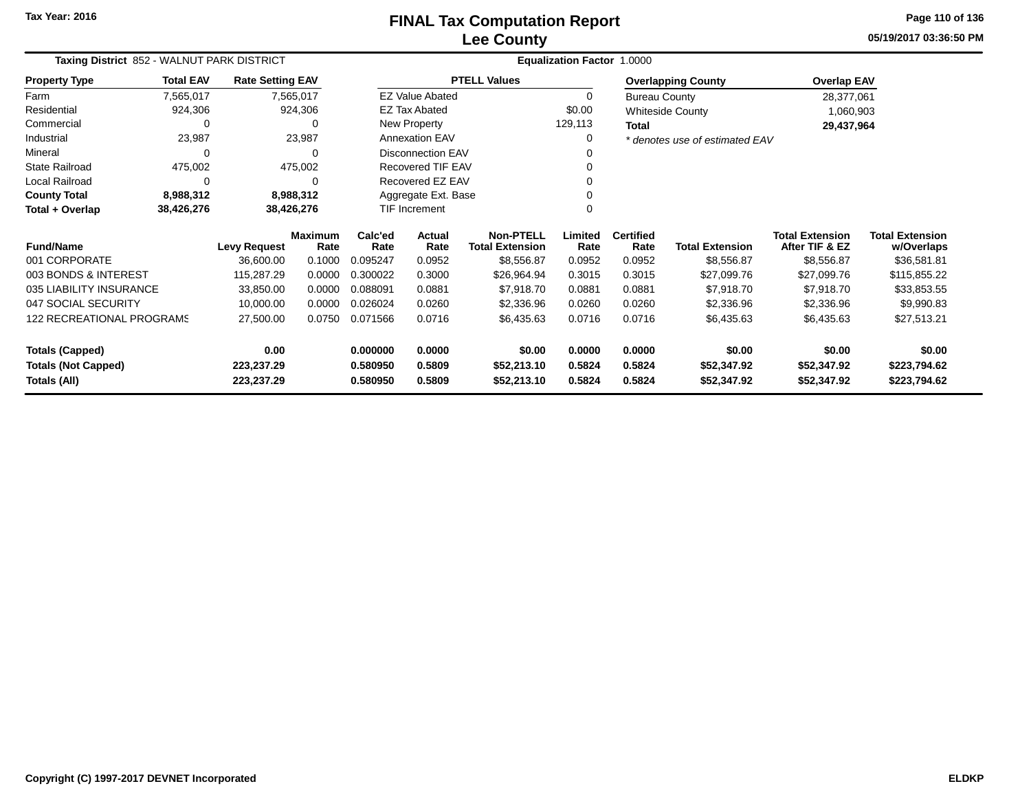**05/19/2017 03:36:50 PM Page 110 of 136**

| Taxing District 852 - WALNUT PARK DISTRICT  |                  |                          |                        |                      |                        |                                            | Equalization Factor 1.0000 |                          |                                |                                          |                                      |
|---------------------------------------------|------------------|--------------------------|------------------------|----------------------|------------------------|--------------------------------------------|----------------------------|--------------------------|--------------------------------|------------------------------------------|--------------------------------------|
| <b>Property Type</b>                        | <b>Total EAV</b> | <b>Rate Setting EAV</b>  |                        |                      |                        | <b>PTELL Values</b>                        |                            |                          | <b>Overlapping County</b>      | <b>Overlap EAV</b>                       |                                      |
| Farm                                        | 7,565,017        |                          | 7,565,017              |                      | <b>EZ Value Abated</b> |                                            | 0                          | <b>Bureau County</b>     |                                | 28,377,061                               |                                      |
| Residential                                 | 924,306          |                          | 924,306                |                      | <b>EZ Tax Abated</b>   |                                            | \$0.00                     |                          | <b>Whiteside County</b>        | 1,060,903                                |                                      |
| Commercial                                  | 0                |                          | 0                      |                      | New Property           |                                            | 129,113                    | <b>Total</b>             |                                | 29,437,964                               |                                      |
| Industrial                                  | 23,987           |                          | 23,987                 |                      | <b>Annexation EAV</b>  |                                            | 0                          |                          | * denotes use of estimated EAV |                                          |                                      |
| Mineral                                     | $\Omega$         |                          | 0                      |                      | Disconnection EAV      |                                            | n                          |                          |                                |                                          |                                      |
| <b>State Railroad</b>                       | 475,002          |                          | 475,002                |                      | Recovered TIF EAV      |                                            | $\Omega$                   |                          |                                |                                          |                                      |
| Local Railroad                              | $\Omega$         |                          | 0                      |                      | Recovered EZ EAV       |                                            |                            |                          |                                |                                          |                                      |
| <b>County Total</b>                         | 8,988,312        |                          | 8,988,312              |                      | Aggregate Ext. Base    |                                            |                            |                          |                                |                                          |                                      |
| Total + Overlap<br>38,426,276<br>38,426,276 |                  |                          |                        | TIF Increment        |                        | ∩                                          |                            |                          |                                |                                          |                                      |
| <b>Fund/Name</b>                            |                  | <b>Levy Request</b>      | <b>Maximum</b><br>Rate | Calc'ed<br>Rate      | Actual<br>Rate         | <b>Non-PTELL</b><br><b>Total Extension</b> | Limited<br>Rate            | <b>Certified</b><br>Rate | <b>Total Extension</b>         | <b>Total Extension</b><br>After TIF & EZ | <b>Total Extension</b><br>w/Overlaps |
| 001 CORPORATE                               |                  | 36,600.00                | 0.1000                 | 0.095247             | 0.0952                 | \$8,556.87                                 | 0.0952                     | 0.0952                   | \$8,556.87                     | \$8,556.87                               | \$36,581.81                          |
| 003 BONDS & INTEREST                        |                  | 115,287.29               | 0.0000                 | 0.300022             | 0.3000                 | \$26,964.94                                | 0.3015                     | 0.3015                   | \$27,099.76                    | \$27,099.76                              | \$115,855.22                         |
| 035 LIABILITY INSURANCE                     |                  | 33,850.00                | 0.0000                 | 0.088091             | 0.0881                 | \$7,918.70                                 | 0.0881                     | 0.0881                   | \$7,918.70                     | \$7,918.70                               | \$33,853.55                          |
| 047 SOCIAL SECURITY                         |                  | 10,000.00                | 0.0000                 | 0.026024             | 0.0260                 | \$2,336.96                                 | 0.0260                     | 0.0260                   | \$2,336.96                     | \$2,336.96                               | \$9,990.83                           |
| 122 RECREATIONAL PROGRAMS                   |                  | 27,500.00                | 0.0750                 | 0.071566             | 0.0716                 | \$6,435.63                                 | 0.0716                     | 0.0716                   | \$6,435.63                     | \$6,435.63                               | \$27,513.21                          |
| <b>Totals (Capped)</b>                      |                  | 0.00                     |                        | 0.000000             | 0.0000                 | \$0.00                                     | 0.0000                     | 0.0000                   | \$0.00                         | \$0.00                                   | \$0.00                               |
| <b>Totals (Not Capped)</b><br>Totals (All)  |                  | 223,237.29<br>223,237.29 |                        | 0.580950<br>0.580950 | 0.5809<br>0.5809       | \$52,213.10<br>\$52,213.10                 | 0.5824<br>0.5824           | 0.5824<br>0.5824         | \$52,347.92<br>\$52,347.92     | \$52,347.92<br>\$52,347.92               | \$223,794.62<br>\$223,794.62         |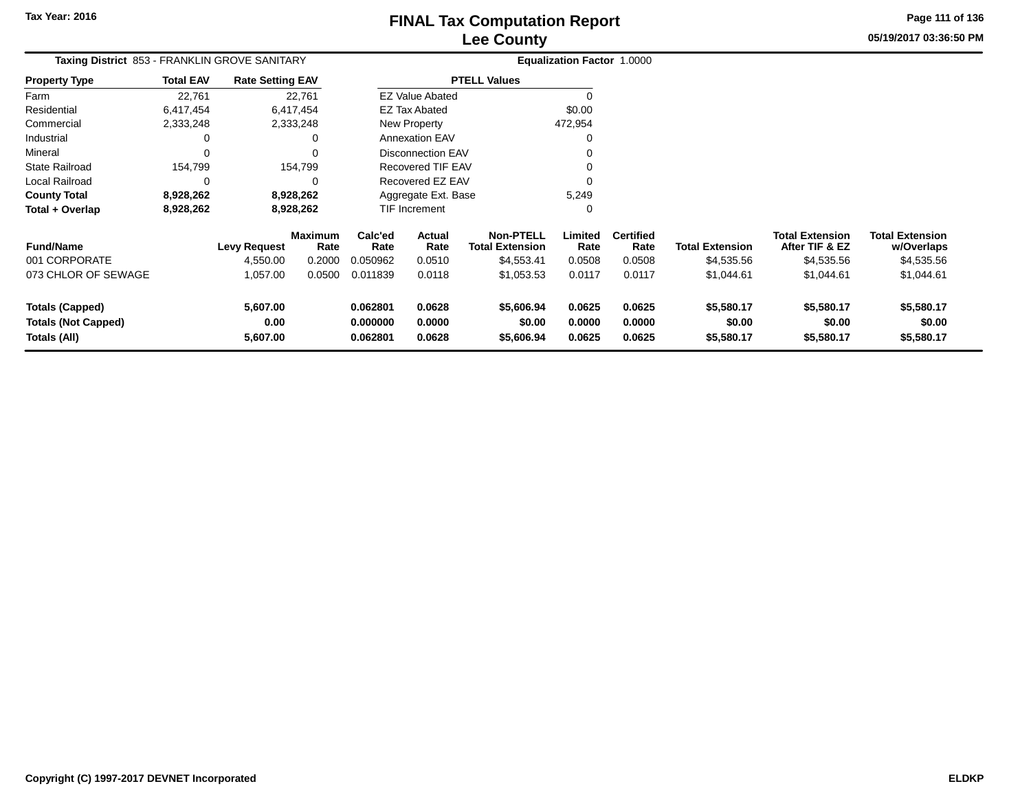**05/19/2017 03:36:50 PM Page 111 of 136**

| <b>Taxing District 853 - FRANKLIN GROVE SANITARY</b>                 |                  |                              |                        |                                  |                            |                                            | Equalization Factor 1.0000 |                            |                                    |                                          |                                      |
|----------------------------------------------------------------------|------------------|------------------------------|------------------------|----------------------------------|----------------------------|--------------------------------------------|----------------------------|----------------------------|------------------------------------|------------------------------------------|--------------------------------------|
| <b>Property Type</b>                                                 | <b>Total EAV</b> | <b>Rate Setting EAV</b>      |                        |                                  |                            | <b>PTELL Values</b>                        |                            |                            |                                    |                                          |                                      |
| Farm                                                                 | 22,761           |                              | 22,761                 |                                  | <b>EZ Value Abated</b>     |                                            | $\Omega$                   |                            |                                    |                                          |                                      |
| Residential                                                          | 6,417,454        |                              | 6,417,454              |                                  | <b>EZ Tax Abated</b>       |                                            | \$0.00                     |                            |                                    |                                          |                                      |
| Commercial                                                           | 2,333,248        |                              | 2,333,248              |                                  | <b>New Property</b>        |                                            | 472,954                    |                            |                                    |                                          |                                      |
| Industrial                                                           | 0                |                              | 0                      |                                  | <b>Annexation EAV</b>      |                                            | $\Omega$                   |                            |                                    |                                          |                                      |
| Mineral                                                              | 0                |                              | 0                      |                                  | <b>Disconnection EAV</b>   |                                            |                            |                            |                                    |                                          |                                      |
| <b>State Railroad</b>                                                | 154,799          |                              | 154,799                |                                  | <b>Recovered TIF EAV</b>   |                                            |                            |                            |                                    |                                          |                                      |
| Local Railroad                                                       | 0                |                              | $\Omega$               |                                  | Recovered EZ EAV           |                                            | $\Omega$                   |                            |                                    |                                          |                                      |
| <b>County Total</b>                                                  | 8,928,262        |                              | 8,928,262              |                                  | Aggregate Ext. Base        |                                            | 5,249                      |                            |                                    |                                          |                                      |
| Total + Overlap                                                      | 8,928,262        |                              | 8,928,262              |                                  | TIF Increment              |                                            | 0                          |                            |                                    |                                          |                                      |
| <b>Fund/Name</b>                                                     |                  | <b>Levy Request</b>          | <b>Maximum</b><br>Rate | Calc'ed<br>Rate                  | Actual<br>Rate             | <b>Non-PTELL</b><br><b>Total Extension</b> | Limited<br>Rate            | <b>Certified</b><br>Rate   | <b>Total Extension</b>             | <b>Total Extension</b><br>After TIF & EZ | <b>Total Extension</b><br>w/Overlaps |
| 001 CORPORATE                                                        |                  | 4,550.00                     | 0.2000                 | 0.050962                         | 0.0510                     | \$4,553.41                                 | 0.0508                     | 0.0508                     | \$4,535.56                         | \$4,535.56                               | \$4,535.56                           |
| 073 CHLOR OF SEWAGE                                                  |                  | 1,057.00                     | 0.0500                 | 0.011839                         | 0.0118                     | \$1,053.53                                 | 0.0117                     | 0.0117                     | \$1,044.61                         | \$1,044.61                               | \$1,044.61                           |
| <b>Totals (Capped)</b><br><b>Totals (Not Capped)</b><br>Totals (All) |                  | 5,607.00<br>0.00<br>5,607.00 |                        | 0.062801<br>0.000000<br>0.062801 | 0.0628<br>0.0000<br>0.0628 | \$5,606.94<br>\$0.00<br>\$5,606.94         | 0.0625<br>0.0000<br>0.0625 | 0.0625<br>0.0000<br>0.0625 | \$5,580.17<br>\$0.00<br>\$5,580.17 | \$5,580.17<br>\$0.00<br>\$5,580.17       | \$5,580.17<br>\$0.00<br>\$5,580.17   |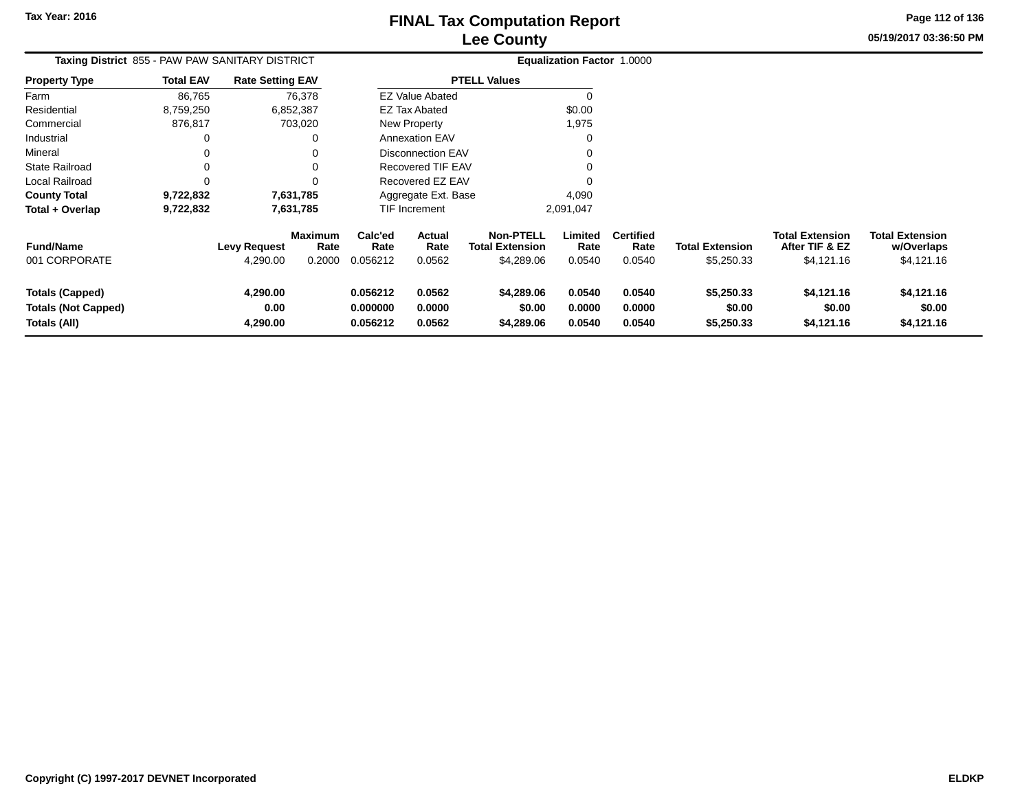**05/19/2017 03:36:50 PMPage 112 of 136**

| Taxing District 855 - PAW PAW SANITARY DISTRICT                      |                  |                              |                                  |                                  |                            |                                                          | <b>Equalization Factor 1.0000</b> |                                    |                                      |                                                 |                                                    |
|----------------------------------------------------------------------|------------------|------------------------------|----------------------------------|----------------------------------|----------------------------|----------------------------------------------------------|-----------------------------------|------------------------------------|--------------------------------------|-------------------------------------------------|----------------------------------------------------|
| <b>Property Type</b>                                                 | <b>Total EAV</b> | <b>Rate Setting EAV</b>      |                                  |                                  |                            | <b>PTELL Values</b>                                      |                                   |                                    |                                      |                                                 |                                                    |
| Farm                                                                 | 86,765           |                              | 76,378                           |                                  | <b>EZ Value Abated</b>     |                                                          |                                   |                                    |                                      |                                                 |                                                    |
| Residential                                                          | 8,759,250        |                              | 6,852,387                        |                                  | <b>EZ Tax Abated</b>       |                                                          | \$0.00                            |                                    |                                      |                                                 |                                                    |
| Commercial                                                           | 876,817          |                              | 703,020                          |                                  | New Property               |                                                          | 1,975                             |                                    |                                      |                                                 |                                                    |
| Industrial                                                           |                  |                              |                                  |                                  | <b>Annexation EAV</b>      |                                                          |                                   |                                    |                                      |                                                 |                                                    |
| Mineral                                                              |                  |                              |                                  |                                  | Disconnection EAV          |                                                          |                                   |                                    |                                      |                                                 |                                                    |
| State Railroad                                                       |                  |                              |                                  |                                  | <b>Recovered TIF EAV</b>   |                                                          |                                   |                                    |                                      |                                                 |                                                    |
| Local Railroad                                                       |                  |                              |                                  |                                  | Recovered EZ EAV           |                                                          |                                   |                                    |                                      |                                                 |                                                    |
| <b>County Total</b>                                                  | 9,722,832        |                              | 7,631,785                        |                                  | Aggregate Ext. Base        |                                                          | 4,090                             |                                    |                                      |                                                 |                                                    |
| Total + Overlap                                                      | 9,722,832        |                              | 7,631,785                        |                                  | <b>TIF Increment</b>       |                                                          | 2,091,047                         |                                    |                                      |                                                 |                                                    |
| <b>Fund/Name</b><br>001 CORPORATE                                    |                  | Levy Request<br>4,290.00     | <b>Maximum</b><br>Rate<br>0.2000 | Calc'ed<br>Rate<br>0.056212      | Actual<br>Rate<br>0.0562   | <b>Non-PTELL</b><br><b>Total Extension</b><br>\$4,289.06 | Limited<br>Rate<br>0.0540         | <b>Certified</b><br>Rate<br>0.0540 | <b>Total Extension</b><br>\$5,250.33 | Total Extension<br>After TIF & EZ<br>\$4,121.16 | <b>Total Extension</b><br>w/Overlaps<br>\$4,121.16 |
| <b>Totals (Capped)</b><br><b>Totals (Not Capped)</b><br>Totals (All) |                  | 4,290.00<br>0.00<br>4,290.00 |                                  | 0.056212<br>0.000000<br>0.056212 | 0.0562<br>0.0000<br>0.0562 | \$4,289.06<br>\$0.00<br>\$4,289.06                       | 0.0540<br>0.0000<br>0.0540        | 0.0540<br>0.0000<br>0.0540         | \$5,250.33<br>\$0.00<br>\$5,250.33   | \$4,121.16<br>\$0.00<br>\$4,121.16              | \$4,121.16<br>\$0.00<br>\$4,121.16                 |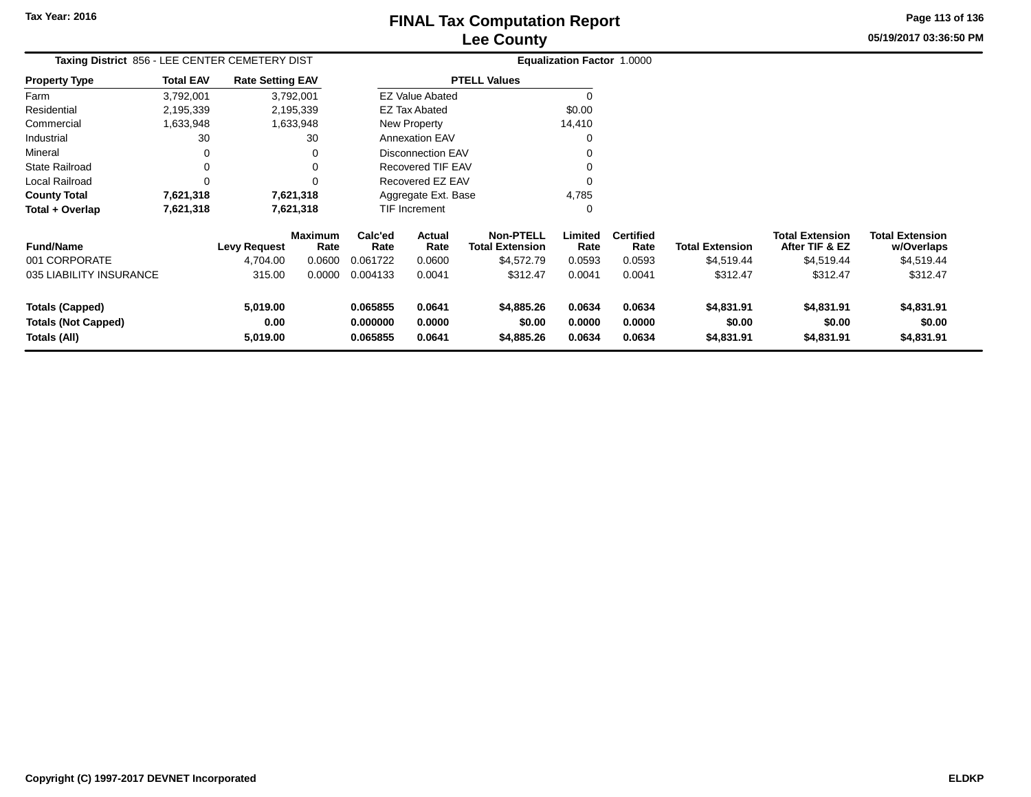**05/19/2017 03:36:50 PMPage 113 of 136**

| Taxing District 856 - LEE CENTER CEMETERY DIST |                  | Equalization Factor 1.0000 |                        |                 |                          |                                            |                 |                          |                        |                                          |                                      |
|------------------------------------------------|------------------|----------------------------|------------------------|-----------------|--------------------------|--------------------------------------------|-----------------|--------------------------|------------------------|------------------------------------------|--------------------------------------|
| <b>Property Type</b>                           | <b>Total EAV</b> | <b>Rate Setting EAV</b>    |                        |                 |                          | <b>PTELL Values</b>                        |                 |                          |                        |                                          |                                      |
| Farm                                           | 3,792,001        |                            | 3,792,001              |                 | <b>EZ Value Abated</b>   |                                            |                 |                          |                        |                                          |                                      |
| Residential                                    | 2,195,339        |                            | 2,195,339              |                 | <b>EZ Tax Abated</b>     |                                            | \$0.00          |                          |                        |                                          |                                      |
| Commercial                                     | 1,633,948        |                            | 1,633,948              |                 | New Property             |                                            | 14,410          |                          |                        |                                          |                                      |
| Industrial                                     | 30               |                            | 30                     |                 | <b>Annexation EAV</b>    |                                            |                 |                          |                        |                                          |                                      |
| Mineral                                        | 0                |                            |                        |                 | <b>Disconnection EAV</b> |                                            |                 |                          |                        |                                          |                                      |
| <b>State Railroad</b>                          | 0                |                            |                        |                 | Recovered TIF EAV        |                                            |                 |                          |                        |                                          |                                      |
| Local Railroad                                 | $\Omega$         |                            |                        |                 | Recovered EZ EAV         |                                            |                 |                          |                        |                                          |                                      |
| <b>County Total</b>                            | 7,621,318        |                            | 7,621,318              |                 | Aggregate Ext. Base      |                                            | 4,785           |                          |                        |                                          |                                      |
| Total + Overlap                                | 7,621,318        |                            | 7,621,318              |                 | <b>TIF Increment</b>     |                                            | 0               |                          |                        |                                          |                                      |
| <b>Fund/Name</b>                               |                  | <b>Levy Request</b>        | <b>Maximum</b><br>Rate | Calc'ed<br>Rate | Actual<br>Rate           | <b>Non-PTELL</b><br><b>Total Extension</b> | Limited<br>Rate | <b>Certified</b><br>Rate | <b>Total Extension</b> | <b>Total Extension</b><br>After TIF & EZ | <b>Total Extension</b><br>w/Overlaps |
| 001 CORPORATE                                  |                  | 4,704.00                   | 0.0600                 | 0.061722        | 0.0600                   | \$4,572.79                                 | 0.0593          | 0.0593                   | \$4,519.44             | \$4,519.44                               | \$4,519.44                           |
| 035 LIABILITY INSURANCE                        |                  | 315.00                     | 0.0000                 | 0.004133        | 0.0041                   | \$312.47                                   | 0.0041          | 0.0041                   | \$312.47               | \$312.47                                 | \$312.47                             |
| <b>Totals (Capped)</b>                         |                  | 5,019.00                   |                        | 0.065855        | 0.0641                   | \$4,885.26                                 | 0.0634          | 0.0634                   | \$4,831.91             | \$4,831.91                               | \$4,831.91                           |
| <b>Totals (Not Capped)</b>                     |                  | 0.00                       |                        | 0.000000        | 0.0000                   | \$0.00                                     | 0.0000          | 0.0000                   | \$0.00                 | \$0.00                                   | \$0.00                               |
| Totals (All)                                   |                  | 5,019.00                   |                        | 0.065855        | 0.0641                   | \$4,885.26                                 | 0.0634          | 0.0634                   | \$4,831.91             | \$4,831.91                               | \$4,831.91                           |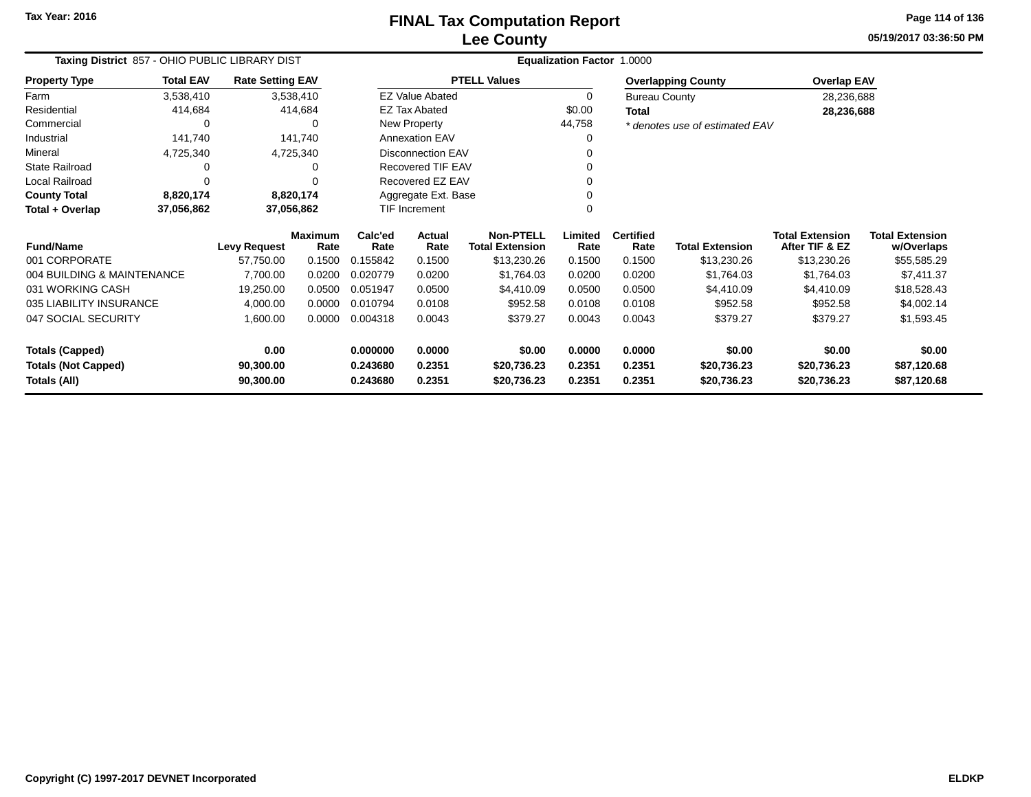**05/19/2017 03:36:50 PMPage 114 of 136**

| Taxing District 857 - OHIO PUBLIC LIBRARY DIST |                                                    |                         |                        |                 | Equalization Factor 1.0000 |                                            |                 |                          |                                |                                          |                                      |  |
|------------------------------------------------|----------------------------------------------------|-------------------------|------------------------|-----------------|----------------------------|--------------------------------------------|-----------------|--------------------------|--------------------------------|------------------------------------------|--------------------------------------|--|
| <b>Property Type</b>                           | <b>Total EAV</b>                                   | <b>Rate Setting EAV</b> |                        |                 |                            | <b>PTELL Values</b>                        |                 |                          | <b>Overlapping County</b>      | <b>Overlap EAV</b>                       |                                      |  |
| Farm                                           | 3,538,410                                          |                         | 3,538,410              |                 | <b>EZ Value Abated</b>     |                                            | 0               | <b>Bureau County</b>     |                                | 28,236,688                               |                                      |  |
| Residential                                    | 414,684                                            |                         | 414,684                |                 | <b>EZ Tax Abated</b>       |                                            | \$0.00          | <b>Total</b>             |                                | 28,236,688                               |                                      |  |
| Commercial                                     |                                                    |                         | 0                      |                 | New Property               |                                            | 44,758          |                          | * denotes use of estimated EAV |                                          |                                      |  |
| Industrial                                     | 141,740                                            |                         | 141,740                |                 | <b>Annexation EAV</b>      |                                            |                 |                          |                                |                                          |                                      |  |
| Mineral                                        | 4,725,340                                          | 4,725,340               |                        |                 | <b>Disconnection EAV</b>   |                                            |                 |                          |                                |                                          |                                      |  |
| State Railroad                                 |                                                    |                         |                        |                 | Recovered TIF EAV          |                                            |                 |                          |                                |                                          |                                      |  |
| Local Railroad                                 |                                                    |                         |                        |                 | Recovered EZ EAV           |                                            |                 |                          |                                |                                          |                                      |  |
| <b>County Total</b>                            | 8,820,174<br>8,820,174<br>37,056,862<br>37,056,862 |                         |                        |                 | Aggregate Ext. Base        |                                            |                 |                          |                                |                                          |                                      |  |
| Total + Overlap                                |                                                    |                         |                        |                 | TIF Increment              |                                            |                 |                          |                                |                                          |                                      |  |
| <b>Fund/Name</b>                               |                                                    | Levy Request            | <b>Maximum</b><br>Rate | Calc'ed<br>Rate | Actual<br>Rate             | <b>Non-PTELL</b><br><b>Total Extension</b> | Limited<br>Rate | <b>Certified</b><br>Rate | <b>Total Extension</b>         | <b>Total Extension</b><br>After TIF & EZ | <b>Total Extension</b><br>w/Overlaps |  |
| 001 CORPORATE                                  |                                                    | 57,750.00               | 0.1500                 | 0.155842        | 0.1500                     | \$13,230.26                                | 0.1500          | 0.1500                   | \$13,230.26                    | \$13,230.26                              | \$55,585.29                          |  |
| 004 BUILDING & MAINTENANCE                     |                                                    | 7,700.00                | 0.0200                 | 0.020779        | 0.0200                     | \$1,764.03                                 | 0.0200          | 0.0200                   | \$1,764.03                     | \$1,764.03                               | \$7,411.37                           |  |
| 031 WORKING CASH                               |                                                    | 19,250.00               | 0.0500                 | 0.051947        | 0.0500                     | \$4,410.09                                 | 0.0500          | 0.0500                   | \$4,410.09                     | \$4,410.09                               | \$18,528.43                          |  |
| 035 LIABILITY INSURANCE                        |                                                    | 4,000.00                | 0.0000                 | 0.010794        | 0.0108                     | \$952.58                                   | 0.0108          | 0.0108                   | \$952.58                       | \$952.58                                 | \$4,002.14                           |  |
| 047 SOCIAL SECURITY                            |                                                    | 1,600.00                | 0.0000                 | 0.004318        | 0.0043                     | \$379.27                                   | 0.0043          | 0.0043                   | \$379.27                       | \$379.27                                 | \$1,593.45                           |  |
| <b>Totals (Capped)</b>                         |                                                    | 0.00                    |                        | 0.000000        | 0.0000                     | \$0.00                                     | 0.0000          | 0.0000                   | \$0.00                         | \$0.00                                   | \$0.00                               |  |
| <b>Totals (Not Capped)</b>                     |                                                    | 90,300.00               |                        | 0.243680        | 0.2351                     | \$20,736.23                                | 0.2351          | 0.2351                   | \$20,736.23                    | \$20,736.23                              | \$87,120.68                          |  |
| Totals (All)                                   |                                                    | 90,300.00               |                        | 0.243680        | 0.2351                     | \$20,736.23                                | 0.2351          | 0.2351                   | \$20,736.23                    | \$20,736.23                              | \$87,120.68                          |  |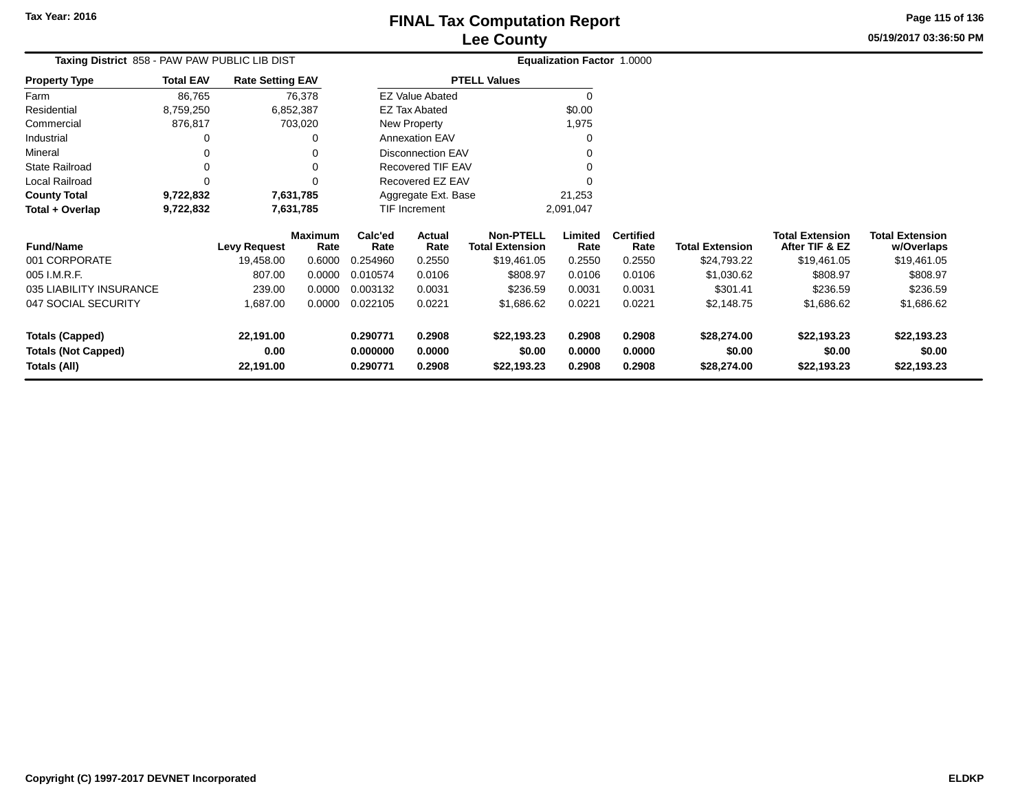**05/19/2017 03:36:50 PMPage 115 of 136**

| Taxing District 858 - PAW PAW PUBLIC LIB DIST |                  |                         |                        |                 |                          |                                            | <b>Equalization Factor 1.0000</b> |                          |                        |                                     |
|-----------------------------------------------|------------------|-------------------------|------------------------|-----------------|--------------------------|--------------------------------------------|-----------------------------------|--------------------------|------------------------|-------------------------------------|
| <b>Property Type</b>                          | <b>Total EAV</b> | <b>Rate Setting EAV</b> |                        |                 |                          | <b>PTELL Values</b>                        |                                   |                          |                        |                                     |
| Farm                                          | 86,765           |                         | 76,378                 |                 | <b>EZ Value Abated</b>   |                                            |                                   |                          |                        |                                     |
| Residential                                   | 8,759,250        |                         | 6,852,387              |                 | <b>EZ Tax Abated</b>     |                                            | \$0.00                            |                          |                        |                                     |
| Commercial                                    | 876,817          |                         | 703,020                |                 | New Property             |                                            | 1,975                             |                          |                        |                                     |
| Industrial                                    |                  |                         | 0                      |                 | <b>Annexation EAV</b>    |                                            | 0                                 |                          |                        |                                     |
| Mineral                                       |                  |                         | 0                      |                 | <b>Disconnection EAV</b> |                                            |                                   |                          |                        |                                     |
| <b>State Railroad</b>                         |                  |                         | 0                      |                 | Recovered TIF EAV        |                                            |                                   |                          |                        |                                     |
| Local Railroad                                |                  |                         |                        |                 | Recovered EZ EAV         |                                            |                                   |                          |                        |                                     |
| <b>County Total</b>                           | 9,722,832        |                         | 7,631,785              |                 | Aggregate Ext. Base      |                                            | 21,253                            |                          |                        |                                     |
| Total + Overlap                               | 9,722,832        |                         | 7,631,785              |                 | <b>TIF Increment</b>     |                                            | 2,091,047                         |                          |                        |                                     |
| <b>Fund/Name</b>                              |                  | <b>Levy Request</b>     | <b>Maximum</b><br>Rate | Calc'ed<br>Rate | Actual<br>Rate           | <b>Non-PTELL</b><br><b>Total Extension</b> | Limited<br>Rate                   | <b>Certified</b><br>Rate | <b>Total Extension</b> | <b>Total Ext</b><br><b>After TI</b> |
| 001 CORPORATE                                 |                  | 19,458.00               | 0.6000                 | 0.254960        | 0.2550                   | \$19,461.05                                | 0.2550                            | 0.2550                   | \$24,793.22            | \$19                                |
| 005 I.M.R.F.                                  |                  | 807.00                  | 0.0000                 | 0.010574        | 0.0106                   | \$808.97                                   | 0.0106                            | 0.0106                   | \$1,030.62             |                                     |
| 035 LIABILITY INSURANCE                       |                  | 239.00                  | 0.0000                 | 0.003132        | 0.0031                   | \$236.59                                   | 0.0031                            | 0.0031                   | \$301.41               |                                     |
| 047 SOCIAL SECURITY                           |                  | 1,687.00                | 0.0000                 | 0.022105        | 0.0221                   | \$1,686.62                                 | 0.0221                            | 0.0221                   | \$2,148.75             | \$1.                                |

| <b>Fund/Name</b>           | Levy Request | Maximum<br>Rate | Calc'ed<br>Rate | Actual<br>Rate | <b>Non-PTELL</b><br><b>Total Extension</b> | Limited<br>Rate | <b>Certified</b><br>Rate | <b>Total Extension</b> | Total Extension<br>After TIF & EZ | <b>Total Extension</b><br>w/Overlaps |
|----------------------------|--------------|-----------------|-----------------|----------------|--------------------------------------------|-----------------|--------------------------|------------------------|-----------------------------------|--------------------------------------|
| 001 CORPORATE              | 19,458.00    | 0.6000          | 0.254960        | 0.2550         | \$19,461.05                                | 0.2550          | 0.2550                   | \$24,793.22            | \$19,461.05                       | \$19,461.05                          |
| 005 I.M.R.F.               | 807.00       | 0.0000          | 0.010574        | 0.0106         | \$808.97                                   | 0.0106          | 0.0106                   | \$1,030.62             | \$808.97                          | \$808.97                             |
| 035 LIABILITY INSURANCE    | 239.00       | 0.0000          | 0.003132        | 0.0031         | \$236.59                                   | 0.0031          | 0.0031                   | \$301.41               | \$236.59                          | \$236.59                             |
| 047 SOCIAL SECURITY        | 1.687.00     | 0.0000          | 0.022105        | 0.0221         | \$1.686.62                                 | 0.0221          | 0.0221                   | \$2,148.75             | \$1,686.62                        | \$1,686.62                           |
| Totals (Capped)            | 22,191.00    |                 | 0.290771        | 0.2908         | \$22,193.23                                | 0.2908          | 0.2908                   | \$28,274.00            | \$22,193.23                       | \$22,193.23                          |
| <b>Totals (Not Capped)</b> | 0.00         |                 | 0.000000        | 0.0000         | \$0.00                                     | 0.0000          | 0.0000                   | \$0.00                 | \$0.00                            | \$0.00                               |
| Totals (All)               | 22.191.00    |                 | 0.290771        | 0.2908         | \$22,193.23                                | 0.2908          | 0.2908                   | \$28,274.00            | \$22,193.23                       | \$22,193.23                          |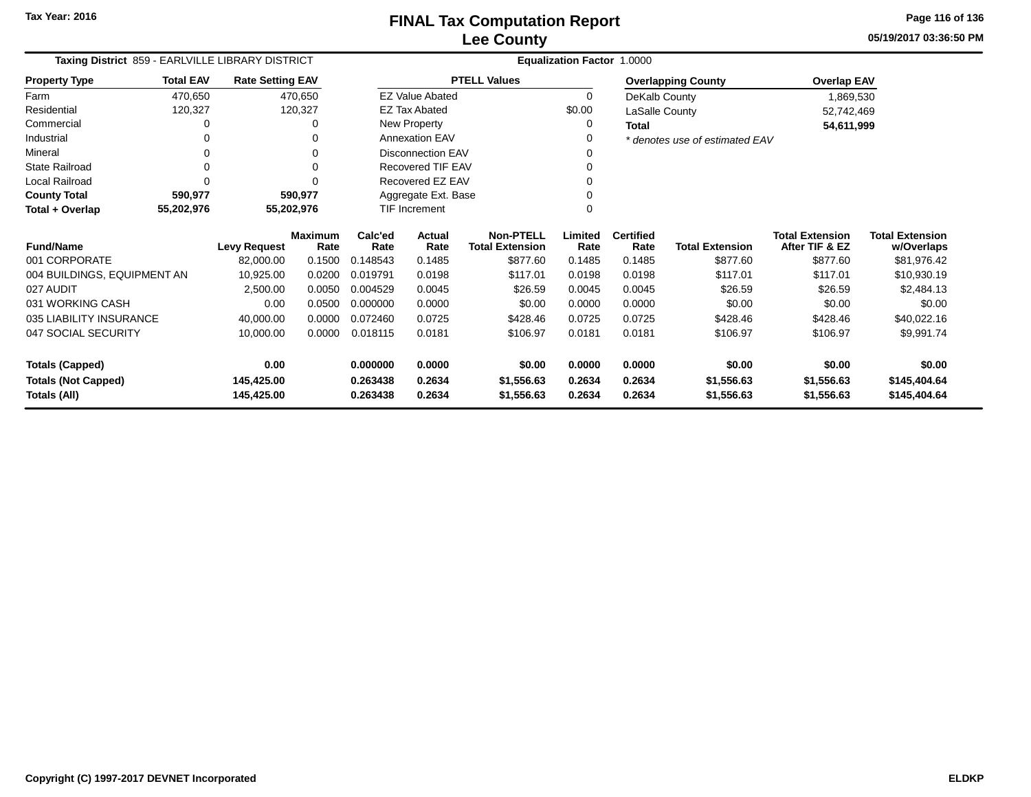**05/19/2017 03:36:50 PMPage 116 of 136**

| Taxing District 859 - EARLVILLE LIBRARY DISTRICT |                          |                         |                        |                 | Equalization Factor 1.0000 |                                            |                 |                          |                                |                                          |                                      |
|--------------------------------------------------|--------------------------|-------------------------|------------------------|-----------------|----------------------------|--------------------------------------------|-----------------|--------------------------|--------------------------------|------------------------------------------|--------------------------------------|
| <b>Property Type</b>                             | <b>Total EAV</b>         | <b>Rate Setting EAV</b> |                        |                 |                            | <b>PTELL Values</b>                        |                 |                          | <b>Overlapping County</b>      | <b>Overlap EAV</b>                       |                                      |
| Farm                                             | 470,650                  |                         | 470,650                |                 | <b>EZ Value Abated</b>     |                                            | $\Omega$        | DeKalb County            |                                | 1,869,530                                |                                      |
| Residential                                      | 120,327                  |                         | 120,327                |                 | <b>EZ Tax Abated</b>       |                                            | \$0.00          | LaSalle County           |                                | 52,742,469                               |                                      |
| Commercial                                       | 0                        |                         | 0                      |                 | New Property               |                                            | 0               | <b>Total</b>             |                                | 54,611,999                               |                                      |
| Industrial                                       | 0                        |                         | 0                      |                 | <b>Annexation EAV</b>      |                                            | ∩               |                          | * denotes use of estimated EAV |                                          |                                      |
| Mineral                                          |                          |                         | 0                      |                 | <b>Disconnection EAV</b>   |                                            |                 |                          |                                |                                          |                                      |
| <b>State Railroad</b>                            | 0                        |                         | 0                      |                 | Recovered TIF EAV          |                                            |                 |                          |                                |                                          |                                      |
| Local Railroad                                   |                          |                         | $\Omega$               |                 | Recovered EZ EAV           |                                            |                 |                          |                                |                                          |                                      |
| <b>County Total</b>                              | 590,977                  |                         | 590,977                |                 | Aggregate Ext. Base        |                                            |                 |                          |                                |                                          |                                      |
| Total + Overlap                                  | 55,202,976<br>55,202,976 |                         |                        |                 | <b>TIF Increment</b>       |                                            |                 |                          |                                |                                          |                                      |
| <b>Fund/Name</b>                                 |                          | <b>Levy Request</b>     | <b>Maximum</b><br>Rate | Calc'ed<br>Rate | <b>Actual</b><br>Rate      | <b>Non-PTELL</b><br><b>Total Extension</b> | Limited<br>Rate | <b>Certified</b><br>Rate | <b>Total Extension</b>         | <b>Total Extension</b><br>After TIF & EZ | <b>Total Extension</b><br>w/Overlaps |
| 001 CORPORATE                                    |                          | 82,000.00               | 0.1500                 | 0.148543        | 0.1485                     | \$877.60                                   | 0.1485          | 0.1485                   | \$877.60                       | \$877.60                                 | \$81,976.42                          |
| 004 BUILDINGS, EQUIPMENT AN                      |                          | 10,925.00               | 0.0200                 | 0.019791        | 0.0198                     | \$117.01                                   | 0.0198          | 0.0198                   | \$117.01                       | \$117.01                                 | \$10,930.19                          |
| 027 AUDIT                                        |                          | 2,500.00                | 0.0050                 | 0.004529        | 0.0045                     | \$26.59                                    | 0.0045          | 0.0045                   | \$26.59                        | \$26.59                                  | \$2,484.13                           |
| 031 WORKING CASH                                 |                          | 0.00                    | 0.0500                 | 0.000000        | 0.0000                     | \$0.00                                     | 0.0000          | 0.0000                   | \$0.00                         | \$0.00                                   | \$0.00                               |
| 035 LIABILITY INSURANCE                          |                          | 40,000.00               | 0.0000                 | 0.072460        | 0.0725                     | \$428.46                                   | 0.0725          | 0.0725                   | \$428.46                       | \$428.46                                 | \$40,022.16                          |
| 047 SOCIAL SECURITY                              |                          | 10,000.00               | 0.0000                 | 0.018115        | 0.0181                     | \$106.97                                   | 0.0181          | 0.0181                   | \$106.97                       | \$106.97                                 | \$9,991.74                           |
| <b>Totals (Capped)</b>                           |                          | 0.00                    |                        | 0.000000        | 0.0000                     | \$0.00                                     | 0.0000          | 0.0000                   | \$0.00                         | \$0.00                                   | \$0.00                               |
| <b>Totals (Not Capped)</b><br>145,425.00         |                          | 0.263438                | 0.2634                 | \$1,556.63      | 0.2634                     | 0.2634                                     | \$1,556.63      | \$1,556.63               | \$145,404.64                   |                                          |                                      |
| 145,425.00<br>Totals (All)                       |                          | 0.263438                | 0.2634                 | \$1,556.63      | 0.2634                     | 0.2634                                     | \$1,556.63      | \$1,556.63               | \$145,404.64                   |                                          |                                      |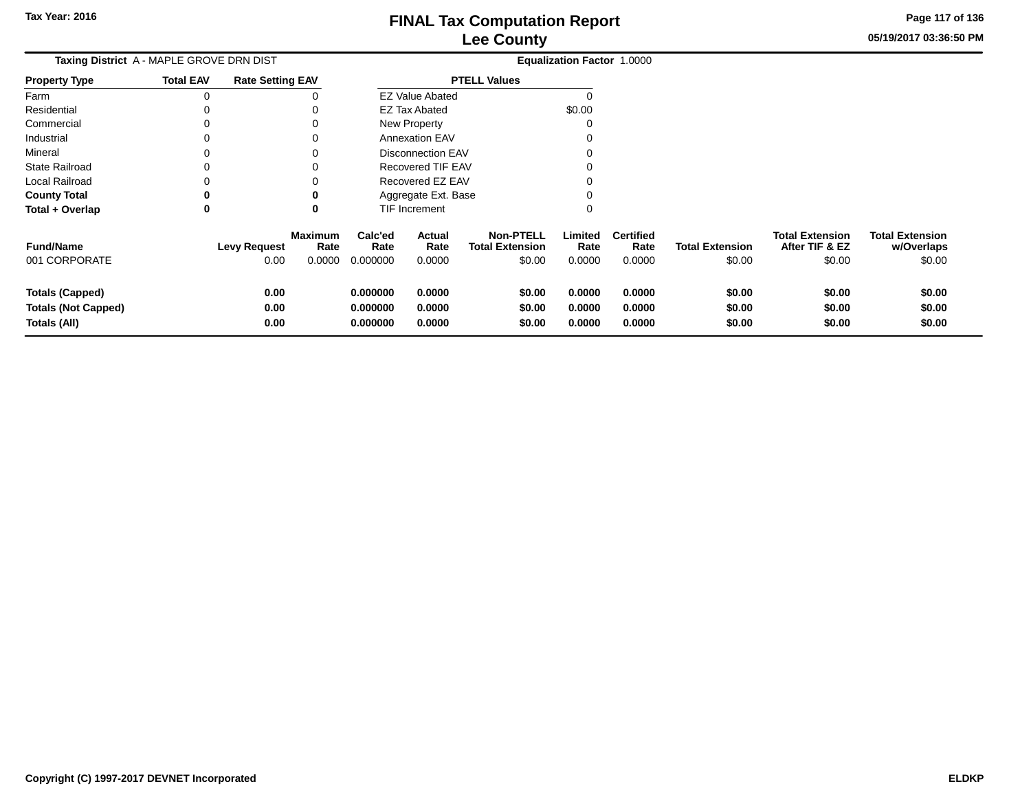**05/19/2017 03:36:50 PMPage 117 of 136**

| <b>Taxing District A - MAPLE GROVE DRN DIST</b> |                  |                         |                        |                 |                          |                                            | <b>Equalization Factor 1.0000</b> |                          |                        |                                          |                                      |
|-------------------------------------------------|------------------|-------------------------|------------------------|-----------------|--------------------------|--------------------------------------------|-----------------------------------|--------------------------|------------------------|------------------------------------------|--------------------------------------|
| Property Type                                   | <b>Total EAV</b> | <b>Rate Setting EAV</b> |                        |                 |                          | <b>PTELL Values</b>                        |                                   |                          |                        |                                          |                                      |
| Farm                                            | 0                |                         |                        |                 | <b>EZ Value Abated</b>   |                                            |                                   |                          |                        |                                          |                                      |
| Residential                                     | 0                |                         |                        |                 | <b>EZ Tax Abated</b>     |                                            | \$0.00                            |                          |                        |                                          |                                      |
| Commercial                                      | 0                |                         |                        |                 | New Property             |                                            |                                   |                          |                        |                                          |                                      |
| Industrial                                      | 0                |                         |                        |                 | <b>Annexation EAV</b>    |                                            |                                   |                          |                        |                                          |                                      |
| Mineral                                         | 0                |                         |                        |                 | <b>Disconnection EAV</b> |                                            |                                   |                          |                        |                                          |                                      |
| State Railroad                                  | 0                |                         |                        |                 | Recovered TIF EAV        |                                            |                                   |                          |                        |                                          |                                      |
| Local Railroad                                  | 0                |                         |                        |                 | Recovered EZ EAV         |                                            |                                   |                          |                        |                                          |                                      |
| <b>County Total</b>                             | 0                |                         |                        |                 | Aggregate Ext. Base      |                                            |                                   |                          |                        |                                          |                                      |
| Total + Overlap                                 | 0                |                         | 0                      |                 | TIF Increment            |                                            | 0                                 |                          |                        |                                          |                                      |
| <b>Fund/Name</b>                                |                  | <b>Levy Request</b>     | <b>Maximum</b><br>Rate | Calc'ed<br>Rate | Actual<br>Rate           | <b>Non-PTELL</b><br><b>Total Extension</b> | Limited<br>Rate                   | <b>Certified</b><br>Rate | <b>Total Extension</b> | <b>Total Extension</b><br>After TIF & EZ | <b>Total Extension</b><br>w/Overlaps |
| 001 CORPORATE                                   |                  | 0.00                    | 0.0000                 | 0.000000        | 0.0000                   | \$0.00                                     | 0.0000                            | 0.0000                   | \$0.00                 | \$0.00                                   | \$0.00                               |
| Totals (Capped)                                 |                  | 0.00                    |                        | 0.000000        | 0.0000                   | \$0.00                                     | 0.0000                            | 0.0000                   | \$0.00                 | \$0.00                                   | \$0.00                               |
| <b>Totals (Not Capped)</b>                      |                  | 0.00                    |                        | 0.000000        | 0.0000                   | \$0.00                                     | 0.0000                            | 0.0000                   | \$0.00                 | \$0.00                                   | \$0.00                               |
| Totals (All)                                    |                  | 0.00                    |                        | 0.000000        | 0.0000                   | \$0.00                                     | 0.0000                            | 0.0000                   | \$0.00                 | \$0.00                                   | \$0.00                               |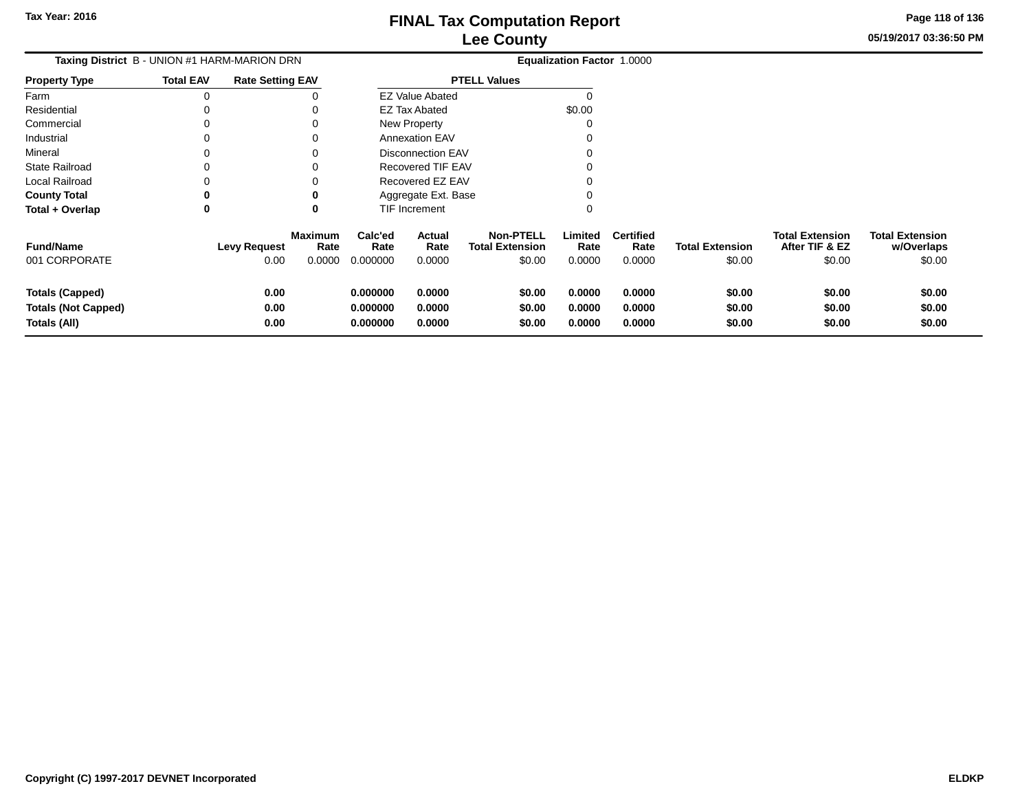## **Lee CountyFINAL Tax Computation Report**

**05/19/2017 03:36:50 PMPage 118 of 136**

|                       |                                              |                         | --- ------                    |                        |                              |                                     |                        |                                 |                 |                                            |  |
|-----------------------|----------------------------------------------|-------------------------|-------------------------------|------------------------|------------------------------|-------------------------------------|------------------------|---------------------------------|-----------------|--------------------------------------------|--|
|                       | Taxing District B - UNION #1 HARM-MARION DRN |                         | Equalization Factor 1.0000    |                        |                              |                                     |                        |                                 |                 |                                            |  |
| <b>Property Type</b>  | <b>Total EAV</b>                             | <b>Rate Setting EAV</b> |                               |                        |                              | <b>PTELL Values</b>                 |                        |                                 |                 |                                            |  |
| Farm                  |                                              |                         |                               |                        | <b>EZ Value Abated</b>       |                                     |                        |                                 |                 |                                            |  |
| Residential           |                                              |                         | 0                             |                        | <b>EZ Tax Abated</b>         |                                     | \$0.00                 |                                 |                 |                                            |  |
| Commercial            | 0                                            |                         | 0                             |                        | New Property                 |                                     |                        |                                 |                 |                                            |  |
| Industrial            |                                              |                         | 0                             |                        | <b>Annexation EAV</b>        |                                     |                        |                                 |                 |                                            |  |
| Mineral               |                                              |                         | 0                             |                        | Disconnection EAV            |                                     |                        |                                 |                 |                                            |  |
| <b>State Railroad</b> | 0                                            |                         | 0                             |                        | Recovered TIF EAV            |                                     |                        |                                 |                 |                                            |  |
| Local Railroad        |                                              |                         | 0                             |                        | Recovered EZ EAV             |                                     |                        |                                 |                 |                                            |  |
| <b>County Total</b>   | 0                                            |                         | 0                             |                        | Aggregate Ext. Base          |                                     |                        |                                 |                 |                                            |  |
| Total + Overlap       | 0                                            |                         | 0                             |                        | <b>TIF Increment</b>         |                                     |                        |                                 |                 |                                            |  |
| $F_{t}$               |                                              | الممنسم المتما          | <b>Maximum</b><br><b>Data</b> | Calc'ed<br><b>Data</b> | <b>Actual</b><br><b>Data</b> | <b>Non-PTELL</b><br>Tatal Evisnaisn | Limited<br><b>Data</b> | <b>Certified</b><br><b>Data</b> | Tatal Evisualan | <b>Total Extension</b><br>$ALA$ , TIE 0 E7 |  |

| <b>Fund/Name</b><br>001 CORPORATE | <b>Levy Request</b><br>0.00 | <b>Maximum</b><br>Rate<br>0.0000 | Calc'ed<br>Rate<br>0.000000 | Actual<br>Rate<br>0.0000 | <b>Non-PTELL</b><br><b>Total Extension</b><br>\$0.00 | Limited<br>Rate<br>0.0000 | <b>Certified</b><br>Rate<br>0.0000 | <b>Total Extension</b><br>\$0.00 | <b>Total Extension</b><br>After TIF & EZ<br>\$0.00 | <b>Total Extension</b><br>w/Overlaps<br>\$0.00 |
|-----------------------------------|-----------------------------|----------------------------------|-----------------------------|--------------------------|------------------------------------------------------|---------------------------|------------------------------------|----------------------------------|----------------------------------------------------|------------------------------------------------|
| <b>Totals (Capped)</b>            | 0.00                        |                                  | 0.000000                    | 0.0000                   | \$0.00                                               | 0.0000                    | 0.0000                             | \$0.00                           | \$0.00                                             | \$0.00                                         |
| <b>Totals (Not Capped)</b>        | 0.00                        |                                  | 0.000000                    | 0.0000                   | \$0.00                                               | 0.0000                    | 0.0000                             | \$0.00                           | \$0.00                                             | \$0.00                                         |
| Totals (All)                      | 0.00                        |                                  | 0.000000                    | 0.0000                   | \$0.00                                               | 0.0000                    | 0.0000                             | \$0.00                           | \$0.00                                             | \$0.00                                         |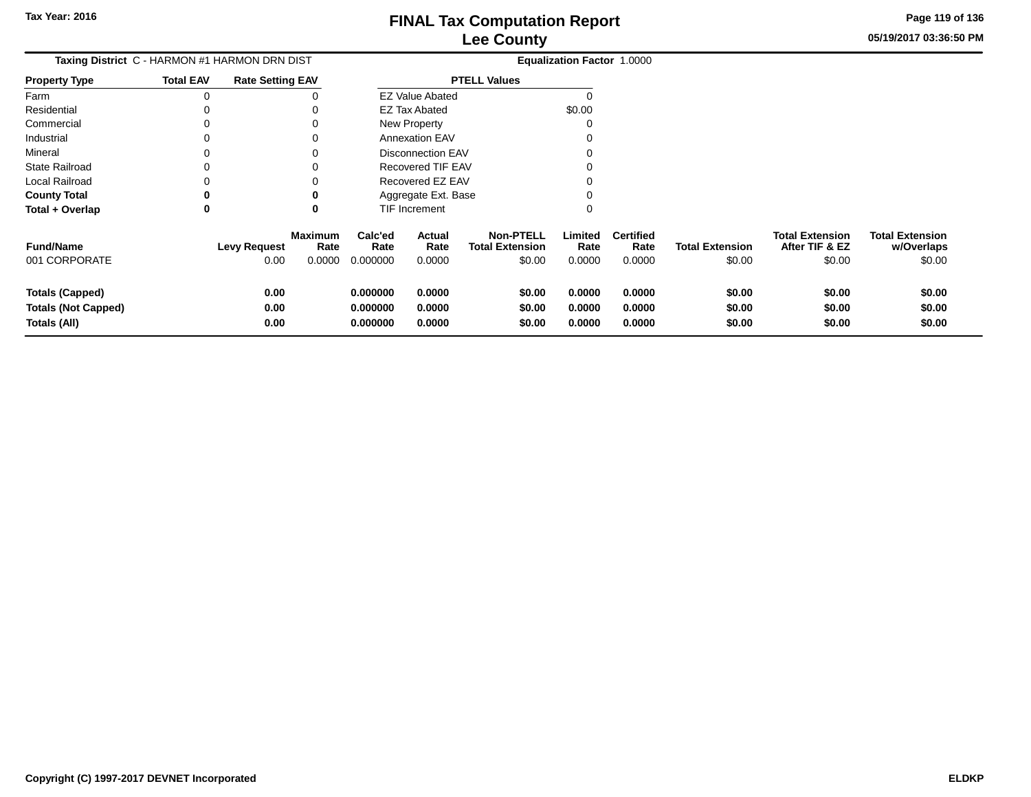**05/19/2017 03:36:50 PMPage 119 of 136**

# **Equalization Factor** 1.0000

| <b>Total EAV</b> | <b>Rate Setting EAV</b> |                     |                                               |                                                                                |                                                                                                                                    |                          |                                   |
|------------------|-------------------------|---------------------|-----------------------------------------------|--------------------------------------------------------------------------------|------------------------------------------------------------------------------------------------------------------------------------|--------------------------|-----------------------------------|
|                  |                         |                     |                                               |                                                                                |                                                                                                                                    |                          |                                   |
|                  |                         |                     |                                               |                                                                                | \$0.00                                                                                                                             |                          |                                   |
|                  |                         |                     |                                               |                                                                                |                                                                                                                                    |                          |                                   |
|                  |                         |                     |                                               |                                                                                |                                                                                                                                    |                          |                                   |
|                  |                         |                     |                                               |                                                                                |                                                                                                                                    |                          |                                   |
|                  |                         |                     |                                               |                                                                                |                                                                                                                                    |                          |                                   |
|                  |                         |                     |                                               |                                                                                |                                                                                                                                    |                          |                                   |
|                  | 0                       |                     |                                               |                                                                                |                                                                                                                                    |                          |                                   |
|                  |                         |                     |                                               |                                                                                |                                                                                                                                    |                          |                                   |
|                  | <b>Maximum</b><br>Rate  | Calc'ed<br>Rate     | Actual<br>Rate                                | <b>Non-PTELL</b><br><b>Total Extension</b>                                     | Limited<br>Rate                                                                                                                    | <b>Certified</b><br>Rate | Total                             |
|                  |                         | <b>Levy Request</b> | Taxing District C - HARMON #1 HARMON DRN DIST | EZ Tax Abated<br>New Property<br><b>Annexation EAV</b><br><b>TIF Increment</b> | <b>PTELL Values</b><br><b>EZ Value Abated</b><br>Disconnection EAV<br>Recovered TIF EAV<br>Recovered EZ EAV<br>Aggregate Ext. Base |                          | <b>Equalization Factor 1.0000</b> |

| <b>Fund/Name</b>           | <b>Levy Request</b> | Maximum<br>Rate | Calc'ed<br>Rate | Actual<br>Rate | <b>Non-PTELL</b><br><b>Total Extension</b> | .imited<br>Rate | <b>Certified</b><br>Rate | <b>Total Extension</b> | <b>Total Extension</b><br>After TIF & EZ | <b>Total Extension</b><br>w/Overlaps |
|----------------------------|---------------------|-----------------|-----------------|----------------|--------------------------------------------|-----------------|--------------------------|------------------------|------------------------------------------|--------------------------------------|
| 001 CORPORATE              | 0.00                | 0.0000          | 0.000000        | 0.0000         | \$0.00                                     | 0.0000          | 0.0000                   | \$0.00                 | \$0.00                                   | \$0.00                               |
| <b>Totals (Capped)</b>     | 0.00                |                 | 0.000000        | 0.0000         | \$0.00                                     | 0.0000          | 0.0000                   | \$0.00                 | \$0.00                                   | \$0.00                               |
| <b>Totals (Not Capped)</b> | 0.00                |                 | 0.000000        | 0.0000         | \$0.00                                     | 0.0000          | 0.0000                   | \$0.00                 | \$0.00                                   | \$0.00                               |
| Totals (All)               | 0.00                |                 | 0.000000        | 0.0000         | \$0.00                                     | 0.0000          | 0.0000                   | \$0.00                 | \$0.00                                   | \$0.00                               |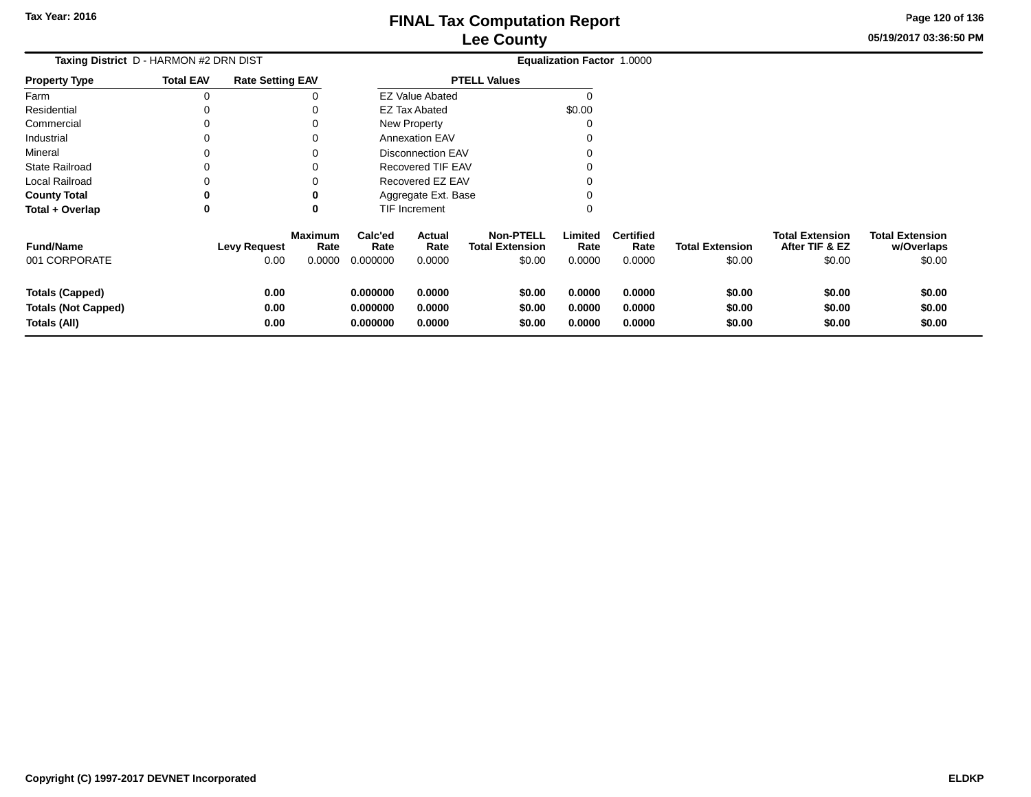**05/19/2017 03:36:50 PMPage 120 of 136**

| Taxing District D - HARMON #2 DRN DIST                               |                  |                             |                                  |                                  |                            |                                                      | <b>Equalization Factor 1.0000</b> |                                    |                                  |                                                    |                                                |
|----------------------------------------------------------------------|------------------|-----------------------------|----------------------------------|----------------------------------|----------------------------|------------------------------------------------------|-----------------------------------|------------------------------------|----------------------------------|----------------------------------------------------|------------------------------------------------|
| <b>Property Type</b>                                                 | <b>Total EAV</b> | <b>Rate Setting EAV</b>     |                                  |                                  |                            | <b>PTELL Values</b>                                  |                                   |                                    |                                  |                                                    |                                                |
| Farm                                                                 | 0                |                             |                                  |                                  | <b>EZ Value Abated</b>     |                                                      |                                   |                                    |                                  |                                                    |                                                |
| Residential                                                          |                  |                             | 0                                |                                  | <b>EZ Tax Abated</b>       |                                                      | \$0.00                            |                                    |                                  |                                                    |                                                |
| Commercial                                                           |                  |                             | 0                                |                                  | New Property               |                                                      |                                   |                                    |                                  |                                                    |                                                |
| Industrial                                                           |                  |                             | 0                                |                                  | <b>Annexation EAV</b>      |                                                      |                                   |                                    |                                  |                                                    |                                                |
| Mineral                                                              |                  |                             | 0                                |                                  | <b>Disconnection EAV</b>   |                                                      |                                   |                                    |                                  |                                                    |                                                |
| <b>State Railroad</b>                                                |                  |                             | 0                                |                                  | Recovered TIF EAV          |                                                      |                                   |                                    |                                  |                                                    |                                                |
| Local Railroad                                                       |                  |                             |                                  |                                  | Recovered EZ EAV           |                                                      |                                   |                                    |                                  |                                                    |                                                |
| <b>County Total</b>                                                  |                  |                             | 0                                |                                  | Aggregate Ext. Base        |                                                      |                                   |                                    |                                  |                                                    |                                                |
| Total + Overlap                                                      | 0                |                             | 0                                |                                  | TIF Increment              |                                                      | 0                                 |                                    |                                  |                                                    |                                                |
| <b>Fund/Name</b><br>001 CORPORATE                                    |                  | <b>Levy Request</b><br>0.00 | <b>Maximum</b><br>Rate<br>0.0000 | Calc'ed<br>Rate<br>0.000000      | Actual<br>Rate<br>0.0000   | <b>Non-PTELL</b><br><b>Total Extension</b><br>\$0.00 | Limited<br>Rate<br>0.0000         | <b>Certified</b><br>Rate<br>0.0000 | <b>Total Extension</b><br>\$0.00 | <b>Total Extension</b><br>After TIF & EZ<br>\$0.00 | <b>Total Extension</b><br>w/Overlaps<br>\$0.00 |
| <b>Totals (Capped)</b><br><b>Totals (Not Capped)</b><br>Totals (All) |                  | 0.00<br>0.00<br>0.00        |                                  | 0.000000<br>0.000000<br>0.000000 | 0.0000<br>0.0000<br>0.0000 | \$0.00<br>\$0.00<br>\$0.00                           | 0.0000<br>0.0000<br>0.0000        | 0.0000<br>0.0000<br>0.0000         | \$0.00<br>\$0.00<br>\$0.00       | \$0.00<br>\$0.00<br>\$0.00                         | \$0.00<br>\$0.00<br>\$0.00                     |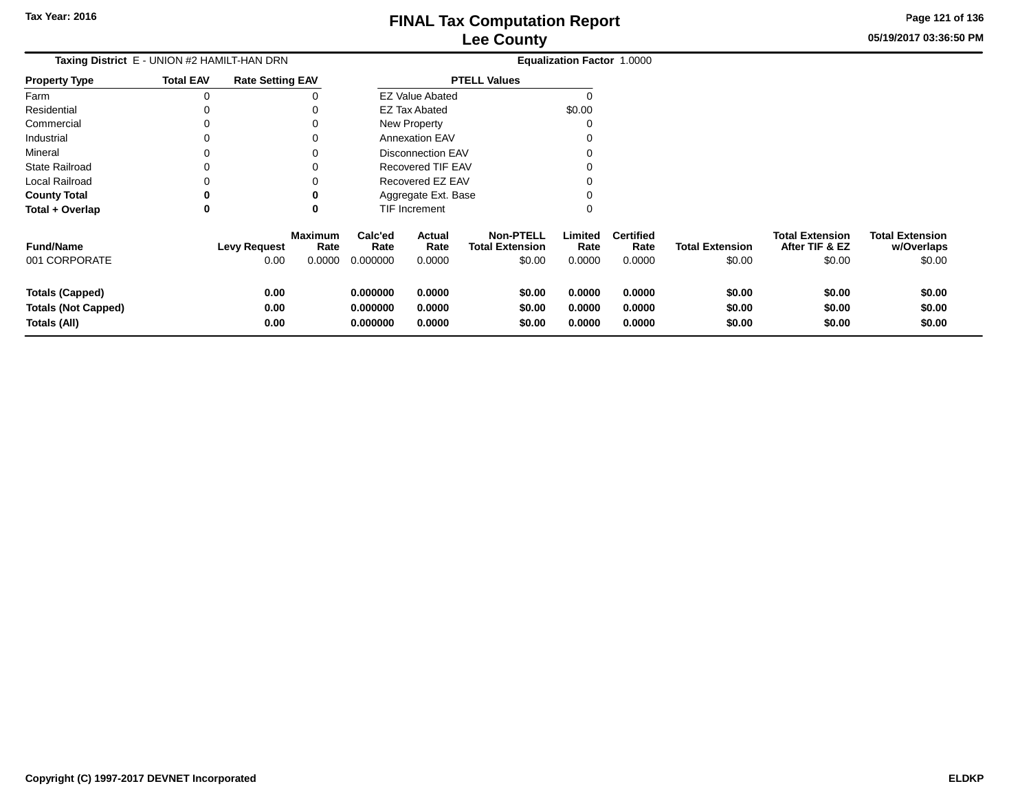**05/19/2017 03:36:50 PMPage 121 of 136**

| Taxing District E - UNION #2 HAMILT-HAN DRN                          |                  |                         |                        |                                  |                            |                                            | Equalization Factor 1.0000 |                            |                            |                                          |                                      |
|----------------------------------------------------------------------|------------------|-------------------------|------------------------|----------------------------------|----------------------------|--------------------------------------------|----------------------------|----------------------------|----------------------------|------------------------------------------|--------------------------------------|
| <b>Property Type</b>                                                 | <b>Total EAV</b> | <b>Rate Setting EAV</b> |                        |                                  |                            | <b>PTELL Values</b>                        |                            |                            |                            |                                          |                                      |
| Farm                                                                 | 0                |                         |                        |                                  | <b>EZ Value Abated</b>     |                                            |                            |                            |                            |                                          |                                      |
| Residential                                                          |                  |                         |                        |                                  | EZ Tax Abated              |                                            | \$0.00                     |                            |                            |                                          |                                      |
| Commercial                                                           | $\Omega$         |                         |                        |                                  | New Property               |                                            |                            |                            |                            |                                          |                                      |
| Industrial                                                           | $\Omega$         |                         |                        |                                  | <b>Annexation EAV</b>      |                                            |                            |                            |                            |                                          |                                      |
| Mineral                                                              | $\Omega$         |                         |                        |                                  | <b>Disconnection EAV</b>   |                                            |                            |                            |                            |                                          |                                      |
| <b>State Railroad</b>                                                | $\Omega$         |                         |                        |                                  | <b>Recovered TIF EAV</b>   |                                            |                            |                            |                            |                                          |                                      |
| Local Railroad                                                       | 0                |                         |                        |                                  | Recovered EZ EAV           |                                            |                            |                            |                            |                                          |                                      |
| <b>County Total</b>                                                  | 0                |                         | 0                      |                                  | Aggregate Ext. Base        |                                            |                            |                            |                            |                                          |                                      |
| Total + Overlap                                                      | $\bf{0}$         |                         | 0                      |                                  | TIF Increment              |                                            |                            |                            |                            |                                          |                                      |
| <b>Fund/Name</b>                                                     |                  | <b>Levy Request</b>     | <b>Maximum</b><br>Rate | Calc'ed<br>Rate                  | Actual<br>Rate             | <b>Non-PTELL</b><br><b>Total Extension</b> | Limited<br>Rate            | <b>Certified</b><br>Rate   | <b>Total Extension</b>     | <b>Total Extension</b><br>After TIF & EZ | <b>Total Extension</b><br>w/Overlaps |
| 001 CORPORATE                                                        |                  | 0.00                    | 0.0000                 | 0.000000                         | 0.0000                     | \$0.00                                     | 0.0000                     | 0.0000                     | \$0.00                     | \$0.00                                   | \$0.00                               |
| <b>Totals (Capped)</b><br><b>Totals (Not Capped)</b><br>Totals (All) |                  | 0.00<br>0.00<br>0.00    |                        | 0.000000<br>0.000000<br>0.000000 | 0.0000<br>0.0000<br>0.0000 | \$0.00<br>\$0.00<br>\$0.00                 | 0.0000<br>0.0000<br>0.0000 | 0.0000<br>0.0000<br>0.0000 | \$0.00<br>\$0.00<br>\$0.00 | \$0.00<br>\$0.00<br>\$0.00               | \$0.00<br>\$0.00<br>\$0.00           |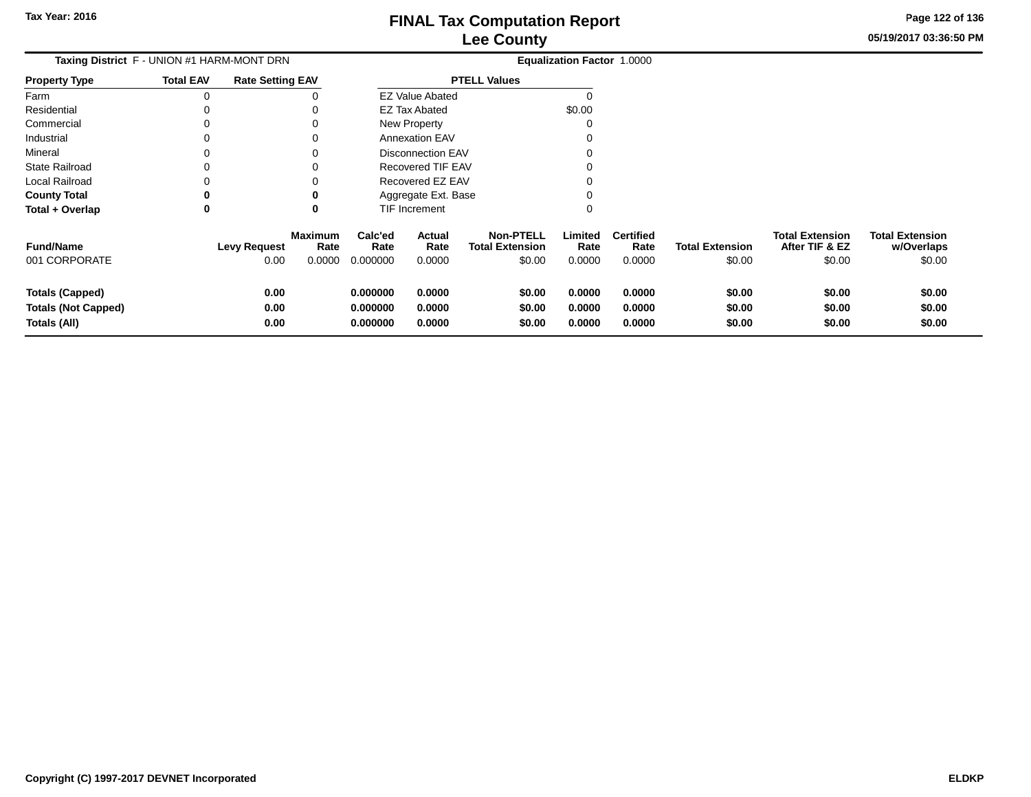**05/19/2017 03:36:50 PMPage 122 of 136**

| Taxing District F - UNION #1 HARM-MONT DRN                           |                  |                             | <b>Equalization Factor 1.0000</b> |                                  |                            |                                                      |                            |                                    |                                  |                                                    |                                                |
|----------------------------------------------------------------------|------------------|-----------------------------|-----------------------------------|----------------------------------|----------------------------|------------------------------------------------------|----------------------------|------------------------------------|----------------------------------|----------------------------------------------------|------------------------------------------------|
| <b>Property Type</b>                                                 | <b>Total EAV</b> | <b>Rate Setting EAV</b>     |                                   |                                  |                            | <b>PTELL Values</b>                                  |                            |                                    |                                  |                                                    |                                                |
| Farm                                                                 | 0                |                             |                                   |                                  | <b>EZ Value Abated</b>     |                                                      |                            |                                    |                                  |                                                    |                                                |
| Residential                                                          |                  |                             |                                   |                                  | <b>EZ Tax Abated</b>       |                                                      | \$0.00                     |                                    |                                  |                                                    |                                                |
| Commercial                                                           |                  |                             | 0                                 |                                  | New Property               |                                                      |                            |                                    |                                  |                                                    |                                                |
| Industrial                                                           |                  |                             | 0                                 |                                  | <b>Annexation EAV</b>      |                                                      |                            |                                    |                                  |                                                    |                                                |
| Mineral                                                              |                  |                             | 0                                 |                                  | <b>Disconnection EAV</b>   |                                                      |                            |                                    |                                  |                                                    |                                                |
| <b>State Railroad</b>                                                |                  |                             | 0                                 |                                  | <b>Recovered TIF EAV</b>   |                                                      |                            |                                    |                                  |                                                    |                                                |
| Local Railroad                                                       |                  |                             |                                   |                                  | Recovered EZ EAV           |                                                      |                            |                                    |                                  |                                                    |                                                |
| <b>County Total</b>                                                  |                  |                             | 0                                 |                                  | Aggregate Ext. Base        |                                                      |                            |                                    |                                  |                                                    |                                                |
| Total + Overlap                                                      | 0                |                             | 0                                 |                                  | TIF Increment              |                                                      | 0                          |                                    |                                  |                                                    |                                                |
| <b>Fund/Name</b><br>001 CORPORATE                                    |                  | <b>Levy Request</b><br>0.00 | <b>Maximum</b><br>Rate<br>0.0000  | Calc'ed<br>Rate<br>0.000000      | Actual<br>Rate<br>0.0000   | <b>Non-PTELL</b><br><b>Total Extension</b><br>\$0.00 | Limited<br>Rate<br>0.0000  | <b>Certified</b><br>Rate<br>0.0000 | <b>Total Extension</b><br>\$0.00 | <b>Total Extension</b><br>After TIF & EZ<br>\$0.00 | <b>Total Extension</b><br>w/Overlaps<br>\$0.00 |
| <b>Totals (Capped)</b><br><b>Totals (Not Capped)</b><br>Totals (All) |                  | 0.00<br>0.00<br>0.00        |                                   | 0.000000<br>0.000000<br>0.000000 | 0.0000<br>0.0000<br>0.0000 | \$0.00<br>\$0.00<br>\$0.00                           | 0.0000<br>0.0000<br>0.0000 | 0.0000<br>0.0000<br>0.0000         | \$0.00<br>\$0.00<br>\$0.00       | \$0.00<br>\$0.00<br>\$0.00                         | \$0.00<br>\$0.00<br>\$0.00                     |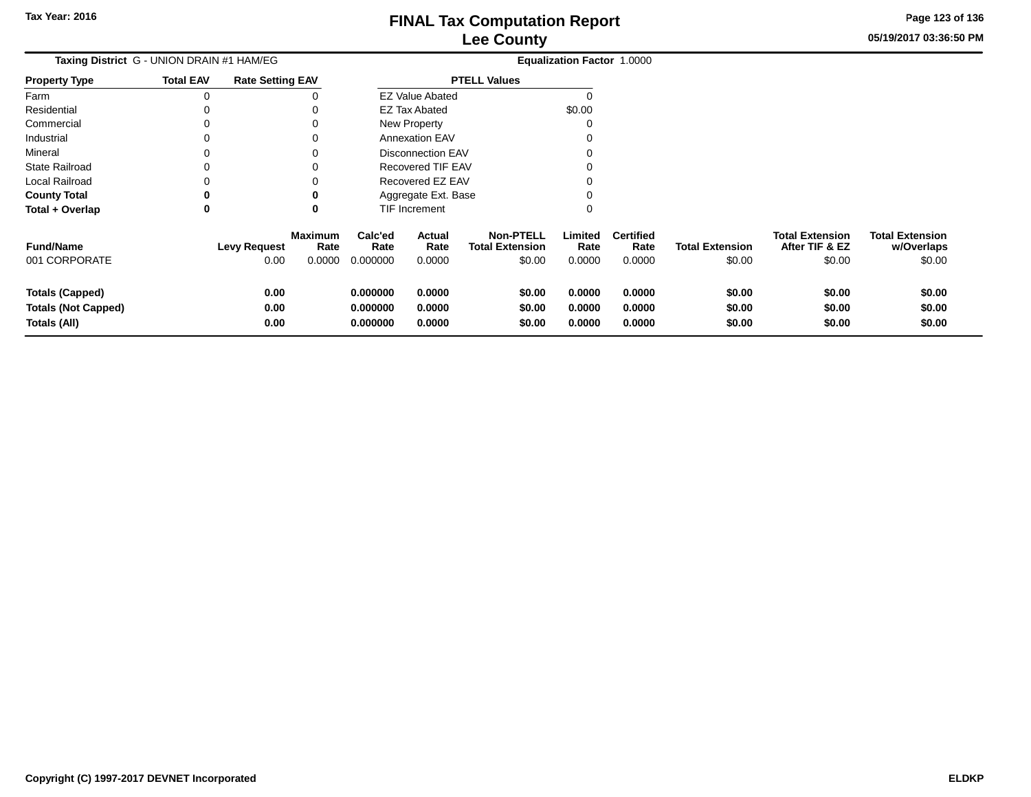**05/19/2017 03:36:50 PMPage 123 of 136**

\$0.00

#### **Equalization Factor** 1.0000 **Taxing District** G - UNION DRAIN #1 HAM/EG**Property Type**0  $0\qquad \qquad 0$ Farm Residential Commercial 0 $0\qquad \qquad 0$ Industrial 0 $0\qquad \qquad 0$ Mineral 0 $0\qquad \qquad 0$ State Railroad <sup>0</sup> <sup>0</sup> Local Railroadd 0 0 **County Total 0 <sup>0</sup> Total + Overlap <sup>0</sup> <sup>0</sup>** 0**Fund/Name Levy Request Rate Limited**Rate **w/Overlaps Total ExtensionAfter TIF & EZ** \$0.00 **Total ExtensionRate Total Extension Rate Total Extension**\$0.00 **Maximum Calc'ed Rate**0.000000 **Actual RateNon-PTELL Certified** \$0.00 001 CORPORATE 0.00 0.0000 0.000000 0.0000 \$0.00 0.0000 0.0000 \$0.00 \$0.00 \$0.00 **Totals (Capped) 0.00 0.000000 0.0000 \$0.00 0.0000 0.0000 \$0.00 \$0.00 \$0.00 Totals (Not Capped) 0.00 0.000000 0.0000 \$0.00 0.0000 0.0000 \$0.00 \$0.00 \$0.00 Totals (All) 0.00 0.000000 0.0000 \$0.00 0.0000 0.0000 \$0.00 \$0.00 \$0.00**  $\overline{0}$  $\mathsf 0$ **Total EAV Rate Setting EAV PTELL Values**  $\overline{0}$  \$0.00 0 $\pmb{0}$ Annexation EAV v o Disconnection EAV $\sim$  0 Recovered TIF EAVv o Recovered EZ EAV $\mathcal{O}$ 0 $\overline{0}$ New Property EZ Tax AbatedEZ Value AbatedAggregate Ext. BaseTIF Increment0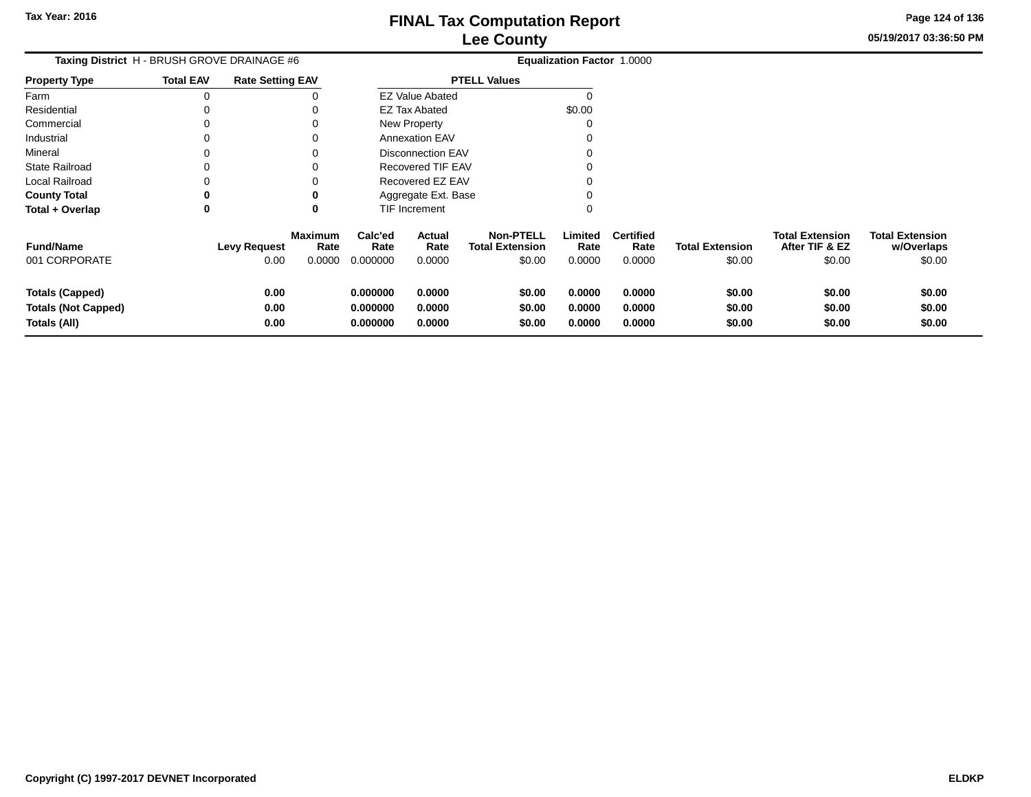**05/19/2017 03:36:50 PMPage 124 of 136**

 $$0.00$ 

| <b>Total EAV</b> |                      |                     |                                                                                   |                            |                                                       |                                                                                                                                                                    |                            |                                   |                                          |                                      |
|------------------|----------------------|---------------------|-----------------------------------------------------------------------------------|----------------------------|-------------------------------------------------------|--------------------------------------------------------------------------------------------------------------------------------------------------------------------|----------------------------|-----------------------------------|------------------------------------------|--------------------------------------|
| 0                |                      |                     |                                                                                   |                            |                                                       | 0                                                                                                                                                                  |                            |                                   |                                          |                                      |
| 0                |                      |                     |                                                                                   |                            |                                                       | \$0.00                                                                                                                                                             |                            |                                   |                                          |                                      |
| 0                |                      |                     |                                                                                   |                            |                                                       |                                                                                                                                                                    |                            |                                   |                                          |                                      |
| 0                |                      | $\Omega$            |                                                                                   |                            |                                                       |                                                                                                                                                                    |                            |                                   |                                          |                                      |
| 0                |                      |                     |                                                                                   |                            |                                                       |                                                                                                                                                                    |                            |                                   |                                          |                                      |
| 0                |                      |                     |                                                                                   |                            |                                                       |                                                                                                                                                                    |                            |                                   |                                          |                                      |
| 0                |                      |                     |                                                                                   |                            |                                                       |                                                                                                                                                                    |                            |                                   |                                          |                                      |
| 0                |                      |                     |                                                                                   |                            |                                                       |                                                                                                                                                                    |                            |                                   |                                          |                                      |
| 0                |                      | $\bf{0}$            |                                                                                   |                            |                                                       | 0                                                                                                                                                                  |                            |                                   |                                          |                                      |
|                  |                      | Rate                | Calc'ed<br>Rate                                                                   | Actual<br>Rate             | <b>Non-PTELL</b><br><b>Total Extension</b>            | Limited<br>Rate                                                                                                                                                    | <b>Certified</b><br>Rate   | <b>Total Extension</b>            | <b>Total Extension</b><br>After TIF & EZ | <b>Total Extension</b><br>w/Overlaps |
|                  | 0.00                 | 0.0000              | 0.000000                                                                          | 0.0000                     | \$0.00                                                | 0.0000                                                                                                                                                             | 0.0000                     | \$0.00                            | \$0.00                                   | \$0.00                               |
|                  | 0.00<br>0.00<br>0.00 |                     | 0.000000<br>0.000000<br>0.000000                                                  | 0.0000<br>0.0000<br>0.0000 | \$0.00<br>\$0.00<br>\$0.00                            | 0.0000<br>0.0000<br>0.0000                                                                                                                                         | 0.0000<br>0.0000<br>0.0000 | \$0.00<br>\$0.00<br>\$0.00        | \$0.00<br>\$0.00<br>\$0.00               | \$0.00<br>\$0.00<br>\$0.00           |
|                  |                      | <b>Levy Request</b> | Taxing District H - BRUSH GROVE DRAINAGE #6<br><b>Rate Setting EAV</b><br>Maximum |                            | <b>EZ Tax Abated</b><br>New Property<br>TIF Increment | <b>PTELL Values</b><br><b>EZ Value Abated</b><br><b>Annexation EAV</b><br><b>Disconnection EAV</b><br>Recovered TIF EAV<br>Recovered EZ EAV<br>Aggregate Ext. Base |                            | <b>Equalization Factor 1.0000</b> |                                          |                                      |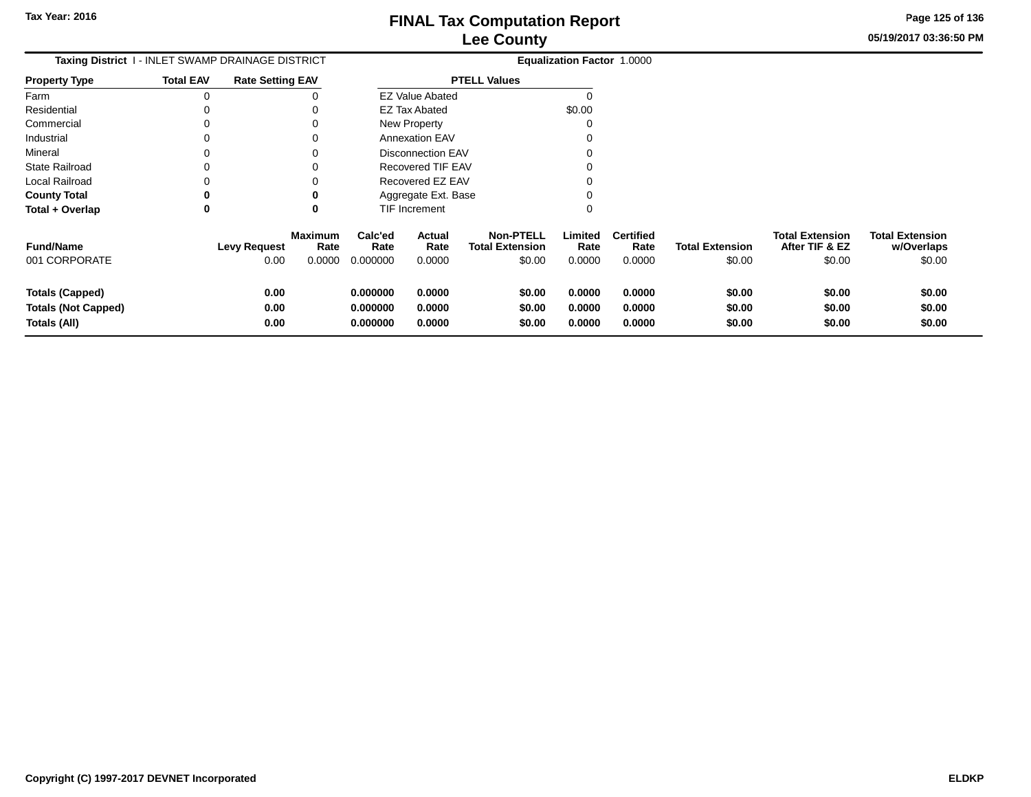**05/19/2017 03:36:50 PMPage 125 of 136**

|                                                                      | Taxing District I - INLET SWAMP DRAINAGE DISTRICT |                                          | <b>Equalization Factor 1.0000</b> |                            |                                                      |                            |                                    |                                  |                                                    |                                                |
|----------------------------------------------------------------------|---------------------------------------------------|------------------------------------------|-----------------------------------|----------------------------|------------------------------------------------------|----------------------------|------------------------------------|----------------------------------|----------------------------------------------------|------------------------------------------------|
| <b>Property Type</b>                                                 | <b>Total EAV</b>                                  | <b>Rate Setting EAV</b>                  |                                   |                            | <b>PTELL Values</b>                                  |                            |                                    |                                  |                                                    |                                                |
| Farm                                                                 |                                                   |                                          |                                   | <b>EZ Value Abated</b>     |                                                      |                            |                                    |                                  |                                                    |                                                |
| Residential                                                          |                                                   |                                          |                                   | <b>EZ Tax Abated</b>       |                                                      | \$0.00                     |                                    |                                  |                                                    |                                                |
| Commercial                                                           |                                                   |                                          |                                   | New Property               |                                                      |                            |                                    |                                  |                                                    |                                                |
| Industrial                                                           |                                                   |                                          |                                   | <b>Annexation EAV</b>      |                                                      |                            |                                    |                                  |                                                    |                                                |
| Mineral                                                              |                                                   |                                          |                                   | <b>Disconnection EAV</b>   |                                                      |                            |                                    |                                  |                                                    |                                                |
| <b>State Railroad</b>                                                |                                                   |                                          |                                   | <b>Recovered TIF EAV</b>   |                                                      |                            |                                    |                                  |                                                    |                                                |
| Local Railroad                                                       |                                                   |                                          |                                   | Recovered EZ EAV           |                                                      |                            |                                    |                                  |                                                    |                                                |
| <b>County Total</b>                                                  |                                                   |                                          |                                   | Aggregate Ext. Base        |                                                      |                            |                                    |                                  |                                                    |                                                |
| Total + Overlap                                                      | 0                                                 | 0                                        |                                   | TIF Increment              |                                                      | 0                          |                                    |                                  |                                                    |                                                |
| <b>Fund/Name</b><br>001 CORPORATE                                    | <b>Levy Request</b>                               | <b>Maximum</b><br>Rate<br>0.00<br>0.0000 | Calc'ed<br>Rate<br>0.000000       | Actual<br>Rate<br>0.0000   | <b>Non-PTELL</b><br><b>Total Extension</b><br>\$0.00 | Limited<br>Rate<br>0.0000  | <b>Certified</b><br>Rate<br>0.0000 | <b>Total Extension</b><br>\$0.00 | <b>Total Extension</b><br>After TIF & EZ<br>\$0.00 | <b>Total Extension</b><br>w/Overlaps<br>\$0.00 |
| <b>Totals (Capped)</b><br><b>Totals (Not Capped)</b><br>Totals (All) |                                                   | 0.00<br>0.00<br>0.00                     | 0.000000<br>0.000000<br>0.000000  | 0.0000<br>0.0000<br>0.0000 | \$0.00<br>\$0.00<br>\$0.00                           | 0.0000<br>0.0000<br>0.0000 | 0.0000<br>0.0000<br>0.0000         | \$0.00<br>\$0.00<br>\$0.00       | \$0.00<br>\$0.00<br>\$0.00                         | \$0.00<br>\$0.00<br>\$0.00                     |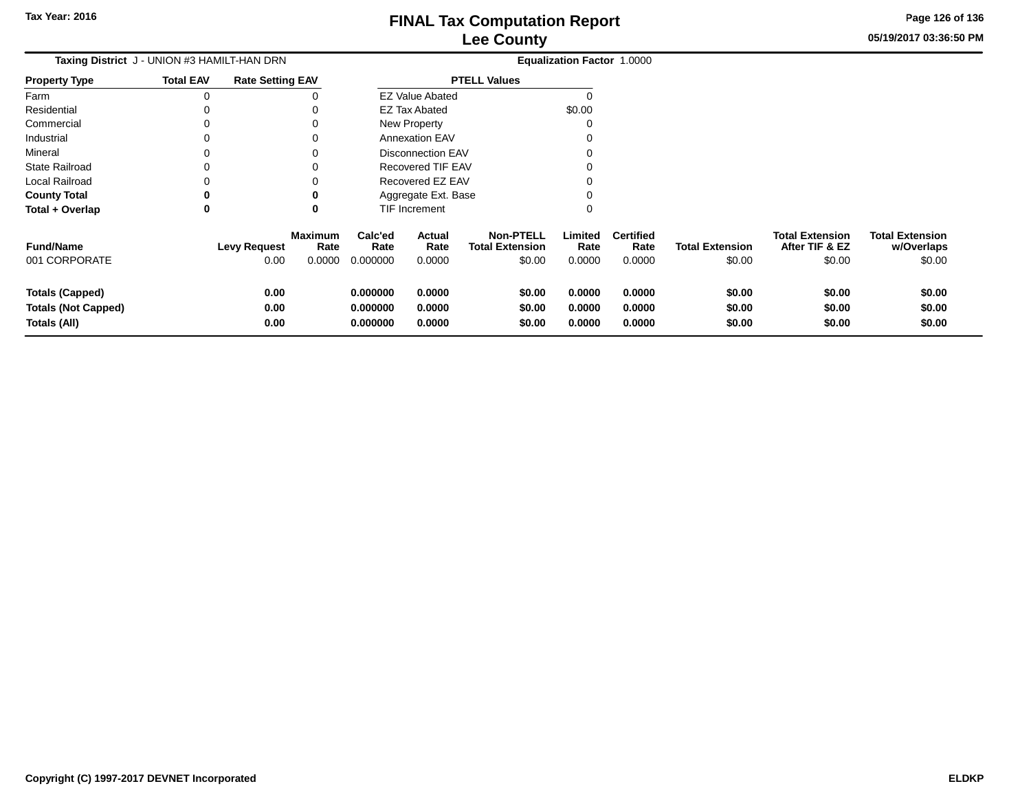**05/19/2017 03:36:50 PMPage 126 of 136**

| Taxing District J - UNION #3 HAMILT-HAN DRN                   |                  |                             |                                  | Equalization Factor 1.0000       |                            |                                                      |                            |                                    |                                  |                                                    |                                                |
|---------------------------------------------------------------|------------------|-----------------------------|----------------------------------|----------------------------------|----------------------------|------------------------------------------------------|----------------------------|------------------------------------|----------------------------------|----------------------------------------------------|------------------------------------------------|
| <b>Property Type</b>                                          | <b>Total EAV</b> | <b>Rate Setting EAV</b>     |                                  |                                  |                            | <b>PTELL Values</b>                                  |                            |                                    |                                  |                                                    |                                                |
| Farm                                                          | 0                |                             |                                  |                                  | <b>EZ Value Abated</b>     |                                                      |                            |                                    |                                  |                                                    |                                                |
| Residential                                                   | 0                |                             | O                                |                                  | <b>EZ Tax Abated</b>       |                                                      | \$0.00                     |                                    |                                  |                                                    |                                                |
| Commercial                                                    | ი                |                             | 0                                |                                  | New Property               |                                                      | 0                          |                                    |                                  |                                                    |                                                |
| Industrial                                                    | 0                |                             | 0                                |                                  | <b>Annexation EAV</b>      |                                                      |                            |                                    |                                  |                                                    |                                                |
| Mineral                                                       | 0                |                             | 0                                |                                  | <b>Disconnection EAV</b>   |                                                      | 0                          |                                    |                                  |                                                    |                                                |
| <b>State Railroad</b>                                         | 0                |                             | 0                                |                                  | <b>Recovered TIF EAV</b>   |                                                      |                            |                                    |                                  |                                                    |                                                |
| Local Railroad                                                | 0                |                             | 0                                |                                  | Recovered EZ EAV           |                                                      |                            |                                    |                                  |                                                    |                                                |
| <b>County Total</b>                                           | 0                |                             | 0                                |                                  | Aggregate Ext. Base        |                                                      | 0                          |                                    |                                  |                                                    |                                                |
| Total + Overlap                                               | 0                |                             | 0                                |                                  | TIF Increment              |                                                      | 0                          |                                    |                                  |                                                    |                                                |
| <b>Fund/Name</b><br>001 CORPORATE                             |                  | <b>Levy Request</b><br>0.00 | <b>Maximum</b><br>Rate<br>0.0000 | Calc'ed<br>Rate<br>0.000000      | Actual<br>Rate<br>0.0000   | <b>Non-PTELL</b><br><b>Total Extension</b><br>\$0.00 | Limited<br>Rate<br>0.0000  | <b>Certified</b><br>Rate<br>0.0000 | <b>Total Extension</b><br>\$0.00 | <b>Total Extension</b><br>After TIF & EZ<br>\$0.00 | <b>Total Extension</b><br>w/Overlaps<br>\$0.00 |
|                                                               |                  |                             |                                  |                                  |                            |                                                      |                            |                                    |                                  |                                                    |                                                |
| Totals (Capped)<br><b>Totals (Not Capped)</b><br>Totals (All) |                  | 0.00<br>0.00<br>0.00        |                                  | 0.000000<br>0.000000<br>0.000000 | 0.0000<br>0.0000<br>0.0000 | \$0.00<br>\$0.00<br>\$0.00                           | 0.0000<br>0.0000<br>0.0000 | 0.0000<br>0.0000<br>0.0000         | \$0.00<br>\$0.00<br>\$0.00       | \$0.00<br>\$0.00<br>\$0.00                         | \$0.00<br>\$0.00<br>\$0.00                     |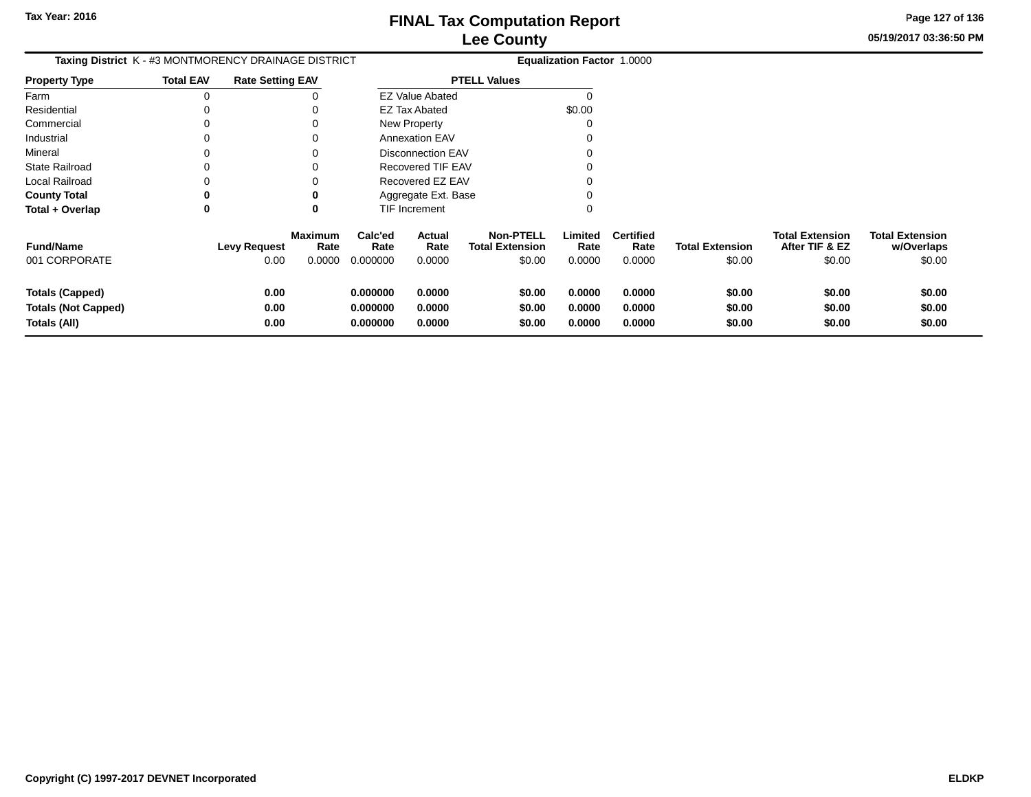**05/19/2017 03:36:50 PMPage 127 of 136**

| Taxing District K - #3 MONTMORENCY DRAINAGE DISTRICT |                  |                         |                        |                 |                          |                                            | <b>Equalization Factor 1.0000</b> |                          |                        |                                          |                                      |
|------------------------------------------------------|------------------|-------------------------|------------------------|-----------------|--------------------------|--------------------------------------------|-----------------------------------|--------------------------|------------------------|------------------------------------------|--------------------------------------|
| <b>Property Type</b>                                 | <b>Total EAV</b> | <b>Rate Setting EAV</b> |                        |                 |                          | <b>PTELL Values</b>                        |                                   |                          |                        |                                          |                                      |
| Farm                                                 | $\Omega$         |                         |                        |                 | <b>EZ Value Abated</b>   |                                            | C                                 |                          |                        |                                          |                                      |
| Residential                                          |                  |                         |                        |                 | EZ Tax Abated            |                                            | \$0.00                            |                          |                        |                                          |                                      |
| Commercial                                           |                  |                         |                        |                 | <b>New Property</b>      |                                            |                                   |                          |                        |                                          |                                      |
| Industrial                                           |                  |                         | O                      |                 | <b>Annexation EAV</b>    |                                            |                                   |                          |                        |                                          |                                      |
| Mineral                                              |                  |                         | O                      |                 | <b>Disconnection EAV</b> |                                            |                                   |                          |                        |                                          |                                      |
| <b>State Railroad</b>                                |                  |                         |                        |                 | Recovered TIF EAV        |                                            |                                   |                          |                        |                                          |                                      |
| Local Railroad                                       |                  |                         |                        |                 | Recovered EZ EAV         |                                            |                                   |                          |                        |                                          |                                      |
| <b>County Total</b>                                  | 0                |                         | 0                      |                 | Aggregate Ext. Base      |                                            |                                   |                          |                        |                                          |                                      |
| Total + Overlap                                      | 0                |                         | 0                      |                 | TIF Increment            |                                            |                                   |                          |                        |                                          |                                      |
| <b>Fund/Name</b>                                     |                  | <b>Levy Request</b>     | <b>Maximum</b><br>Rate | Calc'ed<br>Rate | <b>Actual</b><br>Rate    | <b>Non-PTELL</b><br><b>Total Extension</b> | Limited<br>Rate                   | <b>Certified</b><br>Rate | <b>Total Extension</b> | <b>Total Extension</b><br>After TIF & EZ | <b>Total Extension</b><br>w/Overlaps |
| 001 CORPORATE                                        |                  | 0.00                    | 0.0000                 | 0.000000        | 0.0000                   | \$0.00                                     | 0.0000                            | 0.0000                   | \$0.00                 | \$0.00                                   | \$0.00                               |
| <b>Totals (Capped)</b>                               |                  | 0.00                    |                        | 0.000000        | 0.0000                   | \$0.00                                     | 0.0000                            | 0.0000                   | \$0.00                 | \$0.00                                   | \$0.00                               |
| <b>Totals (Not Capped)</b>                           |                  | 0.00                    |                        | 0.000000        | 0.0000                   | \$0.00                                     | 0.0000                            | 0.0000                   | \$0.00                 | \$0.00                                   | \$0.00                               |
| Totals (All)                                         |                  | 0.00                    |                        | 0.000000        | 0.0000                   | \$0.00                                     | 0.0000                            | 0.0000                   | \$0.00                 | \$0.00                                   | \$0.00                               |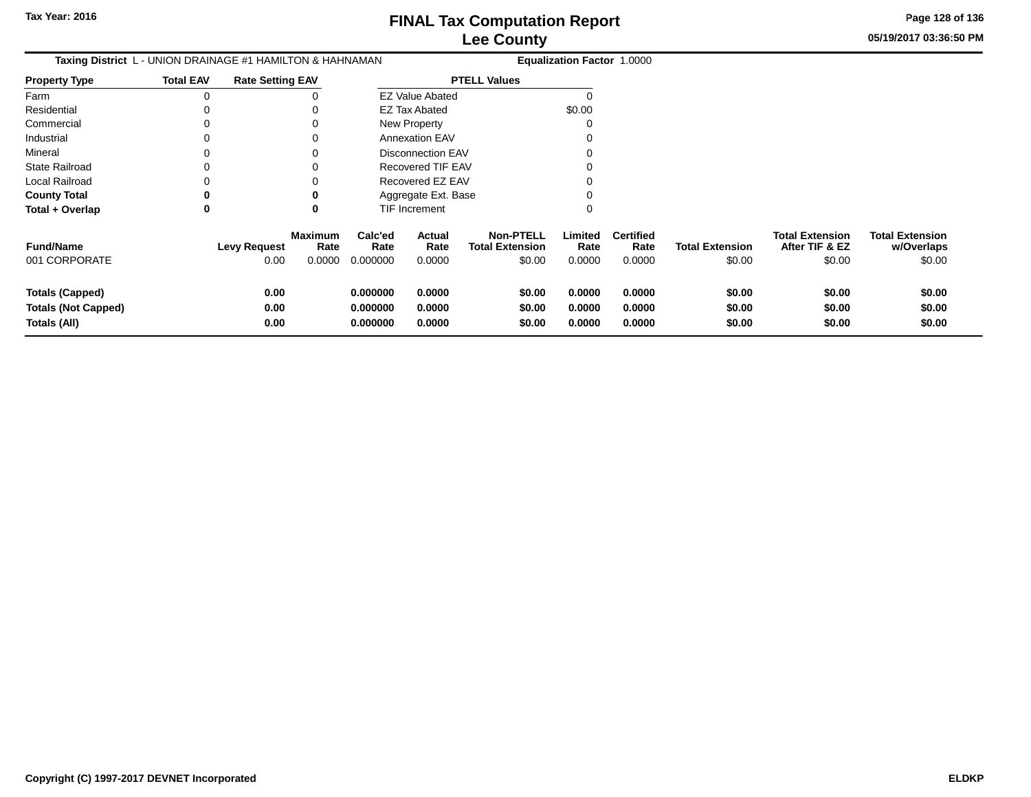**Totals (All)**

#### **Lee CountyFINAL Tax Computation Report**

**05/19/2017 03:36:50 PMPage 128 of 136**

| Taxing District L - UNION DRAINAGE #1 HAMILTON & HAHNAMAN |                  |                         |                        |                 |                          |                                            | Equalization Factor 1.0000 |                          |                        |                                          |                                      |  |
|-----------------------------------------------------------|------------------|-------------------------|------------------------|-----------------|--------------------------|--------------------------------------------|----------------------------|--------------------------|------------------------|------------------------------------------|--------------------------------------|--|
| <b>Property Type</b>                                      | <b>Total EAV</b> | <b>Rate Setting EAV</b> |                        |                 |                          | <b>PTELL Values</b>                        |                            |                          |                        |                                          |                                      |  |
| Farm                                                      | 0                |                         | 0                      |                 | EZ Value Abated          |                                            |                            |                          |                        |                                          |                                      |  |
| Residential                                               | 0                |                         |                        |                 | <b>EZ Tax Abated</b>     |                                            | \$0.00                     |                          |                        |                                          |                                      |  |
| Commercial                                                | 0                |                         | 0                      |                 | New Property             |                                            |                            |                          |                        |                                          |                                      |  |
| Industrial                                                | 0                |                         | 0                      |                 | <b>Annexation EAV</b>    |                                            |                            |                          |                        |                                          |                                      |  |
| Mineral                                                   | 0                |                         | 0                      |                 | <b>Disconnection EAV</b> |                                            |                            |                          |                        |                                          |                                      |  |
| <b>State Railroad</b>                                     | 0                |                         |                        |                 | <b>Recovered TIF EAV</b> |                                            |                            |                          |                        |                                          |                                      |  |
| <b>Local Railroad</b>                                     | 0                |                         |                        |                 | Recovered EZ EAV         |                                            |                            |                          |                        |                                          |                                      |  |
| <b>County Total</b>                                       | 0                |                         |                        |                 | Aggregate Ext. Base      |                                            |                            |                          |                        |                                          |                                      |  |
| Total + Overlap                                           | 0                |                         | 0                      |                 | TIF Increment            |                                            | 0                          |                          |                        |                                          |                                      |  |
| <b>Fund/Name</b>                                          |                  | <b>Levy Request</b>     | <b>Maximum</b><br>Rate | Calc'ed<br>Rate | Actual<br>Rate           | <b>Non-PTELL</b><br><b>Total Extension</b> | Limited<br>Rate            | <b>Certified</b><br>Rate | <b>Total Extension</b> | <b>Total Extension</b><br>After TIF & EZ | <b>Total Extension</b><br>w/Overlaps |  |
| 001 CORPORATE                                             |                  | 0.00                    | 0.0000                 | 0.000000        | 0.0000                   | \$0.00                                     | 0.0000                     | 0.0000                   | \$0.00                 | \$0.00                                   | \$0.00                               |  |
| <b>Totals (Capped)</b>                                    |                  | 0.00                    |                        | 0.000000        | 0.0000                   | \$0.00                                     | 0.0000                     | 0.0000                   | \$0.00                 | \$0.00                                   | \$0.00                               |  |
| <b>Totals (Not Capped)</b>                                |                  | 0.00                    |                        | 0.000000        | 0.0000                   | \$0.00                                     | 0.0000                     | 0.0000                   | \$0.00                 | \$0.00                                   | \$0.00                               |  |

**0.000000 0.0000 \$0.00 0.0000 0.0000 \$0.00 \$0.00 \$0.00**

**0.00**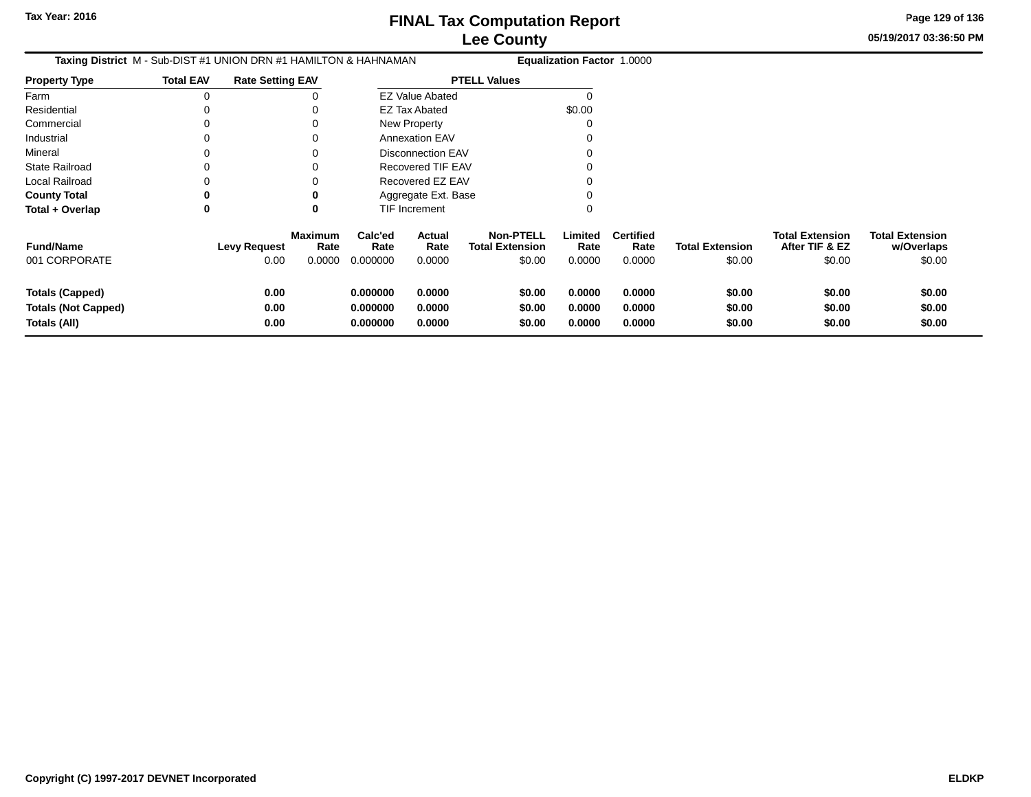**05/19/2017 03:36:50 PMPage 129 of 136**

| Taxing District M - Sub-DIST #1 UNION DRN #1 HAMILTON & HAHNAMAN     |                  |                             |                                  |                                  | <b>Equalization Factor 1.0000</b> |                                                      |                            |                                    |                                  |                                                    |                                                |
|----------------------------------------------------------------------|------------------|-----------------------------|----------------------------------|----------------------------------|-----------------------------------|------------------------------------------------------|----------------------------|------------------------------------|----------------------------------|----------------------------------------------------|------------------------------------------------|
| <b>Property Type</b>                                                 | <b>Total EAV</b> | <b>Rate Setting EAV</b>     |                                  |                                  |                                   | <b>PTELL Values</b>                                  |                            |                                    |                                  |                                                    |                                                |
| Farm                                                                 |                  |                             |                                  |                                  | <b>EZ Value Abated</b>            |                                                      |                            |                                    |                                  |                                                    |                                                |
| Residential                                                          |                  |                             |                                  |                                  | <b>EZ Tax Abated</b>              |                                                      | \$0.00                     |                                    |                                  |                                                    |                                                |
| Commercial                                                           |                  |                             | 0                                |                                  | New Property                      |                                                      |                            |                                    |                                  |                                                    |                                                |
| Industrial                                                           |                  |                             | 0                                |                                  | Annexation EAV                    |                                                      |                            |                                    |                                  |                                                    |                                                |
| Mineral                                                              |                  |                             | 0                                |                                  | Disconnection EAV                 |                                                      |                            |                                    |                                  |                                                    |                                                |
| <b>State Railroad</b>                                                |                  |                             |                                  |                                  | Recovered TIF EAV                 |                                                      |                            |                                    |                                  |                                                    |                                                |
| Local Railroad                                                       |                  |                             |                                  |                                  | Recovered EZ EAV                  |                                                      |                            |                                    |                                  |                                                    |                                                |
| <b>County Total</b>                                                  |                  |                             | 0                                |                                  | Aggregate Ext. Base               |                                                      |                            |                                    |                                  |                                                    |                                                |
| Total + Overlap                                                      | 0                |                             | 0                                |                                  | TIF Increment                     |                                                      | 0                          |                                    |                                  |                                                    |                                                |
| <b>Fund/Name</b><br>001 CORPORATE                                    |                  | <b>Levy Request</b><br>0.00 | <b>Maximum</b><br>Rate<br>0.0000 | Calc'ed<br>Rate<br>0.000000      | Actual<br>Rate<br>0.0000          | <b>Non-PTELL</b><br><b>Total Extension</b><br>\$0.00 | Limited<br>Rate<br>0.0000  | <b>Certified</b><br>Rate<br>0.0000 | <b>Total Extension</b><br>\$0.00 | <b>Total Extension</b><br>After TIF & EZ<br>\$0.00 | <b>Total Extension</b><br>w/Overlaps<br>\$0.00 |
| <b>Totals (Capped)</b><br><b>Totals (Not Capped)</b><br>Totals (All) |                  | 0.00<br>0.00<br>0.00        |                                  | 0.000000<br>0.000000<br>0.000000 | 0.0000<br>0.0000<br>0.0000        | \$0.00<br>\$0.00<br>\$0.00                           | 0.0000<br>0.0000<br>0.0000 | 0.0000<br>0.0000<br>0.0000         | \$0.00<br>\$0.00<br>\$0.00       | \$0.00<br>\$0.00<br>\$0.00                         | \$0.00<br>\$0.00<br>\$0.00                     |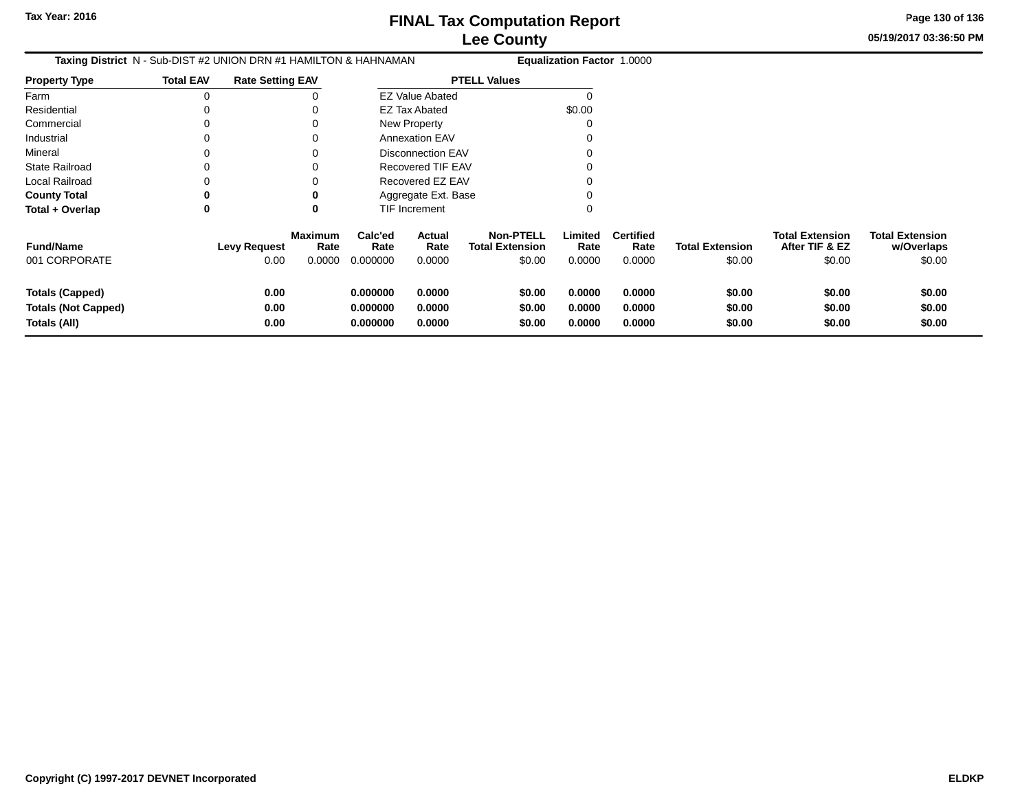**05/19/2017 03:36:50 PMPage 130 of 136**

| <b>Taxing District</b> N - Sub-DIST #2 UNION DRN #1 HAMILTON & HAHNAMAN |                  |                             |                                  | Equalization Factor 1.0000       |                            |                                                      |                            |                                    |                                  |                                                    |                                                |
|-------------------------------------------------------------------------|------------------|-----------------------------|----------------------------------|----------------------------------|----------------------------|------------------------------------------------------|----------------------------|------------------------------------|----------------------------------|----------------------------------------------------|------------------------------------------------|
| <b>Property Type</b>                                                    | <b>Total EAV</b> | <b>Rate Setting EAV</b>     |                                  |                                  |                            | <b>PTELL Values</b>                                  |                            |                                    |                                  |                                                    |                                                |
| Farm                                                                    |                  |                             |                                  |                                  | <b>EZ Value Abated</b>     |                                                      |                            |                                    |                                  |                                                    |                                                |
| Residential                                                             |                  |                             |                                  |                                  | <b>EZ Tax Abated</b>       |                                                      | \$0.00                     |                                    |                                  |                                                    |                                                |
| Commercial                                                              |                  |                             |                                  |                                  | <b>New Property</b>        |                                                      |                            |                                    |                                  |                                                    |                                                |
| Industrial                                                              |                  |                             | 0                                |                                  | <b>Annexation EAV</b>      |                                                      |                            |                                    |                                  |                                                    |                                                |
| Mineral                                                                 |                  |                             |                                  |                                  | <b>Disconnection EAV</b>   |                                                      |                            |                                    |                                  |                                                    |                                                |
| <b>State Railroad</b>                                                   |                  |                             | 0                                |                                  | <b>Recovered TIF EAV</b>   |                                                      |                            |                                    |                                  |                                                    |                                                |
| Local Railroad                                                          |                  |                             | ∩                                |                                  | Recovered EZ EAV           |                                                      |                            |                                    |                                  |                                                    |                                                |
| <b>County Total</b>                                                     |                  |                             | 0                                |                                  | Aggregate Ext. Base        |                                                      |                            |                                    |                                  |                                                    |                                                |
| Total + Overlap                                                         | 0                |                             | 0                                |                                  | TIF Increment              |                                                      | 0                          |                                    |                                  |                                                    |                                                |
| <b>Fund/Name</b><br>001 CORPORATE                                       |                  | <b>Levy Request</b><br>0.00 | <b>Maximum</b><br>Rate<br>0.0000 | Calc'ed<br>Rate<br>0.000000      | Actual<br>Rate<br>0.0000   | <b>Non-PTELL</b><br><b>Total Extension</b><br>\$0.00 | Limited<br>Rate<br>0.0000  | <b>Certified</b><br>Rate<br>0.0000 | <b>Total Extension</b><br>\$0.00 | <b>Total Extension</b><br>After TIF & EZ<br>\$0.00 | <b>Total Extension</b><br>w/Overlaps<br>\$0.00 |
| <b>Totals (Capped)</b><br><b>Totals (Not Capped)</b><br>Totals (All)    |                  | 0.00<br>0.00<br>0.00        |                                  | 0.000000<br>0.000000<br>0.000000 | 0.0000<br>0.0000<br>0.0000 | \$0.00<br>\$0.00<br>\$0.00                           | 0.0000<br>0.0000<br>0.0000 | 0.0000<br>0.0000<br>0.0000         | \$0.00<br>\$0.00<br>\$0.00       | \$0.00<br>\$0.00<br>\$0.00                         | \$0.00<br>\$0.00<br>\$0.00                     |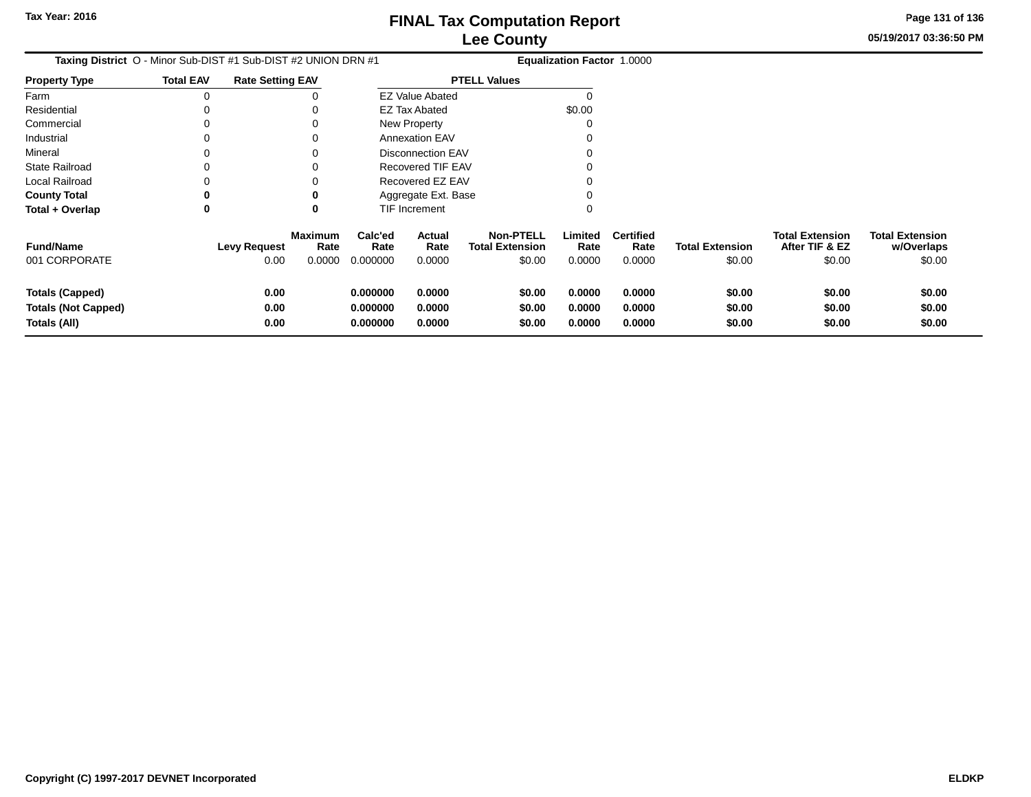**05/19/2017 03:36:50 PMPage 131 of 136**

| Taxing District O - Minor Sub-DIST #1 Sub-DIST #2 UNION DRN #1       |                  |                             |                                  |                                  |                            |                                                      | <b>Equalization Factor 1.0000</b> |                                    |                                  |                                                    |                                                |
|----------------------------------------------------------------------|------------------|-----------------------------|----------------------------------|----------------------------------|----------------------------|------------------------------------------------------|-----------------------------------|------------------------------------|----------------------------------|----------------------------------------------------|------------------------------------------------|
| <b>Property Type</b>                                                 | <b>Total EAV</b> | <b>Rate Setting EAV</b>     |                                  |                                  |                            | <b>PTELL Values</b>                                  |                                   |                                    |                                  |                                                    |                                                |
| Farm                                                                 |                  |                             |                                  |                                  | <b>EZ Value Abated</b>     |                                                      |                                   |                                    |                                  |                                                    |                                                |
| Residential                                                          |                  |                             |                                  |                                  | <b>EZ Tax Abated</b>       |                                                      | \$0.00                            |                                    |                                  |                                                    |                                                |
| Commercial                                                           |                  |                             |                                  |                                  | New Property               |                                                      |                                   |                                    |                                  |                                                    |                                                |
| Industrial                                                           |                  |                             |                                  |                                  | <b>Annexation EAV</b>      |                                                      |                                   |                                    |                                  |                                                    |                                                |
| Mineral                                                              |                  |                             |                                  |                                  | Disconnection EAV          |                                                      |                                   |                                    |                                  |                                                    |                                                |
| <b>State Railroad</b>                                                |                  |                             |                                  |                                  | <b>Recovered TIF EAV</b>   |                                                      |                                   |                                    |                                  |                                                    |                                                |
| <b>Local Railroad</b>                                                |                  |                             |                                  |                                  | Recovered EZ EAV           |                                                      |                                   |                                    |                                  |                                                    |                                                |
| <b>County Total</b>                                                  |                  |                             |                                  |                                  | Aggregate Ext. Base        |                                                      |                                   |                                    |                                  |                                                    |                                                |
| Total + Overlap                                                      | 0                |                             | 0                                |                                  | TIF Increment              |                                                      |                                   |                                    |                                  |                                                    |                                                |
| <b>Fund/Name</b><br>001 CORPORATE                                    |                  | <b>Levy Request</b><br>0.00 | <b>Maximum</b><br>Rate<br>0.0000 | Calc'ed<br>Rate<br>0.000000      | Actual<br>Rate<br>0.0000   | <b>Non-PTELL</b><br><b>Total Extension</b><br>\$0.00 | Limited<br>Rate<br>0.0000         | <b>Certified</b><br>Rate<br>0.0000 | <b>Total Extension</b><br>\$0.00 | <b>Total Extension</b><br>After TIF & EZ<br>\$0.00 | <b>Total Extension</b><br>w/Overlaps<br>\$0.00 |
| <b>Totals (Capped)</b><br><b>Totals (Not Capped)</b><br>Totals (All) |                  | 0.00<br>0.00<br>0.00        |                                  | 0.000000<br>0.000000<br>0.000000 | 0.0000<br>0.0000<br>0.0000 | \$0.00<br>\$0.00<br>\$0.00                           | 0.0000<br>0.0000<br>0.0000        | 0.0000<br>0.0000<br>0.0000         | \$0.00<br>\$0.00<br>\$0.00       | \$0.00<br>\$0.00<br>\$0.00                         | \$0.00<br>\$0.00<br>\$0.00                     |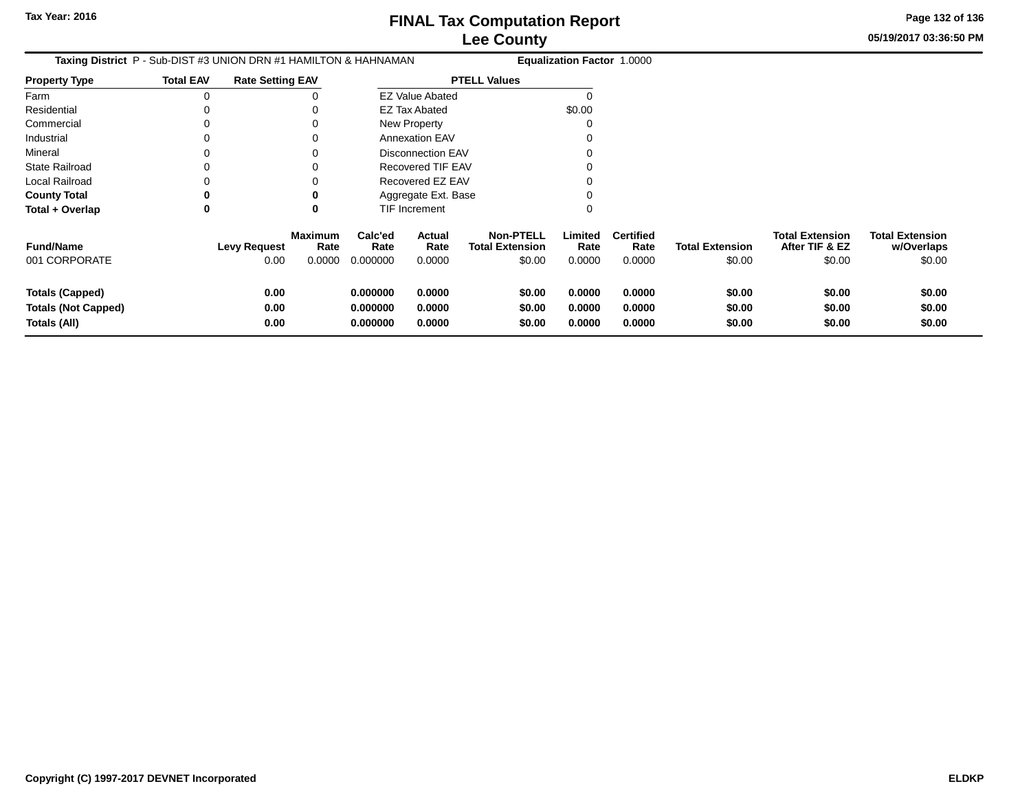**Page 132 of 136**

**05/19/2017 03:36:50 PM**

| <b>Taxing District</b> P - Sub-DIST #3 UNION DRN #1 HAMILTON & HAHNAMAN |                  |                             |                                  | <b>Equalization Factor 1.0000</b> |                            |                                            |                                                          |                                    |                                  |                                                    |                                                |
|-------------------------------------------------------------------------|------------------|-----------------------------|----------------------------------|-----------------------------------|----------------------------|--------------------------------------------|----------------------------------------------------------|------------------------------------|----------------------------------|----------------------------------------------------|------------------------------------------------|
| <b>Property Type</b>                                                    | <b>Total EAV</b> | <b>Rate Setting EAV</b>     |                                  |                                   |                            | <b>PTELL Values</b>                        |                                                          |                                    |                                  |                                                    |                                                |
| Farm                                                                    | $\Omega$         |                             |                                  |                                   | <b>EZ Value Abated</b>     |                                            |                                                          |                                    |                                  |                                                    |                                                |
| Residential                                                             |                  |                             |                                  |                                   | <b>EZ Tax Abated</b>       |                                            | \$0.00                                                   |                                    |                                  |                                                    |                                                |
| Commercial                                                              |                  |                             |                                  |                                   | New Property               |                                            |                                                          |                                    |                                  |                                                    |                                                |
| Industrial                                                              |                  |                             |                                  |                                   | <b>Annexation EAV</b>      |                                            |                                                          |                                    |                                  |                                                    |                                                |
| Mineral                                                                 |                  |                             |                                  | <b>Disconnection EAV</b>          |                            |                                            |                                                          |                                    |                                  |                                                    |                                                |
| State Railroad                                                          |                  |                             |                                  | Recovered TIF EAV                 |                            |                                            |                                                          |                                    |                                  |                                                    |                                                |
| Local Railroad                                                          |                  |                             |                                  | Recovered EZ EAV                  |                            |                                            |                                                          |                                    |                                  |                                                    |                                                |
| <b>County Total</b>                                                     |                  |                             |                                  |                                   | Aggregate Ext. Base        |                                            |                                                          |                                    |                                  |                                                    |                                                |
| Total + Overlap                                                         | 0                |                             |                                  |                                   | <b>TIF Increment</b>       |                                            |                                                          |                                    |                                  |                                                    |                                                |
| <b>Fund/Name</b><br>001 CORPORATE                                       |                  | <b>Levy Request</b><br>0.00 | <b>Maximum</b><br>Rate<br>0.0000 | Calc'ed<br>Rate<br>0.000000       | Actual<br>Rate<br>0.0000   | <b>Non-PTELL</b><br><b>Total Extension</b> | Limited<br>Rate<br>\$0.00<br>0.0000                      | <b>Certified</b><br>Rate<br>0.0000 | <b>Total Extension</b><br>\$0.00 | <b>Total Extension</b><br>After TIF & EZ<br>\$0.00 | <b>Total Extension</b><br>w/Overlaps<br>\$0.00 |
| <b>Totals (Capped)</b><br><b>Totals (Not Capped)</b><br>Totals (All)    |                  | 0.00<br>0.00<br>0.00        |                                  | 0.000000<br>0.000000<br>0.000000  | 0.0000<br>0.0000<br>0.0000 |                                            | \$0.00<br>0.0000<br>\$0.00<br>0.0000<br>\$0.00<br>0.0000 | 0.0000<br>0.0000<br>0.0000         | \$0.00<br>\$0.00<br>\$0.00       | \$0.00<br>\$0.00<br>\$0.00                         | \$0.00<br>\$0.00<br>\$0.00                     |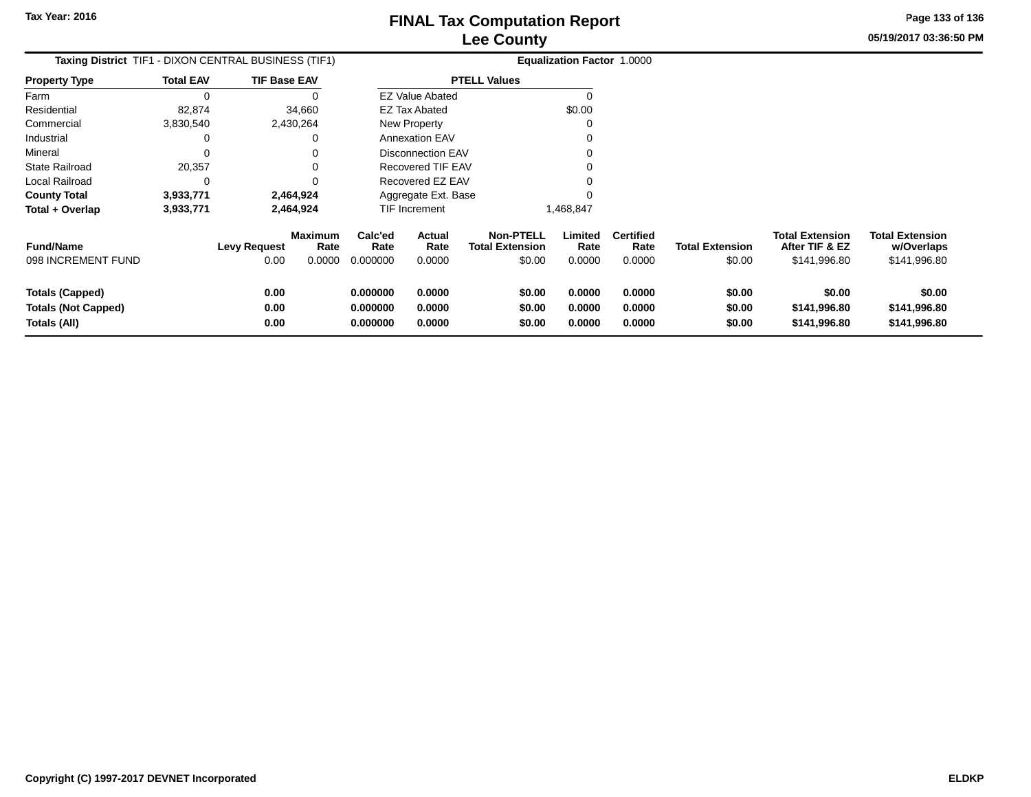**05/19/2017 03:36:50 PMPage 133 of 136**

| Taxing District TIF1 - DIXON CENTRAL BUSINESS (TIF1)                 |                  |                      |                                  |                                  |                            |                                                      | <b>Equalization Factor 1.0000</b> |                                    |                                  |                                                   |                                                      |
|----------------------------------------------------------------------|------------------|----------------------|----------------------------------|----------------------------------|----------------------------|------------------------------------------------------|-----------------------------------|------------------------------------|----------------------------------|---------------------------------------------------|------------------------------------------------------|
| <b>Property Type</b>                                                 | <b>Total EAV</b> | TIF Base EAV         |                                  |                                  |                            | <b>PTELL Values</b>                                  |                                   |                                    |                                  |                                                   |                                                      |
| Farm                                                                 | $\Omega$         |                      |                                  |                                  | <b>EZ Value Abated</b>     |                                                      |                                   |                                    |                                  |                                                   |                                                      |
| Residential                                                          | 82,874           |                      | 34,660                           |                                  | <b>EZ Tax Abated</b>       |                                                      | \$0.00                            |                                    |                                  |                                                   |                                                      |
| Commercial                                                           | 3,830,540        |                      | 2,430,264                        |                                  | New Property               |                                                      |                                   |                                    |                                  |                                                   |                                                      |
| Industrial                                                           |                  |                      |                                  |                                  | <b>Annexation EAV</b>      |                                                      |                                   |                                    |                                  |                                                   |                                                      |
| Mineral                                                              |                  |                      |                                  |                                  | <b>Disconnection EAV</b>   |                                                      |                                   |                                    |                                  |                                                   |                                                      |
| State Railroad                                                       | 20,357           |                      |                                  |                                  | Recovered TIF EAV          |                                                      |                                   |                                    |                                  |                                                   |                                                      |
| Local Railroad                                                       | 0                |                      |                                  |                                  | Recovered EZ EAV           |                                                      |                                   |                                    |                                  |                                                   |                                                      |
| <b>County Total</b>                                                  | 3,933,771        |                      | 2,464,924                        |                                  |                            | Aggregate Ext. Base                                  |                                   |                                    |                                  |                                                   |                                                      |
| Total + Overlap                                                      | 3,933,771        |                      | 2,464,924                        |                                  | <b>TIF Increment</b>       |                                                      | 1,468,847                         |                                    |                                  |                                                   |                                                      |
| <b>Fund/Name</b><br>098 INCREMENT FUND                               |                  | Levy Request<br>0.00 | <b>Maximum</b><br>Rate<br>0.0000 | Calc'ed<br>Rate<br>0.000000      | Actual<br>Rate<br>0.0000   | <b>Non-PTELL</b><br><b>Total Extension</b><br>\$0.00 | Limited<br>Rate<br>0.0000         | <b>Certified</b><br>Rate<br>0.0000 | <b>Total Extension</b><br>\$0.00 | Total Extension<br>After TIF & EZ<br>\$141,996.80 | <b>Total Extension</b><br>w/Overlaps<br>\$141,996.80 |
| <b>Totals (Capped)</b><br><b>Totals (Not Capped)</b><br>Totals (All) |                  | 0.00<br>0.00<br>0.00 |                                  | 0.000000<br>0.000000<br>0.000000 | 0.0000<br>0.0000<br>0.0000 | \$0.00<br>\$0.00<br>\$0.00                           | 0.0000<br>0.0000<br>0.0000        | 0.0000<br>0.0000<br>0.0000         | \$0.00<br>\$0.00<br>\$0.00       | \$0.00<br>\$141,996.80<br>\$141,996.80            | \$0.00<br>\$141,996.80<br>\$141,996.80               |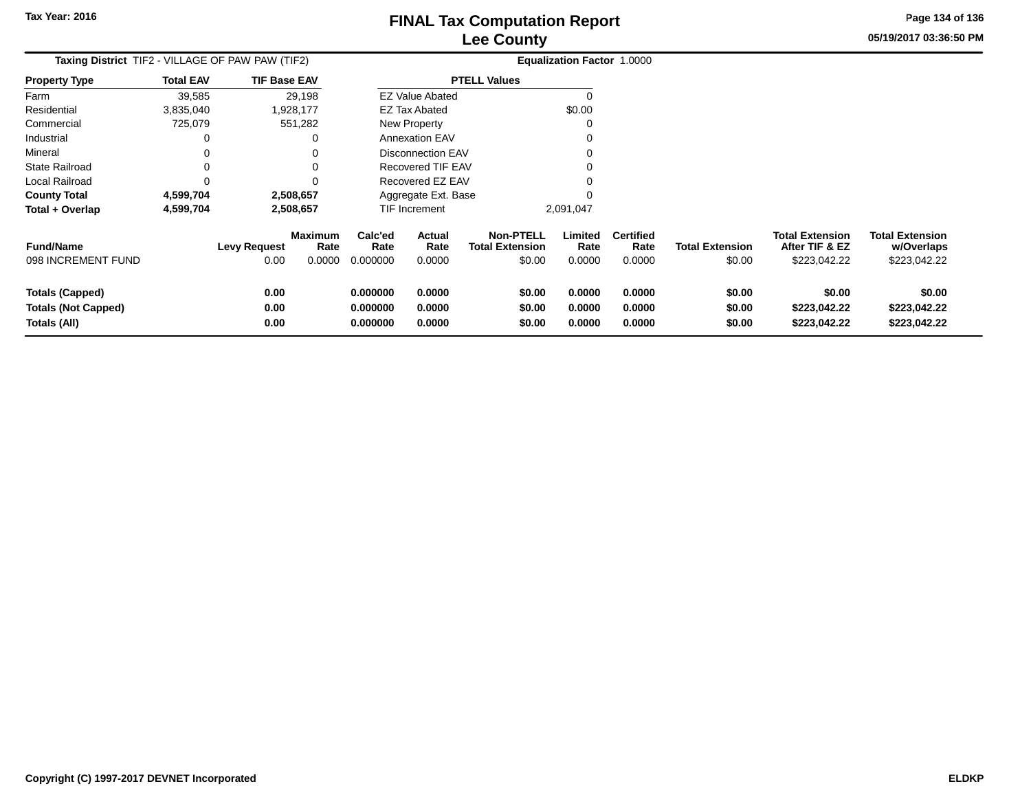**05/19/2017 03:36:50 PMPage 134 of 136**

| <b>Taxing District</b> TIF2 - VILLAGE OF PAW PAW (TIF2)              |                  |                             |                           |                                  |                            |                                                      | <b>Equalization Factor 1.0000</b> |                                    |                                  |                                                          |                                                      |
|----------------------------------------------------------------------|------------------|-----------------------------|---------------------------|----------------------------------|----------------------------|------------------------------------------------------|-----------------------------------|------------------------------------|----------------------------------|----------------------------------------------------------|------------------------------------------------------|
| <b>Property Type</b>                                                 | <b>Total EAV</b> | <b>TIF Base EAV</b>         |                           |                                  |                            | <b>PTELL Values</b>                                  |                                   |                                    |                                  |                                                          |                                                      |
| Farm                                                                 | 39,585           |                             | 29,198                    |                                  | <b>EZ Value Abated</b>     |                                                      | $\Omega$                          |                                    |                                  |                                                          |                                                      |
| Residential                                                          | 3,835,040        |                             | 1,928,177                 |                                  | EZ Tax Abated              |                                                      | \$0.00                            |                                    |                                  |                                                          |                                                      |
| Commercial                                                           | 725,079          |                             | 551,282                   |                                  | <b>New Property</b>        |                                                      | O                                 |                                    |                                  |                                                          |                                                      |
| Industrial                                                           |                  |                             |                           |                                  | <b>Annexation EAV</b>      |                                                      |                                   |                                    |                                  |                                                          |                                                      |
| Mineral                                                              |                  |                             |                           |                                  | <b>Disconnection EAV</b>   |                                                      |                                   |                                    |                                  |                                                          |                                                      |
| <b>State Railroad</b>                                                |                  |                             |                           |                                  | Recovered TIF EAV          |                                                      |                                   |                                    |                                  |                                                          |                                                      |
| Local Railroad                                                       |                  |                             |                           |                                  | Recovered EZ EAV           |                                                      |                                   |                                    |                                  |                                                          |                                                      |
| <b>County Total</b>                                                  | 4,599,704        |                             | 2,508,657                 |                                  | Aggregate Ext. Base        |                                                      |                                   |                                    |                                  |                                                          |                                                      |
| Total + Overlap                                                      | 4,599,704        |                             | 2,508,657                 | <b>TIF Increment</b>             |                            |                                                      | 2,091,047                         |                                    |                                  |                                                          |                                                      |
| <b>Fund/Name</b><br>098 INCREMENT FUND                               |                  | <b>Levy Request</b><br>0.00 | Maximum<br>Rate<br>0.0000 | Calc'ed<br>Rate<br>0.000000      | Actual<br>Rate<br>0.0000   | <b>Non-PTELL</b><br><b>Total Extension</b><br>\$0.00 | Limited<br>Rate<br>0.0000         | <b>Certified</b><br>Rate<br>0.0000 | <b>Total Extension</b><br>\$0.00 | <b>Total Extension</b><br>After TIF & EZ<br>\$223,042.22 | <b>Total Extension</b><br>w/Overlaps<br>\$223,042.22 |
| <b>Totals (Capped)</b><br><b>Totals (Not Capped)</b><br>Totals (All) |                  | 0.00<br>0.00<br>0.00        |                           | 0.000000<br>0.000000<br>0.000000 | 0.0000<br>0.0000<br>0.0000 | \$0.00<br>\$0.00<br>\$0.00                           | 0.0000<br>0.0000<br>0.0000        | 0.0000<br>0.0000<br>0.0000         | \$0.00<br>\$0.00<br>\$0.00       | \$0.00<br>\$223,042.22<br>\$223,042.22                   | \$0.00<br>\$223,042.22<br>\$223,042.22               |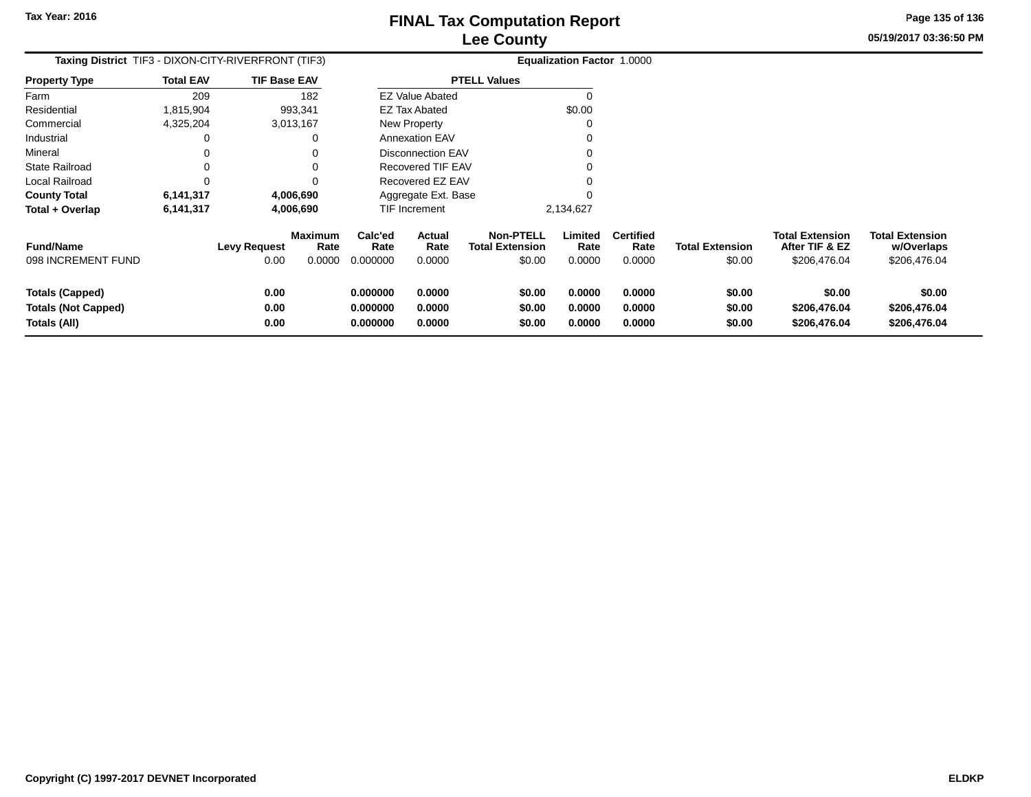**Page 135 of 136**

#### **05/19/2017 03:36:50 PM**

| Taxing District TIF3 - DIXON-CITY-RIVERFRONT (TIF3)  |                  |                             |                                  |                             |                          |                                                      | <b>Equalization Factor 1.0000</b> |                                    |                                  |                                                          |                                                      |
|------------------------------------------------------|------------------|-----------------------------|----------------------------------|-----------------------------|--------------------------|------------------------------------------------------|-----------------------------------|------------------------------------|----------------------------------|----------------------------------------------------------|------------------------------------------------------|
| <b>Property Type</b>                                 | <b>Total EAV</b> | <b>TIF Base EAV</b>         |                                  |                             |                          | <b>PTELL Values</b>                                  |                                   |                                    |                                  |                                                          |                                                      |
| Farm                                                 | 209              |                             | 182                              |                             | <b>EZ Value Abated</b>   |                                                      |                                   |                                    |                                  |                                                          |                                                      |
| Residential                                          | 1,815,904        |                             | 993,341                          |                             | <b>EZ Tax Abated</b>     |                                                      | \$0.00                            |                                    |                                  |                                                          |                                                      |
| Commercial                                           | 4,325,204        |                             | 3,013,167                        |                             | New Property             |                                                      |                                   |                                    |                                  |                                                          |                                                      |
| Industrial                                           | 0                |                             |                                  |                             | <b>Annexation EAV</b>    |                                                      |                                   |                                    |                                  |                                                          |                                                      |
| Mineral                                              |                  |                             |                                  |                             | <b>Disconnection EAV</b> |                                                      |                                   |                                    |                                  |                                                          |                                                      |
| <b>State Railroad</b>                                |                  |                             |                                  |                             | Recovered TIF EAV        |                                                      |                                   |                                    |                                  |                                                          |                                                      |
| Local Railroad                                       | 0                |                             |                                  | Recovered EZ EAV            |                          |                                                      |                                   |                                    |                                  |                                                          |                                                      |
| <b>County Total</b>                                  | 6,141,317        |                             | 4,006,690                        |                             | Aggregate Ext. Base      |                                                      |                                   |                                    |                                  |                                                          |                                                      |
| Total + Overlap                                      | 6,141,317        | 4,006,690                   |                                  | TIF Increment               |                          |                                                      | 2,134,627                         |                                    |                                  |                                                          |                                                      |
| <b>Fund/Name</b><br>098 INCREMENT FUND               |                  | <b>Levy Request</b><br>0.00 | <b>Maximum</b><br>Rate<br>0.0000 | Calc'ed<br>Rate<br>0.000000 | Actual<br>Rate<br>0.0000 | <b>Non-PTELL</b><br><b>Total Extension</b><br>\$0.00 | Limited<br>Rate<br>0.0000         | <b>Certified</b><br>Rate<br>0.0000 | <b>Total Extension</b><br>\$0.00 | <b>Total Extension</b><br>After TIF & EZ<br>\$206,476.04 | <b>Total Extension</b><br>w/Overlaps<br>\$206,476.04 |
|                                                      |                  |                             |                                  |                             |                          |                                                      |                                   |                                    |                                  |                                                          |                                                      |
| <b>Totals (Capped)</b><br><b>Totals (Not Capped)</b> |                  | 0.00<br>0.00                |                                  | 0.000000<br>0.000000        | 0.0000<br>0.0000         | \$0.00<br>\$0.00                                     | 0.0000<br>0.0000                  | 0.0000<br>0.0000                   | \$0.00<br>\$0.00                 | \$0.00<br>\$206,476.04                                   | \$0.00<br>\$206,476.04                               |
| Totals (All)                                         |                  | 0.00                        |                                  | 0.000000                    | 0.0000                   | \$0.00                                               | 0.0000                            | 0.0000                             | \$0.00                           | \$206,476.04                                             | \$206,476.04                                         |